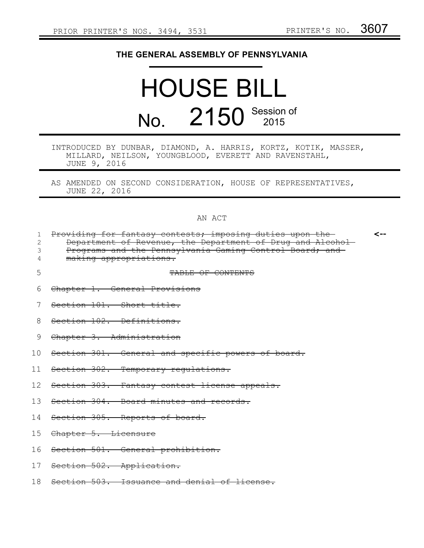## **THE GENERAL ASSEMBLY OF PENNSYLVANIA**

# HOUSE BILL No. 2150 Session of

| INTRODUCED BY DUNBAR, DIAMOND, A. HARRIS, KORTZ, KOTIK, MASSER, |  |                                                       |  |  |  |
|-----------------------------------------------------------------|--|-------------------------------------------------------|--|--|--|
|                                                                 |  | MILLARD, NEILSON, YOUNGBLOOD, EVERETT AND RAVENSTAHL, |  |  |  |
| JUNE 9, 2016                                                    |  |                                                       |  |  |  |

AS AMENDED ON SECOND CONSIDERATION, HOUSE OF REPRESENTATIVES, JUNE 22, 2016

### AN ACT

| 2<br>3 | Providing for fantasy contests; imposing duties upon the-<br>Department of Revenue, the Department of Drug and Alcohol-<br>Programs and the Pennsylvania Gaming Control Board; and<br>making appropriations. | <-- |
|--------|--------------------------------------------------------------------------------------------------------------------------------------------------------------------------------------------------------------|-----|
| 5      | TABLE OF CONTENTS                                                                                                                                                                                            |     |
| 6      | Chapter 1. General Provisions                                                                                                                                                                                |     |
|        | Section 101. Short title.                                                                                                                                                                                    |     |
| 8      | Section 102. Definitions.                                                                                                                                                                                    |     |
| 9      | Chapter 3. Administration                                                                                                                                                                                    |     |
| 10     | Section 301. General and specific powers of board.                                                                                                                                                           |     |
| 11     | Section 302. Temporary regulations.                                                                                                                                                                          |     |
| 12     | Section 303. Fantasy contest license appeals.                                                                                                                                                                |     |
| 1.3    | Section 304. Board minutes and records.                                                                                                                                                                      |     |
| 14     | Section 305. Reports of board.                                                                                                                                                                               |     |
| 15     | Chapter 5. Licensure                                                                                                                                                                                         |     |
| 16     | Section 501. General prohibition.                                                                                                                                                                            |     |
| 17     | Section 502. Application.                                                                                                                                                                                    |     |
| 18     | Section 503. Issuance and denial of license.                                                                                                                                                                 |     |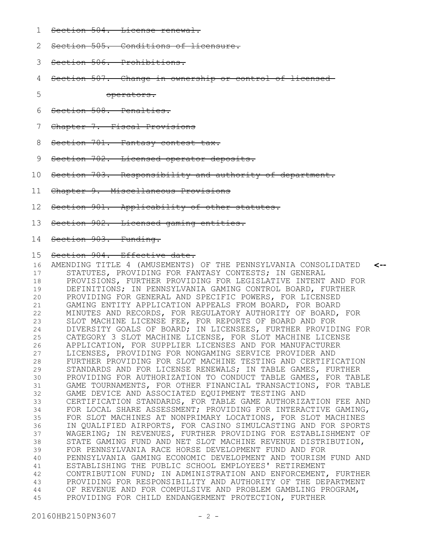- Section 504. License renewal. 1
- Section 505. Conditions of licensure. 2
- Section 506. Prohibitions. 3
- Section 507. Change in ownership or control of licensed 4
- operators. 5
- Section 508. Penalties. 6
- Chapter 7. Fiscal Provisions 7
- Section 701. Fantasy contest tax. 8
- Section 702. Licensed operator deposits. 9
- Section 703. Responsibility and authority of department. 10
- Chapter 9. Miscellaneous Provisions 11
- Section 901. Applicability of other statutes. 12
- Section 902. Licensed gaming entities. 13
- 14 Section 903. Funding.

#### Section 904. Effective date. 15

AMENDING TITLE 4 (AMUSEMENTS) OF THE PENNSYLVANIA CONSOLIDATED STATUTES, PROVIDING FOR FANTASY CONTESTS; IN GENERAL PROVISIONS, FURTHER PROVIDING FOR LEGISLATIVE INTENT AND FOR DEFINITIONS; IN PENNSYLVANIA GAMING CONTROL BOARD, FURTHER PROVIDING FOR GENERAL AND SPECIFIC POWERS, FOR LICENSED GAMING ENTITY APPLICATION APPEALS FROM BOARD, FOR BOARD MINUTES AND RECORDS, FOR REGULATORY AUTHORITY OF BOARD, FOR SLOT MACHINE LICENSE FEE, FOR REPORTS OF BOARD AND FOR DIVERSITY GOALS OF BOARD; IN LICENSEES, FURTHER PROVIDING FOR CATEGORY 3 SLOT MACHINE LICENSE, FOR SLOT MACHINE LICENSE APPLICATION, FOR SUPPLIER LICENSES AND FOR MANUFACTURER LICENSES, PROVIDING FOR NONGAMING SERVICE PROVIDER AND FURTHER PROVIDING FOR SLOT MACHINE TESTING AND CERTIFICATION STANDARDS AND FOR LICENSE RENEWALS; IN TABLE GAMES, FURTHER PROVIDING FOR AUTHORIZATION TO CONDUCT TABLE GAMES, FOR TABLE GAME TOURNAMENTS, FOR OTHER FINANCIAL TRANSACTIONS, FOR TABLE GAME DEVICE AND ASSOCIATED EQUIPMENT TESTING AND CERTIFICATION STANDARDS, FOR TABLE GAME AUTHORIZATION FEE AND FOR LOCAL SHARE ASSESSMENT; PROVIDING FOR INTERACTIVE GAMING, FOR SLOT MACHINES AT NONPRIMARY LOCATIONS, FOR SLOT MACHINES IN QUALIFIED AIRPORTS, FOR CASINO SIMULCASTING AND FOR SPORTS WAGERING; IN REVENUES, FURTHER PROVIDING FOR ESTABLISHMENT OF STATE GAMING FUND AND NET SLOT MACHINE REVENUE DISTRIBUTION, FOR PENNSYLVANIA RACE HORSE DEVELOPMENT FUND AND FOR PENNSYLVANIA GAMING ECONOMIC DEVELOPMENT AND TOURISM FUND AND ESTABLISHING THE PUBLIC SCHOOL EMPLOYEES' RETIREMENT CONTRIBUTION FUND; IN ADMINISTRATION AND ENFORCEMENT, FURTHER PROVIDING FOR RESPONSIBILITY AND AUTHORITY OF THE DEPARTMENT OF REVENUE AND FOR COMPULSIVE AND PROBLEM GAMBLING PROGRAM, PROVIDING FOR CHILD ENDANGERMENT PROTECTION, FURTHER **<--** 16 17 18 19 20 21 22 23 24 25 26 27 28 29 30 31 32 33 34 35 36 37 38 39 40 41 42 43 44 45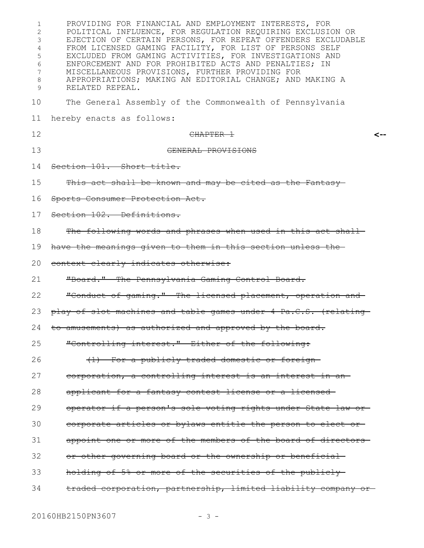| 1<br>$\overline{2}$<br>3<br>4<br>5<br>6<br>7<br>8<br>9 | PROVIDING FOR FINANCIAL AND EMPLOYMENT INTERESTS, FOR<br>POLITICAL INFLUENCE, FOR REGULATION REQUIRING EXCLUSION OR<br>EJECTION OF CERTAIN PERSONS, FOR REPEAT OFFENDERS EXCLUDABLE<br>FROM LICENSED GAMING FACILITY, FOR LIST OF PERSONS SELF<br>EXCLUDED FROM GAMING ACTIVITIES, FOR INVESTIGATIONS AND<br>ENFORCEMENT AND FOR PROHIBITED ACTS AND PENALTIES; IN<br>MISCELLANEOUS PROVISIONS, FURTHER PROVIDING FOR<br>APPROPRIATIONS; MAKING AN EDITORIAL CHANGE; AND MAKING A<br>RELATED REPEAL. |
|--------------------------------------------------------|------------------------------------------------------------------------------------------------------------------------------------------------------------------------------------------------------------------------------------------------------------------------------------------------------------------------------------------------------------------------------------------------------------------------------------------------------------------------------------------------------|
| 10                                                     | The General Assembly of the Commonwealth of Pennsylvania                                                                                                                                                                                                                                                                                                                                                                                                                                             |
| 11                                                     | hereby enacts as follows:                                                                                                                                                                                                                                                                                                                                                                                                                                                                            |
| 12                                                     | CHAPTER 1<br><--                                                                                                                                                                                                                                                                                                                                                                                                                                                                                     |
| 13                                                     | GENERAL PROVISIONS                                                                                                                                                                                                                                                                                                                                                                                                                                                                                   |
| 14                                                     | Section 101. Short title.                                                                                                                                                                                                                                                                                                                                                                                                                                                                            |
| 15                                                     | This act shall be known and may be cited as the Fantasy                                                                                                                                                                                                                                                                                                                                                                                                                                              |
| 16                                                     | Sports Consumer Protection Act.                                                                                                                                                                                                                                                                                                                                                                                                                                                                      |
| 17                                                     | Section 102. Definitions.                                                                                                                                                                                                                                                                                                                                                                                                                                                                            |
| 18                                                     | The following words and phrases when used in this act shall                                                                                                                                                                                                                                                                                                                                                                                                                                          |
| 19                                                     | have the meanings given to them in this section unless the                                                                                                                                                                                                                                                                                                                                                                                                                                           |
| 20                                                     | context clearly indicates otherwise:                                                                                                                                                                                                                                                                                                                                                                                                                                                                 |
| 21                                                     | "Board." The Pennsylvania Gaming Control Board.                                                                                                                                                                                                                                                                                                                                                                                                                                                      |
| 22                                                     | "Conduct of gaming." The licensed placement, operation and                                                                                                                                                                                                                                                                                                                                                                                                                                           |
| 23                                                     | play of slot machines and table games under 4 Pa.C.S. (relating                                                                                                                                                                                                                                                                                                                                                                                                                                      |
|                                                        | 24 to amusements) as authorized and approved by the board.                                                                                                                                                                                                                                                                                                                                                                                                                                           |
| 25                                                     | "Controlling interest." Either of the following:                                                                                                                                                                                                                                                                                                                                                                                                                                                     |
| 26                                                     | (1) For a publicly traded domestic or foreign-                                                                                                                                                                                                                                                                                                                                                                                                                                                       |
| 27                                                     | corporation, a controlling interest is an interest in an-                                                                                                                                                                                                                                                                                                                                                                                                                                            |
| 28                                                     | applicant for a fantasy contest license or a licensed-                                                                                                                                                                                                                                                                                                                                                                                                                                               |
| 29                                                     | operator if a person's sole voting rights under State law or-                                                                                                                                                                                                                                                                                                                                                                                                                                        |
| 30                                                     | corporate articles or bylaws entitle the person to elect or                                                                                                                                                                                                                                                                                                                                                                                                                                          |
| 31                                                     | appoint one or more of the members of the board of directors                                                                                                                                                                                                                                                                                                                                                                                                                                         |
| 32                                                     | or other governing board or the ownership or beneficial                                                                                                                                                                                                                                                                                                                                                                                                                                              |
| 33                                                     | holding of 5% or more of the securities of the publicly-                                                                                                                                                                                                                                                                                                                                                                                                                                             |
| 34                                                     | traded corporation, partnership, limited liability company or-                                                                                                                                                                                                                                                                                                                                                                                                                                       |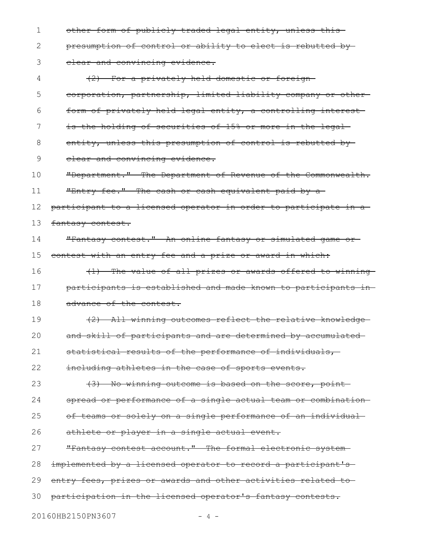| 1  | other form of publicly traded legal entity, unless this-        |
|----|-----------------------------------------------------------------|
| 2  | presumption of control or ability to elect is rebutted by-      |
| 3  | elear and convincing evidence.                                  |
| 4  | (2) For a privately held domestic or foreign-                   |
| 5  | corporation, partnership, limited liability company or other-   |
| 6  | form of privately held legal entity, a controlling interest     |
| 7  | is the holding of securities of 15% or more in the legal-       |
| 8  | entity, unless this presumption of control is rebutted by-      |
| 9  | elear and convincing evidence.                                  |
| 10 | "Department." The Department of Revenue of the Commonwealth.    |
| 11 | "Entry fee." The cash or cash equivalent paid by a-             |
| 12 | participant to a licensed operator in order to participate in a |
| 13 | fantasy contest.                                                |
| 14 | "Fantasy contest." An online fantasy or simulated game or-      |
| 15 | contest with an entry fee and a prize or award in which:        |
| 16 | (1) The value of all prizes or awards offered to winning        |
| 17 | participants is established and made known to participants in-  |
| 18 | advance of the contest.                                         |
| 19 | (2) All winning outcomes reflect the relative knowledge-        |
| 20 | and skill of participants and are determined by accumulated-    |
| 21 | statistical results of the performance of individuals,          |
| 22 | including athletes in the case of sports events.                |
| 23 | (3) No winning outcome is based on the score, point             |
| 24 | spread or performance of a single actual team or combination    |
| 25 | of teams or solely on a single performance of an individual     |
| 26 | athlete or player in a single actual event.                     |
| 27 | "Fantasy contest account." The formal electronic system-        |
| 28 | implemented by a licensed operator to record a participant's    |
| 29 | entry fees, prizes or awards and other activities related to-   |
|    |                                                                 |
| 30 | participation in the licensed operator's fantasy contests.      |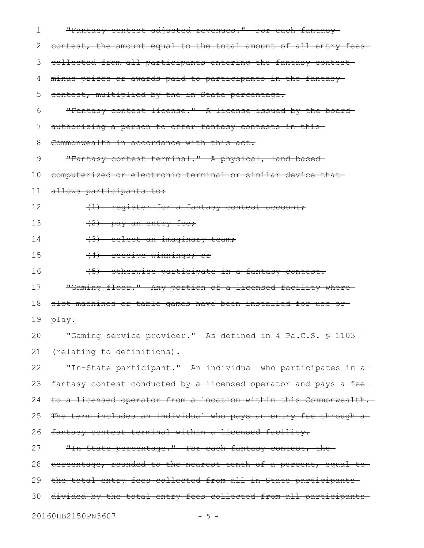| ı             | "Fantasy contest adjusted revenues." For each fantasy-           |
|---------------|------------------------------------------------------------------|
| 2.            | contest, the amount equal to the total amount of all entry fees- |
| 3             | collected from all participants entering the fantasy contest     |
| 4             | minus prizes or awards paid to participants in the fantasy-      |
| 5             | contest, multiplied by the in-State percentage.                  |
| 6             | "Fantasy contest license." A license issued by the board-        |
| $\frac{1}{2}$ | authorizing a person to offer fantasy contests in this-          |
| 8             | Commonwealth in accordance with this act.                        |
| 9             | "Fantasy contest terminal." A physical, land-based-              |
| 10            | computerized or electronic terminal or similar device that-      |
| 11            | allows participants to:                                          |
| 12            | (1) register for a fantasy contest account;                      |
| 13            | $(2)$ pay an entry fee;                                          |
| 14            | (3) select an imaginary team;                                    |
| 15            | (4) receive winnings; or                                         |
| 16            | (5) otherwise participate in a fantasy contest.                  |
| 17            | "Gaming floor." Any portion of a licensed facility where         |
| 18            | slot machines or table games have been installed for use or-     |
| 19            | play.                                                            |
| 20            | "Gaming service provider." As defined in 4 Pa.C.S. § 1103-       |
| 21            | (relating to definitions).                                       |
| 22            | "In State participant." An individual who participates in a      |
| 23            | fantasy contest conducted by a licensed operator and pays a fee- |
| 24            | to a licensed operator from a location within this Commonwealth. |
| 25            | The term includes an individual who pays an entry fee through a- |
| 26            | fantasy contest terminal within a licensed facility.             |
| 27            | "In State percentage." For each fantasy contest, the             |
| 28            | percentage, rounded to the nearest tenth of a percent, equal to- |
| 29            | the total entry fees collected from all in State participants    |
| 30            | divided by the total entry fees collected from all participants  |
|               | 20160HB2150PN3607<br>- 5 -                                       |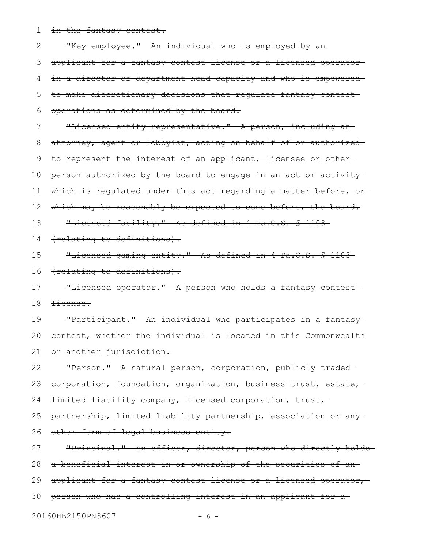in the fantasy contest. 1

"Key employee." An individual who is employed by anapplicant for a fantasy contest license or a licensed operator in a director or department head capacity and who is empowered to make discretionary decisions that regulate fantasy contest operations as determined by the board. "Licensed entity representative." A person, including an attorney, agent or lobbyist, acting on behalf of or authorized to represent the interest of an applicant, licensee or other person authorized by the board to engage in an act or activity which is regulated under this act regarding a matter before, orwhich may be reasonably be expected to come before, the board. "Licensed facility." As defined in 4 Pa.C.S. § 1103 (relating to definitions). "Licensed gaming entity." As defined in 4 Pa.C.S. § 1103 (relating to definitions). "Licensed operator." A person who holds a fantasy contest license. "Participant." An individual who participates in a fantasy contest, whether the individual is located in this Commonwealth or another jurisdiction. "Person." A natural person, corporation, publicly traded corporation, foundation, organization, business trust, estate, limited liability company, licensed corporation, trust, partnership, limited liability partnership, association or any other form of legal business entity. "Principal." An officer, director, person who directly holds a beneficial interest in or ownership of the securities of an 28 29 applicant for a fantasy contest license or a licensed operator, person who has a controlling interest in an applicant for a 3020160HB2150PN3607 - 6 -2 3 4 5 6 7 8 9 10 11 12 13 14 15 16 17 18 19 20 21 22 23 24 25 26 27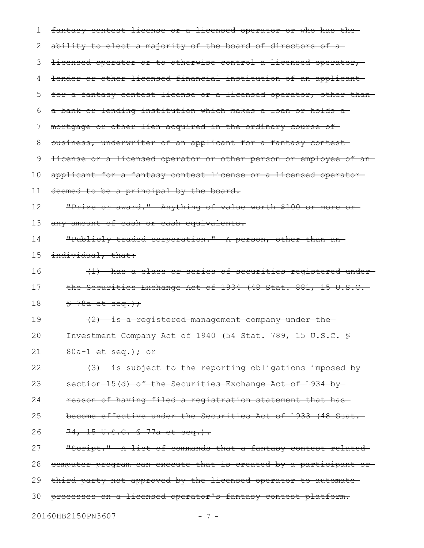fantasy contest license or a licensed operator or who has the ability to elect a majority of the board of directors of alicensed operator or to otherwise control a licensed operator, lender or other licensed financial institution of an applicant for a fantasy contest license or a licensed operator, other than a bank or lending institution which makes a loan or holds a mortgage or other lien acquired in the ordinary course of business, underwriter of an applicant for a fantasy contest license or a licensed operator or other person or employee of an applicant for a fantasy contest license or a licensed operator deemed to be a principal by the board. "Prize or award." Anything of value worth \$100 or more or any amount of cash or cash equivalents. "Publicly traded corporation." A person, other than an individual, that: (1) has a class or series of securities registered under the Securities Exchange Act of 1934 (48 Stat. 881, 15 U.S.C.  $$-78a$  et seq.); (2) is a registered management company under the Investment Company Act of 1940 (54 Stat. 789, 15 U.S.C. §  $80a-1$  et seq.); or (3) is subject to the reporting obligations imposed by section 15(d) of the Securities Exchange Act of 1934 byreason of having filed a registration statement that has become effective under the Securities Act of 1933 (48 Stat. 74, 15 U.S.C. § 77a et seq.). "Script." A list of commands that a fantasy contest related computer program can execute that is created by a participant or third party not approved by the licensed operator to automate processes on a licensed operator's fantasy contest platform. 20160HB2150PN3607 - 7 -1 2 3 4 5 6 7 8 9 10 11 12 13 14 15 16 17 18 19 20 21 22 23 24 25 26 27 28 29 30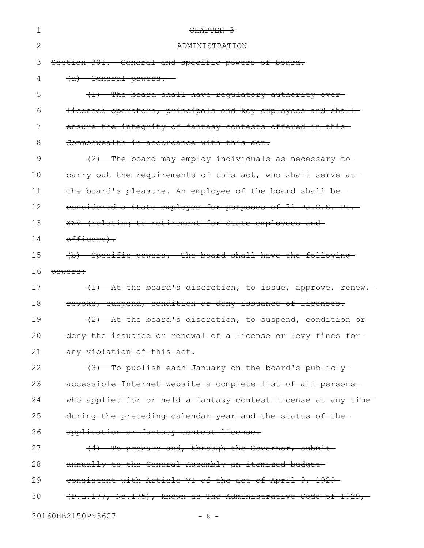| 1  | CHAPTER 3                                                       |
|----|-----------------------------------------------------------------|
| 2  | <b>ADMINISTRATION</b>                                           |
| 3  | Section 301. General and specific powers of board.              |
| 4  | (a) General powers.                                             |
| 5  | The board shall have regulatory authority over-<br>$+1$         |
| 6  | licensed operators, principals and key employees and shall-     |
| 7  | ensure the integrity of fantasy contests offered in this-       |
| 8  | Commonwealth in accordance with this act.                       |
| 9  | (2) The board may employ individuals as necessary to            |
| 10 | earry out the requirements of this act, who shall serve at      |
| 11 | the board's pleasure. An employee of the board shall be-        |
| 12 | considered a State employee for purposes of 71 Pa.C.S. Pt.      |
| 13 | XXV (relating to retirement for State employees and             |
| 14 | <del>officers).</del>                                           |
| 15 | (b) Specific powers. - The board shall have the following       |
| 16 | powers:                                                         |
| 17 | At the board's discretion, to issue, approve, renew,<br>$+1$    |
| 18 | revoke, suspend, condition or deny issuance of licenses.        |
| 19 | At the board's discretion, to suspend, condition or-            |
| 20 | deny the issuance or renewal of a license or levy fines         |
| 21 | any violation of this act.                                      |
| 22 | (3) To publish each January on the board's publicly             |
| 23 | accessible Internet website a complete list of all persons-     |
| 24 | who applied for or held a fantasy contest license at any time   |
| 25 | during the preceding calendar year and the status of the-       |
| 26 | application or fantasy contest license.                         |
| 27 | (4) To prepare and, through the Governor, submit                |
| 28 | annually to the General Assembly an itemized budget-            |
| 29 | consistent with Article VI of the act of April 9, 1929-         |
| 30 | $(F.L.177, No.175)$ , known as The Administrative Code of 1929, |
|    | 20160HB2150PN3607<br>$8 -$                                      |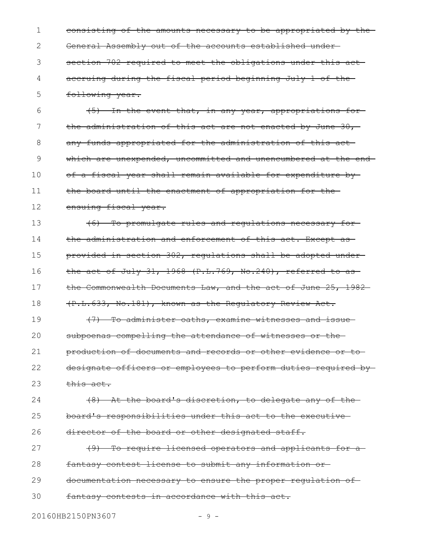consisting of the amounts necessary to be appropriated by the General Assembly out of the accounts established under section 702 required to meet the obligations under this act accruing during the fiscal period beginning July 1 of the following year. 1 2 3 4 5

(5) In the event that, in any year, appropriations for the administration of this act are not enacted by June  $30,$ any funds appropriated for the administration of this act which are unexpended, uncommitted and unencumbered at the end of a fiscal year shall remain available for expenditure by the board until the enactment of appropriation for the ensuing fiscal year. 6 7 8 9 10 11 12

(6) To promulgate rules and regulations necessary for the administration and enforcement of this act. Except as provided in section 302, regulations shall be adopted under the act of July 31, 1968 (P.L.769, No.240), referred to as the Commonwealth Documents Law, and the act of June 25, 1982-(P.L.633, No.181), known as the Regulatory Review Act. 13 14 15 16 17 18

(7) To administer oaths, examine witnesses and issue subpoenas compelling the attendance of witnesses or the production of documents and records or other evidence or to designate officers or employees to perform duties required by this act. 19 20 21 22 23

(8) At the board's discretion, to delegate any of the board's responsibilities under this act to the executive director of the board or other designated staff. 24 25 26

(9) To require licensed operators and applicants for a fantasy contest license to submit any information or documentation necessary to ensure the proper regulation of fantasy contests in accordance with this act. 27 28 29 30

20160HB2150PN3607 - 9 -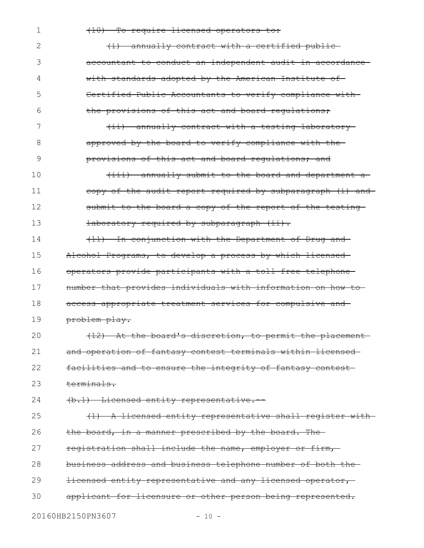1

#### (10) To require licensed operators to:

(i) annually contract with a certified public accountant to conduct an independent audit in accordance with standards adopted by the American Institute of Certified Public Accountants to verify compliance with the provisions of this act and board regulations; 2 3 4 5 6

(ii) annually contract with a testing laboratory approved by the board to verify compliance with the provisions of this act and board requiations; and 7 8 9

(iii) annually submit to the board and department a copy of the audit report required by subparagraph (i) and submit to the board a copy of the report of the testinglaboratory required by subparagraph (ii). 10 11 12 13

(11) In conjunction with the Department of Drug and Alcohol Programs, to develop a process by which licensed operators provide participants with a toll-free telephone number that provides individuals with information on how to access appropriate treatment services for compulsive and problem play. 14 15 16 17 18 19

(12) At the board's discretion, to permit the placement and operation of fantasy contest terminals within licensed facilities and to ensure the integrity of fantasy contest terminals. 20 21 22 23

(b.1) Licensed entity representative.-- 24

(1) A licensed entity representative shall register with the board, in a manner prescribed by the board. The registration shall include the name, employer or firm, business address and business telephone number of both the licensed entity representative and any licensed operator, applicant for licensure or other person being represented. 25 26 27 28 29 30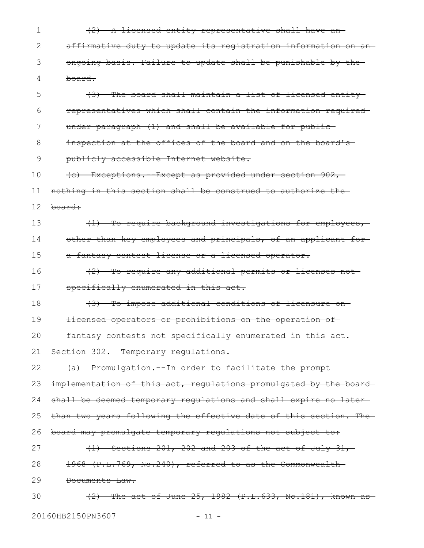(2) A licensed entity representative shall have an affirmative duty to update its registration information on an ongoing basis. Failure to update shall be punishable by the board. 1 2 3 4

(3) The board shall maintain a list of licensed entity representatives which shall contain the information required under paragraph (1) and shall be available for public inspection at the offices of the board and on the board's 5 6 7 8

publicly accessible Internet website. 9

(c) Exceptions.--Except as provided under section 902, 10

nothing in this section shall be construed to authorize the 11

board: 12

(1) To require background investigations for employees, other than key employees and principals, of an applicant for a fantasy contest license or a licensed operator. 13 14 15

(2) To require any additional permits or licenses not specifically enumerated in this act. 16 17

(3) To impose additional conditions of licensure on 18

licensed operators or prohibitions on the operation of 19

fantasy contests not specifically enumerated in this act. 20

Section 302. Temporary regulations. 21

(a) Promulgation.--In order to facilitate the prompt 22

implementation of this act, regulations promulgated by the board-23

shall be deemed temporary regulations and shall expire no later-24

than two years following the effective date of this section. The 25

board may promulgate temporary regulations not subject to: 26

(1) Sections 201, 202 and 203 of the act of July 31, 1968 (P.L.769, No.240), referred to as the Commonwealth 27 28

Documents Law. 29

 $(2)$  The act of June 25, 1982  $(P.L.633, No.181)$ , known as 20160HB2150PN3607 - 11 -30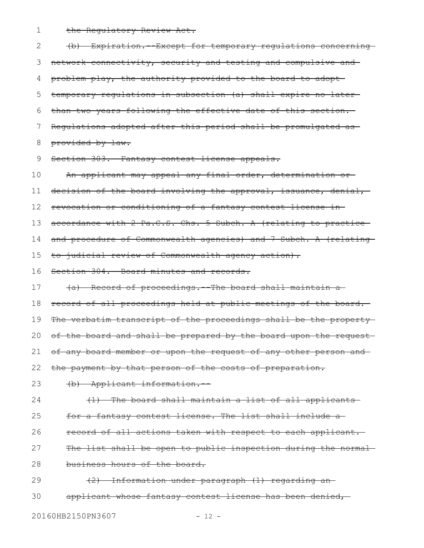the Regulatory Review Act. 1

(b) Expiration.--Except for temporary regulations concerning network connectivity, security and testing and compulsive and problem play, the authority provided to the board to adopt temporary regulations in subsection (a) shall expire no later than two years following the effective date of this section. Regulations adopted after this period shall be promulgated as provided by law. Section 303. Fantasy contest license appeals. An applicant may appeal any final order, determination or decision of the board involving the approval, issuance, denial, revocation or conditioning of a fantasy contest license in accordance with 2 Pa.C.S. Chs. 5 Subch. A (relating to practice and procedure of Commonwealth agencies) and 7 Subch. A (relating to judicial review of Commonwealth agency action). Section 304. Board minutes and records. (a) Record of proceedings.--The board shall maintain a record of all proceedings held at public meetings of the board. The verbatim transcript of the proceedings shall be the propertyof the board and shall be prepared by the board upon the requestof any board member or upon the request of any other person and the payment by that person of the costs of preparation. (b) Applicant information.-- (1) The board shall maintain a list of all applicants for a fantasy contest license. The list shall include a record of all actions taken with respect to each applicant. The list shall be open to public inspection during the normalbusiness hours of the board. (2) Information under paragraph (1) regarding an applicant whose fantasy contest license has been denied, 2 3 4 5 6 7 8 9 10 11 12 13 14 15 16 17 18 19 20 21 22 23 24 25 26 27 28 29 30

20160HB2150PN3607 - 12 -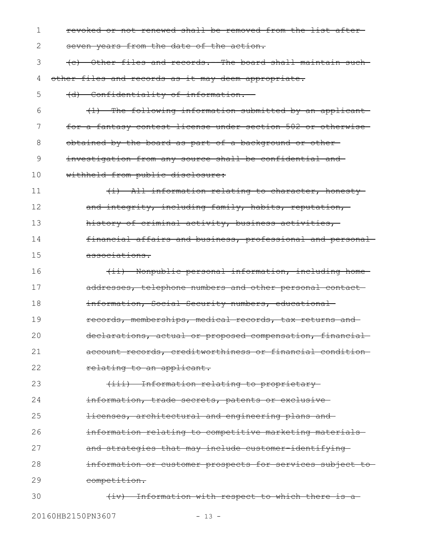| 1  | revoked or not renewed shall be removed from the list after-  |
|----|---------------------------------------------------------------|
| 2  | seven years from the date of the action.                      |
| 3  | (c) Other files and records.--The board shall maintain such-  |
| 4  | other files and records as it may deem appropriate.           |
| 5  | (d) Confidentiality of information.                           |
| 6  | (1) The following information submitted by an applicant       |
| 7  | for a fantasy contest license under section 502 or otherwise- |
| 8  | obtained by the board as part of a background or other-       |
| 9  | investigation from any source shall be confidential and-      |
| 10 | withheld from public disclosure:                              |
| 11 | (i) All information relating to character, honesty-           |
| 12 | and integrity, including family, habits, reputation,          |
| 13 | history of criminal activity, business activities,            |
| 14 | financial affairs and business, professional and personal-    |
| 15 | associations.                                                 |
| 16 | (ii) Nonpublic personal information, including home-          |
| 17 | addresses, telephone numbers and other personal contact-      |
| 18 | information, Social Security numbers, educational             |
| 19 | records, memberships, medical records, tax returns and        |
| 20 | declarations, actual or proposed compensation, financial-     |
| 21 | account records, creditworthiness or financial condition-     |
| 22 | relating to an applicant.                                     |
| 23 | (iii) Information relating to proprietary-                    |
| 24 | information, trade secrets, patents or exclusive-             |
| 25 | licenses, architectural and engineering plans and             |
| 26 | information relating to competitive marketing materials-      |
| 27 | and strategies that may include customer-identifying-         |
| 28 | information or customer prospects for services subject to-    |
| 29 | competition.                                                  |
| 30 | (iv) Information with respect to which there is a             |
|    |                                                               |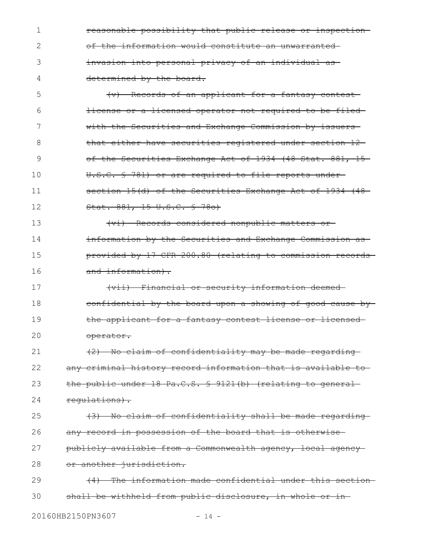reasonable possibility that public release or inspection of the information would constitute an unwarranted invasion into personal privacy of an individual as determined by the board. 1 2 3 4

(v) Records of an applicant for a fantasy contest license or a licensed operator not required to be filed with the Securities and Exchange Commission by issuersthat either have securities registered under section 12 of the Securities Exchange Act of 1934 (48 Stat. 881, 15-U.S.C. § 78l) or are required to file reports under section 15(d) of the Securities Exchange Act of 1934 (48-Stat. 881, 15 U.S.C. § 78o) 5 6 7 8 9 10 11 12

(vi) Records considered nonpublic matters or information by the Securities and Exchange Commission as provided by 17 CFR 200.80 (relating to commission records and information). 13 14 15 16

(vii) Financial or security information deemed confidential by the board upon a showing of good cause by the applicant for a fantasy contest license or licensed operator. 17 18 19 20

(2) No claim of confidentiality may be made regarding any criminal history record information that is available to the public under 18 Pa.C.S. § 9121(b) (relating to general regulations). 21 22 23 24

(3) No claim of confidentiality shall be made regarding any record in possession of the board that is otherwise publicly available from a Commonwealth agency, local agency or another jurisdiction. 25 26 27 28

(4) The information made confidential under this section shall be withheld from public disclosure, in whole or in 29 30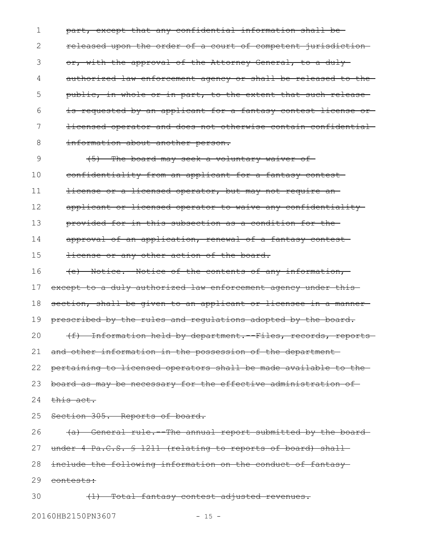part, except that any confidential information shall be released upon the order of a court of competent jurisdiction or, with the approval of the Attorney General, to a duly authorized law enforcement agency or shall be released to the public, in whole or in part, to the extent that such release is requested by an applicant for a fantasy contest license or licensed operator and does not otherwise contain confidential information about another person. 1 2 3 4 5 6 7 8

(5) The board may seek a voluntary waiver of confidentiality from an applicant for a fantasy contest license or a licensed operator, but may not require an applicant or licensed operator to waive any confidentiality provided for in this subsection as a condition for the approval of an application, renewal of a fantasy contest license or any other action of the board. 9 10 11 12 13 14 15

(e) Notice.--Notice of the contents of any information, 16

except to a duly authorized law enforcement agency under this-17

section, shall be given to an applicant or licensee in a manner 18

prescribed by the rules and regulations adopted by the board. 19

(f) Information held by department.--Files, records, reports and other information in the possession of the department 20 21

pertaining to licensed operators shall be made available to the 22

board as may be necessary for the effective administration of 23

- this act. 24
- Section 305. Reports of board. 25

(a) General rule.--The annual report submitted by the board 26

under 4 Pa.C.S. § 1211 (relating to reports of board) shall-27

include the following information on the conduct of fantasy 28

29 <del>contests:</del>

(1) Total fantasy contest adjusted revenues. 30

20160HB2150PN3607 - 15 -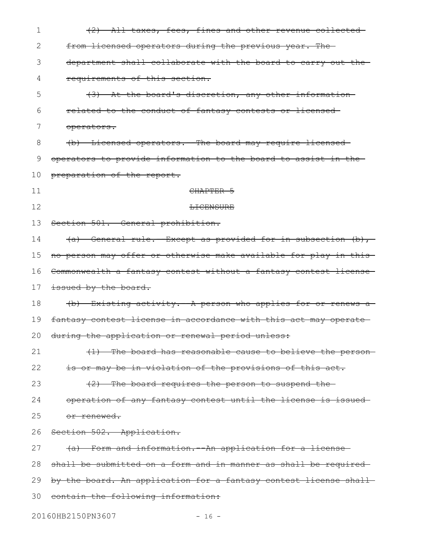| $\mathbf 1$ | (2) All taxes, fees, fines and other revenue collected            |
|-------------|-------------------------------------------------------------------|
| 2           | from licensed operators during the previous year. The             |
| 3           | department shall collaborate with the board to carry out the      |
| 4           | requirements of this section.                                     |
| 5           | (3) At the board's discretion, any other information              |
| 6           | related to the conduct of fantasy contests or licensed-           |
| 7           | operators.                                                        |
| 8           | (b) Licensed operators. - The board may require licensed-         |
| 9           | operators to provide information to the board to assist in the    |
| 10          | preparation of the report.                                        |
| 11          | CHAPTER 5                                                         |
| 12          | <b>LICENSURE</b>                                                  |
| 13          | Section 501. General prohibition.                                 |
| 14          | (a) General rule. Except as provided for in subsection (b),       |
| 15          | no person may offer or otherwise make available for play in this  |
| 16          | Commonwealth a fantasy contest without a fantasy contest license  |
| 17          | issued by the board.                                              |
| 18          | (b) Existing activity. A person who applies for or renews a       |
| 19          | fantasy contest license in accordance with this act may operate-  |
|             | 20 during the application or renewal period unless:               |
| 21          | (1) The board has reasonable cause to believe the person-         |
| 22          | is or may be in violation of the provisions of this act.          |
| 23          | (2) The board requires the person to suspend the-                 |
| 24          | operation of any fantasy contest until the license is issued-     |
| 25          | or renewed.                                                       |
| 26          | Section 502. Application.                                         |
| 27          | (a) Form and information. An application for a license            |
| 28          | shall be submitted on a form and in manner as shall be required-  |
| 29          | by the board. An application for a fantasy contest license shall- |
| 30          | contain the following information:                                |
|             |                                                                   |

20160HB2150PN3607 - 16 -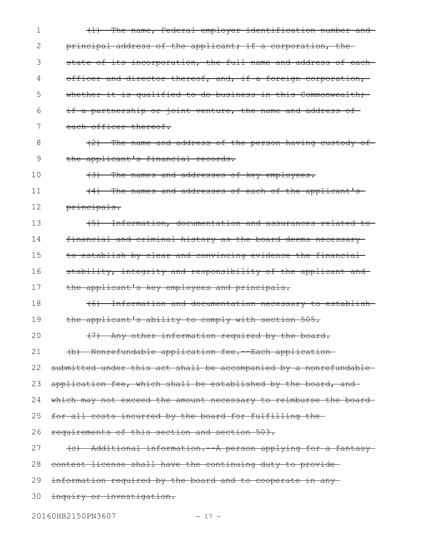| 1  | (1) The name, Federal employer identification number and          |
|----|-------------------------------------------------------------------|
| 2  | principal address of the applicant; if a corporation, the-        |
| 3  | state of its incorporation, the full name and address of each-    |
| 4  | officer and director thereof, and, if a foreign corporation,      |
| 5  | whether it is qualified to do business in this Commonwealth;      |
| 6  | if a partnership or joint venture, the name and address of        |
| 7  | each officer thereof.                                             |
| 8  | (2) The name and address of the person having custody of-         |
| 9  | the applicant's financial records.                                |
| 10 | (3) The names and addresses of key employees.                     |
| 11 | (4) The names and addresses of each of the applicant's            |
| 12 | principals.                                                       |
| 13 | (5) Information, documentation and assurances related to          |
| 14 | financial and criminal history as the board deems necessary       |
| 15 | to establish by clear and convincing evidence the financial       |
| 16 | stability, integrity and responsibility of the applicant and-     |
| 17 | the applicant's key employees and principals.                     |
| 18 | (6) Information and documentation necessary to establish          |
| 19 | the applicant's ability to comply with section 505.               |
| 20 | (7) Any other information required by the board.                  |
| 21 | (b) Nonrefundable application fee. --Each application-            |
| 22 | submitted under this act shall be accompanied by a nonrefundable- |
| 23 | application fee, which shall be established by the board, and     |
| 24 | which may not exceed the amount necessary to reimburse the board  |
| 25 | for all costs incurred by the board for fulfilling the-           |
| 26 | requirements of this section and section 503.                     |
| 27 | (c) Additional information. A person applying for a fantasy       |
| 28 | contest license shall have the continuing duty to provide         |
| 29 | information required by the board and to cooperate in any-        |
| 30 | inquiry or investigation.                                         |
|    | 20160HB2150PN3607<br>$-17 -$                                      |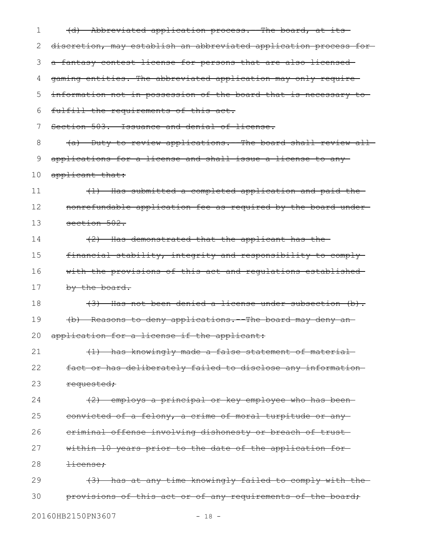| 1  | (d) Abbreviated application process. The board, at its           |
|----|------------------------------------------------------------------|
| 2  | discretion, may establish an abbreviated application process for |
| 3  | a fantasy contest license for persons that are also licensed     |
| 4  | gaming entities. The abbreviated application may only require-   |
| 5  | information not in possession of the board that is necessary to  |
| 6  | fulfill the requirements of this act.                            |
| 7  | Section 503. Issuance and denial of license.                     |
| 8  | (a) Duty to review applications. The board shall review all      |
| 9  | applications for a license and shall issue a license to any-     |
| 10 | applicant that:                                                  |
| 11 | (1) Has submitted a completed application and paid the-          |
| 12 | nonrefundable application fee as required by the board under-    |
| 13 | section 502.                                                     |
| 14 | (2) Has demonstrated that the applicant has the                  |
| 15 | financial stability, integrity and responsibility to comply      |
| 16 | with the provisions of this act and requlations established-     |
| 17 | <del>by the board.</del>                                         |
| 18 | $(3)$ Has not been denied a license under subsection $(b)$ .     |
| 19 | (b) Reasons to deny applications. The board may deny an-         |
| 20 | application for a license if the applicant:                      |
| 21 | (1) has knowingly made a false statement of material             |
| 22 | fact or has deliberately failed to disclose any information      |
| 23 | requested;                                                       |
| 24 | (2) employs a principal or key employee who has been-            |
| 25 | convicted of a felony, a crime of moral turpitude or any         |
| 26 | eriminal offense involving dishonesty or breach of trust-        |
| 27 | within 10 years prior to the date of the application for-        |
| 28 | <del>license;</del>                                              |
| 29 | (3) has at any time knowingly failed to comply with the-         |
| 30 | provisions of this act or of any requirements of the board;      |
|    |                                                                  |

20160HB2150PN3607 - 18 -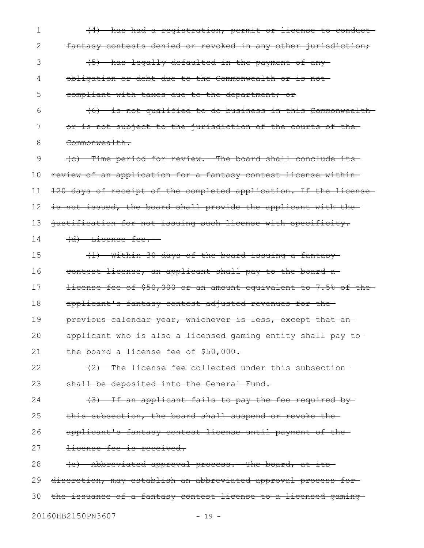(4) has had a registration, permit or license to conduct fantasy contests denied or revoked in any other jurisdiction; (5) has legally defaulted in the payment of any obligation or debt due to the Commonwealth or is not compliant with taxes due to the department; or (6) is not qualified to do business in this Commonwealth or is not subject to the jurisdiction of the courts of the Commonwealth. (c) Time period for review.--The board shall conclude its review of an application for a fantasy contest license within 120 days of receipt of the completed application. If the license is not issued, the board shall provide the applicant with thejustification for not issuing such license with specificity. (d) License fee.-- (1) Within 30 days of the board issuing a fantasy contest license, an applicant shall pay to the board a license fee of \$50,000 or an amount equivalent to 7.5% of the applicant's fantasy contest adjusted revenues for the previous calendar year, whichever is less, except that an applicant who is also a licensed gaming entity shall pay to the board a license fee of \$50,000. (2) The license fee collected under this subsection shall be deposited into the General Fund. (3) If an applicant fails to pay the fee required by this subsection, the board shall suspend or revoke the applicant's fantasy contest license until payment of the license fee is received. (e) Abbreviated approval process.--The board, at its discretion, may establish an abbreviated approval process for the issuance of a fantasy contest license to a licensed gaming 20160HB2150PN3607 - 19 -1 2 3 4 5 6 7 8 9 10 11 12 13 14 15 16 17 18 19 20 21 22 23 24 25 26 27 28 29 30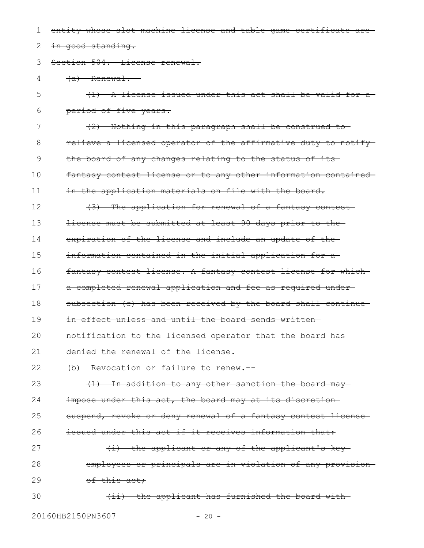entity whose slot machine license and table game certificate are in good standing. Section 504. License renewal.  $(a)$  Renewal. (1) A license issued under this act shall be valid for a period of five years. (2) Nothing in this paragraph shall be construed to relieve a licensed operator of the affirmative duty to notify the board of any changes relating to the status of its fantasy contest license or to any other information contained in the application materials on file with the board. (3) The application for renewal of a fantasy contest license must be submitted at least 90 days prior to the expiration of the license and include an update of the information contained in the initial application for a fantasy contest license. A fantasy contest license for which a completed renewal application and fee as required under subsection (c) has been received by the board shall continue in effect unless and until the board sends writtennotification to the licensed operator that the board has denied the renewal of the license. (b) Revocation or failure to renew.-- (1) In addition to any other sanction the board may impose under this act, the board may at its discretionsuspend, revoke or deny renewal of a fantasy contest license issued under this act if it receives information that: (i) the applicant or any of the applicant's key employees or principals are in violation of any provision of this act; (ii) the applicant has furnished the board with 1 2 3 4 5 6 7 8 9 10 11 12 13 14 15 16 17 18 19 20 21 22 23 24 25 26 27 28 29 30

20160HB2150PN3607 - 20 -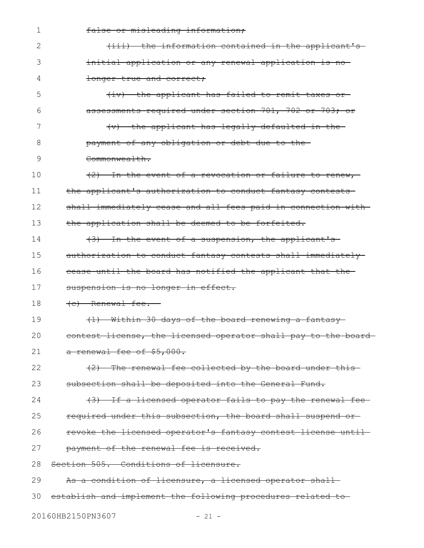| $\mathbf 1$ | false or misleading information;                               |
|-------------|----------------------------------------------------------------|
| 2           | (iii) the information contained in the applicant's-            |
| 3           | initial application or any renewal application is no-          |
| 4           | longer true and correct:                                       |
| 5           | (iv) the applicant has failed to remit taxes or                |
| 6           | assessments required under section 701, 702 or 703; or         |
| 7           | $(v)$ the applicant has legally defaulted in the-              |
| 8           | payment of any obligation or debt due to the-                  |
| 9           | Commonwealth.                                                  |
| 10          | (2) In the event of a revocation or failure to renew,          |
| 11          | the applicant's authorization to conduct fantasy contests      |
| 12          | shall immediately cease and all fees paid in connection with-  |
| 13          | the application shall be deemed to be forfeited.               |
| 14          | (3) In the event of a suspension, the applicant's              |
| 15          | authorization to conduct fantasy contests shall immediately    |
| 16          | cease until the board has notified the applicant that the-     |
| 17          | suspension is no longer in effect.                             |
| 18          | (e) Renewal fee.                                               |
| 19          | (1) Within 30 days of the board renewing a fantasy-            |
| 20          | contest license, the licensed operator shall pay to the board- |
| 21          | a renewal fee of \$5,000.                                      |
| 22          | (2) The renewal fee collected by the board under this          |
| 23          | subsection shall be deposited into the General Fund.           |
| 24          | (3) If a licensed operator fails to pay the renewal fee-       |
| 25          | required under this subsection, the board shall suspend or     |
| 26          | revoke the licensed operator's fantasy contest license until-  |
| 27          | payment of the renewal fee is received.                        |
| 28          | Section 505. Conditions of licensure.                          |
| 29          | As a condition of licensure, a licensed operator shall         |
| 30          | establish and implement the following procedures related to    |
|             |                                                                |

20160HB2150PN3607 - 21 -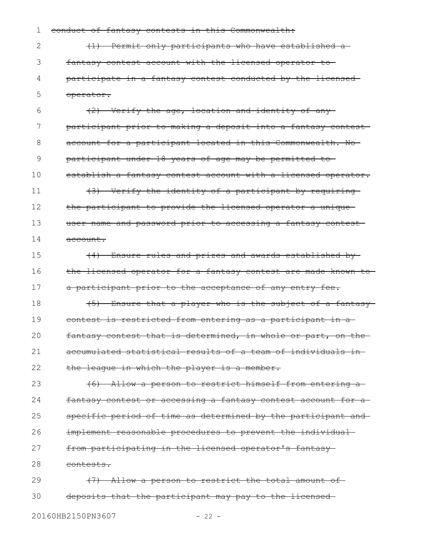conduct of fantasy contests in this Commonwealth: 1

(1) Permit only participants who have established a fantasy contest account with the licensed operator to participate in a fantasy contest conducted by the licensed operator. 2 3 4 5

(2) Verify the age, location and identity of any participant prior to making a deposit into a fantasy contest account for a participant located in this Commonwealth. No participant under 18 years of age may be permitted to establish a fantasy contest account with a licensed operator. (3) Verify the identity of a participant by requiring the participant to provide the licensed operator a unique 6 7 8 9 10 11 12

user name and password prior to accessing a fantasy contest account. 13 14

(4) Ensure rules and prizes and awards established by the licensed operator for a fantasy contest are made known to a participant prior to the acceptance of any entry fee. 15 16 17

(5) Ensure that a player who is the subject of a fantasy contest is restricted from entering as a participant in a fantasy contest that is determined, in whole or part, on the accumulated statistical results of a team of individuals in the league in which the player is a member. 18 19 20 21 22

(6) Allow a person to restrict himself from entering a fantasy contest or accessing a fantasy contest account for a specific period of time as determined by the participant and implement reasonable procedures to prevent the individual from participating in the licensed operator's fantasy 23 24 25 26 27

contests. 28

(7) Allow a person to restrict the total amount of deposits that the participant may pay to the licensed 29 30

20160HB2150PN3607 - 22 -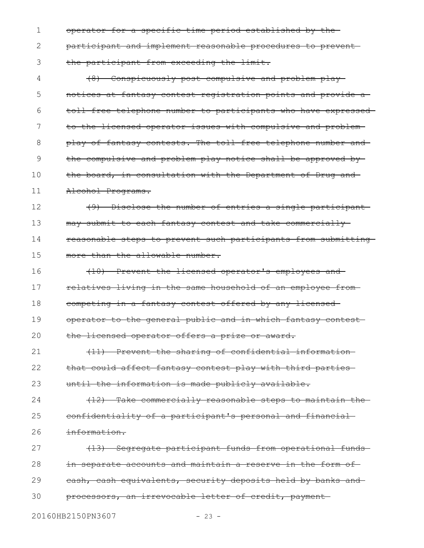operator for a specific time period established by the participant and implement reasonable procedures to prevent the participant from exceeding the limit. 1 2 3

(8) Conspicuously post compulsive and problem play notices at fantasy contest registration points and provide a toll-free telephone number to participants who have expressed to the licensed operator issues with compulsive and problem play of fantasy contests. The toll-free telephone number and the compulsive and problem play notice shall be approved by the board, in consultation with the Department of Drug and Alcohol Programs. 4 5 6 7 8 9 10 11

(9) Disclose the number of entries a single participant may submit to each fantasy contest and take commercially reasonable steps to prevent such participants from submitting more than the allowable number. 12 13 14 15

(10) Prevent the licensed operator's employees and relatives living in the same household of an employee from competing in a fantasy contest offered by any licensed operator to the general public and in which fantasy contest the licensed operator offers a prize or award. 16 17 18 19 20

(11) Prevent the sharing of confidential information that could affect fantasy contest play with third parties until the information is made publicly available. 21 22 23

(12) Take commercially reasonable steps to maintain the confidentiality of a participant's personal and financial information. 24 25 26

(13) Segregate participant funds from operational funds in separate accounts and maintain a reserve in the form of cash, cash equivalents, security deposits held by banks and processors, an irrevocable letter of credit, payment 27 28 29 30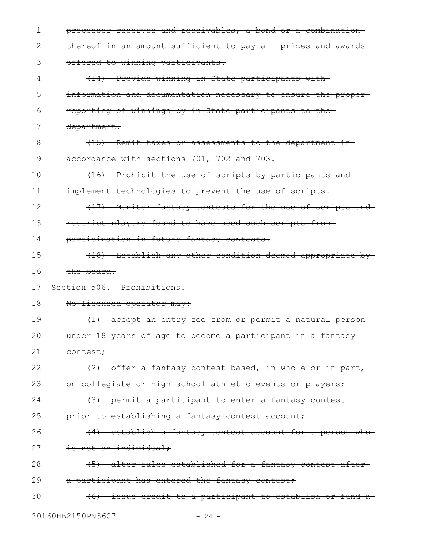| 1  | processor reserves and receivables, a bond or a combination   |
|----|---------------------------------------------------------------|
| 2  | thereof in an amount sufficient to pay all prizes and awards- |
| 3  | offered to winning participants.                              |
| 4  | (14) Provide winning in-State participants with-              |
| 5  | information and documentation necessary to ensure the proper- |
| 6  | reporting of winnings by in-State participants to the-        |
| 7  | department.                                                   |
| 8  | (15) Remit taxes or assessments to the department in-         |
| 9  | accordance with sections 701, 702 and 703.                    |
| 10 | (16) Prohibit the use of scripts by participants and          |
| 11 | implement technologies to prevent the use of scripts.         |
| 12 | (17) Monitor fantasy contests for the use of scripts and      |
| 13 | restrict players found to have used such scripts from-        |
| 14 | participation in future fantasy contests.                     |
| 15 | (18) Establish any other condition deemed appropriate by      |
|    |                                                               |
| 16 | the board.                                                    |
| 17 | Section 506. Prohibitions.                                    |
| 18 | No licensed operator may:                                     |
| 19 | (1) accept an entry fee from or permit a natural person-      |
| 20 | under 18 years of age to become a participant in a fantasy-   |
| 21 | contest;                                                      |
| 22 | (2) offer a fantasy contest based, in whole or in part,       |
| 23 | on collegiate or high school athletic events or players;      |
| 24 | (3) permit a participant to enter a fantasy contest-          |
| 25 | prior to establishing a fantasy contest account;              |
| 26 | (4) establish a fantasy contest account for a person who      |
| 27 | is not an individual:                                         |
| 28 | (5) alter rules established for a fantasy contest after-      |
| 29 | a participant has entered the fantasy contest;                |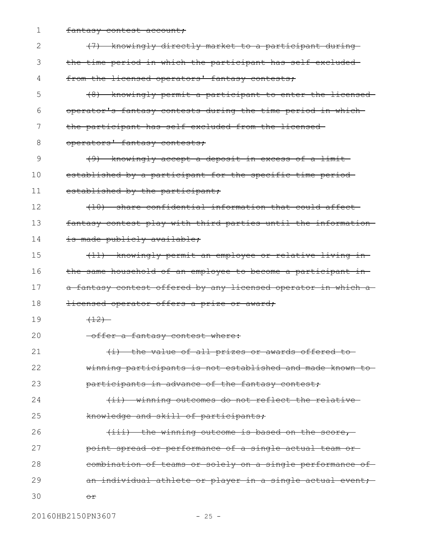fantasy contest account; 1

| 2  | (7) knowingly directly market to a participant during          |
|----|----------------------------------------------------------------|
| 3  | the time period in which the participant has self-excluded-    |
| 4  | from the licensed operators' fantasy contests;                 |
| 5  | (8) knowingly permit a participant to enter the licensed-      |
| 6  | operator's fantasy contests during the time period in which-   |
| 7  | the participant has self-excluded from the licensed-           |
| 8  | operators' fantasy contests;                                   |
| 9  | (9) knowingly accept a deposit in excess of a limit-           |
| 10 | established by a participant for the specific time period-     |
| 11 | established by the participant;                                |
| 12 | (10) share confidential information that could affect          |
| 13 | fantasy contest play with third parties until the information- |
| 14 | is made publicly available;                                    |
| 15 | (11) knowingly permit an employee or relative living in-       |
| 16 | the same household of an employee to become a participant in-  |
| 17 | a fantasy contest offered by any licensed operator in which a- |
| 18 | Hicensed operator offers a prize or award;                     |
| 19 | (12)                                                           |
| 20 | -offer a fantasy contest where:                                |
| 21 | (i) the value of all prizes or awards offered to               |
| 22 | winning participants is not established and made known to      |
| 23 | participants in advance of the fantasy contest;                |
| 24 | (ii) winning outcomes do not reflect the relative-             |
| 25 | knowledge and skill of participants;                           |
| 26 | $(iii)$ the winning outcome is based on the score,             |
| 27 | point spread or performance of a single actual team or-        |
| 28 | eombination of teams or solely on a single performance of      |
| 29 | an individual athlete or player in a single actual event;      |
| 30 | ⊖£                                                             |

20160HB2150PN3607 - 25 -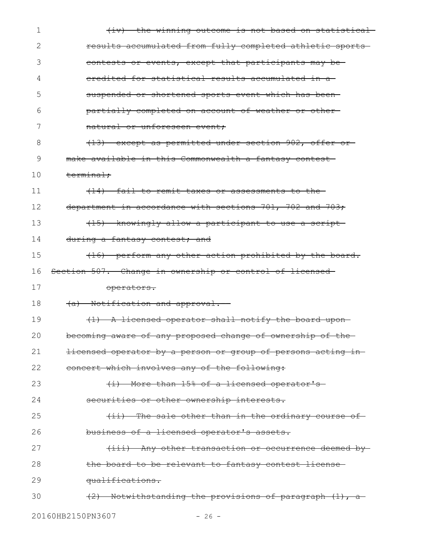| 1  | (iv) the winning outcome is not based on statistical                   |
|----|------------------------------------------------------------------------|
| 2  | results accumulated from fully completed athletic sports-              |
| 3  | contests or events, except that participants may be-                   |
| 4  | eredited for statistical results accumulated in a                      |
| 5  | suspended or shortened sports event which has been-                    |
| 6  | partially completed on account of weather or other-                    |
| 7  | natural or unforeseen event;                                           |
| 8  | (13) except as permitted under section 902, offer or                   |
| 9  | make available in this Commonwealth a fantasy contest-                 |
| 10 | terminal:                                                              |
| 11 | (14) fail to remit taxes or assessments to the-                        |
| 12 | department in accordance with sections 701, 702 and 703;               |
| 13 | (15) knowingly allow a participant to use a script-                    |
| 14 | during a fantasy contest; and                                          |
| 15 | (16) perform any other action prohibited by the board.                 |
| 16 | Section 507. Change in ownership or control of licensed-               |
| 17 | operators.                                                             |
| 18 | (a) Notification and approval.                                         |
| 19 | (1) A licensed operator shall notify the board upon-                   |
| 20 | becoming aware of any proposed change of ownership of the              |
| 21 | <del>licensed operator by a person or group of persons acting in</del> |
| 22 | concert which involves any of the following:                           |
| 23 | (i) More than 15% of a licensed operator's                             |
| 24 | securities or other ownership interests.                               |
| 25 | (ii) The sale other than in the ordinary course of                     |
| 26 | business of a licensed operator's assets.                              |
| 27 | (iii) Any other transaction or occurrence deemed by                    |
| 28 | the board to be relevant to fantasy contest license                    |
| 29 | qualifications.                                                        |
| 30 | (2) Notwithstanding the provisions of paragraph (1), a                 |
|    | 20160HB2150PN3607<br>$-26 -$                                           |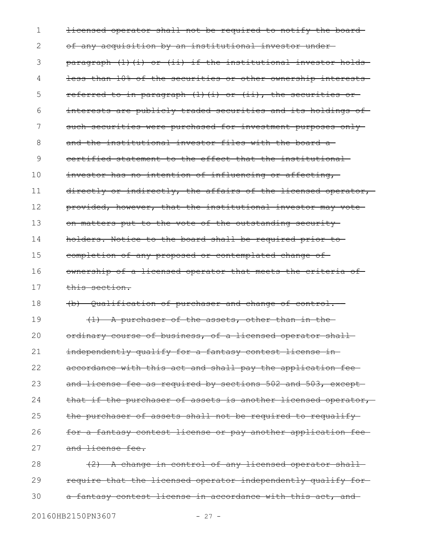licensed operator shall not be required to notify the board of any acquisition by an institutional investor under paragraph  $(1)$   $(i)$  or  $(ii)$  if the institutional investor holds less than 10% of the securities or other ownership interests referred to in paragraph (1)(i) or (ii), the securities or interests are publicly traded securities and its holdings of such securities were purchased for investment purposes onlyand the institutional investor files with the board a certified statement to the effect that the institutional investor has no intention of influencing or affecting, directly or indirectly, the affairs of the licensed operator, provided, however, that the institutional investor may vote on matters put to the vote of the outstanding security holders. Notice to the board shall be required prior to completion of any proposed or contemplated change of ownership of a licensed operator that meets the criteria of this section. (b) Qualification of purchaser and change of control.-- (1) A purchaser of the assets, other than in the ordinary course of business, of a licensed operator shall independently qualify for a fantasy contest license inaccordance with this act and shall pay the application fee and license fee as required by sections 502 and 503, except that if the purchaser of assets is another licensed operator, the purchaser of assets shall not be required to requalifyfor a fantasy contest license or pay another application fee and license fee. (2) A change in control of any licensed operator shall require that the licensed operator independently qualify for a fantasy contest license in accordance with this act, and 1 2 3 4 5 6 7 8 9 10 11 12 13 14 15 16 17 18 19 20 21 22 23 24 25 26 27 28 29 30

20160HB2150PN3607 - 27 -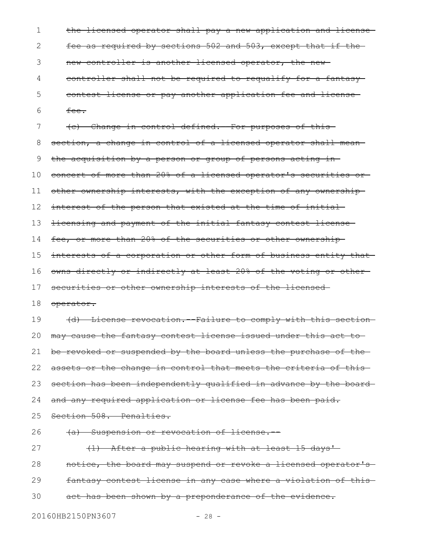the licensed operator shall pay a new application and license fee as required by sections 502 and 503, except that if the new controller is another licensed operator, the new controller shall not be required to requalify for a fantasy contest license or pay another application fee and license fee. (c) Change in control defined.--For purposes of this section, a change in control of a licensed operator shall mean the acquisition by a person or group of persons acting in concert of more than 20% of a licensed operator's securities or other ownership interests, with the exception of any ownership interest of the person that existed at the time of initial licensing and payment of the initial fantasy contest license fee, or more than 20% of the securities or other ownership interests of a corporation or other form of business entity that owns directly or indirectly at least 20% of the voting or other securities or other ownership interests of the licensedoperator. (d) License revocation.--Failure to comply with this section may cause the fantasy contest license issued under this act to be revoked or suspended by the board unless the purchase of the assets or the change in control that meets the criteria of thissection has been independently qualified in advance by the board and any required application or license fee has been paid. Section 508. Penalties. (a) Suspension or revocation of license.-- (1) After a public hearing with at least 15 days' notice, the board may suspend or revoke a licensed operator's fantasy contest license in any case where a violation of this act has been shown by a preponderance of the evidence. 20160HB2150PN3607 - 28 -1 2 3 4 5 6 7 8 9 10 11 12 13 14 15 16 17 18 19 20 21 22 23 24 25 26 27 28 29 30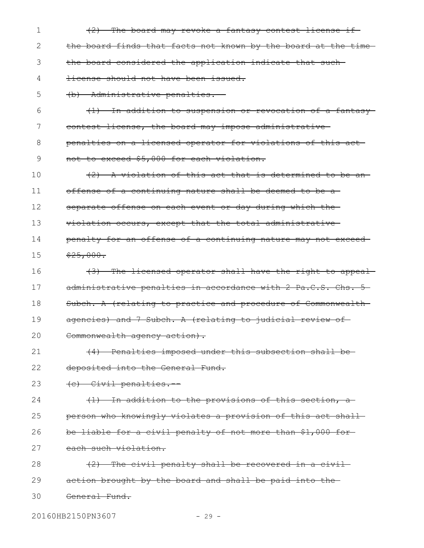(2) The board may revoke a fantasy contest license if the board finds that facts not known by the board at the time the board considered the application indicate that such license should not have been issued. (b) Administrative penalties.-- (1) In addition to suspension or revocation of a fantasy contest license, the board may impose administrative penalties on a licensed operator for violations of this act not to exceed \$5,000 for each violation. (2) A violation of this act that is determined to be an offense of a continuing nature shall be deemed to be a separate offense on each event or day during which theviolation occurs, except that the total administrative penalty for an offense of a continuing nature may not exceed  $$25,000.$ (3) The licensed operator shall have the right to appeal administrative penalties in accordance with 2 Pa.C.S. Chs. 5-Subch. A (relating to practice and procedure of Commonwealth agencies) and 7 Subch. A (relating to judicial review of-Commonwealth agency action). (4) Penalties imposed under this subsection shall be deposited into the General Fund. (c) Civil penalties.-- (1) In addition to the provisions of this section, a person who knowingly violates a provision of this act shall be liable for a civil penalty of not more than \$1,000 for each such violation. (2) The civil penalty shall be recovered in a civil action brought by the board and shall be paid into the General Fund. 1 2 3 4 5 6 7 8 9 10 11 12 13 14 15 16 17 18 19 20 21 22 23 24 25 26 27 28 29 30

20160HB2150PN3607 - 29 -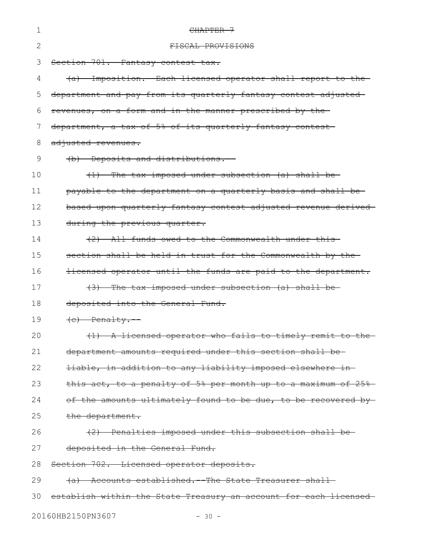| 1  | CHAPTER 7                                                            |
|----|----------------------------------------------------------------------|
| 2  | FISCAL PROVISIONS                                                    |
| 3  | Section 701. Fantasy contest tax.                                    |
| 4  | Imposition. Each licensed operator shall report to the               |
| 5  | department and pay from its quarterly fantasy contest adjusted       |
| 6  | revenues, on a form and in the manner prescribed by the              |
| 7  | department, a tax of 5% of its quarterly fantasy contest             |
| 8  | adjusted revenues.                                                   |
| 9  | (b) Deposits and distributions.                                      |
| 10 | (1) The tax imposed under subsection (a) shall be-                   |
| 11 | payable to the department on a quarterly basis and shall be          |
| 12 | based upon quarterly fantasy contest adjusted revenue derived-       |
| 13 | during the previous quarter.                                         |
| 14 | (2) All funds owed to the Commonwealth under this-                   |
| 15 | section shall be held in trust for the Commonwealth by the-          |
| 16 | licensed operator until the funds are paid to the department.        |
| 17 | (3) The tax imposed under subsection (a) shall be-                   |
| 18 | deposited into the General Fund.                                     |
| 19 | $(e)$ Penalty.                                                       |
| 20 | (1) A licensed operator who fails to timely remit to the-            |
| 21 | department amounts required under this section shall be-             |
| 22 | liable, in addition to any liability imposed elsewhere in-           |
| 23 | this act, to a penalty of 5% per month up to a maximum of 25%        |
| 24 | of the amounts ultimately found to be due, to be recovered by-       |
| 25 | the department.                                                      |
| 26 | (2) Penalties imposed under this subsection shall be-                |
| 27 | deposited in the General Fund.                                       |
| 28 | Section 702. Licensed operator deposits.                             |
| 29 | Accounts established. - The State Treasurer shall-<br><del>(a)</del> |
| 30 | establish within the State Treasury an account for each licensed     |
|    |                                                                      |

20160HB2150PN3607 - 30 -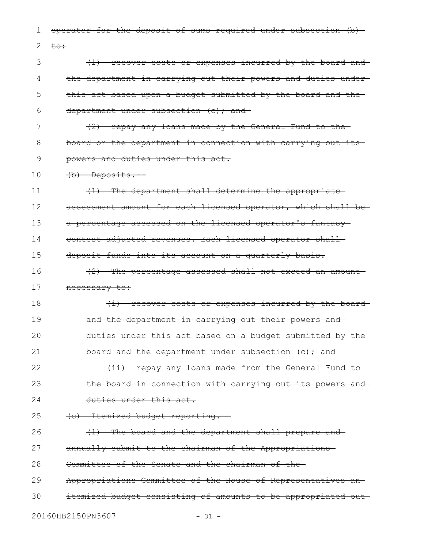operator for the deposit of sums required under subsection (b) to: (1) recover costs or expenses incurred by the board and the department in carrying out their powers and duties under this act based upon a budget submitted by the board and the department under subsection (c); and (2) repay any loans made by the General Fund to the board or the department in connection with carrying out its powers and duties under this act. (b) Deposits.-- (1) The department shall determine the appropriate assessment amount for each licensed operator, which shall bea percentage assessed on the licensed operator's fantasy contest adjusted revenues. Each licensed operator shall deposit funds into its account on a quarterly basis. (2) The percentage assessed shall not exceed an amount necessary to: (i) recover costs or expenses incurred by the board and the department in carrying out their powers and duties under this act based on a budget submitted by the board and the department under subsection (c); and (ii) repay any loans made from the General Fund to the board in connection with carrying out its powers and duties under this act. (c) Itemized budget reporting.-- (1) The board and the department shall prepare and annually submit to the chairman of the Appropriations Committee of the Senate and the chairman of the Appropriations Committee of the House of Representatives an itemized budget consisting of amounts to be appropriated out 20160HB2150PN3607 - 31 -1 2 3 4 5 6 7 8 9 10 11 12 13 14 15 16 17 18 19 20 21 22 23 24 25 26 27 28 29 30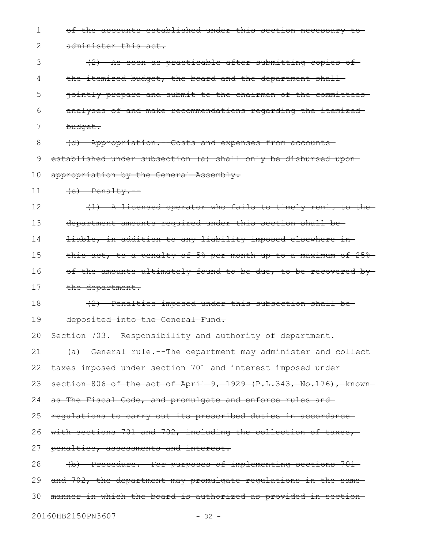of the accounts established under this section necessary to administer this act. (2) As soon as practicable after submitting copies of the itemized budget, the board and the department shalljointly prepare and submit to the chairmen of the committees analyses of and make recommendations regarding the itemized budget. (d) Appropriation.--Costs and expenses from accounts established under subsection (a) shall only be disbursed upon appropriation by the General Assembly.  $(e)$  Penalty. (1) A licensed operator who fails to timely remit to the department amounts required under this section shall be liable, in addition to any liability imposed elsewhere in this act, to a penalty of 5% per month up to a maximum of 25% of the amounts ultimately found to be due, to be recovered bythe department. (2) Penalties imposed under this subsection shall be deposited into the General Fund. Section 703. Responsibility and authority of department. (a) General rule.--The department may administer and collect taxes imposed under section 701 and interest imposed under section 806 of the act of April 9, 1929 (P.L.343, No.176), knownas The Fiscal Code, and promulgate and enforce rules and regulations to carry out its prescribed duties in accordance with sections 701 and 702, including the collection of taxes, penalties, assessments and interest. (b) Procedure.--For purposes of implementing sections 701 and 702, the department may promulgate regulations in the samemanner in which the board is authorized as provided in section 1 2 3 4 5 6 7 8 9 10 11 12 13 14 15 16 17 18 19 20 21 22 23 24 25 26 27 28 29 30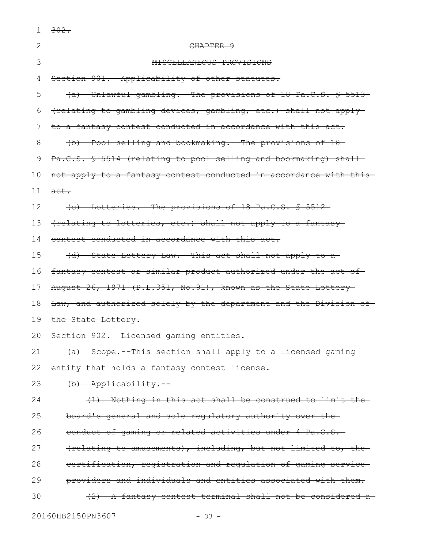| 1  | $302 -$                                                           |
|----|-------------------------------------------------------------------|
| 2  | <del>CHAPTER 9</del>                                              |
| 3  | CELLANEOUS PROVISIONS                                             |
| 4  | Section 901. Applicability of other statutes.                     |
| 5  | (a) Unlawful gambling.--The provisions of 18 Pa.C.S. § 5513-      |
| 6  | (relating to gambling devices, gambling, etc.) shall not apply-   |
| 7  | to a fantasy contest conducted in accordance with this act.       |
| 8  | (b) Pool selling and bookmaking. The provisions of 18             |
| 9  | Pa.C.S. § 5514 (relating to pool selling and bookmaking) shall-   |
| 10 | not apply to a fantasy contest conducted in accordance with this- |
| 11 | $\text{act.}$                                                     |
| 12 | (c) Lotteries. The provisions of 18 Pa.C.S. \$ 5512-              |
| 13 | (relating to lotteries, etc.) shall not apply to a fantasy-       |
| 14 | contest conducted in accordance with this act.                    |
| 15 | (d) State Lottery Law.--This act shall not apply to a             |
| 16 | fantasy contest or similar product authorized under the act of-   |
| 17 | August 26, 1971 (P.L.351, No.91), known as the State Lottery-     |
| 18 | Law, and authorized solely by the department and the Division of- |
| 19 | the State Lottery.                                                |
|    | 20 Section 902. Licensed gaming entities.                         |
| 21 | (a) Scope. This section shall apply to a licensed gaming          |
| 22 | entity that holds a fantasy contest license.                      |
| 23 | (b) Applicability.                                                |
| 24 | (1) Nothing in this act shall be construed to limit the           |
| 25 | board's general and sole regulatory authority over the            |
| 26 | conduct of gaming or related activities under 4 Pa.C.S.           |
| 27 | (relating to amusements), including, but not limited to, the      |
| 28 | certification, registration and regulation of gaming service      |
| 29 | providers and individuals and entities associated with them.      |
| 30 | -A fantasy contest terminal shall not be considered a-<br>$+2$    |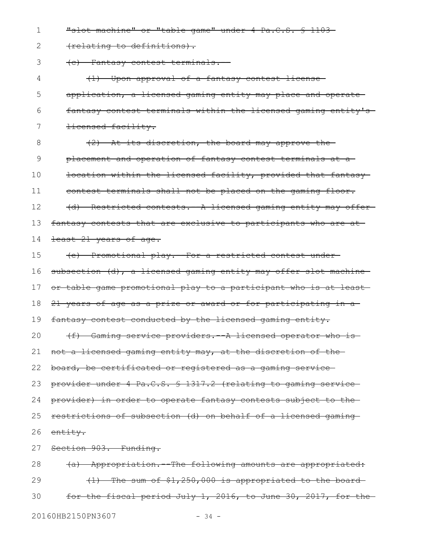"slot machine" or "table game" under 4 Pa.C.S. § 1103-1

(relating to definitions). 2

(c) Fantasy contest terminals.-- 3

(1) Upon approval of a fantasy contest license application, a licensed gaming entity may place and operate fantasy contest terminals within the licensed gaming entity's licensed facility. 4 5 6 7

(2) At its discretion, the board may approve the placement and operation of fantasy contest terminals at a location within the licensed facility, provided that fantasy contest terminals shall not be placed on the gaming floor. (d) Restricted contests. A licensed gaming entity may offerfantasy contests that are exclusive to participants who are at least 21 years of age. 8 9 10 11 12 13 14

(e) Promotional play.--For a restricted contest under subsection (d), a licensed gaming entity may offer slot machine or table game promotional play to a participant who is at least 21 years of age as a prize or award or for participating in a fantasy contest conducted by the licensed gaming entity. (f) Gaming service providers. A licensed operator who isnot a licensed gaming entity may, at the discretion of the board, be certificated or registered as a gaming service provider under 4 Pa.C.S. § 1317.2 (relating to gaming service provider) in order to operate fantasy contests subject to the restrictions of subsection (d) on behalf of a licensed gaming entity. Section 903. Funding. 15 16 17 18 19 20 21 22 23 24 25 26 27

(a) Appropriation.--The following amounts are appropriated: (1) The sum of \$1,250,000 is appropriated to the board for the fiscal period July 1, 2016, to June 30, 2017, for the 20160HB2150PN3607 - 34 -28 29 30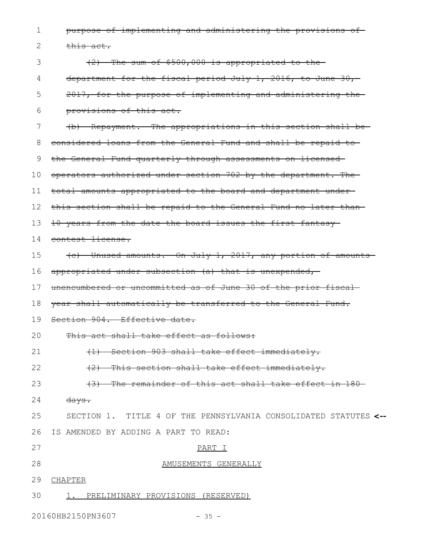purpose of implementing and administering the provisions of this act. (2) The sum of \$500,000 is appropriated to the department for the fiscal period July 1, 2016, to June 30, 2017, for the purpose of implementing and administering the provisions of this act. (b) Repayment.--The appropriations in this section shall be considered loans from the General Fund and shall be repaid to the General Fund quarterly through assessments on licensed operators authorized under section 702 by the department. The total amounts appropriated to the board and department under this section shall be repaid to the General Fund no later than 10 years from the date the board issues the first fantasy 14 contest license. (c) Unused amounts.--On July 1, 2017, any portion of amounts appropriated under subsection (a) that is unexpended, unencumbered or uncommitted as of June 30 of the prior fiscal year shall automatically be transferred to the General Fund. Section 904. Effective date. This act shall take effect as follows: (1) Section 903 shall take effect immediately. (2) This section shall take effect immediately. (3) The remainder of this act shall take effect in 180 days. SECTION 1.TITLE 4 OF THE PENNSYLVANIA CONSOLIDATED STATUTES **<--** IS AMENDED BY ADDING A PART TO READ: PART I AMUSEMENTS GENERALLY 29 CHAPTER 1. PRELIMINARY PROVISIONS (RESERVED) 1 2 3 4 5 6 7 8 9 10 11 12 13 15 16 17 18 19 20 21 22 23 24 25 26 27 28 30

20160HB2150PN3607 - 35 -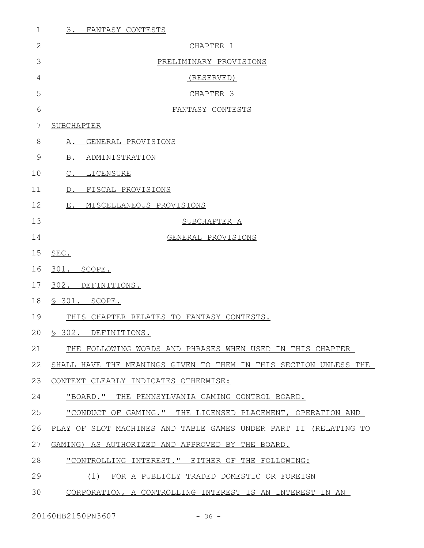| $\mathbf 1$  | 3.<br>FANTASY CONTESTS                                           |
|--------------|------------------------------------------------------------------|
| $\mathbf{2}$ | CHAPTER 1                                                        |
| 3            | PRELIMINARY PROVISIONS                                           |
| 4            | (RESERVED)                                                       |
| 5            | CHAPTER <sub>3</sub>                                             |
| 6            | FANTASY CONTESTS                                                 |
| 7            | SUBCHAPTER                                                       |
| 8            | A. GENERAL PROVISIONS                                            |
| 9            | B. ADMINISTRATION                                                |
| 10           | C. LICENSURE                                                     |
| 11           | D. FISCAL PROVISIONS                                             |
| 12           | E. MISCELLANEOUS PROVISIONS                                      |
| 13           | SUBCHAPTER A                                                     |
| 14           | GENERAL PROVISIONS                                               |
| 15           | SEC.                                                             |
| 16           | 301. SCOPE.                                                      |
| 17           | 302. DEFINITIONS.                                                |
| 18           | § 301. SCOPE.                                                    |
| 19           | THIS CHAPTER RELATES TO FANTASY CONTESTS.                        |
| 20           | § 302. DEFINITIONS.                                              |
| 21           | THE FOLLOWING WORDS AND PHRASES WHEN USED IN THIS CHAPTER        |
| 22           | SHALL HAVE THE MEANINGS GIVEN TO THEM IN THIS SECTION UNLESS THE |
| 23           | CONTEXT CLEARLY INDICATES OTHERWISE:                             |
| 24           | "BOARD." THE PENNSYLVANIA GAMING CONTROL BOARD.                  |
| 25           | "CONDUCT OF GAMING." THE LICENSED PLACEMENT, OPERATION AND       |
| 26           | PLAY OF SLOT MACHINES AND TABLE GAMES UNDER PART II (RELATING TO |
| 27           | GAMING) AS AUTHORIZED AND APPROVED BY THE BOARD.                 |
| 28           | "CONTROLLING INTEREST." EITHER OF THE FOLLOWING:                 |
| 29           | (1) FOR A PUBLICLY TRADED DOMESTIC OR FOREIGN                    |
| 30           | CORPORATION, A CONTROLLING INTEREST IS AN INTEREST IN AN         |

20160HB2150PN3607 - 36 -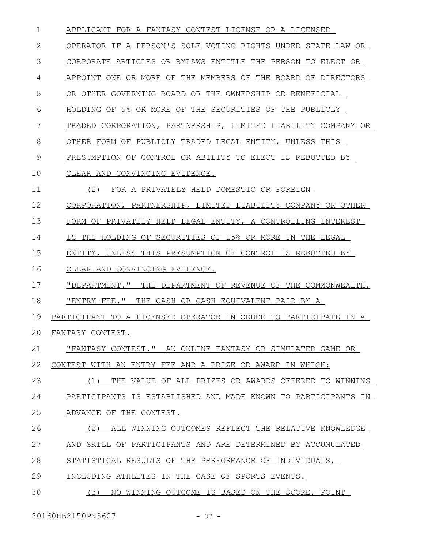| $\mathbf 1$  | APPLICANT FOR A FANTASY CONTEST LICENSE OR A LICENSED           |
|--------------|-----------------------------------------------------------------|
| $\mathbf{2}$ | OPERATOR IF A PERSON'S SOLE VOTING RIGHTS UNDER STATE LAW OR    |
| 3            | CORPORATE ARTICLES OR BYLAWS ENTITLE THE PERSON TO ELECT OR     |
| 4            | APPOINT ONE OR MORE OF THE MEMBERS OF THE BOARD OF DIRECTORS    |
| 5            | OR OTHER GOVERNING BOARD OR THE OWNERSHIP OR BENEFICIAL         |
| 6            | HOLDING OF 5% OR MORE OF THE SECURITIES OF THE PUBLICLY         |
| 7            | TRADED CORPORATION, PARTNERSHIP, LIMITED LIABILITY COMPANY OR   |
| 8            | OTHER FORM OF PUBLICLY TRADED LEGAL ENTITY, UNLESS THIS         |
| 9            | PRESUMPTION OF CONTROL OR ABILITY TO ELECT IS REBUTTED BY       |
| 10           | CLEAR AND CONVINCING EVIDENCE.                                  |
| 11           | (2)<br>FOR A PRIVATELY HELD DOMESTIC OR FOREIGN                 |
| 12           | CORPORATION, PARTNERSHIP, LIMITED LIABILITY COMPANY OR OTHER    |
| 13           | FORM OF PRIVATELY HELD LEGAL ENTITY, A CONTROLLING INTEREST     |
| 14           | IS THE HOLDING OF SECURITIES OF 15% OR MORE IN THE LEGAL        |
| 15           | ENTITY, UNLESS THIS PRESUMPTION OF CONTROL IS REBUTTED BY       |
| 16           | CLEAR AND CONVINCING EVIDENCE.                                  |
| 17           | "DEPARTMENT." THE DEPARTMENT OF REVENUE OF THE COMMONWEALTH.    |
| 18           | "ENTRY FEE."<br>THE CASH OR CASH EQUIVALENT PAID BY A           |
| 19           | PARTICIPANT TO A LICENSED OPERATOR IN ORDER TO PARTICIPATE IN A |
| 20           | FANTASY CONTEST.                                                |
| 21           | "FANTASY CONTEST." AN ONLINE FANTASY OR SIMULATED GAME OR       |
| 22           | CONTEST WITH AN ENTRY FEE AND A PRIZE OR AWARD IN WHICH:        |
| 23           | (1)<br>THE VALUE OF ALL PRIZES OR AWARDS OFFERED TO WINNING     |
| 24           | PARTICIPANTS IS ESTABLISHED AND MADE KNOWN TO PARTICIPANTS IN   |
| 25           | ADVANCE OF THE CONTEST.                                         |
| 26           | (2)<br>ALL WINNING OUTCOMES REFLECT THE RELATIVE KNOWLEDGE      |
| 27           | AND SKILL OF PARTICIPANTS AND ARE DETERMINED BY ACCUMULATED     |
| 28           | STATISTICAL RESULTS OF THE PERFORMANCE OF INDIVIDUALS,          |
| 29           | INCLUDING ATHLETES IN THE CASE OF SPORTS EVENTS.                |
| 30           | (3)<br>NO WINNING OUTCOME IS BASED ON THE SCORE, POINT          |
|              |                                                                 |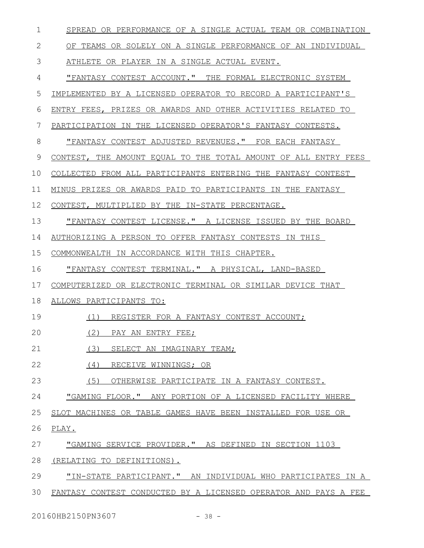| $\mathbf 1$  | SPREAD OR PERFORMANCE OF A SINGLE ACTUAL TEAM OR COMBINATION    |
|--------------|-----------------------------------------------------------------|
| $\mathbf{2}$ | OF TEAMS OR SOLELY ON A SINGLE PERFORMANCE OF AN INDIVIDUAL     |
| 3            | ATHLETE OR PLAYER IN A SINGLE ACTUAL EVENT.                     |
| 4            | "FANTASY CONTEST ACCOUNT." THE FORMAL ELECTRONIC SYSTEM         |
| 5            | IMPLEMENTED BY A LICENSED OPERATOR TO RECORD A PARTICIPANT'S    |
| 6            | ENTRY FEES, PRIZES OR AWARDS AND OTHER ACTIVITIES RELATED TO    |
| 7            | PARTICIPATION IN THE LICENSED OPERATOR'S FANTASY CONTESTS.      |
| 8            | "FANTASY CONTEST ADJUSTED REVENUES." FOR EACH FANTASY           |
| 9            | CONTEST, THE AMOUNT EQUAL TO THE TOTAL AMOUNT OF ALL ENTRY FEES |
| 10           | COLLECTED FROM ALL PARTICIPANTS ENTERING THE FANTASY CONTEST    |
| 11           | MINUS PRIZES OR AWARDS PAID TO PARTICIPANTS IN THE FANTASY      |
| 12           | CONTEST, MULTIPLIED BY THE IN-STATE PERCENTAGE.                 |
| 13           | "FANTASY CONTEST LICENSE." A LICENSE ISSUED BY THE BOARD        |
| 14           | AUTHORIZING A PERSON TO OFFER FANTASY CONTESTS IN THIS          |
| 15           | COMMONWEALTH IN ACCORDANCE WITH THIS CHAPTER.                   |
| 16           | "FANTASY CONTEST TERMINAL." A PHYSICAL, LAND-BASED              |
| 17           | COMPUTERIZED OR ELECTRONIC TERMINAL OR SIMILAR DEVICE THAT      |
| 18           | ALLOWS PARTICIPANTS TO:                                         |
| 19           | REGISTER FOR A FANTASY CONTEST ACCOUNT;<br>(1)                  |
| 20           | (2)<br>PAY AN ENTRY FEE;                                        |
| 21           | (3)<br>SELECT AN IMAGINARY TEAM;                                |
| 22           | (4) RECEIVE WINNINGS; OR                                        |
| 23           | (5)<br>OTHERWISE PARTICIPATE IN A FANTASY CONTEST.              |
| 24           | "GAMING FLOOR." ANY PORTION OF A LICENSED FACILITY WHERE        |
| 25           | SLOT MACHINES OR TABLE GAMES HAVE BEEN INSTALLED FOR USE OR     |
| 26           | PLAY.                                                           |
| 27           | "GAMING SERVICE PROVIDER." AS DEFINED IN SECTION 1103           |
| 28           | (RELATING TO DEFINITIONS).                                      |
| 29           | "IN-STATE PARTICIPANT." AN INDIVIDUAL WHO PARTICIPATES IN A     |
| 30           | FANTASY CONTEST CONDUCTED BY A LICENSED OPERATOR AND PAYS A FEE |
|              |                                                                 |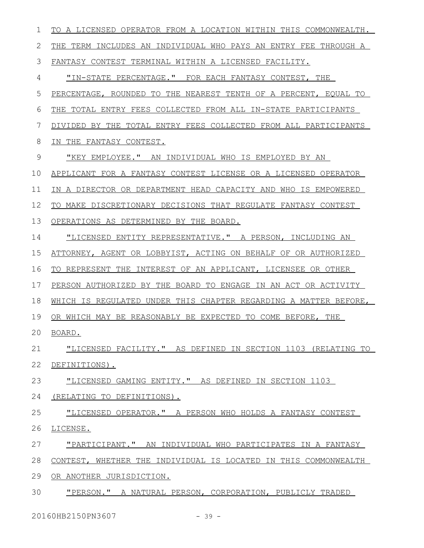| $\mathbf 1$   | TO A LICENSED OPERATOR FROM A LOCATION WITHIN THIS COMMONWEALTH. |
|---------------|------------------------------------------------------------------|
| 2             | THE TERM INCLUDES AN INDIVIDUAL WHO PAYS AN ENTRY FEE THROUGH A  |
| 3             | FANTASY CONTEST TERMINAL WITHIN A LICENSED FACILITY.             |
| 4             | "IN-STATE PERCENTAGE." FOR EACH FANTASY CONTEST, THE             |
| 5             | PERCENTAGE, ROUNDED TO THE NEAREST TENTH OF A PERCENT, EQUAL TO  |
| 6             | THE TOTAL ENTRY FEES COLLECTED FROM ALL IN-STATE PARTICIPANTS    |
| 7             | DIVIDED BY THE TOTAL ENTRY FEES COLLECTED FROM ALL PARTICIPANTS  |
| 8             | IN THE FANTASY CONTEST.                                          |
| $\mathcal{G}$ | "KEY EMPLOYEE." AN INDIVIDUAL WHO IS EMPLOYED BY AN              |
| 10            | APPLICANT FOR A FANTASY CONTEST LICENSE OR A LICENSED OPERATOR   |
| 11            | IN A DIRECTOR OR DEPARTMENT HEAD CAPACITY AND WHO IS EMPOWERED   |
| 12            | TO MAKE DISCRETIONARY DECISIONS THAT REGULATE FANTASY CONTEST    |
| 13            | OPERATIONS AS DETERMINED BY THE BOARD.                           |
| 14            | "LICENSED ENTITY REPRESENTATIVE." A PERSON, INCLUDING AN         |
| 15            | ATTORNEY, AGENT OR LOBBYIST, ACTING ON BEHALF OF OR AUTHORIZED   |
| 16            | TO REPRESENT THE INTEREST OF AN APPLICANT, LICENSEE OR OTHER     |
| 17            | PERSON AUTHORIZED BY THE BOARD TO ENGAGE IN AN ACT OR ACTIVITY   |
| 18            | WHICH IS REGULATED UNDER THIS CHAPTER REGARDING A MATTER BEFORE, |
| 19            | OR WHICH MAY BE REASONABLY BE EXPECTED TO COME BEFORE, THE       |
| 20            | BOARD.                                                           |
| 21            | "LICENSED FACILITY." AS DEFINED IN SECTION 1103 (RELATING TO     |
| 22            | DEFINITIONS).                                                    |
| 23            | "LICENSED GAMING ENTITY." AS DEFINED IN SECTION 1103             |
| 24            | (RELATING TO DEFINITIONS).                                       |
| 25            | "LICENSED OPERATOR." A PERSON WHO HOLDS A FANTASY CONTEST        |
| 26            | LICENSE.                                                         |
| 27            | "PARTICIPANT." AN INDIVIDUAL WHO PARTICIPATES IN A FANTASY       |
| 28            | CONTEST, WHETHER THE INDIVIDUAL IS LOCATED IN THIS COMMONWEALTH  |
| 29            | OR ANOTHER JURISDICTION.                                         |
| 30            | "PERSON." A NATURAL PERSON, CORPORATION, PUBLICLY TRADED         |
|               |                                                                  |

20160HB2150PN3607 - 39 -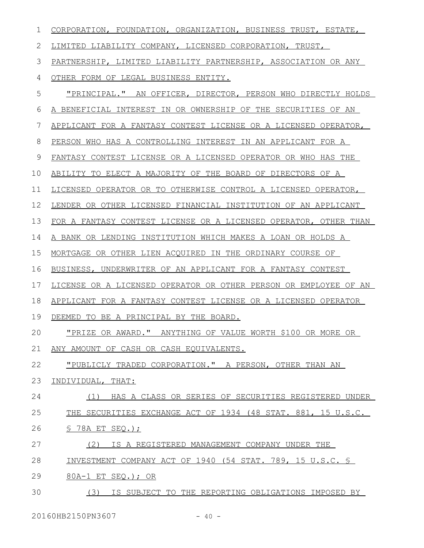| 1  | CORPORATION, FOUNDATION, ORGANIZATION, BUSINESS TRUST, ESTATE,    |
|----|-------------------------------------------------------------------|
| 2  | LIMITED LIABILITY COMPANY, LICENSED CORPORATION, TRUST,           |
| 3  | PARTNERSHIP, LIMITED LIABILITY PARTNERSHIP, ASSOCIATION OR ANY    |
| 4  | OTHER FORM OF LEGAL BUSINESS ENTITY.                              |
| 5  | "PRINCIPAL." AN OFFICER, DIRECTOR, PERSON WHO DIRECTLY HOLDS      |
| 6  | A BENEFICIAL INTEREST IN OR OWNERSHIP OF THE SECURITIES OF AN     |
| 7  | APPLICANT FOR A FANTASY CONTEST LICENSE OR A LICENSED OPERATOR,   |
| 8  | PERSON WHO HAS A CONTROLLING INTEREST IN AN APPLICANT FOR A       |
| 9  | FANTASY CONTEST LICENSE OR A LICENSED OPERATOR OR WHO HAS THE     |
| 10 | ABILITY TO ELECT A MAJORITY OF THE BOARD OF DIRECTORS OF A        |
| 11 | LICENSED OPERATOR OR TO OTHERWISE CONTROL A LICENSED OPERATOR,    |
| 12 | LENDER OR OTHER LICENSED FINANCIAL INSTITUTION OF AN APPLICANT    |
| 13 | FOR A FANTASY CONTEST LICENSE OR A LICENSED OPERATOR, OTHER THAN  |
| 14 | A BANK OR LENDING INSTITUTION WHICH MAKES A LOAN OR HOLDS A       |
| 15 | MORTGAGE OR OTHER LIEN ACQUIRED IN THE ORDINARY COURSE OF         |
| 16 | BUSINESS, UNDERWRITER OF AN APPLICANT FOR A FANTASY CONTEST       |
| 17 | LICENSE OR A LICENSED OPERATOR OR OTHER PERSON OR EMPLOYEE OF AN  |
| 18 | APPLICANT FOR A FANTASY CONTEST LICENSE OR A LICENSED OPERATOR    |
| 19 | DEEMED TO BE A PRINCIPAL BY THE BOARD.                            |
| 20 | <u>"PRIZE OR AWARD." ANYTHING OF VALUE WORTH \$100 OR MORE OR</u> |
| 21 | ANY AMOUNT OF CASH OR CASH EQUIVALENTS.                           |
| 22 | "PUBLICLY_TRADED CORPORATION." A PERSON, OTHER THAN AN            |
| 23 | INDIVIDUAL, THAT:                                                 |
| 24 | HAS A CLASS OR SERIES OF SECURITIES REGISTERED UNDER<br>(1)       |
| 25 | THE SECURITIES EXCHANGE ACT OF 1934 (48 STAT. 881, 15 U.S.C.      |
| 26 | $S$ 78A ET SEQ.);                                                 |
| 27 | (2)<br>IS A REGISTERED MANAGEMENT COMPANY UNDER THE               |
| 28 | INVESTMENT COMPANY ACT OF 1940 (54 STAT. 789, 15 U.S.C. §         |
| 29 | 80A-1 ET SEQ.); OR                                                |
| 30 | IS SUBJECT TO THE REPORTING OBLIGATIONS IMPOSED BY<br>(3)         |

20160HB2150PN3607 - 40 -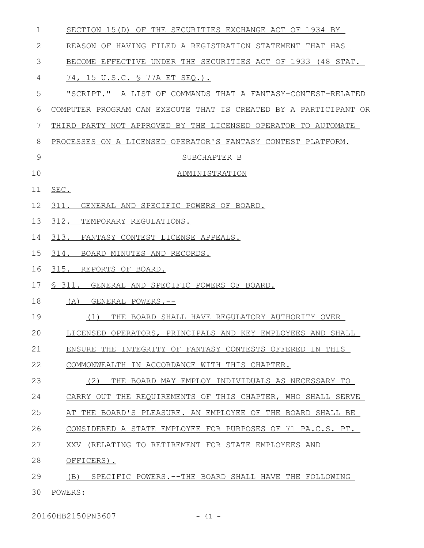| 1  | SECTION 15(D) OF THE SECURITIES EXCHANGE ACT OF 1934 BY          |
|----|------------------------------------------------------------------|
| 2  | REASON OF HAVING FILED A REGISTRATION STATEMENT THAT HAS         |
| 3  | BECOME EFFECTIVE UNDER THE SECURITIES ACT OF 1933 (48 STAT.      |
| 4  | 74, 15 U.S.C. § 77A ET SEQ.).                                    |
| 5  | "SCRIPT." A LIST OF COMMANDS THAT A FANTASY-CONTEST-RELATED      |
| 6  | COMPUTER PROGRAM CAN EXECUTE THAT IS CREATED BY A PARTICIPANT OR |
| 7  | THIRD PARTY NOT APPROVED BY THE LICENSED OPERATOR TO AUTOMATE    |
| 8  | PROCESSES ON A LICENSED OPERATOR'S FANTASY CONTEST PLATFORM.     |
| 9  | SUBCHAPTER B                                                     |
| 10 | ADMINISTRATION                                                   |
| 11 | SEC.                                                             |
| 12 | 311. GENERAL AND SPECIFIC POWERS OF BOARD.                       |
| 13 | 312. TEMPORARY REGULATIONS.                                      |
| 14 | 313. FANTASY CONTEST LICENSE APPEALS.                            |
| 15 | BOARD MINUTES AND RECORDS.<br>314.                               |
| 16 | 315.<br>REPORTS OF BOARD.                                        |
| 17 | \$ 311. GENERAL AND SPECIFIC POWERS OF BOARD.                    |
| 18 | (A)<br>GENERAL POWERS.--                                         |
| 19 | (1)<br>THE BOARD SHALL HAVE REGULATORY AUTHORITY OVER            |
| 20 | LICENSED OPERATORS, PRINCIPALS AND KEY EMPLOYEES AND SHALL       |
| 21 | ENSURE THE INTEGRITY OF FANTASY CONTESTS OFFERED IN THIS         |
| 22 | COMMONWEALTH IN ACCORDANCE WITH THIS CHAPTER.                    |
| 23 | (2)<br>THE BOARD MAY EMPLOY INDIVIDUALS AS NECESSARY TO          |
| 24 | CARRY OUT THE REOUIREMENTS OF THIS CHAPTER, WHO SHALL SERVE      |
| 25 | AT THE BOARD'S PLEASURE. AN EMPLOYEE OF THE BOARD SHALL BE       |
| 26 | CONSIDERED A STATE EMPLOYEE FOR PURPOSES OF 71 PA.C.S. PT.       |
| 27 | XXV (RELATING TO RETIREMENT FOR STATE EMPLOYEES AND              |
| 28 | OFFICERS).                                                       |
| 29 | SPECIFIC POWERS. -- THE BOARD SHALL HAVE THE FOLLOWING<br>(B)    |
| 30 | POWERS:                                                          |

20160HB2150PN3607 - 41 -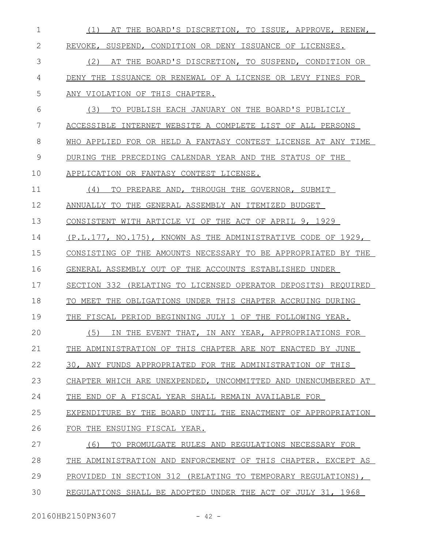| 1  | AT THE BOARD'S DISCRETION, TO ISSUE, APPROVE, RENEW,<br>(1)   |
|----|---------------------------------------------------------------|
| 2  | REVOKE, SUSPEND, CONDITION OR DENY ISSUANCE OF LICENSES.      |
| 3  | AT THE BOARD'S DISCRETION, TO SUSPEND, CONDITION OR<br>(2)    |
| 4  | DENY THE ISSUANCE OR RENEWAL OF A LICENSE OR LEVY FINES FOR   |
| 5  | ANY VIOLATION OF THIS CHAPTER.                                |
| 6  | (3)<br>TO PUBLISH EACH JANUARY ON THE BOARD'S PUBLICLY        |
| 7  | ACCESSIBLE INTERNET WEBSITE A COMPLETE LIST OF ALL PERSONS    |
| 8  | WHO APPLIED FOR OR HELD A FANTASY CONTEST LICENSE AT ANY TIME |
| 9  | DURING THE PRECEDING CALENDAR YEAR AND THE STATUS OF THE      |
| 10 | APPLICATION OR FANTASY CONTEST LICENSE.                       |
| 11 | (4)<br>TO PREPARE AND, THROUGH THE GOVERNOR, SUBMIT           |
| 12 | ANNUALLY TO THE GENERAL ASSEMBLY AN ITEMIZED BUDGET           |
| 13 | CONSISTENT WITH ARTICLE VI OF THE ACT OF APRIL 9, 1929        |
| 14 | (P.L.177, NO.175), KNOWN AS THE ADMINISTRATIVE CODE OF 1929,  |
| 15 | CONSISTING OF THE AMOUNTS NECESSARY TO BE APPROPRIATED BY THE |
| 16 | GENERAL ASSEMBLY OUT OF THE ACCOUNTS ESTABLISHED UNDER        |
| 17 | SECTION 332 (RELATING TO LICENSED OPERATOR DEPOSITS) REQUIRED |
| 18 | TO MEET THE OBLIGATIONS UNDER THIS CHAPTER ACCRUING DURING    |
| 19 | THE FISCAL PERIOD BEGINNING JULY 1 OF THE FOLLOWING YEAR.     |
| 20 | (5) IN THE EVENT THAT, IN ANY YEAR, APPROPRIATIONS FOR        |
| 21 | THE ADMINISTRATION OF THIS CHAPTER ARE NOT ENACTED BY JUNE    |
| 22 | 30, ANY FUNDS APPROPRIATED FOR THE ADMINISTRATION OF THIS     |
| 23 | CHAPTER WHICH ARE UNEXPENDED, UNCOMMITTED AND UNENCUMBERED AT |
| 24 | THE END OF A FISCAL YEAR SHALL REMAIN AVAILABLE FOR           |
| 25 | EXPENDITURE BY THE BOARD UNTIL THE ENACTMENT OF APPROPRIATION |
| 26 | FOR THE ENSUING FISCAL YEAR.                                  |
| 27 | (6)<br>TO PROMULGATE RULES AND REGULATIONS NECESSARY FOR      |
| 28 | THE ADMINISTRATION AND ENFORCEMENT OF THIS CHAPTER. EXCEPT AS |
| 29 | PROVIDED IN SECTION 312 (RELATING TO TEMPORARY REGULATIONS),  |
| 30 | REGULATIONS SHALL BE ADOPTED UNDER THE ACT OF JULY 31, 1968   |
|    |                                                               |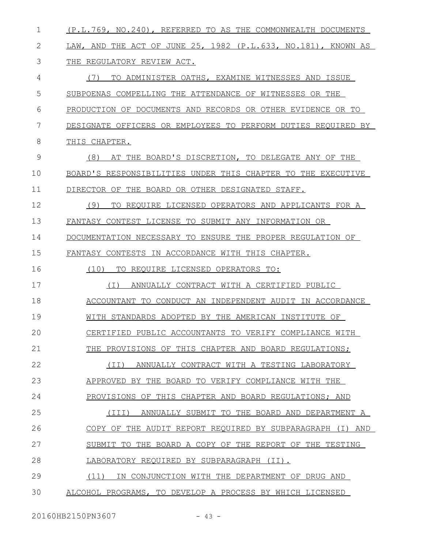| $\mathbf 1$  | (P.L.769, NO.240), REFERRED TO AS THE COMMONWEALTH DOCUMENTS  |
|--------------|---------------------------------------------------------------|
| $\mathbf{2}$ | LAW, AND THE ACT OF JUNE 25, 1982 (P.L.633, NO.181), KNOWN AS |
| 3            | THE REGULATORY REVIEW ACT.                                    |
| 4            | TO ADMINISTER OATHS, EXAMINE WITNESSES AND ISSUE<br>(7)       |
| 5            | SUBPOENAS COMPELLING THE ATTENDANCE OF WITNESSES OR THE       |
| 6            | PRODUCTION OF DOCUMENTS AND RECORDS OR OTHER EVIDENCE OR TO   |
| 7            | DESIGNATE OFFICERS OR EMPLOYEES TO PERFORM DUTIES REQUIRED BY |
| 8            | THIS CHAPTER.                                                 |
| 9            | (8)<br>AT THE BOARD'S DISCRETION, TO DELEGATE ANY OF THE      |
| 10           | BOARD'S RESPONSIBILITIES UNDER THIS CHAPTER TO THE EXECUTIVE  |
| 11           | DIRECTOR OF THE BOARD OR OTHER DESIGNATED STAFF.              |
| 12           | (9)<br>TO REQUIRE LICENSED OPERATORS AND APPLICANTS FOR A     |
| 13           | FANTASY CONTEST LICENSE TO SUBMIT ANY INFORMATION OR          |
| 14           | DOCUMENTATION NECESSARY TO ENSURE THE PROPER REGULATION OF    |
| 15           | FANTASY CONTESTS IN ACCORDANCE WITH THIS CHAPTER.             |
| 16           | (10)<br>TO REQUIRE LICENSED OPERATORS TO:                     |
| 17           | ANNUALLY CONTRACT WITH A CERTIFIED PUBLIC<br>( I )            |
| 18           | ACCOUNTANT TO CONDUCT AN INDEPENDENT AUDIT IN ACCORDANCE      |
| 19           | WITH STANDARDS ADOPTED BY THE AMERICAN INSTITUTE OF           |
| 20           | CERTIFIED PUBLIC ACCOUNTANTS TO VERIFY COMPLIANCE WITH        |
| 21           | THE PROVISIONS OF THIS CHAPTER AND BOARD REGULATIONS;         |
| 22           | ANNUALLY CONTRACT WITH A TESTING LABORATORY<br>(II)           |
| 23           | APPROVED BY THE BOARD TO VERIFY COMPLIANCE WITH THE           |
| 24           | PROVISIONS OF THIS CHAPTER AND BOARD REGULATIONS; AND         |
| 25           | ANNUALLY SUBMIT TO THE BOARD AND DEPARTMENT A<br>(TII)        |
| 26           | COPY OF THE AUDIT REPORT REQUIRED BY SUBPARAGRAPH (I) AND     |
| 27           | SUBMIT TO THE BOARD A COPY OF THE REPORT OF THE TESTING       |
| 28           | LABORATORY REQUIRED BY SUBPARAGRAPH (II).                     |
| 29           | (11)<br>IN CONJUNCTION WITH THE DEPARTMENT OF DRUG AND        |
| 30           | ALCOHOL PROGRAMS, TO DEVELOP A PROCESS BY WHICH LICENSED      |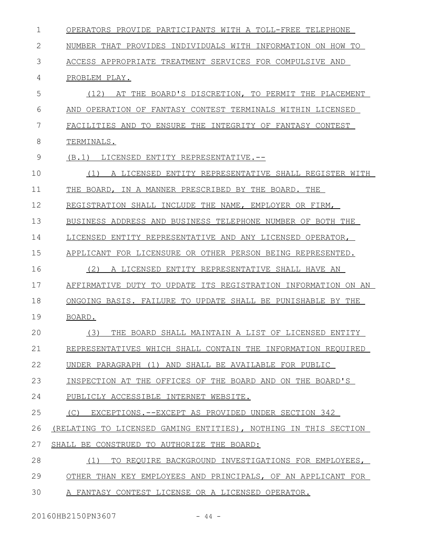| OPERATORS PROVIDE PARTICIPANTS WITH A TOLL-FREE TELEPHONE        |
|------------------------------------------------------------------|
| NUMBER THAT PROVIDES INDIVIDUALS WITH INFORMATION ON HOW TO      |
| ACCESS APPROPRIATE TREATMENT SERVICES FOR COMPULSIVE AND         |
| PROBLEM PLAY.                                                    |
| (12)<br>AT THE BOARD'S DISCRETION, TO PERMIT THE PLACEMENT       |
| OPERATION OF FANTASY CONTEST TERMINALS WITHIN LICENSED<br>AND    |
| TO ENSURE THE INTEGRITY OF FANTASY CONTEST<br>FACILITIES AND     |
| TERMINALS.                                                       |
| (B,1)<br>LICENSED ENTITY REPRESENTATIVE.--                       |
| A LICENSED ENTITY REPRESENTATIVE SHALL REGISTER WITH<br>(1)      |
| THE BOARD, IN A MANNER PRESCRIBED BY THE BOARD. THE              |
| REGISTRATION SHALL INCLUDE THE NAME, EMPLOYER OR FIRM,           |
| BUSINESS ADDRESS AND BUSINESS TELEPHONE NUMBER OF BOTH THE       |
| LICENSED ENTITY REPRESENTATIVE AND ANY LICENSED OPERATOR,        |
| APPLICANT FOR LICENSURE OR OTHER PERSON BEING REPRESENTED.       |
| (2)<br>A LICENSED ENTITY REPRESENTATIVE SHALL HAVE AN            |
| AFFIRMATIVE DUTY TO UPDATE ITS REGISTRATION INFORMATION<br>ON AN |
| ONGOING BASIS. FAILURE TO UPDATE SHALL BE PUNISHABLE BY THE      |
| BOARD.                                                           |
| (3)<br>THE BOARD SHALL MAINTAIN A LIST OF LICENSED ENTITY        |
| REPRESENTATIVES WHICH SHALL CONTAIN THE INFORMATION REQUIRED     |
| UNDER PARAGRAPH (1) AND SHALL BE AVAILABLE FOR PUBLIC            |
| INSPECTION AT THE OFFICES OF THE BOARD AND ON THE BOARD'S        |
| PUBLICLY ACCESSIBLE INTERNET WEBSITE.                            |
| EXCEPTIONS.--EXCEPT AS PROVIDED UNDER SECTION 342<br>(C)         |
| (RELATING TO LICENSED GAMING ENTITIES), NOTHING IN THIS SECTION  |
| SHALL BE CONSTRUED TO AUTHORIZE THE BOARD:                       |
| (1)<br>TO REQUIRE BACKGROUND INVESTIGATIONS FOR EMPLOYEES,       |
| OTHER THAN KEY EMPLOYEES AND PRINCIPALS, OF AN APPLICANT FOR     |
| A FANTASY CONTEST LICENSE OR A LICENSED OPERATOR.                |
|                                                                  |

20160HB2150PN3607 - 44 -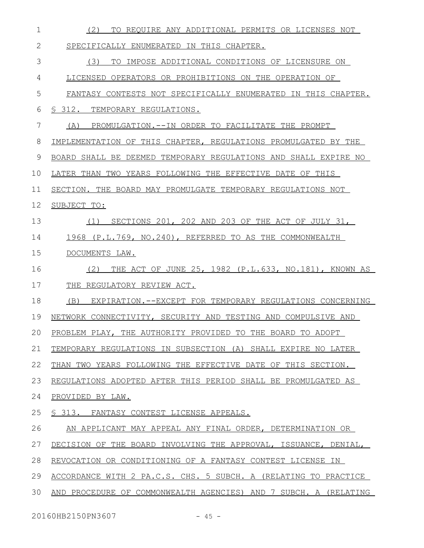| $\mathbf 1$ | (2)<br>TO REQUIRE ANY ADDITIONAL PERMITS OR LICENSES NOT         |
|-------------|------------------------------------------------------------------|
| 2           | SPECIFICALLY ENUMERATED IN THIS CHAPTER.                         |
| 3           | (3)<br>TO IMPOSE ADDITIONAL CONDITIONS OF LICENSURE ON           |
| 4           | LICENSED OPERATORS OR PROHIBITIONS ON THE OPERATION OF           |
| 5           | FANTASY CONTESTS NOT SPECIFICALLY ENUMERATED IN THIS CHAPTER.    |
| 6           | S 312. TEMPORARY REGULATIONS.                                    |
| 7           | PROMULGATION.--IN ORDER TO FACILITATE THE PROMPT<br>(A)          |
| 8           | IMPLEMENTATION OF THIS CHAPTER, REGULATIONS PROMULGATED BY THE   |
| 9           | BOARD SHALL BE DEEMED TEMPORARY REGULATIONS AND SHALL EXPIRE NO  |
| 10          | LATER THAN TWO YEARS FOLLOWING THE EFFECTIVE DATE OF THIS        |
| 11          | SECTION. THE BOARD MAY PROMULGATE TEMPORARY REGULATIONS NOT      |
| 12          | SUBJECT TO:                                                      |
| 13          | SECTIONS 201, 202 AND 203 OF THE ACT OF JULY 31,<br>(1)          |
| 14          | 1968 (P.L.769, NO.240), REFERRED TO AS THE COMMONWEALTH          |
| 15          | DOCUMENTS LAW.                                                   |
| 16          | THE ACT OF JUNE 25, 1982 (P.L.633, NO.181), KNOWN AS<br>(2)      |
| 17          | THE REGULATORY REVIEW ACT.                                       |
| 18          | EXPIRATION.--EXCEPT FOR TEMPORARY REGULATIONS CONCERNING<br>(B)  |
| 19          | NETWORK CONNECTIVITY, SECURITY AND TESTING AND COMPULSIVE AND    |
| 20          | PROBLEM PLAY, THE AUTHORITY PROVIDED TO THE BOARD TO ADOPT       |
| 21          | TEMPORARY REGULATIONS IN SUBSECTION (A) SHALL EXPIRE NO LATER    |
| 22          | THAN TWO YEARS FOLLOWING THE EFFECTIVE DATE OF THIS SECTION.     |
| 23          | REGULATIONS ADOPTED AFTER THIS PERIOD SHALL BE PROMULGATED AS    |
| 24          | PROVIDED BY LAW.                                                 |
| 25          | S 313. FANTASY CONTEST LICENSE APPEALS.                          |
| 26          | AN APPLICANT MAY APPEAL ANY FINAL ORDER, DETERMINATION OR        |
| 27          | DECISION OF THE BOARD INVOLVING THE APPROVAL, ISSUANCE, DENIAL,  |
| 28          | REVOCATION OR CONDITIONING OF A FANTASY CONTEST LICENSE IN       |
| 29          | ACCORDANCE WITH 2 PA.C.S. CHS. 5 SUBCH. A (RELATING TO PRACTICE  |
| 30          | AND PROCEDURE OF COMMONWEALTH AGENCIES) AND 7 SUBCH. A (RELATING |
|             |                                                                  |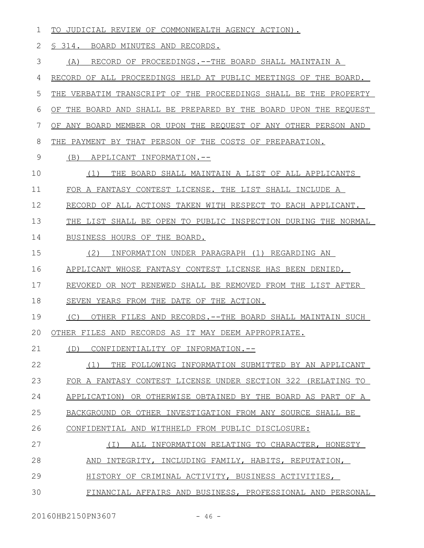| 1             | TO JUDICIAL REVIEW OF COMMONWEALTH AGENCY ACTION).               |
|---------------|------------------------------------------------------------------|
| $\mathbf{2}$  | § 314. BOARD MINUTES AND RECORDS.                                |
| 3             | RECORD OF PROCEEDINGS. -- THE BOARD SHALL MAINTAIN A<br>(A)      |
| 4             | RECORD OF ALL PROCEEDINGS HELD AT PUBLIC MEETINGS OF THE BOARD.  |
| 5             | THE VERBATIM TRANSCRIPT OF THE PROCEEDINGS SHALL BE THE PROPERTY |
| 6             | OF THE BOARD AND SHALL BE PREPARED BY THE BOARD UPON THE REQUEST |
| 7             | OF ANY BOARD MEMBER OR UPON THE REQUEST OF ANY OTHER PERSON AND  |
| 8             | THE PAYMENT BY THAT PERSON OF THE COSTS OF PREPARATION.          |
| $\mathcal{G}$ | (B)<br>APPLICANT INFORMATION.--                                  |
| 10            | THE BOARD SHALL MAINTAIN A LIST OF ALL APPLICANTS<br>(1)         |
| 11            | FOR A FANTASY CONTEST LICENSE. THE LIST SHALL INCLUDE A          |
| 12            | RECORD OF ALL ACTIONS TAKEN WITH RESPECT TO EACH APPLICANT.      |
| 13            | THE LIST SHALL BE OPEN TO PUBLIC INSPECTION DURING THE NORMAL    |
| 14            | BUSINESS HOURS OF THE BOARD.                                     |
| 15            | (2)<br>INFORMATION UNDER PARAGRAPH (1) REGARDING AN              |
| 16            | APPLICANT WHOSE FANTASY CONTEST LICENSE HAS BEEN DENIED,         |
| 17            | REVOKED OR NOT RENEWED SHALL BE REMOVED FROM THE LIST AFTER      |
| 18            | SEVEN YEARS FROM THE DATE OF THE ACTION.                         |
| 19            | OTHER FILES AND RECORDS. -- THE BOARD SHALL MAINTAIN SUCH<br>(C) |
| 20            | OTHER FILES AND RECORDS AS IT MAY DEEM APPROPRIATE.              |
| 21            | CONFIDENTIALITY OF INFORMATION.--<br>(D)                         |
| 22            | (1)<br>THE FOLLOWING INFORMATION SUBMITTED BY AN APPLICANT       |
| 23            | FOR A FANTASY CONTEST LICENSE UNDER SECTION 322 (RELATING TO     |
| 24            | APPLICATION) OR OTHERWISE OBTAINED BY THE BOARD AS PART OF A     |
| 25            | BACKGROUND OR OTHER INVESTIGATION FROM ANY SOURCE SHALL BE       |
| 26            | CONFIDENTIAL AND WITHHELD FROM PUBLIC DISCLOSURE:                |
| 27            | ALL INFORMATION RELATING TO CHARACTER, HONESTY<br>( I )          |
| 28            | AND INTEGRITY, INCLUDING FAMILY, HABITS, REPUTATION,             |
| 29            | HISTORY OF CRIMINAL ACTIVITY, BUSINESS ACTIVITIES,               |
| 30            | FINANCIAL AFFAIRS AND BUSINESS, PROFESSIONAL AND PERSONAL        |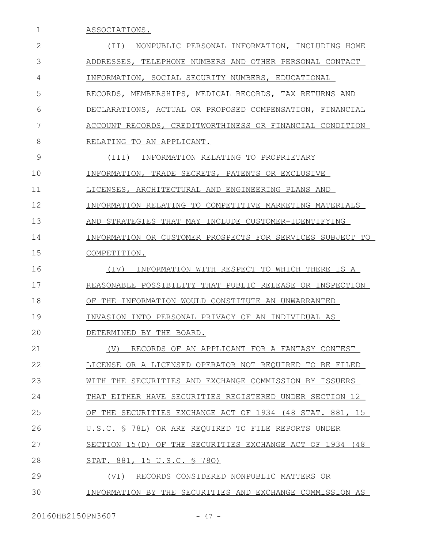ASSOCIATIONS. (II) NONPUBLIC PERSONAL INFORMATION, INCLUDING HOME ADDRESSES, TELEPHONE NUMBERS AND OTHER PERSONAL CONTACT INFORMATION, SOCIAL SECURITY NUMBERS, EDUCATIONAL RECORDS, MEMBERSHIPS, MEDICAL RECORDS, TAX RETURNS AND DECLARATIONS, ACTUAL OR PROPOSED COMPENSATION, FINANCIAL ACCOUNT RECORDS, CREDITWORTHINESS OR FINANCIAL CONDITION RELATING TO AN APPLICANT. (III) INFORMATION RELATING TO PROPRIETARY INFORMATION, TRADE SECRETS, PATENTS OR EXCLUSIVE LICENSES, ARCHITECTURAL AND ENGINEERING PLANS AND INFORMATION RELATING TO COMPETITIVE MARKETING MATERIALS AND STRATEGIES THAT MAY INCLUDE CUSTOMER-IDENTIFYING INFORMATION OR CUSTOMER PROSPECTS FOR SERVICES SUBJECT TO COMPETITION. (IV) INFORMATION WITH RESPECT TO WHICH THERE IS A REASONABLE POSSIBILITY THAT PUBLIC RELEASE OR INSPECTION OF THE INFORMATION WOULD CONSTITUTE AN UNWARRANTED INVASION INTO PERSONAL PRIVACY OF AN INDIVIDUAL AS DETERMINED BY THE BOARD. (V) RECORDS OF AN APPLICANT FOR A FANTASY CONTEST LICENSE OR A LICENSED OPERATOR NOT REQUIRED TO BE FILED WITH THE SECURITIES AND EXCHANGE COMMISSION BY ISSUERS THAT EITHER HAVE SECURITIES REGISTERED UNDER SECTION 12 OF THE SECURITIES EXCHANGE ACT OF 1934 (48 STAT. 881, 15 U.S.C. § 78L) OR ARE REQUIRED TO FILE REPORTS UNDER SECTION 15(D) OF THE SECURITIES EXCHANGE ACT OF 1934 (48 STAT. 881, 15 U.S.C. § 78O) (VI) RECORDS CONSIDERED NONPUBLIC MATTERS OR INFORMATION BY THE SECURITIES AND EXCHANGE COMMISSION AS 1 2 3 4 5 6 7 8 9 10 11 12 13 14 15 16 17 18 19  $20$ 21 22 23 24 25 26 27 28 29 30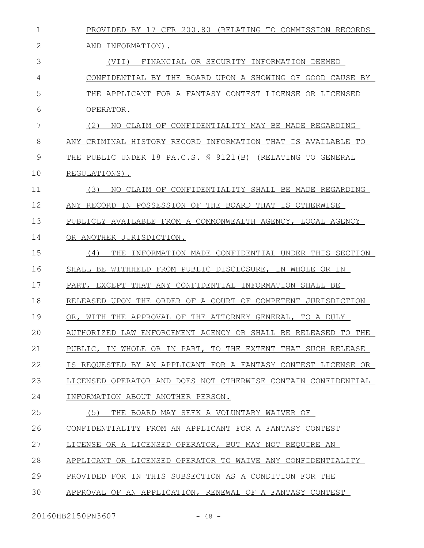| 1            | PROVIDED BY 17 CFR 200.80 (RELATING TO COMMISSION RECORDS       |
|--------------|-----------------------------------------------------------------|
| $\mathbf{2}$ | AND INFORMATION).                                               |
| 3            | FINANCIAL OR SECURITY INFORMATION DEEMED<br>(VII)               |
| 4            | CONFIDENTIAL BY THE BOARD UPON A SHOWING OF GOOD CAUSE BY       |
| 5            | THE APPLICANT FOR A FANTASY CONTEST LICENSE OR LICENSED         |
| 6            | OPERATOR.                                                       |
| 7            | (2)<br>NO CLAIM OF CONFIDENTIALITY MAY BE MADE REGARDING        |
| 8            | CRIMINAL HISTORY RECORD INFORMATION THAT IS AVAILABLE TO<br>ANY |
| 9            | THE PUBLIC UNDER 18 PA.C.S. § 9121(B) (RELATING TO GENERAL      |
| 10           | REGULATIONS).                                                   |
| 11           | (3)<br>NO CLAIM OF CONFIDENTIALITY SHALL BE MADE REGARDING      |
| 12           | ANY RECORD IN POSSESSION OF THE BOARD THAT IS OTHERWISE         |
| 13           | PUBLICLY AVAILABLE FROM A COMMONWEALTH AGENCY, LOCAL AGENCY     |
| 14           | OR ANOTHER JURISDICTION.                                        |
| 15           | THE INFORMATION MADE CONFIDENTIAL UNDER THIS SECTION<br>(4)     |
| 16           | SHALL BE WITHHELD FROM PUBLIC DISCLOSURE, IN WHOLE OR IN        |
| 17           | PART, EXCEPT THAT ANY CONFIDENTIAL INFORMATION SHALL BE         |
| 18           | RELEASED UPON THE ORDER OF A COURT OF COMPETENT JURISDICTION    |
| 19           | THE APPROVAL OF THE ATTORNEY GENERAL, TO A DULY<br>OR, WITH     |
| 20           | AUTHORIZED LAW ENFORCEMENT AGENCY OR SHALL BE RELEASED TO THE   |
| 21           | PUBLIC, IN WHOLE OR IN PART, TO THE EXTENT THAT SUCH RELEASE    |
| 22           | IS REQUESTED BY AN APPLICANT FOR A FANTASY CONTEST LICENSE OR   |
| 23           | LICENSED OPERATOR AND DOES NOT OTHERWISE CONTAIN CONFIDENTIAL   |
| 24           | INFORMATION ABOUT ANOTHER PERSON.                               |
| 25           | (5)<br>THE BOARD MAY SEEK A VOLUNTARY WAIVER OF                 |
| 26           | CONFIDENTIALITY FROM AN APPLICANT FOR A FANTASY CONTEST         |
| 27           | LICENSE OR A LICENSED OPERATOR, BUT MAY NOT REQUIRE AN          |
| 28           | APPLICANT OR LICENSED OPERATOR TO WAIVE ANY CONFIDENTIALITY     |
| 29           | PROVIDED FOR IN THIS SUBSECTION AS A CONDITION FOR THE          |
| 30           | APPROVAL OF AN APPLICATION, RENEWAL OF A FANTASY CONTEST        |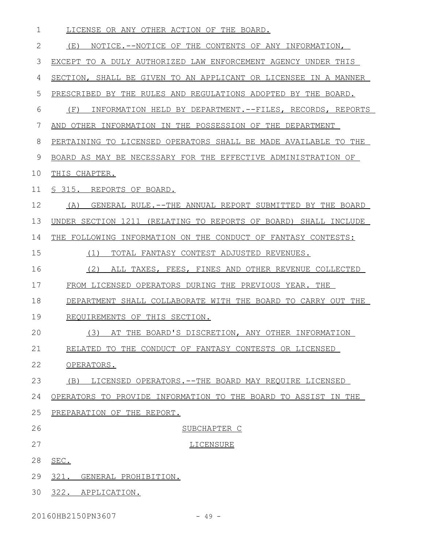LICENSE OR ANY OTHER ACTION OF THE BOARD. (E) NOTICE.--NOTICE OF THE CONTENTS OF ANY INFORMATION, EXCEPT TO A DULY AUTHORIZED LAW ENFORCEMENT AGENCY UNDER THIS SECTION, SHALL BE GIVEN TO AN APPLICANT OR LICENSEE IN A MANNER PRESCRIBED BY THE RULES AND REGULATIONS ADOPTED BY THE BOARD. (F) INFORMATION HELD BY DEPARTMENT.--FILES, RECORDS, REPORTS AND OTHER INFORMATION IN THE POSSESSION OF THE DEPARTMENT PERTAINING TO LICENSED OPERATORS SHALL BE MADE AVAILABLE TO THE BOARD AS MAY BE NECESSARY FOR THE EFFECTIVE ADMINISTRATION OF THIS CHAPTER. § 315. REPORTS OF BOARD. (A) GENERAL RULE.-- THE ANNUAL REPORT SUBMITTED BY THE BOARD UNDER SECTION 1211 (RELATING TO REPORTS OF BOARD) SHALL INCLUDE THE FOLLOWING INFORMATION ON THE CONDUCT OF FANTASY CONTESTS: (1) TOTAL FANTASY CONTEST ADJUSTED REVENUES. (2) ALL TAXES, FEES, FINES AND OTHER REVENUE COLLECTED FROM LICENSED OPERATORS DURING THE PREVIOUS YEAR. THE DEPARTMENT SHALL COLLABORATE WITH THE BOARD TO CARRY OUT THE REQUIREMENTS OF THIS SECTION. (3) AT THE BOARD'S DISCRETION, ANY OTHER INFORMATION RELATED TO THE CONDUCT OF FANTASY CONTESTS OR LICENSED OPERATORS. (B) LICENSED OPERATORS.--THE BOARD MAY REQUIRE LICENSED OPERATORS TO PROVIDE INFORMATION TO THE BOARD TO ASSIST IN THE PREPARATION OF THE REPORT. SUBCHAPTER C LICENSURE SEC. 321. GENERAL PROHIBITION. 322. APPLICATION. 1 2 3 4 5 6 7 8 9 10 11 12 13 14 15 16 17 18 19  $20$ 21 22 23 24 25 26 27 28 29 30

20160HB2150PN3607 - 49 -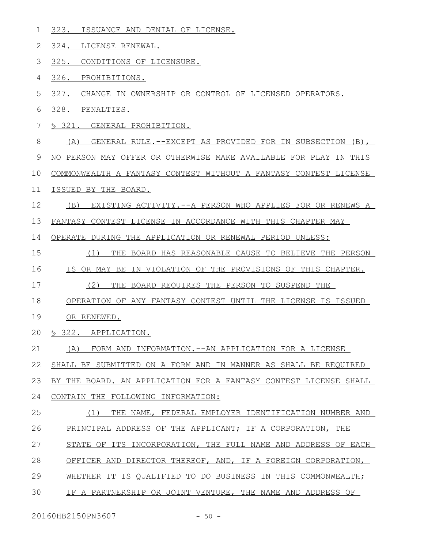- 323. ISSUANCE AND DENIAL OF LICENSE. 1
- 324. LICENSE RENEWAL. 2
- 325. CONDITIONS OF LICENSURE. 3
- 326. PROHIBITIONS. 4
- 327. CHANGE IN OWNERSHIP OR CONTROL OF LICENSED OPERATORS. 5
- 328. PENALTIES. 6
- § 321. GENERAL PROHIBITION. 7
- (A) GENERAL RULE.--EXCEPT AS PROVIDED FOR IN SUBSECTION (B), 8
- NO PERSON MAY OFFER OR OTHERWISE MAKE AVAILABLE FOR PLAY IN THIS 9
- COMMONWEALTH A FANTASY CONTEST WITHOUT A FANTASY CONTEST LICENSE 10
- ISSUED BY THE BOARD. 11
- (B) EXISTING ACTIVITY.--A PERSON WHO APPLIES FOR OR RENEWS A 12
- FANTASY CONTEST LICENSE IN ACCORDANCE WITH THIS CHAPTER MAY 13
- OPERATE DURING THE APPLICATION OR RENEWAL PERIOD UNLESS: 14
- (1) THE BOARD HAS REASONABLE CAUSE TO BELIEVE THE PERSON 15
- IS OR MAY BE IN VIOLATION OF THE PROVISIONS OF THIS CHAPTER. 16
- (2) THE BOARD REQUIRES THE PERSON TO SUSPEND THE 17
- OPERATION OF ANY FANTASY CONTEST UNTIL THE LICENSE IS ISSUED 18
- OR RENEWED. 19
- § 322. APPLICATION.  $20$
- (A) FORM AND INFORMATION.--AN APPLICATION FOR A LICENSE 21
- SHALL BE SUBMITTED ON A FORM AND IN MANNER AS SHALL BE REQUIRED 22

BY THE BOARD. AN APPLICATION FOR A FANTASY CONTEST LICENSE SHALL 23

- CONTAIN THE FOLLOWING INFORMATION: 24
- (1) THE NAME, FEDERAL EMPLOYER IDENTIFICATION NUMBER AND PRINCIPAL ADDRESS OF THE APPLICANT; IF A CORPORATION, THE 25 26
- STATE OF ITS INCORPORATION, THE FULL NAME AND ADDRESS OF EACH 27
- OFFICER AND DIRECTOR THEREOF, AND, IF A FOREIGN CORPORATION, 28
- WHETHER IT IS QUALIFIED TO DO BUSINESS IN THIS COMMONWEALTH; 29
- IF A PARTNERSHIP OR JOINT VENTURE, THE NAME AND ADDRESS OF 30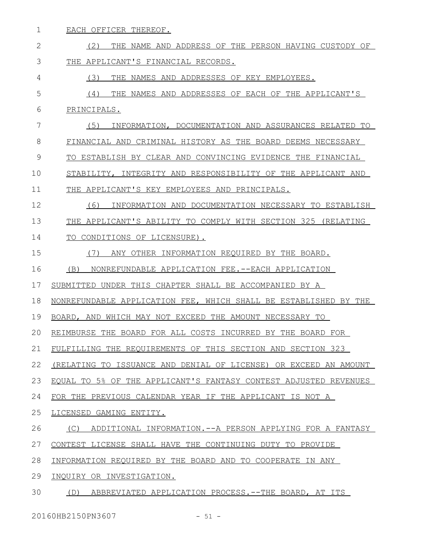EACH OFFICER THEREOF. (2) THE NAME AND ADDRESS OF THE PERSON HAVING CUSTODY OF THE APPLICANT'S FINANCIAL RECORDS. (3) THE NAMES AND ADDRESSES OF KEY EMPLOYEES. (4) THE NAMES AND ADDRESSES OF EACH OF THE APPLICANT'S PRINCIPALS. (5) INFORMATION, DOCUMENTATION AND ASSURANCES RELATED TO FINANCIAL AND CRIMINAL HISTORY AS THE BOARD DEEMS NECESSARY TO ESTABLISH BY CLEAR AND CONVINCING EVIDENCE THE FINANCIAL STABILITY, INTEGRITY AND RESPONSIBILITY OF THE APPLICANT AND THE APPLICANT'S KEY EMPLOYEES AND PRINCIPALS. (6) INFORMATION AND DOCUMENTATION NECESSARY TO ESTABLISH THE APPLICANT'S ABILITY TO COMPLY WITH SECTION 325 (RELATING TO CONDITIONS OF LICENSURE). (7) ANY OTHER INFORMATION REQUIRED BY THE BOARD. (B) NONREFUNDABLE APPLICATION FEE.--EACH APPLICATION SUBMITTED UNDER THIS CHAPTER SHALL BE ACCOMPANIED BY A NONREFUNDABLE APPLICATION FEE, WHICH SHALL BE ESTABLISHED BY THE BOARD, AND WHICH MAY NOT EXCEED THE AMOUNT NECESSARY TO REIMBURSE THE BOARD FOR ALL COSTS INCURRED BY THE BOARD FOR FULFILLING THE REQUIREMENTS OF THIS SECTION AND SECTION 323 (RELATING TO ISSUANCE AND DENIAL OF LICENSE) OR EXCEED AN AMOUNT EQUAL TO 5% OF THE APPLICANT'S FANTASY CONTEST ADJUSTED REVENUES FOR THE PREVIOUS CALENDAR YEAR IF THE APPLICANT IS NOT A LICENSED GAMING ENTITY. (C) ADDITIONAL INFORMATION.--A PERSON APPLYING FOR A FANTASY CONTEST LICENSE SHALL HAVE THE CONTINUING DUTY TO PROVIDE INFORMATION REQUIRED BY THE BOARD AND TO COOPERATE IN ANY INQUIRY OR INVESTIGATION. (D) ABBREVIATED APPLICATION PROCESS.--THE BOARD, AT ITS 1 2 3 4 5 6 7 8 9 10 11 12 13 14 15 16 17 18 19  $20$ 21 22 23 24 25 26 27 28 29 30

20160HB2150PN3607 - 51 -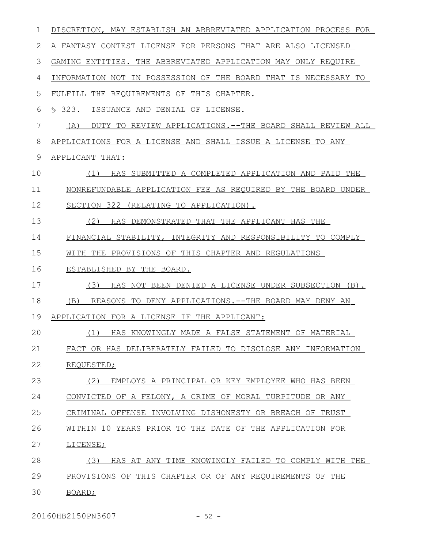| 1  | DISCRETION, MAY ESTABLISH AN ABBREVIATED APPLICATION PROCESS FOR |
|----|------------------------------------------------------------------|
| 2  | A FANTASY CONTEST LICENSE FOR PERSONS THAT ARE ALSO LICENSED     |
| 3  | GAMING ENTITIES. THE ABBREVIATED APPLICATION MAY ONLY REQUIRE    |
| 4  | INFORMATION NOT IN POSSESSION OF THE BOARD THAT IS NECESSARY TO  |
| 5  | FULFILL THE REQUIREMENTS OF THIS CHAPTER.                        |
| 6  | \$ 323.<br>ISSUANCE AND DENIAL OF LICENSE.                       |
| 7  | (A)<br>DUTY TO REVIEW APPLICATIONS.--THE BOARD SHALL REVIEW ALL  |
| 8  | APPLICATIONS FOR A LICENSE AND SHALL ISSUE A LICENSE TO ANY      |
| 9  | APPLICANT THAT:                                                  |
| 10 | (1)<br>HAS SUBMITTED A COMPLETED APPLICATION AND PAID THE        |
| 11 | NONREFUNDABLE APPLICATION FEE AS REQUIRED BY THE BOARD UNDER     |
| 12 | SECTION 322 (RELATING TO APPLICATION).                           |
| 13 | (2)<br>HAS DEMONSTRATED THAT THE APPLICANT HAS THE               |
| 14 | FINANCIAL STABILITY, INTEGRITY AND RESPONSIBILITY TO COMPLY      |
| 15 | WITH THE PROVISIONS OF THIS CHAPTER AND REGULATIONS              |
| 16 | ESTABLISHED BY THE BOARD.                                        |
| 17 | (3)<br>HAS NOT BEEN DENIED A LICENSE UNDER SUBSECTION (B).       |
| 18 | REASONS TO DENY APPLICATIONS.--THE BOARD MAY DENY AN<br>(B)      |
| 19 | APPLICATION FOR A LICENSE IF THE APPLICANT:                      |
| 20 | HAS KNOWINGLY MADE A FALSE STATEMENT OF MATERIAL<br>(1)          |
| 21 | FACT OR HAS DELIBERATELY FAILED TO DISCLOSE ANY INFORMATION      |
| 22 | REQUESTED;                                                       |
| 23 | (2)<br>EMPLOYS A PRINCIPAL OR KEY EMPLOYEE WHO HAS BEEN          |
| 24 | CONVICTED OF A FELONY, A CRIME OF MORAL TURPITUDE OR ANY         |
| 25 | CRIMINAL OFFENSE INVOLVING DISHONESTY OR BREACH OF TRUST         |
| 26 | WITHIN 10 YEARS PRIOR TO THE DATE OF THE APPLICATION FOR         |
| 27 | LICENSE;                                                         |
| 28 | (3)<br>HAS AT ANY TIME KNOWINGLY FAILED TO COMPLY WITH THE       |
| 29 | PROVISIONS OF THIS CHAPTER OR OF ANY REOUIREMENTS OF THE         |
| 30 | BOARD;                                                           |

20160HB2150PN3607 - 52 -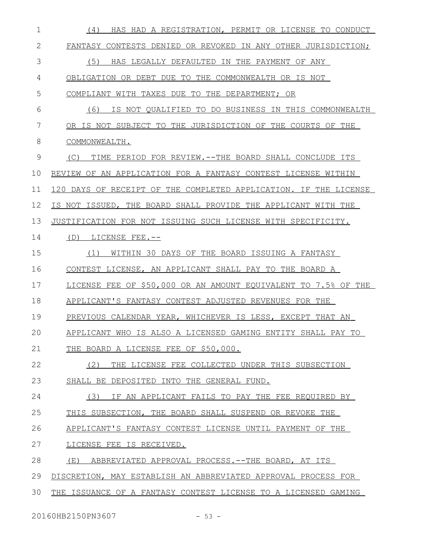| 1            | (4)<br>HAS HAD A REGISTRATION, PERMIT OR LICENSE TO CONDUCT      |
|--------------|------------------------------------------------------------------|
| $\mathbf{2}$ | FANTASY CONTESTS DENIED OR REVOKED IN ANY OTHER JURISDICTION;    |
| 3            | (5)<br>HAS LEGALLY DEFAULTED IN THE PAYMENT OF ANY               |
| 4            | OBLIGATION OR DEBT DUE TO THE COMMONWEALTH OR IS NOT             |
| 5            | COMPLIANT WITH TAXES DUE TO THE DEPARTMENT: OR                   |
| 6            | IS NOT QUALIFIED TO DO BUSINESS IN THIS COMMONWEALTH<br>(6)      |
| 7            | OR IS NOT SUBJECT TO THE JURISDICTION OF THE COURTS OF THE       |
| 8            | COMMONWEALTH.                                                    |
| 9            | (C)<br>TIME PERIOD FOR REVIEW. -- THE BOARD SHALL CONCLUDE ITS   |
| 10           | REVIEW OF AN APPLICATION FOR A FANTASY CONTEST LICENSE WITHIN    |
| 11           | 120 DAYS OF RECEIPT OF THE COMPLETED APPLICATION. IF THE LICENSE |
| 12           | IS NOT ISSUED, THE BOARD SHALL PROVIDE THE APPLICANT WITH THE    |
| 13           | JUSTIFICATION FOR NOT ISSUING SUCH LICENSE WITH SPECIFICITY.     |
| 14           | LICENSE FEE.--<br>(D)                                            |
| 15           | WITHIN 30 DAYS OF THE BOARD ISSUING A FANTASY<br>(1)             |
| 16           | CONTEST LICENSE, AN APPLICANT SHALL PAY TO THE BOARD A           |
| 17           | LICENSE FEE OF \$50,000 OR AN AMOUNT EQUIVALENT TO 7.5% OF THE   |
| 18           | APPLICANT'S FANTASY CONTEST ADJUSTED REVENUES FOR THE            |
| 19           | PREVIOUS CALENDAR YEAR, WHICHEVER IS LESS, EXCEPT THAT AN        |
| 20           | APPLICANT WHO IS ALSO A LICENSED GAMING ENTITY SHALL PAY TO      |
| 21           | THE BOARD A LICENSE FEE OF \$50,000.                             |
| 22           | THE LICENSE FEE COLLECTED UNDER THIS SUBSECTION<br>(2)           |
| 23           | SHALL BE DEPOSITED INTO THE GENERAL FUND.                        |
| 24           | (3)<br>IF AN APPLICANT FAILS TO PAY THE FEE REQUIRED BY          |
| 25           | THIS SUBSECTION, THE BOARD SHALL SUSPEND OR REVOKE THE           |
| 26           | APPLICANT'S FANTASY CONTEST LICENSE UNTIL PAYMENT OF THE         |
| 27           | LICENSE FEE IS RECEIVED.                                         |
| 28           | (E)<br>ABBREVIATED APPROVAL PROCESS.--THE BOARD, AT ITS          |
| 29           | DISCRETION, MAY ESTABLISH AN ABBREVIATED APPROVAL PROCESS FOR    |
| 30           | THE ISSUANCE OF A FANTASY CONTEST LICENSE TO A LICENSED GAMING   |

20160HB2150PN3607 - 53 -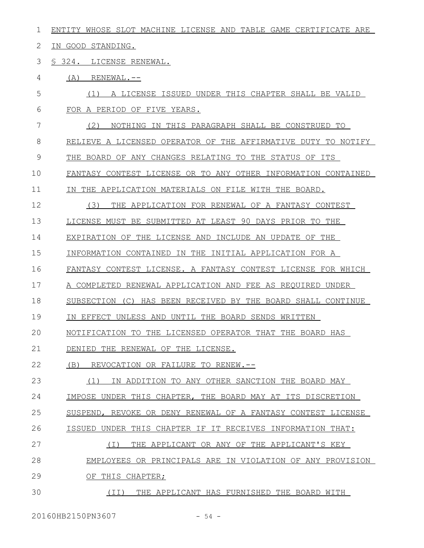| 1  | ENTITY WHOSE SLOT MACHINE LICENSE AND TABLE GAME CERTIFICATE ARE |
|----|------------------------------------------------------------------|
| 2  | IN GOOD STANDING.                                                |
| 3  | § 324. LICENSE RENEWAL.                                          |
| 4  | (A)<br>RENEWAL.--                                                |
| 5  | A LICENSE ISSUED UNDER THIS CHAPTER SHALL BE VALID<br>(1)        |
| 6  | FOR A PERIOD OF FIVE YEARS.                                      |
| 7  | (2)<br>NOTHING IN THIS PARAGRAPH SHALL BE CONSTRUED TO           |
| 8  | RELIEVE A LICENSED OPERATOR OF THE AFFIRMATIVE DUTY TO NOTIFY    |
| 9  | THE BOARD OF ANY CHANGES RELATING TO THE STATUS OF ITS           |
| 10 | FANTASY CONTEST LICENSE OR TO ANY OTHER INFORMATION CONTAINED    |
| 11 | IN THE APPLICATION MATERIALS ON FILE WITH THE BOARD.             |
| 12 | (3)<br>THE APPLICATION FOR RENEWAL OF A FANTASY CONTEST          |
| 13 | LICENSE MUST BE SUBMITTED AT LEAST 90 DAYS PRIOR TO THE          |
| 14 | EXPIRATION OF THE LICENSE AND INCLUDE AN UPDATE OF THE           |
| 15 | INFORMATION CONTAINED IN THE INITIAL APPLICATION FOR A           |
| 16 | FANTASY CONTEST LICENSE. A FANTASY CONTEST LICENSE FOR WHICH     |
| 17 | A COMPLETED RENEWAL APPLICATION AND FEE AS REQUIRED UNDER        |
| 18 | SUBSECTION (C) HAS BEEN RECEIVED BY THE BOARD SHALL CONTINUE     |
| 19 | IN EFFECT UNLESS AND UNTIL THE BOARD SENDS WRITTEN               |
| 20 | NOTIFICATION TO THE LICENSED OPERATOR THAT THE BOARD HAS         |
| 21 | DENIED THE RENEWAL OF THE LICENSE.                               |
| 22 | REVOCATION OR FAILURE TO RENEW.--<br>(B)                         |
| 23 | IN ADDITION TO ANY OTHER SANCTION THE BOARD MAY<br>(1)           |
| 24 | IMPOSE UNDER THIS CHAPTER, THE BOARD MAY AT ITS DISCRETION       |
| 25 | SUSPEND, REVOKE OR DENY RENEWAL OF A FANTASY CONTEST LICENSE     |
| 26 | ISSUED UNDER THIS CHAPTER IF IT RECEIVES INFORMATION THAT:       |
| 27 | THE APPLICANT OR ANY OF THE APPLICANT'S KEY<br>( I )             |
| 28 | EMPLOYEES OR PRINCIPALS ARE IN VIOLATION OF ANY PROVISION        |
| 29 | OF THIS CHAPTER;                                                 |
| 30 | THE APPLICANT HAS FURNISHED THE BOARD WITH<br>(II)               |

20160HB2150PN3607 - 54 -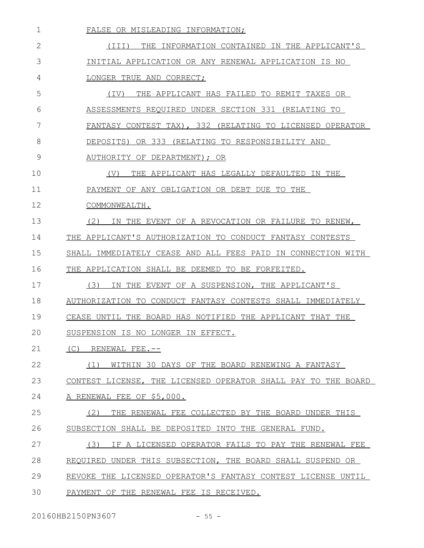| 1  | FALSE OR MISLEADING INFORMATION:                              |
|----|---------------------------------------------------------------|
| 2  | THE INFORMATION CONTAINED IN THE APPLICANT'S<br>(III)         |
| 3  | INITIAL APPLICATION OR ANY RENEWAL APPLICATION IS NO          |
| 4  | LONGER TRUE AND CORRECT;                                      |
| 5  | THE APPLICANT HAS FAILED TO REMIT TAXES OR<br>(IV)            |
| 6  | ASSESSMENTS REQUIRED UNDER SECTION 331 (RELATING TO           |
| 7  | FANTASY CONTEST TAX), 332 (RELATING TO LICENSED OPERATOR      |
| 8  | OR 333 (RELATING TO RESPONSIBILITY AND<br>DEPOSITS)           |
| 9  | AUTHORITY OF DEPARTMENT); OR                                  |
| 10 | (V)<br>THE APPLICANT HAS LEGALLY DEFAULTED IN THE             |
| 11 | PAYMENT OF ANY OBLIGATION OR DEBT DUE TO THE                  |
| 12 | COMMONWEALTH.                                                 |
| 13 | (2)<br>IN THE EVENT OF A REVOCATION OR FAILURE TO RENEW,      |
| 14 | THE APPLICANT'S AUTHORIZATION TO CONDUCT FANTASY CONTESTS     |
| 15 | SHALL IMMEDIATELY CEASE AND ALL FEES PAID IN CONNECTION WITH  |
| 16 | THE APPLICATION SHALL BE DEEMED TO BE FORFEITED.              |
| 17 | (3)<br>IN THE EVENT OF A SUSPENSION, THE APPLICANT'S          |
| 18 | AUTHORIZATION TO CONDUCT FANTASY CONTESTS SHALL IMMEDIATELY   |
| 19 | CEASE UNTIL THE BOARD HAS NOTIFIED THE APPLICANT THAT THE     |
| 20 | SUSPENSION IS NO LONGER IN EFFECT.                            |
| 21 | (C)<br>RENEWAL FEE.--                                         |
| 22 | WITHIN 30 DAYS OF THE BOARD RENEWING A FANTASY<br>(1)         |
| 23 | CONTEST LICENSE, THE LICENSED OPERATOR SHALL PAY TO THE BOARD |
| 24 | A RENEWAL FEE OF \$5,000.                                     |
| 25 | THE RENEWAL FEE COLLECTED BY THE BOARD UNDER THIS<br>(2)      |
| 26 | SUBSECTION SHALL BE DEPOSITED INTO THE GENERAL FUND.          |
| 27 | IF A LICENSED OPERATOR FAILS TO PAY THE RENEWAL FEE<br>(3)    |
| 28 | REQUIRED UNDER THIS SUBSECTION, THE BOARD SHALL SUSPEND OR    |
| 29 | REVOKE THE LICENSED OPERATOR'S FANTASY CONTEST LICENSE UNTIL  |
| 30 | PAYMENT OF THE RENEWAL FEE IS RECEIVED.                       |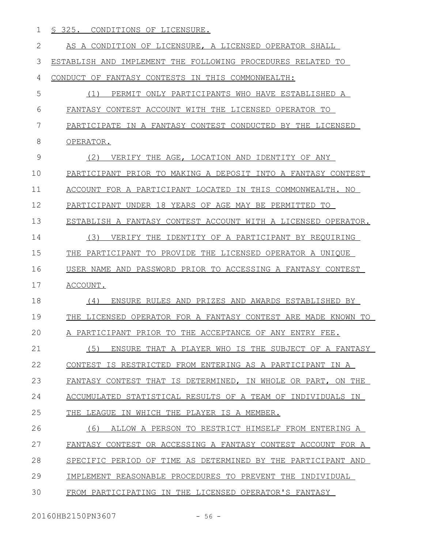1 <u>§ 325. CONDITIONS OF LICENSURE.</u>

| $\mathbf{2}$ | AS A CONDITION OF LICENSURE, A LICENSED OPERATOR SHALL           |
|--------------|------------------------------------------------------------------|
| 3            | ESTABLISH AND IMPLEMENT THE FOLLOWING PROCEDURES RELATED TO      |
| 4            | CONDUCT OF FANTASY CONTESTS IN THIS COMMONWEALTH:                |
| 5            | ONLY PARTICIPANTS WHO HAVE ESTABLISHED A<br>(1)<br>PERMIT        |
| 6            | FANTASY CONTEST ACCOUNT WITH THE LICENSED OPERATOR TO            |
| 7            | PARTICIPATE IN A FANTASY CONTEST CONDUCTED BY THE LICENSED       |
| 8            | OPERATOR.                                                        |
| 9            | (2)<br>VERIFY THE AGE, LOCATION AND IDENTITY OF ANY              |
| 10           | PARTICIPANT PRIOR TO MAKING A DEPOSIT INTO A FANTASY CONTEST     |
| 11           | ACCOUNT FOR A PARTICIPANT LOCATED IN THIS COMMONWEALTH. NO       |
| 12           | PARTICIPANT UNDER 18 YEARS OF AGE MAY BE PERMITTED TO            |
| 13           | ESTABLISH A FANTASY CONTEST ACCOUNT WITH A LICENSED OPERATOR.    |
| 14           | (3)<br>VERIFY THE IDENTITY OF A PARTICIPANT BY REOUIRING         |
| 15           | PARTICIPANT TO PROVIDE THE LICENSED OPERATOR A UNIQUE<br>THE     |
| 16           | USER NAME AND PASSWORD PRIOR TO ACCESSING A FANTASY CONTEST      |
| 17           | ACCOUNT.                                                         |
| 18           | ENSURE RULES AND PRIZES AND AWARDS ESTABLISHED BY<br>(4)         |
| 19           | LICENSED OPERATOR FOR A FANTASY CONTEST ARE MADE KNOWN TO<br>THE |
| 20           | A PARTICIPANT PRIOR TO THE ACCEPTANCE OF ANY ENTRY FEE.          |
| 21           | (5) ENSURE THAT A PLAYER WHO IS THE SUBJECT OF A FANTASY         |
| 22           | CONTEST IS RESTRICTED FROM ENTERING AS A PARTICIPANT IN A        |
| 23           | FANTASY CONTEST THAT IS DETERMINED, IN WHOLE OR PART, ON THE     |
| 24           | ACCUMULATED STATISTICAL RESULTS OF A TEAM OF INDIVIDUALS IN      |
| 25           | THE LEAGUE IN WHICH THE PLAYER IS A MEMBER.                      |
| 26           | (6)<br>ALLOW A PERSON TO RESTRICT HIMSELF FROM ENTERING A        |
| 27           | FANTASY CONTEST OR ACCESSING A FANTASY CONTEST ACCOUNT FOR A     |
| 28           | SPECIFIC PERIOD OF TIME AS DETERMINED BY THE PARTICIPANT AND     |
| 29           | IMPLEMENT REASONABLE PROCEDURES TO PREVENT THE INDIVIDUAL        |
| 30           | FROM PARTICIPATING IN THE LICENSED OPERATOR'S FANTASY            |
|              |                                                                  |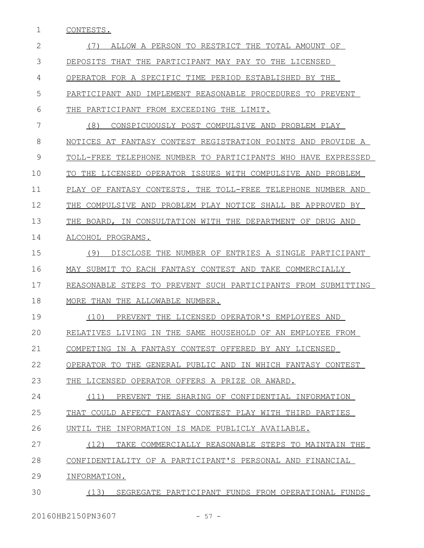1 CONTESTS.

| 2  | ALLOW A PERSON TO RESTRICT THE TOTAL AMOUNT OF<br>(1)          |
|----|----------------------------------------------------------------|
| 3  | DEPOSITS THAT THE PARTICIPANT MAY PAY TO THE LICENSED          |
| 4  | OPERATOR FOR A SPECIFIC TIME PERIOD ESTABLISHED BY THE         |
| 5  | PARTICIPANT AND IMPLEMENT REASONABLE PROCEDURES TO PREVENT     |
| 6  | PARTICIPANT FROM EXCEEDING THE LIMIT.<br>THE                   |
| 7  | (8)<br>CONSPICUOUSLY POST COMPULSIVE AND PROBLEM PLAY          |
| 8  | NOTICES AT FANTASY CONTEST REGISTRATION POINTS AND PROVIDE A   |
| 9  | TOLL-FREE TELEPHONE NUMBER TO PARTICIPANTS WHO HAVE EXPRESSED  |
| 10 | TO THE LICENSED OPERATOR ISSUES WITH COMPULSIVE AND PROBLEM    |
| 11 | PLAY OF FANTASY CONTESTS. THE TOLL-FREE TELEPHONE NUMBER AND   |
| 12 | COMPULSIVE AND PROBLEM PLAY NOTICE SHALL BE APPROVED BY<br>THE |
| 13 | THE BOARD, IN CONSULTATION WITH THE DEPARTMENT OF DRUG AND     |
| 14 | ALCOHOL PROGRAMS.                                              |
| 15 | (9)<br>DISCLOSE THE NUMBER OF ENTRIES A SINGLE PARTICIPANT     |
| 16 | MAY SUBMIT TO EACH FANTASY CONTEST AND TAKE COMMERCIALLY       |
| 17 | REASONABLE STEPS TO PREVENT SUCH PARTICIPANTS FROM SUBMITTING  |
| 18 | MORE THAN THE ALLOWABLE NUMBER.                                |
| 19 | (10)<br>PREVENT THE LICENSED OPERATOR'S EMPLOYEES AND          |
| 20 | RELATIVES LIVING IN THE SAME HOUSEHOLD OF AN EMPLOYEE FROM     |
| 21 | COMPETING IN A FANTASY CONTEST OFFERED BY ANY LICENSED         |
| 22 | OPERATOR TO THE GENERAL PUBLIC AND IN WHICH FANTASY CONTEST    |
| 23 | THE LICENSED OPERATOR OFFERS A PRIZE OR AWARD.                 |
| 24 | (11) PREVENT THE SHARING OF CONFIDENTIAL INFORMATION           |
| 25 | THAT COULD AFFECT FANTASY CONTEST PLAY WITH THIRD PARTIES      |
| 26 | UNTIL THE INFORMATION IS MADE PUBLICLY AVAILABLE.              |
| 27 | (12)<br>TAKE COMMERCIALLY REASONABLE STEPS TO MAINTAIN THE     |
| 28 | CONFIDENTIALITY OF A PARTICIPANT'S PERSONAL AND FINANCIAL      |
| 29 | INFORMATION.                                                   |
| 30 | (13)<br>SEGREGATE PARTICIPANT FUNDS FROM OPERATIONAL FUNDS     |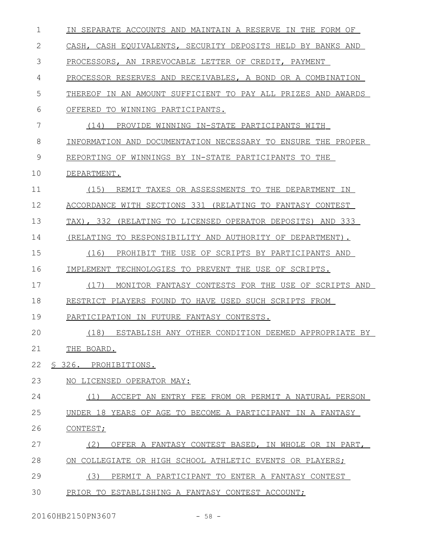| $\mathbf 1$ | IN SEPARATE ACCOUNTS AND MAINTAIN A RESERVE IN THE FORM OF    |
|-------------|---------------------------------------------------------------|
| 2           | CASH, CASH EOUIVALENTS, SECURITY DEPOSITS HELD BY BANKS AND   |
| 3           | PROCESSORS, AN IRREVOCABLE LETTER OF CREDIT, PAYMENT          |
| 4           | PROCESSOR RESERVES AND RECEIVABLES, A BOND OR A COMBINATION   |
| 5           | THEREOF IN AN AMOUNT SUFFICIENT TO PAY ALL PRIZES AND AWARDS  |
| 6           | TO<br>WINNING PARTICIPANTS.<br>OFFERED                        |
| 7           | (14)<br>PROVIDE WINNING IN-STATE PARTICIPANTS WITH            |
| 8           | INFORMATION AND DOCUMENTATION NECESSARY TO ENSURE THE PROPER  |
| 9           | REPORTING OF WINNINGS BY IN-STATE PARTICIPANTS TO THE         |
| 10          | DEPARTMENT.                                                   |
| 11          | (15)<br>REMIT TAXES OR ASSESSMENTS TO THE DEPARTMENT IN       |
| 12          | ACCORDANCE WITH SECTIONS 331 (RELATING TO FANTASY CONTEST     |
| 13          | TAX), 332<br>(RELATING TO LICENSED OPERATOR DEPOSITS) AND 333 |
| 14          | (RELATING TO RESPONSIBILITY AND AUTHORITY OF DEPARTMENT).     |
| 15          | (16)<br>PROHIBIT THE USE OF SCRIPTS BY PARTICIPANTS AND       |
| 16          | IMPLEMENT TECHNOLOGIES TO PREVENT THE USE OF SCRIPTS.         |
| 17          | (17)<br>MONITOR FANTASY CONTESTS FOR THE USE OF SCRIPTS AND   |
| 18          | RESTRICT PLAYERS FOUND TO HAVE USED SUCH SCRIPTS FROM         |
| 19          | PARTICIPATION IN FUTURE FANTASY CONTESTS.                     |
| 20          | (18)<br>ESTABLISH ANY OTHER CONDITION DEEMED APPROPRIATE BY   |
| 21          | THE BOARD.                                                    |
| 22          | § 326. PROHIBITIONS.                                          |
| 23          | NO LICENSED OPERATOR MAY:                                     |
| 24          | ACCEPT AN ENTRY FEE FROM OR PERMIT A NATURAL PERSON<br>(1)    |
| 25          | UNDER 18 YEARS OF AGE TO BECOME A PARTICIPANT IN A FANTASY    |
| 26          | CONTEST;                                                      |
| 27          | OFFER A FANTASY CONTEST BASED, IN WHOLE OR IN PART,<br>(2)    |
| 28          | ON COLLEGIATE OR HIGH SCHOOL ATHLETIC EVENTS OR PLAYERS;      |
| 29          | (3)<br>PERMIT A PARTICIPANT TO ENTER A FANTASY CONTEST        |
| 30          | PRIOR TO ESTABLISHING A FANTASY CONTEST ACCOUNT;              |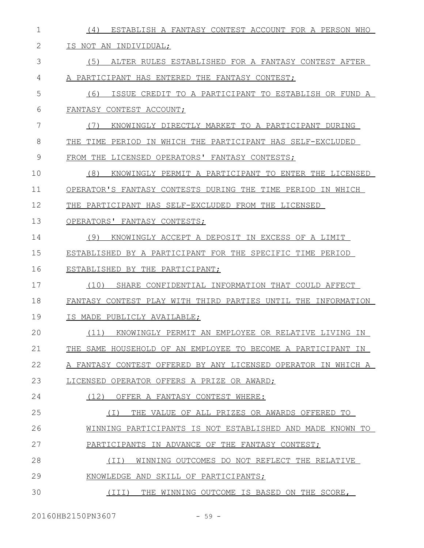| $\mathbf 1$ | ESTABLISH A FANTASY CONTEST ACCOUNT FOR A PERSON WHO<br>(4)      |
|-------------|------------------------------------------------------------------|
| 2           | IS NOT AN INDIVIDUAL;                                            |
| 3           | (5)<br>ALTER RULES ESTABLISHED FOR A FANTASY CONTEST AFTER       |
| 4           | A PARTICIPANT HAS ENTERED THE FANTASY CONTEST;                   |
| 5           | (6)<br>ISSUE CREDIT TO A PARTICIPANT TO ESTABLISH OR FUND A      |
| 6           | FANTASY CONTEST ACCOUNT;                                         |
| 7           | (7)<br>KNOWINGLY DIRECTLY MARKET TO A PARTICIPANT DURING         |
| 8           | TIME<br>PERIOD IN WHICH THE PARTICIPANT HAS SELF-EXCLUDED<br>THE |
| 9           | LICENSED OPERATORS' FANTASY CONTESTS;<br>FROM THE                |
| 10          | (8)<br>KNOWINGLY PERMIT A PARTICIPANT TO ENTER THE LICENSED      |
| 11          | OPERATOR'S FANTASY CONTESTS DURING THE TIME PERIOD IN WHICH      |
| 12          | THE PARTICIPANT HAS SELF-EXCLUDED FROM THE LICENSED              |
| 13          | OPERATORS' FANTASY CONTESTS;                                     |
| 14          | KNOWINGLY ACCEPT A DEPOSIT IN EXCESS OF A LIMIT<br>(9)           |
| 15          | ESTABLISHED BY A PARTICIPANT FOR THE SPECIFIC TIME PERIOD        |
| 16          | ESTABLISHED BY THE PARTICIPANT;                                  |
| 17          | (10)<br>SHARE CONFIDENTIAL INFORMATION THAT COULD AFFECT         |
| 18          | FANTASY CONTEST PLAY WITH THIRD PARTIES UNTIL THE INFORMATION    |
| 19          | IS MADE PUBLICLY AVAILABLE;                                      |
| 20          | (11) KNOWINGLY PERMIT AN EMPLOYEE OR RELATIVE LIVING IN          |
| 21          | THE SAME HOUSEHOLD OF AN EMPLOYEE TO BECOME A PARTICIPANT IN     |
| 22          | A FANTASY CONTEST OFFERED BY ANY LICENSED OPERATOR IN WHICH A    |
| 23          | LICENSED OPERATOR OFFERS A PRIZE OR AWARD;                       |
| 24          | (12)<br>OFFER A FANTASY CONTEST WHERE:                           |
| 25          | THE VALUE OF ALL PRIZES OR AWARDS OFFERED TO<br>(T)              |
| 26          |                                                                  |
|             | WINNING PARTICIPANTS IS NOT ESTABLISHED AND MADE KNOWN TO        |
| 27          | PARTICIPANTS IN ADVANCE OF THE FANTASY CONTEST;                  |
| 28          | (II)<br>WINNING OUTCOMES DO NOT REFLECT THE RELATIVE             |
| 29          | KNOWLEDGE AND SKILL OF PARTICIPANTS;                             |

20160HB2150PN3607 - 59 -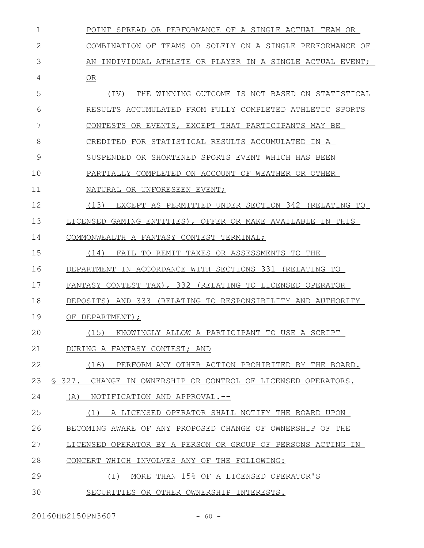| 1  | POINT SPREAD OR PERFORMANCE OF A SINGLE ACTUAL TEAM OR       |
|----|--------------------------------------------------------------|
| 2  | COMBINATION OF TEAMS OR SOLELY ON A SINGLE PERFORMANCE OF    |
| 3  | AN INDIVIDUAL ATHLETE OR PLAYER IN A SINGLE ACTUAL EVENT;    |
| 4  | OR                                                           |
| 5  | THE WINNING OUTCOME IS NOT BASED ON STATISTICAL<br>(TV)      |
| 6  | RESULTS ACCUMULATED FROM FULLY COMPLETED ATHLETIC SPORTS     |
| 7  | CONTESTS OR EVENTS, EXCEPT THAT PARTICIPANTS MAY BE          |
| 8  | CREDITED FOR STATISTICAL RESULTS ACCUMULATED IN A            |
| 9  | SUSPENDED OR SHORTENED SPORTS EVENT WHICH HAS BEEN           |
| 10 | PARTIALLY COMPLETED ON ACCOUNT OF WEATHER OR OTHER           |
| 11 | NATURAL OR UNFORESEEN EVENT;                                 |
| 12 | (13)<br>EXCEPT AS PERMITTED UNDER SECTION 342 (RELATING TO   |
| 13 | LICENSED GAMING ENTITIES), OFFER OR MAKE AVAILABLE IN THIS   |
| 14 | COMMONWEALTH A FANTASY CONTEST TERMINAL;                     |
| 15 | (14)<br>FAIL TO REMIT TAXES OR ASSESSMENTS TO THE            |
| 16 | DEPARTMENT IN ACCORDANCE WITH SECTIONS 331 (RELATING TO      |
| 17 | FANTASY CONTEST TAX), 332 (RELATING TO LICENSED OPERATOR     |
| 18 | DEPOSITS) AND 333 (RELATING TO RESPONSIBILITY AND AUTHORITY  |
| 19 | OF DEPARTMENT);                                              |
| 20 | (15) KNOWINGLY ALLOW A PARTICIPANT TO USE A SCRIPT           |
| 21 | DURING A FANTASY CONTEST; AND                                |
| 22 | (16)<br>PERFORM ANY OTHER ACTION PROHIBITED BY THE BOARD.    |
| 23 | § 327. CHANGE IN OWNERSHIP OR CONTROL OF LICENSED OPERATORS. |
| 24 | NOTIFICATION AND APPROVAL.--<br>(A)                          |
| 25 | A LICENSED OPERATOR SHALL NOTIFY THE BOARD UPON<br>(1)       |
| 26 | BECOMING AWARE OF ANY PROPOSED CHANGE OF OWNERSHIP OF THE    |
| 27 | LICENSED OPERATOR BY A PERSON OR GROUP OF PERSONS ACTING IN  |
| 28 | CONCERT WHICH INVOLVES ANY OF THE FOLLOWING:                 |
| 29 | MORE THAN 15% OF A LICENSED OPERATOR'S<br>( I )              |
| 30 | SECURITIES OR OTHER OWNERSHIP INTERESTS.                     |

20160HB2150PN3607 - 60 -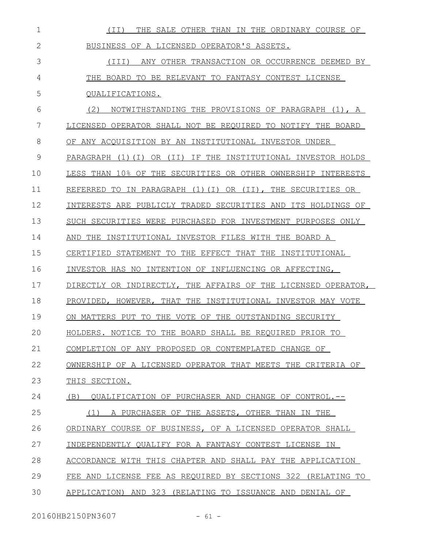| 1  | THE SALE OTHER THAN IN THE ORDINARY COURSE OF<br>(II)              |
|----|--------------------------------------------------------------------|
| 2  | BUSINESS OF A LICENSED OPERATOR'S ASSETS.                          |
| 3  | ANY OTHER TRANSACTION OR OCCURRENCE DEEMED BY<br>(TII)             |
| 4  | THE BOARD TO BE RELEVANT TO FANTASY CONTEST LICENSE                |
| 5  | OUALIFICATIONS.                                                    |
| 6  | (2)<br>NOTWITHSTANDING THE PROVISIONS OF PARAGRAPH (1), A          |
| 7  | LICENSED OPERATOR SHALL NOT BE REQUIRED TO NOTIFY THE BOARD        |
| 8  | OF ANY ACQUISITION BY AN INSTITUTIONAL INVESTOR UNDER              |
| 9  | IF THE INSTITUTIONAL INVESTOR HOLDS<br>PARAGRAPH (1)(I)<br>OR (II) |
| 10 | LESS THAN 10% OF THE SECURITIES OR OTHER OWNERSHIP INTERESTS       |
| 11 | REFERRED TO IN PARAGRAPH (1)(I) OR (II), THE SECURITIES OR         |
| 12 | INTERESTS ARE PUBLICLY TRADED SECURITIES AND ITS HOLDINGS OF       |
| 13 | SUCH SECURITIES WERE PURCHASED FOR INVESTMENT PURPOSES ONLY        |
| 14 | AND THE INSTITUTIONAL INVESTOR FILES WITH THE BOARD A              |
| 15 | CERTIFIED STATEMENT TO THE EFFECT THAT THE INSTITUTIONAL           |
|    |                                                                    |
| 16 | INVESTOR HAS NO INTENTION OF INFLUENCING OR AFFECTING,             |
| 17 | DIRECTLY OR INDIRECTLY, THE AFFAIRS OF THE LICENSED OPERATOR,      |
| 18 | PROVIDED, HOWEVER, THAT THE INSTITUTIONAL INVESTOR MAY VOTE        |
| 19 | ON MATTERS PUT TO THE VOTE OF THE OUTSTANDING SECURITY             |
| 20 | HOLDERS. NOTICE TO THE BOARD SHALL BE REOUIRED PRIOR TO            |
| 21 | COMPLETION OF ANY PROPOSED OR CONTEMPLATED CHANGE OF               |
| 22 | OWNERSHIP OF A LICENSED OPERATOR THAT MEETS THE CRITERIA OF        |
| 23 | THIS SECTION.                                                      |
| 24 | (B) QUALIFICATION OF PURCHASER AND CHANGE OF CONTROL.--            |
| 25 | A PURCHASER OF THE ASSETS, OTHER THAN IN THE<br>(1)                |
| 26 | ORDINARY COURSE OF BUSINESS, OF A LICENSED OPERATOR SHALL          |
| 27 | INDEPENDENTLY QUALIFY FOR A FANTASY CONTEST LICENSE IN             |
| 28 | ACCORDANCE WITH THIS CHAPTER AND SHALL PAY THE APPLICATION         |
| 29 | FEE AND LICENSE FEE AS REQUIRED BY SECTIONS 322 (RELATING TO       |
| 30 | APPLICATION) AND 323 (RELATING TO ISSUANCE AND DENIAL OF           |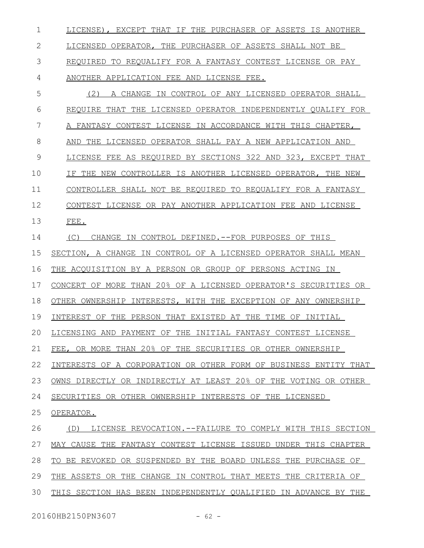LICENSE), EXCEPT THAT IF THE PURCHASER OF ASSETS IS ANOTHER LICENSED OPERATOR, THE PURCHASER OF ASSETS SHALL NOT BE REQUIRED TO REQUALIFY FOR A FANTASY CONTEST LICENSE OR PAY ANOTHER APPLICATION FEE AND LICENSE FEE. (2) A CHANGE IN CONTROL OF ANY LICENSED OPERATOR SHALL REQUIRE THAT THE LICENSED OPERATOR INDEPENDENTLY QUALIFY FOR A FANTASY CONTEST LICENSE IN ACCORDANCE WITH THIS CHAPTER, AND THE LICENSED OPERATOR SHALL PAY A NEW APPLICATION AND LICENSE FEE AS REQUIRED BY SECTIONS 322 AND 323 , EXCEPT THAT IF THE NEW CONTROLLER IS ANOTHER LICENSED OPERATOR, THE NEW CONTROLLER SHALL NOT BE REQUIRED TO REQUALIFY FOR A FANTASY CONTEST LICENSE OR PAY ANOTHER APPLICATION FEE AND LICENSE FEE. (C) CHANGE IN CONTROL DEFINED.--FOR PURPOSES OF THIS SECTION, A CHANGE IN CONTROL OF A LICENSED OPERATOR SHALL MEAN 1 2 3 4 5 6 7 8 9 10 11 12 13 14 15

THE ACQUISITION BY A PERSON OR GROUP OF PERSONS ACTING IN 16

CONCERT OF MORE THAN 20% OF A LICENSED OPERATOR'S SECURITIES OR 17

OTHER OWNERSHIP INTERESTS, WITH THE EXCEPTION OF ANY OWNERSHIP 18

INTEREST OF THE PERSON THAT EXISTED AT THE TIME OF INITIAL 19

LICENSING AND PAYMENT OF THE INITIAL FANTASY CONTEST LICENSE 20

FEE, OR MORE THAN 20% OF THE SECURITIES OR OTHER OWNERSHIP 21

INTERESTS OF A CORPORATION OR OTHER FORM OF BUSINESS ENTITY THAT 22

OWNS DIRECTLY OR INDIRECTLY AT LEAST 20% OF THE VOTING OR OTHER 23

SECURITIES OR OTHER OWNERSHIP INTERESTS OF THE LICENSED 24

OPERATOR. 25

(D) LICENSE REVOCATION.--FAILURE TO COMPLY WITH THIS SECTION MAY CAUSE THE FANTASY CONTEST LICENSE ISSUED UNDER THIS CHAPTER TO BE REVOKED OR SUSPENDED BY THE BOARD UNLESS THE PURCHASE OF THE ASSETS OR THE CHANGE IN CONTROL THAT MEETS THE CRITERIA OF 26 27 28 29

THIS SECTION HAS BEEN INDEPENDENTLY QUALIFIED IN ADVANCE BY THE 30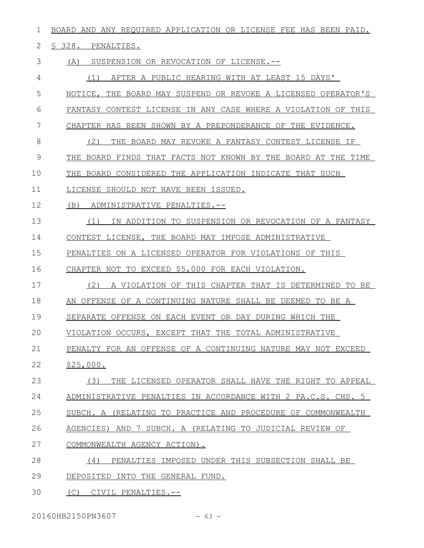| 1  | BOARD AND ANY REQUIRED APPLICATION OR LICENSE FEE HAS BEEN PAID. |
|----|------------------------------------------------------------------|
| 2  | § 328. PENALTIES.                                                |
| 3  | SUSPENSION OR REVOCATION OF LICENSE.--<br>(A)                    |
| 4  | AFTER A PUBLIC HEARING WITH AT LEAST 15 DAYS'<br>(1)             |
| 5  | NOTICE, THE BOARD MAY SUSPEND OR REVOKE A LICENSED OPERATOR'S    |
| 6  | FANTASY CONTEST LICENSE IN ANY CASE WHERE A VIOLATION OF THIS    |
| 7  | CHAPTER HAS BEEN SHOWN BY A PREPONDERANCE OF THE EVIDENCE.       |
| 8  | (2)<br>THE BOARD MAY REVOKE A FANTASY CONTEST LICENSE IF         |
| 9  | BOARD FINDS THAT FACTS NOT KNOWN BY THE BOARD AT THE TIME<br>THE |
| 10 | THE BOARD CONSIDERED THE APPLICATION INDICATE THAT SUCH          |
| 11 | LICENSE SHOULD NOT HAVE BEEN ISSUED.                             |
| 12 | (B)<br>ADMINISTRATIVE PENALTIES.--                               |
| 13 | IN ADDITION TO SUSPENSION OR REVOCATION OF A FANTASY<br>(1)      |
| 14 | CONTEST LICENSE, THE BOARD MAY IMPOSE ADMINISTRATIVE             |
| 15 | PENALTIES ON A LICENSED OPERATOR FOR VIOLATIONS OF THIS          |
| 16 | CHAPTER NOT TO EXCEED \$5,000 FOR EACH VIOLATION.                |
| 17 | (2)<br>A VIOLATION OF THIS CHAPTER THAT IS DETERMINED TO BE      |
| 18 | AN OFFENSE OF A CONTINUING NATURE SHALL BE DEEMED TO BE A        |
| 19 | SEPARATE OFFENSE ON EACH EVENT OR DAY DURING WHICH THE           |
| 20 | VIOLATION OCCURS, EXCEPT THAT THE TOTAL ADMINISTRATIVE           |
| 21 | PENALTY FOR AN OFFENSE OF A CONTINUING NATURE MAY NOT EXCEED     |
| 22 | \$25,000.                                                        |
| 23 | THE LICENSED OPERATOR SHALL HAVE THE RIGHT TO APPEAL<br>(3)      |
| 24 | ADMINISTRATIVE PENALTIES IN ACCORDANCE WITH 2 PA.C.S. CHS. 5     |
| 25 | SUBCH. A (RELATING TO PRACTICE AND PROCEDURE OF COMMONWEALTH     |
| 26 | AGENCIES) AND 7 SUBCH. A (RELATING TO JUDICIAL REVIEW OF         |
| 27 | COMMONWEALTH AGENCY ACTION).                                     |
| 28 | PENALTIES IMPOSED UNDER THIS SUBSECTION SHALL BE<br>(4)          |
| 29 | DEPOSITED INTO THE GENERAL FUND.                                 |
| 30 | (C) CIVIL PENALTIES.--                                           |

20160HB2150PN3607 - 63 -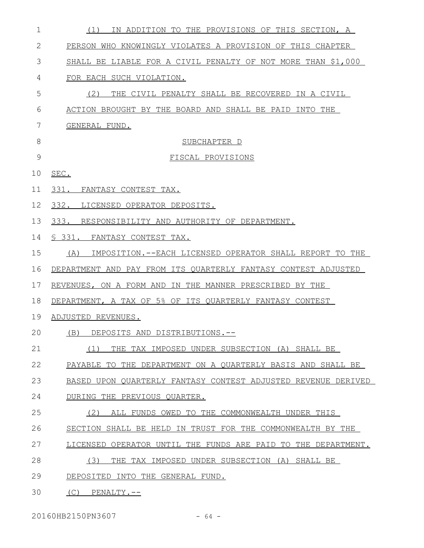| $\mathbf 1$ | IN ADDITION TO THE PROVISIONS OF THIS SECTION, A<br>(1)        |
|-------------|----------------------------------------------------------------|
| 2           | PERSON WHO KNOWINGLY VIOLATES A PROVISION OF THIS CHAPTER      |
| 3           | SHALL BE LIABLE FOR A CIVIL PENALTY OF NOT MORE THAN \$1,000   |
| 4           | FOR EACH SUCH VIOLATION.                                       |
| 5           | (2)<br>THE CIVIL PENALTY SHALL BE RECOVERED IN A CIVIL         |
| 6           | ACTION BROUGHT BY THE BOARD AND SHALL BE PAID INTO THE         |
| 7           | GENERAL FUND.                                                  |
| 8           | SUBCHAPTER D                                                   |
| 9           | FISCAL PROVISIONS                                              |
| 10          | SEC.                                                           |
| 11          | 331. FANTASY CONTEST TAX.                                      |
| 12          | 332. LICENSED OPERATOR DEPOSITS.                               |
| 13          | 333. RESPONSIBILITY AND AUTHORITY OF DEPARTMENT.               |
| 14          | § 331. FANTASY CONTEST TAX.                                    |
| 15          | IMPOSITION.--EACH LICENSED OPERATOR SHALL REPORT TO THE<br>(A) |
| 16          | DEPARTMENT AND PAY FROM ITS QUARTERLY FANTASY CONTEST ADJUSTED |
| 17          | REVENUES, ON A FORM AND IN THE MANNER PRESCRIBED BY THE        |
| 18          | DEPARTMENT, A TAX OF 5% OF ITS QUARTERLY FANTASY CONTEST       |
| 19          | ADJUSTED REVENUES.                                             |
| 20          | (B) DEPOSITS AND DISTRIBUTIONS.--                              |
| 21          | (1)<br>THE TAX IMPOSED UNDER SUBSECTION (A) SHALL BE           |
| 22          | PAYABLE TO THE DEPARTMENT ON A QUARTERLY BASIS AND SHALL BE    |
| 23          | BASED UPON QUARTERLY FANTASY CONTEST ADJUSTED REVENUE DERIVED  |
| 24          | DURING THE PREVIOUS QUARTER.                                   |
| 25          | ALL FUNDS OWED TO THE COMMONWEALTH UNDER THIS<br>(2)           |
| 26          | SECTION SHALL BE HELD IN TRUST FOR THE COMMONWEALTH BY THE     |
| 27          | LICENSED OPERATOR UNTIL THE FUNDS ARE PAID TO THE DEPARTMENT.  |
| 28          | (3)<br>THE TAX IMPOSED UNDER SUBSECTION (A) SHALL BE           |
| 29          | DEPOSITED INTO THE GENERAL FUND.                               |
| 30          | $(C)$ PENALTY.--                                               |

20160HB2150PN3607 - 64 -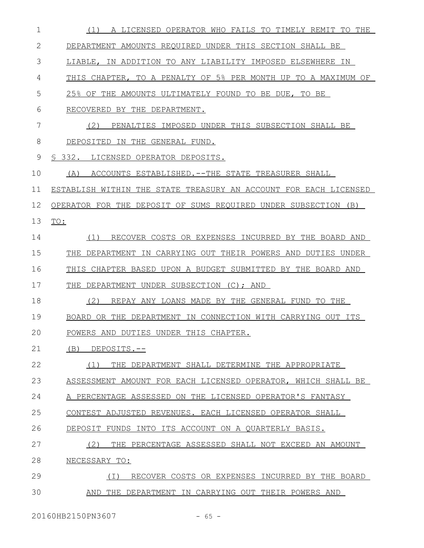| 1  | (1) A LICENSED OPERATOR WHO FAILS TO TIMELY REMIT TO THE         |
|----|------------------------------------------------------------------|
| 2  | DEPARTMENT AMOUNTS REQUIRED UNDER THIS SECTION SHALL BE          |
| 3  | LIABLE, IN ADDITION TO ANY LIABILITY IMPOSED ELSEWHERE IN        |
| 4  | THIS CHAPTER, TO A PENALTY OF 5% PER MONTH UP TO A MAXIMUM OF    |
| 5  | 25% OF THE AMOUNTS ULTIMATELY FOUND TO BE DUE, TO BE             |
| 6  | RECOVERED BY THE DEPARTMENT.                                     |
| 7  | PENALTIES IMPOSED UNDER THIS SUBSECTION SHALL BE<br>(2)          |
| 8  | DEPOSITED IN THE GENERAL FUND.                                   |
| 9  | \$332.<br>LICENSED OPERATOR DEPOSITS.                            |
| 10 | (A)<br>ACCOUNTS ESTABLISHED. -- THE STATE TREASURER SHALL        |
| 11 | ESTABLISH WITHIN THE STATE TREASURY AN ACCOUNT FOR EACH LICENSED |
| 12 | OPERATOR FOR THE DEPOSIT OF SUMS REOUIRED UNDER SUBSECTION (B)   |
| 13 | TO:                                                              |
| 14 | RECOVER COSTS OR EXPENSES INCURRED BY THE BOARD AND<br>(1)       |
| 15 | THE DEPARTMENT IN CARRYING OUT THEIR POWERS AND DUTIES UNDER     |
| 16 | THIS CHAPTER BASED UPON A BUDGET SUBMITTED BY THE BOARD AND      |
| 17 | THE<br>DEPARTMENT UNDER SUBSECTION (C); AND                      |
| 18 | (2)<br>REPAY ANY LOANS MADE BY THE GENERAL FUND TO THE           |
| 19 | BOARD OR THE DEPARTMENT IN CONNECTION WITH CARRYING OUT ITS      |
| 20 | POWERS AND DUTIES UNDER THIS CHAPTER.                            |
| 21 | $(B)$ DEPOSITS.--                                                |
| 22 | THE DEPARTMENT SHALL DETERMINE THE APPROPRIATE<br>(1)            |
| 23 | ASSESSMENT AMOUNT FOR EACH LICENSED OPERATOR, WHICH SHALL BE     |
| 24 | A PERCENTAGE ASSESSED ON THE LICENSED OPERATOR'S FANTASY         |
| 25 | CONTEST ADJUSTED REVENUES. EACH LICENSED OPERATOR SHALL          |
| 26 | DEPOSIT FUNDS INTO ITS ACCOUNT ON A QUARTERLY BASIS.             |
| 27 | (2)<br>THE PERCENTAGE ASSESSED SHALL NOT EXCEED AN AMOUNT        |
| 28 | NECESSARY TO:                                                    |
| 29 | RECOVER COSTS OR EXPENSES INCURRED BY THE BOARD<br>( I )         |
| 30 | AND THE DEPARTMENT IN CARRYING OUT THEIR POWERS AND              |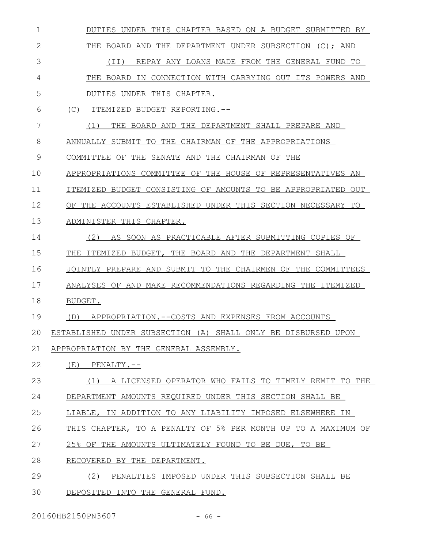| 1  | DUTIES UNDER THIS CHAPTER BASED ON A BUDGET SUBMITTED BY        |
|----|-----------------------------------------------------------------|
| 2  | THE DEPARTMENT UNDER SUBSECTION (C); AND<br>THE<br>BOARD<br>AND |
| 3  | REPAY ANY LOANS MADE FROM THE GENERAL FUND TO<br>(TT)           |
| 4  | IN CONNECTION WITH CARRYING OUT ITS POWERS AND<br>THE BOARD     |
| 5  | DUTIES UNDER THIS CHAPTER.                                      |
| 6  | (C)<br>ITEMIZED BUDGET REPORTING.--                             |
| 7  | (1)<br>THE BOARD AND THE DEPARTMENT SHALL PREPARE AND           |
| 8  | ANNUALLY SUBMIT TO<br>THE CHAIRMAN OF THE APPROPRIATIONS        |
| 9  | COMMITTEE OF THE SENATE AND THE CHAIRMAN OF THE                 |
| 10 | APPROPRIATIONS COMMITTEE OF THE HOUSE OF REPRESENTATIVES AN     |
| 11 | ITEMIZED BUDGET CONSISTING OF AMOUNTS TO BE APPROPRIATED OUT    |
| 12 | OF THE ACCOUNTS ESTABLISHED UNDER THIS SECTION NECESSARY TO     |
| 13 | ADMINISTER THIS CHAPTER.                                        |
| 14 | (2)<br>AS SOON AS PRACTICABLE AFTER SUBMITTING COPIES OF        |
| 15 | THE BOARD AND THE DEPARTMENT SHALL<br>THE<br>ITEMIZED BUDGET,   |
| 16 | JOINTLY PREPARE AND SUBMIT TO THE CHAIRMEN OF THE<br>COMMITTEES |
| 17 | ANALYSES OF AND MAKE RECOMMENDATIONS REGARDING THE ITEMIZED     |
| 18 | BUDGET.                                                         |
| 19 | APPROPRIATION.--COSTS AND EXPENSES FROM ACCOUNTS<br>(D)         |
| 20 | ESTABLISHED UNDER SUBSECTION (A) SHALL ONLY BE DISBURSED UPON   |
| 21 | APPROPRIATION BY THE GENERAL ASSEMBLY.                          |
| 22 | (E)<br>$PENALTY. --$                                            |
| 23 | A LICENSED OPERATOR WHO FAILS TO TIMELY REMIT TO THE<br>(1)     |
| 24 | DEPARTMENT AMOUNTS REOUIRED UNDER THIS SECTION SHALL BE         |
| 25 | LIABLE, IN ADDITION TO ANY LIABILITY IMPOSED ELSEWHERE IN       |
| 26 | THIS CHAPTER, TO A PENALTY OF 5% PER MONTH UP TO A MAXIMUM OF   |
| 27 | 25% OF THE AMOUNTS ULTIMATELY FOUND TO BE DUE, TO BE            |
| 28 | RECOVERED BY THE DEPARTMENT.                                    |
| 29 | (2)<br>PENALTIES IMPOSED UNDER THIS SUBSECTION SHALL BE         |
| 30 | DEPOSITED INTO THE GENERAL FUND.                                |

20160HB2150PN3607 - 66 -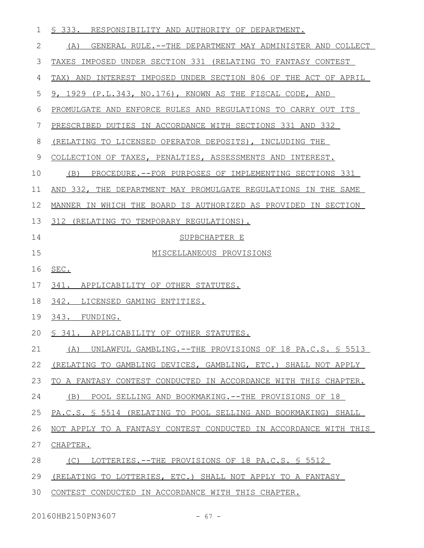| $\mathbf 1$  | S 333. RESPONSIBILITY AND AUTHORITY OF DEPARTMENT.               |
|--------------|------------------------------------------------------------------|
| $\mathbf{2}$ | GENERAL RULE.--THE DEPARTMENT MAY ADMINISTER AND COLLECT<br>(A)  |
| 3            | TAXES IMPOSED UNDER SECTION 331 (RELATING TO FANTASY CONTEST     |
| 4            | TAX) AND INTEREST IMPOSED UNDER SECTION 806 OF THE ACT OF APRIL  |
| 5            | 9, 1929 (P.L.343, NO.176), KNOWN AS THE FISCAL CODE, AND         |
| 6            | PROMULGATE AND ENFORCE RULES AND REGULATIONS TO CARRY OUT ITS    |
| 7            | PRESCRIBED DUTIES IN ACCORDANCE WITH SECTIONS 331 AND 332        |
| 8            | (RELATING TO LICENSED OPERATOR DEPOSITS), INCLUDING THE          |
| $\mathsf 9$  | COLLECTION OF TAXES, PENALTIES, ASSESSMENTS AND INTEREST.        |
| 10           | (B)<br>PROCEDURE. -- FOR PURPOSES OF IMPLEMENTING SECTIONS 331   |
| 11           | AND 332, THE DEPARTMENT MAY PROMULGATE REGULATIONS IN THE SAME   |
| 12           | MANNER IN WHICH THE BOARD IS AUTHORIZED AS PROVIDED IN SECTION   |
| 13           | 312 (RELATING TO TEMPORARY REGULATIONS).                         |
| 14           | SUPBCHAPTER E                                                    |
| 15           | MISCELLANEOUS PROVISIONS                                         |
|              |                                                                  |
| 16           | SEC.                                                             |
| 17           | 341. APPLICABILITY OF OTHER STATUTES.                            |
| 18           | 342. LICENSED GAMING ENTITIES.                                   |
| 19           | 343. FUNDING.                                                    |
|              | 20 § 341. APPLICABILITY OF OTHER STATUTES.                       |
| 21           | UNLAWFUL GAMBLING. -- THE PROVISIONS OF 18 PA.C.S. § 5513<br>(A) |
| 22           | (RELATING TO GAMBLING DEVICES, GAMBLING, ETC.) SHALL NOT APPLY   |
| 23           | TO A FANTASY CONTEST CONDUCTED IN ACCORDANCE WITH THIS CHAPTER.  |
| 24           | (B)<br>POOL SELLING AND BOOKMAKING. -- THE PROVISIONS OF 18      |
| 25           | PA.C.S. § 5514 (RELATING TO POOL SELLING AND BOOKMAKING) SHALL   |
| 26           | NOT APPLY TO A FANTASY CONTEST CONDUCTED IN ACCORDANCE WITH THIS |
| 27           | CHAPTER.                                                         |
| 28           | (C)<br>LOTTERIES.--THE PROVISIONS OF 18 PA.C.S. \$ 5512          |
| 29           | (RELATING TO LOTTERIES, ETC.) SHALL NOT APPLY TO A FANTASY       |

20160HB2150PN3607 - 67 -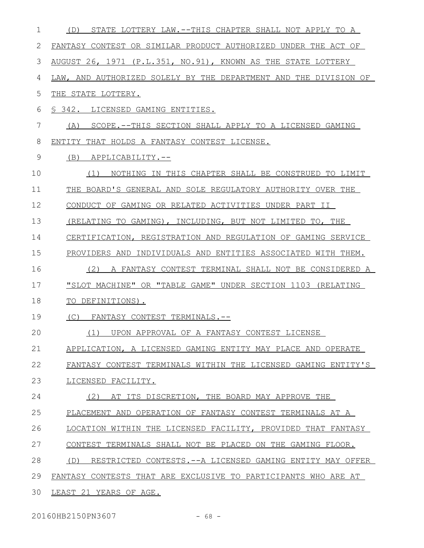| 1            | STATE LOTTERY LAW.--THIS CHAPTER SHALL NOT APPLY TO A<br>(D)      |
|--------------|-------------------------------------------------------------------|
| $\mathbf{2}$ | FANTASY CONTEST OR SIMILAR PRODUCT AUTHORIZED UNDER THE ACT OF    |
| 3            | AUGUST 26, 1971 (P.L.351, NO.91), KNOWN AS THE STATE LOTTERY      |
| 4            | LAW, AND AUTHORIZED SOLELY BY THE DEPARTMENT AND THE DIVISION OF  |
| 5            | THE STATE LOTTERY.                                                |
| 6            | S 342. LICENSED GAMING ENTITIES.                                  |
| 7            | SCOPE.--THIS SECTION SHALL APPLY TO A LICENSED GAMING<br>(A)      |
| 8            | ENTITY THAT HOLDS A FANTASY CONTEST LICENSE.                      |
| 9            | (B)<br>APPLICABILITY.--                                           |
| 10           | NOTHING IN THIS CHAPTER SHALL BE CONSTRUED TO LIMIT<br>(1)        |
| 11           | THE BOARD'S GENERAL AND SOLE REGULATORY AUTHORITY OVER THE        |
| 12           | CONDUCT OF GAMING OR RELATED ACTIVITIES UNDER PART II             |
| 13           | (RELATING TO GAMING), INCLUDING, BUT NOT LIMITED TO, THE          |
| 14           | CERTIFICATION, REGISTRATION AND REGULATION OF GAMING SERVICE      |
| 15           | PROVIDERS AND INDIVIDUALS AND ENTITIES ASSOCIATED WITH THEM.      |
| 16           | A FANTASY CONTEST TERMINAL SHALL NOT BE CONSIDERED A<br>(2)       |
| 17           | "SLOT MACHINE" OR "TABLE GAME" UNDER SECTION 1103 (RELATING       |
| 18           | TO DEFINITIONS).                                                  |
| 19           | (C)<br>FANTASY CONTEST TERMINALS.--                               |
| 20           | (1) UPON APPROVAL OF A FANTASY CONTEST LICENSE                    |
| 21           | APPLICATION, A LICENSED GAMING ENTITY MAY PLACE AND OPERATE       |
| 22           | FANTASY CONTEST TERMINALS WITHIN THE LICENSED GAMING ENTITY'S     |
| 23           | LICENSED FACILITY.                                                |
| 24           | (2) AT ITS DISCRETION, THE BOARD MAY APPROVE THE                  |
| 25           | PLACEMENT AND OPERATION OF FANTASY CONTEST TERMINALS AT A         |
| 26           | LOCATION WITHIN THE LICENSED FACILITY, PROVIDED THAT FANTASY      |
| 27           | CONTEST TERMINALS SHALL NOT BE PLACED ON THE GAMING FLOOR.        |
| 28           | (D)<br>RESTRICTED CONTESTS. -- A LICENSED GAMING ENTITY MAY OFFER |
| 29           | FANTASY CONTESTS THAT ARE EXCLUSIVE TO PARTICIPANTS WHO ARE AT    |
| 30           | LEAST 21 YEARS OF AGE.                                            |

20160HB2150PN3607 - 68 -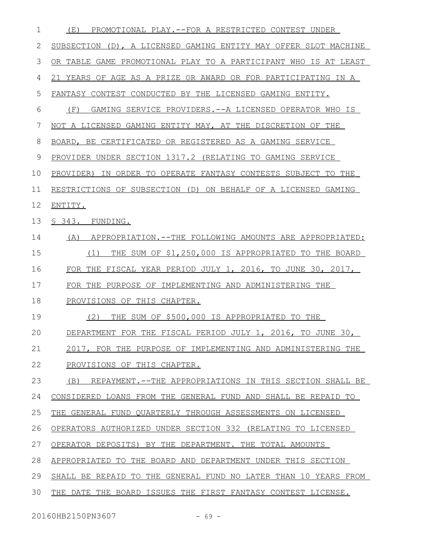| PROMOTIONAL PLAY.--FOR A RESTRICTED CONTEST UNDER<br>(E)         |
|------------------------------------------------------------------|
| SUBSECTION (D), A LICENSED GAMING ENTITY MAY OFFER SLOT MACHINE  |
| OR TABLE GAME PROMOTIONAL PLAY TO A PARTICIPANT WHO IS AT LEAST  |
| 21 YEARS OF AGE AS A PRIZE OR AWARD OR FOR PARTICIPATING IN A    |
| FANTASY CONTEST CONDUCTED BY THE LICENSED GAMING ENTITY.         |
| (F)<br>GAMING SERVICE PROVIDERS. -- A LICENSED OPERATOR WHO IS   |
| NOT A LICENSED GAMING ENTITY MAY, AT THE DISCRETION OF THE       |
| BOARD, BE CERTIFICATED OR REGISTERED AS A GAMING SERVICE         |
| PROVIDER UNDER SECTION 1317.2 (RELATING TO GAMING SERVICE        |
| IN ORDER TO OPERATE FANTASY CONTESTS SUBJECT TO THE<br>PROVIDER) |
| RESTRICTIONS OF SUBSECTION (D) ON BEHALF OF A LICENSED GAMING    |
| ENTITY.                                                          |
| § 343. FUNDING.                                                  |
| (A) APPROPRIATION.--THE FOLLOWING AMOUNTS ARE APPROPRIATED:      |
| THE SUM OF \$1,250,000 IS APPROPRIATED TO THE BOARD<br>(1)       |
| FOR THE FISCAL YEAR PERIOD JULY 1, 2016, TO JUNE 30, 2017,       |
| FOR THE PURPOSE OF IMPLEMENTING AND ADMINISTERING THE            |
| PROVISIONS OF THIS CHAPTER.                                      |
| THE SUM OF \$500,000 IS APPROPRIATED TO THE<br>(2)               |
| DEPARTMENT FOR THE FISCAL PERIOD JULY 1, 2016, TO JUNE 30,       |
| 2017, FOR THE PURPOSE OF IMPLEMENTING AND ADMINISTERING THE      |
| PROVISIONS OF THIS CHAPTER.                                      |
| (B)<br>REPAYMENT.--THE APPROPRIATIONS IN THIS SECTION SHALL BE   |
| CONSIDERED LOANS FROM THE GENERAL FUND AND SHALL BE REPAID TO    |
| THE GENERAL FUND QUARTERLY THROUGH ASSESSMENTS ON LICENSED       |
| OPERATORS AUTHORIZED UNDER SECTION 332 (RELATING TO LICENSED     |
| OPERATOR DEPOSITS) BY THE DEPARTMENT. THE TOTAL AMOUNTS          |
| APPROPRIATED TO THE BOARD AND DEPARTMENT UNDER THIS SECTION      |
| SHALL BE REPAID TO THE GENERAL FUND NO LATER THAN 10 YEARS FROM  |
| THE DATE THE BOARD ISSUES THE FIRST FANTASY CONTEST LICENSE.     |
|                                                                  |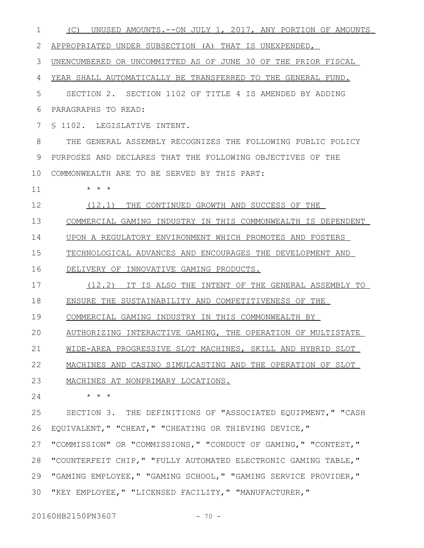| 1  | UNUSED AMOUNTS. -- ON JULY 1, 2017, ANY PORTION OF AMOUNTS<br>(C) |
|----|-------------------------------------------------------------------|
| 2  | APPROPRIATED UNDER SUBSECTION (A) THAT IS UNEXPENDED,             |
| 3  | UNENCUMBERED OR UNCOMMITTED AS OF JUNE 30 OF THE PRIOR FISCAL     |
| 4  | YEAR SHALL AUTOMATICALLY BE TRANSFERRED TO THE GENERAL FUND.      |
| 5  | SECTION 2. SECTION 1102 OF TITLE 4 IS AMENDED BY ADDING           |
| 6  | PARAGRAPHS TO READ:                                               |
| 7  | \$ 1102. LEGISLATIVE INTENT.                                      |
| 8  | THE GENERAL ASSEMBLY RECOGNIZES THE FOLLOWING PUBLIC POLICY       |
| 9  | PURPOSES AND DECLARES THAT THE FOLLOWING OBJECTIVES OF THE        |
| 10 | COMMONWEALTH ARE TO BE SERVED BY THIS PART:                       |
| 11 | $\star$ $\star$ $\star$                                           |
| 12 | (12.1) THE CONTINUED GROWTH AND SUCCESS OF THE                    |
| 13 | COMMERCIAL GAMING INDUSTRY IN THIS COMMONWEALTH IS DEPENDENT      |
| 14 | UPON A REGULATORY ENVIRONMENT WHICH PROMOTES AND FOSTERS          |
| 15 | TECHNOLOGICAL ADVANCES AND ENCOURAGES THE DEVELOPMENT AND         |
| 16 | DELIVERY OF INNOVATIVE GAMING PRODUCTS.                           |
| 17 | (12.2) IT IS ALSO THE INTENT OF THE GENERAL ASSEMBLY TO           |
| 18 | ENSURE THE SUSTAINABILITY AND COMPETITIVENESS OF THE              |
| 19 | COMMERCIAL GAMING INDUSTRY IN THIS COMMONWEALTH BY                |
| 20 | AUTHORIZING INTERACTIVE GAMING, THE OPERATION OF MULTISTATE       |
| 21 | WIDE-AREA PROGRESSIVE SLOT MACHINES, SKILL AND HYBRID SLOT        |
| 22 | MACHINES AND CASINO SIMULCASTING AND THE OPERATION OF SLOT        |
| 23 | MACHINES AT NONPRIMARY LOCATIONS.                                 |
| 24 | $\star$ $\star$ $\star$                                           |
| 25 | SECTION 3. THE DEFINITIONS OF "ASSOCIATED EQUIPMENT," "CASH       |
| 26 | EQUIVALENT, " "CHEAT, " "CHEATING OR THIEVING DEVICE, "           |
| 27 | "COMMISSION" OR "COMMISSIONS," "CONDUCT OF GAMING," "CONTEST,"    |
| 28 | "COUNTERFEIT CHIP, " "FULLY AUTOMATED ELECTRONIC GAMING TABLE, "  |
| 29 | "GAMING EMPLOYEE, " "GAMING SCHOOL, " "GAMING SERVICE PROVIDER, " |
| 30 | "KEY EMPLOYEE, " "LICENSED FACILITY, " "MANUFACTURER, "           |

20160HB2150PN3607 - 70 -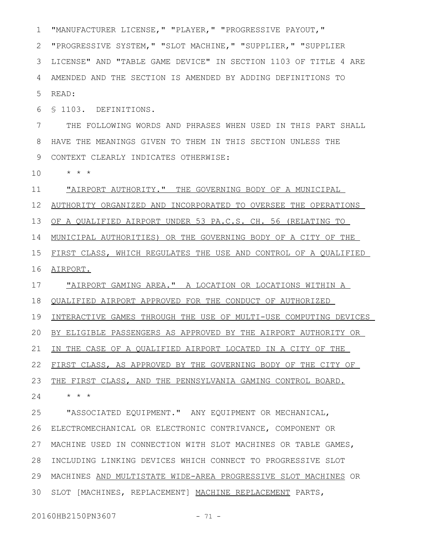"MANUFACTURER LICENSE," "PLAYER," "PROGRESSIVE PAYOUT," "PROGRESSIVE SYSTEM," "SLOT MACHINE," "SUPPLIER," "SUPPLIER LICENSE" AND "TABLE GAME DEVICE" IN SECTION 1103 OF TITLE 4 ARE AMENDED AND THE SECTION IS AMENDED BY ADDING DEFINITIONS TO READ: § 1103. DEFINITIONS. THE FOLLOWING WORDS AND PHRASES WHEN USED IN THIS PART SHALL HAVE THE MEANINGS GIVEN TO THEM IN THIS SECTION UNLESS THE CONTEXT CLEARLY INDICATES OTHERWISE: 9 \* \* \* "AIRPORT AUTHORITY." THE GOVERNING BODY OF A MUNICIPAL AUTHORITY ORGANIZED AND INCORPORATED TO OVERSEE THE OPERATIONS OF A QUALIFIED AIRPORT UNDER 53 PA.C.S. CH. 56 (RELATING TO 1 2 3 4 5 6 7 8 10 11 12 13

FIRST CLASS, WHICH REGULATES THE USE AND CONTROL OF A QUALIFIED AIRPORT. 15 16

MUNICIPAL AUTHORITIES) OR THE GOVERNING BODY OF A CITY OF THE

"AIRPORT GAMING AREA." A LOCATION OR LOCATIONS WITHIN A QUALIFIED AIRPORT APPROVED FOR THE CONDUCT OF AUTHORIZED INTERACTIVE GAMES THROUGH THE USE OF MULTI-USE COMPUTING DEVICES BY ELIGIBLE PASSENGERS AS APPROVED BY THE AIRPORT AUTHORITY OR IN THE CASE OF A QUALIFIED AIRPORT LOCATED IN A CITY OF THE FIRST CLASS, AS APPROVED BY THE GOVERNING BODY OF THE CITY OF THE FIRST CLASS, AND THE PENNSYLVANIA GAMING CONTROL BOARD. \* \* \* 17 18 19 20 21 22 23 24

"ASSOCIATED EQUIPMENT." ANY EQUIPMENT OR MECHANICAL, ELECTROMECHANICAL OR ELECTRONIC CONTRIVANCE, COMPONENT OR 26 MACHINE USED IN CONNECTION WITH SLOT MACHINES OR TABLE GAMES, INCLUDING LINKING DEVICES WHICH CONNECT TO PROGRESSIVE SLOT MACHINES AND MULTISTATE WIDE-AREA PROGRESSIVE SLOT MACHINES OR 29 30 SLOT [MACHINES, REPLACEMENT] MACHINE REPLACEMENT PARTS, 25 27 28

20160HB2150PN3607 - 71 -

14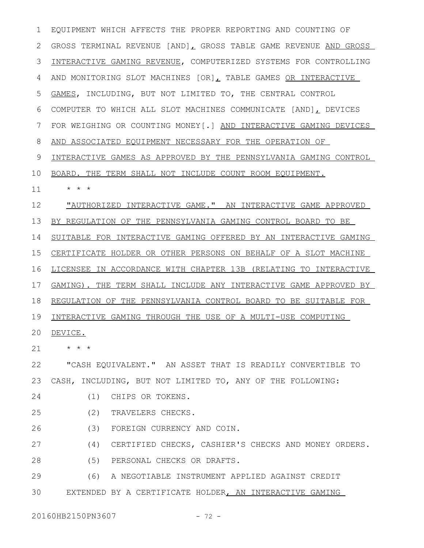EQUIPMENT WHICH AFFECTS THE PROPER REPORTING AND COUNTING OF 2 GROSS TERMINAL REVENUE [AND], GROSS TABLE GAME REVENUE AND GROSS INTERACTIVE GAMING REVENUE, COMPUTERIZED SYSTEMS FOR CONTROLLING AND MONITORING SLOT MACHINES [OR], TABLE GAMES OR INTERACTIVE GAMES, INCLUDING, BUT NOT LIMITED TO, THE CENTRAL CONTROL COMPUTER TO WHICH ALL SLOT MACHINES COMMUNICATE [AND], DEVICES FOR WEIGHING OR COUNTING MONEY[.] AND INTERACTIVE GAMING DEVICES AND ASSOCIATED EQUIPMENT NECESSARY FOR THE OPERATION OF INTERACTIVE GAMES AS APPROVED BY THE PENNSYLVANIA GAMING CONTROL BOARD. THE TERM SHALL NOT INCLUDE COUNT ROOM EQUIPMENT. \* \* \* "AUTHORIZED INTERACTIVE GAME." AN INTERACTIVE GAME APPROVED BY REGULATION OF THE PENNSYLVANIA GAMING CONTROL BOARD TO BE SUITABLE FOR INTERACTIVE GAMING OFFERED BY AN INTERACTIVE GAMING CERTIFICATE HOLDER OR OTHER PERSONS ON BEHALF OF A SLOT MACHINE LICENSEE IN ACCORDANCE WITH CHAPTER 13B (RELATING TO INTERACTIVE GAMING). THE TERM SHALL INCLUDE ANY INTERACTIVE GAME APPROVED BY REGULATION OF THE PENNSYLVANIA CONTROL BOARD TO BE SUITABLE FOR 19 INTERACTIVE GAMING THROUGH THE USE OF A MULTI-USE COMPUTING 20 DEVICE. \* \* \* "CASH EQUIVALENT." AN ASSET THAT IS READILY CONVERTIBLE TO CASH, INCLUDING, BUT NOT LIMITED TO, ANY OF THE FOLLOWING: (1) CHIPS OR TOKENS. (2) TRAVELERS CHECKS. (3) FOREIGN CURRENCY AND COIN. (4) CERTIFIED CHECKS, CASHIER'S CHECKS AND MONEY ORDERS. (5) PERSONAL CHECKS OR DRAFTS. (6) A NEGOTIABLE INSTRUMENT APPLIED AGAINST CREDIT EXTENDED BY A CERTIFICATE HOLDER, AN INTERACTIVE GAMING 1 3 4 5 6 7 8 9 10 11 12 13 14 15 16 17 18 21 22 23 24 25 26 27 28 29 30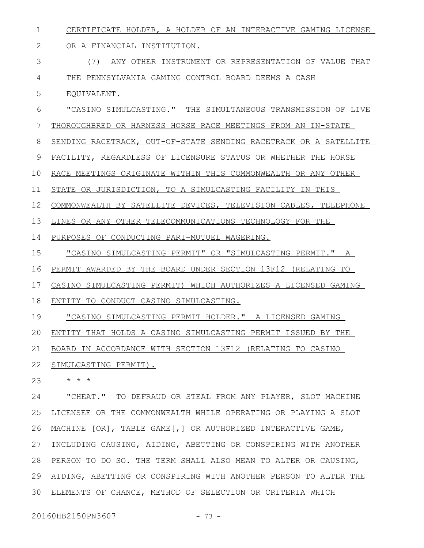CERTIFICATE HOLDER, A HOLDER OF AN INTERACTIVE GAMING LICENSE 1

OR A FINANCIAL INSTITUTION. 2

(7) ANY OTHER INSTRUMENT OR REPRESENTATION OF VALUE THAT THE PENNSYLVANIA GAMING CONTROL BOARD DEEMS A CASH EQUIVALENT. 3 4 5

"CASINO SIMULCASTING." THE SIMULTANEOUS TRANSMISSION OF LIVE THOROUGHBRED OR HARNESS HORSE RACE MEETINGS FROM AN IN-STATE 6 7

SENDING RACETRACK, OUT-OF-STATE SENDING RACETRACK OR A SATELLITE 8

FACILITY, REGARDLESS OF LICENSURE STATUS OR WHETHER THE HORSE 9

RACE MEETINGS ORIGINATE WITHIN THIS COMMONWEALTH OR ANY OTHER 10

STATE OR JURISDICTION, TO A SIMULCASTING FACILITY IN THIS 11

COMMONWEALTH BY SATELLITE DEVICES, TELEVISION CABLES, TELEPHONE 12

LINES OR ANY OTHER TELECOMMUNICATIONS TECHNOLOGY FOR THE 13

PURPOSES OF CONDUCTING PARI-MUTUEL WAGERING. 14

"CASINO SIMULCASTING PERMIT" OR "SIMULCASTING PERMIT." A 15

PERMIT AWARDED BY THE BOARD UNDER SECTION 13F12 (RELATING TO 16

CASINO SIMULCASTING PERMIT) WHICH AUTHORIZES A LICENSED GAMING 17

ENTITY TO CONDUCT CASINO SIMULCASTING. 18

"CASINO SIMULCASTING PERMIT HOLDER." A LICENSED GAMING 19

ENTITY THAT HOLDS A CASINO SIMULCASTING PERMIT ISSUED BY THE 20

BOARD IN ACCORDANCE WITH SECTION 13F12 (RELATING TO CASINO 21

SIMULCASTING PERMIT). 22

\* \* \* 23

"CHEAT." TO DEFRAUD OR STEAL FROM ANY PLAYER, SLOT MACHINE LICENSEE OR THE COMMONWEALTH WHILE OPERATING OR PLAYING A SLOT MACHINE [OR], TABLE GAME[,] OR AUTHORIZED INTERACTIVE GAME, INCLUDING CAUSING, AIDING, ABETTING OR CONSPIRING WITH ANOTHER PERSON TO DO SO. THE TERM SHALL ALSO MEAN TO ALTER OR CAUSING, AIDING, ABETTING OR CONSPIRING WITH ANOTHER PERSON TO ALTER THE ELEMENTS OF CHANCE, METHOD OF SELECTION OR CRITERIA WHICH 24 25 26 27 28 29 30

20160HB2150PN3607 - 73 -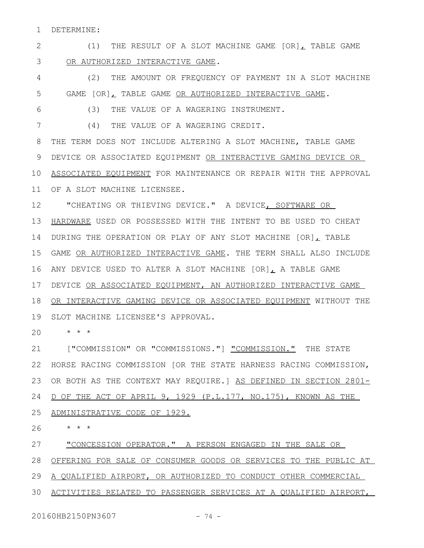DETERMINE: 1

(1) THE RESULT OF A SLOT MACHINE GAME  $[OR]$ , TABLE GAME OR AUTHORIZED INTERACTIVE GAME. 2 3

(2) THE AMOUNT OR FREQUENCY OF PAYMENT IN A SLOT MACHINE GAME [OR], TABLE GAME OR AUTHORIZED INTERACTIVE GAME. 4 5

(3) THE VALUE OF A WAGERING INSTRUMENT.

6

7

(4) THE VALUE OF A WAGERING CREDIT.

THE TERM DOES NOT INCLUDE ALTERING A SLOT MACHINE, TABLE GAME DEVICE OR ASSOCIATED EQUIPMENT OR INTERACTIVE GAMING DEVICE OR 10 ASSOCIATED EQUIPMENT FOR MAINTENANCE OR REPAIR WITH THE APPROVAL 11 OF A SLOT MACHINE LICENSEE. 8 9

"CHEATING OR THIEVING DEVICE." A DEVICE, SOFTWARE OR HARDWARE USED OR POSSESSED WITH THE INTENT TO BE USED TO CHEAT 14 DURING THE OPERATION OR PLAY OF ANY SLOT MACHINE [OR], TABLE GAME OR AUTHORIZED INTERACTIVE GAME. THE TERM SHALL ALSO INCLUDE 16 ANY DEVICE USED TO ALTER A SLOT MACHINE [OR], A TABLE GAME DEVICE OR ASSOCIATED EQUIPMENT, AN AUTHORIZED INTERACTIVE GAME OR INTERACTIVE GAMING DEVICE OR ASSOCIATED EQUIPMENT WITHOUT THE 12 13 15 17 18

19 SLOT MACHINE LICENSEE'S APPROVAL.

\* \* \* 20

["COMMISSION" OR "COMMISSIONS."] "COMMISSION." THE STATE 22 HORSE RACING COMMISSION [OR THE STATE HARNESS RACING COMMISSION, 23 OR BOTH AS THE CONTEXT MAY REQUIRE.] AS DEFINED IN SECTION 2801-24 D OF THE ACT OF APRIL 9, 1929 (P.L.177, NO.175), KNOWN AS THE 21

 ADMINISTRATIVE CODE OF 1929. 25

\* \* \* 26

"CONCESSION OPERATOR." A PERSON ENGAGED IN THE SALE OR 27

OFFERING FOR SALE OF CONSUMER GOODS OR SERVICES TO THE PUBLIC AT 28

29 A QUALIFIED AIRPORT, OR AUTHORIZED TO CONDUCT OTHER COMMERCIAL

ACTIVITIES RELATED TO PASSENGER SERVICES AT A QUALIFIED AIRPORT, 30

20160HB2150PN3607 - 74 -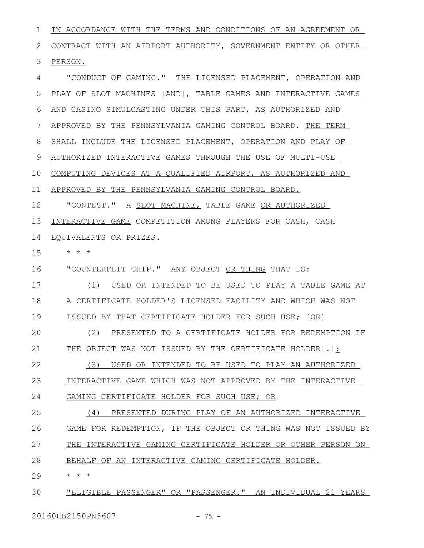IN ACCORDANCE WITH THE TERMS AND CONDITIONS OF AN AGREEMENT OR CONTRACT WITH AN AIRPORT AUTHORITY, GOVERNMENT ENTITY OR OTHER PERSON. "CONDUCT OF GAMING." THE LICENSED PLACEMENT, OPERATION AND PLAY OF SLOT MACHINES [AND], TABLE GAMES AND INTERACTIVE GAMES AND CASINO SIMULCASTING UNDER THIS PART, AS AUTHORIZED AND APPROVED BY THE PENNSYLVANIA GAMING CONTROL BOARD. THE TERM SHALL INCLUDE THE LICENSED PLACEMENT, OPERATION AND PLAY OF AUTHORIZED INTERACTIVE GAMES THROUGH THE USE OF MULTI-USE COMPUTING DEVICES AT A QUALIFIED AIRPORT, AS AUTHORIZED AND APPROVED BY THE PENNSYLVANIA GAMING CONTROL BOARD. "CONTEST." A SLOT MACHINE, TABLE GAME OR AUTHORIZED INTERACTIVE GAME COMPETITION AMONG PLAYERS FOR CASH, CASH EQUIVALENTS OR PRIZES. \* \* \* "COUNTERFEIT CHIP." ANY OBJECT OR THING THAT IS: (1) USED OR INTENDED TO BE USED TO PLAY A TABLE GAME AT A CERTIFICATE HOLDER'S LICENSED FACILITY AND WHICH WAS NOT ISSUED BY THAT CERTIFICATE HOLDER FOR SUCH USE; [OR] (2) PRESENTED TO A CERTIFICATE HOLDER FOR REDEMPTION IF THE OBJECT WAS NOT ISSUED BY THE CERTIFICATE HOLDER[.]; 1 2 3 4 5 6 7 8 9 10 11 12 13 14 15 16 17 18 19  $20$ 21

(3) USED OR INTENDED TO BE USED TO PLAY AN AUTHORIZED INTERACTIVE GAME WHICH WAS NOT APPROVED BY THE INTERACTIVE GAMING CERTIFICATE HOLDER FOR SUCH USE; OR 22 23 24

(4) PRESENTED DURING PLAY OF AN AUTHORIZED INTERACTIVE GAME FOR REDEMPTION, IF THE OBJECT OR THING WAS NOT ISSUED BY THE INTERACTIVE GAMING CERTIFICATE HOLDER OR OTHER PERSON ON BEHALF OF AN INTERACTIVE GAMING CERTIFICATE HOLDER. 25 26 27 28

\* \* \* 29

"ELIGIBLE PASSENGER" OR "PASSENGER." AN INDIVIDUAL 21 YEARS 30

20160HB2150PN3607 - 75 -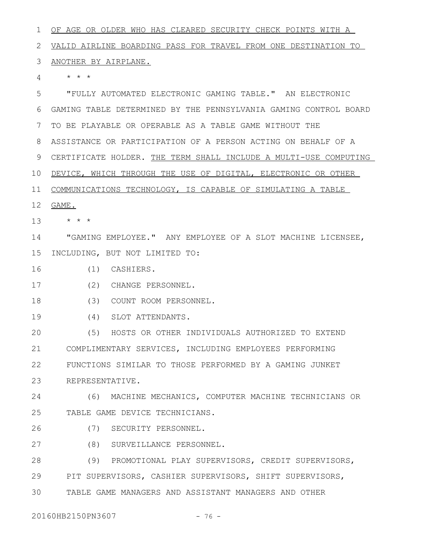OF AGE OR OLDER WHO HAS CLEARED SECURITY CHECK POINTS WITH A VALID AIRLINE BOARDING PASS FOR TRAVEL FROM ONE DESTINATION TO 2 3 ANOTHER BY AIRPLANE. \* \* \* "FULLY AUTOMATED ELECTRONIC GAMING TABLE." AN ELECTRONIC GAMING TABLE DETERMINED BY THE PENNSYLVANIA GAMING CONTROL BOARD TO BE PLAYABLE OR OPERABLE AS A TABLE GAME WITHOUT THE ASSISTANCE OR PARTICIPATION OF A PERSON ACTING ON BEHALF OF A 8 9 CERTIFICATE HOLDER. THE TERM SHALL INCLUDE A MULTI-USE COMPUTING 10 DEVICE, WHICH THROUGH THE USE OF DIGITAL, ELECTRONIC OR OTHER 11 COMMUNICATIONS TECHNOLOGY, IS CAPABLE OF SIMULATING A TABLE 12 **GAME.** \* \* \* "GAMING EMPLOYEE." ANY EMPLOYEE OF A SLOT MACHINE LICENSEE, 15 INCLUDING, BUT NOT LIMITED TO: (1) CASHIERS. (2) CHANGE PERSONNEL. (3) COUNT ROOM PERSONNEL. (4) SLOT ATTENDANTS. (5) HOSTS OR OTHER INDIVIDUALS AUTHORIZED TO EXTEND COMPLIMENTARY SERVICES, INCLUDING EMPLOYEES PERFORMING FUNCTIONS SIMILAR TO THOSE PERFORMED BY A GAMING JUNKET REPRESENTATIVE. (6) MACHINE MECHANICS, COMPUTER MACHINE TECHNICIANS OR TABLE GAME DEVICE TECHNICIANS. (7) SECURITY PERSONNEL. (8) SURVEILLANCE PERSONNEL. (9) PROMOTIONAL PLAY SUPERVISORS, CREDIT SUPERVISORS, PIT SUPERVISORS, CASHIER SUPERVISORS, SHIFT SUPERVISORS, TABLE GAME MANAGERS AND ASSISTANT MANAGERS AND OTHER 1 4 5 6 7 13 14 16 17 18 19  $20$ 21 22 23 24 25 26 27 28 29 30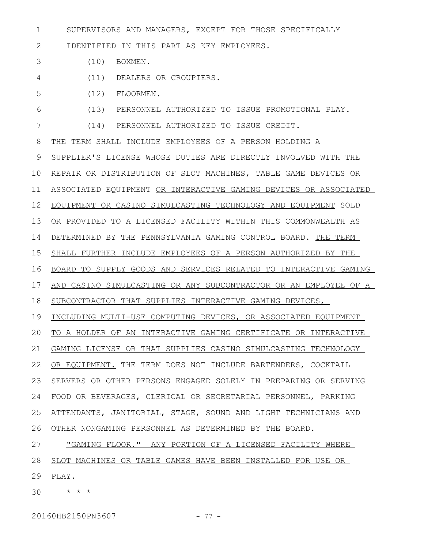SUPERVISORS AND MANAGERS, EXCEPT FOR THOSE SPECIFICALLY 1

IDENTIFIED IN THIS PART AS KEY EMPLOYEES. 2

- (10) BOXMEN. 3
- (11) DEALERS OR CROUPIERS. 4
- (12) FLOORMEN. 5

(13) PERSONNEL AUTHORIZED TO ISSUE PROMOTIONAL PLAY. 6

(14) PERSONNEL AUTHORIZED TO ISSUE CREDIT. 7

THE TERM SHALL INCLUDE EMPLOYEES OF A PERSON HOLDING A SUPPLIER'S LICENSE WHOSE DUTIES ARE DIRECTLY INVOLVED WITH THE REPAIR OR DISTRIBUTION OF SLOT MACHINES, TABLE GAME DEVICES OR ASSOCIATED EQUIPMENT OR INTERACTIVE GAMING DEVICES OR ASSOCIATED EQUIPMENT OR CASINO SIMULCASTING TECHNOLOGY AND EQUIPMENT SOLD OR PROVIDED TO A LICENSED FACILITY WITHIN THIS COMMONWEALTH AS DETERMINED BY THE PENNSYLVANIA GAMING CONTROL BOARD. THE TERM SHALL FURTHER INCLUDE EMPLOYEES OF A PERSON AUTHORIZED BY THE BOARD TO SUPPLY GOODS AND SERVICES RELATED TO INTERACTIVE GAMING AND CASINO SIMULCASTING OR ANY SUBCONTRACTOR OR AN EMPLOYEE OF A SUBCONTRACTOR THAT SUPPLIES INTERACTIVE GAMING DEVICES, INCLUDING MULTI-USE COMPUTING DEVICES, OR ASSOCIATED EQUIPMENT TO A HOLDER OF AN INTERACTIVE GAMING CERTIFICATE OR INTERACTIVE GAMING LICENSE OR THAT SUPPLIES CASINO SIMULCASTING TECHNOLOGY 22 OR EQUIPMENT. THE TERM DOES NOT INCLUDE BARTENDERS, COCKTAIL SERVERS OR OTHER PERSONS ENGAGED SOLELY IN PREPARING OR SERVING FOOD OR BEVERAGES, CLERICAL OR SECRETARIAL PERSONNEL, PARKING ATTENDANTS, JANITORIAL, STAGE, SOUND AND LIGHT TECHNICIANS AND OTHER NONGAMING PERSONNEL AS DETERMINED BY THE BOARD. 8 9 10 11 12 13 14 15 16 17 18 19 20 21 23 24 25 26

"GAMING FLOOR." ANY PORTION OF A LICENSED FACILITY WHERE SLOT MACHINES OR TABLE GAMES HAVE BEEN INSTALLED FOR USE OR 29 PLAY. 27 28

\* \* \* 30

20160HB2150PN3607 - 77 -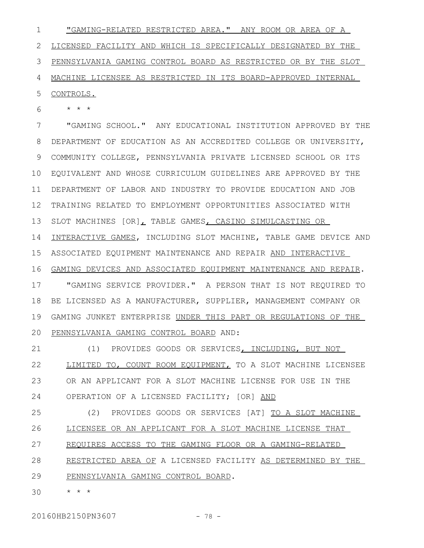"GAMING-RELATED RESTRICTED AREA." ANY ROOM OR AREA OF A LICENSED FACILITY AND WHICH IS SPECIFICALLY DESIGNATED BY THE PENNSYLVANIA GAMING CONTROL BOARD AS RESTRICTED OR BY THE SLOT MACHINE LICENSEE AS RESTRICTED IN ITS BOARD-APPROVED INTERNAL CONTROLS. 1 2 3 4 5

\* \* \* 6

"GAMING SCHOOL." ANY EDUCATIONAL INSTITUTION APPROVED BY THE DEPARTMENT OF EDUCATION AS AN ACCREDITED COLLEGE OR UNIVERSITY, COMMUNITY COLLEGE, PENNSYLVANIA PRIVATE LICENSED SCHOOL OR ITS EQUIVALENT AND WHOSE CURRICULUM GUIDELINES ARE APPROVED BY THE DEPARTMENT OF LABOR AND INDUSTRY TO PROVIDE EDUCATION AND JOB TRAINING RELATED TO EMPLOYMENT OPPORTUNITIES ASSOCIATED WITH SLOT MACHINES [OR], TABLE GAMES, CASINO SIMULCASTING OR INTERACTIVE GAMES, INCLUDING SLOT MACHINE, TABLE GAME DEVICE AND ASSOCIATED EQUIPMENT MAINTENANCE AND REPAIR AND INTERACTIVE GAMING DEVICES AND ASSOCIATED EQUIPMENT MAINTENANCE AND REPAIR. "GAMING SERVICE PROVIDER." A PERSON THAT IS NOT REQUIRED TO BE LICENSED AS A MANUFACTURER, SUPPLIER, MANAGEMENT COMPANY OR GAMING JUNKET ENTERPRISE UNDER THIS PART OR REGULATIONS OF THE PENNSYLVANIA GAMING CONTROL BOARD AND: 7 8 9 10 11 12 13 14 15 16 17 18 19 20

(1) PROVIDES GOODS OR SERVICES, INCLUDING, BUT NOT LIMITED TO, COUNT ROOM EQUIPMENT, TO A SLOT MACHINE LICENSEE OR AN APPLICANT FOR A SLOT MACHINE LICENSE FOR USE IN THE OPERATION OF A LICENSED FACILITY; [OR] AND 21 22 23 24

(2) PROVIDES GOODS OR SERVICES [AT] TO A SLOT MACHINE LICENSEE OR AN APPLICANT FOR A SLOT MACHINE LICENSE THAT REQUIRES ACCESS TO THE GAMING FLOOR OR A GAMING-RELATED RESTRICTED AREA OF A LICENSED FACILITY AS DETERMINED BY THE 25 26 27 28

PENNSYLVANIA GAMING CONTROL BOARD. 29

\* \* \* 30

20160HB2150PN3607 - 78 -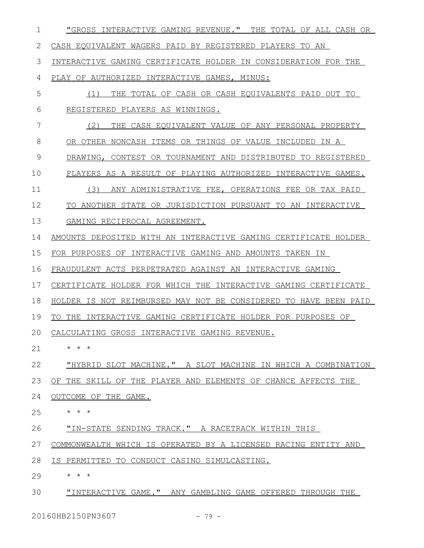| $\mathbf 1$ | "GROSS INTERACTIVE GAMING REVENUE." THE TOTAL OF ALL CASH OR     |
|-------------|------------------------------------------------------------------|
| 2           | CASH EQUIVALENT WAGERS PAID BY REGISTERED PLAYERS TO AN          |
| 3           | INTERACTIVE GAMING CERTIFICATE HOLDER IN CONSIDERATION FOR THE   |
| 4           | PLAY OF AUTHORIZED INTERACTIVE GAMES, MINUS:                     |
| 5           | THE TOTAL OF CASH OR CASH EQUIVALENTS PAID OUT TO<br>(1)         |
| 6           | REGISTERED PLAYERS AS WINNINGS.                                  |
| 7           | (2)<br>THE CASH EQUIVALENT VALUE OF ANY PERSONAL PROPERTY        |
| 8           | OR OTHER NONCASH ITEMS OR THINGS OF VALUE INCLUDED IN A          |
| 9           | DRAWING, CONTEST OR TOURNAMENT AND DISTRIBUTED TO REGISTERED     |
| 10          | PLAYERS AS A RESULT OF PLAYING AUTHORIZED INTERACTIVE GAMES.     |
| 11          | (3)<br>ANY ADMINISTRATIVE FEE, OPERATIONS FEE OR TAX PAID        |
| 12          | TO ANOTHER STATE OR JURISDICTION PURSUANT TO AN INTERACTIVE      |
| 13          | GAMING RECIPROCAL AGREEMENT.                                     |
| 14          | AMOUNTS DEPOSITED WITH AN INTERACTIVE GAMING CERTIFICATE HOLDER  |
| 15          | FOR PURPOSES OF INTERACTIVE GAMING AND AMOUNTS TAKEN IN          |
| 16          | FRAUDULENT ACTS PERPETRATED AGAINST AN INTERACTIVE GAMING        |
| 17          | CERTIFICATE HOLDER FOR WHICH THE INTERACTIVE GAMING CERTIFICATE  |
| 18          | HOLDER IS NOT REIMBURSED MAY NOT BE CONSIDERED TO HAVE BEEN PAID |
| 19          | INTERACTIVE GAMING CERTIFICATE HOLDER FOR PURPOSES OF<br>TO THE  |
| 20          | CALCULATING GROSS INTERACTIVE GAMING REVENUE.                    |
| 21          | $\star$ $\star$ $\star$                                          |
| 22          | "HYBRID SLOT MACHINE." A SLOT MACHINE IN WHICH A COMBINATION     |
| 23          | OF THE SKILL OF THE PLAYER AND ELEMENTS OF CHANCE AFFECTS THE    |
| 24          | OUTCOME OF THE GAME.                                             |
| 25          | * * *                                                            |
| 26          | "IN-STATE SENDING TRACK." A RACETRACK WITHIN THIS                |
| 27          | COMMONWEALTH WHICH IS OPERATED BY A LICENSED RACING ENTITY AND   |
| 28          | IS PERMITTED TO CONDUCT CASINO SIMULCASTING.                     |
| 29          | $\star$ $\star$ $\star$                                          |
| 30          | "INTERACTIVE GAME." ANY GAMBLING GAME OFFERED THROUGH THE        |
|             | 20160HB2150PN3607<br>$-79 -$                                     |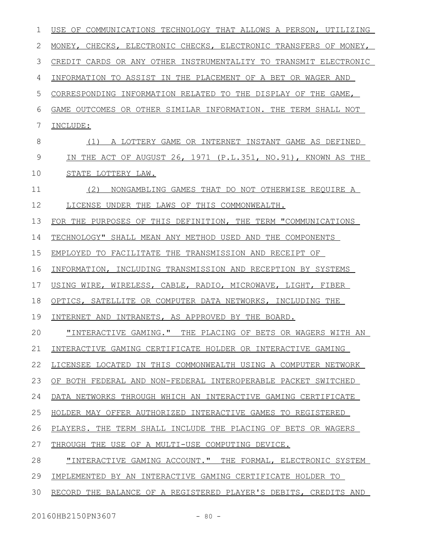| 1  | USE OF COMMUNICATIONS TECHNOLOGY THAT ALLOWS A PERSON, UTILIZING |
|----|------------------------------------------------------------------|
| 2  | MONEY, CHECKS, ELECTRONIC CHECKS, ELECTRONIC TRANSFERS OF MONEY, |
| 3  | CREDIT CARDS OR ANY OTHER INSTRUMENTALITY TO TRANSMIT ELECTRONIC |
| 4  | INFORMATION TO ASSIST IN THE PLACEMENT OF A BET OR WAGER AND     |
| 5  | CORRESPONDING INFORMATION RELATED TO THE DISPLAY OF THE GAME,    |
| 6  | GAME OUTCOMES OR OTHER SIMILAR INFORMATION. THE TERM SHALL NOT   |
| 7  | INCLUDE:                                                         |
| 8  | A LOTTERY GAME OR INTERNET INSTANT GAME AS DEFINED<br>(1)        |
| 9  | IN THE ACT OF AUGUST 26, 1971 (P.L.351, NO.91), KNOWN AS THE     |
| 10 | STATE LOTTERY LAW.                                               |
| 11 | (2)<br>NONGAMBLING GAMES THAT DO NOT OTHERWISE REQUIRE A         |
| 12 | LICENSE UNDER THE LAWS OF THIS COMMONWEALTH.                     |
| 13 | FOR THE PURPOSES OF THIS DEFINITION, THE TERM "COMMUNICATIONS    |
| 14 | TECHNOLOGY" SHALL MEAN ANY METHOD USED AND THE COMPONENTS        |
| 15 | EMPLOYED TO FACILITATE THE TRANSMISSION AND RECEIPT OF           |
| 16 | INFORMATION, INCLUDING TRANSMISSION AND RECEPTION BY SYSTEMS     |
| 17 | USING WIRE, WIRELESS, CABLE, RADIO, MICROWAVE, LIGHT, FIBER      |
| 18 | OPTICS, SATELLITE OR COMPUTER DATA NETWORKS, INCLUDING THE       |
| 19 | INTERNET AND INTRANETS, AS APPROVED BY THE BOARD.                |
| 20 | "INTERACTIVE GAMING." THE PLACING OF BETS OR WAGERS WITH AN      |
| 21 | INTERACTIVE GAMING CERTIFICATE HOLDER OR INTERACTIVE GAMING      |
| 22 | LICENSEE LOCATED IN THIS COMMONWEALTH USING A COMPUTER NETWORK   |
| 23 | OF BOTH FEDERAL AND NON-FEDERAL INTEROPERABLE PACKET SWITCHED    |
| 24 | DATA NETWORKS THROUGH WHICH AN INTERACTIVE GAMING CERTIFICATE    |
| 25 | HOLDER MAY OFFER AUTHORIZED INTERACTIVE GAMES TO REGISTERED      |
| 26 | PLAYERS. THE TERM SHALL INCLUDE THE PLACING OF BETS OR WAGERS    |
| 27 | THROUGH THE USE OF A MULTI-USE COMPUTING DEVICE.                 |
| 28 | "INTERACTIVE GAMING ACCOUNT." THE FORMAL, ELECTRONIC SYSTEM      |
| 29 | IMPLEMENTED BY AN INTERACTIVE GAMING CERTIFICATE HOLDER TO       |
| 30 | RECORD THE BALANCE OF A REGISTERED PLAYER'S DEBITS, CREDITS AND  |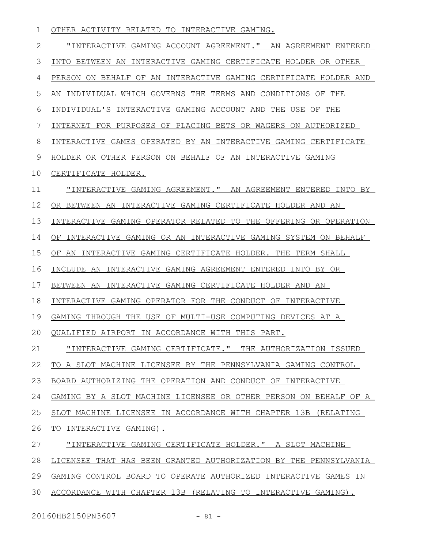|  |  | OTHER ACTIVITY RELATED TO INTERACTIVE GAMING. |  |
|--|--|-----------------------------------------------|--|
|  |  |                                               |  |

"INTERACTIVE GAMING ACCOUNT AGREEMENT." AN AGREEMENT ENTERED INTO BETWEEN AN INTERACTIVE GAMING CERTIFICATE HOLDER OR OTHER PERSON ON BEHALF OF AN INTERACTIVE GAMING CERTIFICATE HOLDER AND AN INDIVIDUAL WHICH GOVERNS THE TERMS AND CONDITIONS OF THE INDIVIDUAL'S INTERACTIVE GAMING ACCOUNT AND THE USE OF THE INTERNET FOR PURPOSES OF PLACING BETS OR WAGERS ON AUTHORIZED INTERACTIVE GAMES OPERATED BY AN INTERACTIVE GAMING CERTIFICATE HOLDER OR OTHER PERSON ON BEHALF OF AN INTERACTIVE GAMING CERTIFICATE HOLDER. "INTERACTIVE GAMING AGREEMENT." AN AGREEMENT ENTERED INTO BY OR BETWEEN AN INTERACTIVE GAMING CERTIFICATE HOLDER AND AN INTERACTIVE GAMING OPERATOR RELATED TO THE OFFERING OR OPERATION OF INTERACTIVE GAMING OR AN INTERACTIVE GAMING SYSTEM ON BEHALF OF AN INTERACTIVE GAMING CERTIFICATE HOLDER. THE TERM SHALL INCLUDE AN INTERACTIVE GAMING AGREEMENT ENTERED INTO BY OR BETWEEN AN INTERACTIVE GAMING CERTIFICATE HOLDER AND AN INTERACTIVE GAMING OPERATOR FOR THE CONDUCT OF INTERACTIVE GAMING THROUGH THE USE OF MULTI-USE COMPUTING DEVICES AT A QUALIFIED AIRPORT IN ACCORDANCE WITH THIS PART. "INTERACTIVE GAMING CERTIFICATE." THE AUTHORIZATION ISSUED TO A SLOT MACHINE LICENSEE BY THE PENNSYLVANIA GAMING CONTROL BOARD AUTHORIZING THE OPERATION AND CONDUCT OF INTERACTIVE GAMING BY A SLOT MACHINE LICENSEE OR OTHER PERSON ON BEHALF OF A SLOT MACHINE LICENSEE IN ACCORDANCE WITH CHAPTER 13B (RELATING TO INTERACTIVE GAMING). "INTERACTIVE GAMING CERTIFICATE HOLDER." A SLOT MACHINE LICENSEE THAT HAS BEEN GRANTED AUTHORIZATION BY THE PENNSYLVANIA GAMING CONTROL BOARD TO OPERATE AUTHORIZED INTERACTIVE GAMES IN ACCORDANCE WITH CHAPTER 13B (RELATING TO INTERACTIVE GAMING). 2 3 4 5 6 7 8 9 10 11 12 13 14 15 16 17 18 19  $20$ 21 22 23 24 25 26 27 28 29 30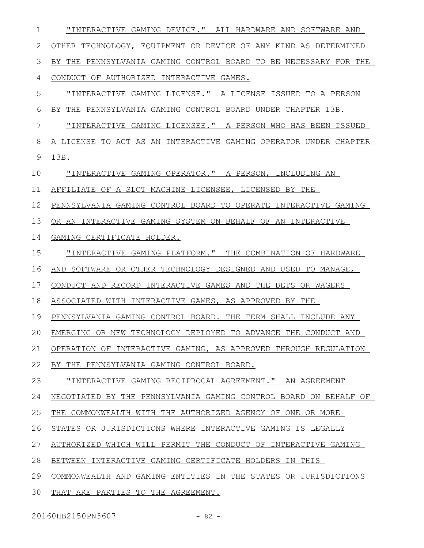| $\mathbf 1$ | "INTERACTIVE GAMING DEVICE." ALL HARDWARE AND SOFTWARE AND         |
|-------------|--------------------------------------------------------------------|
| 2           | OTHER TECHNOLOGY, EQUIPMENT OR DEVICE OF ANY KIND AS DETERMINED    |
| 3           | BY THE PENNSYLVANIA GAMING CONTROL BOARD TO BE NECESSARY FOR THE   |
| 4           | CONDUCT OF AUTHORIZED INTERACTIVE GAMES.                           |
| 5           | "INTERACTIVE GAMING LICENSE." A LICENSE ISSUED TO A PERSON         |
| 6           | BY THE PENNSYLVANIA GAMING CONTROL BOARD UNDER CHAPTER 13B.        |
| 7           | <u>"INTERACTIVE GAMING LICENSEE." A PERSON WHO HAS BEEN ISSUED</u> |
| 8           | A LICENSE TO ACT AS AN INTERACTIVE GAMING OPERATOR UNDER CHAPTER   |
| 9           | 13B.                                                               |
| 10          | "INTERACTIVE GAMING OPERATOR." A PERSON, INCLUDING AN              |
| 11          | AFFILIATE OF A SLOT MACHINE LICENSEE, LICENSED BY THE              |
| 12          | PENNSYLVANIA GAMING CONTROL BOARD TO OPERATE INTERACTIVE GAMING    |
| 13          | OR AN INTERACTIVE GAMING SYSTEM ON BEHALF OF AN INTERACTIVE        |
| 14          | GAMING CERTIFICATE HOLDER.                                         |
| 15          | "INTERACTIVE GAMING PLATFORM." THE COMBINATION OF HARDWARE         |
| 16          | AND SOFTWARE OR OTHER TECHNOLOGY DESIGNED AND USED TO MANAGE,      |
| 17          | CONDUCT AND RECORD INTERACTIVE GAMES AND THE BETS OR WAGERS        |
| 18          | ASSOCIATED WITH INTERACTIVE GAMES, AS APPROVED BY THE              |
| 19          | PENNSYLVANIA GAMING CONTROL BOARD. THE TERM SHALL INCLUDE ANY      |
|             | 20 EMERGING OR NEW TECHNOLOGY DEPLOYED TO ADVANCE THE CONDUCT AND  |
| 21          | OPERATION OF INTERACTIVE GAMING, AS APPROVED THROUGH REGULATION    |
| 22          | BY THE PENNSYLVANIA GAMING CONTROL BOARD.                          |
| 23          | "INTERACTIVE GAMING RECIPROCAL AGREEMENT." AN AGREEMENT            |
| 24          | NEGOTIATED BY THE PENNSYLVANIA GAMING CONTROL BOARD ON BEHALF OF   |
| 25          | THE COMMONWEALTH WITH THE AUTHORIZED AGENCY OF ONE OR MORE         |
| 26          | STATES OR JURISDICTIONS WHERE INTERACTIVE GAMING IS LEGALLY        |
| 27          | AUTHORIZED WHICH WILL PERMIT THE CONDUCT OF INTERACTIVE GAMING     |
| 28          | BETWEEN INTERACTIVE GAMING CERTIFICATE HOLDERS IN THIS             |
| 29          | COMMONWEALTH AND GAMING ENTITIES IN THE STATES OR JURISDICTIONS    |
| 30          | THAT ARE PARTIES TO THE AGREEMENT.                                 |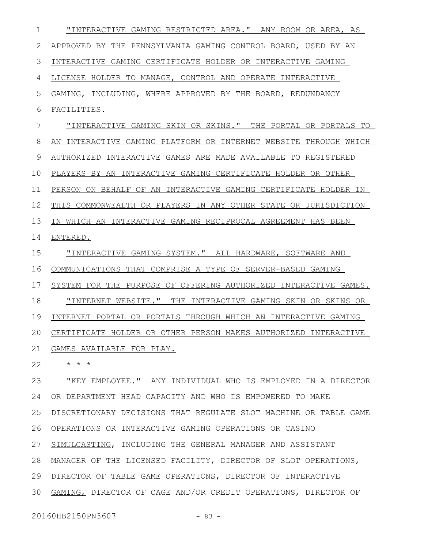"INTERACTIVE GAMING RESTRICTED AREA." ANY ROOM OR AREA, AS APPROVED BY THE PENNSYLVANIA GAMING CONTROL BOARD, USED BY AN INTERACTIVE GAMING CERTIFICATE HOLDER OR INTERACTIVE GAMING LICENSE HOLDER TO MANAGE, CONTROL AND OPERATE INTERACTIVE GAMING, INCLUDING, WHERE APPROVED BY THE BOARD, REDUNDANCY FACILITIES. "INTERACTIVE GAMING SKIN OR SKINS." THE PORTAL OR PORTALS TO AN INTERACTIVE GAMING PLATFORM OR INTERNET WEBSITE THROUGH WHICH AUTHORIZED INTERACTIVE GAMES ARE MADE AVAILABLE TO REGISTERED PLAYERS BY AN INTERACTIVE GAMING CERTIFICATE HOLDER OR OTHER PERSON ON BEHALF OF AN INTERACTIVE GAMING CERTIFICATE HOLDER IN THIS COMMONWEALTH OR PLAYERS IN ANY OTHER STATE OR JURISDICTION IN WHICH AN INTERACTIVE GAMING RECIPROCAL AGREEMENT HAS BEEN ENTERED. "INTERACTIVE GAMING SYSTEM." ALL HARDWARE, SOFTWARE AND COMMUNICATIONS THAT COMPRISE A TYPE OF SERVER-BASED GAMING SYSTEM FOR THE PURPOSE OF OFFERING AUTHORIZED INTERACTIVE GAMES. "INTERNET WEBSITE." THE INTERACTIVE GAMING SKIN OR SKINS OR INTERNET PORTAL OR PORTALS THROUGH WHICH AN INTERACTIVE GAMING CERTIFICATE HOLDER OR OTHER PERSON MAKES AUTHORIZED INTERACTIVE GAMES AVAILABLE FOR PLAY. \* \* \* "KEY EMPLOYEE." ANY INDIVIDUAL WHO IS EMPLOYED IN A DIRECTOR OR DEPARTMENT HEAD CAPACITY AND WHO IS EMPOWERED TO MAKE DISCRETIONARY DECISIONS THAT REGULATE SLOT MACHINE OR TABLE GAME OPERATIONS OR INTERACTIVE GAMING OPERATIONS OR CASINO SIMULCASTING, INCLUDING THE GENERAL MANAGER AND ASSISTANT MANAGER OF THE LICENSED FACILITY, DIRECTOR OF SLOT OPERATIONS, DIRECTOR OF TABLE GAME OPERATIONS, DIRECTOR OF INTERACTIVE GAMING, DIRECTOR OF CAGE AND/OR CREDIT OPERATIONS, DIRECTOR OF 1 2 3 4 5 6 7 8 9 10 11 12 13 14 15 16 17 18 19 20 21 22 23 24 25 26 27 28 29 30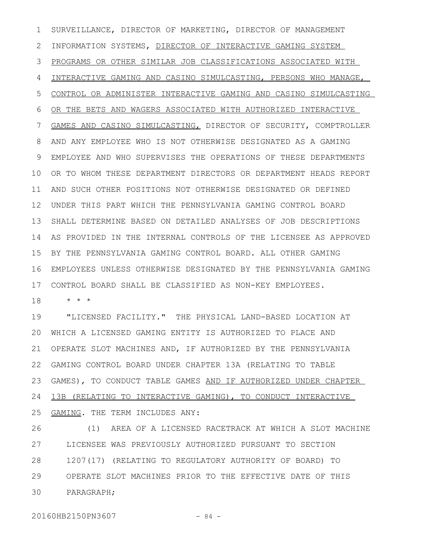SURVEILLANCE, DIRECTOR OF MARKETING, DIRECTOR OF MANAGEMENT INFORMATION SYSTEMS, DIRECTOR OF INTERACTIVE GAMING SYSTEM PROGRAMS OR OTHER SIMILAR JOB CLASSIFICATIONS ASSOCIATED WITH INTERACTIVE GAMING AND CASINO SIMULCASTING, PERSONS WHO MANAGE, CONTROL OR ADMINISTER INTERACTIVE GAMING AND CASINO SIMULCASTING OR THE BETS AND WAGERS ASSOCIATED WITH AUTHORIZED INTERACTIVE GAMES AND CASINO SIMULCASTING, DIRECTOR OF SECURITY, COMPTROLLER AND ANY EMPLOYEE WHO IS NOT OTHERWISE DESIGNATED AS A GAMING EMPLOYEE AND WHO SUPERVISES THE OPERATIONS OF THESE DEPARTMENTS OR TO WHOM THESE DEPARTMENT DIRECTORS OR DEPARTMENT HEADS REPORT AND SUCH OTHER POSITIONS NOT OTHERWISE DESIGNATED OR DEFINED UNDER THIS PART WHICH THE PENNSYLVANIA GAMING CONTROL BOARD SHALL DETERMINE BASED ON DETAILED ANALYSES OF JOB DESCRIPTIONS AS PROVIDED IN THE INTERNAL CONTROLS OF THE LICENSEE AS APPROVED BY THE PENNSYLVANIA GAMING CONTROL BOARD. ALL OTHER GAMING EMPLOYEES UNLESS OTHERWISE DESIGNATED BY THE PENNSYLVANIA GAMING CONTROL BOARD SHALL BE CLASSIFIED AS NON-KEY EMPLOYEES. 1 2 3 4 5 6 7 8 9 10 11 12 13 14 15 16 17

\* \* \* 18

"LICENSED FACILITY." THE PHYSICAL LAND-BASED LOCATION AT WHICH A LICENSED GAMING ENTITY IS AUTHORIZED TO PLACE AND 20 OPERATE SLOT MACHINES AND, IF AUTHORIZED BY THE PENNSYLVANIA GAMING CONTROL BOARD UNDER CHAPTER 13A (RELATING TO TABLE GAMES), TO CONDUCT TABLE GAMES AND IF AUTHORIZED UNDER CHAPTER 13B (RELATING TO INTERACTIVE GAMING), TO CONDUCT INTERACTIVE GAMING. THE TERM INCLUDES ANY: 19 21 22 23 24 25

(1) AREA OF A LICENSED RACETRACK AT WHICH A SLOT MACHINE LICENSEE WAS PREVIOUSLY AUTHORIZED PURSUANT TO SECTION 1207(17) (RELATING TO REGULATORY AUTHORITY OF BOARD) TO OPERATE SLOT MACHINES PRIOR TO THE EFFECTIVE DATE OF THIS PARAGRAPH; 26 27 28 29 30

20160HB2150PN3607 - 84 -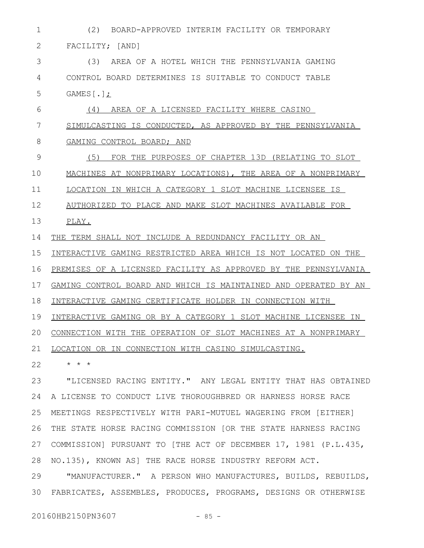(2) BOARD-APPROVED INTERIM FACILITY OR TEMPORARY FACILITY; [AND] (3) AREA OF A HOTEL WHICH THE PENNSYLVANIA GAMING CONTROL BOARD DETERMINES IS SUITABLE TO CONDUCT TABLE GAMES[.]; (4) AREA OF A LICENSED FACILITY WHERE CASINO SIMULCASTING IS CONDUCTED, AS APPROVED BY THE PENNSYLVANIA GAMING CONTROL BOARD; AND (5) FOR THE PURPOSES OF CHAPTER 13D (RELATING TO SLOT MACHINES AT NONPRIMARY LOCATIONS), THE AREA OF A NONPRIMARY LOCATION IN WHICH A CATEGORY 1 SLOT MACHINE LICENSEE IS AUTHORIZED TO PLACE AND MAKE SLOT MACHINES AVAILABLE FOR PLAY. 1 2 3 4 5 6 7 8 9 10 11 12 13

THE TERM SHALL NOT INCLUDE A REDUNDANCY FACILITY OR AN 14

INTERACTIVE GAMING RESTRICTED AREA WHICH IS NOT LOCATED ON THE 15

PREMISES OF A LICENSED FACILITY AS APPROVED BY THE PENNSYLVANIA 16

GAMING CONTROL BOARD AND WHICH IS MAINTAINED AND OPERATED BY AN 17

INTERACTIVE GAMING CERTIFICATE HOLDER IN CONNECTION WITH 18

INTERACTIVE GAMING OR BY A CATEGORY 1 SLOT MACHINE LICENSEE IN 19

CONNECTION WITH THE OPERATION OF SLOT MACHINES AT A NONPRIMARY 20

LOCATION OR IN CONNECTION WITH CASINO SIMULCASTING. 21

\* \* \* 22

"LICENSED RACING ENTITY." ANY LEGAL ENTITY THAT HAS OBTAINED A LICENSE TO CONDUCT LIVE THOROUGHBRED OR HARNESS HORSE RACE MEETINGS RESPECTIVELY WITH PARI-MUTUEL WAGERING FROM [EITHER] THE STATE HORSE RACING COMMISSION [OR THE STATE HARNESS RACING COMMISSION] PURSUANT TO [THE ACT OF DECEMBER 17, 1981 (P.L.435, NO.135), KNOWN AS] THE RACE HORSE INDUSTRY REFORM ACT. 23 24 25 26 27 28

"MANUFACTURER." A PERSON WHO MANUFACTURES, BUILDS, REBUILDS, FABRICATES, ASSEMBLES, PRODUCES, PROGRAMS, DESIGNS OR OTHERWISE 3029

20160HB2150PN3607 - 85 -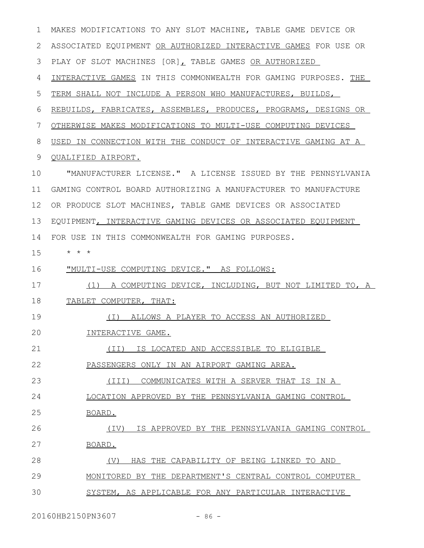| $\mathbf{1}$ | MAKES MODIFICATIONS TO ANY SLOT MACHINE, TABLE GAME DEVICE OR   |
|--------------|-----------------------------------------------------------------|
| 2            | ASSOCIATED EQUIPMENT OR AUTHORIZED INTERACTIVE GAMES FOR USE OR |
| 3            | PLAY OF SLOT MACHINES [OR], TABLE GAMES OR AUTHORIZED           |
| 4            | INTERACTIVE GAMES IN THIS COMMONWEALTH FOR GAMING PURPOSES. THE |
| 5            | TERM SHALL NOT INCLUDE A PERSON WHO MANUFACTURES, BUILDS,       |
| 6            | REBUILDS, FABRICATES, ASSEMBLES, PRODUCES, PROGRAMS, DESIGNS OR |
| 7            | OTHERWISE MAKES MODIFICATIONS TO MULTI-USE COMPUTING DEVICES    |
| 8            | USED IN CONNECTION WITH THE CONDUCT OF INTERACTIVE GAMING AT A  |
| 9            | <b>QUALIFIED AIRPORT.</b>                                       |
| 10           | "MANUFACTURER LICENSE." A LICENSE ISSUED BY THE PENNSYLVANIA    |
| 11           | GAMING CONTROL BOARD AUTHORIZING A MANUFACTURER TO MANUFACTURE  |
| 12           | OR PRODUCE SLOT MACHINES, TABLE GAME DEVICES OR ASSOCIATED      |
| 13           | EQUIPMENT, INTERACTIVE GAMING DEVICES OR ASSOCIATED EQUIPMENT   |
| 14           | FOR USE IN THIS COMMONWEALTH FOR GAMING PURPOSES.               |
| 15           | $\star$ $\star$ $\star$                                         |
| 16           | <u> "MULTI-USE COMPUTING DEVICE." AS FOLLOWS:</u>               |
|              |                                                                 |
| 17           | (1) A COMPUTING DEVICE, INCLUDING, BUT NOT LIMITED TO, A        |
| 18           | TABLET COMPUTER, THAT:                                          |
| 19           | (I) ALLOWS A PLAYER TO ACCESS AN AUTHORIZED                     |
| 20           | INTERACTIVE GAME.                                               |
| 21           | (II) IS LOCATED AND ACCESSIBLE TO ELIGIBLE                      |
| 22           | PASSENGERS ONLY IN AN AIRPORT GAMING AREA.                      |
| 23           | COMMUNICATES WITH A SERVER THAT IS IN A<br>$(\text{III})$       |
| 24           | LOCATION APPROVED BY THE PENNSYLVANIA GAMING CONTROL            |
| 25           | <u>BOARD.</u>                                                   |
| 26           | (IV) IS APPROVED BY THE PENNSYLVANIA GAMING CONTROL             |
| 27           | BOARD.                                                          |
| 28           | HAS THE CAPABILITY OF BEING LINKED TO AND<br>(V)                |
| 29           | MONITORED BY THE DEPARTMENT'S CENTRAL CONTROL COMPUTER          |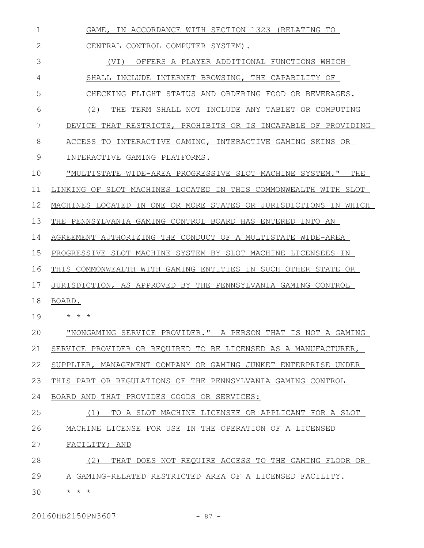GAME, IN ACCORDANCE WITH SECTION 1323 (RELATING TO CENTRAL CONTROL COMPUTER SYSTEM). (VI) OFFERS A PLAYER ADDITIONAL FUNCTIONS WHICH SHALL INCLUDE INTERNET BROWSING, THE CAPABILITY OF CHECKING FLIGHT STATUS AND ORDERING FOOD OR BEVERAGES. (2) THE TERM SHALL NOT INCLUDE ANY TABLET OR COMPUTING DEVICE THAT RESTRICTS, PROHIBITS OR IS INCAPABLE OF PROVIDING ACCESS TO INTERACTIVE GAMING, INTERACTIVE GAMING SKINS OR INTERACTIVE GAMING PLATFORMS. "MULTISTATE WIDE-AREA PROGRESSIVE SLOT MACHINE SYSTEM." THE LINKING OF SLOT MACHINES LOCATED IN THIS COMMONWEALTH WITH SLOT MACHINES LOCATED IN ONE OR MORE STATES OR JURISDICTIONS IN WHICH THE PENNSYLVANIA GAMING CONTROL BOARD HAS ENTERED INTO AN AGREEMENT AUTHORIZING THE CONDUCT OF A MULTISTATE WIDE-AREA PROGRESSIVE SLOT MACHINE SYSTEM BY SLOT MACHINE LICENSEES IN THIS COMMONWEALTH WITH GAMING ENTITIES IN SUCH OTHER STATE OR JURISDICTION, AS APPROVED BY THE PENNSYLVANIA GAMING CONTROL BOARD. \* \* \* "NONGAMING SERVICE PROVIDER." A PERSON THAT IS NOT A GAMING SERVICE PROVIDER OR REQUIRED TO BE LICENSED AS A MANUFACTURER, SUPPLIER, MANAGEMENT COMPANY OR GAMING JUNKET ENTERPRISE UNDER THIS PART OR REGULATIONS OF THE PENNSYLVANIA GAMING CONTROL BOARD AND THAT PROVIDES GOODS OR SERVICES: (1) TO A SLOT MACHINE LICENSEE OR APPLICANT FOR A SLOT MACHINE LICENSE FOR USE IN THE OPERATION OF A LICENSED FACILITY; AND (2) THAT DOES NOT REQUIRE ACCESS TO THE GAMING FLOOR OR A GAMING-RELATED RESTRICTED AREA OF A LICENSED FACILITY. \* \* \* 1 2 3 4 5 6 7 8 9 10 11 12 13 14 15 16 17 18 19  $20$ 21 22 23 24 25 26 27 28 29 30

20160HB2150PN3607 - 87 -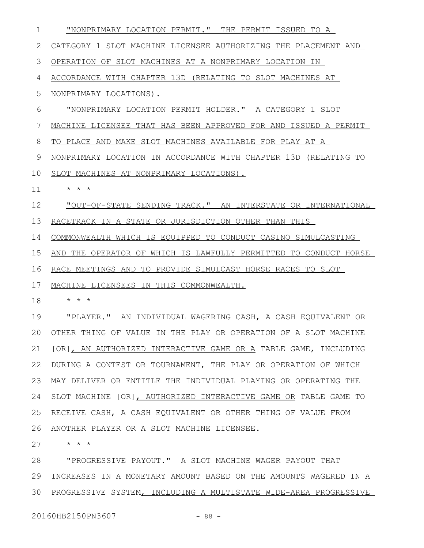"NONPRIMARY LOCATION PERMIT." THE PERMIT ISSUED TO A CATEGORY 1 SLOT MACHINE LICENSEE AUTHORIZING THE PLACEMENT AND OPERATION OF SLOT MACHINES AT A NONPRIMARY LOCATION IN ACCORDANCE WITH CHAPTER 13D (RELATING TO SLOT MACHINES AT NONPRIMARY LOCATIONS). "NONPRIMARY LOCATION PERMIT HOLDER." A CATEGORY 1 SLOT MACHINE LICENSEE THAT HAS BEEN APPROVED FOR AND ISSUED A PERMIT TO PLACE AND MAKE SLOT MACHINES AVAILABLE FOR PLAY AT A NONPRIMARY LOCATION IN ACCORDANCE WITH CHAPTER 13D (RELATING TO SLOT MACHINES AT NONPRIMARY LOCATIONS). \* \* \* "OUT-OF-STATE SENDING TRACK." AN INTERSTATE OR INTERNATIONAL RACETRACK IN A STATE OR JURISDICTION OTHER THAN THIS COMMONWEALTH WHICH IS EQUIPPED TO CONDUCT CASINO SIMULCASTING AND THE OPERATOR OF WHICH IS LAWFULLY PERMITTED TO CONDUCT HORSE RACE MEETINGS AND TO PROVIDE SIMULCAST HORSE RACES TO SLOT MACHINE LICENSEES IN THIS COMMONWEALTH. \* \* \* "PLAYER." AN INDIVIDUAL WAGERING CASH, A CASH EQUIVALENT OR OTHER THING OF VALUE IN THE PLAY OR OPERATION OF A SLOT MACHINE 20 [OR], AN AUTHORIZED INTERACTIVE GAME OR A TABLE GAME, INCLUDING 22 DURING A CONTEST OR TOURNAMENT, THE PLAY OR OPERATION OF WHICH MAY DELIVER OR ENTITLE THE INDIVIDUAL PLAYING OR OPERATING THE 23 24 SLOT MACHINE [OR], AUTHORIZED INTERACTIVE GAME OR TABLE GAME TO RECEIVE CASH, A CASH EQUIVALENT OR OTHER THING OF VALUE FROM ANOTHER PLAYER OR A SLOT MACHINE LICENSEE. \* \* \* "PROGRESSIVE PAYOUT." A SLOT MACHINE WAGER PAYOUT THAT 1 2 3 4 5 6 7 8 9 10 11 12 13 14 15 16 17 18 19 21 25 26 27 28

29 INCREASES IN A MONETARY AMOUNT BASED ON THE AMOUNTS WAGERED IN A 30 PROGRESSIVE SYSTEM, INCLUDING A MULTISTATE WIDE-AREA PROGRESSIVE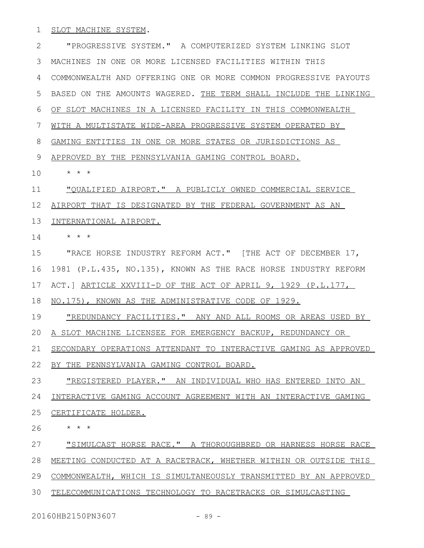## SLOT MACHINE SYSTEM. 1

"PROGRESSIVE SYSTEM." A COMPUTERIZED SYSTEM LINKING SLOT MACHINES IN ONE OR MORE LICENSED FACILITIES WITHIN THIS COMMONWEALTH AND OFFERING ONE OR MORE COMMON PROGRESSIVE PAYOUTS BASED ON THE AMOUNTS WAGERED. THE TERM SHALL INCLUDE THE LINKING OF SLOT MACHINES IN A LICENSED FACILITY IN THIS COMMONWEALTH WITH A MULTISTATE WIDE-AREA PROGRESSIVE SYSTEM OPERATED BY GAMING ENTITIES IN ONE OR MORE STATES OR JURISDICTIONS AS APPROVED BY THE PENNSYLVANIA GAMING CONTROL BOARD. \* \* \* "QUALIFIED AIRPORT." A PUBLICLY OWNED COMMERCIAL SERVICE AIRPORT THAT IS DESIGNATED BY THE FEDERAL GOVERNMENT AS AN 12 INTERNATIONAL AIRPORT. \* \* \* "RACE HORSE INDUSTRY REFORM ACT." [THE ACT OF DECEMBER 17, 1981 (P.L.435, NO.135), KNOWN AS THE RACE HORSE INDUSTRY REFORM ACT.] ARTICLE XXVIII-D OF THE ACT OF APRIL 9, 1929 (P.L.177, NO.175), KNOWN AS THE ADMINISTRATIVE CODE OF 1929. "REDUNDANCY FACILITIES." ANY AND ALL ROOMS OR AREAS USED BY A SLOT MACHINE LICENSEE FOR EMERGENCY BACKUP, REDUNDANCY OR SECONDARY OPERATIONS ATTENDANT TO INTERACTIVE GAMING AS APPROVED BY THE PENNSYLVANIA GAMING CONTROL BOARD. "REGISTERED PLAYER." AN INDIVIDUAL WHO HAS ENTERED INTO AN INTERACTIVE GAMING ACCOUNT AGREEMENT WITH AN INTERACTIVE GAMING CERTIFICATE HOLDER. \* \* \* "SIMULCAST HORSE RACE." A THOROUGHBRED OR HARNESS HORSE RACE MEETING CONDUCTED AT A RACETRACK, WHETHER WITHIN OR OUTSIDE THIS COMMONWEALTH, WHICH IS SIMULTANEOUSLY TRANSMITTED BY AN APPROVED TELECOMMUNICATIONS TECHNOLOGY TO RACETRACKS OR SIMULCASTING 2 3 4 5 6 7 8 9 10 11 13 14 15 16 17 18 19 20 21 22 23 24 25 26 27 28 29 30

20160HB2150PN3607 - 89 -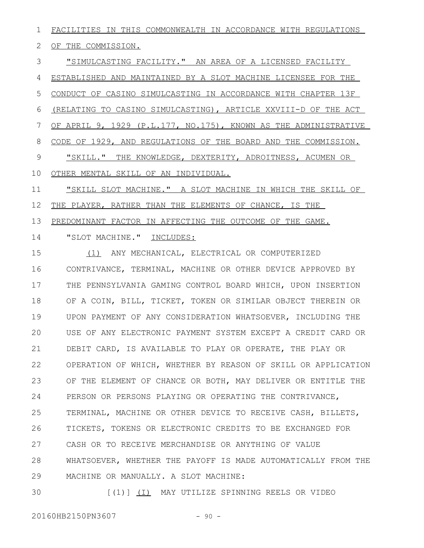FACILITIES IN THIS COMMONWEALTH IN ACCORDANCE WITH REGULATIONS OF THE COMMISSION. "SIMULCASTING FACILITY." AN AREA OF A LICENSED FACILITY ESTABLISHED AND MAINTAINED BY A SLOT MACHINE LICENSEE FOR THE CONDUCT OF CASINO SIMULCASTING IN ACCORDANCE WITH CHAPTER 13F (RELATING TO CASINO SIMULCASTING), ARTICLE XXVIII-D OF THE ACT OF APRIL 9, 1929 (P.L.177, NO.175), KNOWN AS THE ADMINISTRATIVE CODE OF 1929, AND REGULATIONS OF THE BOARD AND THE COMMISSION. "SKILL." THE KNOWLEDGE, DEXTERITY, ADROITNESS, ACUMEN OR OTHER MENTAL SKILL OF AN INDIVIDUAL. "SKILL SLOT MACHINE." A SLOT MACHINE IN WHICH THE SKILL OF 1 2 3 4 5 6 7 8 9 10 11

THE PLAYER, RATHER THAN THE ELEMENTS OF CHANCE, IS THE 12

PREDOMINANT FACTOR IN AFFECTING THE OUTCOME OF THE GAME. 13

"SLOT MACHINE." INCLUDES: 14

(1) ANY MECHANICAL, ELECTRICAL OR COMPUTERIZED CONTRIVANCE, TERMINAL, MACHINE OR OTHER DEVICE APPROVED BY THE PENNSYLVANIA GAMING CONTROL BOARD WHICH, UPON INSERTION OF A COIN, BILL, TICKET, TOKEN OR SIMILAR OBJECT THEREIN OR UPON PAYMENT OF ANY CONSIDERATION WHATSOEVER, INCLUDING THE USE OF ANY ELECTRONIC PAYMENT SYSTEM EXCEPT A CREDIT CARD OR DEBIT CARD, IS AVAILABLE TO PLAY OR OPERATE, THE PLAY OR OPERATION OF WHICH, WHETHER BY REASON OF SKILL OR APPLICATION OF THE ELEMENT OF CHANCE OR BOTH, MAY DELIVER OR ENTITLE THE PERSON OR PERSONS PLAYING OR OPERATING THE CONTRIVANCE, TERMINAL, MACHINE OR OTHER DEVICE TO RECEIVE CASH, BILLETS, TICKETS, TOKENS OR ELECTRONIC CREDITS TO BE EXCHANGED FOR CASH OR TO RECEIVE MERCHANDISE OR ANYTHING OF VALUE WHATSOEVER, WHETHER THE PAYOFF IS MADE AUTOMATICALLY FROM THE MACHINE OR MANUALLY. A SLOT MACHINE: 15 16 17 18 19  $20$ 21 22 23 24 25 26 27 28 29

[(1)] (I) MAY UTILIZE SPINNING REELS OR VIDEO 30

20160HB2150PN3607 - 90 -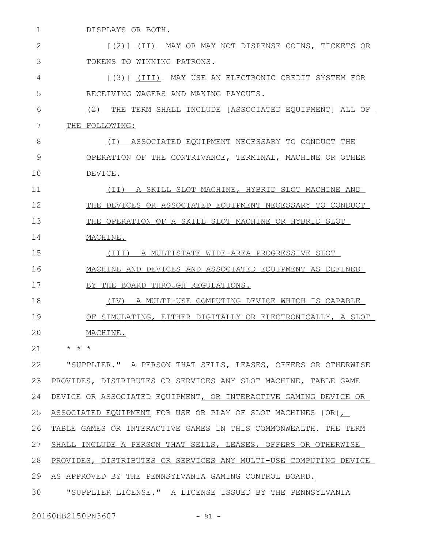DISPLAYS OR BOTH. 1

[(2)] (II) MAY OR MAY NOT DISPENSE COINS, TICKETS OR TOKENS TO WINNING PATRONS. 2 3

[(3)] (III) MAY USE AN ELECTRONIC CREDIT SYSTEM FOR RECEIVING WAGERS AND MAKING PAYOUTS. 4 5

(2) THE TERM SHALL INCLUDE [ASSOCIATED EQUIPMENT] ALL OF THE FOLLOWING: 6 7

(I) ASSOCIATED EQUIPMENT NECESSARY TO CONDUCT THE OPERATION OF THE CONTRIVANCE, TERMINAL, MACHINE OR OTHER DEVICE. 8 9 10

(II) A SKILL SLOT MACHINE, HYBRID SLOT MACHINE AND THE DEVICES OR ASSOCIATED EQUIPMENT NECESSARY TO CONDUCT THE OPERATION OF A SKILL SLOT MACHINE OR HYBRID SLOT MACHINE. 11 12 13 14

(III) A MULTISTATE WIDE-AREA PROGRESSIVE SLOT MACHINE AND DEVICES AND ASSOCIATED EQUIPMENT AS DEFINED 15 16

BY THE BOARD THROUGH REGULATIONS. 17

(IV) A MULTI-USE COMPUTING DEVICE WHICH IS CAPABLE OF SIMULATING, EITHER DIGITALLY OR ELECTRONICALLY, A SLOT MACHINE. 18 19 20

\* \* \* 21

"SUPPLIER." A PERSON THAT SELLS, LEASES, OFFERS OR OTHERWISE PROVIDES, DISTRIBUTES OR SERVICES ANY SLOT MACHINE, TABLE GAME DEVICE OR ASSOCIATED EQUIPMENT, OR INTERACTIVE GAMING DEVICE OR ASSOCIATED EQUIPMENT FOR USE OR PLAY OF SLOT MACHINES [OR], 26 TABLE GAMES OR INTERACTIVE GAMES IN THIS COMMONWEALTH. THE TERM SHALL INCLUDE A PERSON THAT SELLS, LEASES, OFFERS OR OTHERWISE PROVIDES, DISTRIBUTES OR SERVICES ANY MULTI-USE COMPUTING DEVICE AS APPROVED BY THE PENNSYLVANIA GAMING CONTROL BOARD. "SUPPLIER LICENSE." A LICENSE ISSUED BY THE PENNSYLVANIA 22 23 24 25 27 28 29 30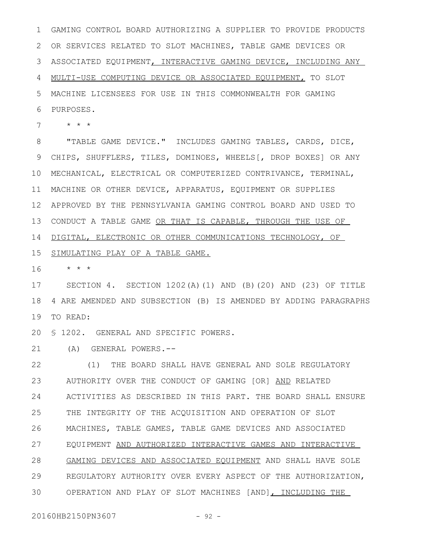GAMING CONTROL BOARD AUTHORIZING A SUPPLIER TO PROVIDE PRODUCTS OR SERVICES RELATED TO SLOT MACHINES, TABLE GAME DEVICES OR ASSOCIATED EQUIPMENT, INTERACTIVE GAMING DEVICE, INCLUDING ANY MULTI-USE COMPUTING DEVICE OR ASSOCIATED EQUIPMENT, TO SLOT MACHINE LICENSEES FOR USE IN THIS COMMONWEALTH FOR GAMING PURPOSES. 1 2 3 4 5 6

\* \* \* 7

"TABLE GAME DEVICE." INCLUDES GAMING TABLES, CARDS, DICE, CHIPS, SHUFFLERS, TILES, DOMINOES, WHEELS[, DROP BOXES] OR ANY MECHANICAL, ELECTRICAL OR COMPUTERIZED CONTRIVANCE, TERMINAL, MACHINE OR OTHER DEVICE, APPARATUS, EQUIPMENT OR SUPPLIES APPROVED BY THE PENNSYLVANIA GAMING CONTROL BOARD AND USED TO 13 CONDUCT A TABLE GAME OR THAT IS CAPABLE, THROUGH THE USE OF DIGITAL, ELECTRONIC OR OTHER COMMUNICATIONS TECHNOLOGY, OF 8 9 10 11 12 14

## 15 SIMULATING PLAY OF A TABLE GAME.

\* \* \* 16

SECTION 4. SECTION 1202(A)(1) AND (B)(20) AND (23) OF TITLE 4 ARE AMENDED AND SUBSECTION (B) IS AMENDED BY ADDING PARAGRAPHS 19 TO READ: 17 18

20 \$ 1202. GENERAL AND SPECIFIC POWERS.

(A) GENERAL POWERS.-- 21

(1) THE BOARD SHALL HAVE GENERAL AND SOLE REGULATORY AUTHORITY OVER THE CONDUCT OF GAMING [OR] AND RELATED ACTIVITIES AS DESCRIBED IN THIS PART. THE BOARD SHALL ENSURE THE INTEGRITY OF THE ACQUISITION AND OPERATION OF SLOT MACHINES, TABLE GAMES, TABLE GAME DEVICES AND ASSOCIATED EQUIPMENT AND AUTHORIZED INTERACTIVE GAMES AND INTERACTIVE GAMING DEVICES AND ASSOCIATED EQUIPMENT AND SHALL HAVE SOLE REGULATORY AUTHORITY OVER EVERY ASPECT OF THE AUTHORIZATION, OPERATION AND PLAY OF SLOT MACHINES [AND], INCLUDING THE 22 23 24 25 26 27 28 29 30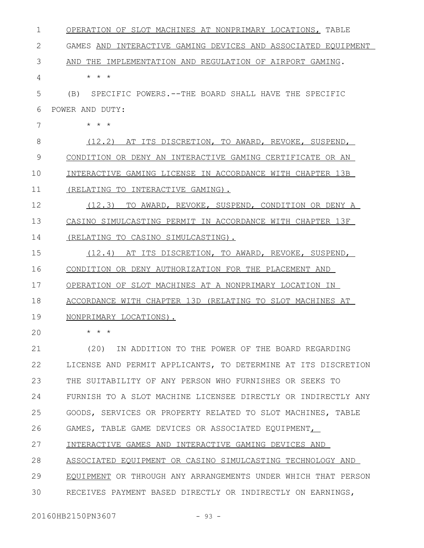| 1  | OPERATION OF SLOT MACHINES AT NONPRIMARY LOCATIONS, TABLE      |
|----|----------------------------------------------------------------|
| 2  | GAMES AND INTERACTIVE GAMING DEVICES AND ASSOCIATED EQUIPMENT  |
| 3  | THE<br>IMPLEMENTATION AND REGULATION OF AIRPORT GAMING.<br>AND |
| 4  | $\star$ $\star$ $\star$                                        |
| 5  | SPECIFIC POWERS.--THE BOARD SHALL HAVE THE SPECIFIC<br>(B)     |
| 6  | POWER AND DUTY:                                                |
| 7  | $\star$ $\star$ $\star$                                        |
| 8  | (12.2) AT ITS DISCRETION, TO AWARD, REVOKE, SUSPEND,           |
| 9  | CONDITION OR DENY AN INTERACTIVE GAMING CERTIFICATE OR AN      |
| 10 | INTERACTIVE GAMING LICENSE IN ACCORDANCE WITH CHAPTER 13B      |
| 11 | (RELATING TO INTERACTIVE GAMING).                              |
| 12 | (12.3)<br>TO AWARD, REVOKE, SUSPEND, CONDITION OR DENY A       |
| 13 | CASINO SIMULCASTING PERMIT IN ACCORDANCE WITH CHAPTER 13F      |
| 14 | (RELATING TO CASINO SIMULCASTING).                             |
| 15 | AT ITS DISCRETION, TO AWARD, REVOKE, SUSPEND,<br>(12.4)        |
| 16 | CONDITION OR DENY AUTHORIZATION FOR THE PLACEMENT AND          |
| 17 | OPERATION OF SLOT MACHINES AT A NONPRIMARY LOCATION IN         |
| 18 | ACCORDANCE WITH CHAPTER 13D (RELATING TO SLOT MACHINES AT      |
| 19 | NONPRIMARY LOCATIONS).                                         |
| 20 | * * *                                                          |
| 21 | (20) IN ADDITION TO THE POWER OF THE BOARD REGARDING           |
| 22 | LICENSE AND PERMIT APPLICANTS, TO DETERMINE AT ITS DISCRETION  |
| 23 | THE SUITABILITY OF ANY PERSON WHO FURNISHES OR SEEKS TO        |
| 24 | FURNISH TO A SLOT MACHINE LICENSEE DIRECTLY OR INDIRECTLY ANY  |
| 25 | GOODS, SERVICES OR PROPERTY RELATED TO SLOT MACHINES, TABLE    |
| 26 | GAMES, TABLE GAME DEVICES OR ASSOCIATED EQUIPMENT,             |
| 27 | INTERACTIVE GAMES AND INTERACTIVE GAMING DEVICES AND           |
| 28 | ASSOCIATED EQUIPMENT OR CASINO SIMULCASTING TECHNOLOGY AND     |
| 29 | EQUIPMENT OR THROUGH ANY ARRANGEMENTS UNDER WHICH THAT PERSON  |
| 30 | RECEIVES PAYMENT BASED DIRECTLY OR INDIRECTLY ON EARNINGS,     |
|    |                                                                |

20160HB2150PN3607 - 93 -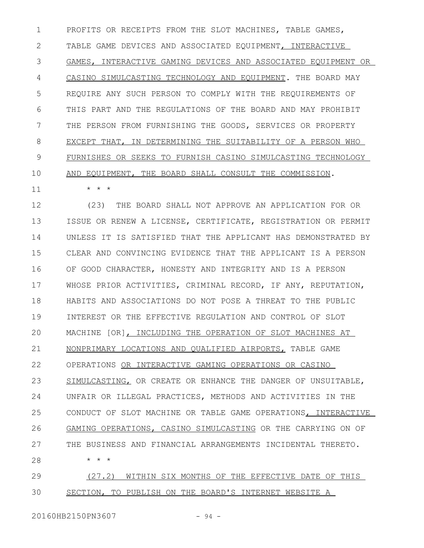PROFITS OR RECEIPTS FROM THE SLOT MACHINES, TABLE GAMES, TABLE GAME DEVICES AND ASSOCIATED EQUIPMENT, INTERACTIVE GAMES, INTERACTIVE GAMING DEVICES AND ASSOCIATED EQUIPMENT OR CASINO SIMULCASTING TECHNOLOGY AND EQUIPMENT. THE BOARD MAY REQUIRE ANY SUCH PERSON TO COMPLY WITH THE REQUIREMENTS OF THIS PART AND THE REGULATIONS OF THE BOARD AND MAY PROHIBIT THE PERSON FROM FURNISHING THE GOODS, SERVICES OR PROPERTY EXCEPT THAT, IN DETERMINING THE SUITABILITY OF A PERSON WHO FURNISHES OR SEEKS TO FURNISH CASINO SIMULCASTING TECHNOLOGY AND EQUIPMENT, THE BOARD SHALL CONSULT THE COMMISSION. 1 2 3 4 5 6 7 8 9 10

\* \* \*

11

(23) THE BOARD SHALL NOT APPROVE AN APPLICATION FOR OR ISSUE OR RENEW A LICENSE, CERTIFICATE, REGISTRATION OR PERMIT UNLESS IT IS SATISFIED THAT THE APPLICANT HAS DEMONSTRATED BY CLEAR AND CONVINCING EVIDENCE THAT THE APPLICANT IS A PERSON OF GOOD CHARACTER, HONESTY AND INTEGRITY AND IS A PERSON WHOSE PRIOR ACTIVITIES, CRIMINAL RECORD, IF ANY, REPUTATION, HABITS AND ASSOCIATIONS DO NOT POSE A THREAT TO THE PUBLIC INTEREST OR THE EFFECTIVE REGULATION AND CONTROL OF SLOT MACHINE [OR], INCLUDING THE OPERATION OF SLOT MACHINES AT NONPRIMARY LOCATIONS AND QUALIFIED AIRPORTS, TABLE GAME OPERATIONS OR INTERACTIVE GAMING OPERATIONS OR CASINO SIMULCASTING, OR CREATE OR ENHANCE THE DANGER OF UNSUITABLE, UNFAIR OR ILLEGAL PRACTICES, METHODS AND ACTIVITIES IN THE CONDUCT OF SLOT MACHINE OR TABLE GAME OPERATIONS, INTERACTIVE GAMING OPERATIONS, CASINO SIMULCASTING OR THE CARRYING ON OF THE BUSINESS AND FINANCIAL ARRANGEMENTS INCIDENTAL THERETO. \* \* \* (27.2) WITHIN SIX MONTHS OF THE EFFECTIVE DATE OF THIS 12 13 14 15 16 17 18 19 20 21 22 23 24 25 26 27 28 29

SECTION, TO PUBLISH ON THE BOARD'S INTERNET WEBSITE A 30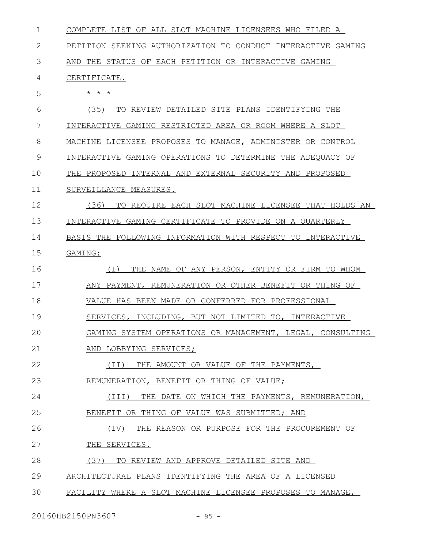| $\mathbf{1}$ | COMPLETE LIST OF ALL SLOT MACHINE LICENSEES WHO FILED A      |
|--------------|--------------------------------------------------------------|
| 2            | PETITION SEEKING AUTHORIZATION TO CONDUCT INTERACTIVE GAMING |
| 3            | AND THE STATUS OF EACH PETITION OR INTERACTIVE GAMING        |
| 4            | CERTIFICATE.                                                 |
| 5            | $\star$ $\star$ $\star$                                      |
| 6            | (35)<br>TO REVIEW DETAILED SITE PLANS IDENTIFYING THE        |
| 7            | INTERACTIVE GAMING RESTRICTED AREA OR ROOM WHERE A SLOT      |
| 8            | MACHINE LICENSEE PROPOSES TO MANAGE, ADMINISTER OR CONTROL   |
| 9            | INTERACTIVE GAMING OPERATIONS TO DETERMINE THE ADEOUACY OF   |
| 10           | THE PROPOSED INTERNAL AND EXTERNAL SECURITY AND PROPOSED     |
| 11           | SURVEILLANCE MEASURES.                                       |
| 12           | TO REQUIRE EACH SLOT MACHINE LICENSEE THAT HOLDS AN<br>(36)  |
| 13           | INTERACTIVE GAMING CERTIFICATE TO PROVIDE ON A QUARTERLY     |
| 14           | BASIS THE FOLLOWING INFORMATION WITH RESPECT TO INTERACTIVE  |
| 15           | GAMING:                                                      |
| 16           | ( I )<br>THE NAME OF ANY PERSON, ENTITY OR FIRM TO WHOM      |
| 17           | ANY PAYMENT, REMUNERATION OR OTHER BENEFIT OR THING OF       |
| 18           | VALUE HAS BEEN MADE OR CONFERRED FOR PROFESSIONAL            |
| 19           | SERVICES, INCLUDING, BUT NOT LIMITED TO, INTERACTIVE         |
| 20           | GAMING SYSTEM OPERATIONS OR MANAGEMENT, LEGAL, CONSULTING    |
| 21           | AND LOBBYING SERVICES;                                       |
| 22           | (TI)<br>THE AMOUNT OR VALUE OF THE PAYMENTS,                 |
| 23           | REMUNERATION, BENEFIT OR THING OF VALUE;                     |
| 24           | THE DATE ON WHICH THE PAYMENTS, REMUNERATION,<br>(III)       |
| 25           | BENEFIT OR THING OF VALUE WAS SUBMITTED; AND                 |
| 26           | THE REASON OR PURPOSE FOR THE PROCUREMENT OF<br>(IV)         |
| 27           | THE SERVICES.                                                |
| 28           | (37)<br>TO REVIEW AND APPROVE DETAILED SITE AND              |
| 29           | ARCHITECTURAL PLANS IDENTIFYING THE AREA OF A LICENSED       |
| 30           | FACILITY WHERE A SLOT MACHINE LICENSEE PROPOSES TO MANAGE,   |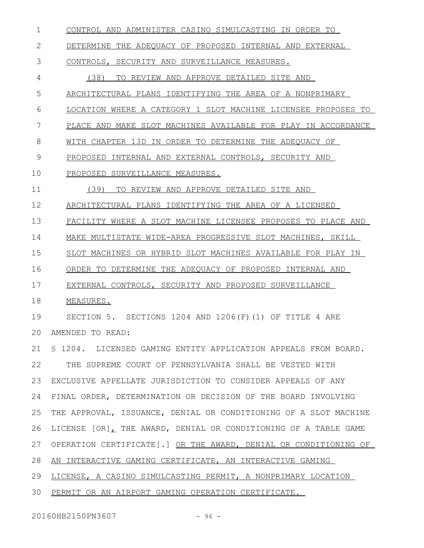CONTROL AND ADMINISTER CASINO SIMULCASTING IN ORDER TO DETERMINE THE ADEQUACY OF PROPOSED INTERNAL AND EXTERNAL CONTROLS, SECURITY AND SURVEILLANCE MEASURES. (38) TO REVIEW AND APPROVE DETAILED SITE AND ARCHITECTURAL PLANS IDENTIFYING THE AREA OF A NONPRIMARY LOCATION WHERE A CATEGORY 1 SLOT MACHINE LICENSEE PROPOSES TO PLACE AND MAKE SLOT MACHINES AVAILABLE FOR PLAY IN ACCORDANCE WITH CHAPTER 13D IN ORDER TO DETERMINE THE ADEQUACY OF PROPOSED INTERNAL AND EXTERNAL CONTROLS, SECURITY AND PROPOSED SURVEILLANCE MEASURES. (39) TO REVIEW AND APPROVE DETAILED SITE AND ARCHITECTURAL PLANS IDENTIFYING THE AREA OF A LICENSED FACILITY WHERE A SLOT MACHINE LICENSEE PROPOSES TO PLACE AND MAKE MULTISTATE WIDE-AREA PROGRESSIVE SLOT MACHINES, SKILL SLOT MACHINES OR HYBRID SLOT MACHINES AVAILABLE FOR PLAY IN ORDER TO DETERMINE THE ADEQUACY OF PROPOSED INTERNAL AND EXTERNAL CONTROLS, SECURITY AND PROPOSED SURVEILLANCE MEASURES. SECTION 5. SECTIONS 1204 AND 1206(F)(1) OF TITLE 4 ARE AMENDED TO READ: § 1204. LICENSED GAMING ENTITY APPLICATION APPEALS FROM BOARD. THE SUPREME COURT OF PENNSYLVANIA SHALL BE VESTED WITH EXCLUSIVE APPELLATE JURISDICTION TO CONSIDER APPEALS OF ANY FINAL ORDER, DETERMINATION OR DECISION OF THE BOARD INVOLVING THE APPROVAL, ISSUANCE, DENIAL OR CONDITIONING OF A SLOT MACHINE LICENSE [OR], THE AWARD, DENIAL OR CONDITIONING OF A TABLE GAME OPERATION CERTIFICATE[.] OR THE AWARD, DENIAL OR CONDITIONING OF AN INTERACTIVE GAMING CERTIFICATE, AN INTERACTIVE GAMING LICENSE, A CASINO SIMULCASTING PERMIT, A NONPRIMARY LOCATION PERMIT OR AN AIRPORT GAMING OPERATION CERTIFICATE. 1 2 3 4 5 6 7 8 9 10 11 12 13 14 15 16 17 18 19  $20$ 21 22 23 24 25 26 27 28 29 30

20160HB2150PN3607 - 96 -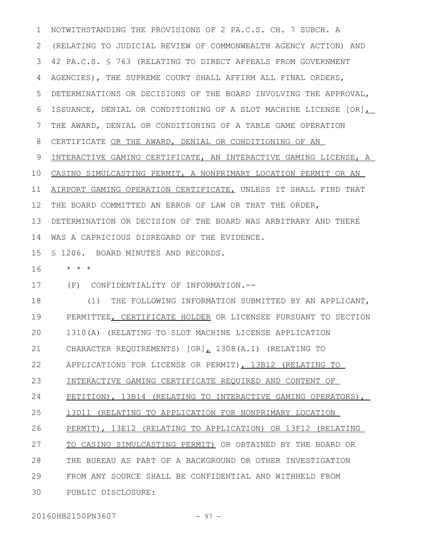NOTWITHSTANDING THE PROVISIONS OF 2 PA.C.S. CH. 7 SUBCH. A (RELATING TO JUDICIAL REVIEW OF COMMONWEALTH AGENCY ACTION) AND 42 PA.C.S. § 763 (RELATING TO DIRECT APPEALS FROM GOVERNMENT 3 AGENCIES), THE SUPREME COURT SHALL AFFIRM ALL FINAL ORDERS, DETERMINATIONS OR DECISIONS OF THE BOARD INVOLVING THE APPROVAL, ISSUANCE, DENIAL OR CONDITIONING OF A SLOT MACHINE LICENSE [OR], THE AWARD, DENIAL OR CONDITIONING OF A TABLE GAME OPERATION CERTIFICATE OR THE AWARD, DENIAL OR CONDITIONING OF AN INTERACTIVE GAMING CERTIFICATE, AN INTERACTIVE GAMING LICENSE, A 10 CASINO SIMULCASTING PERMIT, A NONPRIMARY LOCATION PERMIT OR AN AIRPORT GAMING OPERATION CERTIFICATE, UNLESS IT SHALL FIND THAT THE BOARD COMMITTED AN ERROR OF LAW OR THAT THE ORDER, DETERMINATION OR DECISION OF THE BOARD WAS ARBITRARY AND THERE WAS A CAPRICIOUS DISREGARD OF THE EVIDENCE. 1 2 4 5 6 7 8 9 11 12 13 14

§ 1206. BOARD MINUTES AND RECORDS. 15

\* \* \* 16

(F) CONFIDENTIALITY OF INFORMATION.-- 17

(1) THE FOLLOWING INFORMATION SUBMITTED BY AN APPLICANT, PERMITTEE, CERTIFICATE HOLDER OR LICENSEE PURSUANT TO SECTION 1310(A) (RELATING TO SLOT MACHINE LICENSE APPLICATION CHARACTER REQUIREMENTS) [OR], 1308(A.1) (RELATING TO APPLICATIONS FOR LICENSE OR PERMIT), 13B12 (RELATING TO INTERACTIVE GAMING CERTIFICATE REQUIRED AND CONTENT OF PETITION), 13B14 (RELATING TO INTERACTIVE GAMING OPERATORS), 13D11 (RELATING TO APPLICATION FOR NONPRIMARY LOCATION PERMIT), 13E12 (RELATING TO APPLICATION) OR 13F12 (RELATING TO CASINO SIMULCASTING PERMIT) OR OBTAINED BY THE BOARD OR THE BUREAU AS PART OF A BACKGROUND OR OTHER INVESTIGATION FROM ANY SOURCE SHALL BE CONFIDENTIAL AND WITHHELD FROM PUBLIC DISCLOSURE: 18 19 20 21 22 23 24 25 26 27 28 29 30

20160HB2150PN3607 - 97 -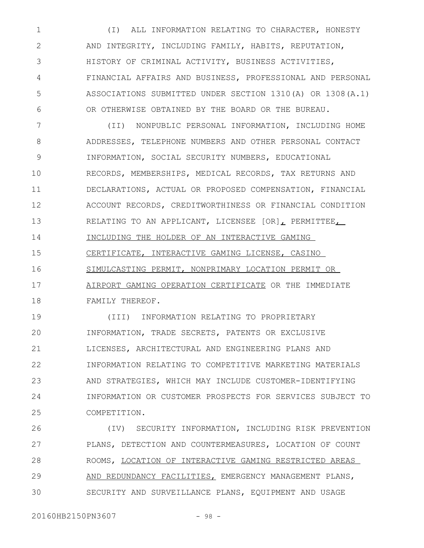(I) ALL INFORMATION RELATING TO CHARACTER, HONESTY AND INTEGRITY, INCLUDING FAMILY, HABITS, REPUTATION, HISTORY OF CRIMINAL ACTIVITY, BUSINESS ACTIVITIES, FINANCIAL AFFAIRS AND BUSINESS, PROFESSIONAL AND PERSONAL ASSOCIATIONS SUBMITTED UNDER SECTION 1310(A) OR 1308(A.1) OR OTHERWISE OBTAINED BY THE BOARD OR THE BUREAU. 1 2 3 4 5 6

(II) NONPUBLIC PERSONAL INFORMATION, INCLUDING HOME ADDRESSES, TELEPHONE NUMBERS AND OTHER PERSONAL CONTACT INFORMATION, SOCIAL SECURITY NUMBERS, EDUCATIONAL RECORDS, MEMBERSHIPS, MEDICAL RECORDS, TAX RETURNS AND DECLARATIONS, ACTUAL OR PROPOSED COMPENSATION, FINANCIAL ACCOUNT RECORDS, CREDITWORTHINESS OR FINANCIAL CONDITION RELATING TO AN APPLICANT, LICENSEE [OR], PERMITTEE, INCLUDING THE HOLDER OF AN INTERACTIVE GAMING CERTIFICATE, INTERACTIVE GAMING LICENSE, CASINO SIMULCASTING PERMIT, NONPRIMARY LOCATION PERMIT OR AIRPORT GAMING OPERATION CERTIFICATE OR THE IMMEDIATE FAMILY THEREOF. 7 8 9 10 11 12 13 14 15 16 17 18

(III) INFORMATION RELATING TO PROPRIETARY INFORMATION, TRADE SECRETS, PATENTS OR EXCLUSIVE LICENSES, ARCHITECTURAL AND ENGINEERING PLANS AND INFORMATION RELATING TO COMPETITIVE MARKETING MATERIALS AND STRATEGIES, WHICH MAY INCLUDE CUSTOMER-IDENTIFYING INFORMATION OR CUSTOMER PROSPECTS FOR SERVICES SUBJECT TO COMPETITION. 19 20 21 22 23 24 25

(IV) SECURITY INFORMATION, INCLUDING RISK PREVENTION PLANS, DETECTION AND COUNTERMEASURES, LOCATION OF COUNT ROOMS, LOCATION OF INTERACTIVE GAMING RESTRICTED AREAS AND REDUNDANCY FACILITIES, EMERGENCY MANAGEMENT PLANS, SECURITY AND SURVEILLANCE PLANS, EQUIPMENT AND USAGE 26 27 28 29 30

20160HB2150PN3607 - 98 -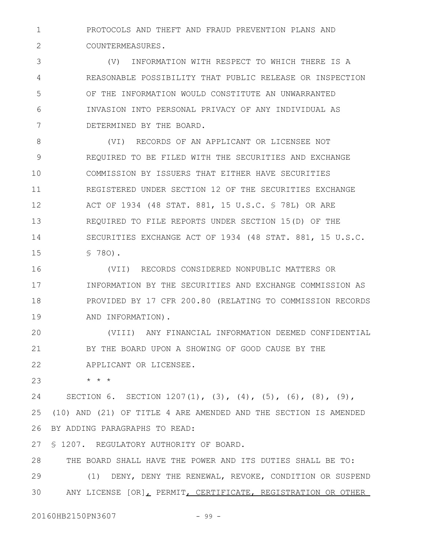PROTOCOLS AND THEFT AND FRAUD PREVENTION PLANS AND COUNTERMEASURES. 1 2

(V) INFORMATION WITH RESPECT TO WHICH THERE IS A REASONABLE POSSIBILITY THAT PUBLIC RELEASE OR INSPECTION OF THE INFORMATION WOULD CONSTITUTE AN UNWARRANTED INVASION INTO PERSONAL PRIVACY OF ANY INDIVIDUAL AS DETERMINED BY THE BOARD. 3 4 5 6 7

(VI) RECORDS OF AN APPLICANT OR LICENSEE NOT REQUIRED TO BE FILED WITH THE SECURITIES AND EXCHANGE COMMISSION BY ISSUERS THAT EITHER HAVE SECURITIES REGISTERED UNDER SECTION 12 OF THE SECURITIES EXCHANGE ACT OF 1934 (48 STAT. 881, 15 U.S.C. § 78L) OR ARE REQUIRED TO FILE REPORTS UNDER SECTION 15(D) OF THE SECURITIES EXCHANGE ACT OF 1934 (48 STAT. 881, 15 U.S.C. § 78O). 8 9 10 11 12 13 14 15

(VII) RECORDS CONSIDERED NONPUBLIC MATTERS OR INFORMATION BY THE SECURITIES AND EXCHANGE COMMISSION AS PROVIDED BY 17 CFR 200.80 (RELATING TO COMMISSION RECORDS AND INFORMATION). 16 17 18 19

(VIII) ANY FINANCIAL INFORMATION DEEMED CONFIDENTIAL BY THE BOARD UPON A SHOWING OF GOOD CAUSE BY THE APPLICANT OR LICENSEE. 20 21 22

\* \* \* 23

SECTION 6. SECTION  $1207(1)$ ,  $(3)$ ,  $(4)$ ,  $(5)$ ,  $(6)$ ,  $(8)$ ,  $(9)$ , (10) AND (21) OF TITLE 4 ARE AMENDED AND THE SECTION IS AMENDED BY ADDING PARAGRAPHS TO READ: 24 25 26

§ 1207. REGULATORY AUTHORITY OF BOARD. 27

THE BOARD SHALL HAVE THE POWER AND ITS DUTIES SHALL BE TO: (1) DENY, DENY THE RENEWAL, REVOKE, CONDITION OR SUSPEND ANY LICENSE [OR], PERMIT, CERTIFICATE, REGISTRATION OR OTHER 28 29 30

20160HB2150PN3607 - 99 -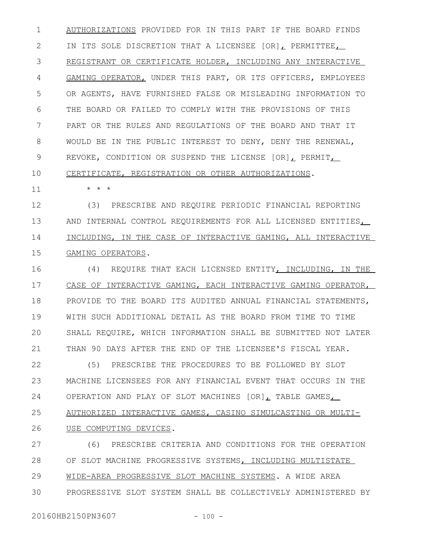AUTHORIZATIONS PROVIDED FOR IN THIS PART IF THE BOARD FINDS IN ITS SOLE DISCRETION THAT A LICENSEE  $[OR]$  PERMITTEE, REGISTRANT OR CERTIFICATE HOLDER, INCLUDING ANY INTERACTIVE GAMING OPERATOR, UNDER THIS PART, OR ITS OFFICERS, EMPLOYEES OR AGENTS, HAVE FURNISHED FALSE OR MISLEADING INFORMATION TO THE BOARD OR FAILED TO COMPLY WITH THE PROVISIONS OF THIS PART OR THE RULES AND REGULATIONS OF THE BOARD AND THAT IT WOULD BE IN THE PUBLIC INTEREST TO DENY, DENY THE RENEWAL, REVOKE, CONDITION OR SUSPEND THE LICENSE [OR], PERMIT, 1 2 3 4 5 6 7 8 9

## CERTIFICATE, REGISTRATION OR OTHER AUTHORIZATIONS. 10

\* \* \*

11

(3) PRESCRIBE AND REQUIRE PERIODIC FINANCIAL REPORTING AND INTERNAL CONTROL REQUIREMENTS FOR ALL LICENSED ENTITIES, INCLUDING, IN THE CASE OF INTERACTIVE GAMING, ALL INTERACTIVE GAMING OPERATORS. 12 13 14 15

(4) REQUIRE THAT EACH LICENSED ENTITY, INCLUDING, IN THE CASE OF INTERACTIVE GAMING, EACH INTERACTIVE GAMING OPERATOR, PROVIDE TO THE BOARD ITS AUDITED ANNUAL FINANCIAL STATEMENTS, WITH SUCH ADDITIONAL DETAIL AS THE BOARD FROM TIME TO TIME SHALL REQUIRE, WHICH INFORMATION SHALL BE SUBMITTED NOT LATER THAN 90 DAYS AFTER THE END OF THE LICENSEE'S FISCAL YEAR. 16 17 18 19 20 21

(5) PRESCRIBE THE PROCEDURES TO BE FOLLOWED BY SLOT MACHINE LICENSEES FOR ANY FINANCIAL EVENT THAT OCCURS IN THE OPERATION AND PLAY OF SLOT MACHINES  $[OR]_L$  TABLE GAMES, AUTHORIZED INTERACTIVE GAMES, CASINO SIMULCASTING OR MULTI-USE COMPUTING DEVICES. 22 23 24 25 26

(6) PRESCRIBE CRITERIA AND CONDITIONS FOR THE OPERATION OF SLOT MACHINE PROGRESSIVE SYSTEMS, INCLUDING MULTISTATE WIDE-AREA PROGRESSIVE SLOT MACHINE SYSTEMS. A WIDE AREA PROGRESSIVE SLOT SYSTEM SHALL BE COLLECTIVELY ADMINISTERED BY 27 28 29 30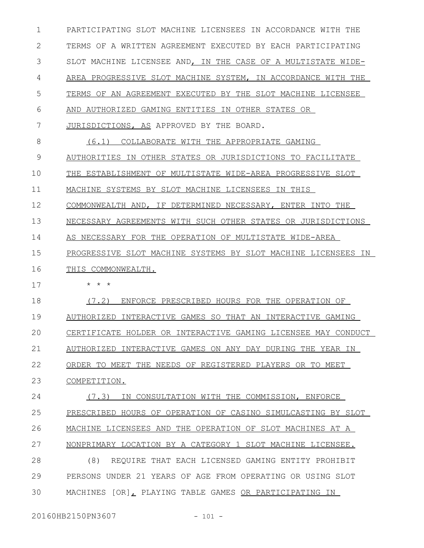PARTICIPATING SLOT MACHINE LICENSEES IN ACCORDANCE WITH THE TERMS OF A WRITTEN AGREEMENT EXECUTED BY EACH PARTICIPATING SLOT MACHINE LICENSEE AND, IN THE CASE OF A MULTISTATE WIDE-AREA PROGRESSIVE SLOT MACHINE SYSTEM, IN ACCORDANCE WITH THE TERMS OF AN AGREEMENT EXECUTED BY THE SLOT MACHINE LICENSEE AND AUTHORIZED GAMING ENTITIES IN OTHER STATES OR JURISDICTIONS, AS APPROVED BY THE BOARD. (6.1) COLLABORATE WITH THE APPROPRIATE GAMING AUTHORITIES IN OTHER STATES OR JURISDICTIONS TO FACILITATE THE ESTABLISHMENT OF MULTISTATE WIDE-AREA PROGRESSIVE SLOT MACHINE SYSTEMS BY SLOT MACHINE LICENSEES IN THIS COMMONWEALTH AND, IF DETERMINED NECESSARY, ENTER INTO THE NECESSARY AGREEMENTS WITH SUCH OTHER STATES OR JURISDICTIONS AS NECESSARY FOR THE OPERATION OF MULTISTATE WIDE-AREA PROGRESSIVE SLOT MACHINE SYSTEMS BY SLOT MACHINE LICENSEES IN THIS COMMONWEALTH. \* \* \* (7.2) ENFORCE PRESCRIBED HOURS FOR THE OPERATION OF AUTHORIZED INTERACTIVE GAMES SO THAT AN INTERACTIVE GAMING CERTIFICATE HOLDER OR INTERACTIVE GAMING LICENSEE MAY CONDUCT AUTHORIZED INTERACTIVE GAMES ON ANY DAY DURING THE YEAR IN ORDER TO MEET THE NEEDS OF REGISTERED PLAYERS OR TO MEET COMPETITION. (7.3) IN CONSULTATION WITH THE COMMISSION , ENFORCE PRESCRIBED HOURS OF OPERATION OF CASINO SIMULCASTING BY SLOT MACHINE LICENSEES AND THE OPERATION OF SLOT MACHINES AT A NONPRIMARY LOCATION BY A CATEGORY 1 SLOT MACHINE LICENSEE. (8) REQUIRE THAT EACH LICENSED GAMING ENTITY PROHIBIT PERSONS UNDER 21 YEARS OF AGE FROM OPERATING OR USING SLOT MACHINES [OR], PLAYING TABLE GAMES OR PARTICIPATING IN 1 2 3 4 5 6 7 8 9 10 11 12 13 14 15 16 17 18 19  $20$ 21 22 23 24 25 26 27 28 29 30

20160HB2150PN3607 - 101 -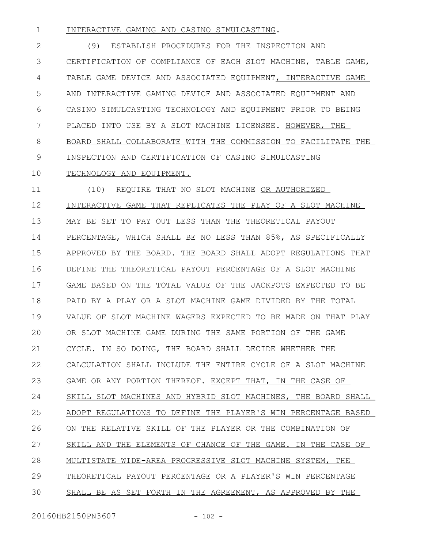INTERACTIVE GAMING AND CASINO SIMULCASTING. 1

(9) ESTABLISH PROCEDURES FOR THE INSPECTION AND CERTIFICATION OF COMPLIANCE OF EACH SLOT MACHINE, TABLE GAME, TABLE GAME DEVICE AND ASSOCIATED EQUIPMENT, INTERACTIVE GAME AND INTERACTIVE GAMING DEVICE AND ASSOCIATED EQUIPMENT AND CASINO SIMULCASTING TECHNOLOGY AND EQUIPMENT PRIOR TO BEING PLACED INTO USE BY A SLOT MACHINE LICENSEE. HOWEVER, THE BOARD SHALL COLLABORATE WITH THE COMMISSION TO FACILITATE THE INSPECTION AND CERTIFICATION OF CASINO SIMULCASTING 2 3 4 5 6 7 8 9

## TECHNOLOGY AND EQUIPMENT. 10

(10) REQUIRE THAT NO SLOT MACHINE OR AUTHORIZED INTERACTIVE GAME THAT REPLICATES THE PLAY OF A SLOT MACHINE MAY BE SET TO PAY OUT LESS THAN THE THEORETICAL PAYOUT PERCENTAGE, WHICH SHALL BE NO LESS THAN 85%, AS SPECIFICALLY APPROVED BY THE BOARD. THE BOARD SHALL ADOPT REGULATIONS THAT DEFINE THE THEORETICAL PAYOUT PERCENTAGE OF A SLOT MACHINE GAME BASED ON THE TOTAL VALUE OF THE JACKPOTS EXPECTED TO BE PAID BY A PLAY OR A SLOT MACHINE GAME DIVIDED BY THE TOTAL VALUE OF SLOT MACHINE WAGERS EXPECTED TO BE MADE ON THAT PLAY OR SLOT MACHINE GAME DURING THE SAME PORTION OF THE GAME CYCLE. IN SO DOING, THE BOARD SHALL DECIDE WHETHER THE CALCULATION SHALL INCLUDE THE ENTIRE CYCLE OF A SLOT MACHINE GAME OR ANY PORTION THEREOF. EXCEPT THAT, IN THE CASE OF SKILL SLOT MACHINES AND HYBRID SLOT MACHINES, THE BOARD SHALL ADOPT REGULATIONS TO DEFINE THE PLAYER'S WIN PERCENTAGE BASED ON THE RELATIVE SKILL OF THE PLAYER OR THE COMBINATION OF SKILL AND THE ELEMENTS OF CHANCE OF THE GAME. IN THE CASE OF MULTISTATE WIDE-AREA PROGRESSIVE SLOT MACHINE SYSTEM, THE THEORETICAL PAYOUT PERCENTAGE OR A PLAYER'S WIN PERCENTAGE SHALL BE AS SET FORTH IN THE AGREEMENT, AS APPROVED BY THE 11 12 13 14 15 16 17 18 19  $20$ 21 22 23 24 25 26 27 28 29 30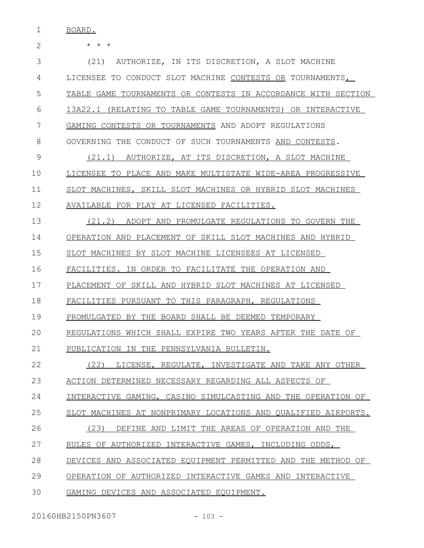1 BOARD.

| $\mathbf{2}$ | $\star$ $\star$ $\star$                                       |
|--------------|---------------------------------------------------------------|
| 3            | (21) AUTHORIZE, IN ITS DISCRETION, A SLOT MACHINE             |
| 4            | LICENSEE TO CONDUCT SLOT MACHINE CONTESTS OR TOURNAMENTS,     |
| 5            | TABLE GAME TOURNAMENTS OR CONTESTS IN ACCORDANCE WITH SECTION |
| 6            | 13A22.1 (RELATING TO TABLE GAME TOURNAMENTS) OR INTERACTIVE   |
| 7            | GAMING CONTESTS OR TOURNAMENTS AND ADOPT REGULATIONS          |
| 8            | GOVERNING THE CONDUCT OF SUCH TOURNAMENTS AND CONTESTS.       |
| 9            | (21.1) AUTHORIZE, AT ITS DISCRETION, A SLOT MACHINE           |
| 10           | LICENSEE TO PLACE AND MAKE MULTISTATE WIDE-AREA PROGRESSIVE   |
| 11           | SLOT MACHINES, SKILL SLOT MACHINES OR HYBRID SLOT MACHINES    |
| 12           | AVAILABLE FOR PLAY AT LICENSED FACILITIES.                    |
| 13           | (21.2) ADOPT AND PROMULGATE REGULATIONS TO GOVERN THE         |
| 14           | OPERATION AND PLACEMENT OF SKILL SLOT MACHINES AND HYBRID     |
| 15           | SLOT MACHINES BY SLOT MACHINE LICENSEES AT LICENSED           |
| 16           | FACILITIES. IN ORDER TO FACILITATE THE OPERATION AND          |
| 17           | PLACEMENT OF SKILL AND HYBRID SLOT MACHINES AT LICENSED       |
| 18           | FACILITIES PURSUANT TO THIS PARAGRAPH, REGULATIONS            |
| 19           | PROMULGATED BY THE BOARD SHALL BE DEEMED TEMPORARY            |
| 20           | REGULATIONS WHICH SHALL EXPIRE TWO YEARS AFTER THE DATE OF    |
| 21           | PUBLICATION IN THE PENNSYLVANIA BULLETIN.                     |
| 22           | (22) LICENSE, REGULATE, INVESTIGATE AND TAKE ANY OTHER        |
| 23           | ACTION DETERMINED NECESSARY REGARDING ALL ASPECTS OF          |
| 24           | INTERACTIVE GAMING, CASINO SIMULCASTING AND THE OPERATION OF  |
| 25           | SLOT MACHINES AT NONPRIMARY LOCATIONS AND QUALIFIED AIRPORTS. |
| 26           | (23) DEFINE AND LIMIT THE AREAS OF OPERATION AND THE          |
| 27           | RULES OF AUTHORIZED INTERACTIVE GAMES, INCLUDING ODDS,        |
| 28           | DEVICES AND ASSOCIATED EQUIPMENT PERMITTED AND THE METHOD OF  |
| 29           | OPERATION OF AUTHORIZED INTERACTIVE GAMES AND INTERACTIVE     |
| 30           | GAMING DEVICES AND ASSOCIATED EQUIPMENT.                      |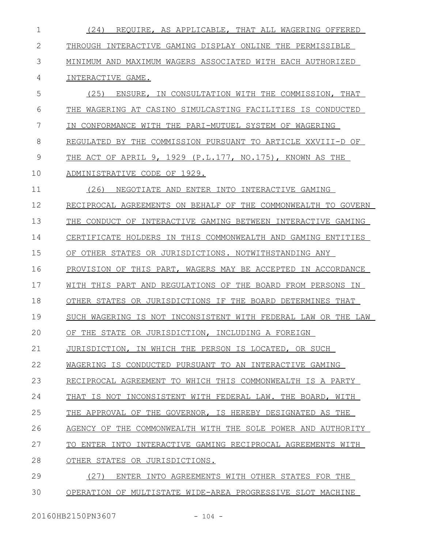(24) REQUIRE, AS APPLICABLE, THAT ALL WAGERING OFFERED THROUGH INTERACTIVE GAMING DISPLAY ONLINE THE PERMISSIBLE MINIMUM AND MAXIMUM WAGERS ASSOCIATED WITH EACH AUTHORIZED INTERACTIVE GAME. (25) ENSURE, IN CONSULTATION WITH THE COMMISSION, THAT THE WAGERING AT CASINO SIMULCASTING FACILITIES IS CONDUCTED IN CONFORMANCE WITH THE PARI-MUTUEL SYSTEM OF WAGERING REGULATED BY THE COMMISSION PURSUANT TO ARTICLE XXVIII-D OF THE ACT OF APRIL 9, 1929 (P.L.177, NO.175), KNOWN AS THE ADMINISTRATIVE CODE OF 1929. (26) NEGOTIATE AND ENTER INTO INTERACTIVE GAMING RECIPROCAL AGREEMENTS ON BEHALF OF THE COMMONWEALTH TO GOVERN THE CONDUCT OF INTERACTIVE GAMING BETWEEN INTERACTIVE GAMING CERTIFICATE HOLDERS IN THIS COMMONWEALTH AND GAMING ENTITIES OF OTHER STATES OR JURISDICTIONS. NOTWITHSTANDING ANY PROVISION OF THIS PART, WAGERS MAY BE ACCEPTED IN ACCORDANCE WITH THIS PART AND REGULATIONS OF THE BOARD FROM PERSONS IN OTHER STATES OR JURISDICTIONS IF THE BOARD DETERMINES THAT SUCH WAGERING IS NOT INCONSISTENT WITH FEDERAL LAW OR THE LAW OF THE STATE OR JURISDICTION, INCLUDING A FOREIGN JURISDICTION, IN WHICH THE PERSON IS LOCATED, OR SUCH WAGERING IS CONDUCTED PURSUANT TO AN INTERACTIVE GAMING RECIPROCAL AGREEMENT TO WHICH THIS COMMONWEALTH IS A PARTY THAT IS NOT INCONSISTENT WITH FEDERAL LAW. THE BOARD, WITH THE APPROVAL OF THE GOVERNOR, IS HEREBY DESIGNATED AS THE AGENCY OF THE COMMONWEALTH WITH THE SOLE POWER AND AUTHORITY TO ENTER INTO INTERACTIVE GAMING RECIPROCAL AGREEMENTS WITH OTHER STATES OR JURISDICTIONS. (27) ENTER INTO AGREEMENTS WITH OTHER STATES FOR THE OPERATION OF MULTISTATE WIDE-AREA PROGRESSIVE SLOT MACHINE 1 2 3 4 5 6 7 8 9 10 11 12 13 14 15 16 17 18 19  $20$ 21 22 23 24 25 26 27 28 29 30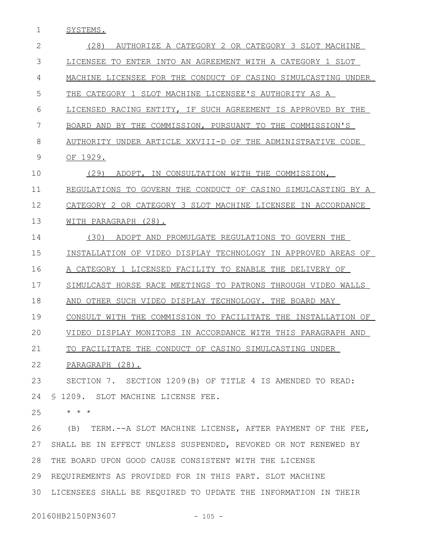1 SYSTEMS.

| $\overline{2}$ | (28)<br>AUTHORIZE A CATEGORY 2 OR CATEGORY 3 SLOT MACHINE      |
|----------------|----------------------------------------------------------------|
| 3              | LICENSEE TO ENTER INTO AN AGREEMENT WITH A CATEGORY 1 SLOT     |
| 4              | MACHINE LICENSEE FOR THE CONDUCT OF CASINO SIMULCASTING UNDER  |
| 5              | THE CATEGORY 1 SLOT MACHINE LICENSEE'S AUTHORITY AS A          |
| 6              | LICENSED RACING ENTITY, IF SUCH AGREEMENT IS APPROVED BY THE   |
| 7              | BY THE COMMISSION, PURSUANT TO THE COMMISSION'S<br>BOARD AND   |
| 8              | AUTHORITY UNDER ARTICLE XXVIII-D OF THE ADMINISTRATIVE CODE    |
| 9              | OF 1929.                                                       |
| 10             | (29)<br>ADOPT, IN CONSULTATION WITH THE COMMISSION,            |
| 11             | REGULATIONS TO GOVERN THE CONDUCT OF CASINO SIMULCASTING BY A  |
| 12             | CATEGORY 2 OR CATEGORY 3 SLOT MACHINE LICENSEE IN ACCORDANCE   |
| 13             | WITH PARAGRAPH (28).                                           |
| 14             | (30)<br>ADOPT AND PROMULGATE REGULATIONS TO GOVERN THE         |
| 15             | INSTALLATION OF VIDEO DISPLAY TECHNOLOGY IN APPROVED AREAS OF  |
| 16             | A CATEGORY 1 LICENSED FACILITY TO ENABLE THE DELIVERY OF       |
| 17             | SIMULCAST HORSE RACE MEETINGS TO PATRONS THROUGH VIDEO WALLS   |
| 18             | AND OTHER SUCH VIDEO DISPLAY TECHNOLOGY. THE BOARD MAY         |
| 19             | CONSULT WITH THE COMMISSION TO FACILITATE THE INSTALLATION OF  |
| 20             | VIDEO DISPLAY MONITORS IN ACCORDANCE WITH THIS PARAGRAPH AND   |
| 21             | TO FACILITATE THE CONDUCT OF CASINO SIMULCASTING UNDER         |
| 22             | PARAGRAPH (28).                                                |
| 23             | SECTION 7. SECTION 1209(B) OF TITLE 4 IS AMENDED TO READ:      |
| 24             | \$ 1209. SLOT MACHINE LICENSE FEE.                             |
| 25             | $\star$ $\star$ $\star$                                        |
| 26             | (B) TERM.--A SLOT MACHINE LICENSE, AFTER PAYMENT OF THE FEE,   |
| 27             | SHALL BE IN EFFECT UNLESS SUSPENDED, REVOKED OR NOT RENEWED BY |
| 28             | THE BOARD UPON GOOD CAUSE CONSISTENT WITH THE LICENSE          |
| 29             | REQUIREMENTS AS PROVIDED FOR IN THIS PART. SLOT MACHINE        |

LICENSEES SHALL BE REQUIRED TO UPDATE THE INFORMATION IN THEIR 30

20160HB2150PN3607 - 105 -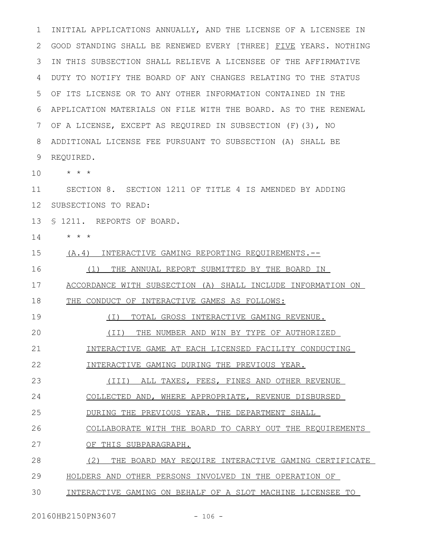INITIAL APPLICATIONS ANNUALLY, AND THE LICENSE OF A LICENSEE IN GOOD STANDING SHALL BE RENEWED EVERY [THREE] FIVE YEARS. NOTHING IN THIS SUBSECTION SHALL RELIEVE A LICENSEE OF THE AFFIRMATIVE DUTY TO NOTIFY THE BOARD OF ANY CHANGES RELATING TO THE STATUS OF ITS LICENSE OR TO ANY OTHER INFORMATION CONTAINED IN THE APPLICATION MATERIALS ON FILE WITH THE BOARD. AS TO THE RENEWAL OF A LICENSE, EXCEPT AS REQUIRED IN SUBSECTION (F)(3), NO ADDITIONAL LICENSE FEE PURSUANT TO SUBSECTION (A) SHALL BE REQUIRED. \* \* \* SECTION 8. SECTION 1211 OF TITLE 4 IS AMENDED BY ADDING SUBSECTIONS TO READ: § 1211. REPORTS OF BOARD. \* \* \* (A.4) INTERACTIVE GAMING REPORTING REQUIREMENTS.-- 1 2 3 4 5 6 7 8 9 10 11 12 13 14 15

(1) THE ANNUAL REPORT SUBMITTED BY THE BOARD IN 16

ACCORDANCE WITH SUBSECTION (A) SHALL INCLUDE INFORMATION ON 17

THE CONDUCT OF INTERACTIVE GAMES AS FOLLOWS: 18

(I) TOTAL GROSS INTERACTIVE GAMING REVENUE. 19

(II) THE NUMBER AND WIN BY TYPE OF AUTHORIZED  $20$ 

INTERACTIVE GAME AT EACH LICENSED FACILITY CONDUCTING 21

INTERACTIVE GAMING DURING THE PREVIOUS YEAR. 22

(III) ALL TAXES, FEES, FINES AND OTHER REVENUE 23

COLLECTED AND, WHERE APPROPRIATE, REVENUE DISBURSED 24

DURING THE PREVIOUS YEAR. THE DEPARTMENT SHALL 25

COLLABORATE WITH THE BOARD TO CARRY OUT THE REQUIREMENTS 26

OF THIS SUBPARAGRAPH. 27

(2) THE BOARD MAY REQUIRE INTERACTIVE GAMING CERTIFICATE 28

HOLDERS AND OTHER PERSONS INVOLVED IN THE OPERATION OF 29

INTERACTIVE GAMING ON BEHALF OF A SLOT MACHINE LICENSEE TO 30

20160HB2150PN3607 - 106 -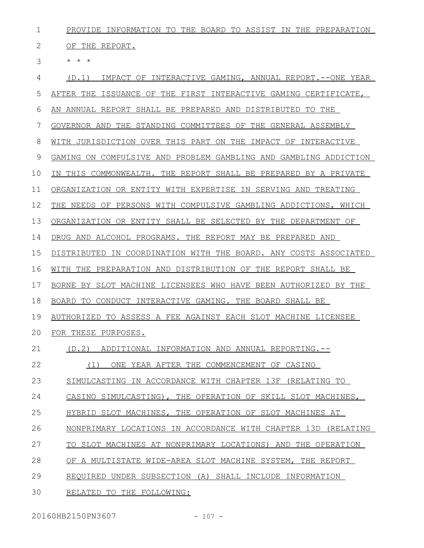| $\mathbf 1$ | PROVIDE INFORMATION TO THE BOARD TO ASSIST IN THE PREPARATION    |
|-------------|------------------------------------------------------------------|
| 2           | OF THE REPORT.                                                   |
| 3           | $\star$ $\star$ $\star$                                          |
| 4           | IMPACT OF INTERACTIVE GAMING, ANNUAL REPORT.--ONE YEAR<br>(D.1)  |
| 5           | AFTER THE ISSUANCE OF THE FIRST INTERACTIVE GAMING CERTIFICATE,  |
| 6           | AN ANNUAL REPORT SHALL BE PREPARED AND DISTRIBUTED TO THE        |
| 7           | GOVERNOR AND THE STANDING COMMITTEES OF THE GENERAL ASSEMBLY     |
| 8           | WITH JURISDICTION OVER THIS PART ON THE IMPACT OF INTERACTIVE    |
| 9           | GAMING ON COMPULSIVE AND PROBLEM GAMBLING AND GAMBLING ADDICTION |
| 10          | IN THIS COMMONWEALTH. THE REPORT SHALL BE PREPARED BY A PRIVATE  |
| 11          | ORGANIZATION OR ENTITY WITH EXPERTISE IN SERVING AND TREATING    |
| 12          | THE NEEDS OF PERSONS WITH COMPULSIVE GAMBLING ADDICTIONS, WHICH  |
| 13          | ORGANIZATION OR ENTITY SHALL BE SELECTED BY THE DEPARTMENT OF    |
| 14          | DRUG AND ALCOHOL PROGRAMS. THE REPORT MAY BE PREPARED AND        |
| 15          | DISTRIBUTED IN COORDINATION WITH THE BOARD. ANY COSTS ASSOCIATED |
|             |                                                                  |
| 16          | WITH THE PREPARATION AND DISTRIBUTION OF THE REPORT SHALL BE     |
| 17          | BORNE BY SLOT MACHINE LICENSEES WHO HAVE BEEN AUTHORIZED BY THE  |
| 18          | BOARD TO CONDUCT INTERACTIVE GAMING. THE BOARD SHALL BE          |
| 19          | AUTHORIZED TO ASSESS A FEE AGAINST EACH SLOT MACHINE LICENSEE    |
|             | 20 FOR THESE PURPOSES.                                           |
| 21          | (D.2)<br>ADDITIONAL INFORMATION AND ANNUAL REPORTING.--          |
| 22          | (1)<br>ONE YEAR AFTER THE COMMENCEMENT OF CASINO                 |
| 23          | SIMULCASTING IN ACCORDANCE WITH CHAPTER 13F (RELATING TO         |
| 24          | CASINO SIMULCASTING), THE OPERATION OF SKILL SLOT MACHINES,      |
| 25          | HYBRID SLOT MACHINES, THE OPERATION OF SLOT MACHINES AT          |
| 26          | NONPRIMARY LOCATIONS IN ACCORDANCE WITH CHAPTER 13D (RELATING    |
| 27          | TO SLOT MACHINES AT NONPRIMARY LOCATIONS) AND THE OPERATION      |
| 28          | OF A MULTISTATE WIDE-AREA SLOT MACHINE SYSTEM,<br>THE REPORT     |
| 29          | REQUIRED UNDER SUBSECTION (A) SHALL INCLUDE INFORMATION          |

20160HB2150PN3607 - 107 -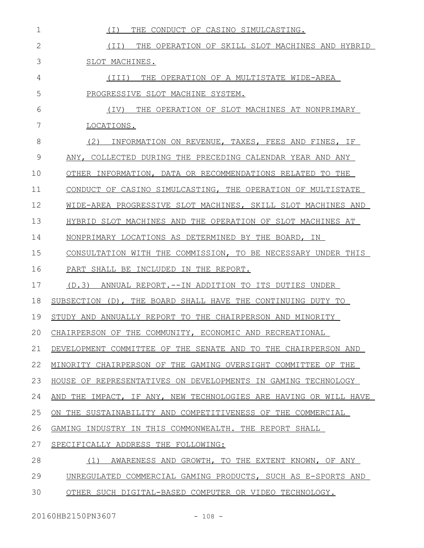| $\mathbf 1$  | THE CONDUCT OF CASINO SIMULCASTING.<br>( I )                     |
|--------------|------------------------------------------------------------------|
| $\mathbf{2}$ | (II) THE OPERATION OF SKILL SLOT MACHINES AND HYBRID             |
| 3            | SLOT MACHINES.                                                   |
| 4            | THE OPERATION OF A MULTISTATE WIDE-AREA<br>(TII)                 |
| 5            | PROGRESSIVE SLOT MACHINE SYSTEM.                                 |
| 6            | (TV)<br>THE OPERATION OF SLOT MACHINES AT NONPRIMARY             |
| 7            | LOCATIONS.                                                       |
| 8            | (2)<br>INFORMATION ON REVENUE, TAXES, FEES AND FINES, IF         |
| 9            | ANY, COLLECTED DURING THE PRECEDING CALENDAR YEAR AND ANY        |
| 10           | OTHER INFORMATION, DATA OR RECOMMENDATIONS RELATED TO THE        |
| 11           | CONDUCT OF CASINO SIMULCASTING, THE OPERATION OF MULTISTATE      |
| 12           | WIDE-AREA PROGRESSIVE SLOT MACHINES, SKILL SLOT MACHINES AND     |
| 13           | HYBRID SLOT MACHINES AND THE OPERATION OF SLOT MACHINES AT       |
| 14           | NONPRIMARY LOCATIONS AS DETERMINED BY THE BOARD, IN              |
| 15           | CONSULTATION WITH THE COMMISSION, TO BE NECESSARY UNDER THIS     |
| 16           | PART SHALL BE INCLUDED IN THE REPORT.                            |
| 17           | (D.3)<br>ANNUAL REPORT. --IN ADDITION TO ITS DUTIES UNDER        |
| 18           | SUBSECTION (D), THE BOARD SHALL HAVE THE CONTINUING DUTY TO      |
| 19           | STUDY AND ANNUALLY REPORT TO THE CHAIRPERSON AND MINORITY        |
| 20           | CHAIRPERSON OF THE COMMUNITY, ECONOMIC AND RECREATIONAL          |
| 21           | DEVELOPMENT COMMITTEE OF THE SENATE AND TO THE CHAIRPERSON AND   |
| 22           | MINORITY CHAIRPERSON OF THE GAMING OVERSIGHT COMMITTEE OF THE    |
| 23           | HOUSE OF REPRESENTATIVES ON DEVELOPMENTS IN GAMING TECHNOLOGY    |
| 24           | AND THE IMPACT, IF ANY, NEW TECHNOLOGIES ARE HAVING OR WILL HAVE |
| 25           | ON THE SUSTAINABILITY AND COMPETITIVENESS OF THE COMMERCIAL      |
| 26           | GAMING INDUSTRY IN THIS COMMONWEALTH. THE REPORT SHALL           |
| 27           | SPECIFICALLY ADDRESS THE FOLLOWING:                              |
| 28           | (1)<br>AWARENESS AND GROWTH, TO THE EXTENT KNOWN, OF ANY         |
| 29           | UNREGULATED COMMERCIAL GAMING PRODUCTS, SUCH AS E-SPORTS AND     |
| 30           | OTHER SUCH DIGITAL-BASED COMPUTER OR VIDEO TECHNOLOGY.           |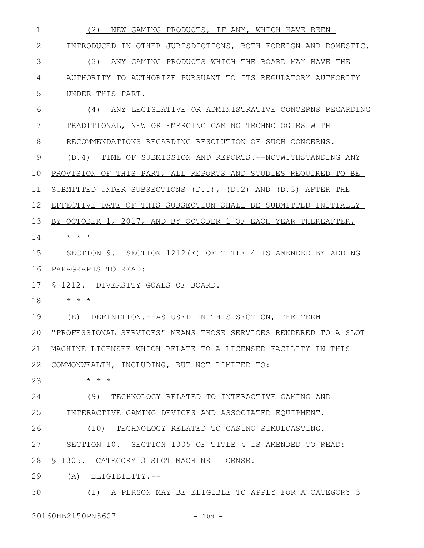| 1  | NEW GAMING PRODUCTS, IF ANY, WHICH HAVE BEEN<br>(2)                 |
|----|---------------------------------------------------------------------|
| 2  | INTRODUCED IN OTHER JURISDICTIONS, BOTH FOREIGN AND DOMESTIC.       |
| 3  | (3) ANY GAMING PRODUCTS WHICH THE BOARD MAY HAVE THE                |
| 4  | AUTHORITY TO AUTHORIZE PURSUANT TO ITS REGULATORY AUTHORITY         |
| 5  | UNDER THIS PART.                                                    |
| 6  | (4) ANY LEGISLATIVE OR ADMINISTRATIVE CONCERNS REGARDING            |
| 7  | TRADITIONAL, NEW OR EMERGING GAMING TECHNOLOGIES WITH               |
| 8  | RECOMMENDATIONS REGARDING RESOLUTION OF SUCH CONCERNS.              |
| 9  | (D.4) TIME OF SUBMISSION AND REPORTS.--NOTWITHSTANDING ANY          |
| 10 | PROVISION OF THIS PART, ALL REPORTS AND STUDIES REQUIRED TO BE      |
| 11 | SUBMITTED UNDER SUBSECTIONS $(D.1)$ , $(D.2)$ AND $(D.3)$ AFTER THE |
| 12 | EFFECTIVE DATE OF THIS SUBSECTION SHALL BE SUBMITTED INITIALLY      |
| 13 | BY OCTOBER 1, 2017, AND BY OCTOBER 1 OF EACH YEAR THEREAFTER.       |
| 14 | $\star$ $\star$ $\star$                                             |
| 15 | SECTION 9. SECTION 1212(E) OF TITLE 4 IS AMENDED BY ADDING          |
| 16 | PARAGRAPHS TO READ:                                                 |
| 17 | \$ 1212. DIVERSITY GOALS OF BOARD.                                  |
| 18 | $\star$ $\star$ $\star$                                             |
| 19 | DEFINITION. -- AS USED IN THIS SECTION, THE TERM<br>(E)             |
| 20 | "PROFESSIONAL SERVICES" MEANS THOSE SERVICES RENDERED TO A SLOT     |
| 21 | MACHINE LICENSEE WHICH RELATE TO A LICENSED FACILITY IN THIS        |
| 22 | COMMONWEALTH, INCLUDING, BUT NOT LIMITED TO:                        |
| 23 | $\star$ $\star$ $\star$                                             |
| 24 | (9) TECHNOLOGY RELATED TO INTERACTIVE GAMING AND                    |
| 25 | INTERACTIVE GAMING DEVICES AND ASSOCIATED EQUIPMENT.                |
| 26 | (10) TECHNOLOGY RELATED TO CASINO SIMULCASTING.                     |
| 27 | SECTION 10. SECTION 1305 OF TITLE 4 IS AMENDED TO READ:             |
| 28 | \$ 1305. CATEGORY 3 SLOT MACHINE LICENSE.                           |
| 29 | $(A)$ ELIGIBILITY.--                                                |
| 30 | (1) A PERSON MAY BE ELIGIBLE TO APPLY FOR A CATEGORY 3              |

20160HB2150PN3607 - 109 -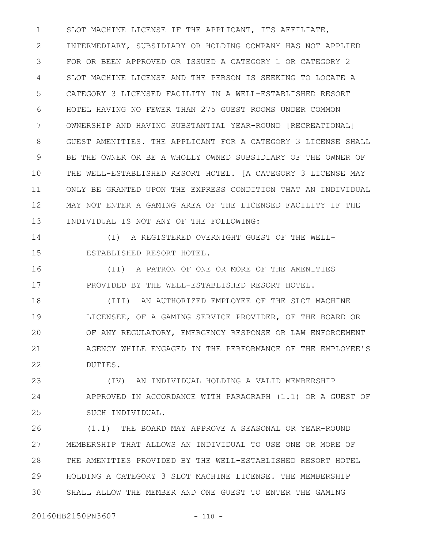SLOT MACHINE LICENSE IF THE APPLICANT, ITS AFFILIATE, INTERMEDIARY, SUBSIDIARY OR HOLDING COMPANY HAS NOT APPLIED FOR OR BEEN APPROVED OR ISSUED A CATEGORY 1 OR CATEGORY 2 SLOT MACHINE LICENSE AND THE PERSON IS SEEKING TO LOCATE A CATEGORY 3 LICENSED FACILITY IN A WELL-ESTABLISHED RESORT HOTEL HAVING NO FEWER THAN 275 GUEST ROOMS UNDER COMMON OWNERSHIP AND HAVING SUBSTANTIAL YEAR-ROUND [RECREATIONAL] GUEST AMENITIES. THE APPLICANT FOR A CATEGORY 3 LICENSE SHALL BE THE OWNER OR BE A WHOLLY OWNED SUBSIDIARY OF THE OWNER OF THE WELL-ESTABLISHED RESORT HOTEL. [A CATEGORY 3 LICENSE MAY ONLY BE GRANTED UPON THE EXPRESS CONDITION THAT AN INDIVIDUAL MAY NOT ENTER A GAMING AREA OF THE LICENSED FACILITY IF THE INDIVIDUAL IS NOT ANY OF THE FOLLOWING: 1 2 3 4 5 6 7 8 9 10 11 12 13

14

15

(I) A REGISTERED OVERNIGHT GUEST OF THE WELL-ESTABLISHED RESORT HOTEL.

(II) A PATRON OF ONE OR MORE OF THE AMENITIES PROVIDED BY THE WELL-ESTABLISHED RESORT HOTEL. 16 17

(III) AN AUTHORIZED EMPLOYEE OF THE SLOT MACHINE LICENSEE, OF A GAMING SERVICE PROVIDER, OF THE BOARD OR OF ANY REGULATORY, EMERGENCY RESPONSE OR LAW ENFORCEMENT AGENCY WHILE ENGAGED IN THE PERFORMANCE OF THE EMPLOYEE'S DUTIES. 18 19 20 21 22

(IV) AN INDIVIDUAL HOLDING A VALID MEMBERSHIP APPROVED IN ACCORDANCE WITH PARAGRAPH (1.1) OR A GUEST OF SUCH INDIVIDUAL. 23 24 25

(1.1) THE BOARD MAY APPROVE A SEASONAL OR YEAR-ROUND MEMBERSHIP THAT ALLOWS AN INDIVIDUAL TO USE ONE OR MORE OF THE AMENITIES PROVIDED BY THE WELL-ESTABLISHED RESORT HOTEL HOLDING A CATEGORY 3 SLOT MACHINE LICENSE. THE MEMBERSHIP SHALL ALLOW THE MEMBER AND ONE GUEST TO ENTER THE GAMING 26 27 28 29 30

20160HB2150PN3607 - 110 -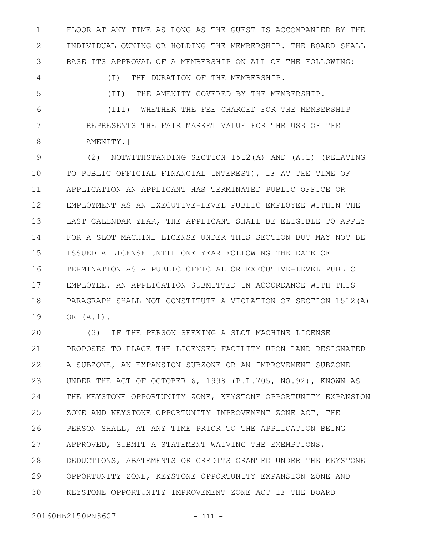FLOOR AT ANY TIME AS LONG AS THE GUEST IS ACCOMPANIED BY THE INDIVIDUAL OWNING OR HOLDING THE MEMBERSHIP. THE BOARD SHALL BASE ITS APPROVAL OF A MEMBERSHIP ON ALL OF THE FOLLOWING: 1 2 3

(I) THE DURATION OF THE MEMBERSHIP. (II) THE AMENITY COVERED BY THE MEMBERSHIP. (III) WHETHER THE FEE CHARGED FOR THE MEMBERSHIP REPRESENTS THE FAIR MARKET VALUE FOR THE USE OF THE 4 5 6 7

AMENITY.] 8

(2) NOTWITHSTANDING SECTION 1512(A) AND (A.1) (RELATING TO PUBLIC OFFICIAL FINANCIAL INTEREST), IF AT THE TIME OF APPLICATION AN APPLICANT HAS TERMINATED PUBLIC OFFICE OR EMPLOYMENT AS AN EXECUTIVE-LEVEL PUBLIC EMPLOYEE WITHIN THE LAST CALENDAR YEAR, THE APPLICANT SHALL BE ELIGIBLE TO APPLY FOR A SLOT MACHINE LICENSE UNDER THIS SECTION BUT MAY NOT BE ISSUED A LICENSE UNTIL ONE YEAR FOLLOWING THE DATE OF TERMINATION AS A PUBLIC OFFICIAL OR EXECUTIVE-LEVEL PUBLIC EMPLOYEE. AN APPLICATION SUBMITTED IN ACCORDANCE WITH THIS PARAGRAPH SHALL NOT CONSTITUTE A VIOLATION OF SECTION 1512(A) OR (A.1). 9 10 11 12 13 14 15 16 17 18 19

(3) IF THE PERSON SEEKING A SLOT MACHINE LICENSE PROPOSES TO PLACE THE LICENSED FACILITY UPON LAND DESIGNATED A SUBZONE, AN EXPANSION SUBZONE OR AN IMPROVEMENT SUBZONE UNDER THE ACT OF OCTOBER 6, 1998 (P.L.705, NO.92), KNOWN AS THE KEYSTONE OPPORTUNITY ZONE, KEYSTONE OPPORTUNITY EXPANSION ZONE AND KEYSTONE OPPORTUNITY IMPROVEMENT ZONE ACT, THE PERSON SHALL, AT ANY TIME PRIOR TO THE APPLICATION BEING APPROVED, SUBMIT A STATEMENT WAIVING THE EXEMPTIONS, DEDUCTIONS, ABATEMENTS OR CREDITS GRANTED UNDER THE KEYSTONE OPPORTUNITY ZONE, KEYSTONE OPPORTUNITY EXPANSION ZONE AND KEYSTONE OPPORTUNITY IMPROVEMENT ZONE ACT IF THE BOARD  $20$ 21 22 23 24 25 26 27 28 29 30

20160HB2150PN3607 - 111 -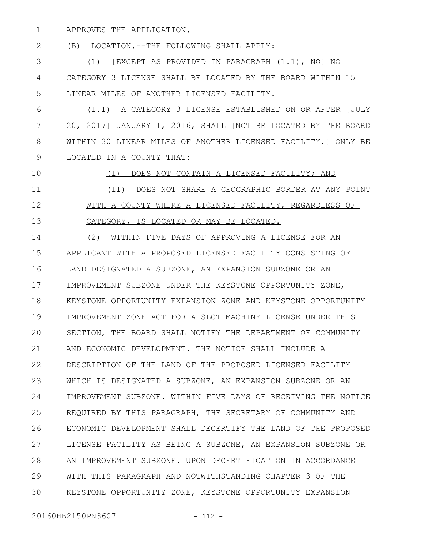APPROVES THE APPLICATION. 1

(B) LOCATION.--THE FOLLOWING SHALL APPLY: 2

(1) [EXCEPT AS PROVIDED IN PARAGRAPH (1.1), NO] NO CATEGORY 3 LICENSE SHALL BE LOCATED BY THE BOARD WITHIN 15 LINEAR MILES OF ANOTHER LICENSED FACILITY. 3 4 5

(1.1) A CATEGORY 3 LICENSE ESTABLISHED ON OR AFTER [JULY 20, 2017] JANUARY 1, 2016, SHALL [NOT BE LOCATED BY THE BOARD WITHIN 30 LINEAR MILES OF ANOTHER LICENSED FACILITY.] ONLY BE LOCATED IN A COUNTY THAT: 6 7 8 9

(I) DOES NOT CONTAIN A LICENSED FACILITY; AND 10 11

12

13

# (II) DOES NOT SHARE A GEOGRAPHIC BORDER AT ANY POINT WITH A COUNTY WHERE A LICENSED FACILITY, REGARDLESS OF

CATEGORY, IS LOCATED OR MAY BE LOCATED.

(2) WITHIN FIVE DAYS OF APPROVING A LICENSE FOR AN APPLICANT WITH A PROPOSED LICENSED FACILITY CONSISTING OF LAND DESIGNATED A SUBZONE, AN EXPANSION SUBZONE OR AN IMPROVEMENT SUBZONE UNDER THE KEYSTONE OPPORTUNITY ZONE, KEYSTONE OPPORTUNITY EXPANSION ZONE AND KEYSTONE OPPORTUNITY IMPROVEMENT ZONE ACT FOR A SLOT MACHINE LICENSE UNDER THIS SECTION, THE BOARD SHALL NOTIFY THE DEPARTMENT OF COMMUNITY AND ECONOMIC DEVELOPMENT. THE NOTICE SHALL INCLUDE A DESCRIPTION OF THE LAND OF THE PROPOSED LICENSED FACILITY WHICH IS DESIGNATED A SUBZONE, AN EXPANSION SUBZONE OR AN IMPROVEMENT SUBZONE. WITHIN FIVE DAYS OF RECEIVING THE NOTICE REQUIRED BY THIS PARAGRAPH, THE SECRETARY OF COMMUNITY AND ECONOMIC DEVELOPMENT SHALL DECERTIFY THE LAND OF THE PROPOSED LICENSE FACILITY AS BEING A SUBZONE, AN EXPANSION SUBZONE OR AN IMPROVEMENT SUBZONE. UPON DECERTIFICATION IN ACCORDANCE WITH THIS PARAGRAPH AND NOTWITHSTANDING CHAPTER 3 OF THE KEYSTONE OPPORTUNITY ZONE, KEYSTONE OPPORTUNITY EXPANSION 14 15 16 17 18 19  $20$ 21 22 23 24 25 26 27 28 29 30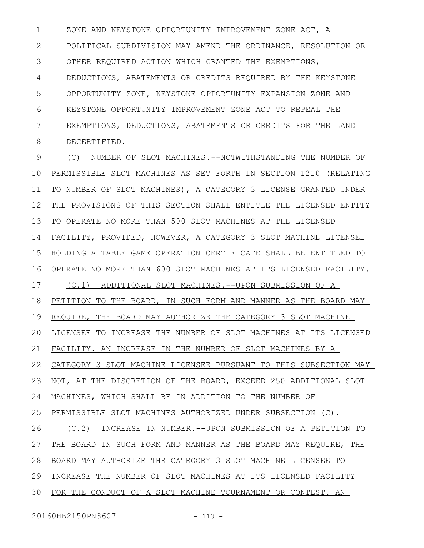ZONE AND KEYSTONE OPPORTUNITY IMPROVEMENT ZONE ACT, A POLITICAL SUBDIVISION MAY AMEND THE ORDINANCE, RESOLUTION OR OTHER REQUIRED ACTION WHICH GRANTED THE EXEMPTIONS, DEDUCTIONS, ABATEMENTS OR CREDITS REQUIRED BY THE KEYSTONE OPPORTUNITY ZONE, KEYSTONE OPPORTUNITY EXPANSION ZONE AND KEYSTONE OPPORTUNITY IMPROVEMENT ZONE ACT TO REPEAL THE EXEMPTIONS, DEDUCTIONS, ABATEMENTS OR CREDITS FOR THE LAND DECERTIFIED. 1 2 3 4 5 6 7 8

(C) NUMBER OF SLOT MACHINES.--NOTWITHSTANDING THE NUMBER OF PERMISSIBLE SLOT MACHINES AS SET FORTH IN SECTION 1210 (RELATING TO NUMBER OF SLOT MACHINES), A CATEGORY 3 LICENSE GRANTED UNDER THE PROVISIONS OF THIS SECTION SHALL ENTITLE THE LICENSED ENTITY TO OPERATE NO MORE THAN 500 SLOT MACHINES AT THE LICENSED FACILITY, PROVIDED, HOWEVER, A CATEGORY 3 SLOT MACHINE LICENSEE HOLDING A TABLE GAME OPERATION CERTIFICATE SHALL BE ENTITLED TO OPERATE NO MORE THAN 600 SLOT MACHINES AT ITS LICENSED FACILITY. (C.1) ADDITIONAL SLOT MACHINES.--UPON SUBMISSION OF A PETITION TO THE BOARD, IN SUCH FORM AND MANNER AS THE BOARD MAY REQUIRE, THE BOARD MAY AUTHORIZE THE CATEGORY 3 SLOT MACHINE LICENSEE TO INCREASE THE NUMBER OF SLOT MACHINES AT ITS LICENSED FACILITY. AN INCREASE IN THE NUMBER OF SLOT MACHINES BY A CATEGORY 3 SLOT MACHINE LICENSEE PURSUANT TO THIS SUBSECTION MAY NOT, AT THE DISCRETION OF THE BOARD, EXCEED 250 ADDITIONAL SLOT MACHINES, WHICH SHALL BE IN ADDITION TO THE NUMBER OF PERMISSIBLE SLOT MACHINES AUTHORIZED UNDER SUBSECTION (C). (C.2) INCREASE IN NUMBER.--UPON SUBMISSION OF A PETITION TO THE BOARD IN SUCH FORM AND MANNER AS THE BOARD MAY REQUIRE, THE BOARD MAY AUTHORIZE THE CATEGORY 3 SLOT MACHINE LICENSEE TO INCREASE THE NUMBER OF SLOT MACHINES AT ITS LICENSED FACILITY FOR THE CONDUCT OF A SLOT MACHINE TOURNAMENT OR CONTEST. AN 9 10 11 12 13 14 15 16 17 18 19 20 21 22 23 24 25 26 27 28 29 30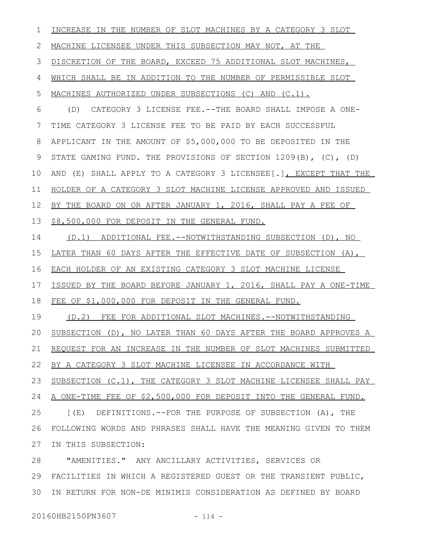| 1  | INCREASE IN THE NUMBER OF SLOT MACHINES BY A CATEGORY 3 SLOT      |
|----|-------------------------------------------------------------------|
| 2  | MACHINE LICENSEE UNDER THIS SUBSECTION MAY NOT, AT THE            |
| 3  | DISCRETION OF THE BOARD, EXCEED 75 ADDITIONAL SLOT MACHINES,      |
| 4  | WHICH SHALL BE IN ADDITION TO THE NUMBER OF PERMISSIBLE SLOT      |
| 5  | MACHINES AUTHORIZED UNDER SUBSECTIONS (C) AND (C.1).              |
| 6  | CATEGORY 3 LICENSE FEE. -- THE BOARD SHALL IMPOSE A ONE-<br>(D)   |
| 7  | TIME CATEGORY 3 LICENSE FEE TO BE PAID BY EACH SUCCESSFUL         |
| 8  | APPLICANT IN THE AMOUNT OF \$5,000,000 TO BE DEPOSITED IN THE     |
| 9  | STATE GAMING FUND. THE PROVISIONS OF SECTION 1209(B), (C), (D)    |
| 10 | AND (E) SHALL APPLY TO A CATEGORY 3 LICENSEE [.], EXCEPT THAT THE |
| 11 | HOLDER OF A CATEGORY 3 SLOT MACHINE LICENSE APPROVED AND ISSUED   |
| 12 | BY THE BOARD ON OR AFTER JANUARY 1, 2016, SHALL PAY A FEE OF      |
| 13 | \$8,500,000 FOR DEPOSIT IN THE GENERAL FUND.                      |
| 14 | (D.1) ADDITIONAL FEE.--NOTWITHSTANDING SUBSECTION (D), NO         |
| 15 | LATER THAN 60 DAYS AFTER THE EFFECTIVE DATE OF SUBSECTION (A),    |
| 16 | EACH HOLDER OF AN EXISTING CATEGORY 3 SLOT MACHINE LICENSE        |
| 17 | ISSUED BY THE BOARD BEFORE JANUARY 1, 2016, SHALL PAY A ONE-TIME  |
| 18 | FEE OF \$1,000,000 FOR DEPOSIT IN THE GENERAL FUND.               |
| 19 | FEE FOR ADDITIONAL SLOT MACHINES. --NOTWITHSTANDING<br>(D.2)      |
| 20 | SUBSECTION (D), NO LATER THAN 60 DAYS AFTER THE BOARD APPROVES A  |
| 21 | REQUEST FOR AN INCREASE IN THE NUMBER OF SLOT MACHINES SUBMITTED  |
| 22 | BY A CATEGORY 3 SLOT MACHINE LICENSEE IN ACCORDANCE WITH          |
| 23 | SUBSECTION (C.1), THE CATEGORY 3 SLOT MACHINE LICENSEE SHALL PAY  |
| 24 | A ONE-TIME FEE OF \$2,500,000 FOR DEPOSIT INTO THE GENERAL FUND.  |
| 25 | [(E) DEFINITIONS.--FOR THE PURPOSE OF SUBSECTION (A), THE         |
| 26 | FOLLOWING WORDS AND PHRASES SHALL HAVE THE MEANING GIVEN TO THEM  |
| 27 | IN THIS SUBSECTION:                                               |
| 28 | "AMENITIES." ANY ANCILLARY ACTIVITIES, SERVICES OR                |
| 29 | FACILITIES IN WHICH A REGISTERED GUEST OR THE TRANSIENT PUBLIC,   |
| 30 | IN RETURN FOR NON-DE MINIMIS CONSIDERATION AS DEFINED BY BOARD    |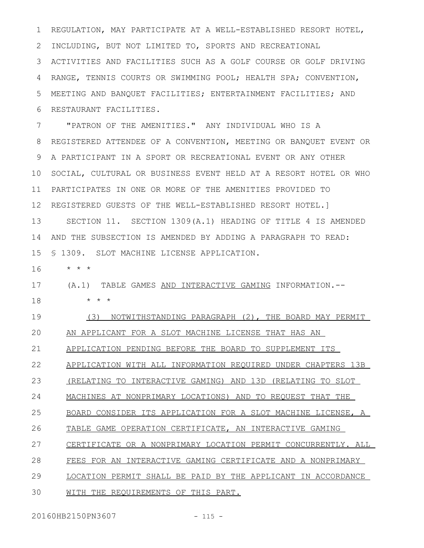REGULATION, MAY PARTICIPATE AT A WELL-ESTABLISHED RESORT HOTEL, INCLUDING, BUT NOT LIMITED TO, SPORTS AND RECREATIONAL ACTIVITIES AND FACILITIES SUCH AS A GOLF COURSE OR GOLF DRIVING RANGE, TENNIS COURTS OR SWIMMING POOL; HEALTH SPA; CONVENTION, MEETING AND BANQUET FACILITIES; ENTERTAINMENT FACILITIES; AND RESTAURANT FACILITIES. 1 2 3 4 5 6

"PATRON OF THE AMENITIES." ANY INDIVIDUAL WHO IS A REGISTERED ATTENDEE OF A CONVENTION, MEETING OR BANQUET EVENT OR A PARTICIPANT IN A SPORT OR RECREATIONAL EVENT OR ANY OTHER SOCIAL, CULTURAL OR BUSINESS EVENT HELD AT A RESORT HOTEL OR WHO PARTICIPATES IN ONE OR MORE OF THE AMENITIES PROVIDED TO REGISTERED GUESTS OF THE WELL-ESTABLISHED RESORT HOTEL.] SECTION 11. SECTION 1309(A.1) HEADING OF TITLE 4 IS AMENDED AND THE SUBSECTION IS AMENDED BY ADDING A PARAGRAPH TO READ: § 1309. SLOT MACHINE LICENSE APPLICATION. 7 8 9 10 11 12 13 14 15

\* \* \* 16

#### (A.1) TABLE GAMES AND INTERACTIVE GAMING INFORMATION.-- 17

\* \* \* 18

(3) NOTWITHSTANDING PARAGRAPH (2), THE BOARD MAY PERMIT AN APPLICANT FOR A SLOT MACHINE LICENSE THAT HAS AN 19  $20$ 

APPLICATION PENDING BEFORE THE BOARD TO SUPPLEMENT ITS 21

APPLICATION WITH ALL INFORMATION REQUIRED UNDER CHAPTERS 13B 22

(RELATING TO INTERACTIVE GAMING) AND 13D (RELATING TO SLOT 23

MACHINES AT NONPRIMARY LOCATIONS) AND TO REQUEST THAT THE 24

BOARD CONSIDER ITS APPLICATION FOR A SLOT MACHINE LICENSE, A 25

TABLE GAME OPERATION CERTIFICATE, AN INTERACTIVE GAMING 26

CERTIFICATE OR A NONPRIMARY LOCATION PERMIT CONCURRENTLY. ALL 27

FEES FOR AN INTERACTIVE GAMING CERTIFICATE AND A NONPRIMARY 28

LOCATION PERMIT SHALL BE PAID BY THE APPLICANT IN ACCORDANCE 29

WITH THE REQUIREMENTS OF THIS PART. 30

20160HB2150PN3607 - 115 -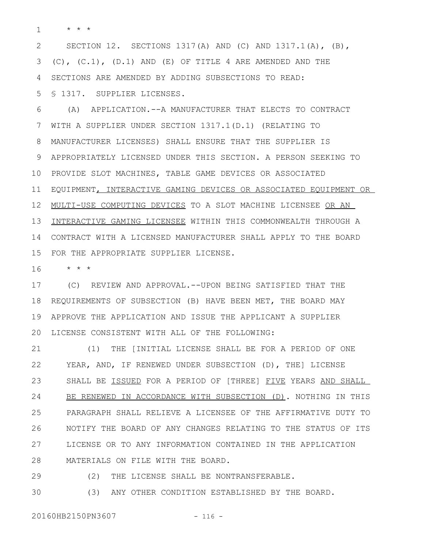\* \* \* 1

SECTION 12. SECTIONS 1317(A) AND (C) AND 1317.1(A), (B),  $(C)$ ,  $(C.1)$ ,  $(D.1)$  AND  $(E)$  OF TITLE 4 ARE AMENDED AND THE SECTIONS ARE AMENDED BY ADDING SUBSECTIONS TO READ: § 1317. SUPPLIER LICENSES. 2 3 4 5

(A) APPLICATION.--A MANUFACTURER THAT ELECTS TO CONTRACT WITH A SUPPLIER UNDER SECTION 1317.1(D.1) (RELATING TO MANUFACTURER LICENSES) SHALL ENSURE THAT THE SUPPLIER IS APPROPRIATELY LICENSED UNDER THIS SECTION. A PERSON SEEKING TO PROVIDE SLOT MACHINES, TABLE GAME DEVICES OR ASSOCIATED EQUIPMENT, INTERACTIVE GAMING DEVICES OR ASSOCIATED EQUIPMENT OR MULTI-USE COMPUTING DEVICES TO A SLOT MACHINE LICENSEE OR AN INTERACTIVE GAMING LICENSEE WITHIN THIS COMMONWEALTH THROUGH A CONTRACT WITH A LICENSED MANUFACTURER SHALL APPLY TO THE BOARD FOR THE APPROPRIATE SUPPLIER LICENSE. 6 7 8 9 10 11 12 13 14 15

\* \* \* 16

(C) REVIEW AND APPROVAL.--UPON BEING SATISFIED THAT THE REQUIREMENTS OF SUBSECTION (B) HAVE BEEN MET, THE BOARD MAY APPROVE THE APPLICATION AND ISSUE THE APPLICANT A SUPPLIER 20 LICENSE CONSISTENT WITH ALL OF THE FOLLOWING: 17 18 19

(1) THE [INITIAL LICENSE SHALL BE FOR A PERIOD OF ONE YEAR, AND, IF RENEWED UNDER SUBSECTION (D), THE] LICENSE SHALL BE ISSUED FOR A PERIOD OF [THREE] FIVE YEARS AND SHALL BE RENEWED IN ACCORDANCE WITH SUBSECTION (D). NOTHING IN THIS PARAGRAPH SHALL RELIEVE A LICENSEE OF THE AFFIRMATIVE DUTY TO NOTIFY THE BOARD OF ANY CHANGES RELATING TO THE STATUS OF ITS LICENSE OR TO ANY INFORMATION CONTAINED IN THE APPLICATION MATERIALS ON FILE WITH THE BOARD. 21 22 23 24 25 26 27 28

(2) THE LICENSE SHALL BE NONTRANSFERABLE. 29

(3) ANY OTHER CONDITION ESTABLISHED BY THE BOARD. 30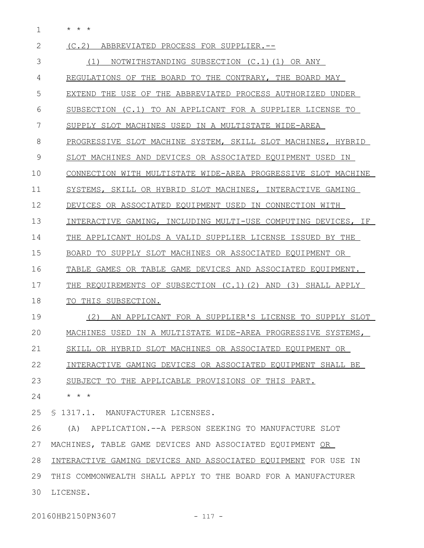\* \* \* 1

| 2             | (C, 2)<br>ABBREVIATED PROCESS FOR SUPPLIER.--                  |
|---------------|----------------------------------------------------------------|
| 3             | NOTWITHSTANDING SUBSECTION (C.1)(1) OR ANY<br>(1)              |
| 4             | REGULATIONS OF THE BOARD TO THE CONTRARY, THE BOARD MAY        |
| 5             | EXTEND THE USE OF THE ABBREVIATED PROCESS AUTHORIZED UNDER     |
| 6             | SUBSECTION (C.1) TO AN APPLICANT FOR A SUPPLIER LICENSE TO     |
| 7             | SUPPLY SLOT MACHINES USED IN A MULTISTATE WIDE-AREA            |
| 8             | PROGRESSIVE SLOT MACHINE SYSTEM, SKILL SLOT MACHINES, HYBRID   |
| $\mathcal{G}$ | SLOT MACHINES AND DEVICES OR ASSOCIATED EQUIPMENT USED IN      |
| 10            | CONNECTION WITH MULTISTATE WIDE-AREA PROGRESSIVE SLOT MACHINE  |
| 11            | SYSTEMS, SKILL OR HYBRID SLOT MACHINES, INTERACTIVE GAMING     |
| 12            | DEVICES OR ASSOCIATED EQUIPMENT USED IN CONNECTION WITH        |
| 13            | INTERACTIVE GAMING, INCLUDING MULTI-USE COMPUTING DEVICES, IF  |
| 14            | THE APPLICANT HOLDS A VALID SUPPLIER LICENSE ISSUED BY THE     |
| 15            | BOARD TO SUPPLY SLOT MACHINES OR ASSOCIATED EQUIPMENT OR       |
| 16            | TABLE GAMES OR TABLE GAME DEVICES AND ASSOCIATED EQUIPMENT.    |
| 17            | THE REQUIREMENTS OF SUBSECTION (C.1)(2) AND (3) SHALL APPLY    |
| 18            | TO THIS SUBSECTION.                                            |
| 19            | AN APPLICANT FOR A SUPPLIER'S LICENSE TO SUPPLY SLOT<br>(2)    |
| 20            | MACHINES USED IN A MULTISTATE WIDE-AREA PROGRESSIVE SYSTEMS,   |
| 21            | SKILL OR HYBRID SLOT MACHINES OR ASSOCIATED EQUIPMENT OR       |
| 22            | INTERACTIVE GAMING DEVICES OR ASSOCIATED EQUIPMENT SHALL BE    |
| 23            | SUBJECT TO THE APPLICABLE PROVISIONS OF THIS PART.             |
| 24            | $\star$ $\star$ $\star$                                        |
| 25            | § 1317.1. MANUFACTURER LICENSES.                               |
| 26            | (A) APPLICATION. -- A PERSON SEEKING TO MANUFACTURE SLOT       |
| 27            | MACHINES, TABLE GAME DEVICES AND ASSOCIATED EQUIPMENT OR       |
| 28            | INTERACTIVE GAMING DEVICES AND ASSOCIATED EQUIPMENT FOR USE IN |
| 29            | THIS COMMONWEALTH SHALL APPLY TO THE BOARD FOR A MANUFACTURER  |
| 30            | LICENSE.                                                       |

20160HB2150PN3607 - 117 -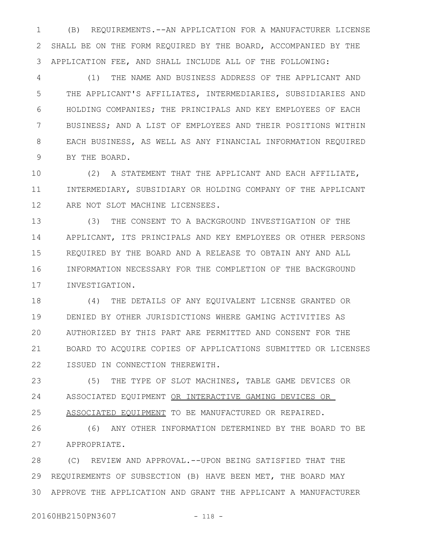(B) REQUIREMENTS.--AN APPLICATION FOR A MANUFACTURER LICENSE SHALL BE ON THE FORM REQUIRED BY THE BOARD, ACCOMPANIED BY THE APPLICATION FEE, AND SHALL INCLUDE ALL OF THE FOLLOWING: 1 2 3

(1) THE NAME AND BUSINESS ADDRESS OF THE APPLICANT AND THE APPLICANT'S AFFILIATES, INTERMEDIARIES, SUBSIDIARIES AND HOLDING COMPANIES; THE PRINCIPALS AND KEY EMPLOYEES OF EACH BUSINESS; AND A LIST OF EMPLOYEES AND THEIR POSITIONS WITHIN EACH BUSINESS, AS WELL AS ANY FINANCIAL INFORMATION REQUIRED BY THE BOARD. 4 5 6 7 8 9

(2) A STATEMENT THAT THE APPLICANT AND EACH AFFILIATE, INTERMEDIARY, SUBSIDIARY OR HOLDING COMPANY OF THE APPLICANT ARE NOT SLOT MACHINE LICENSEES. 10 11 12

(3) THE CONSENT TO A BACKGROUND INVESTIGATION OF THE APPLICANT, ITS PRINCIPALS AND KEY EMPLOYEES OR OTHER PERSONS REQUIRED BY THE BOARD AND A RELEASE TO OBTAIN ANY AND ALL INFORMATION NECESSARY FOR THE COMPLETION OF THE BACKGROUND INVESTIGATION. 13 14 15 16 17

(4) THE DETAILS OF ANY EQUIVALENT LICENSE GRANTED OR DENIED BY OTHER JURISDICTIONS WHERE GAMING ACTIVITIES AS AUTHORIZED BY THIS PART ARE PERMITTED AND CONSENT FOR THE BOARD TO ACQUIRE COPIES OF APPLICATIONS SUBMITTED OR LICENSES ISSUED IN CONNECTION THEREWITH. 18 19 20 21 22

(5) THE TYPE OF SLOT MACHINES, TABLE GAME DEVICES OR ASSOCIATED EQUIPMENT OR INTERACTIVE GAMING DEVICES OR ASSOCIATED EQUIPMENT TO BE MANUFACTURED OR REPAIRED. 23 24 25

(6) ANY OTHER INFORMATION DETERMINED BY THE BOARD TO BE APPROPRIATE. 26 27

(C) REVIEW AND APPROVAL.--UPON BEING SATISFIED THAT THE REQUIREMENTS OF SUBSECTION (B) HAVE BEEN MET, THE BOARD MAY APPROVE THE APPLICATION AND GRANT THE APPLICANT A MANUFACTURER 28 29 30

20160HB2150PN3607 - 118 -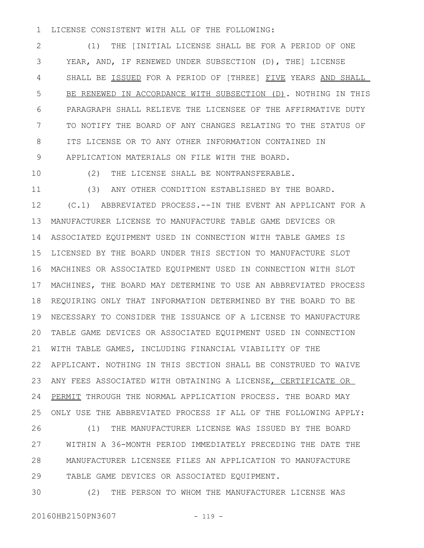LICENSE CONSISTENT WITH ALL OF THE FOLLOWING: 1

(1) THE [INITIAL LICENSE SHALL BE FOR A PERIOD OF ONE YEAR, AND, IF RENEWED UNDER SUBSECTION (D), THE] LICENSE SHALL BE ISSUED FOR A PERIOD OF [THREE] FIVE YEARS AND SHALL BE RENEWED IN ACCORDANCE WITH SUBSECTION (D). NOTHING IN THIS PARAGRAPH SHALL RELIEVE THE LICENSEE OF THE AFFIRMATIVE DUTY TO NOTIFY THE BOARD OF ANY CHANGES RELATING TO THE STATUS OF ITS LICENSE OR TO ANY OTHER INFORMATION CONTAINED IN APPLICATION MATERIALS ON FILE WITH THE BOARD. 2 3 4 5 6 7 8 9

10

(2) THE LICENSE SHALL BE NONTRANSFERABLE.

(3) ANY OTHER CONDITION ESTABLISHED BY THE BOARD. (C.1) ABBREVIATED PROCESS.--IN THE EVENT AN APPLICANT FOR A MANUFACTURER LICENSE TO MANUFACTURE TABLE GAME DEVICES OR ASSOCIATED EQUIPMENT USED IN CONNECTION WITH TABLE GAMES IS LICENSED BY THE BOARD UNDER THIS SECTION TO MANUFACTURE SLOT MACHINES OR ASSOCIATED EQUIPMENT USED IN CONNECTION WITH SLOT MACHINES, THE BOARD MAY DETERMINE TO USE AN ABBREVIATED PROCESS REQUIRING ONLY THAT INFORMATION DETERMINED BY THE BOARD TO BE NECESSARY TO CONSIDER THE ISSUANCE OF A LICENSE TO MANUFACTURE TABLE GAME DEVICES OR ASSOCIATED EQUIPMENT USED IN CONNECTION WITH TABLE GAMES, INCLUDING FINANCIAL VIABILITY OF THE APPLICANT. NOTHING IN THIS SECTION SHALL BE CONSTRUED TO WAIVE ANY FEES ASSOCIATED WITH OBTAINING A LICENSE, CERTIFICATE OR PERMIT THROUGH THE NORMAL APPLICATION PROCESS. THE BOARD MAY ONLY USE THE ABBREVIATED PROCESS IF ALL OF THE FOLLOWING APPLY: 11 12 13 14 15 16 17 18 19 20 21 22 23 24 25

(1) THE MANUFACTURER LICENSE WAS ISSUED BY THE BOARD WITHIN A 36-MONTH PERIOD IMMEDIATELY PRECEDING THE DATE THE MANUFACTURER LICENSEE FILES AN APPLICATION TO MANUFACTURE TABLE GAME DEVICES OR ASSOCIATED EQUIPMENT. 26 27 28 29

(2) THE PERSON TO WHOM THE MANUFACTURER LICENSE WAS 30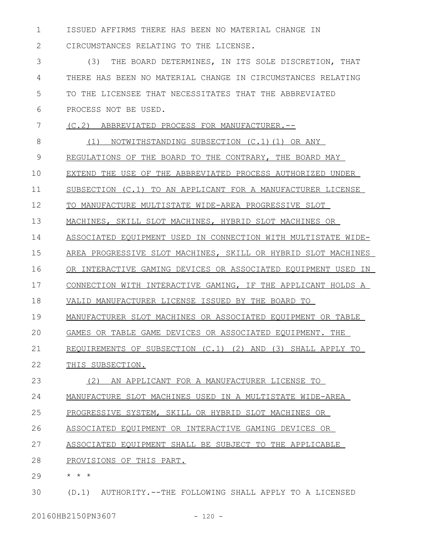ISSUED AFFIRMS THERE HAS BEEN NO MATERIAL CHANGE IN 1

CIRCUMSTANCES RELATING TO THE LICENSE. 2

(3) THE BOARD DETERMINES, IN ITS SOLE DISCRETION, THAT THERE HAS BEEN NO MATERIAL CHANGE IN CIRCUMSTANCES RELATING TO THE LICENSEE THAT NECESSITATES THAT THE ABBREVIATED PROCESS NOT BE USED. 3 4 5 6

- (C.2) ABBREVIATED PROCESS FOR MANUFACTURER.-- 7
- (1) NOTWITHSTANDING SUBSECTION (C.1)(1) OR ANY REGULATIONS OF THE BOARD TO THE CONTRARY, THE BOARD MAY EXTEND THE USE OF THE ABBREVIATED PROCESS AUTHORIZED UNDER SUBSECTION (C.1) TO AN APPLICANT FOR A MANUFACTURER LICENSE TO MANUFACTURE MULTISTATE WIDE-AREA PROGRESSIVE SLOT MACHINES, SKILL SLOT MACHINES, HYBRID SLOT MACHINES OR ASSOCIATED EQUIPMENT USED IN CONNECTION WITH MULTISTATE WIDE-AREA PROGRESSIVE SLOT MACHINES, SKILL OR HYBRID SLOT MACHINES OR INTERACTIVE GAMING DEVICES OR ASSOCIATED EQUIPMENT USED IN CONNECTION WITH INTERACTIVE GAMING, IF THE APPLICANT HOLDS A VALID MANUFACTURER LICENSE ISSUED BY THE BOARD TO MANUFACTURER SLOT MACHINES OR ASSOCIATED EQUIPMENT OR TABLE GAMES OR TABLE GAME DEVICES OR ASSOCIATED EQUIPMENT. THE REQUIREMENTS OF SUBSECTION (C.1) (2) AND (3) SHALL APPLY TO THIS SUBSECTION. (2) AN APPLICANT FOR A MANUFACTURER LICENSE TO MANUFACTURE SLOT MACHINES USED IN A MULTISTATE WIDE-AREA PROGRESSIVE SYSTEM, SKILL OR HYBRID SLOT MACHINES OR ASSOCIATED EQUIPMENT OR INTERACTIVE GAMING DEVICES OR 8 9 10 11 12 13 14 15 16 17 18 19  $20$ 21 22 23 24 25 26
- ASSOCIATED EQUIPMENT SHALL BE SUBJECT TO THE APPLICABLE 27
- PROVISIONS OF THIS PART. 28
- \* \* \* 29
- (D.1) AUTHORITY.--THE FOLLOWING SHALL APPLY TO A LICENSED 30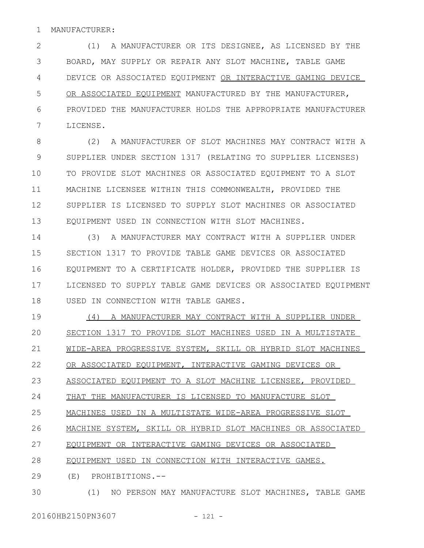#### MANUFACTURER: 1

(1) A MANUFACTURER OR ITS DESIGNEE, AS LICENSED BY THE BOARD, MAY SUPPLY OR REPAIR ANY SLOT MACHINE, TABLE GAME DEVICE OR ASSOCIATED EQUIPMENT OR INTERACTIVE GAMING DEVICE OR ASSOCIATED EQUIPMENT MANUFACTURED BY THE MANUFACTURER, PROVIDED THE MANUFACTURER HOLDS THE APPROPRIATE MANUFACTURER LICENSE. 2 3 4 5 6 7

(2) A MANUFACTURER OF SLOT MACHINES MAY CONTRACT WITH A SUPPLIER UNDER SECTION 1317 (RELATING TO SUPPLIER LICENSES) TO PROVIDE SLOT MACHINES OR ASSOCIATED EQUIPMENT TO A SLOT MACHINE LICENSEE WITHIN THIS COMMONWEALTH, PROVIDED THE SUPPLIER IS LICENSED TO SUPPLY SLOT MACHINES OR ASSOCIATED EQUIPMENT USED IN CONNECTION WITH SLOT MACHINES. 8 9 10 11 12 13

(3) A MANUFACTURER MAY CONTRACT WITH A SUPPLIER UNDER SECTION 1317 TO PROVIDE TABLE GAME DEVICES OR ASSOCIATED EQUIPMENT TO A CERTIFICATE HOLDER, PROVIDED THE SUPPLIER IS LICENSED TO SUPPLY TABLE GAME DEVICES OR ASSOCIATED EQUIPMENT USED IN CONNECTION WITH TABLE GAMES. 14 15 16 17 18

(4) A MANUFACTURER MAY CONTRACT WITH A SUPPLIER UNDER SECTION 1317 TO PROVIDE SLOT MACHINES USED IN A MULTISTATE WIDE-AREA PROGRESSIVE SYSTEM, SKILL OR HYBRID SLOT MACHINES OR ASSOCIATED EQUIPMENT, INTERACTIVE GAMING DEVICES OR ASSOCIATED EQUIPMENT TO A SLOT MACHINE LICENSEE, PROVIDED THAT THE MANUFACTURER IS LICENSED TO MANUFACTURE SLOT MACHINES USED IN A MULTISTATE WIDE-AREA PROGRESSIVE SLOT MACHINE SYSTEM, SKILL OR HYBRID SLOT MACHINES OR ASSOCIATED EQUIPMENT OR INTERACTIVE GAMING DEVICES OR ASSOCIATED EQUIPMENT USED IN CONNECTION WITH INTERACTIVE GAMES. (E) PROHIBITIONS.-- 19  $20$ 21 22 23 24 25 26 27 28 29

(1) NO PERSON MAY MANUFACTURE SLOT MACHINES, TABLE GAME 30

20160HB2150PN3607 - 121 -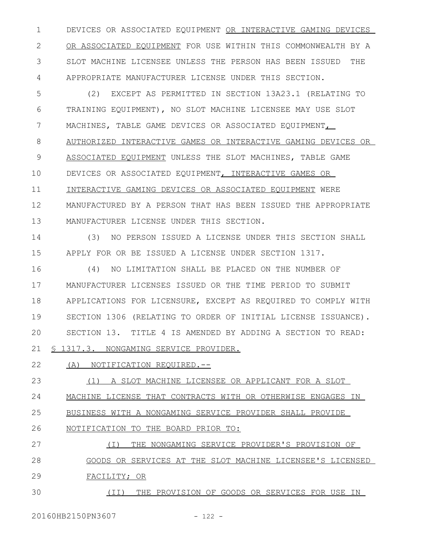DEVICES OR ASSOCIATED EQUIPMENT OR INTERACTIVE GAMING DEVICES OR ASSOCIATED EQUIPMENT FOR USE WITHIN THIS COMMONWEALTH BY A SLOT MACHINE LICENSEE UNLESS THE PERSON HAS BEEN ISSUED THE APPROPRIATE MANUFACTURER LICENSE UNDER THIS SECTION. 1 2 3 4

(2) EXCEPT AS PERMITTED IN SECTION 13A23.1 (RELATING TO TRAINING EQUIPMENT), NO SLOT MACHINE LICENSEE MAY USE SLOT MACHINES, TABLE GAME DEVICES OR ASSOCIATED EQUIPMENT, AUTHORIZED INTERACTIVE GAMES OR INTERACTIVE GAMING DEVICES OR ASSOCIATED EQUIPMENT UNLESS THE SLOT MACHINES, TABLE GAME DEVICES OR ASSOCIATED EQUIPMENT, INTERACTIVE GAMES OR INTERACTIVE GAMING DEVICES OR ASSOCIATED EQUIPMENT WERE MANUFACTURED BY A PERSON THAT HAS BEEN ISSUED THE APPROPRIATE MANUFACTURER LICENSE UNDER THIS SECTION. 5 6 7 8 9 10 11 12 13

(3) NO PERSON ISSUED A LICENSE UNDER THIS SECTION SHALL APPLY FOR OR BE ISSUED A LICENSE UNDER SECTION 1317. 14 15

(4) NO LIMITATION SHALL BE PLACED ON THE NUMBER OF MANUFACTURER LICENSES ISSUED OR THE TIME PERIOD TO SUBMIT APPLICATIONS FOR LICENSURE, EXCEPT AS REQUIRED TO COMPLY WITH SECTION 1306 (RELATING TO ORDER OF INITIAL LICENSE ISSUANCE). SECTION 13. TITLE 4 IS AMENDED BY ADDING A SECTION TO READ: § 1317.3. NONGAMING SERVICE PROVIDER. 16 17 18 19  $20$ 21

(A) NOTIFICATION REQUIRED.-- 22

(1) A SLOT MACHINE LICENSEE OR APPLICANT FOR A SLOT 23

MACHINE LICENSE THAT CONTRACTS WITH OR OTHERWISE ENGAGES IN 24

BUSINESS WITH A NONGAMING SERVICE PROVIDER SHALL PROVIDE 25

NOTIFICATION TO THE BOARD PRIOR TO: 26

(I) THE NONGAMING SERVICE PROVIDER'S PROVISION OF GOODS OR SERVICES AT THE SLOT MACHINE LICENSEE'S LICENSED FACILITY; OR 27 28 29

(II) THE PROVISION OF GOODS OR SERVICES FOR USE IN 30

20160HB2150PN3607 - 122 -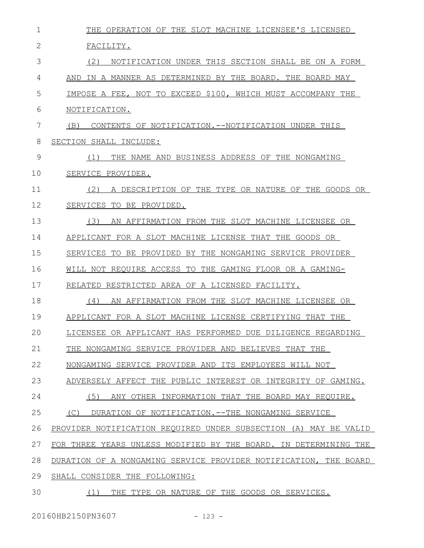| 1  | THE OPERATION OF THE SLOT MACHINE LICENSEE'S LICENSED            |
|----|------------------------------------------------------------------|
| 2  | FACILITY.                                                        |
| 3  | (2)<br>NOTIFICATION UNDER THIS SECTION SHALL BE ON A FORM        |
| 4  | IN A MANNER AS DETERMINED BY THE BOARD. THE BOARD MAY<br>AND     |
| 5  | IMPOSE A FEE, NOT TO EXCEED \$100, WHICH MUST ACCOMPANY THE      |
| 6  | NOTIFICATION.                                                    |
| 7  | (B)<br>CONTENTS OF NOTIFICATION.--NOTIFICATION UNDER THIS        |
| 8  | SECTION SHALL INCLUDE:                                           |
| 9  | THE NAME AND BUSINESS ADDRESS OF THE NONGAMING<br>(1)            |
| 10 | SERVICE PROVIDER.                                                |
| 11 | A DESCRIPTION OF THE TYPE OR NATURE OF THE GOODS OR<br>(2)       |
| 12 | SERVICES TO BE PROVIDED.                                         |
| 13 | (3)<br>AN AFFIRMATION FROM THE SLOT MACHINE LICENSEE OR          |
| 14 | APPLICANT FOR A SLOT MACHINE LICENSE THAT THE GOODS OR           |
| 15 | SERVICES TO BE PROVIDED BY THE NONGAMING SERVICE PROVIDER        |
| 16 | WILL NOT REQUIRE ACCESS TO THE GAMING FLOOR OR A GAMING-         |
| 17 | RELATED RESTRICTED AREA OF A LICENSED FACILITY.                  |
| 18 | (4)<br>AN AFFIRMATION FROM THE SLOT MACHINE LICENSEE OR          |
| 19 | APPLICANT FOR A SLOT MACHINE LICENSE CERTIFYING THAT THE         |
| 20 | LICENSEE OR APPLICANT HAS PERFORMED DUE DILIGENCE REGARDING      |
| 21 | THE NONGAMING SERVICE PROVIDER AND BELIEVES THAT THE             |
| 22 | NONGAMING SERVICE PROVIDER AND ITS EMPLOYEES WILL NOT            |
| 23 | ADVERSELY AFFECT THE PUBLIC INTEREST OR INTEGRITY OF GAMING.     |
| 24 | (5)<br>ANY OTHER INFORMATION THAT THE BOARD MAY REQUIRE.         |
| 25 | (C)<br>DURATION OF NOTIFICATION.--THE NONGAMING SERVICE          |
| 26 | PROVIDER NOTIFICATION REQUIRED UNDER SUBSECTION (A) MAY BE VALID |
| 27 | FOR THREE YEARS UNLESS MODIFIED BY THE BOARD. IN DETERMINING THE |
| 28 | DURATION OF A NONGAMING SERVICE PROVIDER NOTIFICATION, THE BOARD |
| 29 | SHALL CONSIDER THE FOLLOWING:                                    |
| 30 | (1)<br>THE TYPE OR NATURE OF THE GOODS OR SERVICES.              |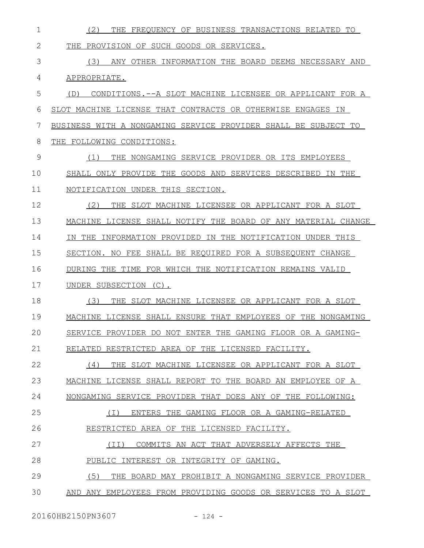| 1  | THE FREQUENCY OF BUSINESS TRANSACTIONS RELATED TO<br>(2)       |
|----|----------------------------------------------------------------|
| 2  | PROVISION OF SUCH GOODS OR SERVICES.<br>THE                    |
| 3  | ANY OTHER INFORMATION THE BOARD DEEMS NECESSARY AND<br>(3)     |
| 4  | APPROPRIATE.                                                   |
| 5  | CONDITIONS.--A SLOT MACHINE LICENSEE OR APPLICANT FOR A<br>(D) |
| 6  | SLOT MACHINE LICENSE THAT CONTRACTS OR OTHERWISE ENGAGES IN    |
| 7  | BUSINESS WITH A NONGAMING SERVICE PROVIDER SHALL BE SUBJECT TO |
| 8  | THE FOLLOWING CONDITIONS:                                      |
| 9  | THE NONGAMING SERVICE PROVIDER OR ITS EMPLOYEES<br>(1)         |
| 10 | SHALL ONLY PROVIDE THE GOODS AND SERVICES DESCRIBED IN THE     |
| 11 | NOTIFICATION UNDER THIS SECTION.                               |
| 12 | (2)<br>THE SLOT MACHINE LICENSEE OR APPLICANT FOR A SLOT       |
| 13 | MACHINE LICENSE SHALL NOTIFY THE BOARD OF ANY MATERIAL CHANGE  |
| 14 | IN THE INFORMATION PROVIDED IN THE NOTIFICATION UNDER THIS     |
| 15 | SECTION. NO FEE SHALL BE REQUIRED FOR A SUBSEQUENT CHANGE      |
| 16 | DURING THE TIME FOR WHICH THE NOTIFICATION REMAINS VALID       |
| 17 | UNDER SUBSECTION (C).                                          |
| 18 | (3)<br>THE SLOT MACHINE LICENSEE OR APPLICANT FOR A SLOT       |
| 19 | MACHINE LICENSE SHALL ENSURE THAT EMPLOYEES OF THE NONGAMING   |
| 20 | SERVICE PROVIDER DO NOT ENTER THE GAMING FLOOR OR A GAMING-    |
| 21 | RELATED RESTRICTED AREA OF THE LICENSED FACILITY.              |
| 22 | THE SLOT MACHINE LICENSEE OR APPLICANT FOR A SLOT<br>(4)       |
| 23 | MACHINE LICENSE SHALL REPORT TO THE BOARD AN EMPLOYEE OF A     |
| 24 | NONGAMING SERVICE PROVIDER THAT DOES ANY OF THE FOLLOWING:     |
| 25 | $(\top)$<br>ENTERS THE GAMING FLOOR OR A GAMING-RELATED        |
| 26 | RESTRICTED AREA OF THE LICENSED FACILITY.                      |
| 27 | COMMITS AN ACT THAT ADVERSELY AFFECTS THE<br>(II)              |
| 28 | PUBLIC INTEREST OR INTEGRITY OF GAMING.                        |
| 29 | (5)<br>THE BOARD MAY PROHIBIT A NONGAMING SERVICE PROVIDER     |
| 30 | AND ANY EMPLOYEES FROM PROVIDING GOODS OR SERVICES TO A SLOT   |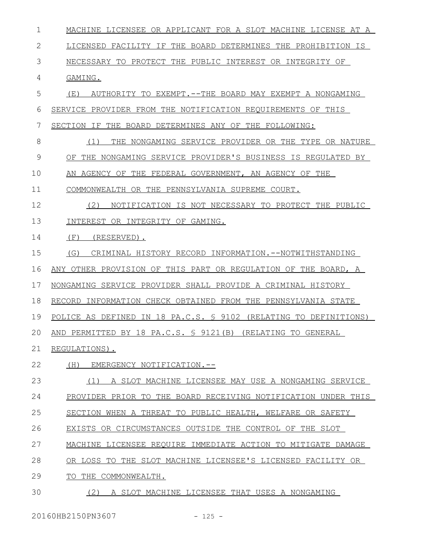MACHINE LICENSEE OR APPLICANT FOR A SLOT MACHINE LICENSE AT A LICENSED FACILITY IF THE BOARD DETERMINES THE PROHIBITION IS NECESSARY TO PROTECT THE PUBLIC INTEREST OR INTEGRITY OF GAMING. (E) AUTHORITY TO EXEMPT.--THE BOARD MAY EXEMPT A NONGAMING SERVICE PROVIDER FROM THE NOTIFICATION REQUIREMENTS OF THIS SECTION IF THE BOARD DETERMINES ANY OF THE FOLLOWING: (1) THE NONGAMING SERVICE PROVIDER OR THE TYPE OR NATURE OF THE NONGAMING SERVICE PROVIDER'S BUSINESS IS REGULATED BY AN AGENCY OF THE FEDERAL GOVERNMENT, AN AGENCY OF THE COMMONWEALTH OR THE PENNSYLVANIA SUPREME COURT. (2) NOTIFICATION IS NOT NECESSARY TO PROTECT THE PUBLIC INTEREST OR INTEGRITY OF GAMING. (F) (RESERVED). (G) CRIMINAL HISTORY RECORD INFORMATION.--NOTWITHSTANDING ANY OTHER PROVISION OF THIS PART OR REGULATION OF THE BOARD, A NONGAMING SERVICE PROVIDER SHALL PROVIDE A CRIMINAL HISTORY RECORD INFORMATION CHECK OBTAINED FROM THE PENNSYLVANIA STATE POLICE AS DEFINED IN 18 PA.C.S. § 9102 (RELATING TO DEFINITIONS) AND PERMITTED BY 18 PA.C.S. § 9121(B) (RELATING TO GENERAL REGULATIONS). (H) EMERGENCY NOTIFICATION.-- (1) A SLOT MACHINE LICENSEE MAY USE A NONGAMING SERVICE PROVIDER PRIOR TO THE BOARD RECEIVING NOTIFICATION UNDER THIS SECTION WHEN A THREAT TO PUBLIC HEALTH, WELFARE OR SAFETY EXISTS OR CIRCUMSTANCES OUTSIDE THE CONTROL OF THE SLOT MACHINE LICENSEE REQUIRE IMMEDIATE ACTION TO MITIGATE DAMAGE OR LOSS TO THE SLOT MACHINE LICENSEE'S LICENSED FACILITY OR TO THE COMMONWEALTH. (2) A SLOT MACHINE LICENSEE THAT USES A NONGAMING 1 2 3 4 5 6 7 8 9 10 11 12 13 14 15 16 17 18 19  $20$ 21 22 23 24 25 26 27 28 29 30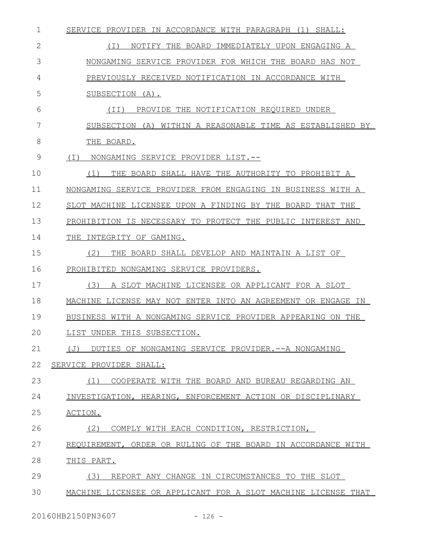| 1            | SERVICE PROVIDER IN ACCORDANCE WITH PARAGRAPH (1) SHALL:      |
|--------------|---------------------------------------------------------------|
| $\mathbf{2}$ | (I)<br>NOTIFY THE BOARD IMMEDIATELY UPON ENGAGING A           |
| 3            | NONGAMING SERVICE PROVIDER FOR WHICH THE BOARD HAS NOT        |
| 4            | PREVIOUSLY RECEIVED NOTIFICATION IN ACCORDANCE WITH           |
| 5            | SUBSECTION (A).                                               |
| 6            | PROVIDE THE NOTIFICATION REQUIRED UNDER<br>(II)               |
| 7            | SUBSECTION (A) WITHIN A REASONABLE TIME AS ESTABLISHED BY     |
| 8            | THE BOARD.                                                    |
| 9            | ( I )<br>NONGAMING SERVICE PROVIDER LIST.--                   |
| 10           | THE BOARD SHALL HAVE THE AUTHORITY TO PROHIBIT A<br>(1)       |
| 11           | NONGAMING SERVICE PROVIDER FROM ENGAGING IN BUSINESS WITH A   |
| 12           | SLOT MACHINE LICENSEE UPON A FINDING BY THE BOARD THAT THE    |
| 13           | PROHIBITION IS NECESSARY TO PROTECT THE PUBLIC INTEREST AND   |
| 14           | INTEGRITY OF GAMING.<br>THE                                   |
| 15           | (2)<br>THE BOARD SHALL DEVELOP AND MAINTAIN A LIST OF         |
| 16           | PROHIBITED NONGAMING SERVICE PROVIDERS.                       |
| 17           | (3)<br>A SLOT MACHINE LICENSEE OR APPLICANT FOR A SLOT        |
| 18           | MACHINE LICENSE MAY NOT ENTER INTO AN AGREEMENT OR ENGAGE IN  |
| 19           | BUSINESS WITH A NONGAMING SERVICE PROVIDER APPEARING ON THE   |
| 20           | LIST UNDER THIS SUBSECTION.                                   |
| 21           | (J)<br>DUTIES OF NONGAMING SERVICE PROVIDER. -- A NONGAMING   |
| 22           | SERVICE PROVIDER SHALL:                                       |
| 23           | COOPERATE WITH THE BOARD AND BUREAU REGARDING AN<br>(1)       |
| 24           | INVESTIGATION, HEARING, ENFORCEMENT ACTION OR DISCIPLINARY    |
| 25           | ACTION.                                                       |
| 26           | (2)<br>COMPLY WITH EACH CONDITION, RESTRICTION,               |
| 27           | REQUIREMENT, ORDER OR RULING OF THE BOARD IN ACCORDANCE WITH  |
| 28           | THIS PART.                                                    |
| 29           | (3)<br>REPORT ANY CHANGE IN CIRCUMSTANCES TO THE SLOT         |
| 30           | MACHINE LICENSEE OR APPLICANT FOR A SLOT MACHINE LICENSE THAT |

20160HB2150PN3607 - 126 -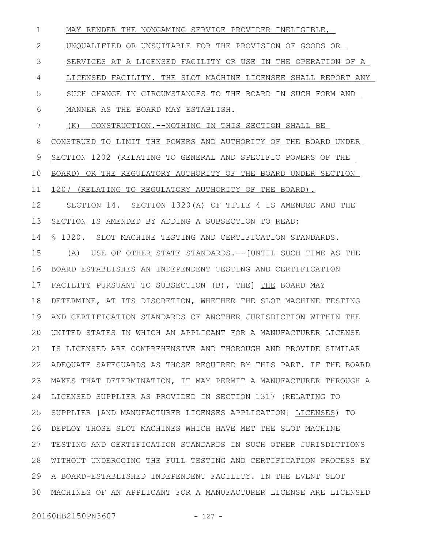MAY RENDER THE NONGAMING SERVICE PROVIDER INELIGIBLE, UNQUALIFIED OR UNSUITABLE FOR THE PROVISION OF GOODS OR SERVICES AT A LICENSED FACILITY OR USE IN THE OPERATION OF A LICENSED FACILITY. THE SLOT MACHINE LICENSEE SHALL REPORT ANY SUCH CHANGE IN CIRCUMSTANCES TO THE BOARD IN SUCH FORM AND MANNER AS THE BOARD MAY ESTABLISH. (K) CONSTRUCTION.--NOTHING IN THIS SECTION SHALL BE CONSTRUED TO LIMIT THE POWERS AND AUTHORITY OF THE BOARD UNDER SECTION 1202 (RELATING TO GENERAL AND SPECIFIC POWERS OF THE BOARD) OR THE REGULATORY AUTHORITY OF THE BOARD UNDER SECTION 1207 (RELATING TO REGULATORY AUTHORITY OF THE BOARD). SECTION 14. SECTION 1320(A) OF TITLE 4 IS AMENDED AND THE SECTION IS AMENDED BY ADDING A SUBSECTION TO READ: § 1320. SLOT MACHINE TESTING AND CERTIFICATION STANDARDS. (A) USE OF OTHER STATE STANDARDS.--[UNTIL SUCH TIME AS THE BOARD ESTABLISHES AN INDEPENDENT TESTING AND CERTIFICATION FACILITY PURSUANT TO SUBSECTION (B), THE THE BOARD MAY DETERMINE, AT ITS DISCRETION, WHETHER THE SLOT MACHINE TESTING 19 AND CERTIFICATION STANDARDS OF ANOTHER JURISDICTION WITHIN THE UNITED STATES IN WHICH AN APPLICANT FOR A MANUFACTURER LICENSE 20 IS LICENSED ARE COMPREHENSIVE AND THOROUGH AND PROVIDE SIMILAR ADEQUATE SAFEGUARDS AS THOSE REQUIRED BY THIS PART. IF THE BOARD MAKES THAT DETERMINATION, IT MAY PERMIT A MANUFACTURER THROUGH A LICENSED SUPPLIER AS PROVIDED IN SECTION 1317 (RELATING TO 24 SUPPLIER [AND MANUFACTURER LICENSES APPLICATION] LICENSES) TO DEPLOY THOSE SLOT MACHINES WHICH HAVE MET THE SLOT MACHINE TESTING AND CERTIFICATION STANDARDS IN SUCH OTHER JURISDICTIONS WITHOUT UNDERGOING THE FULL TESTING AND CERTIFICATION PROCESS BY A BOARD-ESTABLISHED INDEPENDENT FACILITY. IN THE EVENT SLOT 29 MACHINES OF AN APPLICANT FOR A MANUFACTURER LICENSE ARE LICENSED 301 2 3 4 5 6 7 8 9 10 11 12 13 14 15 16 17 18 21 22 23 25 26 27 28

20160HB2150PN3607 - 127 -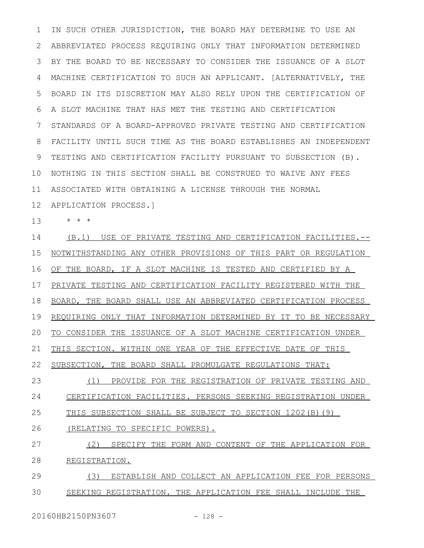IN SUCH OTHER JURISDICTION, THE BOARD MAY DETERMINE TO USE AN ABBREVIATED PROCESS REQUIRING ONLY THAT INFORMATION DETERMINED BY THE BOARD TO BE NECESSARY TO CONSIDER THE ISSUANCE OF A SLOT MACHINE CERTIFICATION TO SUCH AN APPLICANT. [ALTERNATIVELY, THE BOARD IN ITS DISCRETION MAY ALSO RELY UPON THE CERTIFICATION OF A SLOT MACHINE THAT HAS MET THE TESTING AND CERTIFICATION STANDARDS OF A BOARD-APPROVED PRIVATE TESTING AND CERTIFICATION FACILITY UNTIL SUCH TIME AS THE BOARD ESTABLISHES AN INDEPENDENT TESTING AND CERTIFICATION FACILITY PURSUANT TO SUBSECTION (B). NOTHING IN THIS SECTION SHALL BE CONSTRUED TO WAIVE ANY FEES ASSOCIATED WITH OBTAINING A LICENSE THROUGH THE NORMAL APPLICATION PROCESS.] 1 2 3 4 5 6 7 8 9 10 11 12

\* \* \* 13

(B.1) USE OF PRIVATE TESTING AND CERTIFICATION FACILITIES.-- NOTWITHSTANDING ANY OTHER PROVISIONS OF THIS PART OR REGULATION OF THE BOARD, IF A SLOT MACHINE IS TESTED AND CERTIFIED BY A PRIVATE TESTING AND CERTIFICATION FACILITY REGISTERED WITH THE BOARD, THE BOARD SHALL USE AN ABBREVIATED CERTIFICATION PROCESS REQUIRING ONLY THAT INFORMATION DETERMINED BY IT TO BE NECESSARY TO CONSIDER THE ISSUANCE OF A SLOT MACHINE CERTIFICATION UNDER THIS SECTION. WITHIN ONE YEAR OF THE EFFECTIVE DATE OF THIS SUBSECTION, THE BOARD SHALL PROMULGATE REGULATIONS THAT: (1) PROVIDE FOR THE REGISTRATION OF PRIVATE TESTING AND CERTIFICATION FACILITIES. PERSONS SEEKING REGISTRATION UNDER THIS SUBSECTION SHALL BE SUBJECT TO SECTION 1202(B)(9) (RELATING TO SPECIFIC POWERS). (2) SPECIFY THE FORM AND CONTENT OF THE APPLICATION FOR REGISTRATION. (3) ESTABLISH AND COLLECT AN APPLICATION FEE FOR PERSONS 14 15 16 17 18 19 20 21 22 23 24 25 26 27 28 29

SEEKING REGISTRATION. THE APPLICATION FEE SHALL INCLUDE THE 30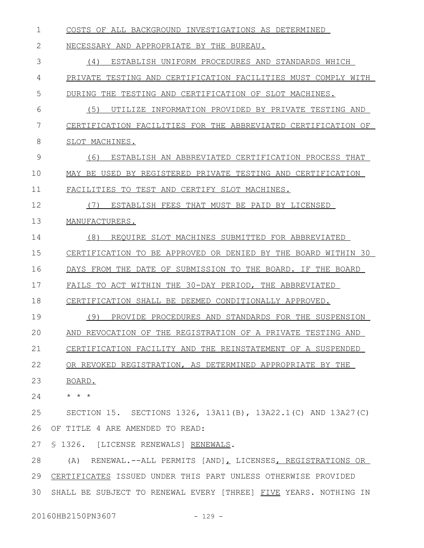COSTS OF ALL BACKGROUND INVESTIGATIONS AS DETERMINED NECESSARY AND APPROPRIATE BY THE BUREAU. (4) ESTABLISH UNIFORM PROCEDURES AND STANDARDS WHICH PRIVATE TESTING AND CERTIFICATION FACILITIES MUST COMPLY WITH DURING THE TESTING AND CERTIFICATION OF SLOT MACHINES. (5) UTILIZE INFORMATION PROVIDED BY PRIVATE TESTING AND CERTIFICATION FACILITIES FOR THE ABBREVIATED CERTIFICATION OF SLOT MACHINES. (6) ESTABLISH AN ABBREVIATED CERTIFICATION PROCESS THAT MAY BE USED BY REGISTERED PRIVATE TESTING AND CERTIFICATION FACILITIES TO TEST AND CERTIFY SLOT MACHINES. (7) ESTABLISH FEES THAT MUST BE PAID BY LICENSED MANUFACTURERS. (8) REQUIRE SLOT MACHINES SUBMITTED FOR ABBREVIATED CERTIFICATION TO BE APPROVED OR DENIED BY THE BOARD WITHIN 30 DAYS FROM THE DATE OF SUBMISSION TO THE BOARD. IF THE BOARD FAILS TO ACT WITHIN THE 30-DAY PERIOD, THE ABBREVIATED CERTIFICATION SHALL BE DEEMED CONDITIONALLY APPROVED. (9) PROVIDE PROCEDURES AND STANDARDS FOR THE SUSPENSION AND REVOCATION OF THE REGISTRATION OF A PRIVATE TESTING AND CERTIFICATION FACILITY AND THE REINSTATEMENT OF A SUSPENDED OR REVOKED REGISTRATION, AS DETERMINED APPROPRIATE BY THE BOARD. \* \* \* SECTION 15. SECTIONS 1326, 13A11(B), 13A22.1(C) AND 13A27(C) OF TITLE 4 ARE AMENDED TO READ: § 1326. [LICENSE RENEWALS] RENEWALS. (A) RENEWAL.--ALL PERMITS [AND], LICENSES, REGISTRATIONS OR CERTIFICATES ISSUED UNDER THIS PART UNLESS OTHERWISE PROVIDED SHALL BE SUBJECT TO RENEWAL EVERY [THREE] FIVE YEARS. NOTHING IN 1 2 3 4 5 6 7 8 9 10 11 12 13 14 15 16 17 18 19  $20$ 21 22 23 24 25 26 27 28 29 30

20160HB2150PN3607 - 129 -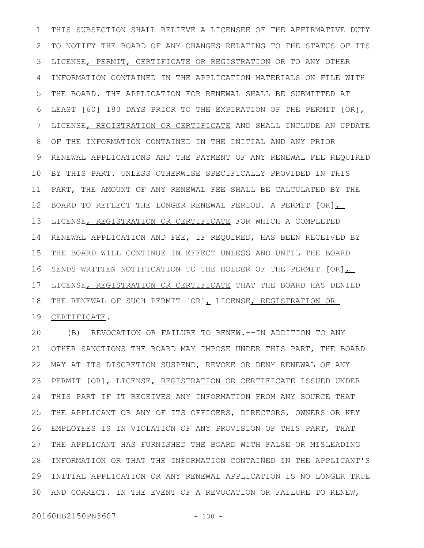THIS SUBSECTION SHALL RELIEVE A LICENSEE OF THE AFFIRMATIVE DUTY TO NOTIFY THE BOARD OF ANY CHANGES RELATING TO THE STATUS OF ITS LICENSE, PERMIT, CERTIFICATE OR REGISTRATION OR TO ANY OTHER INFORMATION CONTAINED IN THE APPLICATION MATERIALS ON FILE WITH THE BOARD. THE APPLICATION FOR RENEWAL SHALL BE SUBMITTED AT LEAST [60] 180 DAYS PRIOR TO THE EXPIRATION OF THE PERMIT [OR], LICENSE, REGISTRATION OR CERTIFICATE AND SHALL INCLUDE AN UPDATE OF THE INFORMATION CONTAINED IN THE INITIAL AND ANY PRIOR RENEWAL APPLICATIONS AND THE PAYMENT OF ANY RENEWAL FEE REQUIRED BY THIS PART. UNLESS OTHERWISE SPECIFICALLY PROVIDED IN THIS PART, THE AMOUNT OF ANY RENEWAL FEE SHALL BE CALCULATED BY THE BOARD TO REFLECT THE LONGER RENEWAL PERIOD. A PERMIT  $[OR]$ LICENSE, REGISTRATION OR CERTIFICATE FOR WHICH A COMPLETED RENEWAL APPLICATION AND FEE, IF REQUIRED, HAS BEEN RECEIVED BY THE BOARD WILL CONTINUE IN EFFECT UNLESS AND UNTIL THE BOARD SENDS WRITTEN NOTIFICATION TO THE HOLDER OF THE PERMIT [OR], LICENSE, REGISTRATION OR CERTIFICATE THAT THE BOARD HAS DENIED THE RENEWAL OF SUCH PERMIT [OR], LICENSE, REGISTRATION OR CERTIFICATE. 1 2 3 4 5 6 7 8 9 10 11 12 13 14 15 16 17 18 19

(B) REVOCATION OR FAILURE TO RENEW.--IN ADDITION TO ANY OTHER SANCTIONS THE BOARD MAY IMPOSE UNDER THIS PART, THE BOARD MAY AT ITS DISCRETION SUSPEND, REVOKE OR DENY RENEWAL OF ANY 22 PERMIT [OR], LICENSE, REGISTRATION OR CERTIFICATE ISSUED UNDER THIS PART IF IT RECEIVES ANY INFORMATION FROM ANY SOURCE THAT THE APPLICANT OR ANY OF ITS OFFICERS, DIRECTORS, OWNERS OR KEY EMPLOYEES IS IN VIOLATION OF ANY PROVISION OF THIS PART, THAT THE APPLICANT HAS FURNISHED THE BOARD WITH FALSE OR MISLEADING INFORMATION OR THAT THE INFORMATION CONTAINED IN THE APPLICANT'S INITIAL APPLICATION OR ANY RENEWAL APPLICATION IS NO LONGER TRUE AND CORRECT. IN THE EVENT OF A REVOCATION OR FAILURE TO RENEW, 20 21 23 24 25 26 27 28 29 30

20160HB2150PN3607 - 130 -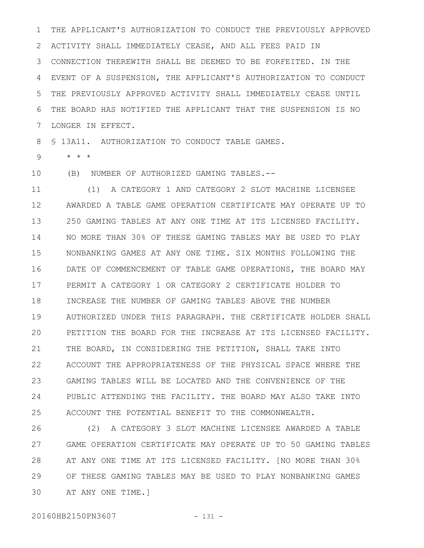THE APPLICANT'S AUTHORIZATION TO CONDUCT THE PREVIOUSLY APPROVED ACTIVITY SHALL IMMEDIATELY CEASE, AND ALL FEES PAID IN CONNECTION THEREWITH SHALL BE DEEMED TO BE FORFEITED. IN THE EVENT OF A SUSPENSION, THE APPLICANT'S AUTHORIZATION TO CONDUCT THE PREVIOUSLY APPROVED ACTIVITY SHALL IMMEDIATELY CEASE UNTIL THE BOARD HAS NOTIFIED THE APPLICANT THAT THE SUSPENSION IS NO LONGER IN EFFECT. 1 2 3 4 5 6 7

§ 13A11. AUTHORIZATION TO CONDUCT TABLE GAMES. 8

\* \* \* 9

(B) NUMBER OF AUTHORIZED GAMING TABLES.-- 10

(1) A CATEGORY 1 AND CATEGORY 2 SLOT MACHINE LICENSEE AWARDED A TABLE GAME OPERATION CERTIFICATE MAY OPERATE UP TO 250 GAMING TABLES AT ANY ONE TIME AT ITS LICENSED FACILITY. NO MORE THAN 30% OF THESE GAMING TABLES MAY BE USED TO PLAY NONBANKING GAMES AT ANY ONE TIME. SIX MONTHS FOLLOWING THE DATE OF COMMENCEMENT OF TABLE GAME OPERATIONS, THE BOARD MAY PERMIT A CATEGORY 1 OR CATEGORY 2 CERTIFICATE HOLDER TO INCREASE THE NUMBER OF GAMING TABLES ABOVE THE NUMBER AUTHORIZED UNDER THIS PARAGRAPH. THE CERTIFICATE HOLDER SHALL PETITION THE BOARD FOR THE INCREASE AT ITS LICENSED FACILITY. THE BOARD, IN CONSIDERING THE PETITION, SHALL TAKE INTO ACCOUNT THE APPROPRIATENESS OF THE PHYSICAL SPACE WHERE THE GAMING TABLES WILL BE LOCATED AND THE CONVENIENCE OF THE PUBLIC ATTENDING THE FACILITY. THE BOARD MAY ALSO TAKE INTO ACCOUNT THE POTENTIAL BENEFIT TO THE COMMONWEALTH. 11 12 13 14 15 16 17 18 19  $20$ 21 22 23 24 25

(2) A CATEGORY 3 SLOT MACHINE LICENSEE AWARDED A TABLE GAME OPERATION CERTIFICATE MAY OPERATE UP TO 50 GAMING TABLES AT ANY ONE TIME AT ITS LICENSED FACILITY. [NO MORE THAN 30% OF THESE GAMING TABLES MAY BE USED TO PLAY NONBANKING GAMES AT ANY ONE TIME.] 26 27 28 29 30

20160HB2150PN3607 - 131 -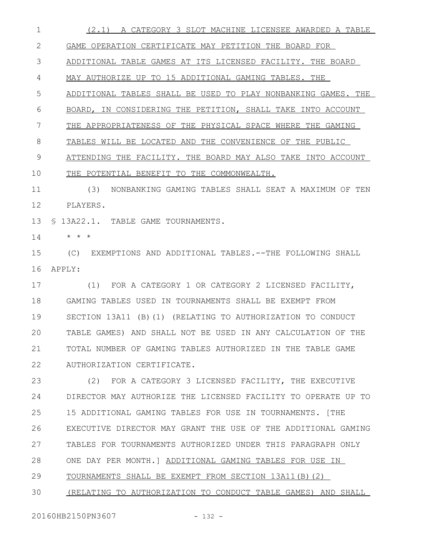(2.1) A CATEGORY 3 SLOT MACHINE LICENSEE AWARDED A TABLE GAME OPERATION CERTIFICATE MAY PETITION THE BOARD FOR ADDITIONAL TABLE GAMES AT ITS LICENSED FACILITY. THE BOARD MAY AUTHORIZE UP TO 15 ADDITIONAL GAMING TABLES. THE ADDITIONAL TABLES SHALL BE USED TO PLAY NONBANKING GAMES. THE BOARD, IN CONSIDERING THE PETITION, SHALL TAKE INTO ACCOUNT THE APPROPRIATENESS OF THE PHYSICAL SPACE WHERE THE GAMING TABLES WILL BE LOCATED AND THE CONVENIENCE OF THE PUBLIC ATTENDING THE FACILITY. THE BOARD MAY ALSO TAKE INTO ACCOUNT THE POTENTIAL BENEFIT TO THE COMMONWEALTH. (3) NONBANKING GAMING TABLES SHALL SEAT A MAXIMUM OF TEN PLAYERS. § 13A22.1. TABLE GAME TOURNAMENTS. 1 2 3 4 5 6 7 8 9 10 11 12 13

\* \* \* 14

(C) EXEMPTIONS AND ADDITIONAL TABLES.--THE FOLLOWING SHALL APPLY: 15 16

(1) FOR A CATEGORY 1 OR CATEGORY 2 LICENSED FACILITY, GAMING TABLES USED IN TOURNAMENTS SHALL BE EXEMPT FROM SECTION 13A11 (B)(1) (RELATING TO AUTHORIZATION TO CONDUCT TABLE GAMES) AND SHALL NOT BE USED IN ANY CALCULATION OF THE TOTAL NUMBER OF GAMING TABLES AUTHORIZED IN THE TABLE GAME AUTHORIZATION CERTIFICATE. 17 18 19  $20$ 21 22

(2) FOR A CATEGORY 3 LICENSED FACILITY, THE EXECUTIVE DIRECTOR MAY AUTHORIZE THE LICENSED FACILITY TO OPERATE UP TO 15 ADDITIONAL GAMING TABLES FOR USE IN TOURNAMENTS. [THE EXECUTIVE DIRECTOR MAY GRANT THE USE OF THE ADDITIONAL GAMING TABLES FOR TOURNAMENTS AUTHORIZED UNDER THIS PARAGRAPH ONLY ONE DAY PER MONTH.] ADDITIONAL GAMING TABLES FOR USE IN TOURNAMENTS SHALL BE EXEMPT FROM SECTION 13A11(B)(2) 23 24 25 26 27 28 29

(RELATING TO AUTHORIZATION TO CONDUCT TABLE GAMES) AND SHALL 30

20160HB2150PN3607 - 132 -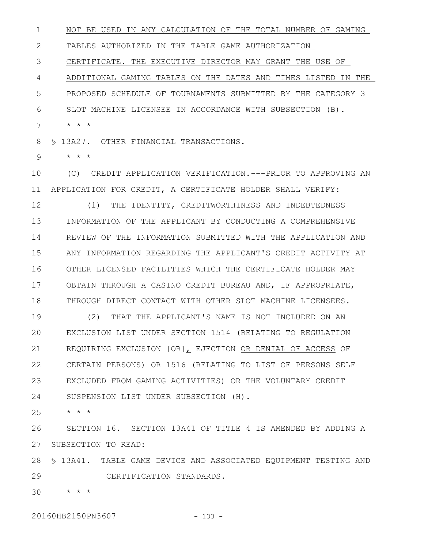NOT BE USED IN ANY CALCULATION OF THE TOTAL NUMBER OF GAMING 1

TABLES AUTHORIZED IN THE TABLE GAME AUTHORIZATION 2

CERTIFICATE. THE EXECUTIVE DIRECTOR MAY GRANT THE USE OF 3

ADDITIONAL GAMING TABLES ON THE DATES AND TIMES LISTED IN THE 4

PROPOSED SCHEDULE OF TOURNAMENTS SUBMITTED BY THE CATEGORY 3 5

SLOT MACHINE LICENSEE IN ACCORDANCE WITH SUBSECTION (B). 6

\* \* \* 7

§ 13A27. OTHER FINANCIAL TRANSACTIONS. 8

\* \* \* 9

(C) CREDIT APPLICATION VERIFICATION.---PRIOR TO APPROVING AN APPLICATION FOR CREDIT, A CERTIFICATE HOLDER SHALL VERIFY: 11 (1) THE IDENTITY, CREDITWORTHINESS AND INDEBTEDNESS INFORMATION OF THE APPLICANT BY CONDUCTING A COMPREHENSIVE REVIEW OF THE INFORMATION SUBMITTED WITH THE APPLICATION AND ANY INFORMATION REGARDING THE APPLICANT'S CREDIT ACTIVITY AT OTHER LICENSED FACILITIES WHICH THE CERTIFICATE HOLDER MAY OBTAIN THROUGH A CASINO CREDIT BUREAU AND, IF APPROPRIATE, THROUGH DIRECT CONTACT WITH OTHER SLOT MACHINE LICENSEES. 10 12 13 14 15 16 17 18

(2) THAT THE APPLICANT'S NAME IS NOT INCLUDED ON AN EXCLUSION LIST UNDER SECTION 1514 (RELATING TO REGULATION REQUIRING EXCLUSION [OR], EJECTION OR DENIAL OF ACCESS OF CERTAIN PERSONS) OR 1516 (RELATING TO LIST OF PERSONS SELF EXCLUDED FROM GAMING ACTIVITIES) OR THE VOLUNTARY CREDIT SUSPENSION LIST UNDER SUBSECTION (H). 19  $20$ 21 22 23 24

\* \* \* 25

SECTION 16. SECTION 13A41 OF TITLE 4 IS AMENDED BY ADDING A SUBSECTION TO READ: 26 27

§ 13A41. TABLE GAME DEVICE AND ASSOCIATED EQUIPMENT TESTING AND 28 CERTIFICATION STANDARDS. 29

\* \* \* 30

20160HB2150PN3607 - 133 -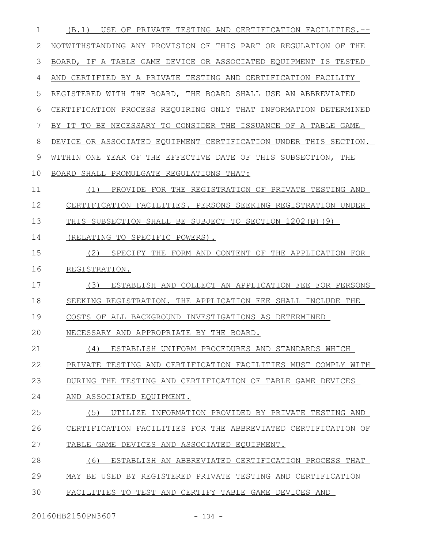| $\mathbf{1}$ | USE OF PRIVATE TESTING AND CERTIFICATION FACILITIES.--<br>(B,1)  |
|--------------|------------------------------------------------------------------|
| 2            | NOTWITHSTANDING ANY PROVISION OF THIS PART OR REGULATION OF THE  |
| 3            | BOARD, IF A TABLE GAME DEVICE OR ASSOCIATED EQUIPMENT IS TESTED  |
| 4            | AND CERTIFIED BY A PRIVATE TESTING AND CERTIFICATION FACILITY    |
| 5            | REGISTERED WITH THE BOARD, THE BOARD SHALL USE AN ABBREVIATED    |
| 6            | CERTIFICATION PROCESS REQUIRING ONLY THAT INFORMATION DETERMINED |
| 7            | BY IT TO BE NECESSARY TO CONSIDER THE ISSUANCE OF A TABLE GAME   |
| 8            | DEVICE OR ASSOCIATED EQUIPMENT CERTIFICATION UNDER THIS SECTION. |
| 9            | WITHIN ONE YEAR OF THE EFFECTIVE DATE OF THIS SUBSECTION, THE    |
| 10           | BOARD SHALL PROMULGATE REGULATIONS THAT:                         |
| 11           | PROVIDE FOR THE REGISTRATION OF PRIVATE TESTING AND<br>(1)       |
| 12           | CERTIFICATION FACILITIES. PERSONS SEEKING REGISTRATION UNDER     |
| 13           | THIS SUBSECTION SHALL BE SUBJECT TO SECTION 1202(B)(9)           |
| 14           | (RELATING TO SPECIFIC POWERS).                                   |
| 15           | (2)<br>SPECIFY THE FORM AND CONTENT OF THE APPLICATION FOR       |
| 16           | REGISTRATION.                                                    |
| 17           | (3)<br>ESTABLISH AND COLLECT AN APPLICATION FEE FOR PERSONS      |
| 18           | SEEKING REGISTRATION. THE APPLICATION FEE SHALL INCLUDE THE      |
| 19           | COSTS OF ALL BACKGROUND INVESTIGATIONS AS DETERMINED             |
| 20           | NECESSARY AND APPROPRIATE BY THE BOARD.                          |
| 21           | (4)<br>ESTABLISH UNIFORM PROCEDURES AND STANDARDS WHICH          |
| 22           | PRIVATE TESTING AND CERTIFICATION FACILITIES MUST COMPLY WITH    |
| 23           | DURING THE TESTING AND CERTIFICATION OF TABLE GAME DEVICES       |
| 24           | AND ASSOCIATED EQUIPMENT.                                        |
| 25           | (5)<br>UTILIZE INFORMATION PROVIDED BY PRIVATE TESTING AND       |
| 26           | CERTIFICATION FACILITIES FOR THE ABBREVIATED CERTIFICATION OF    |
| 27           | TABLE GAME DEVICES AND ASSOCIATED EQUIPMENT.                     |
| 28           | ESTABLISH AN ABBREVIATED CERTIFICATION PROCESS THAT<br>(6)       |
|              |                                                                  |
| 29           | MAY BE USED BY REGISTERED PRIVATE TESTING AND CERTIFICATION      |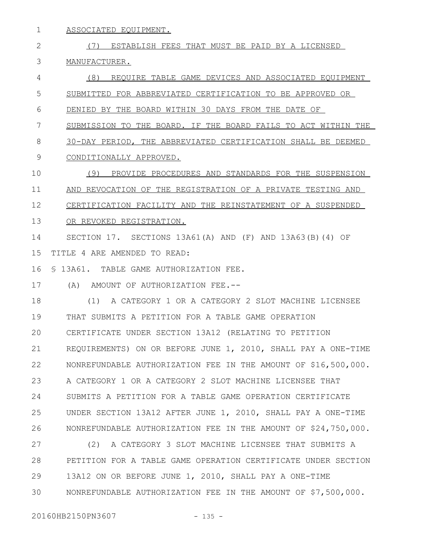ASSOCIATED EQUIPMENT. 1

(7) ESTABLISH FEES THAT MUST BE PAID BY A LICENSED MANUFACTURER. (8) REQUIRE TABLE GAME DEVICES AND ASSOCIATED EQUIPMENT SUBMITTED FOR ABBREVIATED CERTIFICATION TO BE APPROVED OR DENIED BY THE BOARD WITHIN 30 DAYS FROM THE DATE OF SUBMISSION TO THE BOARD. IF THE BOARD FAILS TO ACT WITHIN THE 30-DAY PERIOD, THE ABBREVIATED CERTIFICATION SHALL BE DEEMED 2 3 4 5 6 7 8

- CONDITIONALLY APPROVED. 9
- (9) PROVIDE PROCEDURES AND STANDARDS FOR THE SUSPENSION AND REVOCATION OF THE REGISTRATION OF A PRIVATE TESTING AND 10 11
- CERTIFICATION FACILITY AND THE REINSTATEMENT OF A SUSPENDED 12
- OR REVOKED REGISTRATION. 13

SECTION 17. SECTIONS 13A61(A) AND (F) AND 13A63(B)(4) OF TITLE 4 ARE AMENDED TO READ: 14 15

§ 13A61. TABLE GAME AUTHORIZATION FEE. 16

(A) AMOUNT OF AUTHORIZATION FEE.-- 17

(1) A CATEGORY 1 OR A CATEGORY 2 SLOT MACHINE LICENSEE THAT SUBMITS A PETITION FOR A TABLE GAME OPERATION CERTIFICATE UNDER SECTION 13A12 (RELATING TO PETITION REQUIREMENTS) ON OR BEFORE JUNE 1, 2010, SHALL PAY A ONE-TIME NONREFUNDABLE AUTHORIZATION FEE IN THE AMOUNT OF \$16,500,000. A CATEGORY 1 OR A CATEGORY 2 SLOT MACHINE LICENSEE THAT SUBMITS A PETITION FOR A TABLE GAME OPERATION CERTIFICATE UNDER SECTION 13A12 AFTER JUNE 1, 2010, SHALL PAY A ONE-TIME NONREFUNDABLE AUTHORIZATION FEE IN THE AMOUNT OF \$24,750,000. 18 19  $20$ 21 22 23 24 25 26

(2) A CATEGORY 3 SLOT MACHINE LICENSEE THAT SUBMITS A PETITION FOR A TABLE GAME OPERATION CERTIFICATE UNDER SECTION 13A12 ON OR BEFORE JUNE 1, 2010, SHALL PAY A ONE-TIME NONREFUNDABLE AUTHORIZATION FEE IN THE AMOUNT OF \$7,500,000. 27 28 29 30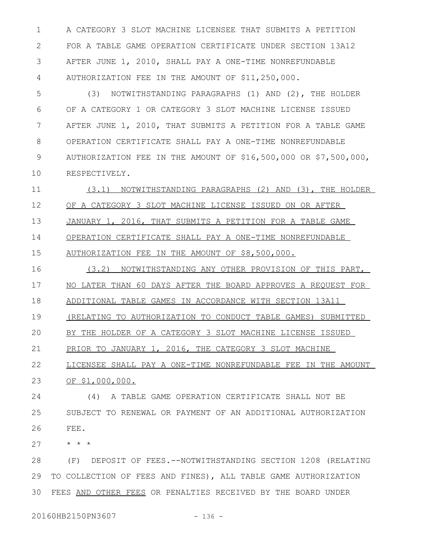A CATEGORY 3 SLOT MACHINE LICENSEE THAT SUBMITS A PETITION FOR A TABLE GAME OPERATION CERTIFICATE UNDER SECTION 13A12 AFTER JUNE 1, 2010, SHALL PAY A ONE-TIME NONREFUNDABLE AUTHORIZATION FEE IN THE AMOUNT OF \$11,250,000. 1 2 3 4

(3) NOTWITHSTANDING PARAGRAPHS (1) AND (2), THE HOLDER OF A CATEGORY 1 OR CATEGORY 3 SLOT MACHINE LICENSE ISSUED AFTER JUNE 1, 2010, THAT SUBMITS A PETITION FOR A TABLE GAME OPERATION CERTIFICATE SHALL PAY A ONE-TIME NONREFUNDABLE AUTHORIZATION FEE IN THE AMOUNT OF \$16,500,000 OR \$7,500,000, RESPECTIVELY. 5 6 7 8 9 10

(3.1) NOTWITHSTANDING PARAGRAPHS (2) AND (3), THE HOLDER OF A CATEGORY 3 SLOT MACHINE LICENSE ISSUED ON OR AFTER JANUARY 1, 2016, THAT SUBMITS A PETITION FOR A TABLE GAME OPERATION CERTIFICATE SHALL PAY A ONE-TIME NONREFUNDABLE AUTHORIZATION FEE IN THE AMOUNT OF \$8,500,000. 11 12 13 14 15

(3.2) NOTWITHSTANDING ANY OTHER PROVISION OF THIS PART, NO LATER THAN 60 DAYS AFTER THE BOARD APPROVES A REQUEST FOR ADDITIONAL TABLE GAMES IN ACCORDANCE WITH SECTION 13A11 (RELATING TO AUTHORIZATION TO CONDUCT TABLE GAMES) SUBMITTED 16 17 18 19

BY THE HOLDER OF A CATEGORY 3 SLOT MACHINE LICENSE ISSUED

PRIOR TO JANUARY 1, 2016, THE CATEGORY 3 SLOT MACHINE 21

LICENSEE SHALL PAY A ONE-TIME NONREFUNDABLE FEE IN THE AMOUNT OF \$1,000,000. 22 23

(4) A TABLE GAME OPERATION CERTIFICATE SHALL NOT BE SUBJECT TO RENEWAL OR PAYMENT OF AN ADDITIONAL AUTHORIZATION FEE. 24 25 26

\* \* \* 27

 $20$ 

(F) DEPOSIT OF FEES.--NOTWITHSTANDING SECTION 1208 (RELATING TO COLLECTION OF FEES AND FINES), ALL TABLE GAME AUTHORIZATION FEES AND OTHER FEES OR PENALTIES RECEIVED BY THE BOARD UNDER 28 29 30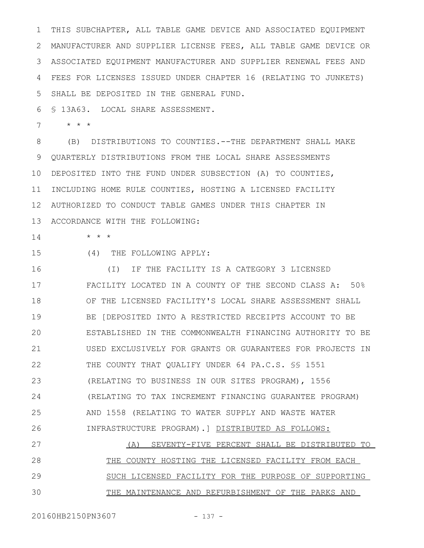THIS SUBCHAPTER, ALL TABLE GAME DEVICE AND ASSOCIATED EQUIPMENT MANUFACTURER AND SUPPLIER LICENSE FEES, ALL TABLE GAME DEVICE OR ASSOCIATED EQUIPMENT MANUFACTURER AND SUPPLIER RENEWAL FEES AND FEES FOR LICENSES ISSUED UNDER CHAPTER 16 (RELATING TO JUNKETS) SHALL BE DEPOSITED IN THE GENERAL FUND. 1 2 3 4 5

§ 13A63. LOCAL SHARE ASSESSMENT. 6

\* \* \* 7

(B) DISTRIBUTIONS TO COUNTIES.--THE DEPARTMENT SHALL MAKE QUARTERLY DISTRIBUTIONS FROM THE LOCAL SHARE ASSESSMENTS DEPOSITED INTO THE FUND UNDER SUBSECTION (A) TO COUNTIES, 11 INCLUDING HOME RULE COUNTIES, HOSTING A LICENSED FACILITY AUTHORIZED TO CONDUCT TABLE GAMES UNDER THIS CHAPTER IN 12 13 ACCORDANCE WITH THE FOLLOWING: 8 9 10

\* \* \*

15

14

(4) THE FOLLOWING APPLY:

(I) IF THE FACILITY IS A CATEGORY 3 LICENSED FACILITY LOCATED IN A COUNTY OF THE SECOND CLASS A: 50% OF THE LICENSED FACILITY'S LOCAL SHARE ASSESSMENT SHALL BE [DEPOSITED INTO A RESTRICTED RECEIPTS ACCOUNT TO BE ESTABLISHED IN THE COMMONWEALTH FINANCING AUTHORITY TO BE USED EXCLUSIVELY FOR GRANTS OR GUARANTEES FOR PROJECTS IN THE COUNTY THAT QUALIFY UNDER 64 PA.C.S. SS 1551 (RELATING TO BUSINESS IN OUR SITES PROGRAM), 1556 (RELATING TO TAX INCREMENT FINANCING GUARANTEE PROGRAM) AND 1558 (RELATING TO WATER SUPPLY AND WASTE WATER INFRASTRUCTURE PROGRAM).] DISTRIBUTED AS FOLLOWS: 16 17 18 19 20 21 22 23 24 25 26

(A) SEVENTY-FIVE PERCENT SHALL BE DISTRIBUTED TO THE COUNTY HOSTING THE LICENSED FACILITY FROM EACH SUCH LICENSED FACILITY FOR THE PURPOSE OF SUPPORTING THE MAINTENANCE AND REFURBISHMENT OF THE PARKS AND 27 28 29 30

20160HB2150PN3607 - 137 -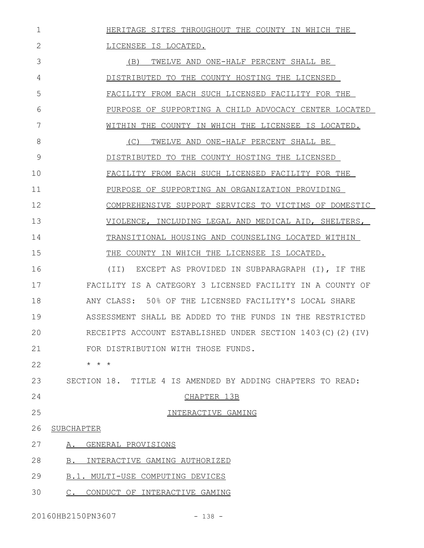HERITAGE SITES THROUGHOUT THE COUNTY IN WHICH THE 1

LICENSEE IS LOCATED. (B) TWELVE AND ONE-HALF PERCENT SHALL BE DISTRIBUTED TO THE COUNTY HOSTING THE LICENSED FACILITY FROM EACH SUCH LICENSED FACILITY FOR THE PURPOSE OF SUPPORTING A CHILD ADVOCACY CENTER LOCATED WITHIN THE COUNTY IN WHICH THE LICENSEE IS LOCATED. (C) TWELVE AND ONE-HALF PERCENT SHALL BE DISTRIBUTED TO THE COUNTY HOSTING THE LICENSED FACILITY FROM EACH SUCH LICENSED FACILITY FOR THE PURPOSE OF SUPPORTING AN ORGANIZATION PROVIDING COMPREHENSIVE SUPPORT SERVICES TO VICTIMS OF DOMESTIC VIOLENCE, INCLUDING LEGAL AND MEDICAL AID, SHELTERS, TRANSITIONAL HOUSING AND COUNSELING LOCATED WITHIN THE COUNTY IN WHICH THE LICENSEE IS LOCATED. 2 3 4 5 6 7 8 9 10 11 12 13 14 15

(II) EXCEPT AS PROVIDED IN SUBPARAGRAPH (I), IF THE FACILITY IS A CATEGORY 3 LICENSED FACILITY IN A COUNTY OF ANY CLASS: 50% OF THE LICENSED FACILITY'S LOCAL SHARE ASSESSMENT SHALL BE ADDED TO THE FUNDS IN THE RESTRICTED RECEIPTS ACCOUNT ESTABLISHED UNDER SECTION 1403(C)(2)(IV) FOR DISTRIBUTION WITH THOSE FUNDS. 16 17 18 19  $20$ 21

\* \* \* 22

SECTION 18. TITLE 4 IS AMENDED BY ADDING CHAPTERS TO READ: 23

- 24
- 25

## CHAPTER 13B

26 SUBCHAPTER

### INTERACTIVE GAMING

- A. GENERAL PROVISIONS 27
- B. INTERACTIVE GAMING AUTHORIZED 28
- B.1. MULTI-USE COMPUTING DEVICES 29
- C. CONDUCT OF INTERACTIVE GAMING 30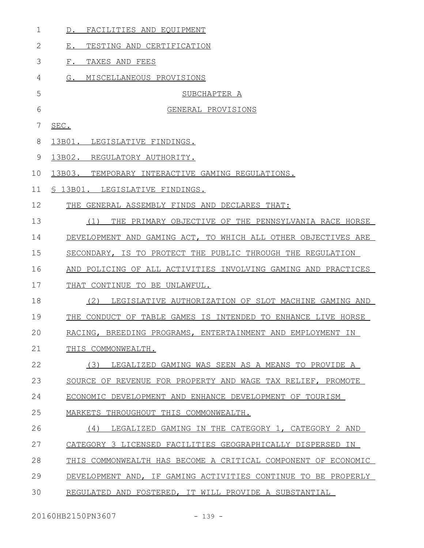| 1            | D. FACILITIES AND EQUIPMENT                                   |
|--------------|---------------------------------------------------------------|
| $\mathbf{2}$ | $E$ .<br>TESTING AND CERTIFICATION                            |
| 3            | TAXES AND FEES<br>$F$ .                                       |
| 4            | G. MISCELLANEOUS PROVISIONS                                   |
| 5            | SUBCHAPTER A                                                  |
| 6            | GENERAL PROVISIONS                                            |
| 7            | SEC.                                                          |
| 8            | 13B01. LEGISLATIVE FINDINGS.                                  |
| 9            | 13B02. REGULATORY AUTHORITY.                                  |
| 10           | 13B03.<br>TEMPORARY INTERACTIVE GAMING REGULATIONS.           |
| 11           | § 13B01. LEGISLATIVE FINDINGS.                                |
| 12           | THE GENERAL ASSEMBLY FINDS AND DECLARES THAT:                 |
| 13           | THE PRIMARY OBJECTIVE OF THE PENNSYLVANIA RACE HORSE<br>(1)   |
| 14           | DEVELOPMENT AND GAMING ACT, TO WHICH ALL OTHER OBJECTIVES ARE |
| 15           | SECONDARY, IS TO PROTECT THE PUBLIC THROUGH THE REGULATION    |
| 16           | AND POLICING OF ALL ACTIVITIES INVOLVING GAMING AND PRACTICES |
| 17           | THAT CONTINUE TO BE UNLAWFUL.                                 |
| 18           | (2)<br>LEGISLATIVE AUTHORIZATION OF SLOT MACHINE GAMING AND   |
| 19           | THE CONDUCT OF TABLE GAMES IS INTENDED TO ENHANCE LIVE HORSE  |
| 20           | RACING, BREEDING PROGRAMS, ENTERTAINMENT AND EMPLOYMENT IN    |
| 21           | THIS COMMONWEALTH.                                            |
| 22           | (3)<br>LEGALIZED GAMING WAS SEEN AS A MEANS TO PROVIDE A      |
| 23           | SOURCE OF REVENUE FOR PROPERTY AND WAGE TAX RELIEF, PROMOTE   |
| 24           | ECONOMIC DEVELOPMENT AND ENHANCE DEVELOPMENT OF TOURISM       |
| 25           | MARKETS THROUGHOUT THIS COMMONWEALTH.                         |
| 26           | (4)<br>LEGALIZED GAMING IN THE CATEGORY 1, CATEGORY 2 AND     |
| 27           | CATEGORY 3 LICENSED FACILITIES GEOGRAPHICALLY DISPERSED IN    |
| 28           | THIS COMMONWEALTH HAS BECOME A CRITICAL COMPONENT OF ECONOMIC |
| 29           | DEVELOPMENT AND, IF GAMING ACTIVITIES CONTINUE TO BE PROPERLY |
| 30           | REGULATED AND FOSTERED, IT WILL PROVIDE A SUBSTANTIAL         |

20160HB2150PN3607 - 139 -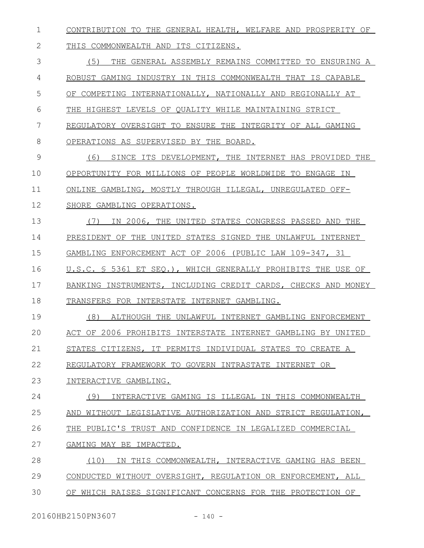CONTRIBUTION TO THE GENERAL HEALTH, WELFARE AND PROSPERITY OF 1

THIS COMMONWEALTH AND ITS CITIZENS. 2

(5) THE GENERAL ASSEMBLY REMAINS COMMITTED TO ENSURING A ROBUST GAMING INDUSTRY IN THIS COMMONWEALTH THAT IS CAPABLE OF COMPETING INTERNATIONALLY, NATIONALLY AND REGIONALLY AT THE HIGHEST LEVELS OF QUALITY WHILE MAINTAINING STRICT REGULATORY OVERSIGHT TO ENSURE THE INTEGRITY OF ALL GAMING OPERATIONS AS SUPERVISED BY THE BOARD. (6) SINCE ITS DEVELOPMENT, THE INTERNET HAS PROVIDED THE OPPORTUNITY FOR MILLIONS OF PEOPLE WORLDWIDE TO ENGAGE IN ONLINE GAMBLING, MOSTLY THROUGH ILLEGAL, UNREGULATED OFF-SHORE GAMBLING OPERATIONS. (7) IN 2006, THE UNITED STATES CONGRESS PASSED AND THE PRESIDENT OF THE UNITED STATES SIGNED THE UNLAWFUL INTERNET GAMBLING ENFORCEMENT ACT OF 2006 (PUBLIC LAW 109-347, 31 U.S.C. § 5361 ET SEQ.), WHICH GENERALLY PROHIBITS THE USE OF BANKING INSTRUMENTS, INCLUDING CREDIT CARDS, CHECKS AND MONEY TRANSFERS FOR INTERSTATE INTERNET GAMBLING. (8) ALTHOUGH THE UNLAWFUL INTERNET GAMBLING ENFORCEMENT ACT OF 2006 PROHIBITS INTERSTATE INTERNET GAMBLING BY UNITED STATES CITIZENS, IT PERMITS INDIVIDUAL STATES TO CREATE A REGULATORY FRAMEWORK TO GOVERN INTRASTATE INTERNET OR INTERACTIVE GAMBLING. (9) INTERACTIVE GAMING IS ILLEGAL IN THIS COMMONWEALTH AND WITHOUT LEGISLATIVE AUTHORIZATION AND STRICT REGULATION, THE PUBLIC'S TRUST AND CONFIDENCE IN LEGALIZED COMMERCIAL GAMING MAY BE IMPACTED. (10) IN THIS COMMONWEALTH, INTERACTIVE GAMING HAS BEEN CONDUCTED WITHOUT OVERSIGHT, REGULATION OR ENFORCEMENT, ALL OF WHICH RAISES SIGNIFICANT CONCERNS FOR THE PROTECTION OF 3 4 5 6 7 8 9 10 11 12 13 14 15 16 17 18 19  $20$ 21 22 23 24 25 26 27 28 29 30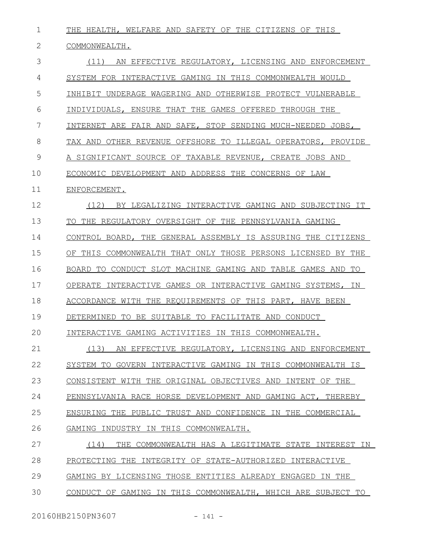THE HEALTH, WELFARE AND SAFETY OF THE CITIZENS OF THIS COMMONWEALTH. (11) AN EFFECTIVE REGULATORY, LICENSING AND ENFORCEMENT SYSTEM FOR INTERACTIVE GAMING IN THIS COMMONWEALTH WOULD INHIBIT UNDERAGE WAGERING AND OTHERWISE PROTECT VULNERABLE INDIVIDUALS, ENSURE THAT THE GAMES OFFERED THROUGH THE INTERNET ARE FAIR AND SAFE, STOP SENDING MUCH-NEEDED JOBS, TAX AND OTHER REVENUE OFFSHORE TO ILLEGAL OPERATORS, PROVIDE A SIGNIFICANT SOURCE OF TAXABLE REVENUE, CREATE JOBS AND ECONOMIC DEVELOPMENT AND ADDRESS THE CONCERNS OF LAW ENFORCEMENT. (12) BY LEGALIZING INTERACTIVE GAMING AND SUBJECTING IT TO THE REGULATORY OVERSIGHT OF THE PENNSYLVANIA GAMING CONTROL BOARD, THE GENERAL ASSEMBLY IS ASSURING THE CITIZENS OF THIS COMMONWEALTH THAT ONLY THOSE PERSONS LICENSED BY THE BOARD TO CONDUCT SLOT MACHINE GAMING AND TABLE GAMES AND TO OPERATE INTERACTIVE GAMES OR INTERACTIVE GAMING SYSTEMS, IN ACCORDANCE WITH THE REQUIREMENTS OF THIS PART, HAVE BEEN DETERMINED TO BE SUITABLE TO FACILITATE AND CONDUCT INTERACTIVE GAMING ACTIVITIES IN THIS COMMONWEALTH. (13) AN EFFECTIVE REGULATORY, LICENSING AND ENFORCEMENT SYSTEM TO GOVERN INTERACTIVE GAMING IN THIS COMMONWEALTH IS CONSISTENT WITH THE ORIGINAL OBJECTIVES AND INTENT OF THE PENNSYLVANIA RACE HORSE DEVELOPMENT AND GAMING ACT, THEREBY ENSURING THE PUBLIC TRUST AND CONFIDENCE IN THE COMMERCIAL GAMING INDUSTRY IN THIS COMMONWEALTH. (14) THE COMMONWEALTH HAS A LEGITIMATE STATE INTEREST IN PROTECTING THE INTEGRITY OF STATE-AUTHORIZED INTERACTIVE GAMING BY LICENSING THOSE ENTITIES ALREADY ENGAGED IN THE CONDUCT OF GAMING IN THIS COMMONWEALTH, WHICH ARE SUBJECT TO 1 2 3 4 5 6 7 8 9 10 11 12 13 14 15 16 17 18 19  $20$ 21 22 23 24 25 26 27 28 29 30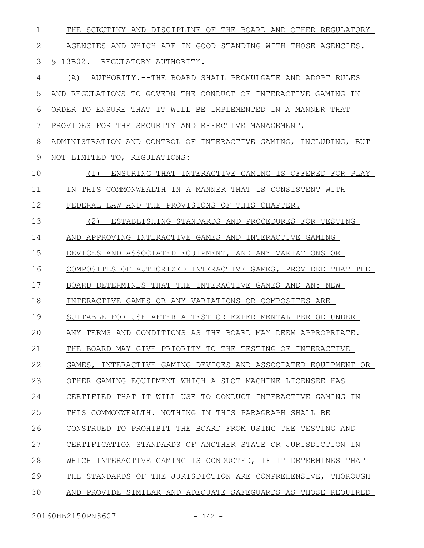| 1  | THE SCRUTINY AND DISCIPLINE OF THE BOARD AND OTHER REGULATORY    |
|----|------------------------------------------------------------------|
| 2  | AGENCIES AND WHICH ARE IN GOOD STANDING WITH THOSE AGENCIES.     |
| 3  | S 13B02. REGULATORY AUTHORITY.                                   |
| 4  | AUTHORITY.--THE BOARD SHALL PROMULGATE AND ADOPT RULES<br>(A)    |
| 5  | AND REGULATIONS TO GOVERN THE CONDUCT OF INTERACTIVE GAMING IN   |
| 6  | ORDER TO ENSURE THAT IT WILL BE IMPLEMENTED IN A MANNER THAT     |
| 7  | PROVIDES FOR THE SECURITY AND EFFECTIVE MANAGEMENT,              |
| 8  | ADMINISTRATION AND CONTROL OF INTERACTIVE GAMING, INCLUDING, BUT |
| 9  | NOT LIMITED<br>TO, REGULATIONS:                                  |
| 10 | (1)<br>ENSURING THAT INTERACTIVE GAMING IS OFFERED FOR PLAY      |
| 11 | THIS COMMONWEALTH IN A MANNER THAT IS CONSISTENT WITH<br>IN      |
| 12 | FEDERAL LAW AND THE PROVISIONS OF THIS CHAPTER.                  |
| 13 | (2)<br>ESTABLISHING STANDARDS AND PROCEDURES FOR TESTING         |
| 14 | AND APPROVING INTERACTIVE GAMES AND INTERACTIVE GAMING           |
| 15 | DEVICES AND ASSOCIATED EQUIPMENT, AND ANY VARIATIONS OR          |
| 16 | COMPOSITES OF AUTHORIZED INTERACTIVE GAMES, PROVIDED THAT THE    |
| 17 | BOARD DETERMINES THAT THE INTERACTIVE GAMES AND ANY NEW          |
| 18 | INTERACTIVE GAMES OR ANY VARIATIONS OR COMPOSITES ARE            |
| 19 | SUITABLE FOR USE AFTER A TEST OR EXPERIMENTAL PERIOD UNDER       |
| 20 | ANY TERMS AND CONDITIONS AS THE BOARD MAY DEEM APPROPRIATE.      |
| 21 | THE BOARD MAY GIVE PRIORITY TO THE TESTING OF INTERACTIVE        |
| 22 | GAMES, INTERACTIVE GAMING DEVICES AND ASSOCIATED EQUIPMENT OR    |
| 23 | OTHER GAMING EQUIPMENT WHICH A SLOT MACHINE LICENSEE HAS         |
| 24 | CERTIFIED THAT IT WILL USE TO CONDUCT INTERACTIVE GAMING IN      |
| 25 | THIS COMMONWEALTH. NOTHING IN THIS PARAGRAPH SHALL BE            |
| 26 | CONSTRUED TO PROHIBIT THE BOARD FROM USING THE TESTING AND       |
| 27 | CERTIFICATION STANDARDS OF ANOTHER STATE OR JURISDICTION IN      |
| 28 | WHICH INTERACTIVE GAMING IS CONDUCTED, IF IT DETERMINES THAT     |
| 29 | THE STANDARDS OF THE JURISDICTION ARE COMPREHENSIVE, THOROUGH    |
| 30 | AND PROVIDE SIMILAR AND ADEOUATE SAFEGUARDS AS THOSE REOUIRED    |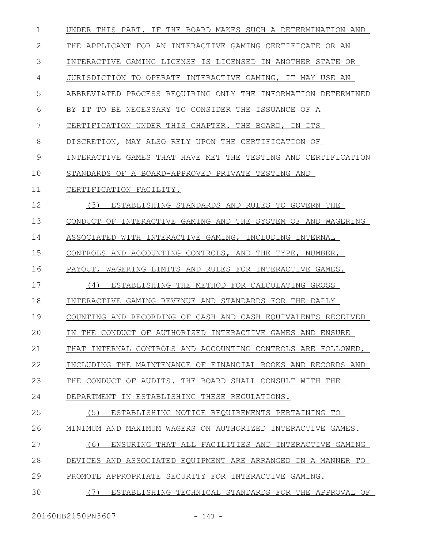| UNDER THIS PART. IF THE BOARD MAKES SUCH A DETERMINATION AND  |
|---------------------------------------------------------------|
| THE APPLICANT FOR AN INTERACTIVE GAMING CERTIFICATE OR AN     |
| INTERACTIVE GAMING LICENSE IS LICENSED IN ANOTHER STATE OR    |
| JURISDICTION TO OPERATE INTERACTIVE GAMING, IT MAY USE AN     |
| ABBREVIATED PROCESS REQUIRING ONLY THE INFORMATION DETERMINED |
| BY IT TO BE NECESSARY TO CONSIDER THE ISSUANCE OF A           |
| CERTIFICATION UNDER THIS CHAPTER.<br>THE BOARD, IN ITS        |
| DISCRETION, MAY ALSO RELY UPON THE CERTIFICATION OF           |
| INTERACTIVE GAMES THAT HAVE MET THE TESTING AND CERTIFICATION |
| STANDARDS OF A BOARD-APPROVED PRIVATE TESTING AND             |
|                                                               |
| ESTABLISHING STANDARDS AND RULES TO GOVERN THE                |
| CONDUCT OF INTERACTIVE GAMING AND THE SYSTEM OF AND WAGERING  |
| ASSOCIATED WITH INTERACTIVE GAMING, INCLUDING INTERNAL        |
| CONTROLS AND ACCOUNTING CONTROLS, AND THE TYPE, NUMBER,       |
| PAYOUT, WAGERING LIMITS AND RULES FOR INTERACTIVE GAMES.      |
| ESTABLISHING THE METHOD FOR CALCULATING GROSS                 |
| INTERACTIVE GAMING REVENUE AND STANDARDS FOR THE DAILY        |
| COUNTING AND RECORDING OF CASH AND CASH EOUIVALENTS RECEIVED  |
| IN THE CONDUCT OF AUTHORIZED INTERACTIVE GAMES AND ENSURE     |
| THAT INTERNAL CONTROLS AND ACCOUNTING CONTROLS ARE FOLLOWED,  |
| INCLUDING THE MAINTENANCE OF FINANCIAL BOOKS AND RECORDS AND  |
| THE CONDUCT OF AUDITS. THE BOARD SHALL CONSULT WITH THE       |
| DEPARTMENT IN ESTABLISHING THESE REGULATIONS.                 |
| ESTABLISHING NOTICE REOUIREMENTS PERTAINING TO                |
| MINIMUM AND MAXIMUM WAGERS ON AUTHORIZED INTERACTIVE GAMES.   |
| ENSURING THAT ALL FACILITIES AND INTERACTIVE GAMING           |
| DEVICES AND ASSOCIATED EQUIPMENT ARE ARRANGED IN A MANNER TO  |
| PROMOTE APPROPRIATE SECURITY FOR INTERACTIVE GAMING.          |
| ESTABLISHING TECHNICAL STANDARDS FOR THE APPROVAL OF          |
|                                                               |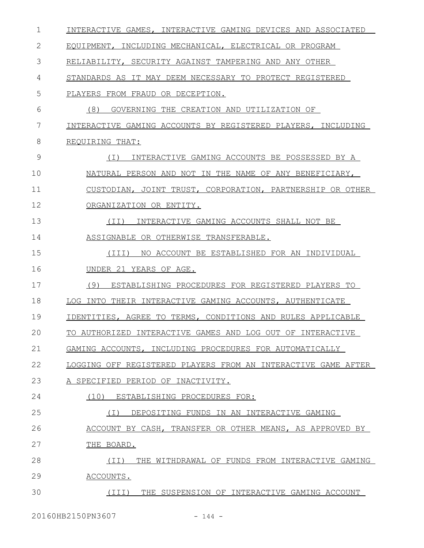| $\mathbf 1$ | INTERACTIVE GAMES, INTERACTIVE GAMING DEVICES AND ASSOCIATED  |
|-------------|---------------------------------------------------------------|
| 2           | EQUIPMENT, INCLUDING MECHANICAL, ELECTRICAL OR PROGRAM        |
| 3           | RELIABILITY, SECURITY AGAINST TAMPERING AND ANY OTHER         |
| 4           | STANDARDS AS IT MAY DEEM NECESSARY TO PROTECT REGISTERED      |
| 5           | PLAYERS FROM FRAUD OR DECEPTION.                              |
| 6           | (8)<br>GOVERNING THE CREATION AND UTILIZATION OF              |
| 7           | INTERACTIVE GAMING ACCOUNTS BY REGISTERED PLAYERS, INCLUDING  |
| 8           | REQUIRING THAT:                                               |
| 9           | INTERACTIVE GAMING ACCOUNTS BE POSSESSED BY A<br>(I)          |
| 10          | NATURAL PERSON AND NOT IN THE NAME OF ANY BENEFICIARY,        |
| 11          | CUSTODIAN, JOINT TRUST, CORPORATION, PARTNERSHIP OR OTHER     |
| 12          | ORGANIZATION OR ENTITY.                                       |
| 13          | INTERACTIVE GAMING ACCOUNTS SHALL NOT BE<br>(II)              |
| 14          | ASSIGNABLE OR OTHERWISE TRANSFERABLE.                         |
| 15          | NO ACCOUNT BE ESTABLISHED FOR AN INDIVIDUAL<br>(III)          |
| 16          | UNDER 21 YEARS OF AGE.                                        |
| 17          | (9)<br>ESTABLISHING PROCEDURES FOR REGISTERED PLAYERS TO      |
| 18          | LOG INTO THEIR INTERACTIVE GAMING ACCOUNTS, AUTHENTICATE      |
| 19          | IDENTITIES, AGREE TO TERMS, CONDITIONS AND RULES APPLICABLE   |
| 20          | TO AUTHORIZED INTERACTIVE GAMES AND LOG OUT OF INTERACTIVE    |
| 21          | GAMING ACCOUNTS, INCLUDING PROCEDURES FOR AUTOMATICALLY       |
| 22          | LOGGING OFF REGISTERED PLAYERS FROM AN INTERACTIVE GAME AFTER |
| 23          | A SPECIFIED PERIOD OF INACTIVITY.                             |
| 24          | (10) ESTABLISHING PROCEDURES FOR:                             |
| 25          | DEPOSITING FUNDS IN AN INTERACTIVE GAMING<br>$(\top)$         |
| 26          | ACCOUNT BY CASH, TRANSFER OR OTHER MEANS, AS APPROVED BY      |
| 27          | THE BOARD.                                                    |
| 28          | THE WITHDRAWAL OF FUNDS FROM INTERACTIVE GAMING<br>(TI)       |
| 29          | ACCOUNTS.                                                     |
| 30          | (III)<br>THE SUSPENSION OF INTERACTIVE GAMING ACCOUNT         |
|             |                                                               |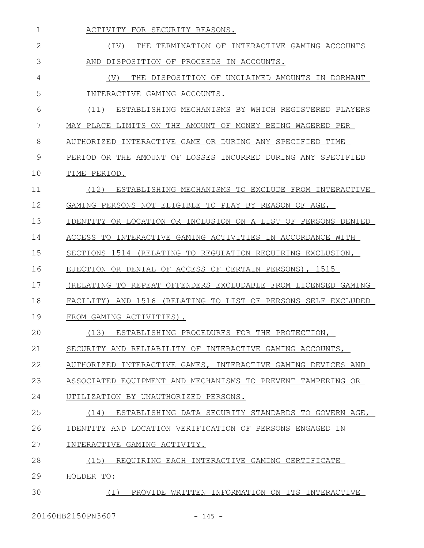| 1              | ACTIVITY FOR SECURITY REASONS.                                   |
|----------------|------------------------------------------------------------------|
| $\overline{2}$ | THE TERMINATION OF INTERACTIVE GAMING ACCOUNTS<br>(IV)           |
| 3              | DISPOSITION OF PROCEEDS IN ACCOUNTS.<br>AND                      |
| 4              | THE DISPOSITION OF UNCLAIMED AMOUNTS IN DORMANT<br>(V)           |
| 5              | INTERACTIVE GAMING ACCOUNTS.                                     |
| 6              | (11)<br>ESTABLISHING MECHANISMS BY WHICH REGISTERED PLAYERS      |
| 7              | MAY PLACE LIMITS ON THE AMOUNT OF MONEY BEING WAGERED PER        |
| 8              | AUTHORIZED INTERACTIVE GAME OR DURING ANY SPECIFIED TIME         |
| 9              | PERIOD OR THE AMOUNT OF LOSSES INCURRED DURING ANY SPECIFIED     |
| 10             | TIME PERIOD.                                                     |
| 11             | (12)<br>ESTABLISHING MECHANISMS TO EXCLUDE FROM INTERACTIVE      |
| 12             | GAMING PERSONS NOT ELIGIBLE TO PLAY BY REASON OF AGE,            |
| 13             | IDENTITY OR LOCATION OR INCLUSION ON A LIST OF PERSONS DENIED    |
| 14             | ACCESS TO INTERACTIVE GAMING ACTIVITIES IN ACCORDANCE WITH       |
| 15             | SECTIONS 1514 (RELATING TO REGULATION REQUIRING EXCLUSION,       |
| 16             | EJECTION OR DENIAL OF ACCESS OF CERTAIN PERSONS), 1515           |
| 17             | (RELATING TO REPEAT OFFENDERS EXCLUDABLE FROM LICENSED GAMING    |
| 18             | AND 1516 (RELATING TO LIST OF PERSONS SELF EXCLUDED<br>FACILITY) |
| 19             | FROM GAMING ACTIVITIES).                                         |
| 20             | ESTABLISHING PROCEDURES FOR THE PROTECTION,<br>(13)              |
| 21             | SECURITY AND RELIABILITY OF INTERACTIVE GAMING ACCOUNTS,         |
| 22             | AUTHORIZED INTERACTIVE GAMES, INTERACTIVE GAMING DEVICES AND     |
| 23             | ASSOCIATED EQUIPMENT AND MECHANISMS TO PREVENT TAMPERING OR      |
| 24             | UTILIZATION BY UNAUTHORIZED PERSONS.                             |
| 25             | (14) ESTABLISHING DATA SECURITY STANDARDS TO GOVERN AGE,         |
| 26             | IDENTITY AND LOCATION VERIFICATION OF PERSONS ENGAGED IN         |
| 27             | INTERACTIVE GAMING ACTIVITY.                                     |
| 28             | (15)<br>REOUIRING EACH INTERACTIVE GAMING CERTIFICATE            |
| 29             | HOLDER TO:                                                       |
| 30             | PROVIDE WRITTEN INFORMATION ON ITS INTERACTIVE<br>( I )          |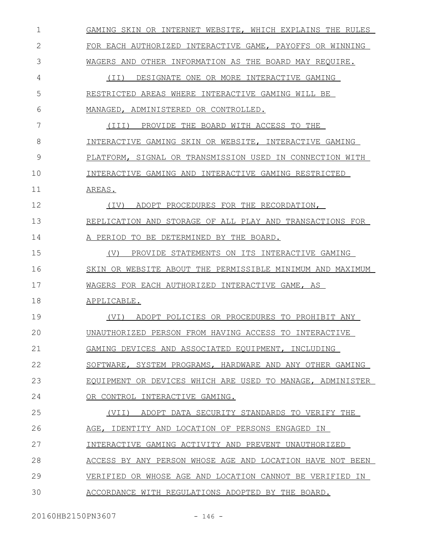| $\mathbf 1$ | GAMING SKIN OR INTERNET WEBSITE, WHICH EXPLAINS THE RULES |
|-------------|-----------------------------------------------------------|
| 2           | FOR EACH AUTHORIZED INTERACTIVE GAME, PAYOFFS OR WINNING  |
| 3           | WAGERS AND OTHER INFORMATION AS THE BOARD MAY REQUIRE.    |
| 4           | (II) DESIGNATE ONE OR MORE INTERACTIVE GAMING             |
| 5           | RESTRICTED AREAS WHERE INTERACTIVE GAMING WILL BE         |
| 6           | MANAGED, ADMINISTERED OR CONTROLLED.                      |
| 7           | (III) PROVIDE THE BOARD WITH ACCESS TO THE                |
| 8           | INTERACTIVE GAMING SKIN OR WEBSITE, INTERACTIVE GAMING    |
| 9           | PLATFORM, SIGNAL OR TRANSMISSION USED IN CONNECTION WITH  |
| 10          | INTERACTIVE GAMING AND INTERACTIVE GAMING RESTRICTED      |
| 11          | AREAS.                                                    |
| 12          | ADOPT PROCEDURES FOR THE RECORDATION,<br>(IV)             |
| 13          | REPLICATION AND STORAGE OF ALL PLAY AND TRANSACTIONS FOR  |
| 14          | A PERIOD TO BE DETERMINED BY THE BOARD.                   |
| 15          | PROVIDE STATEMENTS ON ITS INTERACTIVE GAMING<br>(V)       |
| 16          | SKIN OR WEBSITE ABOUT THE PERMISSIBLE MINIMUM AND MAXIMUM |
| 17          | WAGERS FOR EACH AUTHORIZED INTERACTIVE GAME, AS           |
| 18          | APPLICABLE.                                               |
| 19          | (VI) ADOPT POLICIES OR PROCEDURES TO PROHIBIT ANY         |
| 20          | UNAUTHORIZED PERSON FROM HAVING ACCESS TO INTERACTIVE     |
| 21          | GAMING DEVICES AND ASSOCIATED EQUIPMENT, INCLUDING        |
| 22          | SOFTWARE, SYSTEM PROGRAMS, HARDWARE AND ANY OTHER GAMING  |
| 23          | EQUIPMENT OR DEVICES WHICH ARE USED TO MANAGE, ADMINISTER |
| 24          | OR CONTROL INTERACTIVE GAMING.                            |
| 25          | (VII) ADOPT DATA SECURITY STANDARDS TO VERIFY THE         |
| 26          | AGE, IDENTITY AND LOCATION OF PERSONS ENGAGED IN          |
| 27          | INTERACTIVE GAMING ACTIVITY AND PREVENT UNAUTHORIZED      |
| 28          | ACCESS BY ANY PERSON WHOSE AGE AND LOCATION HAVE NOT BEEN |
| 29          | VERIFIED OR WHOSE AGE AND LOCATION CANNOT BE VERIFIED IN  |
| 30          | ACCORDANCE WITH REGULATIONS ADOPTED BY THE BOARD.         |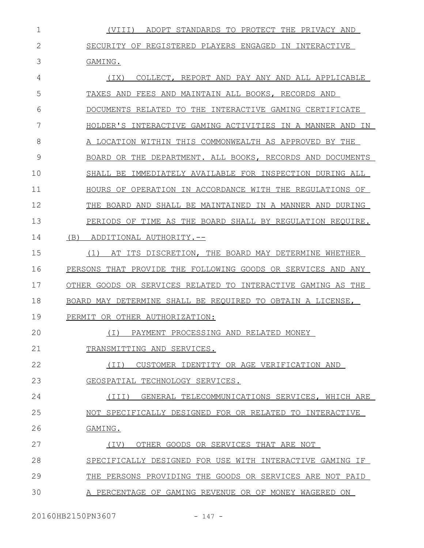(VIII) ADOPT STANDARDS TO PROTECT THE PRIVACY AND SECURITY OF REGISTERED PLAYERS ENGAGED IN INTERACTIVE GAMING. 1 2 3

(IX) COLLECT, REPORT AND PAY ANY AND ALL APPLICABLE TAXES AND FEES AND MAINTAIN ALL BOOKS, RECORDS AND DOCUMENTS RELATED TO THE INTERACTIVE GAMING CERTIFICATE HOLDER'S INTERACTIVE GAMING ACTIVITIES IN A MANNER AND IN A LOCATION WITHIN THIS COMMONWEALTH AS APPROVED BY THE BOARD OR THE DEPARTMENT. ALL BOOKS, RECORDS AND DOCUMENTS SHALL BE IMMEDIATELY AVAILABLE FOR INSPECTION DURING ALL HOURS OF OPERATION IN ACCORDANCE WITH THE REGULATIONS OF THE BOARD AND SHALL BE MAINTAINED IN A MANNER AND DURING PERIODS OF TIME AS THE BOARD SHALL BY REGULATION REQUIRE. (B) ADDITIONAL AUTHORITY.-- 4 5 6 7 8 9 10 11 12 13 14

(1) AT ITS DISCRETION, THE BOARD MAY DETERMINE WHETHER PERSONS THAT PROVIDE THE FOLLOWING GOODS OR SERVICES AND ANY OTHER GOODS OR SERVICES RELATED TO INTERACTIVE GAMING AS THE BOARD MAY DETERMINE SHALL BE REQUIRED TO OBTAIN A LICENSE, 15 16 17 18

PERMIT OR OTHER AUTHORIZATION: 19

(I) PAYMENT PROCESSING AND RELATED MONEY

TRANSMITTING AND SERVICES. 21

(II) CUSTOMER IDENTITY OR AGE VERIFICATION AND 22

GEOSPATIAL TECHNOLOGY SERVICES. 23

(III) GENERAL TELECOMMUNICATIONS SERVICES, WHICH ARE 24

NOT SPECIFICALLY DESIGNED FOR OR RELATED TO INTERACTIVE 25

GAMING. 26

 $20$ 

(IV) OTHER GOODS OR SERVICES THAT ARE NOT 27

SPECIFICALLY DESIGNED FOR USE WITH INTERACTIVE GAMING IF 28

THE PERSONS PROVIDING THE GOODS OR SERVICES ARE NOT PAID 29

A PERCENTAGE OF GAMING REVENUE OR OF MONEY WAGERED ON 30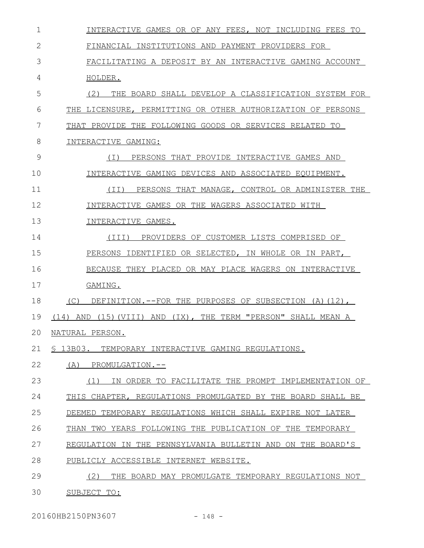| $\mathbf 1$  | INTERACTIVE GAMES OR OF ANY FEES, NOT INCLUDING FEES TO                              |
|--------------|--------------------------------------------------------------------------------------|
| $\mathbf{2}$ | FINANCIAL INSTITUTIONS AND PAYMENT PROVIDERS FOR                                     |
| 3            | FACILITATING A DEPOSIT BY AN INTERACTIVE GAMING ACCOUNT                              |
| 4            | HOLDER.                                                                              |
| 5            | (2)<br>THE BOARD SHALL DEVELOP A CLASSIFICATION SYSTEM FOR                           |
| 6            | THE LICENSURE, PERMITTING OR OTHER AUTHORIZATION OF PERSONS                          |
| 7            | THE FOLLOWING GOODS OR SERVICES RELATED TO<br>THAT PROVIDE                           |
| 8            | INTERACTIVE GAMING:                                                                  |
| 9            | PERSONS THAT PROVIDE INTERACTIVE GAMES AND<br>( I )                                  |
| 10           | INTERACTIVE GAMING DEVICES AND ASSOCIATED EQUIPMENT.                                 |
| 11           | PERSONS THAT MANAGE, CONTROL OR ADMINISTER THE<br>(TI)                               |
| 12           | INTERACTIVE GAMES OR THE WAGERS ASSOCIATED WITH                                      |
| 13           | INTERACTIVE GAMES.                                                                   |
| 14           | PROVIDERS OF CUSTOMER LISTS COMPRISED OF<br>(III)                                    |
| 15           | PERSONS IDENTIFIED OR SELECTED, IN WHOLE OR IN PART,                                 |
| 16           | BECAUSE THEY PLACED OR MAY PLACE WAGERS ON INTERACTIVE                               |
| 17           | GAMING.                                                                              |
| 18           | DEFINITION.--FOR THE PURPOSES OF SUBSECTION (A) (12),<br>(C)                         |
| 19           | $(15)$ (VIII)<br>TERM "PERSON" SHALL MEAN A<br>AND<br>$(TX)$ .<br>THE<br>(14)<br>AND |
| 20           | NATURAL PERSON.                                                                      |
| 21           | § 13B03. TEMPORARY INTERACTIVE GAMING REGULATIONS.                                   |
| 22           | PROMULGATION.--<br>(A)                                                               |
| 23           | IN ORDER TO FACILITATE THE PROMPT IMPLEMENTATION OF<br>(1)                           |
| 24           | THIS CHAPTER, REGULATIONS PROMULGATED BY THE BOARD SHALL BE                          |
| 25           | DEEMED TEMPORARY REGULATIONS WHICH SHALL EXPIRE NOT LATER                            |
| 26           | THAN TWO YEARS FOLLOWING THE PUBLICATION OF THE TEMPORARY                            |
| 27           | REGULATION IN THE PENNSYLVANIA BULLETIN AND ON THE BOARD'S                           |
| 28           | PUBLICLY ACCESSIBLE INTERNET WEBSITE.                                                |
| 29           | (2)<br>THE BOARD MAY PROMULGATE TEMPORARY REGULATIONS NOT                            |
| 30           | SUBJECT TO:                                                                          |

20160HB2150PN3607 - 148 -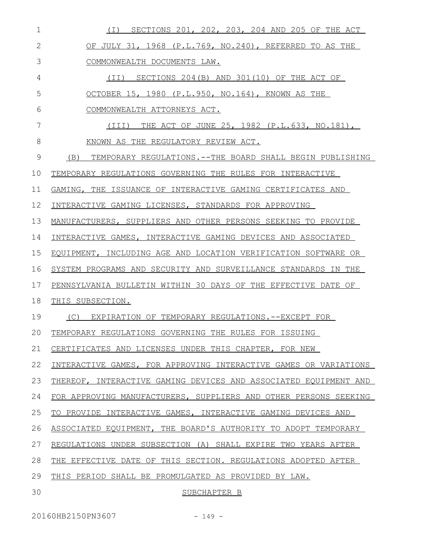| $\mathbf 1$  | (I) SECTIONS 201, 202, 203, 204 AND 205 OF THE ACT                  |
|--------------|---------------------------------------------------------------------|
| $\mathbf{2}$ | OF JULY 31, 1968 (P.L.769, NO.240), REFERRED TO AS THE              |
| 3            | COMMONWEALTH DOCUMENTS LAW.                                         |
| 4            | (II) SECTIONS 204(B) AND 301(10) OF THE ACT OF                      |
| 5            | OCTOBER 15, 1980 (P.L.950, NO.164), KNOWN AS THE                    |
| 6            | COMMONWEALTH ATTORNEYS ACT.                                         |
| 7            | (III) THE ACT OF JUNE 25, 1982 (P.L.633, NO.181),                   |
| 8            | KNOWN AS THE REGULATORY REVIEW ACT.                                 |
| 9            | (B) TEMPORARY REGULATIONS.--THE BOARD SHALL BEGIN PUBLISHING        |
| 10           | TEMPORARY REGULATIONS GOVERNING THE RULES FOR INTERACTIVE           |
| 11           | GAMING, THE ISSUANCE OF INTERACTIVE GAMING CERTIFICATES AND         |
| 12           | INTERACTIVE GAMING LICENSES, STANDARDS FOR APPROVING                |
| 13           | MANUFACTURERS, SUPPLIERS AND OTHER PERSONS SEEKING TO PROVIDE       |
| 14           | INTERACTIVE GAMES, INTERACTIVE GAMING DEVICES AND ASSOCIATED        |
| 15           | EQUIPMENT, INCLUDING AGE AND LOCATION VERIFICATION SOFTWARE OR      |
| 16           | SYSTEM PROGRAMS AND SECURITY AND SURVEILLANCE STANDARDS IN THE      |
| 17           | PENNSYLVANIA BULLETIN WITHIN 30 DAYS OF THE EFFECTIVE DATE OF       |
| 18           | THIS SUBSECTION.                                                    |
| 19           | (C) EXPIRATION OF TEMPORARY REGULATIONS.--EXCEPT FOR                |
|              | 20 TEMPORARY REGULATIONS GOVERNING THE RULES FOR ISSUING            |
| 21           | CERTIFICATES AND LICENSES UNDER THIS CHAPTER, FOR NEW               |
| 22           | INTERACTIVE GAMES, FOR APPROVING INTERACTIVE GAMES OR VARIATIONS    |
| 23           | THEREOF, INTERACTIVE GAMING DEVICES AND ASSOCIATED EOUIPMENT AND    |
| 24           | FOR APPROVING MANUFACTURERS, SUPPLIERS AND OTHER PERSONS SEEKING    |
| 25           | TO PROVIDE INTERACTIVE GAMES, INTERACTIVE GAMING DEVICES AND        |
| 26           | ASSOCIATED EQUIPMENT, THE BOARD'S AUTHORITY TO ADOPT TEMPORARY      |
| 27           | REGULATIONS UNDER SUBSECTION (A) SHALL EXPIRE<br>TWO<br>YEARS AFTER |
| 28           | EFFECTIVE DATE OF THIS SECTION. REGULATIONS ADOPTED AFTER<br>THE.   |
| 29           | THIS PERIOD SHALL BE PROMULGATED AS PROVIDED BY LAW.                |
| 30           | SUBCHAPTER B                                                        |

20160HB2150PN3607 - 149 -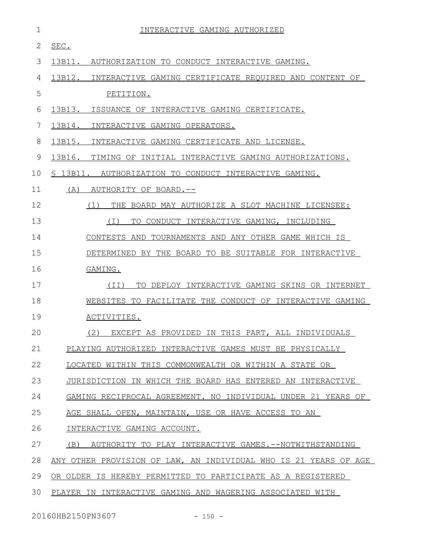| $\mathbf 1$ | INTERACTIVE GAMING AUTHORIZED                                    |
|-------------|------------------------------------------------------------------|
| 2           | SEC.                                                             |
| 3           | 13B11. AUTHORIZATION TO CONDUCT INTERACTIVE GAMING.              |
| 4           | 13B12. INTERACTIVE GAMING CERTIFICATE REQUIRED AND CONTENT OF    |
| 5           | PETITION.                                                        |
| 6           | 13B13.<br>ISSUANCE OF INTERACTIVE GAMING CERTIFICATE.            |
| 7           | 13B14.<br>INTERACTIVE GAMING OPERATORS.                          |
| 8           | 13B15.<br>INTERACTIVE GAMING CERTIFICATE AND LICENSE.            |
| 9           | 13B16.<br>TIMING OF INITIAL INTERACTIVE GAMING AUTHORIZATIONS.   |
| 10          | \$ 13B11. AUTHORIZATION TO CONDUCT INTERACTIVE GAMING.           |
| 11          | (A)<br>AUTHORITY OF BOARD.--                                     |
| 12          | (1)<br>THE BOARD MAY AUTHORIZE A SLOT MACHINE LICENSEE:          |
| 13          | ( I )<br>TO CONDUCT INTERACTIVE GAMING, INCLUDING                |
| 14          | CONTESTS AND TOURNAMENTS AND ANY OTHER GAME WHICH IS             |
| 15          | DETERMINED BY THE BOARD TO BE SUITABLE FOR INTERACTIVE           |
| 16          | GAMING.                                                          |
| 17          | TO DEPLOY INTERACTIVE GAMING SKINS OR INTERNET<br>(II)           |
| 18          | WEBSITES TO FACILITATE THE CONDUCT OF INTERACTIVE GAMING         |
| 19          | ACTIVITIES.                                                      |
| 20          | (2) EXCEPT AS PROVIDED IN THIS PART, ALL INDIVIDUALS             |
| 21          | PLAYING AUTHORIZED INTERACTIVE GAMES MUST BE PHYSICALLY          |
| 22          | LOCATED WITHIN THIS COMMONWEALTH OR WITHIN A STATE OR            |
| 23          | JURISDICTION IN WHICH THE BOARD HAS ENTERED AN INTERACTIVE       |
| 24          | GAMING RECIPROCAL AGREEMENT. NO INDIVIDUAL UNDER 21 YEARS OF     |
| 25          | AGE SHALL OPEN, MAINTAIN, USE OR HAVE ACCESS TO AN               |
| 26          | INTERACTIVE GAMING ACCOUNT.                                      |
| 27          | (B) AUTHORITY TO PLAY INTERACTIVE GAMES.--NOTWITHSTANDING        |
| 28          | ANY OTHER PROVISION OF LAW, AN INDIVIDUAL WHO IS 21 YEARS OF AGE |
| 29          | OR OLDER IS HEREBY PERMITTED TO PARTICIPATE AS A REGISTERED      |
| 30          | PLAYER IN INTERACTIVE GAMING AND WAGERING ASSOCIATED WITH        |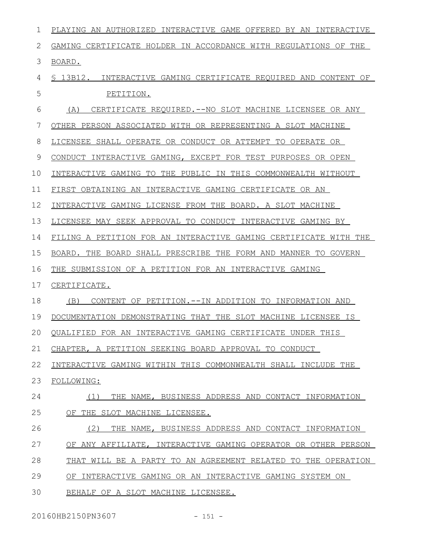| 1            | PLAYING AN AUTHORIZED INTERACTIVE GAME OFFERED BY AN INTERACTIVE |
|--------------|------------------------------------------------------------------|
| $\mathbf{2}$ | GAMING CERTIFICATE HOLDER IN ACCORDANCE WITH REGULATIONS OF THE  |
| 3            | BOARD.                                                           |
| 4            | \$ 13B12. INTERACTIVE GAMING CERTIFICATE REQUIRED AND CONTENT OF |
| 5            | PETITION.                                                        |
| 6            | CERTIFICATE REQUIRED.--NO SLOT MACHINE LICENSEE OR ANY<br>(A)    |
| 7            | OTHER PERSON ASSOCIATED WITH OR REPRESENTING A SLOT MACHINE      |
| 8            | LICENSEE SHALL OPERATE OR CONDUCT OR ATTEMPT TO OPERATE OR       |
| 9            | CONDUCT INTERACTIVE GAMING, EXCEPT FOR TEST PURPOSES OR OPEN     |
| 10           | INTERACTIVE GAMING TO THE PUBLIC IN THIS COMMONWEALTH WITHOUT    |
| 11           | FIRST OBTAINING AN INTERACTIVE GAMING CERTIFICATE OR AN          |
| 12           | INTERACTIVE GAMING LICENSE FROM THE BOARD. A SLOT MACHINE        |
| 13           | LICENSEE MAY SEEK APPROVAL TO CONDUCT INTERACTIVE GAMING BY      |
| 14           | FILING A PETITION FOR AN INTERACTIVE GAMING CERTIFICATE WITH THE |
| 15           | BOARD. THE BOARD SHALL PRESCRIBE THE FORM AND MANNER TO GOVERN   |
| 16           | THE SUBMISSION OF A PETITION FOR AN INTERACTIVE GAMING           |
| 17           | CERTIFICATE.                                                     |
| 18           | CONTENT OF PETITION.--IN ADDITION TO INFORMATION AND<br>(B)      |
| 19           | DOCUMENTATION DEMONSTRATING THAT THE SLOT MACHINE LICENSEE IS    |
| 20           | QUALIFIED FOR AN INTERACTIVE GAMING CERTIFICATE UNDER THIS       |
| 21           | CHAPTER, A PETITION SEEKING BOARD APPROVAL TO CONDUCT            |
| 22           | INTERACTIVE GAMING WITHIN THIS COMMONWEALTH SHALL INCLUDE THE    |
| 23           | FOLLOWING:                                                       |
| 24           | THE NAME, BUSINESS ADDRESS AND CONTACT INFORMATION<br>(1)        |
| 25           | OF THE SLOT MACHINE LICENSEE.                                    |
| 26           | (2)<br>THE NAME, BUSINESS ADDRESS AND CONTACT INFORMATION        |
| 27           | OF ANY AFFILIATE, INTERACTIVE GAMING OPERATOR OR OTHER PERSON    |
| 28           | THAT WILL BE A PARTY TO AN AGREEMENT RELATED TO THE OPERATION    |
| 29           | OF INTERACTIVE GAMING OR AN INTERACTIVE GAMING SYSTEM ON         |
| 30           | BEHALF OF A SLOT MACHINE LICENSEE.                               |

20160HB2150PN3607 - 151 -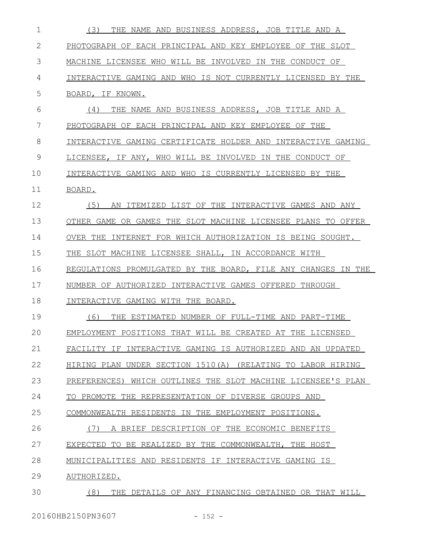| $\mathbf 1$ | (3)<br>THE NAME AND BUSINESS ADDRESS, JOB TITLE AND A         |
|-------------|---------------------------------------------------------------|
| 2           | PHOTOGRAPH OF EACH PRINCIPAL AND KEY EMPLOYEE OF THE SLOT     |
| 3           | MACHINE LICENSEE WHO WILL BE INVOLVED IN THE CONDUCT OF       |
| 4           | INTERACTIVE GAMING AND WHO IS NOT CURRENTLY LICENSED BY THE   |
| 5           | BOARD, IF KNOWN.                                              |
| 6           | THE NAME AND BUSINESS ADDRESS, JOB TITLE AND A<br>(4)         |
| 7           | PHOTOGRAPH OF EACH PRINCIPAL AND KEY EMPLOYEE OF THE          |
| 8           | INTERACTIVE GAMING CERTIFICATE HOLDER AND INTERACTIVE GAMING  |
| 9           | LICENSEE, IF ANY, WHO WILL BE INVOLVED<br>IN THE CONDUCT OF   |
| 10          | INTERACTIVE GAMING AND WHO IS CURRENTLY LICENSED BY THE       |
| 11          | BOARD.                                                        |
| 12          | (5)<br>AN ITEMIZED LIST OF THE INTERACTIVE GAMES AND ANY      |
| 13          | OTHER GAME OR GAMES THE SLOT MACHINE LICENSEE PLANS TO OFFER  |
| 14          | OVER THE<br>INTERNET FOR WHICH AUTHORIZATION IS BEING SOUGHT. |
| 15          | THE SLOT MACHINE LICENSEE SHALL, IN ACCORDANCE WITH           |
| 16          | REGULATIONS PROMULGATED BY THE BOARD, FILE ANY CHANGES IN THE |
| 17          | NUMBER OF AUTHORIZED INTERACTIVE GAMES OFFERED THROUGH        |
| 18          | INTERACTIVE GAMING WITH THE BOARD.                            |
| 19          | (6)<br>ESTIMATED NUMBER OF FULL-TIME AND PART-TIME<br>THE.    |
| 20          | EMPLOYMENT POSITIONS THAT WILL BE CREATED AT THE LICENSED     |
| 21          | FACILITY IF INTERACTIVE GAMING IS AUTHORIZED AND AN UPDATED   |
| 22          | HIRING PLAN UNDER SECTION 1510(A) (RELATING TO LABOR HIRING   |
| 23          | PREFERENCES) WHICH OUTLINES THE SLOT MACHINE LICENSEE'S PLAN  |
| 24          | TO PROMOTE THE REPRESENTATION OF DIVERSE GROUPS AND           |
| 25          | COMMONWEALTH RESIDENTS IN THE EMPLOYMENT POSITIONS.           |
| 26          | (7)<br>A BRIEF DESCRIPTION OF THE ECONOMIC BENEFITS           |
| 27          | EXPECTED TO BE REALIZED BY THE COMMONWEALTH, THE HOST         |
| 28          | MUNICIPALITIES AND RESIDENTS IF INTERACTIVE GAMING IS         |
| 29          | AUTHORIZED.                                                   |
| 30          | (8)<br>THE DETAILS OF ANY FINANCING OBTAINED OR THAT WILL     |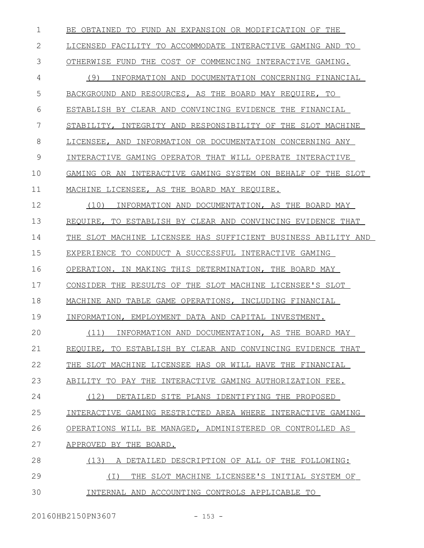| $\mathbf 1$ | BE OBTAINED TO FUND AN EXPANSION OR MODIFICATION OF THE       |
|-------------|---------------------------------------------------------------|
| 2           | LICENSED FACILITY TO ACCOMMODATE INTERACTIVE GAMING AND TO    |
| 3           | OTHERWISE FUND THE COST OF COMMENCING INTERACTIVE GAMING.     |
| 4           | INFORMATION AND DOCUMENTATION CONCERNING FINANCIAL<br>(9)     |
| 5           | BACKGROUND AND RESOURCES, AS THE BOARD MAY REOUIRE, TO        |
| 6           | ESTABLISH BY CLEAR AND CONVINCING EVIDENCE THE FINANCIAL      |
| 7           | STABILITY, INTEGRITY AND RESPONSIBILITY OF THE SLOT MACHINE   |
| 8           | LICENSEE, AND INFORMATION OR DOCUMENTATION CONCERNING ANY     |
| 9           | INTERACTIVE GAMING OPERATOR THAT WILL OPERATE INTERACTIVE     |
| 10          | GAMING OR AN INTERACTIVE GAMING SYSTEM ON BEHALF OF THE SLOT  |
| 11          | MACHINE LICENSEE, AS THE BOARD MAY REQUIRE.                   |
| 12          | (10)<br>INFORMATION AND DOCUMENTATION, AS THE BOARD MAY       |
| 13          | REQUIRE, TO ESTABLISH BY CLEAR AND CONVINCING EVIDENCE THAT   |
| 14          | THE SLOT MACHINE LICENSEE HAS SUFFICIENT BUSINESS ABILITY AND |
| 15          | EXPERIENCE TO CONDUCT A SUCCESSFUL INTERACTIVE GAMING         |
| 16          | OPERATION. IN MAKING THIS DETERMINATION, THE BOARD MAY        |
| 17          | CONSIDER THE RESULTS OF THE SLOT MACHINE LICENSEE'S SLOT      |
| 18          | MACHINE AND TABLE GAME OPERATIONS, INCLUDING FINANCIAL        |
| 19          | INFORMATION, EMPLOYMENT DATA AND CAPITAL INVESTMENT.          |
| 20          | (11) INFORMATION AND DOCUMENTATION, AS THE BOARD MAY          |
| 21          | REQUIRE, TO ESTABLISH BY CLEAR AND CONVINCING EVIDENCE THAT   |
| 22          | THE SLOT MACHINE LICENSEE HAS OR WILL HAVE THE FINANCIAL      |
| 23          | ABILITY TO PAY THE INTERACTIVE GAMING AUTHORIZATION FEE.      |
| 24          | (12)<br>DETAILED SITE PLANS IDENTIFYING THE PROPOSED          |
| 25          | INTERACTIVE GAMING RESTRICTED AREA WHERE INTERACTIVE GAMING   |
| 26          | OPERATIONS WILL BE MANAGED, ADMINISTERED OR CONTROLLED AS     |
| 27          | APPROVED BY THE BOARD.                                        |
| 28          | (13)<br>A DETAILED DESCRIPTION OF ALL OF THE FOLLOWING:       |
| 29          | THE SLOT MACHINE LICENSEE'S INITIAL SYSTEM OF<br>( I )        |
| 30          | INTERNAL AND ACCOUNTING CONTROLS APPLICABLE TO                |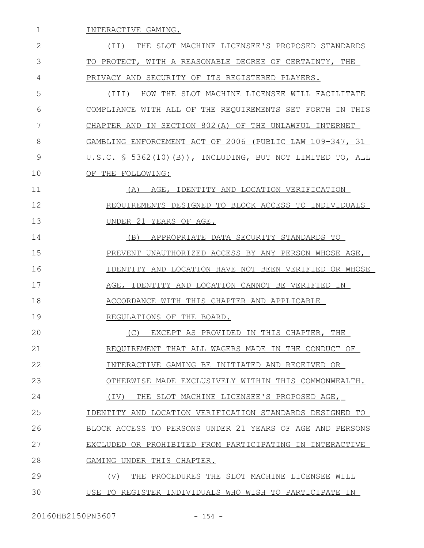INTERACTIVE GAMING. (II) THE SLOT MACHINE LICENSEE'S PROPOSED STANDARDS TO PROTECT, WITH A REASONABLE DEGREE OF CERTAINTY, THE PRIVACY AND SECURITY OF ITS REGISTERED PLAYERS. (III) HOW THE SLOT MACHINE LICENSEE WILL FACILITATE COMPLIANCE WITH ALL OF THE REQUIREMENTS SET FORTH IN THIS CHAPTER AND IN SECTION 802(A) OF THE UNLAWFUL INTERNET GAMBLING ENFORCEMENT ACT OF 2006 (PUBLIC LAW 109-347, 31 U.S.C. § 5362(10)(B)), INCLUDING, BUT NOT LIMITED TO, ALL OF THE FOLLOWING: (A) AGE, IDENTITY AND LOCATION VERIFICATION REQUIREMENTS DESIGNED TO BLOCK ACCESS TO INDIVIDUALS UNDER 21 YEARS OF AGE. (B) APPROPRIATE DATA SECURITY STANDARDS TO PREVENT UNAUTHORIZED ACCESS BY ANY PERSON WHOSE AGE, IDENTITY AND LOCATION HAVE NOT BEEN VERIFIED OR WHOSE AGE, IDENTITY AND LOCATION CANNOT BE VERIFIED IN ACCORDANCE WITH THIS CHAPTER AND APPLICABLE REGULATIONS OF THE BOARD. (C) EXCEPT AS PROVIDED IN THIS CHAPTER, THE REQUIREMENT THAT ALL WAGERS MADE IN THE CONDUCT OF INTERACTIVE GAMING BE INITIATED AND RECEIVED OR OTHERWISE MADE EXCLUSIVELY WITHIN THIS COMMONWEALTH. (IV) THE SLOT MACHINE LICENSEE'S PROPOSED AGE, IDENTITY AND LOCATION VERIFICATION STANDARDS DESIGNED TO BLOCK ACCESS TO PERSONS UNDER 21 YEARS OF AGE AND PERSONS EXCLUDED OR PROHIBITED FROM PARTICIPATING IN INTERACTIVE GAMING UNDER THIS CHAPTER. (V) THE PROCEDURES THE SLOT MACHINE LICENSEE WILL USE TO REGISTER INDIVIDUALS WHO WISH TO PARTICIPATE IN 1 2 3 4 5 6 7 8 9 10 11 12 13 14 15 16 17 18 19  $20$ 21 22 23 24 25 26 27 28 29 30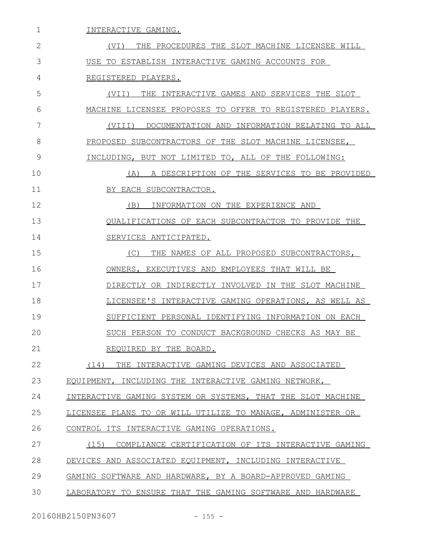| 1  | INTERACTIVE GAMING.                                         |
|----|-------------------------------------------------------------|
| 2  | (VI) THE PROCEDURES THE SLOT MACHINE LICENSEE WILL          |
| 3  | USE TO ESTABLISH INTERACTIVE GAMING ACCOUNTS FOR            |
| 4  | REGISTERED PLAYERS.                                         |
| 5  | THE INTERACTIVE GAMES AND SERVICES THE SLOT<br>(VII)        |
| 6  | MACHINE LICENSEE PROPOSES TO OFFER TO REGISTERED PLAYERS.   |
| 7  | DOCUMENTATION AND INFORMATION RELATING TO ALL<br>(VIII)     |
| 8  | PROPOSED SUBCONTRACTORS OF THE SLOT MACHINE LICENSEE,       |
| 9  | INCLUDING, BUT NOT LIMITED TO, ALL OF THE FOLLOWING:        |
| 10 | A DESCRIPTION OF THE SERVICES TO BE PROVIDED<br>(A)         |
| 11 | BY EACH SUBCONTRACTOR.                                      |
| 12 | INFORMATION ON THE EXPERIENCE AND<br>(B)                    |
| 13 | QUALIFICATIONS OF EACH SUBCONTRACTOR TO PROVIDE THE         |
| 14 | SERVICES ANTICIPATED.                                       |
| 15 | THE NAMES OF ALL PROPOSED SUBCONTRACTORS,<br>(C)            |
| 16 | OWNERS, EXECUTIVES AND EMPLOYEES THAT WILL BE               |
| 17 | DIRECTLY OR INDIRECTLY INVOLVED IN THE SLOT MACHINE         |
| 18 | LICENSEE'S INTERACTIVE GAMING OPERATIONS, AS WELL AS        |
| 19 | SUFFICIENT PERSONAL IDENTIFYING INFORMATION ON EACH         |
| 20 | SUCH PERSON TO CONDUCT BACKGROUND CHECKS AS MAY BE          |
| 21 | REQUIRED BY THE BOARD.                                      |
| 22 | (14) THE INTERACTIVE GAMING DEVICES AND ASSOCIATED          |
| 23 | EQUIPMENT, INCLUDING THE INTERACTIVE GAMING NETWORK,        |
| 24 | INTERACTIVE GAMING SYSTEM OR SYSTEMS, THAT THE SLOT MACHINE |
| 25 | LICENSEE PLANS TO OR WILL UTILIZE TO MANAGE, ADMINISTER OR  |
| 26 | CONTROL ITS INTERACTIVE GAMING OPERATIONS.                  |
| 27 | (15)<br>COMPLIANCE CERTIFICATION OF ITS INTERACTIVE GAMING  |
| 28 | DEVICES AND ASSOCIATED EQUIPMENT, INCLUDING INTERACTIVE     |
| 29 | GAMING SOFTWARE AND HARDWARE, BY A BOARD-APPROVED GAMING    |
| 30 | LABORATORY TO ENSURE THAT THE GAMING SOFTWARE AND HARDWARE  |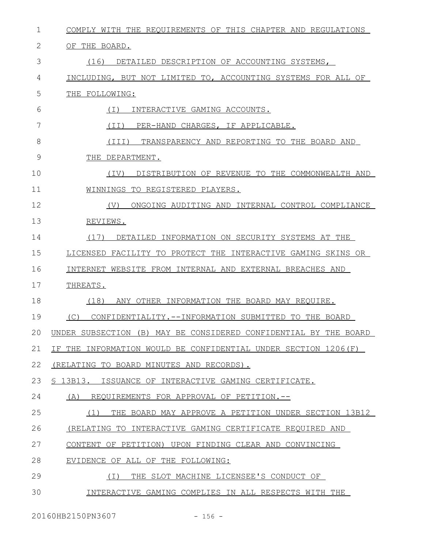| $\mathbf 1$ | COMPLY WITH THE REQUIREMENTS OF THIS CHAPTER AND REGULATIONS     |
|-------------|------------------------------------------------------------------|
| 2           | OF THE BOARD.                                                    |
| 3           | (16)<br>DETAILED DESCRIPTION OF ACCOUNTING SYSTEMS,              |
| 4           | INCLUDING, BUT NOT LIMITED TO, ACCOUNTING SYSTEMS FOR ALL OF     |
| 5           | THE FOLLOWING:                                                   |
| 6           | INTERACTIVE GAMING ACCOUNTS.<br>( I )                            |
| 7           | (TI)<br>PER-HAND CHARGES, IF APPLICABLE.                         |
| 8           | (III)<br>TRANSPARENCY AND REPORTING TO THE BOARD AND             |
| 9           | THE DEPARTMENT.                                                  |
| 10          | DISTRIBUTION OF REVENUE TO THE COMMONWEALTH AND<br>(TV)          |
| 11          | WINNINGS TO REGISTERED PLAYERS.                                  |
| 12          | ONGOING AUDITING AND INTERNAL CONTROL COMPLIANCE<br>(V)          |
| 13          | REVIEWS.                                                         |
| 14          | (17)<br>DETAILED INFORMATION ON SECURITY SYSTEMS AT THE          |
| 15          | LICENSED FACILITY TO PROTECT THE INTERACTIVE GAMING SKINS OR     |
| 16          | INTERNET WEBSITE FROM INTERNAL AND EXTERNAL BREACHES AND         |
| 17          | THREATS.                                                         |
| 18          | (18)<br>ANY OTHER INFORMATION THE BOARD MAY REQUIRE.             |
| 19          | CONFIDENTIALITY.--INFORMATION SUBMITTED TO THE BOARD<br>(C)      |
| 20          | UNDER SUBSECTION (B) MAY BE CONSIDERED CONFIDENTIAL BY THE BOARD |
| 21          | IF THE INFORMATION WOULD BE CONFIDENTIAL UNDER SECTION 1206(F)   |
| 22          | (RELATING TO BOARD MINUTES AND RECORDS).                         |
| 23          | S 13B13.<br>ISSUANCE OF INTERACTIVE GAMING CERTIFICATE.          |
| 24          | REQUIREMENTS FOR APPROVAL OF PETITION.--<br>(A)                  |
| 25          | THE BOARD MAY APPROVE A PETITION UNDER SECTION 13B12<br>(1)      |
| 26          | (RELATING TO INTERACTIVE GAMING CERTIFICATE REQUIRED AND         |
| 27          | CONTENT OF PETITION) UPON FINDING CLEAR AND CONVINCING           |
| 28          | EVIDENCE OF ALL OF THE FOLLOWING:                                |
| 29          | ( I )<br>THE SLOT MACHINE LICENSEE'S CONDUCT OF                  |
| 30          | INTERACTIVE GAMING COMPLIES IN ALL RESPECTS WITH THE             |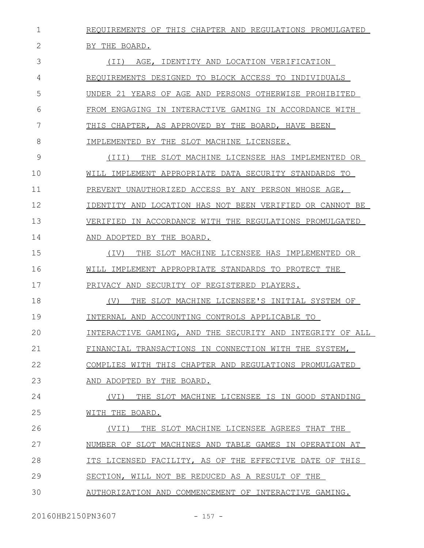REQUIREMENTS OF THIS CHAPTER AND REGULATIONS PROMULGATED BY THE BOARD. (II) AGE, IDENTITY AND LOCATION VERIFICATION REQUIREMENTS DESIGNED TO BLOCK ACCESS TO INDIVIDUALS UNDER 21 YEARS OF AGE AND PERSONS OTHERWISE PROHIBITED FROM ENGAGING IN INTERACTIVE GAMING IN ACCORDANCE WITH THIS CHAPTER, AS APPROVED BY THE BOARD, HAVE BEEN IMPLEMENTED BY THE SLOT MACHINE LICENSEE. (III) THE SLOT MACHINE LICENSEE HAS IMPLEMENTED OR WILL IMPLEMENT APPROPRIATE DATA SECURITY STANDARDS TO PREVENT UNAUTHORIZED ACCESS BY ANY PERSON WHOSE AGE, IDENTITY AND LOCATION HAS NOT BEEN VERIFIED OR CANNOT BE VERIFIED IN ACCORDANCE WITH THE REGULATIONS PROMULGATED AND ADOPTED BY THE BOARD. (IV) THE SLOT MACHINE LICENSEE HAS IMPLEMENTED OR WILL IMPLEMENT APPROPRIATE STANDARDS TO PROTECT THE PRIVACY AND SECURITY OF REGISTERED PLAYERS. (V) THE SLOT MACHINE LICENSEE'S INITIAL SYSTEM OF INTERNAL AND ACCOUNTING CONTROLS APPLICABLE TO INTERACTIVE GAMING, AND THE SECURITY AND INTEGRITY OF ALL FINANCIAL TRANSACTIONS IN CONNECTION WITH THE SYSTEM, COMPLIES WITH THIS CHAPTER AND REGULATIONS PROMULGATED AND ADOPTED BY THE BOARD. (VI) THE SLOT MACHINE LICENSEE IS IN GOOD STANDING WITH THE BOARD. (VII) THE SLOT MACHINE LICENSEE AGREES THAT THE NUMBER OF SLOT MACHINES AND TABLE GAMES IN OPERATION AT ITS LICENSED FACILITY, AS OF THE EFFECTIVE DATE OF THIS SECTION, WILL NOT BE REDUCED AS A RESULT OF THE AUTHORIZATION AND COMMENCEMENT OF INTERACTIVE GAMING. 1 2 3 4 5 6 7 8 9 10 11 12 13 14 15 16 17 18 19  $20$ 21 22 23 24 25 26 27 28 29 30

20160HB2150PN3607 - 157 -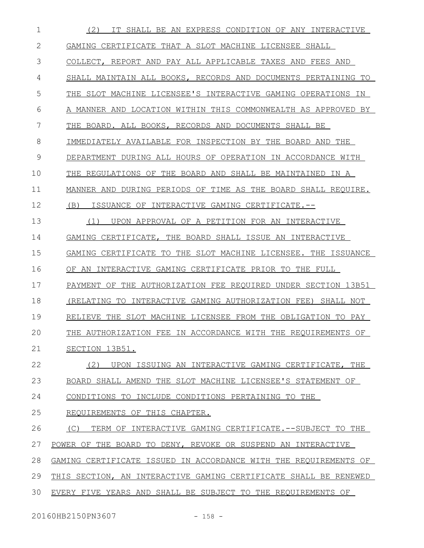| 1  | IT SHALL BE AN EXPRESS CONDITION OF ANY INTERACTIVE<br>(2)       |
|----|------------------------------------------------------------------|
| 2  | GAMING CERTIFICATE THAT A SLOT MACHINE LICENSEE SHALL            |
| 3  | COLLECT, REPORT AND PAY ALL APPLICABLE TAXES AND FEES AND        |
| 4  | SHALL MAINTAIN ALL BOOKS, RECORDS AND DOCUMENTS PERTAINING TO    |
| 5  | THE SLOT MACHINE LICENSEE'S INTERACTIVE GAMING OPERATIONS IN     |
| 6  | A MANNER AND LOCATION WITHIN THIS COMMONWEALTH AS APPROVED BY    |
| 7  | THE BOARD. ALL BOOKS, RECORDS AND DOCUMENTS SHALL BE             |
| 8  | IMMEDIATELY AVAILABLE FOR INSPECTION BY THE BOARD AND THE        |
| 9  | DEPARTMENT DURING ALL HOURS OF OPERATION IN ACCORDANCE WITH      |
| 10 | THE REGULATIONS OF THE BOARD AND SHALL BE MAINTAINED IN A        |
| 11 | MANNER AND DURING PERIODS OF TIME AS THE BOARD SHALL REQUIRE.    |
| 12 | (B)<br>ISSUANCE OF INTERACTIVE GAMING CERTIFICATE.--             |
| 13 | UPON APPROVAL OF A PETITION FOR AN INTERACTIVE<br>(1)            |
| 14 | GAMING CERTIFICATE, THE BOARD SHALL ISSUE AN INTERACTIVE         |
| 15 | GAMING CERTIFICATE TO THE SLOT MACHINE LICENSEE. THE ISSUANCE    |
| 16 | OF AN INTERACTIVE GAMING CERTIFICATE PRIOR TO THE FULL           |
| 17 | PAYMENT OF THE AUTHORIZATION FEE REOUIRED UNDER SECTION 13B51    |
| 18 | (RELATING TO INTERACTIVE GAMING AUTHORIZATION FEE)<br>SHALL NOT  |
| 19 | THE SLOT MACHINE LICENSEE FROM THE OBLIGATION TO PAY<br>RELIEVE  |
| 20 | THE AUTHORIZATION FEE IN ACCORDANCE WITH THE REQUIREMENTS OF     |
| 21 | SECTION 13B51.                                                   |
| 22 | (2)<br>UPON ISSUING AN INTERACTIVE GAMING CERTIFICATE, THE       |
| 23 | BOARD SHALL AMEND THE SLOT MACHINE LICENSEE'S STATEMENT OF       |
| 24 | CONDITIONS TO INCLUDE CONDITIONS PERTAINING TO THE               |
| 25 | REQUIREMENTS OF THIS CHAPTER.                                    |
| 26 | TERM OF INTERACTIVE GAMING CERTIFICATE. --SUBJECT TO THE<br>(C)  |
| 27 | POWER OF THE BOARD TO DENY, REVOKE OR SUSPEND AN INTERACTIVE     |
| 28 | GAMING CERTIFICATE ISSUED IN ACCORDANCE WITH THE REQUIREMENTS OF |
| 29 | THIS SECTION, AN INTERACTIVE GAMING CERTIFICATE SHALL BE RENEWED |
| 30 | EVERY FIVE YEARS AND SHALL BE SUBJECT TO THE REQUIREMENTS OF     |
|    |                                                                  |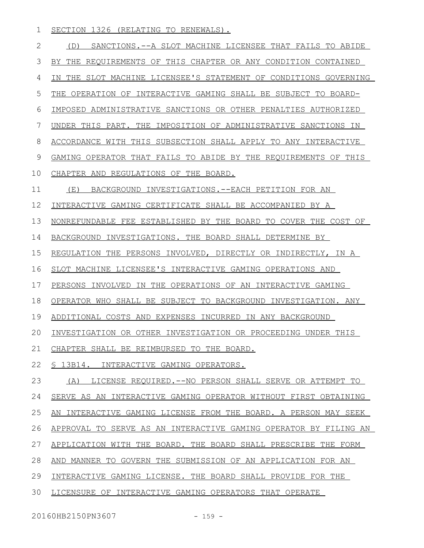SECTION 1326 (RELATING TO RENEWALS). 1

(D) SANCTIONS.--A SLOT MACHINE LICENSEE THAT FAILS TO ABIDE BY THE REQUIREMENTS OF THIS CHAPTER OR ANY CONDITION CONTAINED IN THE SLOT MACHINE LICENSEE'S STATEMENT OF CONDITIONS GOVERNING THE OPERATION OF INTERACTIVE GAMING SHALL BE SUBJECT TO BOARD-IMPOSED ADMINISTRATIVE SANCTIONS OR OTHER PENALTIES AUTHORIZED UNDER THIS PART. THE IMPOSITION OF ADMINISTRATIVE SANCTIONS IN ACCORDANCE WITH THIS SUBSECTION SHALL APPLY TO ANY INTERACTIVE GAMING OPERATOR THAT FAILS TO ABIDE BY THE REQUIREMENTS OF THIS CHAPTER AND REGULATIONS OF THE BOARD. (E) BACKGROUND INVESTIGATIONS.--EACH PETITION FOR AN INTERACTIVE GAMING CERTIFICATE SHALL BE ACCOMPANIED BY A NONREFUNDABLE FEE ESTABLISHED BY THE BOARD TO COVER THE COST OF BACKGROUND INVESTIGATIONS. THE BOARD SHALL DETERMINE BY REGULATION THE PERSONS INVOLVED, DIRECTLY OR INDIRECTLY, IN A SLOT MACHINE LICENSEE'S INTERACTIVE GAMING OPERATIONS AND PERSONS INVOLVED IN THE OPERATIONS OF AN INTERACTIVE GAMING OPERATOR WHO SHALL BE SUBJECT TO BACKGROUND INVESTIGATION. ANY ADDITIONAL COSTS AND EXPENSES INCURRED IN ANY BACKGROUND INVESTIGATION OR OTHER INVESTIGATION OR PROCEEDING UNDER THIS CHAPTER SHALL BE REIMBURSED TO THE BOARD. § 13B14. INTERACTIVE GAMING OPERATORS. (A) LICENSE REQUIRED.--NO PERSON SHALL SERVE OR ATTEMPT TO SERVE AS AN INTERACTIVE GAMING OPERATOR WITHOUT FIRST OBTAINING AN INTERACTIVE GAMING LICENSE FROM THE BOARD. A PERSON MAY SEEK APPROVAL TO SERVE AS AN INTERACTIVE GAMING OPERATOR BY FILING AN APPLICATION WITH THE BOARD. THE BOARD SHALL PRESCRIBE THE FORM AND MANNER TO GOVERN THE SUBMISSION OF AN APPLICATION FOR AN INTERACTIVE GAMING LICENSE. THE BOARD SHALL PROVIDE FOR THE LICENSURE OF INTERACTIVE GAMING OPERATORS THAT OPERATE 2 3 4 5 6 7 8 9 10 11 12 13 14 15 16 17 18 19 20 21 22 23 24 25 26 27 28 29 30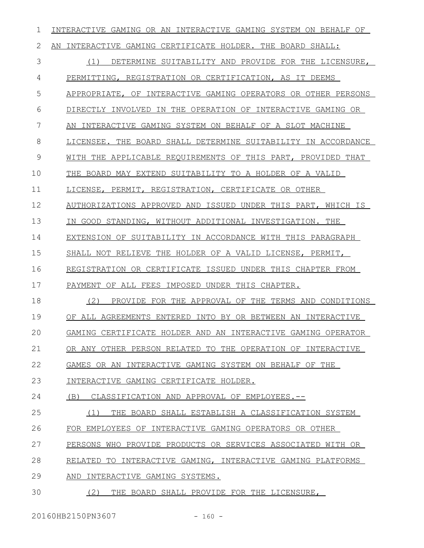| 2<br>AN INTERACTIVE GAMING CERTIFICATE HOLDER. THE BOARD SHALL:<br>3<br>(1)<br>4<br>PERMITTING, REGISTRATION OR CERTIFICATION, AS IT DEEMS<br>5<br>6<br>7<br>AN INTERACTIVE GAMING SYSTEM ON BEHALF OF A SLOT MACHINE<br>8<br>9<br>10<br>THE BOARD MAY EXTEND SUITABILITY TO A HOLDER OF A VALID<br>11<br>LICENSE, PERMIT, REGISTRATION, CERTIFICATE OR OTHER<br>12<br>13<br>IN GOOD STANDING, WITHOUT ADDITIONAL INVESTIGATION. THE<br>14<br>15<br>SHALL NOT RELIEVE THE HOLDER OF A VALID LICENSE, PERMIT,<br>16<br>17<br>PAYMENT OF ALL FEES IMPOSED UNDER THIS CHAPTER.<br>18<br>(2)<br>19<br>20<br>21<br>22<br>GAMES OR AN INTERACTIVE GAMING SYSTEM ON BEHALF OF THE<br>23<br>INTERACTIVE GAMING CERTIFICATE HOLDER.<br>24<br>(B) CLASSIFICATION AND APPROVAL OF EMPLOYEES.--<br>25<br>26<br>FOR EMPLOYEES OF INTERACTIVE GAMING OPERATORS OR OTHER<br>27<br>28<br>29<br>AND INTERACTIVE GAMING SYSTEMS. | 1  | INTERACTIVE GAMING OR AN INTERACTIVE GAMING SYSTEM ON BEHALF OF |
|----------------------------------------------------------------------------------------------------------------------------------------------------------------------------------------------------------------------------------------------------------------------------------------------------------------------------------------------------------------------------------------------------------------------------------------------------------------------------------------------------------------------------------------------------------------------------------------------------------------------------------------------------------------------------------------------------------------------------------------------------------------------------------------------------------------------------------------------------------------------------------------------------------------|----|-----------------------------------------------------------------|
|                                                                                                                                                                                                                                                                                                                                                                                                                                                                                                                                                                                                                                                                                                                                                                                                                                                                                                                |    |                                                                 |
|                                                                                                                                                                                                                                                                                                                                                                                                                                                                                                                                                                                                                                                                                                                                                                                                                                                                                                                |    | DETERMINE SUITABILITY AND PROVIDE FOR THE LICENSURE,            |
|                                                                                                                                                                                                                                                                                                                                                                                                                                                                                                                                                                                                                                                                                                                                                                                                                                                                                                                |    |                                                                 |
|                                                                                                                                                                                                                                                                                                                                                                                                                                                                                                                                                                                                                                                                                                                                                                                                                                                                                                                |    | APPROPRIATE, OF INTERACTIVE GAMING OPERATORS OR OTHER PERSONS   |
|                                                                                                                                                                                                                                                                                                                                                                                                                                                                                                                                                                                                                                                                                                                                                                                                                                                                                                                |    | DIRECTLY INVOLVED IN THE OPERATION OF INTERACTIVE GAMING OR     |
|                                                                                                                                                                                                                                                                                                                                                                                                                                                                                                                                                                                                                                                                                                                                                                                                                                                                                                                |    |                                                                 |
|                                                                                                                                                                                                                                                                                                                                                                                                                                                                                                                                                                                                                                                                                                                                                                                                                                                                                                                |    | LICENSEE. THE BOARD SHALL DETERMINE SUITABILITY IN ACCORDANCE   |
|                                                                                                                                                                                                                                                                                                                                                                                                                                                                                                                                                                                                                                                                                                                                                                                                                                                                                                                |    | WITH THE APPLICABLE REOUIREMENTS OF THIS PART, PROVIDED THAT    |
|                                                                                                                                                                                                                                                                                                                                                                                                                                                                                                                                                                                                                                                                                                                                                                                                                                                                                                                |    |                                                                 |
|                                                                                                                                                                                                                                                                                                                                                                                                                                                                                                                                                                                                                                                                                                                                                                                                                                                                                                                |    |                                                                 |
|                                                                                                                                                                                                                                                                                                                                                                                                                                                                                                                                                                                                                                                                                                                                                                                                                                                                                                                |    | AUTHORIZATIONS APPROVED AND ISSUED UNDER THIS PART, WHICH IS    |
|                                                                                                                                                                                                                                                                                                                                                                                                                                                                                                                                                                                                                                                                                                                                                                                                                                                                                                                |    |                                                                 |
|                                                                                                                                                                                                                                                                                                                                                                                                                                                                                                                                                                                                                                                                                                                                                                                                                                                                                                                |    | EXTENSION OF SUITABILITY IN ACCORDANCE WITH THIS PARAGRAPH      |
|                                                                                                                                                                                                                                                                                                                                                                                                                                                                                                                                                                                                                                                                                                                                                                                                                                                                                                                |    |                                                                 |
|                                                                                                                                                                                                                                                                                                                                                                                                                                                                                                                                                                                                                                                                                                                                                                                                                                                                                                                |    | REGISTRATION OR CERTIFICATE ISSUED UNDER THIS CHAPTER FROM      |
|                                                                                                                                                                                                                                                                                                                                                                                                                                                                                                                                                                                                                                                                                                                                                                                                                                                                                                                |    |                                                                 |
|                                                                                                                                                                                                                                                                                                                                                                                                                                                                                                                                                                                                                                                                                                                                                                                                                                                                                                                |    | PROVIDE FOR THE APPROVAL OF THE TERMS AND CONDITIONS            |
|                                                                                                                                                                                                                                                                                                                                                                                                                                                                                                                                                                                                                                                                                                                                                                                                                                                                                                                |    | OF ALL AGREEMENTS ENTERED INTO BY OR BETWEEN AN INTERACTIVE     |
|                                                                                                                                                                                                                                                                                                                                                                                                                                                                                                                                                                                                                                                                                                                                                                                                                                                                                                                |    | GAMING CERTIFICATE HOLDER AND AN INTERACTIVE GAMING OPERATOR    |
|                                                                                                                                                                                                                                                                                                                                                                                                                                                                                                                                                                                                                                                                                                                                                                                                                                                                                                                |    | OR ANY OTHER PERSON RELATED TO THE OPERATION OF INTERACTIVE     |
|                                                                                                                                                                                                                                                                                                                                                                                                                                                                                                                                                                                                                                                                                                                                                                                                                                                                                                                |    |                                                                 |
|                                                                                                                                                                                                                                                                                                                                                                                                                                                                                                                                                                                                                                                                                                                                                                                                                                                                                                                |    |                                                                 |
|                                                                                                                                                                                                                                                                                                                                                                                                                                                                                                                                                                                                                                                                                                                                                                                                                                                                                                                |    |                                                                 |
|                                                                                                                                                                                                                                                                                                                                                                                                                                                                                                                                                                                                                                                                                                                                                                                                                                                                                                                |    | (1) THE BOARD SHALL ESTABLISH A CLASSIFICATION SYSTEM           |
|                                                                                                                                                                                                                                                                                                                                                                                                                                                                                                                                                                                                                                                                                                                                                                                                                                                                                                                |    |                                                                 |
|                                                                                                                                                                                                                                                                                                                                                                                                                                                                                                                                                                                                                                                                                                                                                                                                                                                                                                                |    | PERSONS WHO PROVIDE PRODUCTS OR SERVICES ASSOCIATED WITH OR     |
|                                                                                                                                                                                                                                                                                                                                                                                                                                                                                                                                                                                                                                                                                                                                                                                                                                                                                                                |    | RELATED TO INTERACTIVE GAMING, INTERACTIVE GAMING PLATFORMS     |
|                                                                                                                                                                                                                                                                                                                                                                                                                                                                                                                                                                                                                                                                                                                                                                                                                                                                                                                |    |                                                                 |
|                                                                                                                                                                                                                                                                                                                                                                                                                                                                                                                                                                                                                                                                                                                                                                                                                                                                                                                | 30 | (2)<br>THE BOARD SHALL PROVIDE FOR THE LICENSURE,               |

20160HB2150PN3607 - 160 -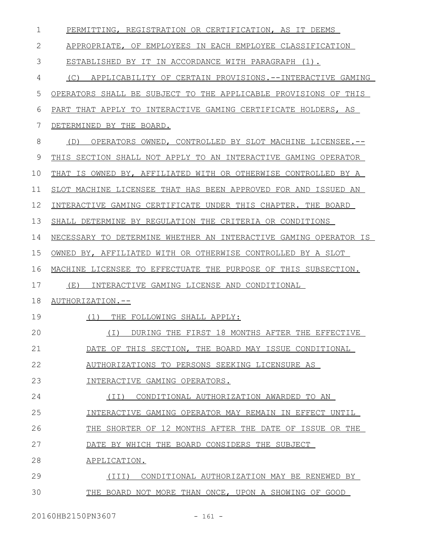| $\mathbf 1$ | PERMITTING, REGISTRATION OR CERTIFICATION, AS IT DEEMS           |
|-------------|------------------------------------------------------------------|
| 2           | APPROPRIATE, OF EMPLOYEES IN EACH EMPLOYEE CLASSIFICATION        |
| 3           | ESTABLISHED BY IT IN ACCORDANCE WITH PARAGRAPH (1).              |
| 4           | APPLICABILITY OF CERTAIN PROVISIONS. --INTERACTIVE GAMING<br>(C) |
| 5           | OPERATORS SHALL BE SUBJECT TO THE APPLICABLE PROVISIONS OF THIS  |
| 6           | PART THAT APPLY TO INTERACTIVE GAMING CERTIFICATE HOLDERS, AS    |
| 7           | DETERMINED BY THE BOARD.                                         |
| 8           | OPERATORS OWNED, CONTROLLED BY SLOT MACHINE LICENSEE.--<br>(D)   |
| 9           | THIS SECTION SHALL NOT APPLY TO AN INTERACTIVE GAMING OPERATOR   |
| 10          | THAT IS OWNED BY, AFFILIATED WITH OR OTHERWISE CONTROLLED BY A   |
| 11          | SLOT MACHINE LICENSEE THAT HAS BEEN APPROVED FOR AND ISSUED AN   |
| 12          | INTERACTIVE GAMING CERTIFICATE UNDER THIS CHAPTER. THE BOARD     |
| 13          | SHALL DETERMINE BY REGULATION THE CRITERIA OR CONDITIONS         |
| 14          | NECESSARY TO DETERMINE WHETHER AN INTERACTIVE GAMING OPERATOR IS |
| 15          | OWNED BY, AFFILIATED WITH OR OTHERWISE CONTROLLED BY A SLOT      |
| 16          | MACHINE LICENSEE TO EFFECTUATE THE PURPOSE OF THIS SUBSECTION.   |
| 17          | (E)<br>INTERACTIVE GAMING LICENSE AND CONDITIONAL                |
| 18          | AUTHORIZATION.--                                                 |
| 19          | (1)<br>THE FOLLOWING SHALL APPLY:                                |
| 20          | (I) DURING THE FIRST 18 MONTHS AFTER THE EFFECTIVE               |
| 21          | DATE OF THIS SECTION, THE BOARD MAY ISSUE CONDITIONAL            |
| 22          | AUTHORIZATIONS TO PERSONS SEEKING LICENSURE AS                   |
| 23          | INTERACTIVE GAMING OPERATORS.                                    |
| 24          | (II) CONDITIONAL AUTHORIZATION AWARDED TO AN                     |
| 25          | INTERACTIVE GAMING OPERATOR MAY REMAIN IN EFFECT UNTIL           |
| 26          | THE SHORTER OF 12 MONTHS AFTER THE DATE OF ISSUE OR THE          |
| 27          | DATE BY WHICH THE BOARD CONSIDERS THE SUBJECT                    |
| 28          | APPLICATION.                                                     |
| 29          | (III)<br>CONDITIONAL AUTHORIZATION MAY BE RENEWED BY             |
| 30          | THE BOARD NOT MORE THAN ONCE, UPON A SHOWING OF GOOD             |
|             |                                                                  |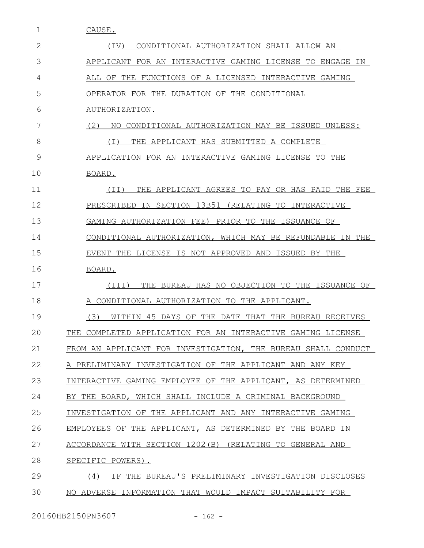1 CAUSE.

| $\mathbf{2}$ | CONDITIONAL AUTHORIZATION SHALL ALLOW AN<br>(IV)              |
|--------------|---------------------------------------------------------------|
| 3            | APPLICANT FOR AN INTERACTIVE GAMING LICENSE TO ENGAGE IN      |
| 4            | ALL OF THE FUNCTIONS OF A LICENSED INTERACTIVE GAMING         |
| 5            | OPERATOR FOR THE DURATION OF THE CONDITIONAL                  |
| 6            | AUTHORIZATION.                                                |
| 7            | (2)<br>NO CONDITIONAL AUTHORIZATION MAY BE ISSUED UNLESS:     |
| 8            | THE APPLICANT HAS SUBMITTED A COMPLETE<br>( I )               |
| 9            | APPLICATION FOR AN INTERACTIVE GAMING LICENSE TO THE          |
| 10           | BOARD.                                                        |
| 11           | THE APPLICANT AGREES TO PAY OR HAS PAID THE FEE<br>(TT)       |
| 12           | IN SECTION 13B51 (RELATING TO INTERACTIVE<br>PRESCRIBED       |
| 13           | GAMING AUTHORIZATION FEE) PRIOR TO THE ISSUANCE OF            |
| 14           | CONDITIONAL AUTHORIZATION, WHICH MAY BE REFUNDABLE IN THE     |
| 15           | EVENT THE LICENSE IS NOT APPROVED AND ISSUED BY THE           |
| 16           | BOARD.                                                        |
| 17           | (TII)<br>THE BUREAU HAS NO OBJECTION TO THE ISSUANCE OF       |
| 18           | A CONDITIONAL AUTHORIZATION TO THE APPLICANT.                 |
| 19           | (3)<br>WITHIN 45 DAYS OF THE DATE THAT THE BUREAU RECEIVES    |
| 20           | THE COMPLETED APPLICATION FOR AN INTERACTIVE GAMING LICENSE   |
| 21           | FROM AN APPLICANT FOR INVESTIGATION, THE BUREAU SHALL CONDUCT |
| 22           | A PRELIMINARY INVESTIGATION OF THE APPLICANT AND ANY KEY      |
| 23           | INTERACTIVE GAMING EMPLOYEE OF THE APPLICANT, AS DETERMINED   |
| 24           | BY THE BOARD, WHICH SHALL INCLUDE A CRIMINAL BACKGROUND       |
| 25           | INVESTIGATION OF THE APPLICANT AND ANY INTERACTIVE GAMING     |
| 26           | EMPLOYEES OF THE APPLICANT, AS DETERMINED BY THE BOARD IN     |
| 27           | ACCORDANCE WITH SECTION 1202(B) (RELATING TO GENERAL AND      |
| 28           | SPECIFIC POWERS).                                             |
| 29           | IF THE BUREAU'S PRELIMINARY INVESTIGATION DISCLOSES<br>(4)    |
| 30           | NO ADVERSE INFORMATION THAT WOULD IMPACT SUITABILITY FOR      |
|              |                                                               |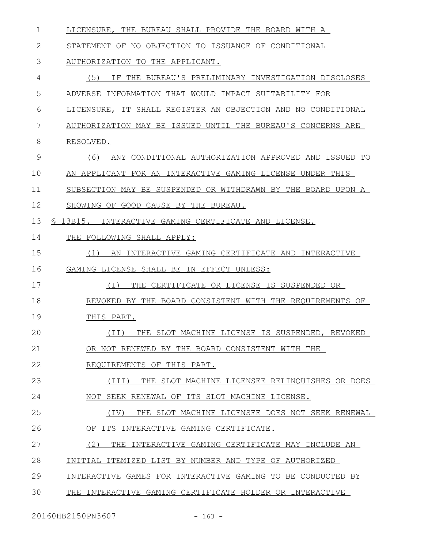| $\mathbf 1$ | LICENSURE, THE BUREAU SHALL PROVIDE THE BOARD WITH A         |
|-------------|--------------------------------------------------------------|
| 2           | STATEMENT OF NO OBJECTION TO ISSUANCE OF CONDITIONAL         |
| 3           | AUTHORIZATION TO THE APPLICANT.                              |
| 4           | (5)<br>IF THE BUREAU'S PRELIMINARY INVESTIGATION DISCLOSES   |
| 5           | ADVERSE INFORMATION THAT WOULD IMPACT SUITABILITY FOR        |
| 6           | LICENSURE, IT SHALL REGISTER AN OBJECTION AND NO CONDITIONAL |
| 7           | AUTHORIZATION MAY BE ISSUED UNTIL THE BUREAU'S CONCERNS ARE  |
| 8           | RESOLVED.                                                    |
| 9           | (6)<br>ANY CONDITIONAL AUTHORIZATION APPROVED AND ISSUED TO  |
| 10          | AN APPLICANT FOR AN INTERACTIVE GAMING LICENSE UNDER THIS    |
| 11          | SUBSECTION MAY BE SUSPENDED OR WITHDRAWN BY THE BOARD UPON A |
| 12          | SHOWING OF GOOD CAUSE BY THE BUREAU.                         |
| 13          | \$ 13B15. INTERACTIVE GAMING CERTIFICATE AND LICENSE.        |
| 14          | THE FOLLOWING SHALL APPLY:                                   |
| 15          | AN INTERACTIVE GAMING CERTIFICATE AND INTERACTIVE<br>(1)     |
| 16          | GAMING LICENSE SHALL BE IN EFFECT UNLESS:                    |
| 17          | ( I )<br>THE CERTIFICATE OR LICENSE IS SUSPENDED OR          |
| 18          | REVOKED BY THE BOARD CONSISTENT WITH THE REQUIREMENTS OF     |
| 19          | THIS PART.                                                   |
| 20          | THE SLOT MACHINE LICENSE IS SUSPENDED, REVOKED<br>(TI)       |
| 21          | OR NOT RENEWED BY THE BOARD CONSISTENT WITH THE              |
| 22          | REOUIREMENTS OF THIS PART.                                   |
| 23          | (III)<br>THE SLOT MACHINE LICENSEE RELINOUISHES OR DOES      |
| 24          | NOT SEEK RENEWAL OF ITS SLOT MACHINE LICENSE.                |
| 25          | THE SLOT MACHINE LICENSEE DOES NOT SEEK RENEWAL<br>(IV)      |
| 26          | OF ITS INTERACTIVE GAMING CERTIFICATE.                       |
| 27          | (2)<br>THE<br>INTERACTIVE GAMING CERTIFICATE MAY INCLUDE AN  |
| 28          | INITIAL ITEMIZED LIST BY NUMBER AND TYPE OF AUTHORIZED       |
| 29          | INTERACTIVE GAMES FOR INTERACTIVE GAMING TO BE CONDUCTED BY  |
| 30          | THE INTERACTIVE GAMING CERTIFICATE HOLDER OR INTERACTIVE     |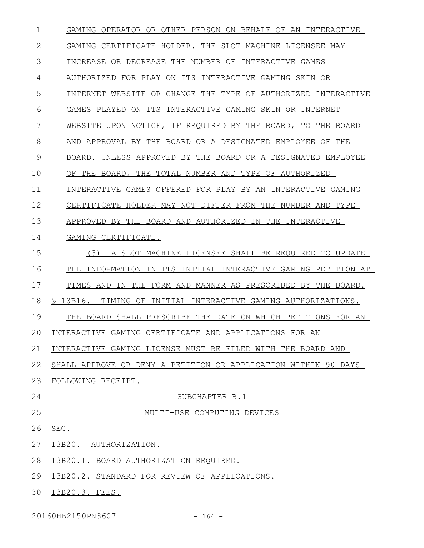| 1  | GAMING OPERATOR OR OTHER PERSON ON BEHALF OF AN INTERACTIVE     |
|----|-----------------------------------------------------------------|
| 2  | GAMING CERTIFICATE HOLDER. THE SLOT MACHINE LICENSEE MAY        |
| 3  | INCREASE OR DECREASE THE NUMBER OF INTERACTIVE GAMES            |
| 4  | AUTHORIZED FOR PLAY ON ITS INTERACTIVE GAMING SKIN OR           |
| 5  | INTERNET WEBSITE OR CHANGE THE TYPE OF AUTHORIZED INTERACTIVE   |
| 6  | GAMES PLAYED ON ITS INTERACTIVE GAMING SKIN OR INTERNET         |
| 7  | WEBSITE UPON NOTICE, IF REQUIRED BY THE BOARD, TO THE BOARD     |
| 8  | AND APPROVAL BY THE BOARD OR A DESIGNATED EMPLOYEE OF THE       |
| 9  | BOARD. UNLESS APPROVED BY THE BOARD OR A DESIGNATED EMPLOYEE    |
| 10 | OF THE BOARD, THE TOTAL NUMBER AND TYPE OF AUTHORIZED           |
| 11 | INTERACTIVE GAMES OFFERED FOR PLAY BY AN INTERACTIVE GAMING     |
| 12 | CERTIFICATE HOLDER MAY NOT DIFFER FROM THE NUMBER AND TYPE      |
| 13 | APPROVED BY THE BOARD AND AUTHORIZED IN THE INTERACTIVE         |
| 14 | GAMING CERTIFICATE.                                             |
| 15 | (3)<br>A SLOT MACHINE LICENSEE SHALL BE REQUIRED TO UPDATE      |
| 16 | THE INFORMATION IN ITS INITIAL INTERACTIVE GAMING PETITION AT   |
| 17 | IN THE FORM AND MANNER AS PRESCRIBED BY THE BOARD.<br>TIMES AND |
| 18 | \$ 13B16. TIMING OF INITIAL INTERACTIVE GAMING AUTHORIZATIONS.  |
| 19 | THE BOARD SHALL PRESCRIBE THE DATE ON WHICH PETITIONS FOR AN    |
| 20 | INTERACTIVE GAMING CERTIFICATE AND APPLICATIONS FOR AN          |
| 21 | INTERACTIVE GAMING LICENSE MUST BE FILED WITH THE BOARD AND     |
| 22 | SHALL APPROVE OR DENY A PETITION OR APPLICATION WITHIN 90 DAYS  |
| 23 | FOLLOWING RECEIPT.                                              |
| 24 | SUBCHAPTER B.1                                                  |
| 25 | MULTI-USE COMPUTING DEVICES                                     |
| 26 | SEC.                                                            |
| 27 | 13B20. AUTHORIZATION.                                           |
| 28 | 13B20.1. BOARD AUTHORIZATION REQUIRED.                          |
| 29 | 13B20.2. STANDARD FOR REVIEW OF APPLICATIONS.                   |
| 30 | 13B20.3. FEES.                                                  |

20160HB2150PN3607 - 164 -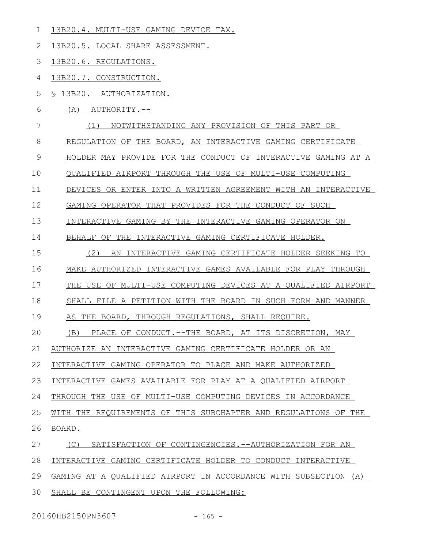13B20.4. MULTI-USE GAMING DEVICE TAX. 13B20.5. LOCAL SHARE ASSESSMENT. 13B20.6. REGULATIONS. 13B20.7. CONSTRUCTION. § 13B20. AUTHORIZATION. (A) AUTHORITY.-- (1) NOTWITHSTANDING ANY PROVISION OF THIS PART OR REGULATION OF THE BOARD, AN INTERACTIVE GAMING CERTIFICATE HOLDER MAY PROVIDE FOR THE CONDUCT OF INTERACTIVE GAMING AT A QUALIFIED AIRPORT THROUGH THE USE OF MULTI-USE COMPUTING DEVICES OR ENTER INTO A WRITTEN AGREEMENT WITH AN INTERACTIVE GAMING OPERATOR THAT PROVIDES FOR THE CONDUCT OF SUCH INTERACTIVE GAMING BY THE INTERACTIVE GAMING OPERATOR ON BEHALF OF THE INTERACTIVE GAMING CERTIFICATE HOLDER. (2) AN INTERACTIVE GAMING CERTIFICATE HOLDER SEEKING TO MAKE AUTHORIZED INTERACTIVE GAMES AVAILABLE FOR PLAY THROUGH THE USE OF MULTI-USE COMPUTING DEVICES AT A QUALIFIED AIRPORT SHALL FILE A PETITION WITH THE BOARD IN SUCH FORM AND MANNER AS THE BOARD, THROUGH REGULATIONS, SHALL REQUIRE. (B) PLACE OF CONDUCT.--THE BOARD, AT ITS DISCRETION, MAY AUTHORIZE AN INTERACTIVE GAMING CERTIFICATE HOLDER OR AN INTERACTIVE GAMING OPERATOR TO PLACE AND MAKE AUTHORIZED INTERACTIVE GAMES AVAILABLE FOR PLAY AT A QUALIFIED AIRPORT THROUGH THE USE OF MULTI-USE COMPUTING DEVICES IN ACCORDANCE WITH THE REQUIREMENTS OF THIS SUBCHAPTER AND REGULATIONS OF THE BOARD. (C) SATISFACTION OF CONTINGENCIES.--AUTHORIZATION FOR AN INTERACTIVE GAMING CERTIFICATE HOLDER TO CONDUCT INTERACTIVE GAMING AT A QUALIFIED AIRPORT IN ACCORDANCE WITH SUBSECTION (A) SHALL BE CONTINGENT UPON THE FOLLOWING: 1 2 3 4 5 6 7 8 9 10 11 12 13 14 15 16 17 18 19  $20$ 21 22 23 24 25 26 27 28 29 30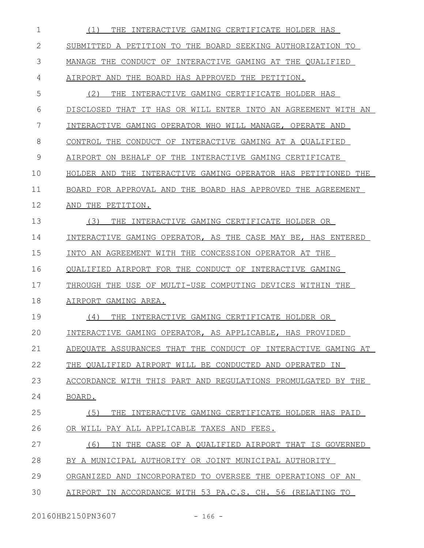| 1  | THE INTERACTIVE GAMING CERTIFICATE HOLDER HAS<br>(1)          |
|----|---------------------------------------------------------------|
| 2  | SUBMITTED A PETITION TO THE BOARD SEEKING AUTHORIZATION TO    |
| 3  | MANAGE THE CONDUCT OF INTERACTIVE GAMING AT THE QUALIFIED     |
| 4  | AIRPORT AND THE BOARD HAS APPROVED THE PETITION.              |
| 5  | (2)<br>THE INTERACTIVE GAMING CERTIFICATE HOLDER HAS          |
| 6  | DISCLOSED THAT IT HAS OR WILL ENTER INTO AN AGREEMENT WITH AN |
| 7  | INTERACTIVE GAMING OPERATOR WHO WILL MANAGE, OPERATE AND      |
| 8  | CONTROL THE CONDUCT OF INTERACTIVE GAMING AT A QUALIFIED      |
| 9  | AIRPORT ON BEHALF OF THE INTERACTIVE GAMING CERTIFICATE       |
| 10 | HOLDER AND THE INTERACTIVE GAMING OPERATOR HAS PETITIONED THE |
| 11 | BOARD FOR APPROVAL AND THE BOARD HAS APPROVED THE AGREEMENT   |
| 12 | THE PETITION.<br>AND                                          |
| 13 | (3)<br>INTERACTIVE GAMING CERTIFICATE HOLDER OR<br>THE        |
| 14 | INTERACTIVE GAMING OPERATOR, AS THE CASE MAY BE, HAS ENTERED  |
| 15 | INTO AN AGREEMENT WITH THE CONCESSION OPERATOR AT THE         |
| 16 | QUALIFIED AIRPORT FOR THE CONDUCT OF INTERACTIVE GAMING       |
| 17 | THROUGH THE USE OF MULTI-USE COMPUTING DEVICES WITHIN THE     |
| 18 | AIRPORT GAMING AREA.                                          |
| 19 | THE INTERACTIVE GAMING CERTIFICATE HOLDER OR<br>(4)           |
| 20 | INTERACTIVE GAMING OPERATOR, AS APPLICABLE, HAS PROVIDED      |
| 21 | ADEQUATE ASSURANCES THAT THE CONDUCT OF INTERACTIVE GAMING AT |
| 22 | THE QUALIFIED AIRPORT WILL BE CONDUCTED AND OPERATED IN       |
| 23 | ACCORDANCE WITH THIS PART AND REGULATIONS PROMULGATED BY THE  |
| 24 | BOARD.                                                        |
| 25 | (5)<br>THE INTERACTIVE GAMING CERTIFICATE HOLDER HAS PAID     |
| 26 | OR WILL PAY ALL APPLICABLE TAXES AND FEES.                    |
| 27 | (6)<br>IN THE CASE OF A QUALIFIED AIRPORT THAT IS GOVERNED    |
| 28 | BY A MUNICIPAL AUTHORITY OR JOINT MUNICIPAL AUTHORITY         |
| 29 | ORGANIZED AND INCORPORATED TO OVERSEE THE OPERATIONS OF AN    |
| 30 | AIRPORT IN ACCORDANCE WITH 53 PA.C.S. CH. 56 (RELATING TO     |
|    |                                                               |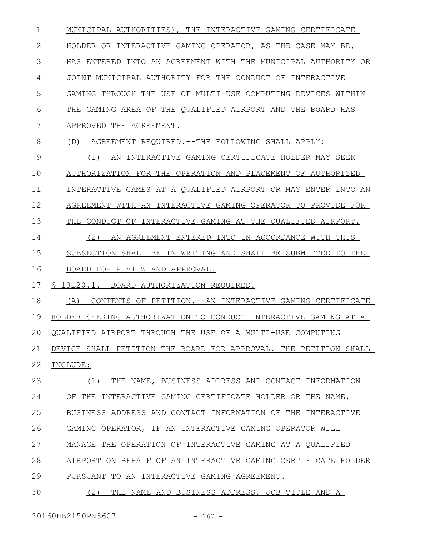MUNICIPAL AUTHORITIES), THE INTERACTIVE GAMING CERTIFICATE HOLDER OR INTERACTIVE GAMING OPERATOR, AS THE CASE MAY BE, HAS ENTERED INTO AN AGREEMENT WITH THE MUNICIPAL AUTHORITY OR JOINT MUNICIPAL AUTHORITY FOR THE CONDUCT OF INTERACTIVE GAMING THROUGH THE USE OF MULTI-USE COMPUTING DEVICES WITHIN THE GAMING AREA OF THE QUALIFIED AIRPORT AND THE BOARD HAS APPROVED THE AGREEMENT. (D) AGREEMENT REQUIRED.--THE FOLLOWING SHALL APPLY: (1) AN INTERACTIVE GAMING CERTIFICATE HOLDER MAY SEEK AUTHORIZATION FOR THE OPERATION AND PLACEMENT OF AUTHORIZED INTERACTIVE GAMES AT A QUALIFIED AIRPORT OR MAY ENTER INTO AN AGREEMENT WITH AN INTERACTIVE GAMING OPERATOR TO PROVIDE FOR THE CONDUCT OF INTERACTIVE GAMING AT THE QUALIFIED AIRPORT. (2) AN AGREEMENT ENTERED INTO IN ACCORDANCE WITH THIS SUBSECTION SHALL BE IN WRITING AND SHALL BE SUBMITTED TO THE BOARD FOR REVIEW AND APPROVAL. § 13B20.1. BOARD AUTHORIZATION REQUIRED. (A) CONTENTS OF PETITION.--AN INTERACTIVE GAMING CERTIFICATE HOLDER SEEKING AUTHORIZATION TO CONDUCT INTERACTIVE GAMING AT A QUALIFIED AIRPORT THROUGH THE USE OF A MULTI-USE COMPUTING DEVICE SHALL PETITION THE BOARD FOR APPROVAL. THE PETITION SHALL INCLUDE: (1) THE NAME, BUSINESS ADDRESS AND CONTACT INFORMATION OF THE INTERACTIVE GAMING CERTIFICATE HOLDER OR THE NAME, BUSINESS ADDRESS AND CONTACT INFORMATION OF THE INTERACTIVE GAMING OPERATOR, IF AN INTERACTIVE GAMING OPERATOR WILL MANAGE THE OPERATION OF INTERACTIVE GAMING AT A QUALIFIED AIRPORT ON BEHALF OF AN INTERACTIVE GAMING CERTIFICATE HOLDER PURSUANT TO AN INTERACTIVE GAMING AGREEMENT. (2) THE NAME AND BUSINESS ADDRESS, JOB TITLE AND A 1 2 3 4 5 6 7 8 9 10 11 12 13 14 15 16 17 18 19  $20$ 21 22 23 24 25 26 27 28 29 30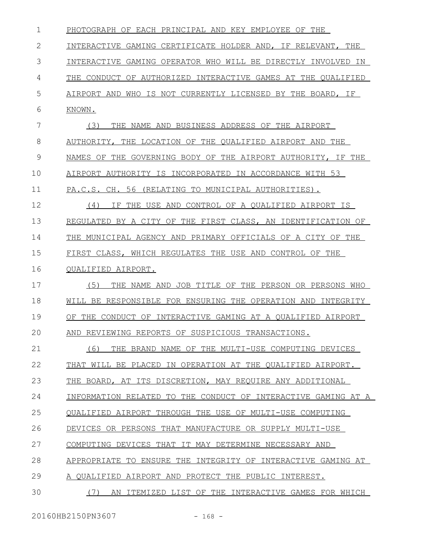| $\mathbf 1$ | PHOTOGRAPH OF EACH PRINCIPAL AND KEY EMPLOYEE OF THE          |
|-------------|---------------------------------------------------------------|
| 2           | INTERACTIVE GAMING CERTIFICATE HOLDER AND, IF RELEVANT, THE   |
| 3           | INTERACTIVE GAMING OPERATOR WHO WILL BE DIRECTLY INVOLVED IN  |
| 4           | THE CONDUCT OF AUTHORIZED INTERACTIVE GAMES AT THE QUALIFIED  |
| 5           | AIRPORT AND WHO IS NOT CURRENTLY LICENSED BY THE BOARD, IF    |
| 6           | KNOWN.                                                        |
| 7           | (3)<br>THE NAME AND BUSINESS ADDRESS OF THE AIRPORT           |
| 8           | AUTHORITY, THE LOCATION OF THE QUALIFIED AIRPORT AND THE      |
| 9           | NAMES OF THE GOVERNING BODY OF THE AIRPORT AUTHORITY, IF THE  |
| 10          | AIRPORT AUTHORITY IS INCORPORATED IN ACCORDANCE WITH 53       |
| 11          | PA.C.S. CH. 56 (RELATING TO MUNICIPAL AUTHORITIES).           |
| 12          | IF THE USE AND CONTROL OF A OUALIFIED AIRPORT IS<br>(4)       |
| 13          | REGULATED BY A CITY OF THE FIRST CLASS, AN IDENTIFICATION OF  |
| 14          | THE MUNICIPAL AGENCY AND PRIMARY OFFICIALS OF A CITY OF THE   |
| 15          | FIRST CLASS, WHICH REGULATES THE USE AND CONTROL OF THE       |
| 16          | OUALIFIED AIRPORT.                                            |
| 17          | (5)<br>THE NAME AND JOB TITLE OF THE PERSON OR PERSONS WHO    |
| 18          | WILL BE RESPONSIBLE FOR ENSURING THE OPERATION AND INTEGRITY  |
| 19          | OF THE CONDUCT OF INTERACTIVE GAMING AT A OUALIFIED AIRPORT   |
| 20          | AND REVIEWING REPORTS OF SUSPICIOUS TRANSACTIONS.             |
| 21          | (6)<br>THE BRAND NAME OF THE MULTI-USE COMPUTING DEVICES      |
| 22          | THAT WILL BE PLACED IN OPERATION AT THE QUALIFIED AIRPORT.    |
| 23          | THE BOARD, AT ITS DISCRETION, MAY REQUIRE ANY ADDITIONAL      |
| 24          | INFORMATION RELATED TO THE CONDUCT OF INTERACTIVE GAMING AT A |
| 25          | OUALIFIED AIRPORT THROUGH THE USE OF MULTI-USE COMPUTING      |
| 26          | DEVICES OR PERSONS THAT MANUFACTURE OR SUPPLY MULTI-USE       |
| 27          | COMPUTING DEVICES THAT IT MAY DETERMINE NECESSARY AND         |
| 28          | APPROPRIATE TO ENSURE THE INTEGRITY OF INTERACTIVE GAMING AT  |
| 29          | A QUALIFIED AIRPORT AND PROTECT THE PUBLIC INTEREST.          |
| 30          | (7)<br>AN ITEMIZED LIST OF THE INTERACTIVE GAMES FOR WHICH    |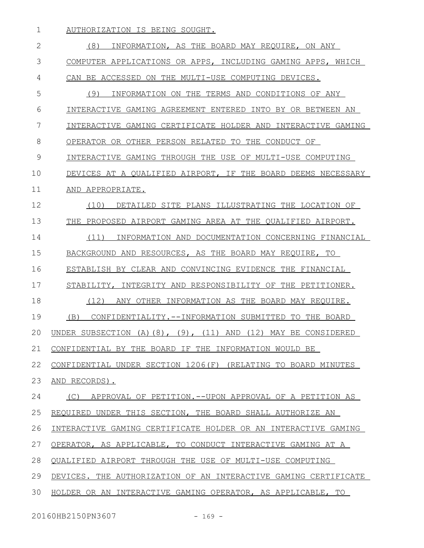AUTHORIZATION IS BEING SOUGHT. (8) INFORMATION, AS THE BOARD MAY REQUIRE, ON ANY COMPUTER APPLICATIONS OR APPS, INCLUDING GAMING APPS, WHICH CAN BE ACCESSED ON THE MULTI-USE COMPUTING DEVICES. (9) INFORMATION ON THE TERMS AND CONDITIONS OF ANY INTERACTIVE GAMING AGREEMENT ENTERED INTO BY OR BETWEEN AN INTERACTIVE GAMING CERTIFICATE HOLDER AND INTERACTIVE GAMING OPERATOR OR OTHER PERSON RELATED TO THE CONDUCT OF INTERACTIVE GAMING THROUGH THE USE OF MULTI-USE COMPUTING DEVICES AT A QUALIFIED AIRPORT, IF THE BOARD DEEMS NECESSARY AND APPROPRIATE. (10) DETAILED SITE PLANS ILLUSTRATING THE LOCATION OF THE PROPOSED AIRPORT GAMING AREA AT THE QUALIFIED AIRPORT. (11) INFORMATION AND DOCUMENTATION CONCERNING FINANCIAL BACKGROUND AND RESOURCES, AS THE BOARD MAY REQUIRE, TO ESTABLISH BY CLEAR AND CONVINCING EVIDENCE THE FINANCIAL STABILITY, INTEGRITY AND RESPONSIBILITY OF THE PETITIONER. (12) ANY OTHER INFORMATION AS THE BOARD MAY REQUIRE. (B) CONFIDENTIALITY.--INFORMATION SUBMITTED TO THE BOARD UNDER SUBSECTION (A)(8), (9), (11) AND (12) MAY BE CONSIDERED CONFIDENTIAL BY THE BOARD IF THE INFORMATION WOULD BE CONFIDENTIAL UNDER SECTION 1206(F) (RELATING TO BOARD MINUTES AND RECORDS). (C) APPROVAL OF PETITION.--UPON APPROVAL OF A PETITION AS REQUIRED UNDER THIS SECTION, THE BOARD SHALL AUTHORIZE AN INTERACTIVE GAMING CERTIFICATE HOLDER OR AN INTERACTIVE GAMING OPERATOR, AS APPLICABLE, TO CONDUCT INTERACTIVE GAMING AT A QUALIFIED AIRPORT THROUGH THE USE OF MULTI-USE COMPUTING DEVICES. THE AUTHORIZATION OF AN INTERACTIVE GAMING CERTIFICATE HOLDER OR AN INTERACTIVE GAMING OPERATOR, AS APPLICABLE, TO 1 2 3 4 5 6 7 8 9 10 11 12 13 14 15 16 17 18 19  $20$ 21 22 23 24 25 26 27 28 29 30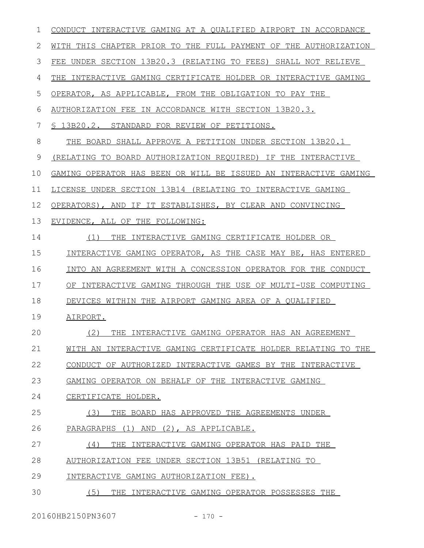| $\mathbf{1}$ | CONDUCT INTERACTIVE GAMING AT A OUALIFIED AIRPORT IN ACCORDANCE    |
|--------------|--------------------------------------------------------------------|
| 2            | WITH THIS CHAPTER PRIOR TO THE FULL PAYMENT OF THE AUTHORIZATION   |
| 3            | FEE UNDER SECTION 13B20.3 (RELATING TO FEES) SHALL NOT RELIEVE     |
| 4            | INTERACTIVE GAMING CERTIFICATE HOLDER OR INTERACTIVE GAMING<br>THE |
| 5            | OPERATOR, AS APPLICABLE, FROM THE OBLIGATION TO PAY THE            |
| 6            | AUTHORIZATION FEE IN ACCORDANCE WITH SECTION 13B20.3.              |
| 7            | \$ 13B20.2. STANDARD FOR REVIEW OF PETITIONS.                      |
| 8            | THE BOARD SHALL APPROVE A PETITION UNDER SECTION 13B20.1           |
| 9            | (RELATING TO BOARD AUTHORIZATION REQUIRED) IF THE INTERACTIVE      |
| 10           | GAMING OPERATOR HAS BEEN OR WILL BE ISSUED AN INTERACTIVE GAMING   |
| 11           | LICENSE UNDER SECTION 13B14 (RELATING TO INTERACTIVE GAMING        |
| 12           | OPERATORS), AND IF IT ESTABLISHES, BY CLEAR AND CONVINCING         |
| 13           | EVIDENCE, ALL OF THE FOLLOWING:                                    |
| 14           | THE INTERACTIVE GAMING CERTIFICATE HOLDER OR<br>(1)                |
| 15           | INTERACTIVE GAMING OPERATOR, AS THE CASE MAY BE, HAS ENTERED       |
| 16           | INTO AN AGREEMENT WITH A CONCESSION OPERATOR FOR THE CONDUCT       |
| 17           | OF INTERACTIVE GAMING THROUGH THE USE OF MULTI-USE COMPUTING       |
| 18           | DEVICES WITHIN THE AIRPORT GAMING AREA OF A QUALIFIED              |
| 19           | AIRPORT.                                                           |
| 20           | THE INTERACTIVE GAMING OPERATOR HAS AN AGREEMENT<br>(2)            |
| 21           | WITH AN INTERACTIVE GAMING CERTIFICATE HOLDER RELATING TO THE      |
| 22           | CONDUCT OF AUTHORIZED INTERACTIVE GAMES BY THE INTERACTIVE         |
| 23           | GAMING OPERATOR ON BEHALF OF THE INTERACTIVE GAMING                |
| 24           | CERTIFICATE HOLDER.                                                |
| 25           | THE BOARD HAS APPROVED THE AGREEMENTS UNDER<br>(3)                 |
| 26           | PARAGRAPHS (1) AND (2), AS APPLICABLE.                             |
| 27           | (4)<br>THE INTERACTIVE GAMING OPERATOR HAS PAID THE                |
| 28           | AUTHORIZATION FEE UNDER SECTION 13B51 (RELATING TO                 |
| 29           | INTERACTIVE GAMING AUTHORIZATION FEE).                             |
| 30           | (5)<br>THE INTERACTIVE GAMING OPERATOR POSSESSES THE               |

20160HB2150PN3607 - 170 -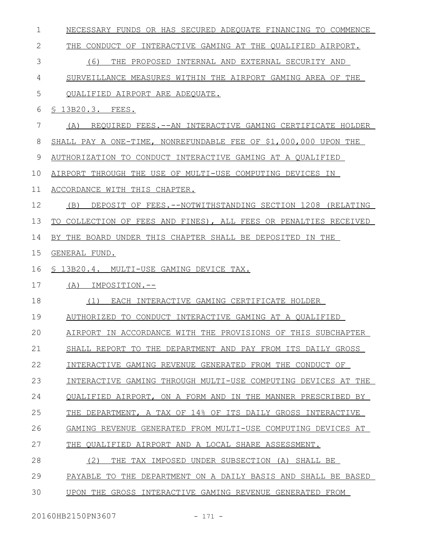| $\mathbf 1$  | NECESSARY FUNDS OR HAS SECURED ADEQUATE FINANCING TO COMMENCE    |
|--------------|------------------------------------------------------------------|
| $\mathbf{2}$ | THE CONDUCT OF INTERACTIVE GAMING AT THE QUALIFIED AIRPORT.      |
| 3            | (6)<br>THE PROPOSED INTERNAL AND EXTERNAL SECURITY AND           |
| 4            | SURVEILLANCE MEASURES WITHIN THE AIRPORT GAMING AREA OF THE      |
| 5            | QUALIFIED AIRPORT ARE ADEQUATE.                                  |
| 6            | \$ 13B20.3. FEES.                                                |
| 7            | REQUIRED FEES.--AN INTERACTIVE GAMING CERTIFICATE HOLDER<br>(A)  |
| 8            | SHALL PAY A ONE-TIME, NONREFUNDABLE FEE OF \$1,000,000 UPON THE  |
| 9            | AUTHORIZATION TO CONDUCT INTERACTIVE GAMING AT A QUALIFIED       |
| 10           | AIRPORT THROUGH THE USE OF MULTI-USE COMPUTING DEVICES IN        |
| 11           | ACCORDANCE WITH THIS CHAPTER.                                    |
| 12           | DEPOSIT OF FEES. --NOTWITHSTANDING SECTION 1208 (RELATING<br>(B) |
| 13           | TO COLLECTION OF FEES AND FINES), ALL FEES OR PENALTIES RECEIVED |
| 14           | BY THE BOARD UNDER THIS CHAPTER SHALL BE DEPOSITED IN THE        |
| 15           | GENERAL FUND.                                                    |
| 16           | S 13B20.4. MULTI-USE GAMING DEVICE TAX.                          |
| 17           | IMPOSITION.--<br>(A)                                             |
|              |                                                                  |
| 18           | EACH INTERACTIVE GAMING CERTIFICATE HOLDER<br>(1)                |
| 19           | AUTHORIZED TO CONDUCT INTERACTIVE GAMING AT A QUALIFIED          |
| 20           | AIRPORT IN ACCORDANCE WITH THE PROVISIONS OF THIS SUBCHAPTER     |
| 21           | SHALL REPORT TO THE DEPARTMENT AND PAY FROM ITS DAILY GROSS      |
| 22           | INTERACTIVE GAMING REVENUE GENERATED FROM THE CONDUCT OF         |
| 23           | INTERACTIVE GAMING THROUGH MULTI-USE COMPUTING DEVICES AT THE    |
| 24           | OUALIFIED AIRPORT, ON A FORM AND IN THE MANNER PRESCRIBED BY     |
| 25           | THE DEPARTMENT, A TAX OF 14% OF ITS DAILY GROSS INTERACTIVE      |
| 26           | GAMING REVENUE GENERATED FROM MULTI-USE COMPUTING DEVICES AT     |
| 27           | OUALIFIED AIRPORT AND A LOCAL SHARE ASSESSMENT.<br>THE           |
| 28           | (2)<br>THE TAX IMPOSED UNDER SUBSECTION (A) SHALL BE             |
| 29           | TO THE DEPARTMENT ON A DAILY BASIS AND SHALL BE BASED<br>PAYABLE |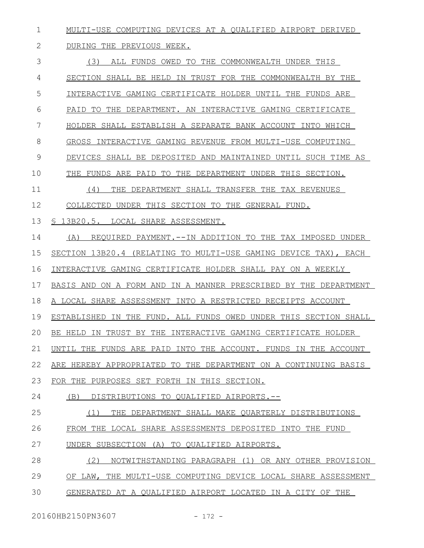MULTI-USE COMPUTING DEVICES AT A QUALIFIED AIRPORT DERIVED 1

## DURING THE PREVIOUS WEEK. 2

| 3  | (3)<br>ALL FUNDS OWED TO THE COMMONWEALTH UNDER THIS             |
|----|------------------------------------------------------------------|
| 4  | SECTION SHALL BE HELD IN TRUST FOR THE COMMONWEALTH BY THE       |
| 5  | INTERACTIVE GAMING CERTIFICATE HOLDER UNTIL THE FUNDS ARE        |
| 6  | PAID TO THE DEPARTMENT. AN INTERACTIVE GAMING CERTIFICATE        |
| 7  | HOLDER SHALL ESTABLISH A SEPARATE BANK ACCOUNT INTO WHICH        |
| 8  | GROSS INTERACTIVE GAMING REVENUE FROM MULTI-USE COMPUTING        |
| 9  | DEVICES SHALL BE DEPOSITED AND MAINTAINED UNTIL SUCH TIME AS     |
| 10 | THE FUNDS ARE PAID TO THE DEPARTMENT UNDER THIS SECTION.         |
| 11 | THE DEPARTMENT SHALL TRANSFER THE TAX REVENUES<br>(4)            |
| 12 | COLLECTED UNDER THIS SECTION TO THE GENERAL FUND.                |
| 13 | § 13B20.5. LOCAL SHARE ASSESSMENT.                               |
| 14 | REQUIRED PAYMENT.--IN ADDITION TO THE TAX IMPOSED UNDER<br>(A)   |
| 15 | SECTION 13B20.4 (RELATING TO MULTI-USE GAMING DEVICE TAX), EACH  |
| 16 | INTERACTIVE GAMING CERTIFICATE HOLDER SHALL PAY ON A WEEKLY      |
| 17 | BASIS AND ON A FORM AND IN A MANNER PRESCRIBED BY THE DEPARTMENT |
| 18 | A LOCAL SHARE ASSESSMENT INTO A RESTRICTED RECEIPTS ACCOUNT      |
| 19 | ESTABLISHED IN THE FUND. ALL FUNDS OWED UNDER THIS SECTION SHALL |
| 20 | BE HELD IN TRUST BY THE INTERACTIVE GAMING CERTIFICATE HOLDER    |
| 21 | UNTIL THE FUNDS ARE PAID INTO THE ACCOUNT. FUNDS IN THE ACCOUNT  |
| 22 | ARE HEREBY APPROPRIATED TO THE DEPARTMENT ON A CONTINUING BASIS  |
| 23 | FOR THE PURPOSES SET FORTH IN THIS SECTION.                      |
| 24 | (B)<br>DISTRIBUTIONS TO QUALIFIED AIRPORTS.--                    |
| 25 | (1)<br>THE DEPARTMENT SHALL MAKE OUARTERLY DISTRIBUTIONS         |
| 26 | FROM THE LOCAL SHARE ASSESSMENTS DEPOSITED INTO THE FUND         |
| 27 | UNDER SUBSECTION (A) TO QUALIFIED AIRPORTS.                      |
| 28 | (2)<br>NOTWITHSTANDING PARAGRAPH (1) OR ANY OTHER PROVISION      |
| 29 | OF LAW, THE MULTI-USE COMPUTING DEVICE LOCAL SHARE ASSESSMENT    |
| 30 | GENERATED AT A QUALIFIED AIRPORT LOCATED IN A CITY OF THE        |
|    |                                                                  |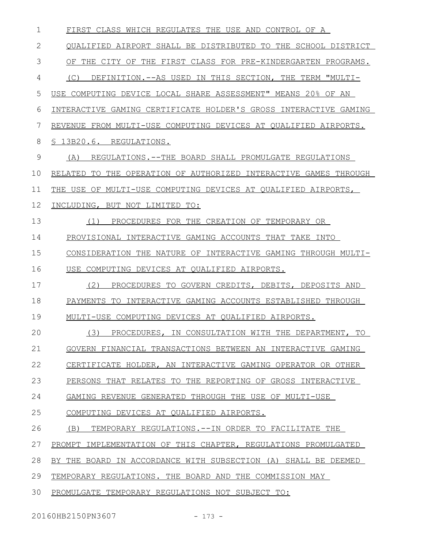| 1  | FIRST CLASS WHICH REGULATES THE USE AND CONTROL OF A             |
|----|------------------------------------------------------------------|
| 2  | QUALIFIED AIRPORT SHALL BE DISTRIBUTED TO THE SCHOOL DISTRICT    |
| 3  | OF THE CITY OF THE FIRST CLASS FOR PRE-KINDERGARTEN PROGRAMS.    |
| 4  | DEFINITION.--AS USED IN THIS SECTION, THE TERM "MULTI-<br>(C)    |
| 5  | USE COMPUTING DEVICE LOCAL SHARE ASSESSMENT" MEANS 20% OF AN     |
| 6  | INTERACTIVE GAMING CERTIFICATE HOLDER'S GROSS INTERACTIVE GAMING |
| 7  | REVENUE FROM MULTI-USE COMPUTING DEVICES AT QUALIFIED AIRPORTS.  |
| 8  | § 13B20.6. REGULATIONS.                                          |
| 9  | (A)<br>REGULATIONS.--THE BOARD SHALL PROMULGATE REGULATIONS      |
| 10 | RELATED TO THE OPERATION OF AUTHORIZED INTERACTIVE GAMES THROUGH |
| 11 | THE USE OF MULTI-USE COMPUTING DEVICES AT QUALIFIED AIRPORTS,    |
| 12 | INCLUDING, BUT NOT LIMITED TO:                                   |
| 13 | PROCEDURES FOR THE CREATION OF TEMPORARY OR<br>(1)               |
| 14 | PROVISIONAL INTERACTIVE GAMING ACCOUNTS THAT TAKE INTO           |
| 15 | CONSIDERATION THE NATURE OF INTERACTIVE GAMING THROUGH MULTI-    |
| 16 | USE COMPUTING DEVICES AT QUALIFIED AIRPORTS.                     |
| 17 | (2)<br>PROCEDURES TO GOVERN CREDITS, DEBITS, DEPOSITS AND        |
| 18 | PAYMENTS TO INTERACTIVE GAMING ACCOUNTS ESTABLISHED THROUGH      |
| 19 | MULTI-USE COMPUTING DEVICES AT QUALIFIED AIRPORTS.               |
| 20 | (3) PROCEDURES, IN CONSULTATION WITH THE DEPARTMENT,<br>TO       |
| 21 | GOVERN FINANCIAL TRANSACTIONS BETWEEN AN INTERACTIVE GAMING      |
| 22 | CERTIFICATE HOLDER, AN INTERACTIVE GAMING OPERATOR OR OTHER      |
| 23 | PERSONS THAT RELATES TO THE REPORTING OF GROSS INTERACTIVE       |
| 24 | GAMING REVENUE GENERATED THROUGH THE USE OF MULTI-USE            |
| 25 | COMPUTING DEVICES AT QUALIFIED AIRPORTS.                         |
| 26 | (B) TEMPORARY REGULATIONS.--IN ORDER TO FACILITATE THE           |
| 27 | PROMPT IMPLEMENTATION OF THIS CHAPTER, REGULATIONS PROMULGATED   |
| 28 | BY THE BOARD IN ACCORDANCE WITH SUBSECTION (A) SHALL BE DEEMED   |
| 29 | TEMPORARY REGULATIONS. THE BOARD AND THE COMMISSION MAY          |
| 30 | PROMULGATE TEMPORARY REGULATIONS NOT SUBJECT TO:                 |

20160HB2150PN3607 - 173 -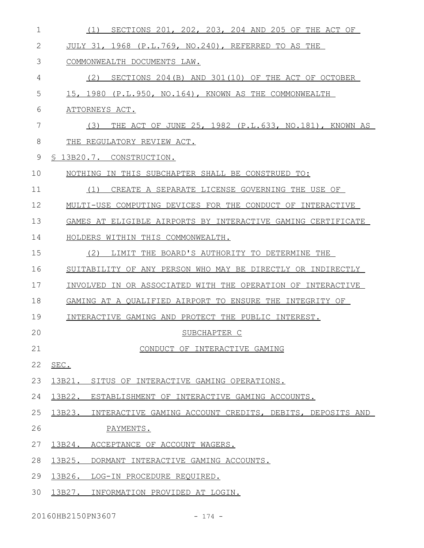| 1            | SECTIONS 201, 202, 203, 204 AND 205 OF THE ACT OF<br>(1)        |
|--------------|-----------------------------------------------------------------|
| $\mathbf{2}$ | JULY 31, 1968 (P.L.769, NO.240), REFERRED TO AS THE             |
| 3            | COMMONWEALTH DOCUMENTS LAW.                                     |
| 4            | SECTIONS 204(B) AND 301(10) OF THE ACT OF OCTOBER<br>(2)        |
| 5            | 15, 1980 (P.L.950, NO.164), KNOWN AS THE COMMONWEALTH           |
| 6            | ATTORNEYS ACT.                                                  |
| 7            | THE ACT OF JUNE 25, 1982 (P.L.633, NO.181), KNOWN AS<br>(3)     |
| 8            | THE REGULATORY REVIEW ACT.                                      |
| 9            | § 13B20.7. CONSTRUCTION.                                        |
| 10           | NOTHING IN THIS SUBCHAPTER SHALL BE CONSTRUED TO:               |
| 11           | CREATE A SEPARATE LICENSE GOVERNING THE USE OF<br>(1)           |
| 12           | MULTI-USE COMPUTING DEVICES FOR THE CONDUCT OF INTERACTIVE      |
| 13           | GAMES AT ELIGIBLE AIRPORTS BY INTERACTIVE GAMING CERTIFICATE    |
| 14           | HOLDERS WITHIN THIS COMMONWEALTH.                               |
| 15           | (2)<br>LIMIT THE BOARD'S AUTHORITY TO DETERMINE THE             |
| 16           | SUITABILITY OF ANY PERSON WHO MAY BE DIRECTLY OR INDIRECTLY     |
| 17           | INVOLVED IN OR ASSOCIATED WITH THE OPERATION OF INTERACTIVE     |
| 18           | GAMING AT A OUALIFIED AIRPORT TO ENSURE THE INTEGRITY OF        |
| 19           | INTERACTIVE GAMING AND PROTECT THE PUBLIC INTEREST.             |
| 20           | SUBCHAPTER C                                                    |
| 21           | CONDUCT OF INTERACTIVE GAMING                                   |
| 22           | SEC.                                                            |
| 23           | 13B21. SITUS OF INTERACTIVE GAMING OPERATIONS.                  |
| 24           | 13B22. ESTABLISHMENT OF INTERACTIVE GAMING ACCOUNTS.            |
| 25           | 13B23. INTERACTIVE GAMING ACCOUNT CREDITS, DEBITS, DEPOSITS AND |
| 26           | PAYMENTS.                                                       |
| 27           | 13B24. ACCEPTANCE OF ACCOUNT WAGERS.                            |
| 28           | 13B25. DORMANT INTERACTIVE GAMING ACCOUNTS.                     |
| 29           | 13B26. LOG-IN PROCEDURE REQUIRED.                               |
| 30           | 13B27. INFORMATION PROVIDED AT LOGIN.                           |

20160HB2150PN3607 - 174 -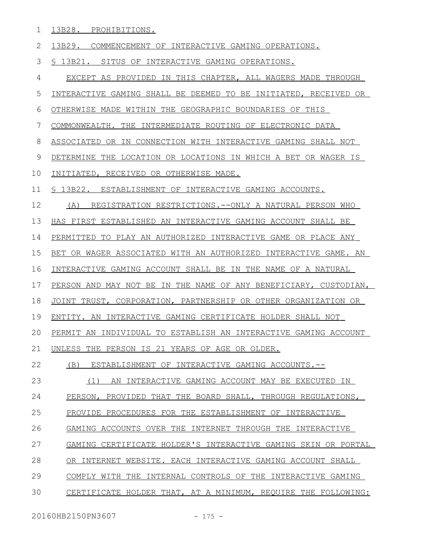13B28. PROHIBITIONS. 1

13B29. COMMENCEMENT OF INTERACTIVE GAMING OPERATIONS. 2

§ 13B21. SITUS OF INTERACTIVE GAMING OPERATIONS. 3

EXCEPT AS PROVIDED IN THIS CHAPTER, ALL WAGERS MADE THROUGH 4

INTERACTIVE GAMING SHALL BE DEEMED TO BE INITIATED, RECEIVED OR 5

OTHERWISE MADE WITHIN THE GEOGRAPHIC BOUNDARIES OF THIS 6

COMMONWEALTH. THE INTERMEDIATE ROUTING OF ELECTRONIC DATA 7

ASSOCIATED OR IN CONNECTION WITH INTERACTIVE GAMING SHALL NOT 8

DETERMINE THE LOCATION OR LOCATIONS IN WHICH A BET OR WAGER IS 9

INITIATED, RECEIVED OR OTHERWISE MADE. 10

§ 13B22. ESTABLISHMENT OF INTERACTIVE GAMING ACCOUNTS. 11

(A) REGISTRATION RESTRICTIONS.--ONLY A NATURAL PERSON WHO 12

 HAS FIRST ESTABLISHED AN INTERACTIVE GAMING ACCOUNT SHALL BE 13

 PERMITTED TO PLAY AN AUTHORIZED INTERACTIVE GAME OR PLACE ANY 14

 BET OR WAGER ASSOCIATED WITH AN AUTHORIZED INTERACTIVE GAME. AN 15

 INTERACTIVE GAMING ACCOUNT SHALL BE IN THE NAME OF A NATURAL 16

PERSON AND MAY NOT BE IN THE NAME OF ANY BENEFICIARY, CUSTODIAN, 17

JOINT TRUST, CORPORATION, PARTNERSHIP OR OTHER ORGANIZATION OR 18

 ENTITY. AN INTERACTIVE GAMING CERTIFICATE HOLDER SHALL NOT 19

PERMIT AN INDIVIDUAL TO ESTABLISH AN INTERACTIVE GAMING ACCOUNT  $20$ 

UNLESS THE PERSON IS 21 YEARS OF AGE OR OLDER. 21

 (B) ESTABLISHMENT OF INTERACTIVE GAMING ACCOUNTS.-- 22

 (1) AN INTERACTIVE GAMING ACCOUNT MAY BE EXECUTED IN 23

PERSON, PROVIDED THAT THE BOARD SHALL, THROUGH REGULATIONS, 24

PROVIDE PROCEDURES FOR THE ESTABLISHMENT OF INTERACTIVE 25

GAMING ACCOUNTS OVER THE INTERNET THROUGH THE INTERACTIVE 26

GAMING CERTIFICATE HOLDER'S INTERACTIVE GAMING SKIN OR PORTAL 27

OR INTERNET WEBSITE. EACH INTERACTIVE GAMING ACCOUNT SHALL 28

COMPLY WITH THE INTERNAL CONTROLS OF THE INTERACTIVE GAMING 29

CERTIFICATE HOLDER THAT, AT A MINIMUM, REQUIRE THE FOLLOWING: 30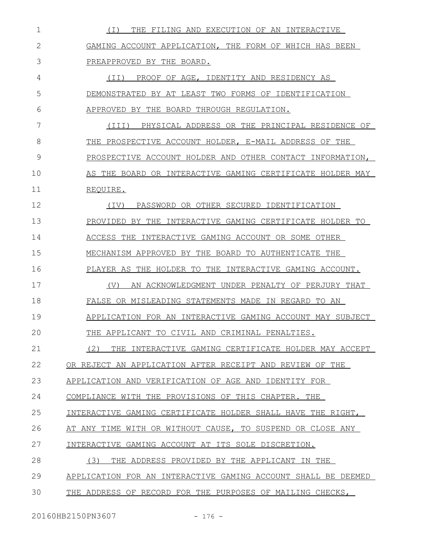| 1            | ( I )<br>THE FILING AND EXECUTION OF AN INTERACTIVE            |
|--------------|----------------------------------------------------------------|
| $\mathbf{2}$ | GAMING ACCOUNT APPLICATION, THE FORM OF WHICH HAS BEEN         |
| 3            | PREAPPROVED BY THE BOARD.                                      |
| 4            | PROOF OF AGE, IDENTITY AND RESIDENCY AS<br>(TI)                |
| 5            | DEMONSTRATED BY AT LEAST TWO FORMS OF IDENTIFICATION           |
| 6            | APPROVED BY THE BOARD THROUGH REGULATION.                      |
| 7            | PHYSICAL ADDRESS OR THE PRINCIPAL RESIDENCE OF<br>(III)        |
| 8            | THE PROSPECTIVE ACCOUNT HOLDER, E-MAIL ADDRESS OF THE          |
| 9            | PROSPECTIVE ACCOUNT HOLDER AND OTHER CONTACT INFORMATION,      |
| 10           | AS THE BOARD OR INTERACTIVE GAMING CERTIFICATE HOLDER MAY      |
| 11           | REOUIRE.                                                       |
| 12           | PASSWORD OR OTHER SECURED IDENTIFICATION<br>(IV)               |
| 13           | PROVIDED BY THE INTERACTIVE GAMING CERTIFICATE HOLDER TO       |
| 14           | ACCESS THE<br>INTERACTIVE GAMING ACCOUNT OR SOME OTHER         |
| 15           | MECHANISM APPROVED BY THE BOARD TO AUTHENTICATE THE            |
| 16           | THE HOLDER TO<br>THE INTERACTIVE GAMING ACCOUNT.<br>PLAYER AS  |
| 17           | AN ACKNOWLEDGMENT UNDER PENALTY OF PERJURY THAT<br>(V)         |
| 18           | FALSE OR MISLEADING STATEMENTS MADE IN REGARD TO AN            |
| 19           | APPLICATION FOR AN INTERACTIVE GAMING ACCOUNT MAY SUBJECT      |
| 20           | APPLICANT TO<br>CIVIL AND CRIMINAL PENALTIES.                  |
| 21           | (2)<br>THE<br>INTERACTIVE GAMING CERTIFICATE HOLDER MAY ACCEPT |
| 22           | OR REJECT AN APPLICATION AFTER RECEIPT AND REVIEW OF THE       |
| 23           | APPLICATION AND VERIFICATION OF AGE AND IDENTITY FOR           |
| 24           | COMPLIANCE WITH THE PROVISIONS OF THIS CHAPTER. THE            |
| 25           | INTERACTIVE GAMING CERTIFICATE HOLDER SHALL HAVE THE RIGHT,    |
| 26           | AT ANY TIME WITH OR WITHOUT CAUSE, TO SUSPEND OR CLOSE ANY     |
| 27           | INTERACTIVE GAMING ACCOUNT AT ITS SOLE DISCRETION.             |
| 28           | (3)<br>THE ADDRESS PROVIDED BY THE APPLICANT IN THE            |
| 29           | APPLICATION FOR AN INTERACTIVE GAMING ACCOUNT SHALL BE DEEMED  |
| 30           | THE ADDRESS OF RECORD FOR THE PURPOSES OF MAILING CHECKS,      |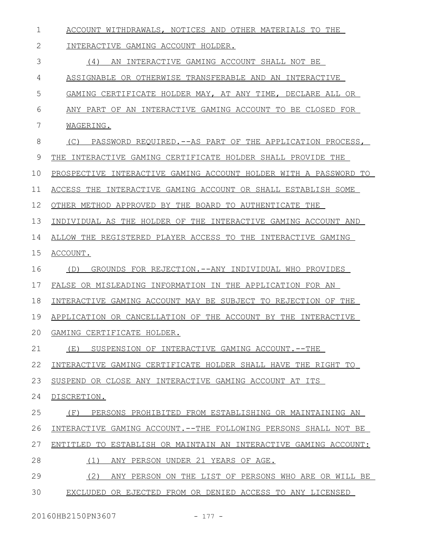| 1           | ACCOUNT WITHDRAWALS, NOTICES AND OTHER MATERIALS TO THE          |
|-------------|------------------------------------------------------------------|
| 2           | INTERACTIVE GAMING ACCOUNT HOLDER.                               |
| 3           | (4)<br>AN INTERACTIVE GAMING ACCOUNT SHALL NOT BE                |
| 4           | ASSIGNABLE OR OTHERWISE TRANSFERABLE AND AN INTERACTIVE          |
| 5           | GAMING CERTIFICATE HOLDER MAY, AT ANY TIME, DECLARE ALL OR       |
| 6           | ANY PART OF AN INTERACTIVE GAMING ACCOUNT TO BE CLOSED FOR       |
| 7           | WAGERING.                                                        |
| 8           | (C) PASSWORD REQUIRED. -- AS PART OF THE APPLICATION PROCESS,    |
| $\mathsf 9$ | THE INTERACTIVE GAMING CERTIFICATE HOLDER SHALL PROVIDE THE      |
| 10          | PROSPECTIVE INTERACTIVE GAMING ACCOUNT HOLDER WITH A PASSWORD TO |
| 11          | ACCESS THE INTERACTIVE GAMING ACCOUNT OR SHALL ESTABLISH SOME    |
| 12          | OTHER METHOD APPROVED BY THE BOARD TO AUTHENTICATE THE           |
| 13          | INDIVIDUAL AS THE HOLDER OF THE INTERACTIVE GAMING ACCOUNT AND   |
| 14          | ALLOW THE REGISTERED PLAYER ACCESS TO THE INTERACTIVE GAMING     |
| 15          | ACCOUNT.                                                         |
| 16          | (D)<br>GROUNDS FOR REJECTION.--ANY INDIVIDUAL WHO PROVIDES       |
| 17          | FALSE OR MISLEADING INFORMATION IN THE APPLICATION FOR AN        |
| 18          | INTERACTIVE GAMING ACCOUNT MAY BE SUBJECT TO REJECTION OF THE    |
| 19          | APPLICATION OR CANCELLATION OF THE ACCOUNT BY THE INTERACTIVE    |
| 20          | GAMING CERTIFICATE HOLDER.                                       |
| 21          | (E)<br>SUSPENSION OF INTERACTIVE GAMING ACCOUNT.--THE            |
| 22          | INTERACTIVE GAMING CERTIFICATE HOLDER SHALL HAVE THE RIGHT TO    |
| 23          | SUSPEND OR CLOSE ANY INTERACTIVE GAMING ACCOUNT AT ITS           |
| 24          | DISCRETION.                                                      |
| 25          | PERSONS PROHIBITED FROM ESTABLISHING OR MAINTAINING AN<br>(F)    |
| 26          | INTERACTIVE GAMING ACCOUNT.--THE FOLLOWING PERSONS SHALL NOT BE  |
| 27          | ENTITLED TO ESTABLISH OR MAINTAIN AN INTERACTIVE GAMING ACCOUNT: |
| 28          | (1)<br>ANY PERSON UNDER 21 YEARS OF AGE.                         |
| 29          | (2)<br>ANY PERSON ON THE LIST OF PERSONS WHO ARE OR WILL BE      |
| 30          | EXCLUDED OR EJECTED FROM OR DENIED ACCESS TO ANY LICENSED        |

20160HB2150PN3607 - 177 -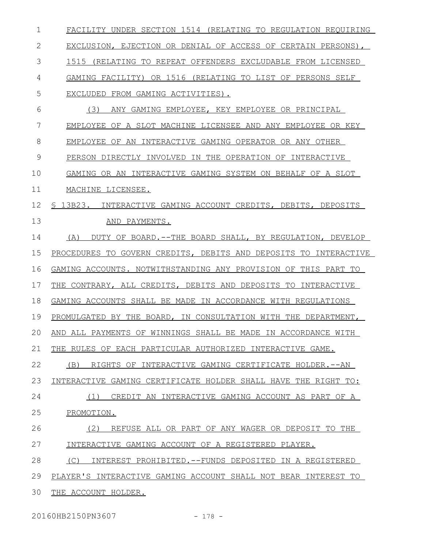| 1  | FACILITY UNDER SECTION 1514 (RELATING TO REGULATION REQUIRING    |
|----|------------------------------------------------------------------|
| 2  | EXCLUSION, EJECTION OR DENIAL OF ACCESS OF CERTAIN PERSONS),     |
| 3  | 1515 (RELATING TO REPEAT OFFENDERS EXCLUDABLE FROM LICENSED      |
| 4  | GAMING FACILITY) OR 1516 (RELATING TO LIST OF PERSONS SELF       |
| 5  | EXCLUDED FROM GAMING ACTIVITIES).                                |
| 6  | (3)<br>ANY GAMING EMPLOYEE, KEY EMPLOYEE OR PRINCIPAL            |
| 7  | EMPLOYEE OF A SLOT MACHINE LICENSEE AND ANY EMPLOYEE OR KEY      |
| 8  | EMPLOYEE OF AN INTERACTIVE GAMING OPERATOR OR ANY OTHER          |
| 9  | PERSON DIRECTLY INVOLVED IN THE OPERATION OF INTERACTIVE         |
| 10 | GAMING OR AN INTERACTIVE GAMING SYSTEM ON BEHALF OF A SLOT       |
| 11 | MACHINE LICENSEE.                                                |
| 12 | \$13B23.<br>INTERACTIVE GAMING ACCOUNT CREDITS, DEBITS, DEPOSITS |
| 13 | AND PAYMENTS.                                                    |
| 14 | (A)<br>DUTY OF BOARD.--THE BOARD SHALL, BY REGULATION, DEVELOP   |
| 15 | PROCEDURES TO GOVERN CREDITS, DEBITS AND DEPOSITS TO INTERACTIVE |
| 16 | GAMING ACCOUNTS. NOTWITHSTANDING ANY PROVISION OF THIS PART TO   |
| 17 | THE CONTRARY, ALL CREDITS, DEBITS AND DEPOSITS TO INTERACTIVE    |
| 18 | GAMING ACCOUNTS SHALL BE MADE IN ACCORDANCE WITH REGULATIONS     |
| 19 | PROMULGATED BY THE BOARD, IN CONSULTATION WITH THE DEPARTMENT,   |
| 20 | AND ALL PAYMENTS OF WINNINGS SHALL BE MADE IN ACCORDANCE WITH    |
| 21 | THE RULES OF EACH PARTICULAR AUTHORIZED INTERACTIVE GAME.        |
| 22 | RIGHTS OF INTERACTIVE GAMING CERTIFICATE HOLDER. -- AN<br>(B)    |
| 23 | INTERACTIVE GAMING CERTIFICATE HOLDER SHALL HAVE THE RIGHT TO:   |
| 24 | CREDIT AN INTERACTIVE GAMING ACCOUNT AS PART OF A<br>(1)         |
| 25 | PROMOTION.                                                       |
| 26 | (2)<br>REFUSE ALL OR PART OF ANY WAGER OR DEPOSIT TO THE         |
| 27 | INTERACTIVE GAMING ACCOUNT OF A REGISTERED PLAYER.               |
| 28 | (C)<br>INTEREST PROHIBITED.--FUNDS DEPOSITED IN A REGISTERED     |
| 29 | PLAYER'S INTERACTIVE GAMING ACCOUNT SHALL NOT BEAR INTEREST TO   |
| 30 | THE ACCOUNT HOLDER.                                              |

20160HB2150PN3607 - 178 -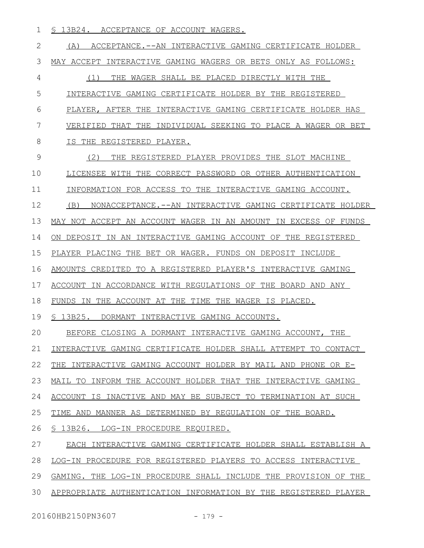§ 13B24. ACCEPTANCE OF ACCOUNT WAGERS. 1

(A) ACCEPTANCE.--AN INTERACTIVE GAMING CERTIFICATE HOLDER MAY ACCEPT INTERACTIVE GAMING WAGERS OR BETS ONLY AS FOLLOWS: (1) THE WAGER SHALL BE PLACED DIRECTLY WITH THE INTERACTIVE GAMING CERTIFICATE HOLDER BY THE REGISTERED PLAYER, AFTER THE INTERACTIVE GAMING CERTIFICATE HOLDER HAS VERIFIED THAT THE INDIVIDUAL SEEKING TO PLACE A WAGER OR BET IS THE REGISTERED PLAYER. (2) THE REGISTERED PLAYER PROVIDES THE SLOT MACHINE LICENSEE WITH THE CORRECT PASSWORD OR OTHER AUTHENTICATION INFORMATION FOR ACCESS TO THE INTERACTIVE GAMING ACCOUNT. (B) NONACCEPTANCE.--AN INTERACTIVE GAMING CERTIFICATE HOLDER MAY NOT ACCEPT AN ACCOUNT WAGER IN AN AMOUNT IN EXCESS OF FUNDS ON DEPOSIT IN AN INTERACTIVE GAMING ACCOUNT OF THE REGISTERED PLAYER PLACING THE BET OR WAGER. FUNDS ON DEPOSIT INCLUDE AMOUNTS CREDITED TO A REGISTERED PLAYER'S INTERACTIVE GAMING ACCOUNT IN ACCORDANCE WITH REGULATIONS OF THE BOARD AND ANY FUNDS IN THE ACCOUNT AT THE TIME THE WAGER IS PLACED. § 13B25. DORMANT INTERACTIVE GAMING ACCOUNTS. BEFORE CLOSING A DORMANT INTERACTIVE GAMING ACCOUNT, THE INTERACTIVE GAMING CERTIFICATE HOLDER SHALL ATTEMPT TO CONTACT THE INTERACTIVE GAMING ACCOUNT HOLDER BY MAIL AND PHONE OR E-MAIL TO INFORM THE ACCOUNT HOLDER THAT THE INTERACTIVE GAMING ACCOUNT IS INACTIVE AND MAY BE SUBJECT TO TERMINATION AT SUCH TIME AND MANNER AS DETERMINED BY REGULATION OF THE BOARD. § 13B26. LOG-IN PROCEDURE REQUIRED. EACH INTERACTIVE GAMING CERTIFICATE HOLDER SHALL ESTABLISH A LOG-IN PROCEDURE FOR REGISTERED PLAYERS TO ACCESS INTERACTIVE GAMING. THE LOG-IN PROCEDURE SHALL INCLUDE THE PROVISION OF THE APPROPRIATE AUTHENTICATION INFORMATION BY THE REGISTERED PLAYER 2 3 4 5 6 7 8 9 10 11 12 13 14 15 16 17 18 19  $20$ 21 22 23 24 25 26 27 28 29 30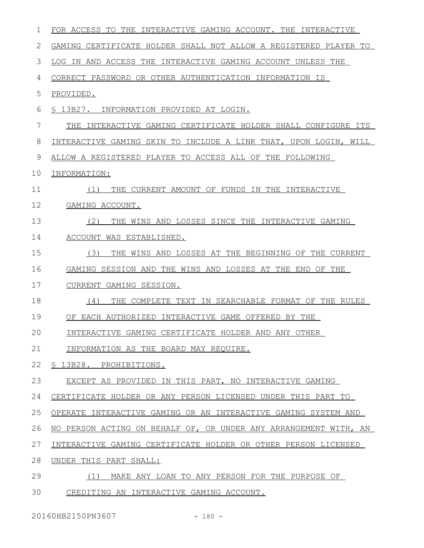| 1  | FOR ACCESS TO THE INTERACTIVE GAMING ACCOUNT. THE INTERACTIVE    |
|----|------------------------------------------------------------------|
| 2  | GAMING CERTIFICATE HOLDER SHALL NOT ALLOW A REGISTERED PLAYER TO |
| 3  | LOG IN AND ACCESS THE INTERACTIVE GAMING ACCOUNT UNLESS THE      |
| 4  | CORRECT PASSWORD OR OTHER AUTHENTICATION INFORMATION IS          |
| 5  | PROVIDED.                                                        |
| 6  | § 13B27. INFORMATION PROVIDED AT LOGIN.                          |
| 7  | THE INTERACTIVE GAMING CERTIFICATE HOLDER SHALL CONFIGURE ITS    |
| 8  | INTERACTIVE GAMING SKIN TO INCLUDE A LINK THAT, UPON LOGIN, WILL |
| 9  | ALLOW A REGISTERED PLAYER TO ACCESS ALL OF THE FOLLOWING         |
| 10 | INFORMATION:                                                     |
| 11 | THE CURRENT AMOUNT OF FUNDS IN THE INTERACTIVE<br>(1)            |
| 12 | GAMING ACCOUNT.                                                  |
| 13 | (2)<br>THE WINS AND LOSSES SINCE THE INTERACTIVE GAMING          |
| 14 | ACCOUNT WAS ESTABLISHED.                                         |
| 15 | (3)<br>THE WINS AND LOSSES AT THE BEGINNING OF THE CURRENT       |
| 16 | GAMING SESSION AND THE WINS AND LOSSES AT THE END<br>OF THE      |
| 17 | CURRENT GAMING SESSION.                                          |
| 18 | THE COMPLETE TEXT IN SEARCHABLE FORMAT OF THE RULES<br>(4)       |
| 19 | OF EACH AUTHORIZED INTERACTIVE GAME OFFERED BY THE               |
| 20 | INTERACTIVE GAMING CERTIFICATE HOLDER AND ANY OTHER              |
| 21 | INFORMATION AS THE BOARD MAY REQUIRE.                            |
| 22 | § 13B28. PROHIBITIONS.                                           |
| 23 | EXCEPT AS PROVIDED IN THIS PART, NO INTERACTIVE GAMING           |
| 24 | CERTIFICATE HOLDER OR ANY PERSON LICENSED UNDER THIS PART TO     |
| 25 | OPERATE INTERACTIVE GAMING OR AN INTERACTIVE GAMING SYSTEM AND   |
| 26 | NO PERSON ACTING ON BEHALF OF, OR UNDER ANY ARRANGEMENT WITH, AN |
| 27 | INTERACTIVE GAMING CERTIFICATE HOLDER OR OTHER PERSON LICENSED   |
| 28 | UNDER THIS PART SHALL:                                           |
| 29 | (1)<br>MAKE ANY LOAN TO ANY PERSON FOR THE PURPOSE OF            |
| 30 | CREDITING AN INTERACTIVE GAMING ACCOUNT.                         |
|    |                                                                  |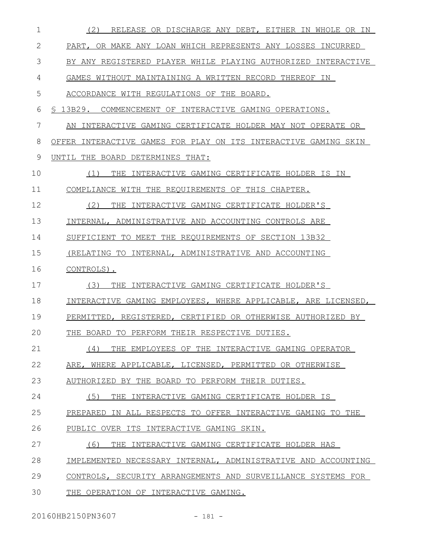| 1  | (2)<br>RELEASE OR DISCHARGE ANY DEBT, EITHER IN WHOLE OR IN     |
|----|-----------------------------------------------------------------|
| 2  | PART, OR MAKE ANY LOAN WHICH REPRESENTS ANY LOSSES INCURRED     |
| 3  | BY ANY REGISTERED PLAYER WHILE PLAYING AUTHORIZED INTERACTIVE   |
| 4  | GAMES WITHOUT MAINTAINING A WRITTEN RECORD THEREOF IN           |
| 5  | ACCORDANCE WITH REGULATIONS OF THE BOARD.                       |
| 6  | S 13B29.<br>COMMENCEMENT OF INTERACTIVE GAMING OPERATIONS.      |
| 7  | INTERACTIVE GAMING CERTIFICATE HOLDER MAY NOT OPERATE OR<br>AN  |
| 8  | OFFER INTERACTIVE GAMES FOR PLAY ON ITS INTERACTIVE GAMING SKIN |
| 9  | UNTIL THE BOARD DETERMINES THAT:                                |
| 10 | (1)<br>THE<br>INTERACTIVE GAMING CERTIFICATE HOLDER IS IN       |
| 11 | COMPLIANCE WITH THE REQUIREMENTS OF THIS CHAPTER.               |
| 12 | (2)<br>THE INTERACTIVE GAMING CERTIFICATE HOLDER'S              |
| 13 | INTERNAL, ADMINISTRATIVE AND ACCOUNTING CONTROLS ARE            |
| 14 | SUFFICIENT TO MEET THE REQUIREMENTS OF SECTION 13B32            |
| 15 | (RELATING TO INTERNAL, ADMINISTRATIVE AND ACCOUNTING            |
|    |                                                                 |
| 16 | CONTROLS).                                                      |
| 17 | (3)<br>INTERACTIVE GAMING CERTIFICATE HOLDER'S<br>THE.          |
| 18 | INTERACTIVE GAMING EMPLOYEES, WHERE APPLICABLE, ARE LICENSED,   |
| 19 | PERMITTED, REGISTERED, CERTIFIED OR OTHERWISE AUTHORIZED BY     |
| 20 | THE BOARD TO PERFORM THEIR RESPECTIVE DUTIES.                   |
| 21 | (4)<br>THE EMPLOYEES OF THE INTERACTIVE GAMING OPERATOR         |
| 22 | ARE, WHERE APPLICABLE, LICENSED, PERMITTED OR OTHERWISE         |
| 23 | AUTHORIZED BY THE BOARD TO PERFORM THEIR DUTIES.                |
| 24 | (5)<br>THE INTERACTIVE GAMING CERTIFICATE HOLDER IS             |
| 25 | PREPARED IN ALL RESPECTS TO OFFER INTERACTIVE GAMING TO THE     |
| 26 | PUBLIC OVER ITS INTERACTIVE GAMING SKIN.                        |
| 27 | (6)<br>THE INTERACTIVE GAMING CERTIFICATE HOLDER HAS            |
| 28 | IMPLEMENTED NECESSARY INTERNAL, ADMINISTRATIVE AND ACCOUNTING   |
| 29 | CONTROLS, SECURITY ARRANGEMENTS AND SURVEILLANCE SYSTEMS FOR    |

20160HB2150PN3607 - 181 -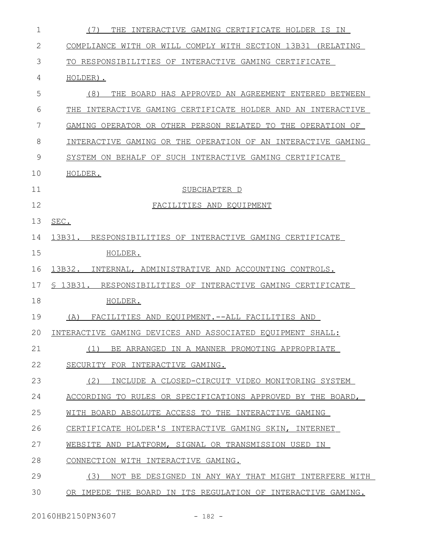| 1            | THE INTERACTIVE GAMING CERTIFICATE HOLDER IS IN<br>$($ $\prime$ $)$ |
|--------------|---------------------------------------------------------------------|
| $\mathbf{2}$ | COMPLIANCE WITH OR WILL COMPLY WITH SECTION 13B31 (RELATING         |
| 3            | TO RESPONSIBILITIES OF INTERACTIVE GAMING CERTIFICATE               |
| 4            | HOLDER).                                                            |
| 5            | (8)<br>THE BOARD HAS APPROVED AN AGREEMENT ENTERED BETWEEN          |
| 6            | INTERACTIVE GAMING CERTIFICATE HOLDER AND AN INTERACTIVE<br>THE.    |
| 7            | GAMING OPERATOR OR OTHER PERSON RELATED TO THE OPERATION OF         |
| 8            | INTERACTIVE GAMING OR THE OPERATION OF AN INTERACTIVE GAMING        |
| 9            | SYSTEM ON BEHALF OF SUCH INTERACTIVE GAMING CERTIFICATE             |
| 10           | HOLDER.                                                             |
| 11           | SUBCHAPTER D                                                        |
| 12           | FACILITIES AND EQUIPMENT                                            |
| 13           | SEC.                                                                |
| 14           | 13B31. RESPONSIBILITIES OF INTERACTIVE GAMING CERTIFICATE           |
| 15           | HOLDER.                                                             |
| 16           | 13B32.<br>INTERNAL, ADMINISTRATIVE AND ACCOUNTING CONTROLS.         |
| 17           | \$ 13B31.<br>RESPONSIBILITIES OF INTERACTIVE GAMING CERTIFICATE     |
| 18           | HOLDER.                                                             |
| 19           | (A)<br>FACILITIES AND EOUIPMENT.--ALL FACILITIES AND                |
| 20           | INTERACTIVE GAMING DEVICES AND ASSOCIATED EQUIPMENT SHALL:          |
| 21           | (1)<br>BE ARRANGED IN A MANNER PROMOTING APPROPRIATE                |
| 22           | SECURITY FOR INTERACTIVE GAMING.                                    |
| 23           | (2)<br>INCLUDE A CLOSED-CIRCUIT VIDEO MONITORING SYSTEM             |
| 24           | ACCORDING TO RULES OR SPECIFICATIONS APPROVED BY THE BOARD,         |
| 25           | WITH BOARD ABSOLUTE ACCESS TO THE INTERACTIVE GAMING                |
| 26           | CERTIFICATE HOLDER'S INTERACTIVE GAMING SKIN, INTERNET              |
| 27           | WEBSITE AND PLATFORM, SIGNAL OR TRANSMISSION USED IN                |
| 28           | CONNECTION WITH INTERACTIVE GAMING.                                 |
| 29           | (3)<br>NOT BE DESIGNED IN ANY WAY THAT MIGHT INTERFERE WITH         |
| 30           | OR IMPEDE THE BOARD IN ITS REGULATION OF INTERACTIVE GAMING.        |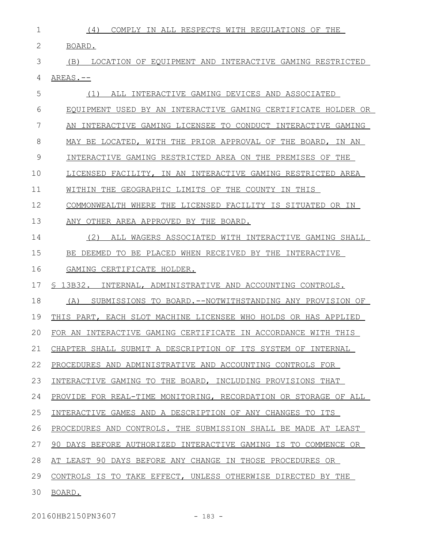- (4) COMPLY IN ALL RESPECTS WITH REGULATIONS OF THE BOARD. (B) LOCATION OF EQUIPMENT AND INTERACTIVE GAMING RESTRICTED AREAS.-- (1) ALL INTERACTIVE GAMING DEVICES AND ASSOCIATED EQUIPMENT USED BY AN INTERACTIVE GAMING CERTIFICATE HOLDER OR AN INTERACTIVE GAMING LICENSEE TO CONDUCT INTERACTIVE GAMING MAY BE LOCATED, WITH THE PRIOR APPROVAL OF THE BOARD, IN AN INTERACTIVE GAMING RESTRICTED AREA ON THE PREMISES OF THE LICENSED FACILITY, IN AN INTERACTIVE GAMING RESTRICTED AREA WITHIN THE GEOGRAPHIC LIMITS OF THE COUNTY IN THIS COMMONWEALTH WHERE THE LICENSED FACILITY IS SITUATED OR IN ANY OTHER AREA APPROVED BY THE BOARD. (2) ALL WAGERS ASSOCIATED WITH INTERACTIVE GAMING SHALL BE DEEMED TO BE PLACED WHEN RECEIVED BY THE INTERACTIVE GAMING CERTIFICATE HOLDER. § 13B32. INTERNAL, ADMINISTRATIVE AND ACCOUNTING CONTROLS. (A) SUBMISSIONS TO BOARD.--NOTWITHSTANDING ANY PROVISION OF THIS PART, EACH SLOT MACHINE LICENSEE WHO HOLDS OR HAS APPLIED FOR AN INTERACTIVE GAMING CERTIFICATE IN ACCORDANCE WITH THIS CHAPTER SHALL SUBMIT A DESCRIPTION OF ITS SYSTEM OF INTERNAL PROCEDURES AND ADMINISTRATIVE AND ACCOUNTING CONTROLS FOR INTERACTIVE GAMING TO THE BOARD, INCLUDING PROVISIONS THAT PROVIDE FOR REAL-TIME MONITORING, RECORDATION OR STORAGE OF ALL INTERACTIVE GAMES AND A DESCRIPTION OF ANY CHANGES TO ITS PROCEDURES AND CONTROLS. THE SUBMISSION SHALL BE MADE AT LEAST 90 DAYS BEFORE AUTHORIZED INTERACTIVE GAMING IS TO COMMENCE OR AT LEAST 90 DAYS BEFORE ANY CHANGE IN THOSE PROCEDURES OR CONTROLS IS TO TAKE EFFECT, UNLESS OTHERWISE DIRECTED BY THE BOARD. 1 2 3 4 5 6 7 8 9 10 11 12 13 14 15 16 17 18 19  $20$ 21 22 23 24 25 26 27 28 29 30
	-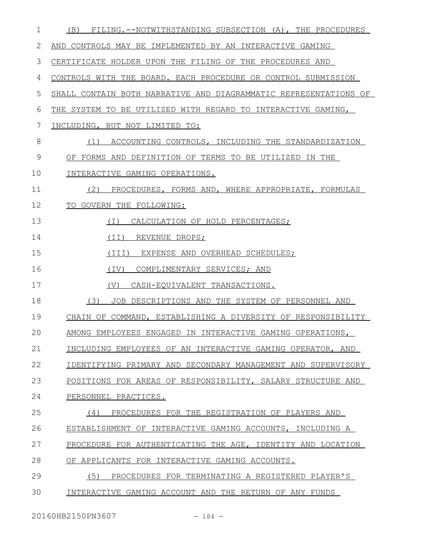| 1  | FILING.--NOTWITHSTANDING SUBSECTION (A), THE PROCEDURES<br>(B)   |
|----|------------------------------------------------------------------|
| 2  | AND CONTROLS MAY BE IMPLEMENTED BY AN INTERACTIVE GAMING         |
| 3  | CERTIFICATE HOLDER UPON THE FILING OF THE PROCEDURES AND         |
| 4  | CONTROLS WITH THE BOARD. EACH PROCEDURE OR CONTROL SUBMISSION    |
| 5  | SHALL CONTAIN BOTH NARRATIVE AND DIAGRAMMATIC REPRESENTATIONS OF |
| 6  | THE SYSTEM TO BE UTILIZED WITH REGARD TO INTERACTIVE GAMING,     |
| 7  | INCLUDING, BUT NOT LIMITED TO:                                   |
| 8  | ACCOUNTING CONTROLS, INCLUDING THE STANDARDIZATION<br>(1)        |
| 9  | OF FORMS AND DEFINITION OF TERMS TO BE UTILIZED IN THE           |
| 10 | INTERACTIVE GAMING OPERATIONS.                                   |
| 11 | PROCEDURES, FORMS AND, WHERE APPROPRIATE, FORMULAS<br>(2)        |
| 12 | TO GOVERN THE FOLLOWING:                                         |
| 13 | CALCULATION OF HOLD PERCENTAGES;<br>(I)                          |
| 14 | (II) REVENUE DROPS;                                              |
| 15 | (III) EXPENSE AND OVERHEAD SCHEDULES;                            |
| 16 | (IV)<br>COMPLIMENTARY SERVICES; AND                              |
| 17 | CASH-EQUIVALENT TRANSACTIONS.<br>(V)                             |
| 18 | JOB DESCRIPTIONS AND THE SYSTEM OF PERSONNEL AND<br>(3)          |
| 19 | CHAIN OF COMMAND, ESTABLISHING A DIVERSITY OF RESPONSIBILITY     |
| 20 | AMONG EMPLOYEES ENGAGED IN INTERACTIVE GAMING OPERATIONS,        |
| 21 | INCLUDING EMPLOYEES OF AN INTERACTIVE GAMING OPERATOR. AND       |
| 22 | IDENTIFYING PRIMARY AND SECONDARY MANAGEMENT AND SUPERVISORY     |
| 23 | POSITIONS FOR AREAS OF RESPONSIBILITY, SALARY STRUCTURE AND      |
| 24 | PERSONNEL PRACTICES.                                             |
| 25 | PROCEDURES FOR THE REGISTRATION OF PLAYERS AND<br>(4)            |
| 26 | ESTABLISHMENT OF INTERACTIVE GAMING ACCOUNTS, INCLUDING A        |
| 27 | PROCEDURE FOR AUTHENTICATING THE AGE, IDENTITY AND LOCATION      |
| 28 | OF APPLICANTS FOR INTERACTIVE GAMING ACCOUNTS.                   |
| 29 | (5)<br>PROCEDURES FOR TERMINATING A REGISTERED PLAYER'S          |
| 30 | INTERACTIVE GAMING ACCOUNT AND THE RETURN OF ANY FUNDS           |
|    |                                                                  |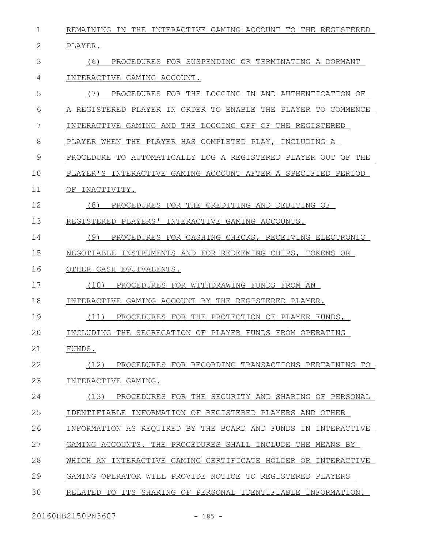REMAINING IN THE INTERACTIVE GAMING ACCOUNT TO THE REGISTERED PLAYER. (6) PROCEDURES FOR SUSPENDING OR TERMINATING A DORMANT INTERACTIVE GAMING ACCOUNT. (7) PROCEDURES FOR THE LOGGING IN AND AUTHENTICATION OF A REGISTERED PLAYER IN ORDER TO ENABLE THE PLAYER TO COMMENCE INTERACTIVE GAMING AND THE LOGGING OFF OF THE REGISTERED PLAYER WHEN THE PLAYER HAS COMPLETED PLAY, INCLUDING A PROCEDURE TO AUTOMATICALLY LOG A REGISTERED PLAYER OUT OF THE PLAYER'S INTERACTIVE GAMING ACCOUNT AFTER A SPECIFIED PERIOD OF INACTIVITY. (8) PROCEDURES FOR THE CREDITING AND DEBITING OF REGISTERED PLAYERS' INTERACTIVE GAMING ACCOUNTS. (9) PROCEDURES FOR CASHING CHECKS, RECEIVING ELECTRONIC NEGOTIABLE INSTRUMENTS AND FOR REDEEMING CHIPS, TOKENS OR OTHER CASH EQUIVALENTS. (10) PROCEDURES FOR WITHDRAWING FUNDS FROM AN INTERACTIVE GAMING ACCOUNT BY THE REGISTERED PLAYER. (11) PROCEDURES FOR THE PROTECTION OF PLAYER FUNDS, INCLUDING THE SEGREGATION OF PLAYER FUNDS FROM OPERATING FUNDS. (12) PROCEDURES FOR RECORDING TRANSACTIONS PERTAINING TO INTERACTIVE GAMING. (13) PROCEDURES FOR THE SECURITY AND SHARING OF PERSONAL IDENTIFIABLE INFORMATION OF REGISTERED PLAYERS AND OTHER 1 2 3 4 5 6 7 8 9 10 11 12 13 14 15 16 17 18 19  $20$ 21 22 23 24 25

INFORMATION AS REQUIRED BY THE BOARD AND FUNDS IN INTERACTIVE 26

GAMING ACCOUNTS. THE PROCEDURES SHALL INCLUDE THE MEANS BY 27

WHICH AN INTERACTIVE GAMING CERTIFICATE HOLDER OR INTERACTIVE 28

GAMING OPERATOR WILL PROVIDE NOTICE TO REGISTERED PLAYERS 29

RELATED TO ITS SHARING OF PERSONAL IDENTIFIABLE INFORMATION. 30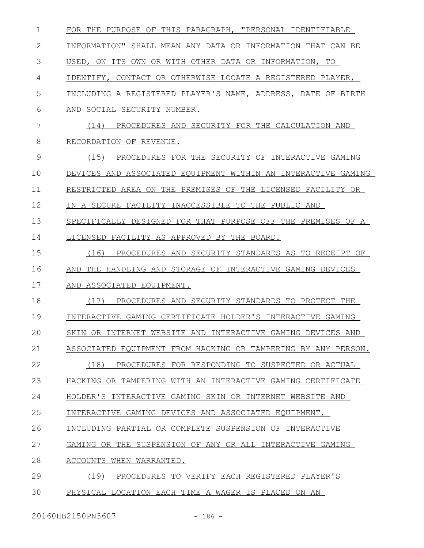| 1  | FOR THE PURPOSE OF THIS PARAGRAPH, "PERSONAL IDENTIFIABLE     |
|----|---------------------------------------------------------------|
| 2  | INFORMATION" SHALL MEAN ANY DATA OR INFORMATION THAT CAN BE   |
| 3  | USED, ON ITS OWN OR WITH OTHER DATA OR INFORMATION, TO        |
| 4  | IDENTIFY, CONTACT OR OTHERWISE LOCATE A REGISTERED PLAYER,    |
| 5  | INCLUDING A REGISTERED PLAYER'S NAME, ADDRESS, DATE OF BIRTH  |
| 6  | SOCIAL SECURITY NUMBER.<br>AND                                |
| 7  | (14)<br>PROCEDURES AND SECURITY FOR THE CALCULATION AND       |
| 8  | RECORDATION OF REVENUE.                                       |
| 9  | (15)<br>PROCEDURES FOR THE SECURITY OF INTERACTIVE GAMING     |
| 10 | DEVICES AND ASSOCIATED EQUIPMENT WITHIN AN INTERACTIVE GAMING |
| 11 | RESTRICTED AREA ON THE PREMISES OF THE LICENSED FACILITY OR   |
| 12 | IN A SECURE FACILITY INACCESSIBLE TO THE PUBLIC AND           |
| 13 | SPECIFICALLY DESIGNED FOR THAT PURPOSE OFF THE PREMISES OF A  |
| 14 | LICENSED FACILITY AS APPROVED BY THE BOARD.                   |
| 15 | (16)<br>PROCEDURES AND SECURITY STANDARDS AS TO RECEIPT OF    |
| 16 | THE HANDLING AND STORAGE OF INTERACTIVE GAMING DEVICES<br>AND |
| 17 | ASSOCIATED EQUIPMENT.<br>AND                                  |
| 18 | (17)<br>PROCEDURES AND SECURITY STANDARDS TO PROTECT THE      |
| 19 | INTERACTIVE GAMING CERTIFICATE HOLDER'S INTERACTIVE GAMING    |
| 20 | SKIN OR INTERNET WEBSITE AND INTERACTIVE GAMING DEVICES AND   |
| 21 | ASSOCIATED EQUIPMENT FROM HACKING OR TAMPERING BY ANY PERSON. |
| 22 | (18)<br>PROCEDURES FOR RESPONDING TO SUSPECTED OR ACTUAL      |
| 23 | HACKING OR TAMPERING WITH AN INTERACTIVE GAMING CERTIFICATE   |
| 24 | HOLDER'S INTERACTIVE GAMING SKIN OR INTERNET WEBSITE AND      |
| 25 | INTERACTIVE GAMING DEVICES AND ASSOCIATED EOUIPMENT,          |
| 26 | INCLUDING PARTIAL OR COMPLETE SUSPENSION OF INTERACTIVE       |
| 27 | GAMING OR THE SUSPENSION OF ANY OR ALL INTERACTIVE GAMING     |
| 28 | ACCOUNTS WHEN WARRANTED.                                      |
| 29 | (19)<br>PROCEDURES TO VERIFY EACH REGISTERED PLAYER'S         |
| 30 | PHYSICAL LOCATION EACH TIME A WAGER IS PLACED ON AN           |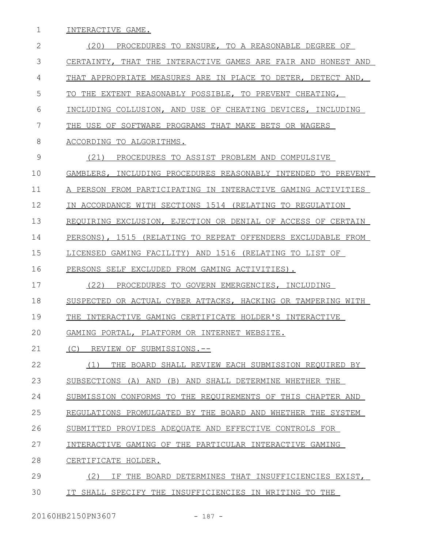1 INTERACTIVE GAME.

| 2  | (20)<br>PROCEDURES TO ENSURE, TO A REASONABLE DEGREE OF       |
|----|---------------------------------------------------------------|
| 3  | CERTAINTY, THAT THE INTERACTIVE GAMES ARE FAIR AND HONEST AND |
| 4  | THAT APPROPRIATE MEASURES ARE IN PLACE TO DETER, DETECT AND,  |
| 5  | TO THE EXTENT REASONABLY POSSIBLE, TO PREVENT CHEATING,       |
| 6  | INCLUDING COLLUSION, AND USE OF CHEATING DEVICES, INCLUDING   |
| 7  | THE USE OF SOFTWARE PROGRAMS THAT MAKE BETS OR WAGERS         |
| 8  | ACCORDING TO ALGORITHMS.                                      |
| 9  | (21)<br>PROCEDURES TO ASSIST PROBLEM AND COMPULSIVE           |
| 10 | GAMBLERS, INCLUDING PROCEDURES REASONABLY INTENDED TO PREVENT |
| 11 | A PERSON FROM PARTICIPATING IN INTERACTIVE GAMING ACTIVITIES  |
| 12 | IN ACCORDANCE WITH SECTIONS 1514 (RELATING TO REGULATION      |
| 13 | REQUIRING EXCLUSION, EJECTION OR DENIAL OF ACCESS OF CERTAIN  |
| 14 | PERSONS), 1515 (RELATING TO REPEAT OFFENDERS EXCLUDABLE FROM  |
| 15 | LICENSED GAMING FACILITY) AND 1516 (RELATING TO LIST OF       |
| 16 | PERSONS SELF EXCLUDED FROM GAMING ACTIVITIES).                |
| 17 | (22)<br>PROCEDURES TO GOVERN EMERGENCIES, INCLUDING           |
| 18 | SUSPECTED OR ACTUAL CYBER ATTACKS, HACKING OR TAMPERING WITH  |
| 19 | THE INTERACTIVE GAMING CERTIFICATE HOLDER'S INTERACTIVE       |
| 20 | GAMING PORTAL, PLATFORM OR INTERNET WEBSITE.                  |
| 21 | (C) REVIEW OF SUBMISSIONS.--                                  |
| 22 | THE BOARD SHALL REVIEW EACH SUBMISSION REOUIRED BY<br>(1)     |
| 23 | SUBSECTIONS (A) AND (B) AND SHALL DETERMINE WHETHER THE       |
| 24 | SUBMISSION CONFORMS TO THE REQUIREMENTS OF THIS CHAPTER AND   |
| 25 | REGULATIONS PROMULGATED BY THE BOARD AND WHETHER THE SYSTEM   |
| 26 | SUBMITTED PROVIDES ADEQUATE AND EFFECTIVE CONTROLS FOR        |
| 27 | INTERACTIVE GAMING OF THE PARTICULAR INTERACTIVE GAMING       |
| 28 | CERTIFICATE HOLDER.                                           |
| 29 | (2)<br>ΤF<br>THE BOARD DETERMINES THAT INSUFFICIENCIES EXIST, |
| 30 | IT SHALL SPECIFY THE INSUFFICIENCIES IN WRITING TO THE        |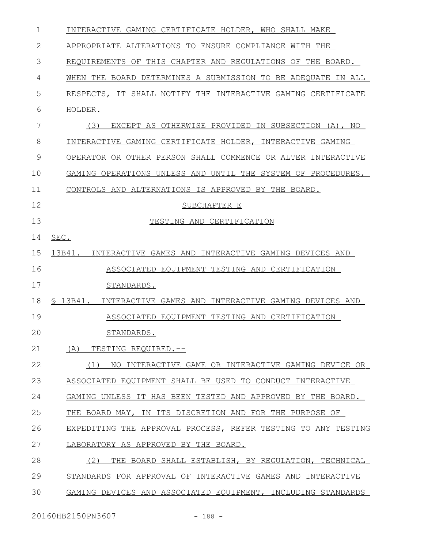| $\mathbf 1$ | INTERACTIVE GAMING CERTIFICATE HOLDER, WHO SHALL MAKE            |
|-------------|------------------------------------------------------------------|
| 2           | APPROPRIATE ALTERATIONS TO ENSURE COMPLIANCE WITH THE            |
| 3           | REOUIREMENTS OF THIS CHAPTER AND REGULATIONS OF THE BOARD.       |
| 4           | WHEN THE BOARD DETERMINES A SUBMISSION TO BE ADEOUATE IN ALL     |
| 5           | RESPECTS, IT SHALL NOTIFY THE INTERACTIVE GAMING CERTIFICATE     |
| 6           | HOLDER.                                                          |
| 7           | (3)<br>EXCEPT AS OTHERWISE PROVIDED IN SUBSECTION (A), NO        |
| 8           | INTERACTIVE GAMING CERTIFICATE HOLDER, INTERACTIVE GAMING        |
| 9           | OPERATOR OR OTHER PERSON SHALL COMMENCE OR ALTER INTERACTIVE     |
| 10          | GAMING OPERATIONS UNLESS AND UNTIL THE SYSTEM OF PROCEDURES,     |
| 11          | CONTROLS AND ALTERNATIONS IS APPROVED BY THE BOARD.              |
| 12          | SUBCHAPTER E                                                     |
| 13          | TESTING AND CERTIFICATION                                        |
| 14          | SEC.                                                             |
| 15          | 13B41.<br>INTERACTIVE GAMES AND INTERACTIVE GAMING DEVICES AND   |
| 16          | ASSOCIATED EOUIPMENT TESTING AND CERTIFICATION                   |
| 17          | STANDARDS.                                                       |
| 18          | \$13B41.<br>INTERACTIVE GAMES AND INTERACTIVE GAMING DEVICES AND |
| 19          | ASSOCIATED EOUIPMENT TESTING AND CERTIFICATION                   |
| 20          | STANDARDS.                                                       |
| 21          | (A)<br>TESTING REOUIRED.--                                       |
| 22          | NO INTERACTIVE GAME OR INTERACTIVE GAMING DEVICE OR<br>(1)       |
| 23          | ASSOCIATED EQUIPMENT SHALL BE USED TO CONDUCT INTERACTIVE        |
| 24          | GAMING UNLESS IT HAS BEEN TESTED AND APPROVED BY THE BOARD.      |
| 25          | THE BOARD MAY, IN ITS DISCRETION AND FOR THE PURPOSE OF          |
| 26          | EXPEDITING THE APPROVAL PROCESS, REFER TESTING TO ANY TESTING    |
| 27          | LABORATORY AS APPROVED BY THE BOARD.                             |
| 28          | (2)<br>THE BOARD SHALL ESTABLISH, BY REGULATION, TECHNICAL       |
| 29          | STANDARDS FOR APPROVAL OF INTERACTIVE GAMES AND INTERACTIVE      |
| 30          | GAMING DEVICES AND ASSOCIATED EQUIPMENT, INCLUDING STANDARDS     |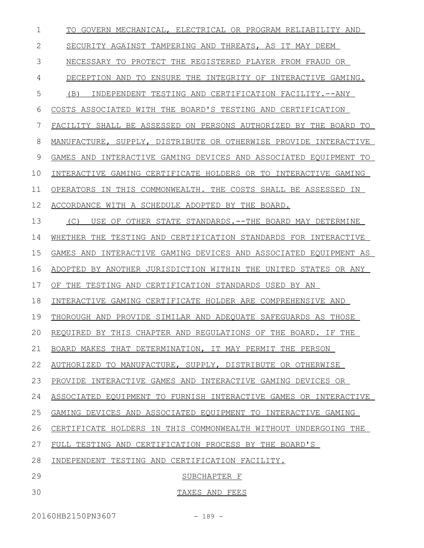| $\mathbf 1$ | TO GOVERN MECHANICAL, ELECTRICAL OR PROGRAM RELIABILITY AND      |
|-------------|------------------------------------------------------------------|
| 2           | SECURITY AGAINST TAMPERING AND THREATS, AS IT MAY DEEM           |
| 3           | NECESSARY TO PROTECT THE REGISTERED PLAYER FROM FRAUD OR         |
| 4           | DECEPTION AND TO ENSURE THE INTEGRITY OF INTERACTIVE GAMING.     |
| 5           | INDEPENDENT TESTING AND CERTIFICATION FACILITY.--ANY<br>(B)      |
| 6           | COSTS ASSOCIATED WITH THE BOARD'S TESTING AND CERTIFICATION      |
| 7           | FACILITY SHALL BE ASSESSED ON PERSONS AUTHORIZED BY THE BOARD TO |
| 8           | MANUFACTURE, SUPPLY, DISTRIBUTE OR OTHERWISE PROVIDE INTERACTIVE |
| 9           | GAMES AND INTERACTIVE GAMING DEVICES AND ASSOCIATED EQUIPMENT TO |
| 10          | INTERACTIVE GAMING CERTIFICATE HOLDERS OR TO INTERACTIVE GAMING  |
| 11          | OPERATORS IN THIS COMMONWEALTH. THE COSTS SHALL BE ASSESSED IN   |
| 12          | ACCORDANCE WITH A SCHEDULE ADOPTED BY THE BOARD.                 |
| 13          | USE OF OTHER STATE STANDARDS.--THE BOARD MAY DETERMINE<br>(C)    |
| 14          | WHETHER THE TESTING AND CERTIFICATION STANDARDS FOR INTERACTIVE  |
| 15          | GAMES AND INTERACTIVE GAMING DEVICES AND ASSOCIATED EQUIPMENT AS |
| 16          | ADOPTED BY ANOTHER JURISDICTION WITHIN THE UNITED STATES OR ANY  |
| 17          | OF THE TESTING AND CERTIFICATION STANDARDS USED BY AN            |
| 18          | INTERACTIVE GAMING CERTIFICATE HOLDER ARE COMPREHENSIVE AND      |
| 19          | THOROUGH AND PROVIDE SIMILAR AND ADEOUATE SAFEGUARDS AS THOSE    |
| 20          | REQUIRED BY THIS CHAPTER AND REGULATIONS OF THE BOARD. IF THE    |
| 21          | BOARD MAKES THAT DETERMINATION, IT MAY PERMIT THE PERSON         |
| 22          | AUTHORIZED TO MANUFACTURE, SUPPLY, DISTRIBUTE OR OTHERWISE       |
| 23          | PROVIDE INTERACTIVE GAMES AND INTERACTIVE GAMING DEVICES OR      |
| 24          | ASSOCIATED EQUIPMENT TO FURNISH INTERACTIVE GAMES OR INTERACTIVE |
| 25          | GAMING DEVICES AND ASSOCIATED EQUIPMENT TO INTERACTIVE GAMING    |
| 26          | CERTIFICATE HOLDERS IN THIS COMMONWEALTH WITHOUT UNDERGOING THE  |
| 27          | FULL TESTING AND CERTIFICATION PROCESS BY THE BOARD'S            |
| 28          | INDEPENDENT TESTING AND CERTIFICATION FACILITY.                  |
| 29          | SUBCHAPTER F                                                     |
| 30          | TAXES AND FEES                                                   |
|             |                                                                  |

20160HB2150PN3607 - 189 -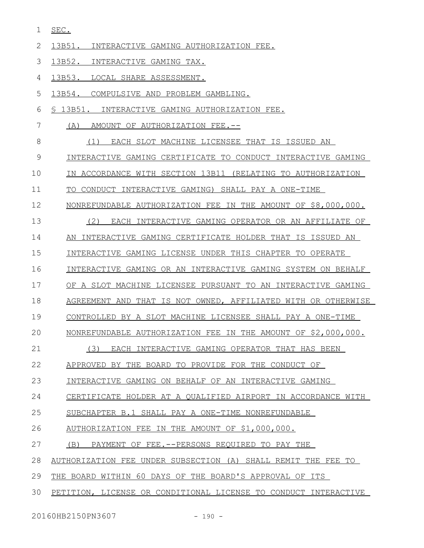SEC. 1

|  |  | INTERACTIVE GAMING AUTHORIZATION FEE. |  |
|--|--|---------------------------------------|--|
|  |  |                                       |  |

- 13B52. INTERACTIVE GAMING TAX. 3
- 13B53. LOCAL SHARE ASSESSMENT. 4
- 13B54. COMPULSIVE AND PROBLEM GAMBLING. 5
- § 13B51. INTERACTIVE GAMING AUTHORIZATION FEE. 6
- (A) AMOUNT OF AUTHORIZATION FEE.-- 7
- (1) EACH SLOT MACHINE LICENSEE THAT IS ISSUED AN 8
- INTERACTIVE GAMING CERTIFICATE TO CONDUCT INTERACTIVE GAMING 9
- IN ACCORDANCE WITH SECTION 13B11 (RELATING TO AUTHORIZATION 10
- TO CONDUCT INTERACTIVE GAMING) SHALL PAY A ONE-TIME 11
- NONREFUNDABLE AUTHORIZATION FEE IN THE AMOUNT OF \$8,000,000. 12
- (2) EACH INTERACTIVE GAMING OPERATOR OR AN AFFILIATE OF 13
- AN INTERACTIVE GAMING CERTIFICATE HOLDER THAT IS ISSUED AN 14
- INTERACTIVE GAMING LICENSE UNDER THIS CHAPTER TO OPERATE 15
- INTERACTIVE GAMING OR AN INTERACTIVE GAMING SYSTEM ON BEHALF 16
- OF A SLOT MACHINE LICENSEE PURSUANT TO AN INTERACTIVE GAMING 17
- AGREEMENT AND THAT IS NOT OWNED, AFFILIATED WITH OR OTHERWISE 18
- CONTROLLED BY A SLOT MACHINE LICENSEE SHALL PAY A ONE-TIME 19
- NONREFUNDABLE AUTHORIZATION FEE IN THE AMOUNT OF \$2,000,000.  $20$
- (3) EACH INTERACTIVE GAMING OPERATOR THAT HAS BEEN 21
- APPROVED BY THE BOARD TO PROVIDE FOR THE CONDUCT OF 22
- INTERACTIVE GAMING ON BEHALF OF AN INTERACTIVE GAMING 23
- CERTIFICATE HOLDER AT A QUALIFIED AIRPORT IN ACCORDANCE WITH 24
- SUBCHAPTER B.1 SHALL PAY A ONE-TIME NONREFUNDABLE 25
- AUTHORIZATION FEE IN THE AMOUNT OF \$1,000,000. 26
- (B) PAYMENT OF FEE.--PERSONS REQUIRED TO PAY THE 27
- AUTHORIZATION FEE UNDER SUBSECTION (A) SHALL REMIT THE FEE TO 28
- THE BOARD WITHIN 60 DAYS OF THE BOARD'S APPROVAL OF ITS 29
- PETITION, LICENSE OR CONDITIONAL LICENSE TO CONDUCT INTERACTIVE 30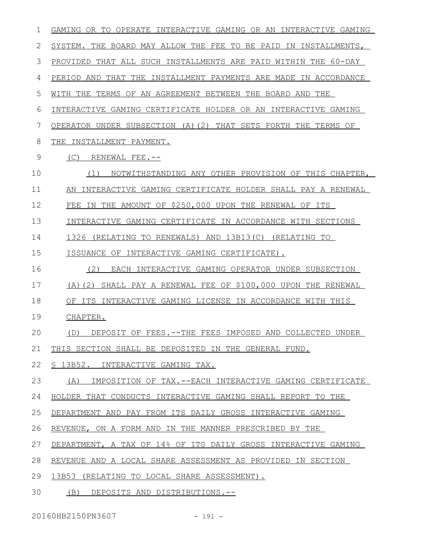| 1  | GAMING OR TO OPERATE INTERACTIVE GAMING OR AN INTERACTIVE GAMING |
|----|------------------------------------------------------------------|
| 2  | SYSTEM. THE BOARD MAY ALLOW THE FEE TO BE PAID IN INSTALLMENTS,  |
| 3  | PROVIDED THAT ALL SUCH INSTALLMENTS ARE PAID WITHIN THE 60-DAY   |
| 4  | PERIOD AND THAT THE INSTALLMENT PAYMENTS ARE MADE IN ACCORDANCE  |
| 5  | WITH THE TERMS OF AN AGREEMENT BETWEEN THE BOARD AND THE         |
| 6  | INTERACTIVE GAMING CERTIFICATE HOLDER OR AN INTERACTIVE GAMING   |
| 7  | OPERATOR UNDER SUBSECTION (A)(2) THAT SETS FORTH THE TERMS OF    |
| 8  | THE INSTALLMENT PAYMENT.                                         |
| 9  | (C)<br>RENEWAL FEE.--                                            |
| 10 | NOTWITHSTANDING ANY OTHER PROVISION OF THIS CHAPTER,<br>(1)      |
| 11 | AN INTERACTIVE GAMING CERTIFICATE HOLDER SHALL PAY A RENEWAL     |
| 12 | IN THE AMOUNT OF \$250,000 UPON THE RENEWAL OF ITS<br>FEE        |
| 13 | INTERACTIVE GAMING CERTIFICATE IN ACCORDANCE WITH SECTIONS       |
| 14 | 1326 (RELATING TO RENEWALS) AND 13B13(C) (RELATING TO            |
| 15 | ISSUANCE OF INTERACTIVE GAMING CERTIFICATE).                     |
| 16 | (2)<br>EACH INTERACTIVE GAMING OPERATOR UNDER SUBSECTION         |
| 17 | (A) (2) SHALL PAY A RENEWAL FEE OF \$100,000 UPON THE RENEWAL    |
| 18 | OF ITS INTERACTIVE GAMING LICENSE IN ACCORDANCE WITH THIS        |
| 19 | CHAPTER.                                                         |
| 20 | DEPOSIT OF FEES. -- THE FEES IMPOSED AND COLLECTED UNDER<br>(D)  |
| 21 | THIS SECTION SHALL BE DEPOSITED IN THE GENERAL FUND.             |
| 22 | \$ 13B52. INTERACTIVE GAMING TAX.                                |
| 23 | IMPOSITION OF TAX.--EACH INTERACTIVE GAMING CERTIFICATE<br>(A)   |
| 24 | HOLDER THAT CONDUCTS INTERACTIVE GAMING SHALL REPORT TO THE      |
| 25 | DEPARTMENT AND PAY FROM ITS DAILY GROSS INTERACTIVE GAMING       |
| 26 | REVENUE, ON A FORM AND IN THE MANNER PRESCRIBED BY THE           |
| 27 | DEPARTMENT, A TAX OF 14% OF ITS DAILY GROSS INTERACTIVE GAMING   |
| 28 | REVENUE AND A LOCAL SHARE ASSESSMENT AS PROVIDED IN SECTION      |
| 29 | 13B53 (RELATING TO LOCAL SHARE ASSESSMENT).                      |
| 30 | (B) DEPOSITS AND DISTRIBUTIONS.--                                |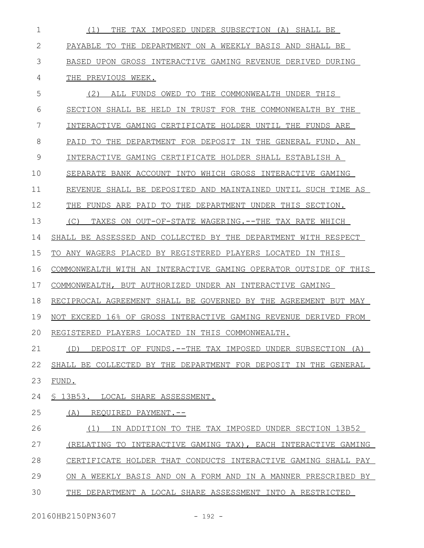| 1            | THE TAX IMPOSED UNDER SUBSECTION (A) SHALL BE<br>(1)             |
|--------------|------------------------------------------------------------------|
| $\mathbf{2}$ | PAYABLE TO THE DEPARTMENT ON A WEEKLY BASIS AND SHALL BE         |
| 3            | BASED UPON GROSS INTERACTIVE GAMING REVENUE DERIVED DURING       |
| 4            | THE PREVIOUS WEEK.                                               |
| 5            | (2)<br>ALL FUNDS OWED TO THE COMMONWEALTH UNDER THIS             |
| 6            | SECTION SHALL BE HELD IN TRUST FOR THE COMMONWEALTH BY THE       |
| 7            | INTERACTIVE GAMING CERTIFICATE HOLDER UNTIL THE FUNDS ARE        |
| 8            | DEPARTMENT FOR DEPOSIT IN THE GENERAL FUND. AN<br>PAID TO THE    |
| 9            | INTERACTIVE GAMING CERTIFICATE HOLDER SHALL ESTABLISH A          |
| 10           | SEPARATE BANK ACCOUNT INTO WHICH GROSS INTERACTIVE GAMING        |
| 11           | REVENUE SHALL BE DEPOSITED AND MAINTAINED UNTIL SUCH TIME AS     |
| 12           | FUNDS ARE PAID TO THE DEPARTMENT UNDER THIS SECTION.<br>THE      |
| 13           | TAXES ON OUT-OF-STATE WAGERING. --THE TAX RATE WHICH<br>(C)      |
| 14           | SHALL BE ASSESSED AND COLLECTED BY THE DEPARTMENT WITH RESPECT   |
| 15           | TO ANY WAGERS PLACED BY REGISTERED PLAYERS LOCATED IN THIS       |
| 16           | COMMONWEALTH WITH AN INTERACTIVE GAMING OPERATOR OUTSIDE OF THIS |
| 17           | COMMONWEALTH, BUT AUTHORIZED UNDER AN INTERACTIVE GAMING         |
| 18           | RECIPROCAL AGREEMENT SHALL BE GOVERNED BY THE AGREEMENT BUT MAY  |
| 19           | NOT EXCEED 16% OF GROSS INTERACTIVE GAMING REVENUE DERIVED FROM  |
| 20           | REGISTERED PLAYERS LOCATED IN THIS COMMONWEALTH.                 |
| 21           | DEPOSIT OF FUNDS.--THE TAX IMPOSED UNDER SUBSECTION (A)<br>(D)   |
| 22           | SHALL BE COLLECTED BY THE DEPARTMENT FOR DEPOSIT IN THE GENERAL  |
| 23           | FUND.                                                            |
| 24           | § 13B53. LOCAL SHARE ASSESSMENT.                                 |
| 25           | (A)<br>REOUIRED PAYMENT.--                                       |
| 26           | IN ADDITION TO THE TAX IMPOSED UNDER SECTION 13B52<br>(1)        |
| 27           | (RELATING TO INTERACTIVE GAMING TAX), EACH INTERACTIVE GAMING    |
| 28           | CERTIFICATE HOLDER THAT CONDUCTS INTERACTIVE GAMING SHALL PAY    |
| 29           | ON A WEEKLY BASIS AND ON A FORM AND IN A MANNER PRESCRIBED BY    |
| 30           | THE<br>DEPARTMENT A LOCAL SHARE ASSESSMENT INTO A RESTRICTED     |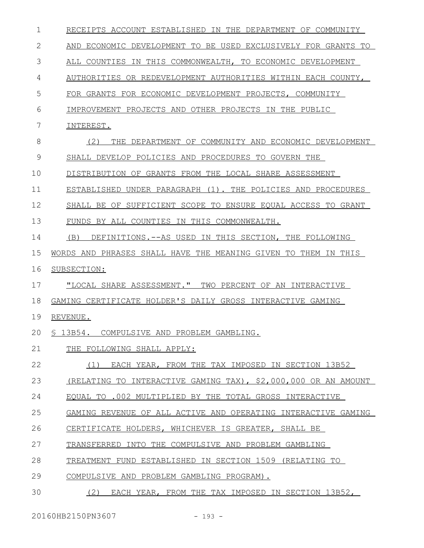| $\mathbf 1$  | RECEIPTS ACCOUNT ESTABLISHED IN THE DEPARTMENT OF COMMUNITY    |
|--------------|----------------------------------------------------------------|
| $\mathbf{2}$ | AND ECONOMIC DEVELOPMENT TO BE USED EXCLUSIVELY FOR GRANTS TO  |
| 3            | ALL COUNTIES IN THIS COMMONWEALTH, TO ECONOMIC DEVELOPMENT     |
| 4            | AUTHORITIES OR REDEVELOPMENT AUTHORITIES WITHIN EACH COUNTY,   |
| 5            | FOR GRANTS FOR ECONOMIC DEVELOPMENT PROJECTS, COMMUNITY        |
| 6            | IMPROVEMENT PROJECTS AND OTHER PROJECTS IN THE PUBLIC          |
| 7            | INTEREST.                                                      |
| 8            | (2)<br>THE DEPARTMENT OF COMMUNITY AND ECONOMIC DEVELOPMENT    |
| 9            | SHALL DEVELOP POLICIES AND PROCEDURES TO GOVERN THE            |
| 10           | DISTRIBUTION OF GRANTS FROM THE LOCAL SHARE ASSESSMENT         |
| 11           | ESTABLISHED UNDER PARAGRAPH (1). THE POLICIES AND PROCEDURES   |
| 12           | SHALL BE OF SUFFICIENT SCOPE TO ENSURE EQUAL ACCESS TO GRANT   |
| 13           | FUNDS BY ALL COUNTIES IN THIS COMMONWEALTH.                    |
| 14           | DEFINITIONS. -- AS USED IN THIS SECTION, THE FOLLOWING<br>(B)  |
| 15           | WORDS AND PHRASES SHALL HAVE THE MEANING GIVEN TO THEM IN THIS |
| 16           | SUBSECTION:                                                    |
| 17           | "LOCAL SHARE ASSESSMENT." TWO PERCENT OF AN INTERACTIVE        |
| 18           | GAMING CERTIFICATE HOLDER'S DAILY GROSS INTERACTIVE GAMING     |
| 19           | REVENUE.                                                       |
| 20           | \$13B54. COMPULSIVE AND PROBLEM GAMBLING.                      |
| 21           | THE FOLLOWING SHALL APPLY:                                     |
| 22           | EACH YEAR, FROM THE TAX IMPOSED IN SECTION 13B52<br>(1)        |
| 23           | (RELATING TO INTERACTIVE GAMING TAX), \$2,000,000 OR AN AMOUNT |
| 24           | EOUAL TO .002 MULTIPLIED BY THE TOTAL GROSS INTERACTIVE        |
| 25           | GAMING REVENUE OF ALL ACTIVE AND OPERATING INTERACTIVE GAMING  |
| 26           | CERTIFICATE HOLDERS, WHICHEVER IS GREATER, SHALL BE            |
| 27           | TRANSFERRED INTO THE COMPULSIVE AND PROBLEM GAMBLING           |
| 28           | TREATMENT FUND ESTABLISHED IN SECTION 1509 (RELATING TO        |
| 29           |                                                                |
|              | COMPULSIVE AND PROBLEM GAMBLING PROGRAM).                      |

20160HB2150PN3607 - 193 -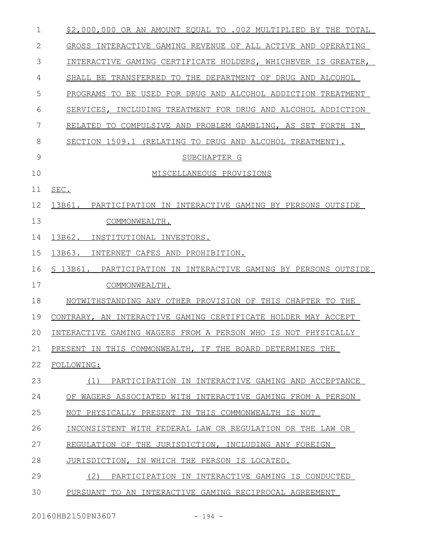| 1  | \$2,000,000 OR AN AMOUNT EQUAL TO .002 MULTIPLIED BY THE TOTAL    |
|----|-------------------------------------------------------------------|
| 2  | GROSS INTERACTIVE GAMING REVENUE OF ALL ACTIVE AND OPERATING      |
| 3  | INTERACTIVE GAMING CERTIFICATE HOLDERS, WHICHEVER IS GREATER,     |
| 4  | SHALL BE TRANSFERRED TO THE DEPARTMENT OF DRUG AND ALCOHOL        |
| 5  | BE USED FOR DRUG AND ALCOHOL ADDICTION TREATMENT<br>PROGRAMS TO   |
| 6  | SERVICES, INCLUDING TREATMENT FOR DRUG AND ALCOHOL ADDICTION      |
| 7  | RELATED<br>TO COMPULSIVE AND PROBLEM GAMBLING, AS SET FORTH<br>IN |
| 8  | SECTION 1509.1 (RELATING TO DRUG AND ALCOHOL TREATMENT).          |
| 9  | SUBCHAPTER G                                                      |
| 10 | MISCELLANEOUS PROVISIONS                                          |
| 11 | SEC.                                                              |
| 12 | PARTICIPATION IN INTERACTIVE GAMING BY PERSONS OUTSIDE<br>13B61.  |
| 13 | COMMONWEALTH.                                                     |
| 14 | 13B62.<br>INSTITUTIONAL INVESTORS.                                |
| 15 | 13B63.<br>INTERNET CAFES AND PROHIBITION.                         |
| 16 | \$ 13B61. PARTICIPATION IN INTERACTIVE GAMING BY PERSONS OUTSIDE  |
| 17 | COMMONWEALTH.                                                     |
| 18 | NOTWITHSTANDING ANY OTHER PROVISION OF THIS CHAPTER TO THE        |
| 19 | CONTRARY, AN INTERACTIVE GAMING CERTIFICATE HOLDER MAY ACCEPT     |
| 20 | INTERACTIVE GAMING WAGERS FROM A PERSON WHO IS NOT PHYSICALLY     |
| 21 | PRESENT IN THIS COMMONWEALTH, IF THE BOARD DETERMINES THE         |
| 22 | FOLLOWING:                                                        |
| 23 | PARTICIPATION IN INTERACTIVE GAMING AND ACCEPTANCE<br>(1)         |
| 24 | OF WAGERS ASSOCIATED WITH INTERACTIVE GAMING FROM A PERSON        |
| 25 | NOT PHYSICALLY PRESENT IN THIS COMMONWEALTH IS NOT                |
| 26 | INCONSISTENT WITH FEDERAL LAW OR REGULATION OR THE LAW OR         |
| 27 | REGULATION OF THE JURISDICTION, INCLUDING ANY FOREIGN             |
| 28 | JURISDICTION, IN WHICH THE PERSON IS LOCATED.                     |
| 29 | (2)<br>PARTICIPATION IN INTERACTIVE GAMING IS CONDUCTED           |
| 30 | PURSUANT TO AN INTERACTIVE GAMING RECIPROCAL AGREEMENT            |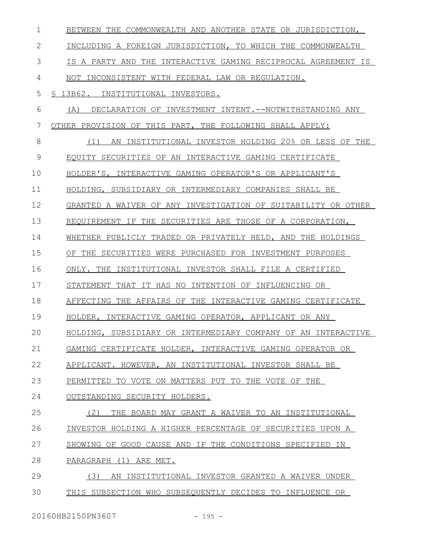| $\mathbf{1}$  | BETWEEN THE COMMONWEALTH AND ANOTHER STATE OR JURISDICTION,    |
|---------------|----------------------------------------------------------------|
| $\mathbf{2}$  | INCLUDING A FOREIGN JURISDICTION, TO WHICH THE COMMONWEALTH    |
| 3             | IS A PARTY AND THE INTERACTIVE GAMING RECIPROCAL AGREEMENT IS  |
| 4             | NOT INCONSISTENT WITH FEDERAL LAW OR REGULATION.               |
| 5             | § 13B62. INSTITUTIONAL INVESTORS.                              |
| 6             | DECLARATION OF INVESTMENT INTENT. --NOTWITHSTANDING ANY<br>(A) |
| 7             | OTHER PROVISION OF THIS PART, THE FOLLOWING SHALL APPLY:       |
| 8             | AN INSTITUTIONAL INVESTOR HOLDING 20% OR LESS OF THE<br>(1)    |
| $\mathcal{G}$ | EOUITY SECURITIES OF AN INTERACTIVE GAMING CERTIFICATE         |
| 10            | HOLDER'S, INTERACTIVE GAMING OPERATOR'S OR APPLICANT'S         |
| 11            | HOLDING, SUBSIDIARY OR INTERMEDIARY COMPANIES SHALL BE         |
| 12            | GRANTED A WAIVER OF ANY INVESTIGATION OF SUITABILITY OR OTHER  |
| 13            | REOUIREMENT IF THE SECURITIES ARE THOSE OF A CORPORATION,      |
| 14            | WHETHER PUBLICLY TRADED OR PRIVATELY HELD, AND THE HOLDINGS    |
| 15            | OF THE SECURITIES WERE PURCHASED FOR INVESTMENT PURPOSES       |
| 16            | ONLY. THE INSTITUTIONAL INVESTOR SHALL FILE A CERTIFIED        |
| 17            | STATEMENT THAT IT HAS NO INTENTION OF INFLUENCING OR           |
| 18            | AFFECTING THE AFFAIRS OF THE INTERACTIVE GAMING CERTIFICATE    |
| 19            | HOLDER, INTERACTIVE GAMING OPERATOR, APPLICANT OR ANY          |
| 20            | HOLDING, SUBSIDIARY OR INTERMEDIARY COMPANY OF AN INTERACTIVE  |
| 21            | GAMING CERTIFICATE HOLDER, INTERACTIVE GAMING OPERATOR OR      |
| 22            | APPLICANT. HOWEVER, AN INSTITUTIONAL INVESTOR SHALL BE         |
| 23            | PERMITTED TO VOTE ON MATTERS PUT TO THE VOTE OF THE            |
| 24            | OUTSTANDING SECURITY HOLDERS.                                  |
| 25            | (2)<br>THE BOARD MAY GRANT A WAIVER TO AN INSTITUTIONAL        |
| 26            | INVESTOR HOLDING A HIGHER PERCENTAGE OF SECURITIES UPON A      |
| 27            | SHOWING OF GOOD CAUSE AND IF THE CONDITIONS SPECIFIED IN       |
| 28            | PARAGRAPH (1) ARE MET.                                         |
| 29            | (3)<br>AN INSTITUTIONAL INVESTOR GRANTED A WAIVER UNDER        |
| 30            | THIS SUBSECTION WHO SUBSEOUENTLY DECIDES TO INFLUENCE OR       |
|               |                                                                |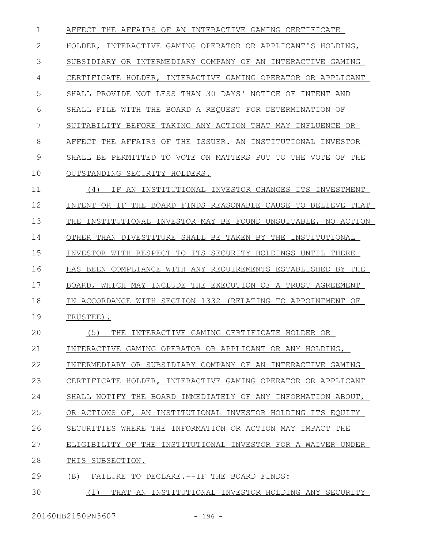AFFECT THE AFFAIRS OF AN INTERACTIVE GAMING CERTIFICATE HOLDER, INTERACTIVE GAMING OPERATOR OR APPLICANT'S HOLDING, SUBSIDIARY OR INTERMEDIARY COMPANY OF AN INTERACTIVE GAMING CERTIFICATE HOLDER, INTERACTIVE GAMING OPERATOR OR APPLICANT SHALL PROVIDE NOT LESS THAN 30 DAYS' NOTICE OF INTENT AND SHALL FILE WITH THE BOARD A REQUEST FOR DETERMINATION OF SUITABILITY BEFORE TAKING ANY ACTION THAT MAY INFLUENCE OR AFFECT THE AFFAIRS OF THE ISSUER. AN INSTITUTIONAL INVESTOR SHALL BE PERMITTED TO VOTE ON MATTERS PUT TO THE VOTE OF THE OUTSTANDING SECURITY HOLDERS. (4) IF AN INSTITUTIONAL INVESTOR CHANGES ITS INVESTMENT INTENT OR IF THE BOARD FINDS REASONABLE CAUSE TO BELIEVE THAT THE INSTITUTIONAL INVESTOR MAY BE FOUND UNSUITABLE, NO ACTION OTHER THAN DIVESTITURE SHALL BE TAKEN BY THE INSTITUTIONAL INVESTOR WITH RESPECT TO ITS SECURITY HOLDINGS UNTIL THERE HAS BEEN COMPLIANCE WITH ANY REQUIREMENTS ESTABLISHED BY THE BOARD, WHICH MAY INCLUDE THE EXECUTION OF A TRUST AGREEMENT IN ACCORDANCE WITH SECTION 1332 (RELATING TO APPOINTMENT OF TRUSTEE). (5) THE INTERACTIVE GAMING CERTIFICATE HOLDER OR INTERACTIVE GAMING OPERATOR OR APPLICANT OR ANY HOLDING, INTERMEDIARY OR SUBSIDIARY COMPANY OF AN INTERACTIVE GAMING CERTIFICATE HOLDER, INTERACTIVE GAMING OPERATOR OR APPLICANT SHALL NOTIFY THE BOARD IMMEDIATELY OF ANY INFORMATION ABOUT, OR ACTIONS OF, AN INSTITUTIONAL INVESTOR HOLDING ITS EQUITY SECURITIES WHERE THE INFORMATION OR ACTION MAY IMPACT THE ELIGIBILITY OF THE INSTITUTIONAL INVESTOR FOR A WAIVER UNDER THIS SUBSECTION. (B) FAILURE TO DECLARE.--IF THE BOARD FINDS: (1) THAT AN INSTITUTIONAL INVESTOR HOLDING ANY SECURITY 1 2 3 4 5 6 7 8 9 10 11 12 13 14 15 16 17 18 19  $20$ 21 22 23 24 25 26 27 28 29 30

20160HB2150PN3607 - 196 -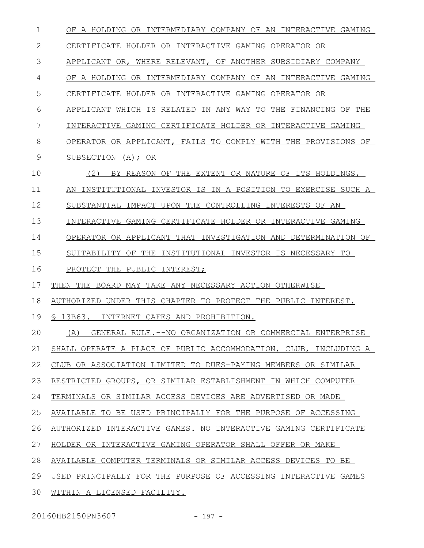| 1  | OF A HOLDING OR INTERMEDIARY COMPANY OF AN INTERACTIVE GAMING    |
|----|------------------------------------------------------------------|
| 2  | CERTIFICATE HOLDER OR INTERACTIVE GAMING OPERATOR OR             |
| 3  | APPLICANT OR, WHERE RELEVANT, OF ANOTHER SUBSIDIARY COMPANY      |
| 4  | OF A HOLDING OR INTERMEDIARY COMPANY OF AN INTERACTIVE GAMING    |
| 5  | CERTIFICATE HOLDER OR INTERACTIVE GAMING OPERATOR OR             |
| 6  | APPLICANT WHICH IS RELATED IN ANY WAY TO THE FINANCING OF THE    |
| 7  | INTERACTIVE GAMING CERTIFICATE HOLDER OR INTERACTIVE GAMING      |
| 8  | OPERATOR OR APPLICANT, FAILS TO COMPLY WITH THE PROVISIONS OF    |
| 9  | SUBSECTION (A); OR                                               |
| 10 | (2)<br>BY REASON OF THE EXTENT OR NATURE OF ITS HOLDINGS,        |
| 11 | AN INSTITUTIONAL INVESTOR IS IN A POSITION TO EXERCISE SUCH A    |
| 12 | SUBSTANTIAL IMPACT UPON THE CONTROLLING INTERESTS OF AN          |
| 13 | INTERACTIVE GAMING CERTIFICATE HOLDER OR INTERACTIVE GAMING      |
| 14 | OPERATOR OR APPLICANT THAT INVESTIGATION AND DETERMINATION OF    |
| 15 | SUITABILITY OF THE INSTITUTIONAL INVESTOR IS NECESSARY TO        |
| 16 | PROTECT THE PUBLIC INTEREST;                                     |
| 17 | THEN THE BOARD MAY TAKE ANY NECESSARY ACTION OTHERWISE           |
| 18 | AUTHORIZED UNDER THIS CHAPTER TO PROTECT THE PUBLIC INTEREST.    |
| 19 | S 13B63.<br>INTERNET CAFES AND PROHIBITION.                      |
| 20 | GENERAL RULE. -- NO ORGANIZATION OR COMMERCIAL ENTERPRISE<br>(A) |
| 21 | SHALL OPERATE A PLACE OF PUBLIC ACCOMMODATION, CLUB, INCLUDING A |
| 22 | CLUB OR ASSOCIATION LIMITED TO DUES-PAYING MEMBERS OR SIMILAR    |
| 23 | RESTRICTED GROUPS, OR SIMILAR ESTABLISHMENT IN WHICH COMPUTER    |
| 24 | TERMINALS OR SIMILAR ACCESS DEVICES ARE ADVERTISED OR MADE       |
| 25 | AVAILABLE TO BE USED PRINCIPALLY FOR THE PURPOSE OF ACCESSING    |
| 26 | AUTHORIZED INTERACTIVE GAMES. NO INTERACTIVE GAMING CERTIFICATE  |
| 27 | HOLDER OR INTERACTIVE GAMING OPERATOR SHALL OFFER OR MAKE        |
| 28 | AVAILABLE COMPUTER TERMINALS OR SIMILAR ACCESS DEVICES TO BE     |
| 29 | USED PRINCIPALLY FOR THE PURPOSE OF ACCESSING INTERACTIVE GAMES  |
| 30 | WITHIN A LICENSED FACILITY.                                      |
|    |                                                                  |

20160HB2150PN3607 - 197 -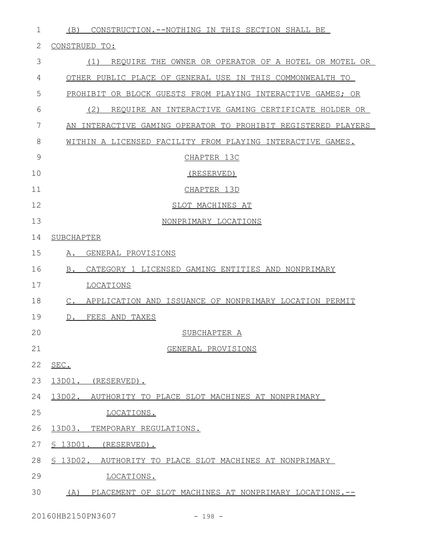| $\mathbf{1}$ | CONSTRUCTION. -- NOTHING IN THIS SECTION SHALL BE<br>(B)                 |
|--------------|--------------------------------------------------------------------------|
| 2            | CONSTRUED TO:                                                            |
| 3            | (1)<br>REQUIRE THE OWNER OR OPERATOR OF A HOTEL OR MOTEL OR              |
| 4            | OTHER PUBLIC PLACE OF GENERAL USE IN THIS COMMONWEALTH TO                |
| 5            | PROHIBIT OR BLOCK GUESTS FROM PLAYING INTERACTIVE GAMES; OR              |
| 6            | (2)<br>REQUIRE AN INTERACTIVE GAMING CERTIFICATE HOLDER OR               |
| 7            | AN INTERACTIVE GAMING OPERATOR TO PROHIBIT REGISTERED PLAYERS            |
| 8            | WITHIN A LICENSED FACILITY FROM PLAYING INTERACTIVE GAMES.               |
| 9            | CHAPTER 13C                                                              |
| 10           | (RESERVED)                                                               |
| 11           | CHAPTER 13D                                                              |
| 12           | SLOT MACHINES AT                                                         |
| 13           | NONPRIMARY LOCATIONS                                                     |
| 14           | SUBCHAPTER                                                               |
| 15           | GENERAL PROVISIONS<br>Α.                                                 |
| 16           | B.<br>CATEGORY 1 LICENSED GAMING ENTITIES AND NONPRIMARY                 |
| 17           | LOCATIONS                                                                |
| 18           | APPLICATION AND ISSUANCE OF NONPRIMARY LOCATION PERMIT<br>$\mathbb{C}$ . |
| 19           | FEES AND TAXES<br>$D_{\bullet}$                                          |
| 20           | <u>SUBCHAPTER A</u>                                                      |
| 21           | GENERAL PROVISIONS                                                       |
| 22           | SEC.                                                                     |
| 23           | 13D01. (RESERVED).                                                       |
| 24           | 13D02. AUTHORITY TO PLACE SLOT MACHINES AT NONPRIMARY                    |
| 25           | LOCATIONS.                                                               |
| 26           | 13D03. TEMPORARY REGULATIONS.                                            |
| 27           | $$13D01.$ (RESERVED).                                                    |
| 28           | § 13D02. AUTHORITY TO PLACE SLOT MACHINES AT NONPRIMARY                  |
| 29           | LOCATIONS.                                                               |
| 30           | (A) PLACEMENT OF SLOT MACHINES AT NONPRIMARY LOCATIONS.--                |
|              |                                                                          |

20160HB2150PN3607 - 198 -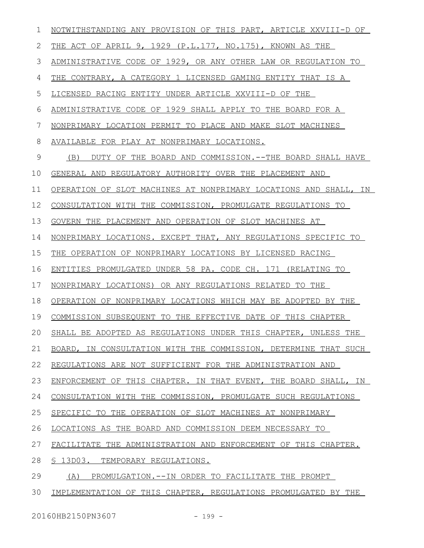| 1             | NOTWITHSTANDING ANY PROVISION OF THIS PART, ARTICLE XXVIII-D OF  |
|---------------|------------------------------------------------------------------|
| 2             | THE ACT OF APRIL 9, 1929 (P.L.177, NO.175), KNOWN AS THE         |
| 3             | ADMINISTRATIVE CODE OF 1929, OR ANY OTHER LAW OR REGULATION TO   |
| 4             | THE CONTRARY, A CATEGORY 1 LICENSED GAMING ENTITY THAT IS A      |
| 5             | LICENSED RACING ENTITY UNDER ARTICLE XXVIII-D OF THE             |
| 6             | ADMINISTRATIVE CODE OF 1929 SHALL APPLY TO THE BOARD FOR A       |
| 7             | NONPRIMARY LOCATION PERMIT TO PLACE AND MAKE SLOT MACHINES       |
| 8             | AVAILABLE FOR PLAY AT NONPRIMARY LOCATIONS.                      |
| $\mathcal{G}$ | (B)<br>DUTY OF THE BOARD AND COMMISSION.--THE BOARD SHALL HAVE   |
| 10            | GENERAL AND REGULATORY AUTHORITY OVER THE PLACEMENT AND          |
| 11            | OPERATION OF SLOT MACHINES AT NONPRIMARY LOCATIONS AND SHALL, IN |
| 12            | CONSULTATION WITH THE COMMISSION, PROMULGATE REGULATIONS TO      |
| 13            | GOVERN THE PLACEMENT AND OPERATION OF SLOT MACHINES AT           |
| 14            | NONPRIMARY LOCATIONS. EXCEPT THAT, ANY REGULATIONS SPECIFIC TO   |
| 15            | THE OPERATION OF NONPRIMARY LOCATIONS BY LICENSED RACING         |
| 16            | ENTITIES PROMULGATED UNDER 58 PA. CODE CH. 171 (RELATING TO      |
| 17            | NONPRIMARY LOCATIONS) OR ANY REGULATIONS RELATED TO THE          |
| 18            | OPERATION OF NONPRIMARY LOCATIONS WHICH MAY BE ADOPTED BY THE    |
| 19            | COMMISSION SUBSEQUENT TO THE EFFECTIVE DATE OF THIS CHAPTER      |
| 20            | SHALL BE ADOPTED AS REGULATIONS UNDER THIS CHAPTER, UNLESS THE   |
| 21            | BOARD, IN CONSULTATION WITH THE COMMISSION, DETERMINE THAT SUCH  |
| 22            | REGULATIONS ARE NOT SUFFICIENT FOR THE ADMINISTRATION AND        |
| 23            | ENFORCEMENT OF THIS CHAPTER. IN THAT EVENT, THE BOARD SHALL, IN  |
| 24            | CONSULTATION WITH THE COMMISSION, PROMULGATE SUCH REGULATIONS    |
| 25            | SPECIFIC TO THE OPERATION OF SLOT MACHINES AT NONPRIMARY         |
| 26            | LOCATIONS AS THE BOARD AND COMMISSION DEEM NECESSARY TO          |
| 27            | FACILITATE THE ADMINISTRATION AND ENFORCEMENT OF THIS CHAPTER.   |
| 28            | S 13D03. TEMPORARY REGULATIONS.                                  |
| 29            | PROMULGATION.--IN ORDER TO FACILITATE THE PROMPT<br>(A)          |
| 30            | IMPLEMENTATION OF THIS CHAPTER, REGULATIONS PROMULGATED BY THE   |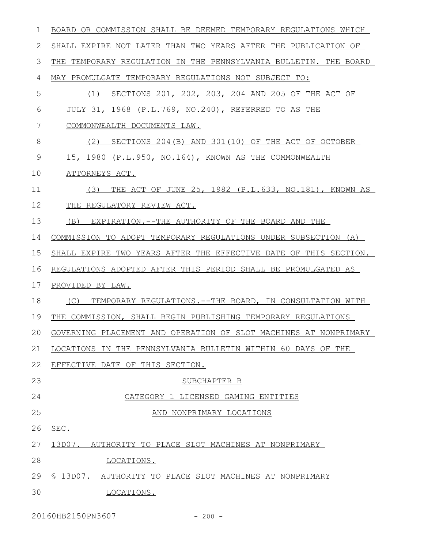| 1             | BOARD OR COMMISSION SHALL BE DEEMED TEMPORARY REGULATIONS WHICH      |
|---------------|----------------------------------------------------------------------|
| 2             | SHALL EXPIRE NOT LATER THAN TWO YEARS AFTER THE PUBLICATION OF       |
| 3             | TEMPORARY REGULATION IN THE PENNSYLVANIA BULLETIN. THE BOARD<br>THE. |
| 4             | MAY PROMULGATE TEMPORARY REGULATIONS NOT SUBJECT TO:                 |
| 5             | SECTIONS 201, 202, 203, 204 AND 205 OF THE ACT OF<br>(1)             |
| 6             | JULY 31, 1968 (P.L.769, NO.240), REFERRED TO AS THE                  |
| 7             | COMMONWEALTH DOCUMENTS LAW.                                          |
| 8             | (2)<br>SECTIONS 204(B) AND 301(10) OF THE ACT OF OCTOBER             |
| $\mathcal{G}$ | 15, 1980 (P.L.950, NO.164), KNOWN AS THE COMMONWEALTH                |
| 10            | ATTORNEYS ACT.                                                       |
| 11            | THE ACT OF JUNE 25, 1982 (P.L.633, NO.181), KNOWN AS<br>(3)          |
| 12            | THE REGULATORY REVIEW ACT.                                           |
| 13            | (B)<br>EXPIRATION.--THE AUTHORITY OF THE BOARD AND THE               |
| 14            | COMMISSION TO ADOPT TEMPORARY REGULATIONS UNDER SUBSECTION (A)       |
| 15            | SHALL EXPIRE TWO YEARS AFTER THE EFFECTIVE DATE OF THIS SECTION.     |
| 16            | REGULATIONS ADOPTED AFTER THIS PERIOD SHALL BE PROMULGATED AS        |
| 17            | PROVIDED BY LAW.                                                     |
| 18            | TEMPORARY REGULATIONS. -- THE BOARD, IN CONSULTATION WITH<br>(C)     |
| 19            | THE COMMISSION, SHALL BEGIN PUBLISHING TEMPORARY REGULATIONS         |
| 20            | GOVERNING PLACEMENT AND OPERATION OF SLOT MACHINES AT NONPRIMARY     |
| 21            | LOCATIONS IN THE PENNSYLVANIA BULLETIN WITHIN 60 DAYS OF THE         |
| 22            | EFFECTIVE DATE OF THIS SECTION.                                      |
| 23            | SUBCHAPTER B                                                         |
| 24            | CATEGORY 1 LICENSED GAMING ENTITIES                                  |
| 25            | AND NONPRIMARY LOCATIONS                                             |
| 26            | SEC.                                                                 |
| 27            | 13D07. AUTHORITY TO PLACE SLOT MACHINES AT NONPRIMARY                |
| 28            | LOCATIONS.                                                           |
| 29            | \$ 13D07. AUTHORITY TO PLACE SLOT MACHINES AT NONPRIMARY             |
| 30            | LOCATIONS.                                                           |
|               |                                                                      |

20160HB2150PN3607 - 200 -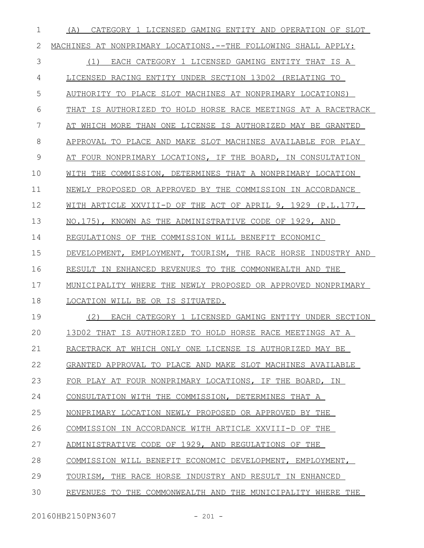| 1  | CATEGORY 1 LICENSED GAMING ENTITY AND OPERATION OF SLOT<br>(A) |
|----|----------------------------------------------------------------|
| 2  | MACHINES AT NONPRIMARY LOCATIONS. --THE FOLLOWING SHALL APPLY: |
| 3  | EACH CATEGORY 1 LICENSED GAMING ENTITY THAT IS A<br>(1)        |
| 4  | LICENSED RACING ENTITY UNDER SECTION 13D02 (RELATING TO        |
| 5  | AUTHORITY TO PLACE SLOT MACHINES AT NONPRIMARY LOCATIONS)      |
| 6  | THAT IS AUTHORIZED TO HOLD HORSE RACE MEETINGS AT A RACETRACK  |
| 7  | AT WHICH MORE THAN ONE LICENSE IS AUTHORIZED MAY BE GRANTED    |
| 8  | APPROVAL TO PLACE AND MAKE SLOT MACHINES AVAILABLE FOR PLAY    |
| 9  | AT FOUR NONPRIMARY LOCATIONS, IF THE BOARD, IN CONSULTATION    |
| 10 | WITH THE COMMISSION, DETERMINES THAT A NONPRIMARY LOCATION     |
| 11 | NEWLY PROPOSED OR APPROVED BY THE COMMISSION IN ACCORDANCE     |
| 12 | WITH ARTICLE XXVIII-D OF THE ACT OF APRIL 9, 1929 (P.L.177,    |
| 13 | NO.175), KNOWN AS THE ADMINISTRATIVE CODE OF 1929, AND         |
| 14 | REGULATIONS OF THE COMMISSION WILL BENEFIT ECONOMIC            |
| 15 | DEVELOPMENT, EMPLOYMENT, TOURISM, THE RACE HORSE INDUSTRY AND  |
| 16 | RESULT IN ENHANCED REVENUES TO THE COMMONWEALTH AND THE        |
| 17 | MUNICIPALITY WHERE THE NEWLY PROPOSED OR APPROVED NONPRIMARY   |
| 18 | LOCATION WILL BE OR IS SITUATED.                               |
| 19 | (2)<br>EACH CATEGORY 1 LICENSED GAMING ENTITY UNDER SECTION    |
| 20 | 13D02 THAT IS AUTHORIZED TO HOLD HORSE RACE MEETINGS AT A      |
| 21 | RACETRACK AT WHICH ONLY ONE LICENSE IS AUTHORIZED MAY BE       |
| 22 | GRANTED APPROVAL TO PLACE AND MAKE SLOT MACHINES AVAILABLE     |
| 23 | FOR PLAY AT FOUR NONPRIMARY LOCATIONS, IF THE BOARD, IN        |
| 24 | CONSULTATION WITH THE COMMISSION, DETERMINES THAT A            |
| 25 | NONPRIMARY LOCATION NEWLY PROPOSED OR APPROVED BY THE          |
| 26 | COMMISSION IN ACCORDANCE WITH ARTICLE XXVIII-D OF THE          |
| 27 | ADMINISTRATIVE CODE OF 1929, AND REGULATIONS OF THE            |
| 28 | COMMISSION WILL BENEFIT ECONOMIC DEVELOPMENT, EMPLOYMENT,      |
| 29 | TOURISM, THE RACE HORSE INDUSTRY AND RESULT IN ENHANCED        |
| 30 | REVENUES TO THE COMMONWEALTH AND THE MUNICIPALITY WHERE THE    |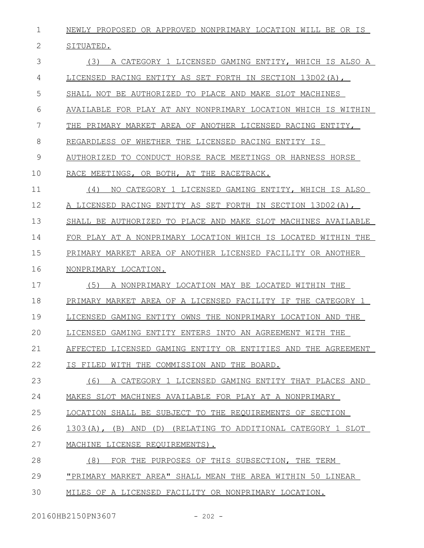NEWLY PROPOSED OR APPROVED NONPRIMARY LOCATION WILL BE OR IS SITUATED. (3) A CATEGORY 1 LICENSED GAMING ENTITY, WHICH IS ALSO A LICENSED RACING ENTITY AS SET FORTH IN SECTION 13D02(A), SHALL NOT BE AUTHORIZED TO PLACE AND MAKE SLOT MACHINES AVAILABLE FOR PLAY AT ANY NONPRIMARY LOCATION WHICH IS WITHIN THE PRIMARY MARKET AREA OF ANOTHER LICENSED RACING ENTITY, REGARDLESS OF WHETHER THE LICENSED RACING ENTITY IS AUTHORIZED TO CONDUCT HORSE RACE MEETINGS OR HARNESS HORSE RACE MEETINGS, OR BOTH, AT THE RACETRACK. (4) NO CATEGORY 1 LICENSED GAMING ENTITY, WHICH IS ALSO A LICENSED RACING ENTITY AS SET FORTH IN SECTION 13D02(A), SHALL BE AUTHORIZED TO PLACE AND MAKE SLOT MACHINES AVAILABLE FOR PLAY AT A NONPRIMARY LOCATION WHICH IS LOCATED WITHIN THE PRIMARY MARKET AREA OF ANOTHER LICENSED FACILITY OR ANOTHER NONPRIMARY LOCATION. (5) A NONPRIMARY LOCATION MAY BE LOCATED WITHIN THE PRIMARY MARKET AREA OF A LICENSED FACILITY IF THE CATEGORY 1 LICENSED GAMING ENTITY OWNS THE NONPRIMARY LOCATION AND THE LICENSED GAMING ENTITY ENTERS INTO AN AGREEMENT WITH THE AFFECTED LICENSED GAMING ENTITY OR ENTITIES AND THE AGREEMENT IS FILED WITH THE COMMISSION AND THE BOARD. (6) A CATEGORY 1 LICENSED GAMING ENTITY THAT PLACES AND MAKES SLOT MACHINES AVAILABLE FOR PLAY AT A NONPRIMARY LOCATION SHALL BE SUBJECT TO THE REQUIREMENTS OF SECTION 1303(A), (B) AND (D) (RELATING TO ADDITIONAL CATEGORY 1 SLOT MACHINE LICENSE REQUIREMENTS). 1 2 3 4 5 6 7 8 9 10 11 12 13 14 15 16 17 18 19  $20$ 21 22 23 24 25 26 27

(8) FOR THE PURPOSES OF THIS SUBSECTION, THE TERM 28

"PRIMARY MARKET AREA" SHALL MEAN THE AREA WITHIN 50 LINEAR 29

MILES OF A LICENSED FACILITY OR NONPRIMARY LOCATION. 30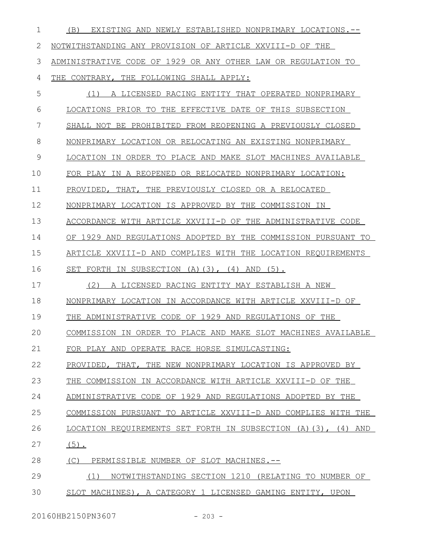(B) EXISTING AND NEWLY ESTABLISHED NONPRIMARY LOCATIONS.-- NOTWITHSTANDING ANY PROVISION OF ARTICLE XXVIII-D OF THE ADMINISTRATIVE CODE OF 1929 OR ANY OTHER LAW OR REGULATION TO THE CONTRARY, THE FOLLOWING SHALL APPLY: (1) A LICENSED RACING ENTITY THAT OPERATED NONPRIMARY LOCATIONS PRIOR TO THE EFFECTIVE DATE OF THIS SUBSECTION SHALL NOT BE PROHIBITED FROM REOPENING A PREVIOUSLY CLOSED NONPRIMARY LOCATION OR RELOCATING AN EXISTING NONPRIMARY LOCATION IN ORDER TO PLACE AND MAKE SLOT MACHINES AVAILABLE FOR PLAY IN A REOPENED OR RELOCATED NONPRIMARY LOCATION: PROVIDED, THAT, THE PREVIOUSLY CLOSED OR A RELOCATED NONPRIMARY LOCATION IS APPROVED BY THE COMMISSION IN ACCORDANCE WITH ARTICLE XXVIII-D OF THE ADMINISTRATIVE CODE OF 1929 AND REGULATIONS ADOPTED BY THE COMMISSION PURSUANT TO ARTICLE XXVIII-D AND COMPLIES WITH THE LOCATION REQUIREMENTS SET FORTH IN SUBSECTION (A)(3), (4) AND (5). (2) A LICENSED RACING ENTITY MAY ESTABLISH A NEW NONPRIMARY LOCATION IN ACCORDANCE WITH ARTICLE XXVIII-D OF THE ADMINISTRATIVE CODE OF 1929 AND REGULATIONS OF THE COMMISSION IN ORDER TO PLACE AND MAKE SLOT MACHINES AVAILABLE FOR PLAY AND OPERATE RACE HORSE SIMULCASTING: PROVIDED, THAT, THE NEW NONPRIMARY LOCATION IS APPROVED BY THE COMMISSION IN ACCORDANCE WITH ARTICLE XXVIII-D OF THE ADMINISTRATIVE CODE OF 1929 AND REGULATIONS ADOPTED BY THE COMMISSION PURSUANT TO ARTICLE XXVIII-D AND COMPLIES WITH THE LOCATION REQUIREMENTS SET FORTH IN SUBSECTION (A)(3), (4) AND  $(5)$ . (C) PERMISSIBLE NUMBER OF SLOT MACHINES.-- (1) NOTWITHSTANDING SECTION 1210 (RELATING TO NUMBER OF SLOT MACHINES), A CATEGORY 1 LICENSED GAMING ENTITY, UPON 1 2 3 4 5 6 7 8 9 10 11 12 13 14 15 16 17 18 19  $20$ 21 22 23 24 25 26 27 28 29 30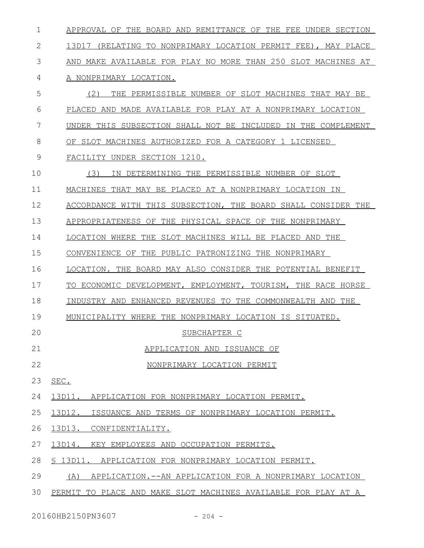APPROVAL OF THE BOARD AND REMITTANCE OF THE FEE UNDER SECTION 13D17 (RELATING TO NONPRIMARY LOCATION PERMIT FEE), MAY PLACE AND MAKE AVAILABLE FOR PLAY NO MORE THAN 250 SLOT MACHINES AT A NONPRIMARY LOCATION. (2) THE PERMISSIBLE NUMBER OF SLOT MACHINES THAT MAY BE PLACED AND MADE AVAILABLE FOR PLAY AT A NONPRIMARY LOCATION UNDER THIS SUBSECTION SHALL NOT BE INCLUDED IN THE COMPLEMENT OF SLOT MACHINES AUTHORIZED FOR A CATEGORY 1 LICENSED FACILITY UNDER SECTION 1210. (3) IN DETERMINING THE PERMISSIBLE NUMBER OF SLOT MACHINES THAT MAY BE PLACED AT A NONPRIMARY LOCATION IN ACCORDANCE WITH THIS SUBSECTION, THE BOARD SHALL CONSIDER THE APPROPRIATENESS OF THE PHYSICAL SPACE OF THE NONPRIMARY LOCATION WHERE THE SLOT MACHINES WILL BE PLACED AND THE CONVENIENCE OF THE PUBLIC PATRONIZING THE NONPRIMARY LOCATION. THE BOARD MAY ALSO CONSIDER THE POTENTIAL BENEFIT TO ECONOMIC DEVELOPMENT, EMPLOYMENT, TOURISM, THE RACE HORSE INDUSTRY AND ENHANCED REVENUES TO THE COMMONWEALTH AND THE MUNICIPALITY WHERE THE NONPRIMARY LOCATION IS SITUATED. SUBCHAPTER C APPLICATION AND ISSUANCE OF NONPRIMARY LOCATION PERMIT SEC. 13D11. APPLICATION FOR NONPRIMARY LOCATION PERMIT. 13D12. ISSUANCE AND TERMS OF NONPRIMARY LOCATION PERMIT. 13D13. CONFIDENTIALITY. 13D14. KEY EMPLOYEES AND OCCUPATION PERMITS. § 13D11. APPLICATION FOR NONPRIMARY LOCATION PERMIT. (A) APPLICATION.--AN APPLICATION FOR A NONPRIMARY LOCATION PERMIT TO PLACE AND MAKE SLOT MACHINES AVAILABLE FOR PLAY AT A 1 2 3 4 5 6 7 8 9 10 11 12 13 14 15 16 17 18 19  $20$ 21 22 23 24 25 26 27 28 29 30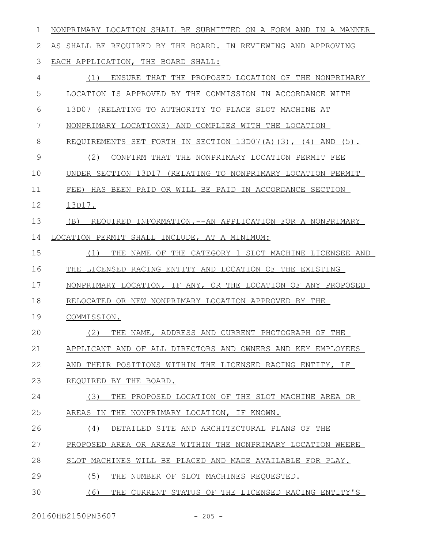| 1  | NONPRIMARY LOCATION SHALL BE SUBMITTED ON A FORM AND IN A MANNER  |
|----|-------------------------------------------------------------------|
| 2  | AS SHALL BE REQUIRED BY THE BOARD. IN REVIEWING AND APPROVING     |
| 3  | EACH APPLICATION, THE BOARD SHALL:                                |
| 4  | (1)<br>ENSURE THAT THE PROPOSED LOCATION OF THE NONPRIMARY        |
| 5  | LOCATION IS APPROVED BY THE COMMISSION IN ACCORDANCE WITH         |
| 6  | (RELATING TO AUTHORITY TO PLACE SLOT MACHINE AT<br>13D07          |
| 7  | NONPRIMARY LOCATIONS) AND COMPLIES WITH THE LOCATION              |
| 8  | REQUIREMENTS SET FORTH IN SECTION 13D07(A)(3), (4) AND<br>$(5)$ . |
| 9  | (2)<br>CONFIRM THAT THE NONPRIMARY LOCATION PERMIT FEE            |
| 10 | UNDER SECTION 13D17 (RELATING TO NONPRIMARY LOCATION PERMIT       |
| 11 | HAS BEEN PAID OR WILL BE PAID IN ACCORDANCE SECTION<br>$FEE$ )    |
| 12 | 13D17.                                                            |
| 13 | (B)<br>REQUIRED INFORMATION.--AN APPLICATION FOR A NONPRIMARY     |
| 14 | LOCATION PERMIT SHALL INCLUDE, AT A MINIMUM:                      |
| 15 | NAME OF THE CATEGORY 1 SLOT MACHINE LICENSEE AND<br>(1)<br>THE    |
| 16 | THE LICENSED RACING ENTITY AND LOCATION OF THE EXISTING           |
| 17 | NONPRIMARY LOCATION, IF ANY, OR THE LOCATION OF ANY PROPOSED      |
| 18 | RELOCATED OR NEW NONPRIMARY LOCATION APPROVED BY THE              |
| 19 | COMMISSION.                                                       |
| 20 | (2)<br>THE NAME, ADDRESS AND CURRENT PHOTOGRAPH OF THE            |
| 21 | APPLICANT AND OF ALL DIRECTORS AND OWNERS AND KEY EMPLOYEES       |
| 22 | THEIR POSITIONS WITHIN THE LICENSED RACING ENTITY, IF<br>AND      |
| 23 | REOUIRED BY THE BOARD.                                            |
| 24 | (3)<br>THE PROPOSED LOCATION OF THE SLOT MACHINE AREA OR          |
| 25 | AREAS IN THE NONPRIMARY LOCATION, IF KNOWN.                       |
| 26 | (4)<br>DETAILED SITE AND ARCHITECTURAL PLANS OF THE               |
| 27 | PROPOSED AREA OR AREAS WITHIN THE NONPRIMARY LOCATION WHERE       |
| 28 | SLOT MACHINES WILL BE PLACED AND MADE AVAILABLE FOR PLAY.         |
| 29 | (5)<br>THE NUMBER OF SLOT MACHINES REQUESTED.                     |
| 30 | (6)<br>THE CURRENT STATUS OF THE LICENSED RACING ENTITY'S         |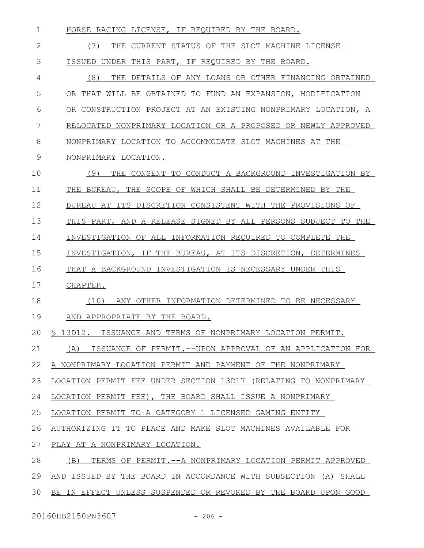| HORSE RACING LICENSE, IF REOUIRED BY THE BOARD.                  |
|------------------------------------------------------------------|
| (7)<br>THE CURRENT STATUS OF THE SLOT MACHINE LICENSE            |
| ISSUED UNDER THIS PART, IF REQUIRED BY THE BOARD.                |
| (8)<br>DETAILS OF ANY LOANS OR OTHER FINANCING OBTAINED<br>THE   |
| OR THAT WILL BE OBTAINED TO FUND AN EXPANSION, MODIFICATION      |
| OR CONSTRUCTION PROJECT AT AN EXISTING NONPRIMARY LOCATION, A    |
| RELOCATED NONPRIMARY LOCATION OR A PROPOSED OR NEWLY APPROVED    |
| NONPRIMARY LOCATION TO ACCOMMODATE SLOT MACHINES AT THE          |
| NONPRIMARY LOCATION.                                             |
| (9)<br>THE CONSENT TO CONDUCT A BACKGROUND INVESTIGATION BY      |
| THE BUREAU, THE SCOPE OF WHICH SHALL BE DETERMINED BY THE        |
| BUREAU AT ITS DISCRETION CONSISTENT WITH THE PROVISIONS OF       |
| THIS PART, AND A RELEASE SIGNED BY ALL PERSONS SUBJECT TO THE    |
| INVESTIGATION OF ALL INFORMATION REQUIRED TO COMPLETE THE        |
| INVESTIGATION, IF THE BUREAU, AT ITS DISCRETION, DETERMINES      |
| THAT A BACKGROUND INVESTIGATION IS NECESSARY UNDER THIS          |
| CHAPTER.                                                         |
| (10)<br>ANY OTHER INFORMATION DETERMINED TO BE NECESSARY         |
| AND APPROPRIATE BY THE BOARD.                                    |
| \$ 13D12. ISSUANCE AND TERMS OF NONPRIMARY LOCATION PERMIT.      |
| (A) ISSUANCE OF PERMIT.--UPON APPROVAL OF AN APPLICATION FOR     |
| A NONPRIMARY LOCATION PERMIT AND PAYMENT OF THE NONPRIMARY       |
| LOCATION PERMIT FEE UNDER SECTION 13D17 (RELATING TO NONPRIMARY  |
| LOCATION PERMIT FEE), THE BOARD SHALL ISSUE A NONPRIMARY         |
| LOCATION PERMIT TO A CATEGORY 1 LICENSED GAMING ENTITY           |
| AUTHORIZING IT TO PLACE AND MAKE SLOT MACHINES AVAILABLE FOR     |
| PLAY AT A NONPRIMARY LOCATION.                                   |
| (B)<br>TERMS OF PERMIT. -- A NONPRIMARY LOCATION PERMIT APPROVED |
| AND ISSUED BY THE BOARD IN ACCORDANCE WITH SUBSECTION (A) SHALL  |
| BE IN EFFECT UNLESS SUSPENDED OR REVOKED BY THE BOARD UPON GOOD  |
|                                                                  |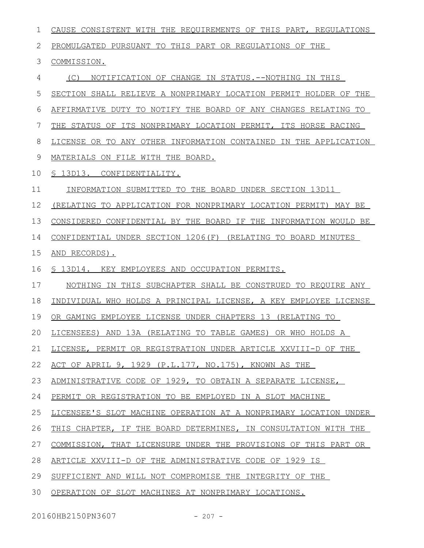| PROMULGATED PURSUANT TO THIS PART OR REGULATIONS OF THE<br>2<br>3<br>COMMISSION.<br>4<br>(C)<br>NOTIFICATION OF CHANGE IN STATUS.--NOTHING IN THIS<br>5<br>SECTION SHALL RELIEVE A NONPRIMARY LOCATION PERMIT HOLDER OF THE<br>6<br>AFFIRMATIVE DUTY TO NOTIFY THE BOARD OF ANY CHANGES RELATING TO<br>7<br>THE STATUS OF ITS NONPRIMARY LOCATION PERMIT, ITS HORSE RACING<br>8<br>LICENSE OR TO ANY OTHER INFORMATION CONTAINED IN THE APPLICATION<br>9<br>MATERIALS ON FILE WITH THE BOARD.<br>10<br>§ 13D13. CONFIDENTIALITY.<br>11<br>INFORMATION SUBMITTED TO THE BOARD UNDER SECTION 13D11<br>12<br>(RELATING TO APPLICATION FOR NONPRIMARY LOCATION PERMIT) MAY BE<br>13<br>CONSIDERED CONFIDENTIAL BY THE BOARD IF THE INFORMATION WOULD BE<br>CONFIDENTIAL UNDER SECTION 1206(F) (RELATING TO BOARD MINUTES<br>14<br>15<br>AND RECORDS).<br>16<br>\$ 13D14. KEY EMPLOYEES AND OCCUPATION PERMITS.<br>17<br>NOTHING IN THIS SUBCHAPTER SHALL BE CONSTRUED TO REQUIRE ANY<br>18<br>INDIVIDUAL WHO HOLDS A PRINCIPAL LICENSE, A KEY EMPLOYEE LICENSE<br>19<br>OR GAMING EMPLOYEE LICENSE UNDER CHAPTERS 13 (RELATING TO<br>20 LICENSEES) AND 13A (RELATING TO TABLE GAMES) OR WHO HOLDS A<br>21<br>LICENSE, PERMIT OR REGISTRATION UNDER ARTICLE XXVIII-D OF THE<br>22<br>ACT OF APRIL 9, 1929 (P.L.177, NO.175), KNOWN AS THE<br>23<br>ADMINISTRATIVE CODE OF 1929, TO OBTAIN A SEPARATE LICENSE,<br>24<br>PERMIT OR REGISTRATION TO BE EMPLOYED IN A SLOT MACHINE<br>25<br>LICENSEE'S SLOT MACHINE OPERATION AT A NONPRIMARY LOCATION UNDER<br>26<br>THIS CHAPTER, IF THE BOARD DETERMINES, IN CONSULTATION WITH THE<br>27<br>COMMISSION, THAT LICENSURE UNDER THE PROVISIONS OF THIS PART OR | CAUSE CONSISTENT WITH THE REQUIREMENTS OF THIS PART, REGULATIONS |
|-------------------------------------------------------------------------------------------------------------------------------------------------------------------------------------------------------------------------------------------------------------------------------------------------------------------------------------------------------------------------------------------------------------------------------------------------------------------------------------------------------------------------------------------------------------------------------------------------------------------------------------------------------------------------------------------------------------------------------------------------------------------------------------------------------------------------------------------------------------------------------------------------------------------------------------------------------------------------------------------------------------------------------------------------------------------------------------------------------------------------------------------------------------------------------------------------------------------------------------------------------------------------------------------------------------------------------------------------------------------------------------------------------------------------------------------------------------------------------------------------------------------------------------------------------------------------------------------------------------------------------------------------------------------------------------------------------|------------------------------------------------------------------|
|                                                                                                                                                                                                                                                                                                                                                                                                                                                                                                                                                                                                                                                                                                                                                                                                                                                                                                                                                                                                                                                                                                                                                                                                                                                                                                                                                                                                                                                                                                                                                                                                                                                                                                       |                                                                  |
|                                                                                                                                                                                                                                                                                                                                                                                                                                                                                                                                                                                                                                                                                                                                                                                                                                                                                                                                                                                                                                                                                                                                                                                                                                                                                                                                                                                                                                                                                                                                                                                                                                                                                                       |                                                                  |
|                                                                                                                                                                                                                                                                                                                                                                                                                                                                                                                                                                                                                                                                                                                                                                                                                                                                                                                                                                                                                                                                                                                                                                                                                                                                                                                                                                                                                                                                                                                                                                                                                                                                                                       |                                                                  |
|                                                                                                                                                                                                                                                                                                                                                                                                                                                                                                                                                                                                                                                                                                                                                                                                                                                                                                                                                                                                                                                                                                                                                                                                                                                                                                                                                                                                                                                                                                                                                                                                                                                                                                       |                                                                  |
|                                                                                                                                                                                                                                                                                                                                                                                                                                                                                                                                                                                                                                                                                                                                                                                                                                                                                                                                                                                                                                                                                                                                                                                                                                                                                                                                                                                                                                                                                                                                                                                                                                                                                                       |                                                                  |
|                                                                                                                                                                                                                                                                                                                                                                                                                                                                                                                                                                                                                                                                                                                                                                                                                                                                                                                                                                                                                                                                                                                                                                                                                                                                                                                                                                                                                                                                                                                                                                                                                                                                                                       |                                                                  |
|                                                                                                                                                                                                                                                                                                                                                                                                                                                                                                                                                                                                                                                                                                                                                                                                                                                                                                                                                                                                                                                                                                                                                                                                                                                                                                                                                                                                                                                                                                                                                                                                                                                                                                       |                                                                  |
|                                                                                                                                                                                                                                                                                                                                                                                                                                                                                                                                                                                                                                                                                                                                                                                                                                                                                                                                                                                                                                                                                                                                                                                                                                                                                                                                                                                                                                                                                                                                                                                                                                                                                                       |                                                                  |
|                                                                                                                                                                                                                                                                                                                                                                                                                                                                                                                                                                                                                                                                                                                                                                                                                                                                                                                                                                                                                                                                                                                                                                                                                                                                                                                                                                                                                                                                                                                                                                                                                                                                                                       |                                                                  |
|                                                                                                                                                                                                                                                                                                                                                                                                                                                                                                                                                                                                                                                                                                                                                                                                                                                                                                                                                                                                                                                                                                                                                                                                                                                                                                                                                                                                                                                                                                                                                                                                                                                                                                       |                                                                  |
|                                                                                                                                                                                                                                                                                                                                                                                                                                                                                                                                                                                                                                                                                                                                                                                                                                                                                                                                                                                                                                                                                                                                                                                                                                                                                                                                                                                                                                                                                                                                                                                                                                                                                                       |                                                                  |
|                                                                                                                                                                                                                                                                                                                                                                                                                                                                                                                                                                                                                                                                                                                                                                                                                                                                                                                                                                                                                                                                                                                                                                                                                                                                                                                                                                                                                                                                                                                                                                                                                                                                                                       |                                                                  |
|                                                                                                                                                                                                                                                                                                                                                                                                                                                                                                                                                                                                                                                                                                                                                                                                                                                                                                                                                                                                                                                                                                                                                                                                                                                                                                                                                                                                                                                                                                                                                                                                                                                                                                       |                                                                  |
|                                                                                                                                                                                                                                                                                                                                                                                                                                                                                                                                                                                                                                                                                                                                                                                                                                                                                                                                                                                                                                                                                                                                                                                                                                                                                                                                                                                                                                                                                                                                                                                                                                                                                                       |                                                                  |
|                                                                                                                                                                                                                                                                                                                                                                                                                                                                                                                                                                                                                                                                                                                                                                                                                                                                                                                                                                                                                                                                                                                                                                                                                                                                                                                                                                                                                                                                                                                                                                                                                                                                                                       |                                                                  |
|                                                                                                                                                                                                                                                                                                                                                                                                                                                                                                                                                                                                                                                                                                                                                                                                                                                                                                                                                                                                                                                                                                                                                                                                                                                                                                                                                                                                                                                                                                                                                                                                                                                                                                       |                                                                  |
|                                                                                                                                                                                                                                                                                                                                                                                                                                                                                                                                                                                                                                                                                                                                                                                                                                                                                                                                                                                                                                                                                                                                                                                                                                                                                                                                                                                                                                                                                                                                                                                                                                                                                                       |                                                                  |
|                                                                                                                                                                                                                                                                                                                                                                                                                                                                                                                                                                                                                                                                                                                                                                                                                                                                                                                                                                                                                                                                                                                                                                                                                                                                                                                                                                                                                                                                                                                                                                                                                                                                                                       |                                                                  |
|                                                                                                                                                                                                                                                                                                                                                                                                                                                                                                                                                                                                                                                                                                                                                                                                                                                                                                                                                                                                                                                                                                                                                                                                                                                                                                                                                                                                                                                                                                                                                                                                                                                                                                       |                                                                  |
|                                                                                                                                                                                                                                                                                                                                                                                                                                                                                                                                                                                                                                                                                                                                                                                                                                                                                                                                                                                                                                                                                                                                                                                                                                                                                                                                                                                                                                                                                                                                                                                                                                                                                                       |                                                                  |
|                                                                                                                                                                                                                                                                                                                                                                                                                                                                                                                                                                                                                                                                                                                                                                                                                                                                                                                                                                                                                                                                                                                                                                                                                                                                                                                                                                                                                                                                                                                                                                                                                                                                                                       |                                                                  |
|                                                                                                                                                                                                                                                                                                                                                                                                                                                                                                                                                                                                                                                                                                                                                                                                                                                                                                                                                                                                                                                                                                                                                                                                                                                                                                                                                                                                                                                                                                                                                                                                                                                                                                       |                                                                  |
|                                                                                                                                                                                                                                                                                                                                                                                                                                                                                                                                                                                                                                                                                                                                                                                                                                                                                                                                                                                                                                                                                                                                                                                                                                                                                                                                                                                                                                                                                                                                                                                                                                                                                                       |                                                                  |
|                                                                                                                                                                                                                                                                                                                                                                                                                                                                                                                                                                                                                                                                                                                                                                                                                                                                                                                                                                                                                                                                                                                                                                                                                                                                                                                                                                                                                                                                                                                                                                                                                                                                                                       |                                                                  |
|                                                                                                                                                                                                                                                                                                                                                                                                                                                                                                                                                                                                                                                                                                                                                                                                                                                                                                                                                                                                                                                                                                                                                                                                                                                                                                                                                                                                                                                                                                                                                                                                                                                                                                       |                                                                  |
|                                                                                                                                                                                                                                                                                                                                                                                                                                                                                                                                                                                                                                                                                                                                                                                                                                                                                                                                                                                                                                                                                                                                                                                                                                                                                                                                                                                                                                                                                                                                                                                                                                                                                                       |                                                                  |
| 28<br>ARTICLE XXVIII-D OF THE ADMINISTRATIVE CODE OF 1929 IS                                                                                                                                                                                                                                                                                                                                                                                                                                                                                                                                                                                                                                                                                                                                                                                                                                                                                                                                                                                                                                                                                                                                                                                                                                                                                                                                                                                                                                                                                                                                                                                                                                          |                                                                  |
| 29<br>SUFFICIENT AND WILL NOT COMPROMISE THE INTEGRITY OF THE                                                                                                                                                                                                                                                                                                                                                                                                                                                                                                                                                                                                                                                                                                                                                                                                                                                                                                                                                                                                                                                                                                                                                                                                                                                                                                                                                                                                                                                                                                                                                                                                                                         |                                                                  |
| 30<br>OPERATION OF SLOT MACHINES AT NONPRIMARY LOCATIONS.                                                                                                                                                                                                                                                                                                                                                                                                                                                                                                                                                                                                                                                                                                                                                                                                                                                                                                                                                                                                                                                                                                                                                                                                                                                                                                                                                                                                                                                                                                                                                                                                                                             |                                                                  |

20160HB2150PN3607 - 207 -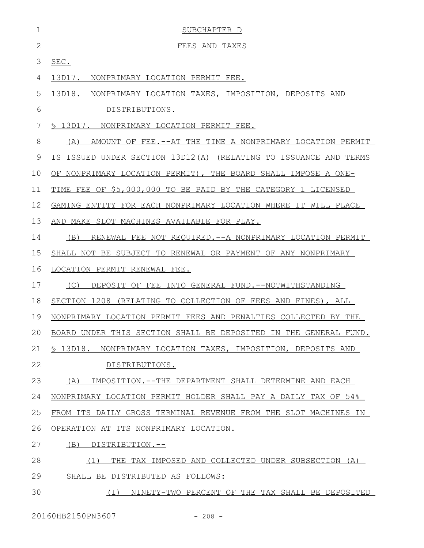| 1            | SUBCHAPTER D                                                        |
|--------------|---------------------------------------------------------------------|
| $\mathbf{2}$ | FEES AND TAXES                                                      |
| 3            | SEC.                                                                |
| 4            | 13D17. NONPRIMARY LOCATION PERMIT FEE.                              |
| 5            | 13D18. NONPRIMARY LOCATION TAXES, IMPOSITION, DEPOSITS AND          |
| 6            | DISTRIBUTIONS.                                                      |
| 7            | § 13D17. NONPRIMARY LOCATION PERMIT FEE.                            |
| 8            | (A)<br>AMOUNT OF FEE.--AT THE TIME A NONPRIMARY LOCATION PERMIT     |
| 9            | IS ISSUED UNDER SECTION 13D12(A) (RELATING TO ISSUANCE AND TERMS    |
| 10           | OF NONPRIMARY LOCATION PERMIT), THE BOARD SHALL IMPOSE A ONE-       |
| 11           | FEE OF \$5,000,000 TO BE PAID BY THE CATEGORY 1 LICENSED<br>TIME    |
| 12           | GAMING ENTITY FOR EACH NONPRIMARY LOCATION WHERE IT WILL PLACE      |
| 13           | AND MAKE SLOT MACHINES AVAILABLE FOR PLAY.                          |
| 14           | (B)<br>RENEWAL FEE NOT REQUIRED. -- A NONPRIMARY LOCATION PERMIT    |
| 15           | SHALL NOT BE SUBJECT TO RENEWAL OR PAYMENT OF ANY NONPRIMARY        |
| 16           | LOCATION PERMIT RENEWAL FEE.                                        |
| 17           | DEPOSIT OF FEE INTO GENERAL FUND.--NOTWITHSTANDING<br>(C)           |
| 18           | SECTION 1208 (RELATING TO COLLECTION OF FEES AND FINES), ALL        |
| 19           | NONPRIMARY LOCATION PERMIT FEES AND PENALTIES COLLECTED BY THE      |
|              | 20 BOARD UNDER THIS SECTION SHALL BE DEPOSITED IN THE GENERAL FUND. |
| 21           | S 13D18.<br>NONPRIMARY LOCATION TAXES, IMPOSITION, DEPOSITS AND     |
| 22           | DISTRIBUTIONS.                                                      |
| 23           | IMPOSITION.--THE DEPARTMENT SHALL DETERMINE AND EACH<br>(A)         |
| 24           | NONPRIMARY LOCATION PERMIT HOLDER SHALL PAY A DAILY TAX OF 54%      |
| 25           | FROM ITS DAILY GROSS TERMINAL REVENUE FROM THE SLOT MACHINES IN     |
| 26           | OPERATION AT ITS NONPRIMARY LOCATION.                               |
| 27           | (B)<br>DISTRIBUTION.--                                              |
| 28           | THE TAX IMPOSED AND COLLECTED UNDER SUBSECTION (A)<br>(1)           |
| 29           | SHALL BE DISTRIBUTED AS FOLLOWS:                                    |
| 30           | ( I )<br>NINETY-TWO PERCENT OF THE TAX SHALL BE DEPOSITED           |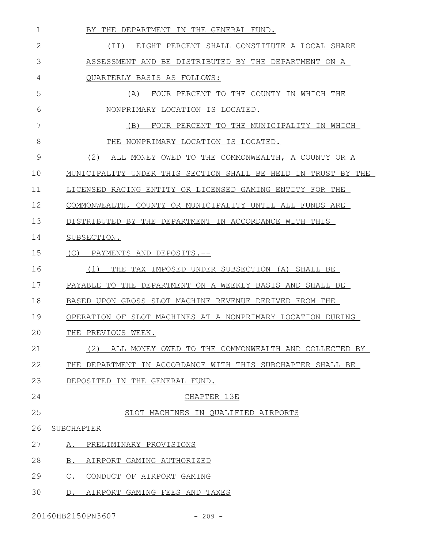| 1  | BY THE DEPARTMENT IN THE GENERAL FUND.                        |
|----|---------------------------------------------------------------|
| 2  | EIGHT PERCENT SHALL CONSTITUTE A LOCAL SHARE<br>(II)          |
| 3  | ASSESSMENT AND BE DISTRIBUTED BY THE DEPARTMENT ON A          |
| 4  | QUARTERLY BASIS AS FOLLOWS:                                   |
| 5  | (A)<br>FOUR PERCENT TO THE COUNTY IN WHICH THE                |
| 6  | NONPRIMARY LOCATION IS LOCATED.                               |
| 7  | (B)<br>FOUR PERCENT TO THE MUNICIPALITY IN WHICH              |
| 8  | THE NONPRIMARY LOCATION IS LOCATED.                           |
| 9  | (2)<br>ALL MONEY OWED TO THE COMMONWEALTH, A COUNTY OR A      |
| 10 | MUNICIPALITY UNDER THIS SECTION SHALL BE HELD IN TRUST BY THE |
| 11 | LICENSED RACING ENTITY OR LICENSED GAMING ENTITY FOR THE      |
| 12 | COMMONWEALTH, COUNTY OR MUNICIPALITY UNTIL ALL FUNDS ARE      |
| 13 | DISTRIBUTED BY THE DEPARTMENT IN ACCORDANCE WITH THIS         |
| 14 | SUBSECTION.                                                   |
| 15 | (C)<br>PAYMENTS AND DEPOSITS.--                               |
| 16 | THE TAX IMPOSED UNDER SUBSECTION (A) SHALL BE<br>(1)          |
| 17 | PAYABLE TO THE DEPARTMENT ON A WEEKLY BASIS AND SHALL BE      |
| 18 | BASED UPON GROSS SLOT MACHINE REVENUE DERIVED FROM THE        |
| 19 | OPERATION OF SLOT MACHINES AT A NONPRIMARY LOCATION DURING    |
| 20 | THE PREVIOUS WEEK.                                            |
| 21 | (2)<br>ALL MONEY OWED TO THE COMMONWEALTH AND COLLECTED BY    |
| 22 | THE DEPARTMENT IN ACCORDANCE WITH THIS SUBCHAPTER SHALL BE    |
| 23 | DEPOSITED IN THE GENERAL FUND.                                |
| 24 | CHAPTER 13E                                                   |
| 25 | SLOT MACHINES IN QUALIFIED AIRPORTS                           |
| 26 | SUBCHAPTER                                                    |
| 27 | PRELIMINARY PROVISIONS<br>Α.                                  |
| 28 | $B_{\cdot}$<br>AIRPORT GAMING AUTHORIZED                      |
| 29 | $C_{.}$<br>CONDUCT OF AIRPORT GAMING                          |
| 30 | AIRPORT GAMING FEES AND TAXES<br>$D_{\bullet}$                |
|    |                                                               |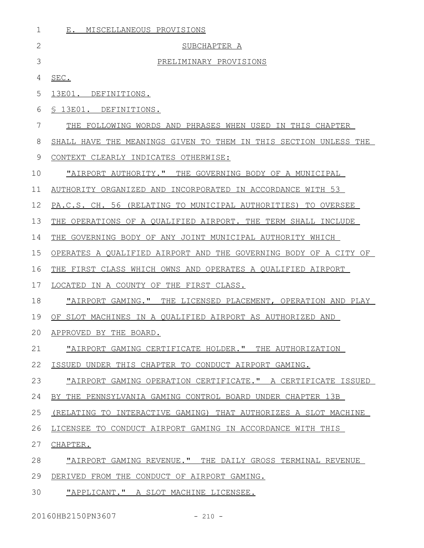| 1  | MISCELLANEOUS PROVISIONS<br>Ε.                                   |
|----|------------------------------------------------------------------|
| 2  | SUBCHAPTER A                                                     |
| 3  | PRELIMINARY PROVISIONS                                           |
| 4  | SEC.                                                             |
| 5  | 13E01. DEFINITIONS.                                              |
| 6  | S 13E01. DEFINITIONS.                                            |
| 7  | THE FOLLOWING WORDS AND PHRASES WHEN USED IN THIS CHAPTER        |
| 8  | SHALL HAVE THE MEANINGS GIVEN TO THEM IN THIS SECTION UNLESS THE |
| 9  | CONTEXT CLEARLY INDICATES OTHERWISE:                             |
| 10 | "AIRPORT AUTHORITY." THE GOVERNING BODY OF A MUNICIPAL           |
| 11 | AUTHORITY ORGANIZED AND INCORPORATED IN ACCORDANCE WITH 53       |
| 12 | PA.C.S. CH. 56 (RELATING TO MUNICIPAL AUTHORITIES) TO OVERSEE    |
| 13 | THE OPERATIONS OF A OUALIFIED AIRPORT. THE TERM SHALL INCLUDE    |
| 14 | THE GOVERNING BODY OF ANY JOINT MUNICIPAL AUTHORITY WHICH        |
| 15 | OPERATES A QUALIFIED AIRPORT AND THE GOVERNING BODY OF A CITY OF |
| 16 | THE FIRST CLASS WHICH OWNS AND OPERATES A QUALIFIED AIRPORT      |
| 17 | LOCATED IN A COUNTY OF THE FIRST CLASS.                          |
| 18 | "AIRPORT GAMING." THE LICENSED PLACEMENT, OPERATION AND PLAY     |
| 19 | OF SLOT MACHINES IN A OUALIFIED AIRPORT AS AUTHORIZED AND        |
| 20 | APPROVED BY THE BOARD.                                           |
| 21 | "AIRPORT GAMING CERTIFICATE HOLDER." THE AUTHORIZATION           |
| 22 | ISSUED UNDER THIS CHAPTER TO CONDUCT AIRPORT GAMING.             |
| 23 | "AIRPORT GAMING OPERATION CERTIFICATE." A CERTIFICATE ISSUED     |
| 24 | BY THE PENNSYLVANIA GAMING CONTROL BOARD UNDER CHAPTER 13B       |
| 25 | (RELATING TO INTERACTIVE GAMING) THAT AUTHORIZES A SLOT MACHINE  |
| 26 | LICENSEE TO CONDUCT AIRPORT GAMING IN ACCORDANCE WITH THIS       |
| 27 | CHAPTER.                                                         |
| 28 | "AIRPORT GAMING REVENUE." THE DAILY GROSS TERMINAL REVENUE       |
| 29 | DERIVED FROM THE CONDUCT OF AIRPORT GAMING.                      |
| 30 | "APPLICANT." A SLOT MACHINE LICENSEE.                            |

20160HB2150PN3607 - 210 -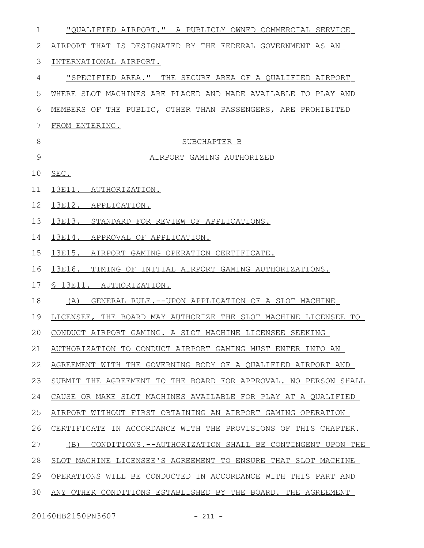| 1  | "OUALIFIED AIRPORT." A PUBLICLY OWNED COMMERCIAL SERVICE        |
|----|-----------------------------------------------------------------|
| 2  | AIRPORT THAT IS DESIGNATED BY THE FEDERAL GOVERNMENT AS AN      |
| 3  | INTERNATIONAL AIRPORT.                                          |
| 4  | "SPECIFIED AREA." THE SECURE AREA OF A QUALIFIED AIRPORT        |
| 5  | WHERE SLOT MACHINES ARE PLACED AND MADE AVAILABLE TO PLAY AND   |
| 6  | MEMBERS OF THE PUBLIC, OTHER THAN PASSENGERS, ARE PROHIBITED    |
| 7  | FROM ENTERING.                                                  |
| 8  | SUBCHAPTER B                                                    |
| 9  | AIRPORT GAMING AUTHORIZED                                       |
| 10 | SEC.                                                            |
| 11 | 13E11. AUTHORIZATION.                                           |
| 12 | 13E12. APPLICATION.                                             |
| 13 | 13E13. STANDARD FOR REVIEW OF APPLICATIONS.                     |
| 14 | 13E14. APPROVAL OF APPLICATION.                                 |
| 15 | 13E15. AIRPORT GAMING OPERATION CERTIFICATE.                    |
| 16 | 13E16. TIMING OF INITIAL AIRPORT GAMING AUTHORIZATIONS.         |
| 17 | <u>S 13E11. AUTHORIZATION.</u>                                  |
| 18 | GENERAL RULE.--UPON APPLICATION OF A SLOT MACHINE<br>(A)        |
| 19 | LICENSEE, THE BOARD MAY AUTHORIZE THE SLOT MACHINE LICENSEE TO  |
|    | 20 CONDUCT AIRPORT GAMING. A SLOT MACHINE LICENSEE SEEKING      |
| 21 | AUTHORIZATION TO CONDUCT AIRPORT GAMING MUST ENTER INTO AN      |
| 22 | AGREEMENT WITH THE GOVERNING BODY OF A QUALIFIED AIRPORT AND    |
| 23 | SUBMIT THE AGREEMENT TO THE BOARD FOR APPROVAL. NO PERSON SHALL |
| 24 | CAUSE OR MAKE SLOT MACHINES AVAILABLE FOR PLAY AT A QUALIFIED   |
| 25 | AIRPORT WITHOUT FIRST OBTAINING AN AIRPORT GAMING OPERATION     |
| 26 | CERTIFICATE IN ACCORDANCE WITH THE PROVISIONS OF THIS CHAPTER.  |
| 27 | CONDITIONS.--AUTHORIZATION SHALL BE CONTINGENT UPON THE<br>(B)  |
| 28 | SLOT MACHINE LICENSEE'S AGREEMENT TO ENSURE THAT SLOT MACHINE   |
| 29 | OPERATIONS WILL BE CONDUCTED IN ACCORDANCE WITH THIS PART AND   |
| 30 | ANY OTHER CONDITIONS ESTABLISHED BY THE BOARD. THE AGREEMENT    |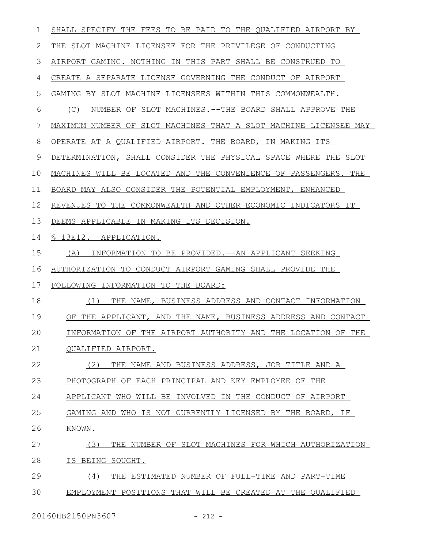| 1  | SHALL SPECIFY THE FEES TO BE PAID TO THE QUALIFIED AIRPORT BY    |
|----|------------------------------------------------------------------|
| 2  | THE SLOT MACHINE LICENSEE FOR THE PRIVILEGE OF CONDUCTING        |
| 3  | AIRPORT GAMING. NOTHING IN THIS PART SHALL BE CONSTRUED TO       |
| 4  | CREATE A SEPARATE LICENSE GOVERNING THE CONDUCT OF AIRPORT       |
| 5  | GAMING BY SLOT MACHINE LICENSEES WITHIN THIS COMMONWEALTH.       |
| 6  | (C)<br>NUMBER OF SLOT MACHINES.--THE BOARD SHALL APPROVE THE     |
| 7  | MAXIMUM NUMBER OF SLOT MACHINES THAT A SLOT MACHINE LICENSEE MAY |
| 8  | OPERATE AT A QUALIFIED AIRPORT. THE BOARD, IN MAKING ITS         |
| 9  | DETERMINATION, SHALL CONSIDER THE PHYSICAL SPACE WHERE THE SLOT  |
| 10 | MACHINES WILL BE LOCATED AND THE CONVENIENCE OF PASSENGERS. THE  |
| 11 | BOARD MAY ALSO CONSIDER THE POTENTIAL EMPLOYMENT, ENHANCED       |
| 12 | REVENUES TO THE COMMONWEALTH AND OTHER ECONOMIC INDICATORS IT    |
| 13 | DEEMS APPLICABLE IN MAKING ITS DECISION.                         |
| 14 | S 13E12. APPLICATION.                                            |
| 15 | INFORMATION TO BE PROVIDED. --AN APPLICANT SEEKING<br>(A)        |
| 16 | AUTHORIZATION TO CONDUCT AIRPORT GAMING SHALL PROVIDE THE        |
| 17 | FOLLOWING INFORMATION TO THE BOARD:                              |
| 18 | (1)<br>THE NAME, BUSINESS ADDRESS AND CONTACT INFORMATION        |
| 19 | OF THE APPLICANT, AND THE NAME, BUSINESS ADDRESS AND CONTACT     |
| 20 | INFORMATION OF THE AIRPORT AUTHORITY AND THE LOCATION OF THE     |
| 21 | QUALIFIED AIRPORT.                                               |
| 22 | (2)<br>THE NAME AND BUSINESS ADDRESS, JOB TITLE AND A            |
| 23 | PHOTOGRAPH OF EACH PRINCIPAL AND KEY EMPLOYEE OF THE             |
| 24 | APPLICANT WHO<br>WILL BE INVOLVED IN THE CONDUCT OF AIRPORT      |
| 25 | GAMING AND WHO IS NOT CURRENTLY LICENSED BY THE BOARD, IF        |
| 26 | KNOWN.                                                           |
| 27 | (3)<br>THE NUMBER OF SLOT MACHINES FOR WHICH AUTHORIZATION       |
| 28 | IS BEING SOUGHT.                                                 |
| 29 | (4)<br>THE ESTIMATED NUMBER OF FULL-TIME AND PART-TIME           |
| 30 | EMPLOYMENT POSITIONS THAT WILL BE CREATED AT THE QUALIFIED       |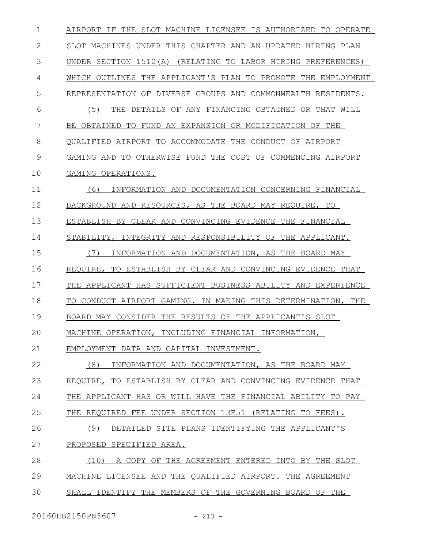AIRPORT IF THE SLOT MACHINE LICENSEE IS AUTHORIZED TO OPERATE SLOT MACHINES UNDER THIS CHAPTER AND AN UPDATED HIRING PLAN UNDER SECTION 1510(A) (RELATING TO LABOR HIRING PREFERENCES) WHICH OUTLINES THE APPLICANT'S PLAN TO PROMOTE THE EMPLOYMENT REPRESENTATION OF DIVERSE GROUPS AND COMMONWEALTH RESIDENTS. (5) THE DETAILS OF ANY FINANCING OBTAINED OR THAT WILL BE OBTAINED TO FUND AN EXPANSION OR MODIFICATION OF THE QUALIFIED AIRPORT TO ACCOMMODATE THE CONDUCT OF AIRPORT GAMING AND TO OTHERWISE FUND THE COST OF COMMENCING AIRPORT GAMING OPERATIONS. (6) INFORMATION AND DOCUMENTATION CONCERNING FINANCIAL BACKGROUND AND RESOURCES, AS THE BOARD MAY REQUIRE, TO ESTABLISH BY CLEAR AND CONVINCING EVIDENCE THE FINANCIAL STABILITY, INTEGRITY AND RESPONSIBILITY OF THE APPLICANT. (7) INFORMATION AND DOCUMENTATION, AS THE BOARD MAY REQUIRE, TO ESTABLISH BY CLEAR AND CONVINCING EVIDENCE THAT THE APPLICANT HAS SUFFICIENT BUSINESS ABILITY AND EXPERIENCE TO CONDUCT AIRPORT GAMING. IN MAKING THIS DETERMINATION, THE BOARD MAY CONSIDER THE RESULTS OF THE APPLICANT'S SLOT MACHINE OPERATION, INCLUDING FINANCIAL INFORMATION, EMPLOYMENT DATA AND CAPITAL INVESTMENT. (8) INFORMATION AND DOCUMENTATION, AS THE BOARD MAY REQUIRE, TO ESTABLISH BY CLEAR AND CONVINCING EVIDENCE THAT THE APPLICANT HAS OR WILL HAVE THE FINANCIAL ABILITY TO PAY THE REQUIRED FEE UNDER SECTION 13E51 (RELATING TO FEES). (9) DETAILED SITE PLANS IDENTIFYING THE APPLICANT'S PROPOSED SPECIFIED AREA. (10) A COPY OF THE AGREEMENT ENTERED INTO BY THE SLOT MACHINE LICENSEE AND THE QUALIFIED AIRPORT. THE AGREEMENT SHALL IDENTIFY THE MEMBERS OF THE GOVERNING BOARD OF THE 1 2 3 4 5 6 7 8 9 10 11 12 13 14 15 16 17 18 19  $20$ 21 22 23 24 25 26 27 28 29 30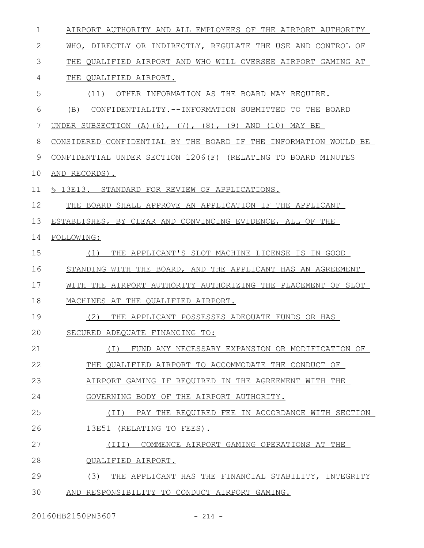| 1  | AIRPORT AUTHORITY AND ALL EMPLOYEES OF THE AIRPORT AUTHORITY         |
|----|----------------------------------------------------------------------|
| 2  | WHO, DIRECTLY OR INDIRECTLY, REGULATE THE USE AND CONTROL OF         |
| 3  | THE QUALIFIED AIRPORT AND WHO WILL OVERSEE AIRPORT GAMING AT         |
| 4  | THE OUALIFIED AIRPORT.                                               |
| 5  | (11)<br>OTHER INFORMATION AS THE BOARD MAY REQUIRE.                  |
| 6  | CONFIDENTIALITY. --INFORMATION SUBMITTED TO THE BOARD<br>(B)         |
| 7  | UNDER SUBSECTION $(A) (6)$ , $(7)$ , $(8)$ , $(9)$ AND $(10)$ MAY BE |
| 8  | CONSIDERED CONFIDENTIAL BY THE BOARD IF THE INFORMATION WOULD BE     |
| 9  | CONFIDENTIAL UNDER SECTION 1206(F) (RELATING TO BOARD MINUTES        |
| 10 | AND RECORDS).                                                        |
| 11 | § 13E13. STANDARD FOR REVIEW OF APPLICATIONS.                        |
| 12 | THE BOARD SHALL APPROVE AN APPLICATION IF THE APPLICANT              |
| 13 | ESTABLISHES, BY CLEAR AND CONVINCING EVIDENCE, ALL OF THE            |
| 14 | FOLLOWING:                                                           |
| 15 | THE APPLICANT'S SLOT MACHINE LICENSE IS IN GOOD<br>(1)               |
| 16 | STANDING WITH THE BOARD, AND THE APPLICANT HAS AN AGREEMENT          |
| 17 | WITH THE AIRPORT AUTHORITY AUTHORIZING THE PLACEMENT OF SLOT         |
| 18 | MACHINES AT THE QUALIFIED AIRPORT.                                   |
| 19 | (2)<br>THE APPLICANT POSSESSES ADEQUATE FUNDS OR HAS                 |
| 20 | SECURED ADEQUATE FINANCING TO:                                       |
| 21 | FUND ANY NECESSARY EXPANSION OR MODIFICATION OF<br>( I )             |
| 22 | THE QUALIFIED AIRPORT TO ACCOMMODATE THE CONDUCT OF                  |
| 23 | AIRPORT GAMING IF REQUIRED IN THE AGREEMENT WITH THE                 |
| 24 | GOVERNING BODY OF THE AIRPORT AUTHORITY.                             |
| 25 | PAY THE REQUIRED FEE IN ACCORDANCE WITH SECTION<br>(TI)              |
| 26 | 13E51 (RELATING TO FEES).                                            |
| 27 | (III) COMMENCE AIRPORT GAMING OPERATIONS AT THE                      |
| 28 | QUALIFIED AIRPORT.                                                   |
| 29 | (3)<br>THE APPLICANT HAS THE FINANCIAL STABILITY, INTEGRITY          |
| 30 | AND RESPONSIBILITY TO CONDUCT AIRPORT GAMING.                        |

20160HB2150PN3607 - 214 -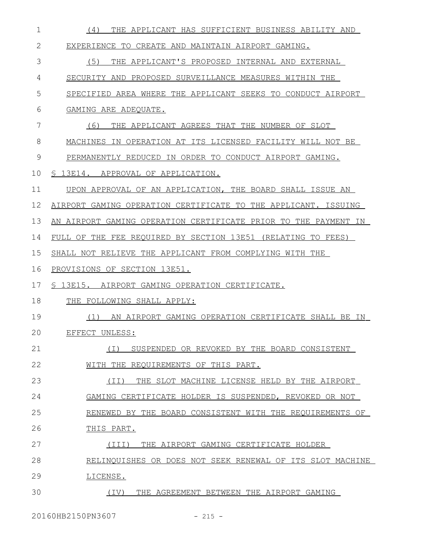| $\mathbf 1$ | (4)<br>THE APPLICANT HAS SUFFICIENT BUSINESS ABILITY AND        |
|-------------|-----------------------------------------------------------------|
| 2           | EXPERIENCE TO CREATE AND MAINTAIN AIRPORT GAMING.               |
| 3           | (5)<br>THE APPLICANT'S PROPOSED INTERNAL AND EXTERNAL           |
| 4           | SECURITY AND PROPOSED SURVEILLANCE MEASURES WITHIN THE          |
| 5           | SPECIFIED AREA WHERE THE APPLICANT SEEKS TO CONDUCT AIRPORT     |
| 6           | GAMING ARE ADEOUATE.                                            |
| 7           | (6)<br>THE APPLICANT AGREES THAT THE NUMBER OF SLOT             |
| 8           | MACHINES IN OPERATION AT ITS LICENSED FACILITY WILL NOT BE      |
| 9           | PERMANENTLY REDUCED IN ORDER TO CONDUCT AIRPORT GAMING.         |
| 10          | § 13E14. APPROVAL OF APPLICATION.                               |
| 11          | UPON APPROVAL OF AN APPLICATION, THE BOARD SHALL ISSUE AN       |
| 12          | AIRPORT GAMING OPERATION CERTIFICATE TO THE APPLICANT. ISSUING  |
| 13          | AN AIRPORT GAMING OPERATION CERTIFICATE PRIOR TO THE PAYMENT IN |
| 14          | FULL OF THE FEE REQUIRED BY SECTION 13E51 (RELATING TO FEES)    |
| 15          | SHALL NOT RELIEVE THE APPLICANT FROM COMPLYING WITH THE         |
| 16          | PROVISIONS OF SECTION 13E51.                                    |
| 17          | \$ 13E15. AIRPORT GAMING OPERATION CERTIFICATE.                 |
| 18          | THE FOLLOWING SHALL APPLY:                                      |
| 19          | (1) AN AIRPORT GAMING OPERATION CERTIFICATE SHALL BE IN         |
| 20          | EFFECT UNLESS:                                                  |
| 21          | SUSPENDED OR REVOKED BY THE BOARD CONSISTENT<br>( I )           |
| 22          | WITH THE REQUIREMENTS OF THIS PART.                             |
| 23          | THE SLOT MACHINE LICENSE HELD BY THE AIRPORT<br>(TI)            |
| 24          | GAMING CERTIFICATE HOLDER IS SUSPENDED, REVOKED OR NOT          |
| 25          | RENEWED BY THE BOARD CONSISTENT WITH THE REQUIREMENTS OF        |
| 26          | THIS PART.                                                      |
| 27          | (III)<br>THE AIRPORT GAMING CERTIFICATE HOLDER                  |
| 28          | RELINQUISHES OR DOES NOT SEEK RENEWAL OF ITS SLOT MACHINE       |
| 29          | LICENSE.                                                        |
| 30          | THE AGREEMENT BETWEEN THE AIRPORT GAMING<br>(IV)                |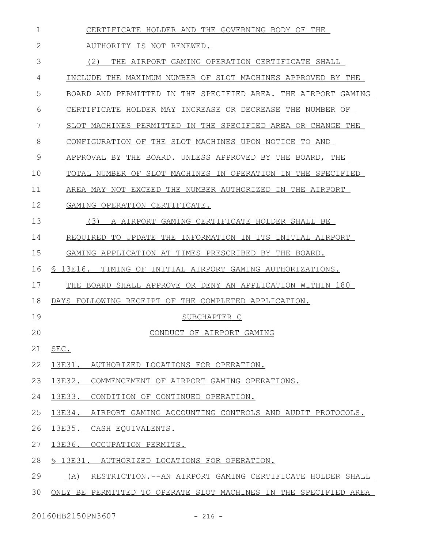| 1  | CERTIFICATE HOLDER AND THE GOVERNING BODY OF THE                  |
|----|-------------------------------------------------------------------|
| 2  | AUTHORITY IS NOT RENEWED.                                         |
| 3  | (2)<br>THE AIRPORT GAMING OPERATION CERTIFICATE SHALL             |
| 4  | INCLUDE THE MAXIMUM NUMBER OF SLOT MACHINES APPROVED BY THE       |
| 5  | BOARD AND PERMITTED IN THE SPECIFIED AREA. THE AIRPORT GAMING     |
| 6  | CERTIFICATE HOLDER MAY INCREASE OR DECREASE THE NUMBER OF         |
| 7  | SLOT MACHINES PERMITTED IN THE SPECIFIED AREA OR CHANGE THE       |
| 8  | CONFIGURATION OF THE SLOT MACHINES UPON NOTICE TO AND             |
| 9  | APPROVAL BY THE BOARD. UNLESS APPROVED BY THE BOARD, THE          |
| 10 | TOTAL NUMBER OF SLOT MACHINES IN OPERATION IN THE SPECIFIED       |
| 11 | AREA MAY NOT EXCEED THE NUMBER AUTHORIZED IN THE AIRPORT          |
| 12 | GAMING OPERATION CERTIFICATE.                                     |
| 13 | (3)<br>A AIRPORT GAMING CERTIFICATE HOLDER SHALL BE               |
| 14 | REQUIRED TO UPDATE THE INFORMATION IN ITS INITIAL AIRPORT         |
| 15 | GAMING APPLICATION AT TIMES PRESCRIBED BY THE BOARD.              |
| 16 | § 13E16. TIMING OF INITIAL AIRPORT GAMING AUTHORIZATIONS.         |
| 17 | THE BOARD SHALL APPROVE OR DENY AN APPLICATION WITHIN 180         |
| 18 | DAYS FOLLOWING RECEIPT OF THE COMPLETED APPLICATION.              |
| 19 | SUBCHAPTER C                                                      |
| 20 | CONDUCT OF AIRPORT GAMING                                         |
| 21 | SEC.                                                              |
| 22 | 13E31. AUTHORIZED LOCATIONS FOR OPERATION.                        |
| 23 | 13E32. COMMENCEMENT OF AIRPORT GAMING OPERATIONS.                 |
| 24 | 13E33. CONDITION OF CONTINUED OPERATION.                          |
| 25 | 13E34. AIRPORT GAMING ACCOUNTING CONTROLS AND AUDIT PROTOCOLS.    |
| 26 | 13E35. CASH EQUIVALENTS.                                          |
| 27 | 13E36. OCCUPATION PERMITS.                                        |
| 28 | § 13E31. AUTHORIZED LOCATIONS FOR OPERATION.                      |
| 29 | RESTRICTION. -- AN AIRPORT GAMING CERTIFICATE HOLDER SHALL<br>(A) |
| 30 | ONLY BE PERMITTED TO OPERATE SLOT MACHINES IN THE SPECIFIED AREA  |

20160HB2150PN3607 - 216 -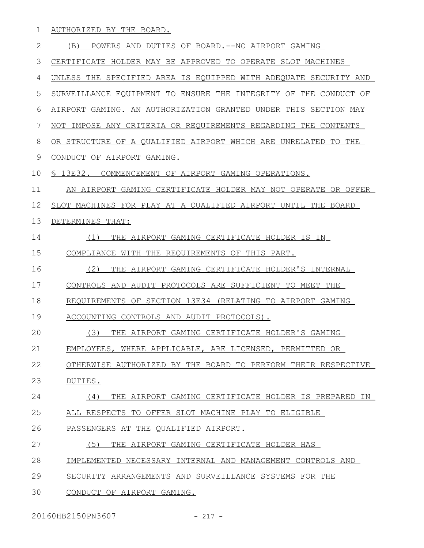AUTHORIZED BY THE BOARD. 1

 (B) POWERS AND DUTIES OF BOARD.--NO AIRPORT GAMING CERTIFICATE HOLDER MAY BE APPROVED TO OPERATE SLOT MACHINES UNLESS THE SPECIFIED AREA IS EQUIPPED WITH ADEQUATE SECURITY AND SURVEILLANCE EQUIPMENT TO ENSURE THE INTEGRITY OF THE CONDUCT OF AIRPORT GAMING. AN AUTHORIZATION GRANTED UNDER THIS SECTION MAY NOT IMPOSE ANY CRITERIA OR REQUIREMENTS REGARDING THE CONTENTS OR STRUCTURE OF A QUALIFIED AIRPORT WHICH ARE UNRELATED TO THE CONDUCT OF AIRPORT GAMING. § 13E32. COMMENCEMENT OF AIRPORT GAMING OPERATIONS. AN AIRPORT GAMING CERTIFICATE HOLDER MAY NOT OPERATE OR OFFER SLOT MACHINES FOR PLAY AT A QUALIFIED AIRPORT UNTIL THE BOARD DETERMINES THAT: (1) THE AIRPORT GAMING CERTIFICATE HOLDER IS IN COMPLIANCE WITH THE REQUIREMENTS OF THIS PART. (2) THE AIRPORT GAMING CERTIFICATE HOLDER'S INTERNAL CONTROLS AND AUDIT PROTOCOLS ARE SUFFICIENT TO MEET THE REQUIREMENTS OF SECTION 13E34 (RELATING TO AIRPORT GAMING ACCOUNTING CONTROLS AND AUDIT PROTOCOLS). (3) THE AIRPORT GAMING CERTIFICATE HOLDER'S GAMING EMPLOYEES, WHERE APPLICABLE, ARE LICENSED, PERMITTED OR OTHERWISE AUTHORIZED BY THE BOARD TO PERFORM THEIR RESPECTIVE DUTIES. (4) THE AIRPORT GAMING CERTIFICATE HOLDER IS PREPARED IN ALL RESPECTS TO OFFER SLOT MACHINE PLAY TO ELIGIBLE PASSENGERS AT THE QUALIFIED AIRPORT. (5) THE AIRPORT GAMING CERTIFICATE HOLDER HAS IMPLEMENTED NECESSARY INTERNAL AND MANAGEMENT CONTROLS AND SECURITY ARRANGEMENTS AND SURVEILLANCE SYSTEMS FOR THE CONDUCT OF AIRPORT GAMING. 2 3 4 5 6 7 8 9 10 11 12 13 14 15 16 17 18 19  $20$ 21 22 23 24 25 26 27 28 29 30

20160HB2150PN3607 - 217 -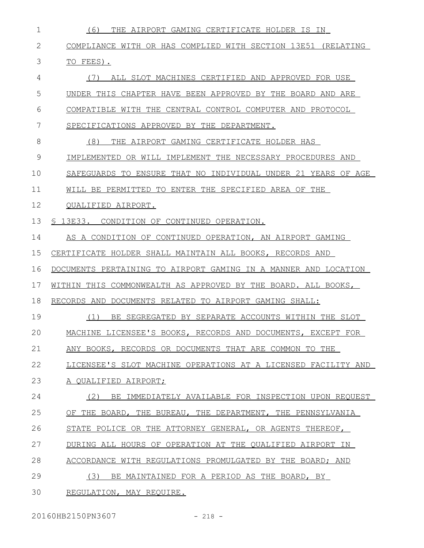| 1  | (6)<br>THE AIRPORT GAMING CERTIFICATE HOLDER IS IN              |
|----|-----------------------------------------------------------------|
| 2  | COMPLIANCE WITH OR HAS COMPLIED WITH SECTION 13E51 (RELATING    |
| 3  | TO FEES).                                                       |
| 4  | ALL SLOT MACHINES CERTIFIED AND APPROVED FOR USE<br>(1)         |
| 5  | UNDER THIS CHAPTER HAVE BEEN APPROVED BY THE BOARD AND ARE      |
| 6  | COMPATIBLE WITH THE CENTRAL CONTROL COMPUTER AND PROTOCOL       |
| 7  | SPECIFICATIONS APPROVED BY THE DEPARTMENT.                      |
| 8  | (8)<br>THE AIRPORT GAMING CERTIFICATE HOLDER HAS                |
| 9  | IMPLEMENTED OR WILL IMPLEMENT THE NECESSARY PROCEDURES AND      |
| 10 | SAFEGUARDS TO ENSURE THAT NO INDIVIDUAL UNDER 21 YEARS OF AGE   |
| 11 | WILL BE PERMITTED TO ENTER THE SPECIFIED AREA OF THE            |
| 12 | OUALIFIED AIRPORT.                                              |
| 13 | § 13E33. CONDITION OF CONTINUED OPERATION.                      |
| 14 | AS A CONDITION OF CONTINUED OPERATION, AN AIRPORT GAMING        |
| 15 | CERTIFICATE HOLDER SHALL MAINTAIN ALL BOOKS, RECORDS AND        |
| 16 | DOCUMENTS PERTAINING TO AIRPORT GAMING IN A MANNER AND LOCATION |
| 17 | WITHIN THIS COMMONWEALTH AS APPROVED BY THE BOARD. ALL BOOKS,   |
| 18 | RECORDS AND DOCUMENTS RELATED TO AIRPORT GAMING SHALL:          |
| 19 | (1)<br>BE SEGREGATED BY SEPARATE ACCOUNTS WITHIN THE SLOT       |
| 20 | MACHINE LICENSEE'S BOOKS, RECORDS AND DOCUMENTS, EXCEPT FOR     |
| 21 | ANY BOOKS, RECORDS OR DOCUMENTS THAT ARE COMMON TO THE          |
| 22 | LICENSEE'S SLOT MACHINE OPERATIONS AT A LICENSED FACILITY AND   |
| 23 | A OUALIFIED AIRPORT;                                            |
| 24 | (2)<br>BE IMMEDIATELY AVAILABLE FOR INSPECTION UPON REOUEST     |
| 25 | OF THE BOARD, THE BUREAU, THE DEPARTMENT, THE PENNSYLVANIA      |
| 26 | STATE POLICE OR THE ATTORNEY GENERAL, OR AGENTS THEREOF,        |
| 27 | DURING ALL HOURS OF OPERATION AT THE QUALIFIED AIRPORT IN       |
| 28 | ACCORDANCE WITH REGULATIONS PROMULGATED BY THE BOARD; AND       |
| 29 | (3)<br>BE MAINTAINED FOR A PERIOD AS THE BOARD, BY              |
| 30 | REGULATION, MAY REQUIRE.                                        |

20160HB2150PN3607 - 218 -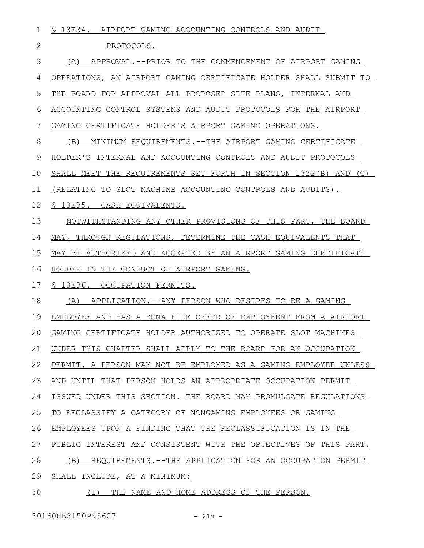| 1            | \$ 13E34. AIRPORT GAMING ACCOUNTING CONTROLS AND AUDIT              |
|--------------|---------------------------------------------------------------------|
| $\mathbf{2}$ | PROTOCOLS.                                                          |
| 3            | APPROVAL.--PRIOR TO THE COMMENCEMENT OF AIRPORT GAMING<br>(A)       |
| 4            | OPERATIONS, AN AIRPORT GAMING CERTIFICATE HOLDER SHALL SUBMIT TO    |
| 5            | THE BOARD FOR APPROVAL ALL PROPOSED SITE PLANS, INTERNAL AND        |
| 6            | ACCOUNTING CONTROL SYSTEMS AND AUDIT PROTOCOLS FOR THE AIRPORT      |
| 7            | GAMING CERTIFICATE HOLDER'S AIRPORT GAMING OPERATIONS.              |
| 8            | MINIMUM REQUIREMENTS. -- THE AIRPORT GAMING CERTIFICATE<br>(B)      |
| 9            | HOLDER'S INTERNAL AND ACCOUNTING CONTROLS AND AUDIT PROTOCOLS       |
| 10           | SHALL MEET THE REQUIREMENTS SET FORTH IN SECTION 1322 (B) AND (C)   |
| 11           | (RELATING TO SLOT MACHINE ACCOUNTING CONTROLS AND AUDITS).          |
| 12           | S 13E35. CASH EQUIVALENTS.                                          |
| 13           | NOTWITHSTANDING ANY OTHER PROVISIONS OF THIS PART, THE BOARD        |
| 14           | MAY, THROUGH REGULATIONS, DETERMINE THE CASH EQUIVALENTS THAT       |
| 15           | MAY BE AUTHORIZED AND ACCEPTED BY AN AIRPORT GAMING CERTIFICATE     |
| 16           | HOLDER IN THE CONDUCT OF AIRPORT GAMING.                            |
| 17           | S 13E36. OCCUPATION PERMITS.                                        |
| 18           | APPLICATION. -- ANY PERSON WHO DESIRES TO BE A GAMING<br>(A)        |
| 19           | EMPLOYEE AND HAS A BONA FIDE OFFER OF EMPLOYMENT FROM A AIRPORT     |
| 20           | GAMING CERTIFICATE HOLDER AUTHORIZED TO OPERATE SLOT MACHINES       |
| 21           | UNDER THIS CHAPTER SHALL APPLY TO THE BOARD FOR AN OCCUPATION       |
| 22           | PERMIT. A PERSON MAY NOT BE EMPLOYED AS A GAMING EMPLOYEE UNLESS    |
| 23           | AND UNTIL THAT PERSON HOLDS AN APPROPRIATE OCCUPATION PERMIT        |
| 24           | ISSUED UNDER THIS SECTION. THE BOARD MAY PROMULGATE REGULATIONS     |
| 25           | TO RECLASSIFY A CATEGORY OF NONGAMING EMPLOYEES OR GAMING           |
| 26           | EMPLOYEES UPON A FINDING THAT THE RECLASSIFICATION IS IN THE        |
| 27           | INTEREST AND CONSISTENT WITH THE OBJECTIVES OF THIS PART.<br>PUBLIC |
| 28           | (B)<br>REQUIREMENTS.--THE APPLICATION FOR AN OCCUPATION PERMIT      |
| 29           | SHALL INCLUDE, AT A MINIMUM:                                        |
| 30           | (1)<br>THE NAME AND HOME ADDRESS OF THE PERSON.                     |

20160HB2150PN3607 - 219 -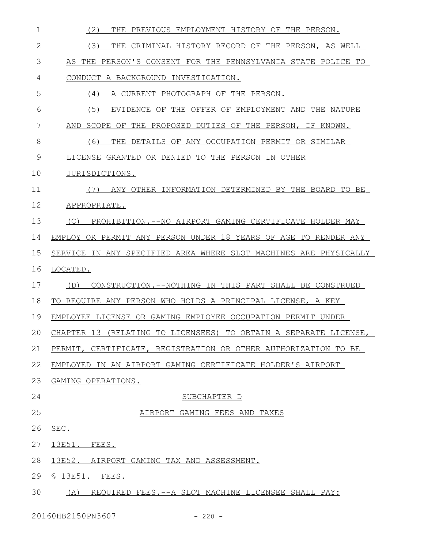| $\mathbf 1$ | (2)<br>THE<br>PREVIOUS EMPLOYMENT HISTORY OF THE PERSON.         |
|-------------|------------------------------------------------------------------|
| 2           | (3)<br>THE CRIMINAL HISTORY RECORD OF THE PERSON, AS WELL        |
| 3           | AS THE PERSON'S CONSENT FOR THE PENNSYLVANIA STATE POLICE TO     |
| 4           | CONDUCT A BACKGROUND INVESTIGATION.                              |
| 5           | A CURRENT PHOTOGRAPH OF THE PERSON.<br>(4)                       |
| 6           | (5)<br>EVIDENCE OF THE OFFER OF EMPLOYMENT AND THE NATURE        |
| 7           | AND<br>SCOPE OF THE PROPOSED DUTIES OF THE PERSON, IF KNOWN.     |
| 8           | (6)<br>THE DETAILS OF ANY OCCUPATION PERMIT OR SIMILAR           |
| 9           | LICENSE GRANTED OR DENIED TO THE PERSON IN OTHER                 |
| 10          | JURISDICTIONS.                                                   |
| 11          | ANY OTHER INFORMATION DETERMINED BY THE BOARD TO BE<br>(1)       |
| 12          | APPROPRIATE.                                                     |
| 13          | PROHIBITION.--NO AIRPORT GAMING CERTIFICATE HOLDER MAY<br>(C)    |
| 14          | EMPLOY OR PERMIT ANY PERSON UNDER 18 YEARS OF AGE TO RENDER ANY  |
| 15          | SERVICE IN ANY SPECIFIED AREA WHERE SLOT MACHINES ARE PHYSICALLY |
| 16          | LOCATED.                                                         |
| 17          | CONSTRUCTION.--NOTHING IN THIS PART SHALL BE CONSTRUED<br>(D)    |
| 18          | TO REQUIRE ANY PERSON WHO HOLDS A PRINCIPAL LICENSE, A KEY       |
| 19          | EMPLOYEE LICENSE OR GAMING EMPLOYEE OCCUPATION PERMIT UNDER      |
| 20          | CHAPTER 13 (RELATING TO LICENSEES) TO OBTAIN A SEPARATE LICENSE, |
| 21          | PERMIT, CERTIFICATE, REGISTRATION OR OTHER AUTHORIZATION TO BE   |
| 22          | EMPLOYED IN AN AIRPORT GAMING CERTIFICATE HOLDER'S AIRPORT       |
| 23          | GAMING OPERATIONS.                                               |
| 24          | SUBCHAPTER D                                                     |
| 25          | AIRPORT GAMING FEES AND TAXES                                    |
| 26          | SEC.                                                             |
| 27          | 13E51. FEES.                                                     |
| 28          | 13E52. AIRPORT GAMING TAX AND ASSESSMENT.                        |
| 29          | $$13E51.$ FEES.                                                  |
| 30          | (A) REQUIRED FEES. -- A SLOT MACHINE LICENSEE SHALL PAY:         |
|             |                                                                  |

20160HB2150PN3607 - 220 -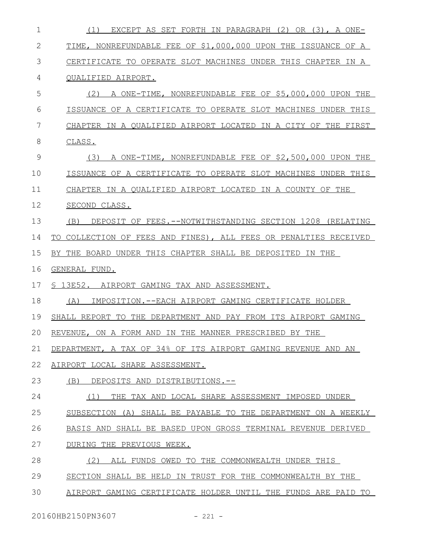| $\mathbf 1$ | EXCEPT AS SET FORTH IN PARAGRAPH (2) OR (3), A ONE-<br>(1)       |
|-------------|------------------------------------------------------------------|
| 2           | TIME, NONREFUNDABLE FEE OF \$1,000,000 UPON THE ISSUANCE OF A    |
| 3           | CERTIFICATE TO OPERATE SLOT MACHINES UNDER THIS CHAPTER IN A     |
| 4           | QUALIFIED AIRPORT.                                               |
| 5           | (2) A ONE-TIME, NONREFUNDABLE FEE OF \$5,000,000 UPON THE        |
| 6           | ISSUANCE OF A CERTIFICATE TO OPERATE SLOT MACHINES UNDER THIS    |
| 7           | CHAPTER IN A QUALIFIED AIRPORT LOCATED IN A CITY OF THE FIRST    |
| 8           | CLASS.                                                           |
| 9           | A ONE-TIME, NONREFUNDABLE FEE OF \$2,500,000 UPON THE<br>(3)     |
| 10          | ISSUANCE OF A CERTIFICATE TO OPERATE SLOT MACHINES UNDER THIS    |
| 11          | CHAPTER IN A QUALIFIED AIRPORT LOCATED IN A COUNTY OF THE        |
| 12          | SECOND CLASS.                                                    |
| 13          | DEPOSIT OF FEES. --NOTWITHSTANDING SECTION 1208 (RELATING<br>(B) |
| 14          | TO COLLECTION OF FEES AND FINES), ALL FEES OR PENALTIES RECEIVED |
| 15          | BY THE BOARD UNDER THIS CHAPTER SHALL BE DEPOSITED IN THE        |
| 16          | GENERAL FUND.                                                    |
| 17          | § 13E52. AIRPORT GAMING TAX AND ASSESSMENT.                      |
| 18          | IMPOSITION.--EACH AIRPORT GAMING CERTIFICATE HOLDER<br>(A)       |
| 19          | SHALL REPORT TO THE DEPARTMENT AND PAY FROM ITS AIRPORT GAMING   |
| 20          | REVENUE, ON A FORM AND IN THE MANNER PRESCRIBED BY THE           |
| 21          | DEPARTMENT, A TAX OF 34% OF ITS AIRPORT GAMING REVENUE AND AN    |
| 22          | AIRPORT LOCAL SHARE ASSESSMENT.                                  |
| 23          | (B)<br>DEPOSITS AND DISTRIBUTIONS.--                             |
| 24          | THE TAX AND LOCAL SHARE ASSESSMENT IMPOSED UNDER<br>(1)          |
| 25          | SUBSECTION (A) SHALL BE PAYABLE TO THE DEPARTMENT ON A WEEKLY    |
| 26          | BASIS AND SHALL BE BASED UPON GROSS TERMINAL REVENUE DERIVED     |
| 27          | DURING THE PREVIOUS WEEK.                                        |
| 28          | (2)<br>ALL FUNDS OWED TO THE COMMONWEALTH UNDER THIS             |
|             |                                                                  |
| 29          | SECTION SHALL BE HELD IN TRUST FOR THE COMMONWEALTH BY THE       |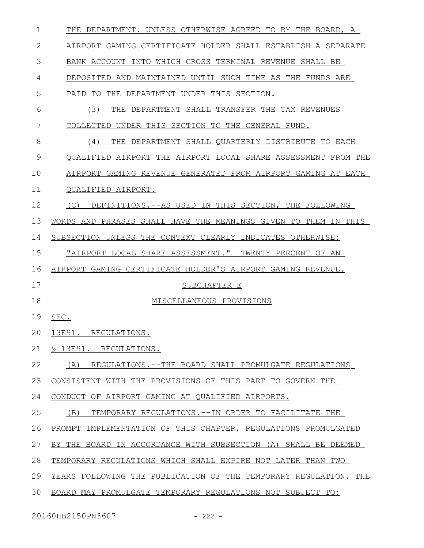| $\mathbf 1$ | THE DEPARTMENT. UNLESS OTHERWISE AGREED TO BY THE BOARD, A       |
|-------------|------------------------------------------------------------------|
| 2           | AIRPORT GAMING CERTIFICATE HOLDER SHALL ESTABLISH A SEPARATE     |
| 3           | BANK ACCOUNT INTO WHICH GROSS TERMINAL REVENUE SHALL BE          |
| 4           | DEPOSITED AND MAINTAINED UNTIL SUCH TIME AS THE FUNDS ARE        |
| 5           | PAID TO<br>THE DEPARTMENT UNDER THIS SECTION.                    |
| 6           | (3)<br>THE DEPARTMENT SHALL TRANSFER THE TAX REVENUES            |
| 7           | COLLECTED UNDER THIS SECTION TO THE GENERAL FUND.                |
| 8           | THE DEPARTMENT SHALL QUARTERLY DISTRIBUTE TO EACH<br>(4)         |
| 9           | QUALIFIED AIRPORT THE AIRPORT LOCAL SHARE ASSESSMENT FROM THE    |
| 10          | AIRPORT GAMING REVENUE GENERATED FROM AIRPORT GAMING AT EACH     |
| 11          | QUALIFIED AIRPORT.                                               |
| 12          | (C)<br>DEFINITIONS.--AS USED IN THIS SECTION, THE FOLLOWING      |
| 13          | WORDS AND PHRASES SHALL HAVE THE MEANINGS GIVEN TO THEM IN THIS  |
| 14          | SUBSECTION UNLESS THE CONTEXT CLEARLY INDICATES OTHERWISE:       |
| 15          | "AIRPORT LOCAL SHARE ASSESSMENT." TWENTY PERCENT OF AN           |
| 16          | AIRPORT GAMING CERTIFICATE HOLDER'S AIRPORT GAMING REVENUE.      |
| 17          | SUBCHAPTER E                                                     |
| 18          | MISCELLANEOUS PROVISIONS                                         |
| 19          | SEC.                                                             |
| 20          | 13E91. REGULATIONS.                                              |
| 21          | \$13E91. REGULATIONS.                                            |
| 22          | REGULATIONS.--THE BOARD SHALL PROMULGATE REGULATIONS<br>(A)      |
| 23          | CONSISTENT WITH THE PROVISIONS OF THIS PART TO GOVERN THE        |
| 24          | CONDUCT OF AIRPORT GAMING AT QUALIFIED AIRPORTS.                 |
| 25          | (B)<br>TEMPORARY REGULATIONS.--IN ORDER TO FACILITATE THE        |
| 26          | PROMPT IMPLEMENTATION OF THIS CHAPTER, REGULATIONS PROMULGATED   |
| 27          | BY THE BOARD IN ACCORDANCE WITH SUBSECTION (A) SHALL BE DEEMED   |
| 28          | TEMPORARY REGULATIONS WHICH SHALL EXPIRE NOT LATER THAN TWO      |
| 29          | YEARS FOLLOWING THE PUBLICATION OF THE TEMPORARY REGULATION. THE |
| 30          | BOARD MAY PROMULGATE TEMPORARY REGULATIONS NOT SUBJECT TO:       |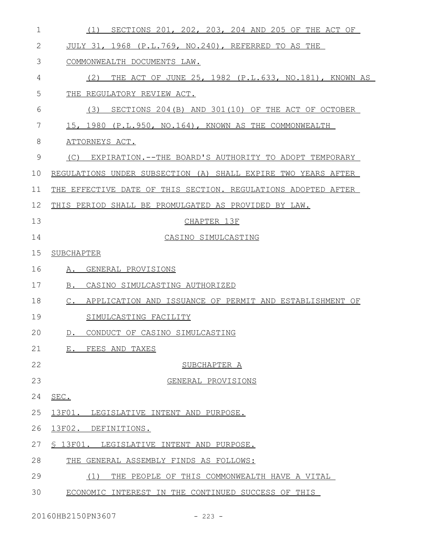| $\mathbf 1$  | SECTIONS 201, 202, 203, 204 AND 205 OF THE ACT OF<br>(1)                 |
|--------------|--------------------------------------------------------------------------|
| $\mathbf{2}$ | JULY 31, 1968 (P.L.769, NO.240), REFERRED TO AS THE                      |
| 3            | COMMONWEALTH DOCUMENTS LAW.                                              |
| 4            | THE ACT OF JUNE 25, 1982 (P.L.633, NO.181), KNOWN AS<br>(2)              |
| 5            | THE REGULATORY REVIEW ACT.                                               |
| 6            | SECTIONS 204 (B) AND 301 (10) OF THE ACT OF OCTOBER<br>(3)               |
| 7            | 15, 1980 (P.L.950, NO.164), KNOWN AS THE COMMONWEALTH                    |
| 8            | ATTORNEYS ACT.                                                           |
| 9            | (C) EXPIRATION.--THE BOARD'S AUTHORITY TO ADOPT TEMPORARY                |
| 10           | REGULATIONS UNDER SUBSECTION (A) SHALL EXPIRE TWO YEARS AFTER            |
| 11           | THE EFFECTIVE DATE OF THIS SECTION. REGULATIONS ADOPTED AFTER            |
| 12           | THIS PERIOD SHALL BE PROMULGATED AS PROVIDED BY LAW.                     |
| 13           | CHAPTER 13F                                                              |
| 14           | CASINO SIMULCASTING                                                      |
| 15           | SUBCHAPTER                                                               |
| 16           | A. GENERAL PROVISIONS                                                    |
| 17           | B.<br>CASINO SIMULCASTING AUTHORIZED                                     |
| 18           | $\mathbb C$ .<br>APPLICATION AND ISSUANCE OF PERMIT AND ESTABLISHMENT OF |
| 19           | SIMULCASTING FACILITY                                                    |
| 20           | CONDUCT OF CASINO SIMULCASTING<br>$D$ .                                  |
| 21           | E. FEES AND TAXES                                                        |
| 22           | SUBCHAPTER A                                                             |
| 23           | GENERAL PROVISIONS                                                       |
| 24           | SEC.                                                                     |
| 25           | 13F01. LEGISLATIVE INTENT AND PURPOSE.                                   |
| 26           | 13F02.<br>DEFINITIONS.                                                   |
| 27           | § 13F01. LEGISLATIVE INTENT AND PURPOSE.                                 |
| 28           | THE GENERAL ASSEMBLY FINDS AS FOLLOWS:                                   |
| 29           | THE PEOPLE OF THIS COMMONWEALTH HAVE A VITAL<br>(1)                      |
| 30           | ECONOMIC INTEREST IN THE CONTINUED SUCCESS OF THIS                       |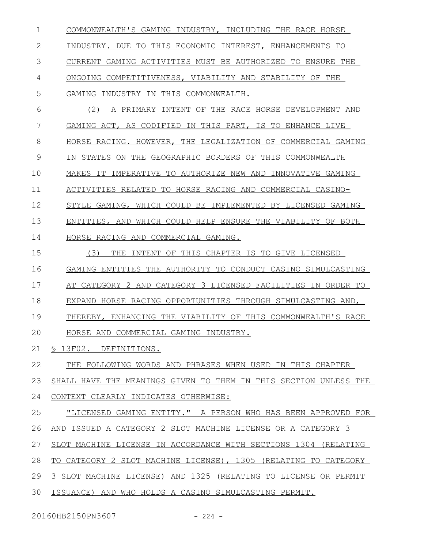COMMONWEALTH'S GAMING INDUSTRY, INCLUDING THE RACE HORSE INDUSTRY. DUE TO THIS ECONOMIC INTEREST, ENHANCEMENTS TO CURRENT GAMING ACTIVITIES MUST BE AUTHORIZED TO ENSURE THE ONGOING COMPETITIVENESS, VIABILITY AND STABILITY OF THE GAMING INDUSTRY IN THIS COMMONWEALTH. (2) A PRIMARY INTENT OF THE RACE HORSE DEVELOPMENT AND GAMING ACT, AS CODIFIED IN THIS PART, IS TO ENHANCE LIVE HORSE RACING. HOWEVER, THE LEGALIZATION OF COMMERCIAL GAMING IN STATES ON THE GEOGRAPHIC BORDERS OF THIS COMMONWEALTH MAKES IT IMPERATIVE TO AUTHORIZE NEW AND INNOVATIVE GAMING ACTIVITIES RELATED TO HORSE RACING AND COMMERCIAL CASINO-STYLE GAMING, WHICH COULD BE IMPLEMENTED BY LICENSED GAMING ENTITIES, AND WHICH COULD HELP ENSURE THE VIABILITY OF BOTH HORSE RACING AND COMMERCIAL GAMING. (3) THE INTENT OF THIS CHAPTER IS TO GIVE LICENSED GAMING ENTITIES THE AUTHORITY TO CONDUCT CASINO SIMULCASTING AT CATEGORY 2 AND CATEGORY 3 LICENSED FACILITIES IN ORDER TO EXPAND HORSE RACING OPPORTUNITIES THROUGH SIMULCASTING AND, THEREBY, ENHANCING THE VIABILITY OF THIS COMMONWEALTH'S RACE HORSE AND COMMERCIAL GAMING INDUSTRY. § 13F02. DEFINITIONS. THE FOLLOWING WORDS AND PHRASES WHEN USED IN THIS CHAPTER SHALL HAVE THE MEANINGS GIVEN TO THEM IN THIS SECTION UNLESS THE CONTEXT CLEARLY INDICATES OTHERWISE: "LICENSED GAMING ENTITY." A PERSON WHO HAS BEEN APPROVED FOR AND ISSUED A CATEGORY 2 SLOT MACHINE LICENSE OR A CATEGORY 3 SLOT MACHINE LICENSE IN ACCORDANCE WITH SECTIONS 1304 (RELATING TO CATEGORY 2 SLOT MACHINE LICENSE), 1305 (RELATING TO CATEGORY 3 SLOT MACHINE LICENSE) AND 1325 (RELATING TO LICENSE OR PERMIT ISSUANCE) AND WHO HOLDS A CASINO SIMULCASTING PERMIT. 1 2 3 4 5 6 7 8 9 10 11 12 13 14 15 16 17 18 19  $20$ 21 22 23 24 25 26 27 28 29 30

20160HB2150PN3607 - 224 -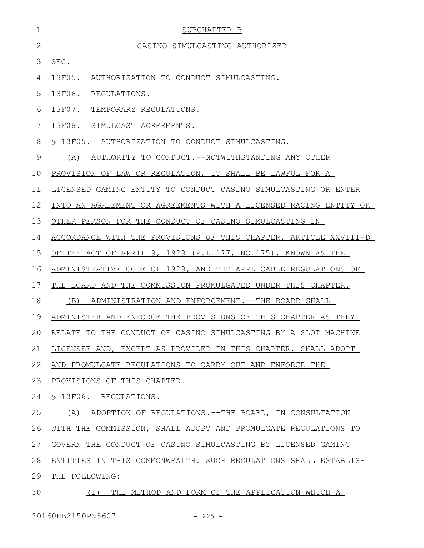| $\mathbf 1$  | SUBCHAPTER B                                                     |
|--------------|------------------------------------------------------------------|
| $\mathbf{2}$ | CASINO SIMULCASTING AUTHORIZED                                   |
| 3            | SEC.                                                             |
| 4            | 13F05.<br>AUTHORIZATION TO CONDUCT SIMULCASTING.                 |
| 5            | 13F06.<br>REGULATIONS.                                           |
| 6            | 13F07.<br>TEMPORARY REGULATIONS.                                 |
| 7            | 13F08. SIMULCAST AGREEMENTS.                                     |
| 8            | \$ 13F05. AUTHORIZATION TO CONDUCT SIMULCASTING.                 |
| 9            | AUTHORITY TO CONDUCT.--NOTWITHSTANDING ANY OTHER<br>(A)          |
| 10           | PROVISION OF LAW OR REGULATION, IT SHALL BE LAWFUL FOR A         |
| 11           | LICENSED GAMING ENTITY TO CONDUCT CASINO SIMULCASTING OR ENTER   |
| 12           | INTO AN AGREEMENT OR AGREEMENTS WITH A LICENSED RACING ENTITY OR |
| 13           | OTHER PERSON FOR THE CONDUCT OF CASINO SIMULCASTING IN           |
| 14           | ACCORDANCE WITH THE PROVISIONS OF THIS CHAPTER, ARTICLE XXVIII-D |
| 15           | OF THE ACT OF APRIL 9, 1929 (P.L.177, NO.175), KNOWN AS THE      |
| 16           | ADMINISTRATIVE CODE OF 1929, AND THE APPLICABLE REGULATIONS OF   |
| 17           | THE BOARD AND THE COMMISSION PROMULGATED UNDER THIS CHAPTER.     |
| 18           | (B)<br>ADMINISTRATION AND ENFORCEMENT. --THE BOARD SHALL         |
| 19           | ADMINISTER AND ENFORCE THE PROVISIONS OF THIS CHAPTER AS THEY    |
| 20           | RELATE TO THE CONDUCT OF CASINO SIMULCASTING BY A SLOT MACHINE   |
| 21           | LICENSEE AND, EXCEPT AS PROVIDED IN THIS CHAPTER, SHALL ADOPT    |
| 22           | AND PROMULGATE REGULATIONS TO CARRY OUT AND ENFORCE THE          |
| 23           | PROVISIONS OF THIS CHAPTER.                                      |
| 24           | § 13F06. REGULATIONS.                                            |
| 25           | ADOPTION OF REGULATIONS.--THE BOARD, IN CONSULTATION<br>(A)      |
| 26           | WITH THE COMMISSION, SHALL ADOPT AND PROMULGATE REGULATIONS TO   |
| 27           | GOVERN THE CONDUCT OF CASINO SIMULCASTING BY LICENSED GAMING     |
| 28           | ENTITIES IN THIS COMMONWEALTH. SUCH REGULATIONS SHALL ESTABLISH  |
| 29           | THE FOLLOWING:                                                   |
| 30           | THE METHOD AND FORM OF THE APPLICATION WHICH A<br>(1)            |

20160HB2150PN3607 - 225 -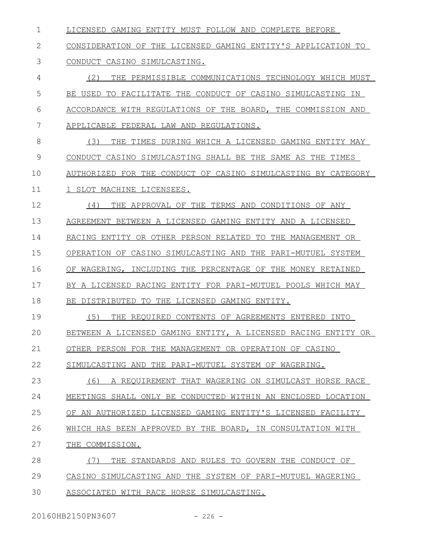LICENSED GAMING ENTITY MUST FOLLOW AND COMPLETE BEFORE 1

## CONSIDERATION OF THE LICENSED GAMING ENTITY'S APPLICATION TO CONDUCT CASINO SIMULCASTING. 2 3

(2) THE PERMISSIBLE COMMUNICATIONS TECHNOLOGY WHICH MUST BE USED TO FACILITATE THE CONDUCT OF CASINO SIMULCASTING IN ACCORDANCE WITH REGULATIONS OF THE BOARD, THE COMMISSION AND APPLICABLE FEDERAL LAW AND REGULATIONS. 4 5 6 7

(3) THE TIMES DURING WHICH A LICENSED GAMING ENTITY MAY CONDUCT CASINO SIMULCASTING SHALL BE THE SAME AS THE TIMES AUTHORIZED FOR THE CONDUCT OF CASINO SIMULCASTING BY CATEGORY 1 SLOT MACHINE LICENSEES. 8 9 10 11

(4) THE APPROVAL OF THE TERMS AND CONDITIONS OF ANY AGREEMENT BETWEEN A LICENSED GAMING ENTITY AND A LICENSED RACING ENTITY OR OTHER PERSON RELATED TO THE MANAGEMENT OR OPERATION OF CASINO SIMULCASTING AND THE PARI-MUTUEL SYSTEM OF WAGERING, INCLUDING THE PERCENTAGE OF THE MONEY RETAINED BY A LICENSED RACING ENTITY FOR PARI-MUTUEL POOLS WHICH MAY BE DISTRIBUTED TO THE LICENSED GAMING ENTITY. 12 13 14 15 16 17 18

(5) THE REQUIRED CONTENTS OF AGREEMENTS ENTERED INTO BETWEEN A LICENSED GAMING ENTITY, A LICENSED RACING ENTITY OR OTHER PERSON FOR THE MANAGEMENT OR OPERATION OF CASINO 19  $20$ 21

SIMULCASTING AND THE PARI-MUTUEL SYSTEM OF WAGERING. 22

(6) A REQUIREMENT THAT WAGERING ON SIMULCAST HORSE RACE MEETINGS SHALL ONLY BE CONDUCTED WITHIN AN ENCLOSED LOCATION OF AN AUTHORIZED LICENSED GAMING ENTITY'S LICENSED FACILITY WHICH HAS BEEN APPROVED BY THE BOARD, IN CONSULTATION WITH THE COMMISSION. (7) THE STANDARDS AND RULES TO GOVERN THE CONDUCT OF CASINO SIMULCASTING AND THE SYSTEM OF PARI-MUTUEL WAGERING 23 24 25 26 27 28 29

ASSOCIATED WITH RACE HORSE SIMULCASTING. 30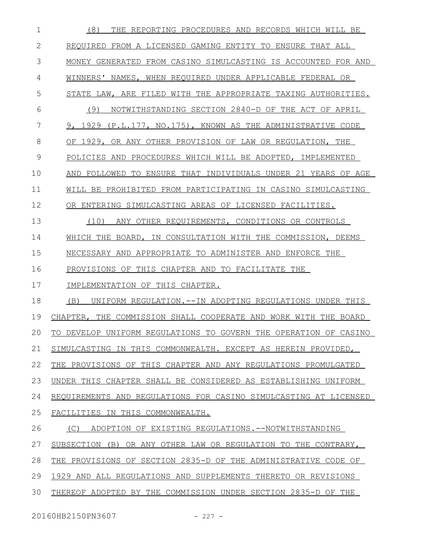(8) THE REPORTING PROCEDURES AND RECORDS WHICH WILL BE REQUIRED FROM A LICENSED GAMING ENTITY TO ENSURE THAT ALL MONEY GENERATED FROM CASINO SIMULCASTING IS ACCOUNTED FOR AND WINNERS' NAMES, WHEN REQUIRED UNDER APPLICABLE FEDERAL OR STATE LAW, ARE FILED WITH THE APPROPRIATE TAXING AUTHORITIES. (9) NOTWITHSTANDING SECTION 2840-D OF THE ACT OF APRIL 9, 1929 (P.L.177, NO.175), KNOWN AS THE ADMINISTRATIVE CODE OF 1929, OR ANY OTHER PROVISION OF LAW OR REGULATION, THE POLICIES AND PROCEDURES WHICH WILL BE ADOPTED, IMPLEMENTED AND FOLLOWED TO ENSURE THAT INDIVIDUALS UNDER 21 YEARS OF AGE WILL BE PROHIBITED FROM PARTICIPATING IN CASINO SIMULCASTING OR ENTERING SIMULCASTING AREAS OF LICENSED FACILITIES. (10) ANY OTHER REQUIREMENTS, CONDITIONS OR CONTROLS WHICH THE BOARD, IN CONSULTATION WITH THE COMMISSION, DEEMS NECESSARY AND APPROPRIATE TO ADMINISTER AND ENFORCE THE PROVISIONS OF THIS CHAPTER AND TO FACILITATE THE IMPLEMENTATION OF THIS CHAPTER. (B) UNIFORM REGULATION.--IN ADOPTING REGULATIONS UNDER THIS CHAPTER, THE COMMISSION SHALL COOPERATE AND WORK WITH THE BOARD TO DEVELOP UNIFORM REGULATIONS TO GOVERN THE OPERATION OF CASINO SIMULCASTING IN THIS COMMONWEALTH. EXCEPT AS HEREIN PROVIDED, THE PROVISIONS OF THIS CHAPTER AND ANY REGULATIONS PROMULGATED UNDER THIS CHAPTER SHALL BE CONSIDERED AS ESTABLISHING UNIFORM REQUIREMENTS AND REGULATIONS FOR CASINO SIMULCASTING AT LICENSED FACILITIES IN THIS COMMONWEALTH. (C) ADOPTION OF EXISTING REGULATIONS.--NOTWITHSTANDING SUBSECTION (B) OR ANY OTHER LAW OR REGULATION TO THE CONTRARY, THE PROVISIONS OF SECTION 2835-D OF THE ADMINISTRATIVE CODE OF 1929 AND ALL REGULATIONS AND SUPPLEMENTS THERETO OR REVISIONS THEREOF ADOPTED BY THE COMMISSION UNDER SECTION 2835-D OF THE 1 2 3 4 5 6 7 8 9 10 11 12 13 14 15 16 17 18 19  $20$ 21 22 23 24 25 26 27 28 29 30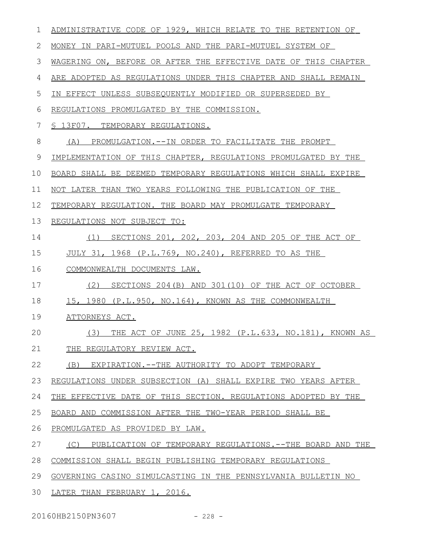| 1            | ADMINISTRATIVE CODE OF 1929, WHICH RELATE TO THE RETENTION OF   |
|--------------|-----------------------------------------------------------------|
| $\mathbf{2}$ | MONEY IN PARI-MUTUEL POOLS AND THE PARI-MUTUEL SYSTEM OF        |
| 3            | WAGERING ON, BEFORE OR AFTER THE EFFECTIVE DATE OF THIS CHAPTER |
| 4            | ARE ADOPTED AS REGULATIONS UNDER THIS CHAPTER AND SHALL REMAIN  |
| 5            | IN EFFECT UNLESS SUBSEQUENTLY MODIFIED OR SUPERSEDED BY         |
| 6            | REGULATIONS PROMULGATED BY THE COMMISSION.                      |
| 7            | S 13F07. TEMPORARY REGULATIONS.                                 |
| 8            | PROMULGATION.--IN ORDER TO FACILITATE THE PROMPT<br>(A)         |
| 9            | IMPLEMENTATION OF THIS CHAPTER, REGULATIONS PROMULGATED BY THE  |
| 10           | BOARD SHALL BE DEEMED TEMPORARY REGULATIONS WHICH SHALL EXPIRE  |
| 11           | NOT LATER THAN TWO YEARS FOLLOWING THE PUBLICATION OF THE       |
| 12           | TEMPORARY REGULATION. THE BOARD MAY PROMULGATE TEMPORARY        |
| 13           | REGULATIONS NOT SUBJECT TO:                                     |
| 14           | SECTIONS 201, 202, 203, 204 AND 205 OF THE ACT OF<br>(1)        |
| 15           | JULY 31, 1968 (P.L.769, NO.240), REFERRED TO AS THE             |
| 16           | COMMONWEALTH DOCUMENTS LAW.                                     |
| 17           | (2)<br>SECTIONS 204 (B) AND 301 (10) OF THE ACT OF OCTOBER      |
| 18           | 15, 1980 (P.L.950, NO.164), KNOWN AS THE COMMONWEALTH           |
| 19           | ATTORNEYS ACT.                                                  |
| 20           | (3)<br>THE ACT OF JUNE 25, 1982 (P.L.633, NO.181), KNOWN AS     |
| 21           | THE REGULATORY REVIEW ACT.                                      |
| 22           | (B)<br>EXPIRATION.--THE AUTHORITY TO ADOPT TEMPORARY            |
| 23           | REGULATIONS UNDER SUBSECTION (A) SHALL EXPIRE TWO YEARS AFTER   |
| 24           | THE EFFECTIVE DATE OF THIS SECTION. REGULATIONS ADOPTED BY THE  |
| 25           | BOARD AND COMMISSION AFTER THE TWO-YEAR PERIOD SHALL BE         |
| 26           | PROMULGATED AS PROVIDED BY LAW.                                 |
| 27           | (C)<br>PUBLICATION OF TEMPORARY REGULATIONS.--THE BOARD AND THE |
| 28           | COMMISSION SHALL BEGIN PUBLISHING TEMPORARY REGULATIONS         |
| 29           | GOVERNING CASINO SIMULCASTING IN THE PENNSYLVANIA BULLETIN NO   |
| 30           | LATER THAN FEBRUARY 1, 2016.                                    |
|              |                                                                 |

20160HB2150PN3607 - 228 -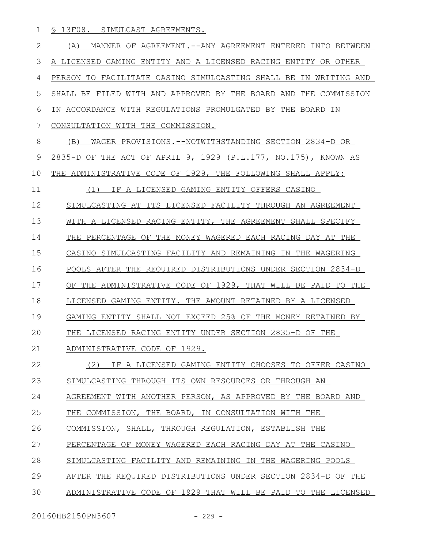§ 13F08. SIMULCAST AGREEMENTS. 1

(A) MANNER OF AGREEMENT.--ANY AGREEMENT ENTERED INTO BETWEEN A LICENSED GAMING ENTITY AND A LICENSED RACING ENTITY OR OTHER PERSON TO FACILITATE CASINO SIMULCASTING SHALL BE IN WRITING AND SHALL BE FILED WITH AND APPROVED BY THE BOARD AND THE COMMISSION IN ACCORDANCE WITH REGULATIONS PROMULGATED BY THE BOARD IN CONSULTATION WITH THE COMMISSION. (B) WAGER PROVISIONS.--NOTWITHSTANDING SECTION 2834-D OR 2835-D OF THE ACT OF APRIL 9, 1929 (P.L.177, NO.175), KNOWN AS THE ADMINISTRATIVE CODE OF 1929, THE FOLLOWING SHALL APPLY: (1) IF A LICENSED GAMING ENTITY OFFERS CASINO SIMULCASTING AT ITS LICENSED FACILITY THROUGH AN AGREEMENT WITH A LICENSED RACING ENTITY, THE AGREEMENT SHALL SPECIFY THE PERCENTAGE OF THE MONEY WAGERED EACH RACING DAY AT THE CASINO SIMULCASTING FACILITY AND REMAINING IN THE WAGERING POOLS AFTER THE REQUIRED DISTRIBUTIONS UNDER SECTION 2834-D OF THE ADMINISTRATIVE CODE OF 1929, THAT WILL BE PAID TO THE LICENSED GAMING ENTITY. THE AMOUNT RETAINED BY A LICENSED GAMING ENTITY SHALL NOT EXCEED 25% OF THE MONEY RETAINED BY THE LICENSED RACING ENTITY UNDER SECTION 2835-D OF THE ADMINISTRATIVE CODE OF 1929. (2) IF A LICENSED GAMING ENTITY CHOOSES TO OFFER CASINO SIMULCASTING THROUGH ITS OWN RESOURCES OR THROUGH AN AGREEMENT WITH ANOTHER PERSON, AS APPROVED BY THE BOARD AND THE COMMISSION, THE BOARD, IN CONSULTATION WITH THE COMMISSION, SHALL, THROUGH REGULATION, ESTABLISH THE PERCENTAGE OF MONEY WAGERED EACH RACING DAY AT THE CASINO SIMULCASTING FACILITY AND REMAINING IN THE WAGERING POOLS AFTER THE REQUIRED DISTRIBUTIONS UNDER SECTION 2834-D OF THE ADMINISTRATIVE CODE OF 1929 THAT WILL BE PAID TO THE LICENSED 2 3 4 5 6 7 8 9 10 11 12 13 14 15 16 17 18 19  $20$ 21 22 23 24 25 26 27 28 29 30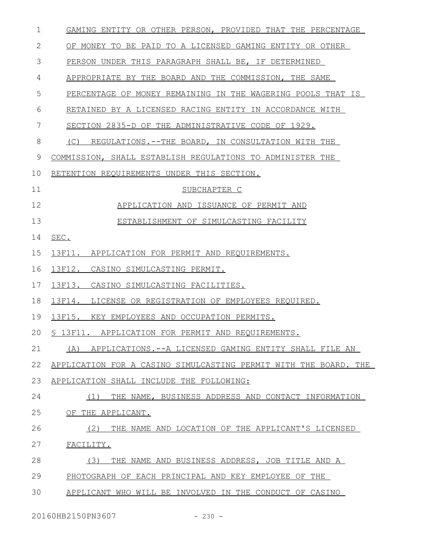| $\mathbf 1$ | GAMING ENTITY OR OTHER PERSON, PROVIDED THAT THE PERCENTAGE      |
|-------------|------------------------------------------------------------------|
| 2           | OF MONEY TO BE PAID TO A LICENSED GAMING ENTITY OR OTHER         |
| 3           | PERSON UNDER THIS PARAGRAPH SHALL BE, IF DETERMINED              |
| 4           | APPROPRIATE BY THE BOARD AND THE COMMISSION, THE SAME            |
| 5           | PERCENTAGE OF MONEY REMAINING IN THE WAGERING POOLS THAT IS      |
| 6           | RETAINED BY A LICENSED RACING ENTITY IN ACCORDANCE WITH          |
| 7           | SECTION 2835-D OF THE ADMINISTRATIVE CODE OF 1929.               |
| 8           | REGULATIONS.--THE BOARD, IN CONSULTATION WITH THE<br>(C)         |
| 9           | COMMISSION, SHALL ESTABLISH REGULATIONS TO ADMINISTER THE        |
| 10          | RETENTION REQUIREMENTS UNDER THIS SECTION.                       |
| 11          | SUBCHAPTER C                                                     |
| 12          | APPLICATION AND ISSUANCE OF PERMIT AND                           |
| 13          | ESTABLISHMENT OF SIMULCASTING FACILITY                           |
| 14          | SEC.                                                             |
| 15          | 13F11. APPLICATION FOR PERMIT AND REQUIREMENTS.                  |
| 16          | 13F12. CASINO SIMULCASTING PERMIT.                               |
| 17          | 13F13.<br>CASINO SIMULCASTING FACILITIES.                        |
| 18          | 13F14. LICENSE OR REGISTRATION OF EMPLOYEES REQUIRED.            |
| 19          | 13F15.<br>KEY EMPLOYEES AND OCCUPATION PERMITS.                  |
| 20          | § 13F11. APPLICATION FOR PERMIT AND REQUIREMENTS.                |
| 21          | APPLICATIONS.--A LICENSED GAMING ENTITY SHALL FILE AN<br>(A)     |
| 22          | APPLICATION FOR A CASINO SIMULCASTING PERMIT WITH THE BOARD. THE |
| 23          | APPLICATION SHALL INCLUDE THE FOLLOWING:                         |
| 24          | THE NAME, BUSINESS ADDRESS AND CONTACT INFORMATION<br>(1)        |
| 25          | OF THE APPLICANT.                                                |
| 26          | (2)<br>THE NAME AND LOCATION OF THE APPLICANT'S LICENSED         |
| 27          | FACILITY.                                                        |
| 28          | (3)<br>THE NAME AND BUSINESS ADDRESS, JOB TITLE AND A            |
| 29          | PHOTOGRAPH OF EACH PRINCIPAL AND KEY EMPLOYEE OF THE             |
| 30          | APPLICANT WHO WILL BE INVOLVED IN THE CONDUCT OF CASINO          |
|             |                                                                  |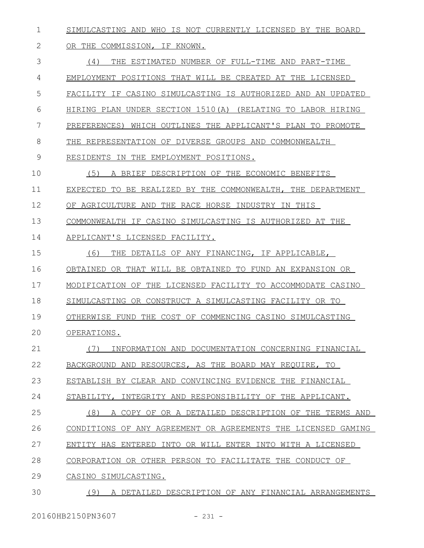SIMULCASTING AND WHO IS NOT CURRENTLY LICENSED BY THE BOARD 1

## OR THE COMMISSION, IF KNOWN. 2

(4) THE ESTIMATED NUMBER OF FULL-TIME AND PART-TIME EMPLOYMENT POSITIONS THAT WILL BE CREATED AT THE LICENSED FACILITY IF CASINO SIMULCASTING IS AUTHORIZED AND AN UPDATED HIRING PLAN UNDER SECTION 1510(A) (RELATING TO LABOR HIRING PREFERENCES) WHICH OUTLINES THE APPLICANT'S PLAN TO PROMOTE THE REPRESENTATION OF DIVERSE GROUPS AND COMMONWEALTH RESIDENTS IN THE EMPLOYMENT POSITIONS. (5) A BRIEF DESCRIPTION OF THE ECONOMIC BENEFITS EXPECTED TO BE REALIZED BY THE COMMONWEALTH, THE DEPARTMENT OF AGRICULTURE AND THE RACE HORSE INDUSTRY IN THIS COMMONWEALTH IF CASINO SIMULCASTING IS AUTHORIZED AT THE APPLICANT'S LICENSED FACILITY. (6) THE DETAILS OF ANY FINANCING, IF APPLICABLE, OBTAINED OR THAT WILL BE OBTAINED TO FUND AN EXPANSION OR MODIFICATION OF THE LICENSED FACILITY TO ACCOMMODATE CASINO SIMULCASTING OR CONSTRUCT A SIMULCASTING FACILITY OR TO OTHERWISE FUND THE COST OF COMMENCING CASINO SIMULCASTING OPERATIONS. (7) INFORMATION AND DOCUMENTATION CONCERNING FINANCIAL BACKGROUND AND RESOURCES, AS THE BOARD MAY REQUIRE, TO ESTABLISH BY CLEAR AND CONVINCING EVIDENCE THE FINANCIAL STABILITY, INTEGRITY AND RESPONSIBILITY OF THE APPLICANT. (8) A COPY OF OR A DETAILED DESCRIPTION OF THE TERMS AND CONDITIONS OF ANY AGREEMENT OR AGREEMENTS THE LICENSED GAMING ENTITY HAS ENTERED INTO OR WILL ENTER INTO WITH A LICENSED CORPORATION OR OTHER PERSON TO FACILITATE THE CONDUCT OF CASINO SIMULCASTING. (9) A DETAILED DESCRIPTION OF ANY FINANCIAL ARRANGEMENTS 3 4 5 6 7 8 9 10 11 12 13 14 15 16 17 18 19  $20$ 21 22 23 24 25 26 27 28 29 30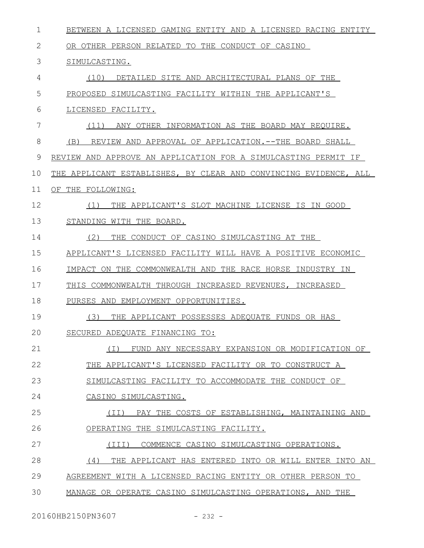| $\mathbf 1$ | BETWEEN A LICENSED GAMING ENTITY AND A LICENSED RACING ENTITY    |
|-------------|------------------------------------------------------------------|
| 2           | OR OTHER PERSON RELATED TO THE CONDUCT OF CASINO                 |
| 3           | SIMULCASTING.                                                    |
| 4           | (10)<br>DETAILED SITE AND ARCHITECTURAL PLANS OF THE             |
| 5           | PROPOSED SIMULCASTING FACILITY WITHIN THE APPLICANT'S            |
| 6           | LICENSED FACILITY.                                               |
| 7           | (11)<br>ANY OTHER INFORMATION AS THE BOARD MAY REQUIRE.          |
| 8           | REVIEW AND APPROVAL OF APPLICATION.--THE BOARD SHALL<br>(B)      |
| 9           | REVIEW AND APPROVE AN APPLICATION FOR A SIMULCASTING PERMIT IF   |
| 10          | THE APPLICANT ESTABLISHES, BY CLEAR AND CONVINCING EVIDENCE, ALL |
| 11          | OF THE FOLLOWING:                                                |
| 12          | THE APPLICANT'S SLOT MACHINE LICENSE IS IN GOOD<br>(1)           |
| 13          | STANDING WITH THE BOARD.                                         |
| 14          | (2)<br>THE CONDUCT OF CASINO SIMULCASTING AT THE                 |
| 15          | APPLICANT'S LICENSED FACILITY WILL HAVE A POSITIVE ECONOMIC      |
| 16          | IMPACT ON THE COMMONWEALTH AND THE RACE HORSE INDUSTRY IN        |
| 17          | THIS COMMONWEALTH THROUGH INCREASED REVENUES, INCREASED          |
| 18          | PURSES AND EMPLOYMENT OPPORTUNITIES.                             |
| 19          | (3)<br>THE APPLICANT POSSESSES ADEOUATE FUNDS OR HAS             |
| 20          | SECURED ADEQUATE FINANCING TO:                                   |
| 21          | FUND ANY NECESSARY EXPANSION OR MODIFICATION OF<br>( I )         |
| 22          | THE APPLICANT'S LICENSED FACILITY OR TO CONSTRUCT A              |
| 23          | SIMULCASTING FACILITY TO ACCOMMODATE THE CONDUCT OF              |
| 24          | CASINO SIMULCASTING.                                             |
| 25          | PAY THE COSTS OF ESTABLISHING, MAINTAINING AND<br>(TI)           |
| 26          | OPERATING THE SIMULCASTING FACILITY.                             |
| 27          | (III)<br>COMMENCE CASINO SIMULCASTING OPERATIONS.                |
| 28          | (4)<br>THE APPLICANT HAS ENTERED INTO OR WILL ENTER INTO AN      |
| 29          | AGREEMENT WITH A LICENSED RACING ENTITY OR OTHER PERSON TO       |
| 30          | MANAGE OR OPERATE CASINO SIMULCASTING OPERATIONS, AND THE        |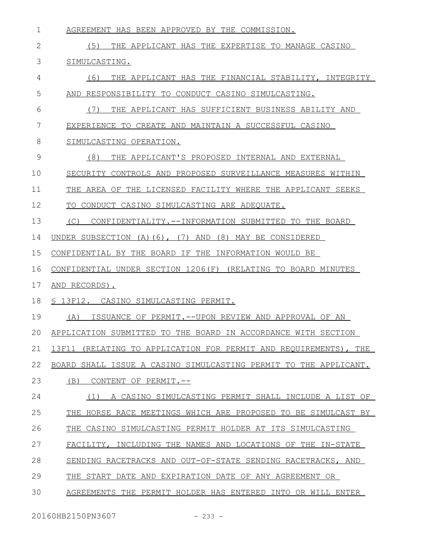| $\mathbf 1$ | AGREEMENT HAS BEEN APPROVED BY THE COMMISSION.                      |
|-------------|---------------------------------------------------------------------|
| 2           | (5)<br>THE APPLICANT HAS THE EXPERTISE TO MANAGE CASINO             |
| 3           | SIMULCASTING.                                                       |
| 4           | THE APPLICANT HAS THE FINANCIAL STABILITY, INTEGRITY<br>(6)         |
| 5           | RESPONSIBILITY TO CONDUCT CASINO SIMULCASTING.<br>AND               |
| 6           | THE APPLICANT HAS SUFFICIENT BUSINESS ABILITY AND<br>(7)            |
| 7           | EXPERIENCE TO CREATE AND MAINTAIN A SUCCESSFUL CASINO               |
| 8           | SIMULCASTING OPERATION.                                             |
| 9           | (8)<br>THE APPLICANT'S PROPOSED INTERNAL AND EXTERNAL               |
| 10          | SECURITY CONTROLS AND PROPOSED SURVEILLANCE MEASURES WITHIN         |
| 11          | THE AREA OF THE LICENSED FACILITY WHERE THE APPLICANT SEEKS         |
| 12          | TO CONDUCT CASINO SIMULCASTING ARE ADEQUATE.                        |
| 13          | (C)<br>CONFIDENTIALITY.--INFORMATION SUBMITTED TO THE BOARD         |
| 14          | UNDER SUBSECTION $(A)$ $(6)$ , $(7)$ AND $(8)$ MAY BE CONSIDERED    |
| 15          | CONFIDENTIAL BY THE BOARD IF THE INFORMATION WOULD BE               |
| 16          | CONFIDENTIAL UNDER SECTION 1206(F) (RELATING TO BOARD MINUTES       |
| 17          | AND RECORDS).                                                       |
| 18          | \$ 13F12. CASINO SIMULCASTING PERMIT.                               |
| 19          | ISSUANCE OF PERMIT.--UPON REVIEW AND APPROVAL OF AN<br>(A)          |
| 20          | APPLICATION SUBMITTED TO THE BOARD IN ACCORDANCE WITH SECTION       |
| 21          | 13F11<br>(RELATING TO APPLICATION FOR PERMIT AND REOUIREMENTS), THE |
| 22          | BOARD SHALL ISSUE A CASINO SIMULCASTING PERMIT TO THE APPLICANT.    |
| 23          | (B)<br>CONTENT OF PERMIT.--                                         |
| 24          | A CASINO SIMULCASTING PERMIT SHALL INCLUDE A LIST OF<br>(1)         |
| 25          | THE.<br>HORSE RACE MEETINGS WHICH ARE PROPOSED TO BE SIMULCAST BY   |
| 26          | THE<br>CASINO SIMULCASTING PERMIT HOLDER AT ITS SIMULCASTING        |
| 27          | FACILITY, INCLUDING THE NAMES AND LOCATIONS OF THE IN-STATE         |
| 28          | SENDING RACETRACKS AND OUT-OF-STATE SENDING RACETRACKS, AND         |
| 29          | START DATE AND EXPIRATION DATE OF ANY AGREEMENT OR<br>THE.          |
| 30          | AGREEMENTS THE PERMIT HOLDER HAS ENTERED INTO OR WILL ENTER         |
|             |                                                                     |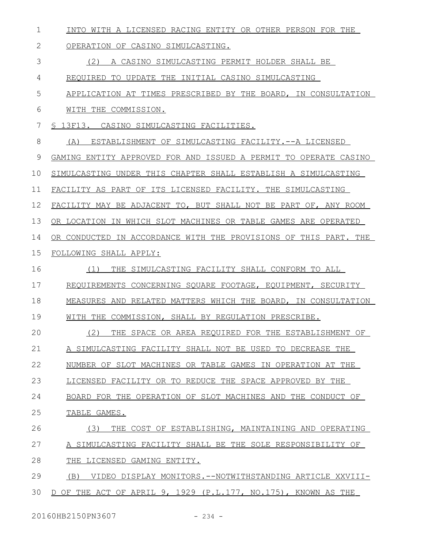| 1             | INTO WITH A LICENSED RACING ENTITY OR OTHER PERSON FOR THE       |
|---------------|------------------------------------------------------------------|
| 2             | OPERATION OF CASINO SIMULCASTING.                                |
| 3             | (2)<br>A CASINO SIMULCASTING PERMIT HOLDER SHALL BE              |
| 4             | REQUIRED TO UPDATE THE INITIAL CASINO SIMULCASTING               |
| 5             | APPLICATION AT TIMES PRESCRIBED BY THE BOARD, IN CONSULTATION    |
| 6             | WITH THE COMMISSION.                                             |
| 7             | § 13F13. CASINO SIMULCASTING FACILITIES.                         |
| 8             | ESTABLISHMENT OF SIMULCASTING FACILITY.--A LICENSED<br>(A)       |
| $\mathcal{G}$ | GAMING ENTITY APPROVED FOR AND ISSUED A PERMIT TO OPERATE CASINO |
| 10            | SIMULCASTING UNDER THIS CHAPTER SHALL ESTABLISH A SIMULCASTING   |
| 11            | FACILITY AS PART OF ITS LICENSED FACILITY. THE SIMULCASTING      |
| 12            | FACILITY MAY BE ADJACENT TO, BUT SHALL NOT BE PART OF, ANY ROOM  |
| 13            | OR LOCATION IN WHICH SLOT MACHINES OR TABLE GAMES ARE OPERATED   |
| 14            | OR CONDUCTED IN ACCORDANCE WITH THE PROVISIONS OF THIS PART. THE |
| 15            | FOLLOWING SHALL APPLY:                                           |
| 16            | (1)<br>THE SIMULCASTING FACILITY SHALL CONFORM TO ALL            |
| 17            | REQUIREMENTS CONCERNING SQUARE FOOTAGE, EQUIPMENT, SECURITY      |
| 18            | MEASURES AND RELATED MATTERS WHICH THE BOARD, IN CONSULTATION    |
| 19            | WITH THE COMMISSION, SHALL BY REGULATION PRESCRIBE.              |
| 20            | (2) THE SPACE OR AREA REQUIRED FOR THE ESTABLISHMENT OF          |
| 21            | A SIMULCASTING FACILITY SHALL NOT BE USED TO DECREASE THE        |
| 22            | NUMBER OF SLOT MACHINES OR TABLE GAMES IN OPERATION AT THE       |
| 23            | LICENSED FACILITY OR TO REDUCE THE SPACE APPROVED BY THE         |
| 24            | BOARD FOR THE OPERATION OF SLOT MACHINES AND THE CONDUCT OF      |
| 25            | TABLE GAMES.                                                     |
| 26            | (3)<br>THE COST OF ESTABLISHING, MAINTAINING AND OPERATING       |
| 27            | A SIMULCASTING FACILITY SHALL BE THE SOLE RESPONSIBILITY OF      |
| 28            | THE LICENSED GAMING ENTITY.                                      |
| 29            | (B)<br>VIDEO DISPLAY MONITORS.--NOTWITHSTANDING ARTICLE XXVIII-  |
| 30            | D OF THE ACT OF APRIL 9, 1929 (P.L.177, NO.175), KNOWN AS THE    |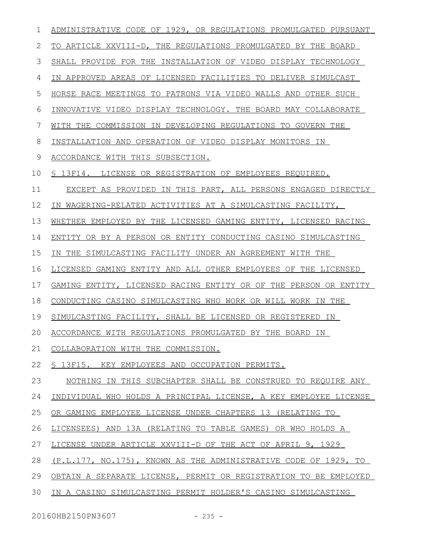| 1  | ADMINISTRATIVE CODE OF 1929, OR REGULATIONS PROMULGATED PURSUANT |
|----|------------------------------------------------------------------|
| 2  | TO ARTICLE XXVIII-D, THE REGULATIONS PROMULGATED BY THE BOARD    |
| 3  | SHALL PROVIDE FOR THE INSTALLATION OF VIDEO DISPLAY TECHNOLOGY   |
| 4  | IN APPROVED AREAS OF LICENSED FACILITIES TO DELIVER SIMULCAST    |
| 5  | HORSE RACE MEETINGS TO PATRONS VIA VIDEO WALLS AND OTHER SUCH    |
| 6  | INNOVATIVE VIDEO DISPLAY TECHNOLOGY. THE BOARD MAY COLLABORATE   |
| 7  | WITH THE COMMISSION IN DEVELOPING REGULATIONS TO GOVERN THE      |
| 8  | INSTALLATION AND OPERATION OF VIDEO DISPLAY MONITORS IN          |
| 9  | ACCORDANCE WITH THIS SUBSECTION.                                 |
| 10 | § 13F14. LICENSE OR REGISTRATION OF EMPLOYEES REQUIRED.          |
| 11 | EXCEPT AS PROVIDED IN THIS PART, ALL PERSONS ENGAGED DIRECTLY    |
| 12 | IN WAGERING-RELATED ACTIVITIES AT A SIMULCASTING FACILITY,       |
| 13 | WHETHER EMPLOYED BY THE LICENSED GAMING ENTITY, LICENSED RACING  |
| 14 | ENTITY OR BY A PERSON OR ENTITY CONDUCTING CASINO SIMULCASTING   |
| 15 | IN THE SIMULCASTING FACILITY UNDER AN AGREEMENT WITH THE         |
| 16 | LICENSED GAMING ENTITY AND ALL OTHER EMPLOYEES OF THE LICENSED   |
| 17 | GAMING ENTITY, LICENSED RACING ENTITY OR OF THE PERSON OR ENTITY |
| 18 | CONDUCTING CASINO SIMULCASTING WHO WORK OR WILL WORK IN THE      |
| 19 | SIMULCASTING FACILITY, SHALL BE LICENSED OR REGISTERED IN        |
| 20 | ACCORDANCE WITH REGULATIONS PROMULGATED BY THE BOARD IN          |
| 21 | COLLABORATION WITH THE COMMISSION.                               |
| 22 | S 13F15. KEY EMPLOYEES AND OCCUPATION PERMITS.                   |
| 23 | NOTHING IN THIS SUBCHAPTER SHALL BE CONSTRUED TO REQUIRE ANY     |
| 24 | INDIVIDUAL WHO HOLDS A PRINCIPAL LICENSE, A KEY EMPLOYEE LICENSE |
| 25 | OR GAMING EMPLOYEE LICENSE UNDER CHAPTERS 13 (RELATING TO        |
| 26 | LICENSEES) AND 13A (RELATING TO TABLE GAMES) OR WHO HOLDS A      |
| 27 | LICENSE UNDER ARTICLE XXVIII-D OF THE ACT OF APRIL 9, 1929       |
| 28 | (P.L.177, NO.175), KNOWN AS THE ADMINISTRATIVE CODE OF 1929, TO  |
| 29 | OBTAIN A SEPARATE LICENSE, PERMIT OR REGISTRATION TO BE EMPLOYED |
| 30 | IN A CASINO SIMULCASTING PERMIT HOLDER'S CASINO SIMULCASTING     |
|    |                                                                  |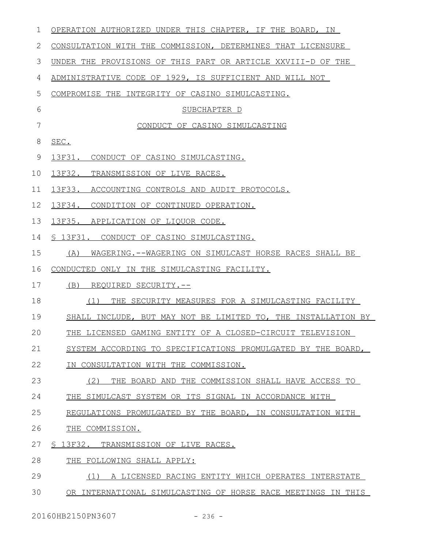| 1            | OPERATION AUTHORIZED UNDER THIS CHAPTER, IF THE BOARD, IN     |
|--------------|---------------------------------------------------------------|
| $\mathbf{2}$ | CONSULTATION WITH THE COMMISSION, DETERMINES THAT LICENSURE   |
| 3            | UNDER THE PROVISIONS OF THIS PART OR ARTICLE XXVIII-D OF THE  |
| 4            | ADMINISTRATIVE CODE OF 1929, IS SUFFICIENT AND WILL NOT       |
| 5            | COMPROMISE THE INTEGRITY OF CASINO SIMULCASTING.              |
| 6            | SUBCHAPTER D                                                  |
| 7            | CONDUCT OF CASINO SIMULCASTING                                |
| 8            | SEC.                                                          |
| 9            | 13F31. CONDUCT OF CASINO SIMULCASTING.                        |
| 10           | 13F32. TRANSMISSION OF LIVE RACES.                            |
| 11           | 13F33. ACCOUNTING CONTROLS AND AUDIT PROTOCOLS.               |
| 12           | 13F34. CONDITION OF CONTINUED OPERATION.                      |
| 13           | 13F35. APPLICATION OF LIQUOR CODE.                            |
| 14           | § 13F31. CONDUCT OF CASINO SIMULCASTING.                      |
| 15           | (A)<br>WAGERING.--WAGERING ON SIMULCAST HORSE RACES SHALL BE  |
| 16           | CONDUCTED ONLY IN THE SIMULCASTING FACILITY.                  |
| 17           | (B)<br>REQUIRED SECURITY.--                                   |
| 18           | (1)<br>THE SECURITY MEASURES FOR A SIMULCASTING FACILITY      |
| 19           | SHALL INCLUDE, BUT MAY NOT BE LIMITED TO, THE INSTALLATION BY |
| 20           | THE LICENSED GAMING ENTITY OF A CLOSED-CIRCUIT TELEVISION     |
| 21           | SYSTEM ACCORDING TO SPECIFICATIONS PROMULGATED BY THE BOARD,  |
| 22           | IN CONSULTATION WITH THE COMMISSION.                          |
| 23           | (2)<br>THE BOARD AND THE COMMISSION SHALL HAVE ACCESS TO      |
| 24           | THE SIMULCAST SYSTEM OR ITS SIGNAL IN ACCORDANCE WITH         |
| 25           | REGULATIONS PROMULGATED BY THE BOARD, IN CONSULTATION WITH    |
| 26           | THE COMMISSION.                                               |
| 27           | § 13F32. TRANSMISSION OF LIVE RACES.                          |
| 28           | THE FOLLOWING SHALL APPLY:                                    |
| 29           | A LICENSED RACING ENTITY WHICH OPERATES INTERSTATE<br>(1)     |
| 30           | OR INTERNATIONAL SIMULCASTING OF HORSE RACE MEETINGS IN THIS  |
|              |                                                               |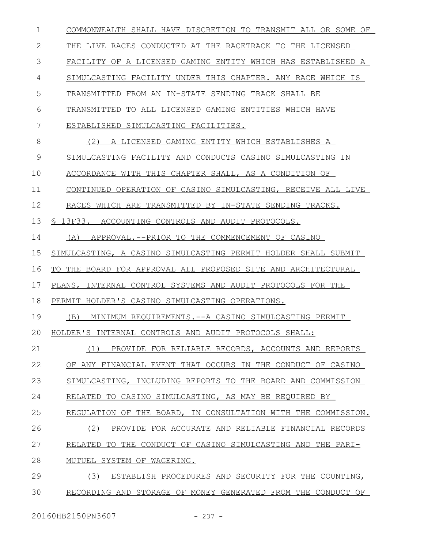| $\mathbf 1$ | COMMONWEALTH SHALL HAVE DISCRETION TO TRANSMIT ALL OR SOME OF  |
|-------------|----------------------------------------------------------------|
| 2           | THE LIVE RACES CONDUCTED AT THE RACETRACK TO THE LICENSED      |
| 3           | FACILITY OF A LICENSED GAMING ENTITY WHICH HAS ESTABLISHED A   |
| 4           | SIMULCASTING FACILITY UNDER THIS CHAPTER. ANY RACE WHICH IS    |
| 5           | TRANSMITTED FROM AN IN-STATE SENDING TRACK SHALL BE            |
| 6           | TRANSMITTED TO ALL LICENSED GAMING ENTITIES WHICH HAVE         |
| 7           | ESTABLISHED SIMULCASTING FACILITIES.                           |
| 8           | (2) A LICENSED GAMING ENTITY WHICH ESTABLISHES A               |
| 9           | SIMULCASTING FACILITY AND CONDUCTS CASINO SIMULCASTING IN      |
| 10          | ACCORDANCE WITH THIS CHAPTER SHALL, AS A CONDITION OF          |
| 11          | CONTINUED OPERATION OF CASINO SIMULCASTING, RECEIVE ALL LIVE   |
| 12          | RACES WHICH ARE TRANSMITTED BY IN-STATE SENDING TRACKS.        |
| 13          | § 13F33. ACCOUNTING CONTROLS AND AUDIT PROTOCOLS.              |
| 14          | (A) APPROVAL.--PRIOR TO THE COMMENCEMENT OF CASINO             |
| 15          | SIMULCASTING, A CASINO SIMULCASTING PERMIT HOLDER SHALL SUBMIT |
| 16          | TO THE BOARD FOR APPROVAL ALL PROPOSED SITE AND ARCHITECTURAL  |
| 17          | PLANS, INTERNAL CONTROL SYSTEMS AND AUDIT PROTOCOLS FOR THE    |
| 18          | PERMIT HOLDER'S CASINO SIMULCASTING OPERATIONS.                |
| 19          | (B)<br>MINIMUM REQUIREMENTS. -- A CASINO SIMULCASTING PERMIT   |
| 20          | HOLDER'S INTERNAL CONTROLS AND AUDIT PROTOCOLS SHALL:          |
| 21          | PROVIDE FOR RELIABLE RECORDS, ACCOUNTS AND REPORTS<br>(1)      |
| 22          | OF ANY FINANCIAL EVENT THAT OCCURS IN THE CONDUCT OF CASINO    |
| 23          | SIMULCASTING, INCLUDING REPORTS TO THE BOARD AND COMMISSION    |
| 24          | RELATED TO CASINO SIMULCASTING, AS MAY BE REQUIRED BY          |
| 25          | REGULATION OF THE BOARD, IN CONSULTATION WITH THE COMMISSION.  |
| 26          | (2)<br>PROVIDE FOR ACCURATE AND RELIABLE FINANCIAL RECORDS     |
| 27          | RELATED TO THE CONDUCT OF CASINO SIMULCASTING AND THE PARI-    |
| 28          | MUTUEL SYSTEM OF WAGERING.                                     |
| 29          | (3)<br>ESTABLISH PROCEDURES AND SECURITY FOR THE COUNTING,     |
| 30          | RECORDING AND STORAGE OF MONEY GENERATED FROM THE CONDUCT OF   |
|             |                                                                |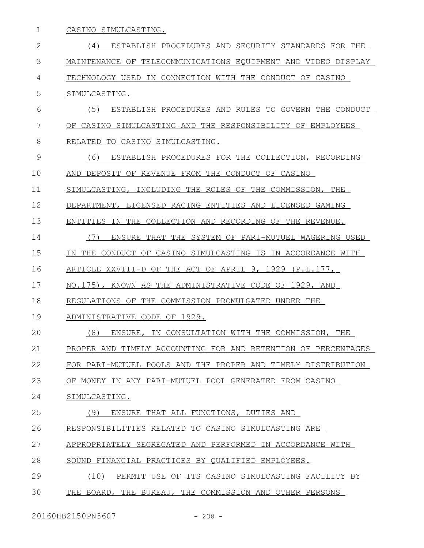| 1            | CASINO SIMULCASTING.                                          |
|--------------|---------------------------------------------------------------|
| $\mathbf{2}$ | ESTABLISH PROCEDURES AND SECURITY STANDARDS FOR THE<br>(4)    |
| 3            | MAINTENANCE OF TELECOMMUNICATIONS EOUIPMENT AND VIDEO DISPLAY |
| 4            | TECHNOLOGY USED IN CONNECTION WITH THE CONDUCT OF CASINO      |
| 5            | SIMULCASTING.                                                 |
| 6            | (5)<br>ESTABLISH PROCEDURES AND RULES TO GOVERN THE CONDUCT   |
| 7            | OF CASINO SIMULCASTING AND THE RESPONSIBILITY OF EMPLOYEES    |
| 8            | RELATED<br>TO CASINO SIMULCASTING.                            |
| 9            | (6)<br>ESTABLISH PROCEDURES FOR THE COLLECTION, RECORDING     |
| 10           | DEPOSIT OF REVENUE FROM THE CONDUCT OF CASINO<br>AND          |
| 11           | SIMULCASTING, INCLUDING THE ROLES OF THE COMMISSION, THE      |
| 12           | DEPARTMENT, LICENSED RACING ENTITIES AND LICENSED GAMING      |
| 13           | ENTITIES IN THE COLLECTION AND RECORDING OF THE REVENUE.      |
| 14           | (7)<br>ENSURE THAT THE SYSTEM OF PARI-MUTUEL WAGERING USED    |
| 15           | IN THE CONDUCT OF CASINO SIMULCASTING IS IN ACCORDANCE WITH   |
| 16           | ARTICLE XXVIII-D OF THE ACT OF APRIL 9, 1929 (P.L.177,        |
| 17           | NO.175), KNOWN AS THE ADMINISTRATIVE CODE OF 1929, AND        |
| 18           | REGULATIONS OF THE COMMISSION PROMULGATED UNDER THE           |
| 19           | ADMINISTRATIVE CODE OF 1929.                                  |
| 20           | ENSURE, IN CONSULTATION WITH THE COMMISSION, THE<br>(8)       |
| 21           | PROPER AND TIMELY ACCOUNTING FOR AND RETENTION OF PERCENTAGES |
| 22           | FOR PARI-MUTUEL POOLS AND THE PROPER AND TIMELY DISTRIBUTION  |
| 23           | OF MONEY IN ANY PARI-MUTUEL POOL GENERATED FROM CASINO        |
| 24           | SIMULCASTING.                                                 |
| 25           | (9) ENSURE THAT ALL FUNCTIONS, DUTIES AND                     |
| 26           | RESPONSIBILITIES RELATED TO CASINO SIMULCASTING ARE           |
| 27           | APPROPRIATELY SEGREGATED AND PERFORMED IN ACCORDANCE WITH     |
| 28           | SOUND FINANCIAL PRACTICES BY QUALIFIED EMPLOYEES.             |
| 29           | PERMIT USE OF ITS CASINO SIMULCASTING FACILITY BY<br>(10)     |
| 30           | THE BOARD, THE BUREAU, THE COMMISSION AND OTHER PERSONS       |

20160HB2150PN3607 - 238 -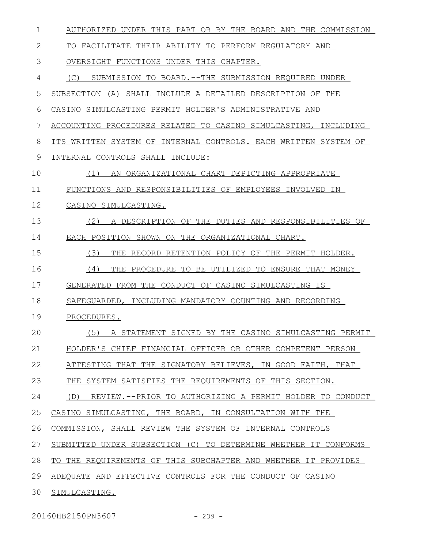| $\mathbf 1$ | AUTHORIZED UNDER THIS PART OR BY THE BOARD AND THE COMMISSION   |
|-------------|-----------------------------------------------------------------|
| 2           | TO FACILITATE THEIR ABILITY TO PERFORM REGULATORY AND           |
| 3           | OVERSIGHT FUNCTIONS UNDER THIS CHAPTER.                         |
| 4           | SUBMISSION TO BOARD.--THE SUBMISSION REQUIRED UNDER<br>(C)      |
| 5           | SUBSECTION (A) SHALL INCLUDE A DETAILED DESCRIPTION OF THE      |
| 6           | CASINO SIMULCASTING PERMIT HOLDER'S ADMINISTRATIVE AND          |
| 7           | ACCOUNTING PROCEDURES RELATED TO CASINO SIMULCASTING, INCLUDING |
| 8           | ITS WRITTEN SYSTEM OF INTERNAL CONTROLS. EACH WRITTEN SYSTEM OF |
| 9           | INTERNAL CONTROLS SHALL INCLUDE:                                |
| 10          | AN ORGANIZATIONAL CHART DEPICTING APPROPRIATE<br>(1)            |
| 11          | FUNCTIONS AND RESPONSIBILITIES OF EMPLOYEES INVOLVED IN         |
| 12          | CASINO SIMULCASTING.                                            |
| 13          | (2)<br>A DESCRIPTION OF THE DUTIES AND RESPONSIBILITIES OF      |
| 14          | EACH POSITION SHOWN ON THE ORGANIZATIONAL CHART.                |
| 15          | (3)<br>THE RECORD RETENTION POLICY OF THE PERMIT HOLDER.        |
| 16          | (4)<br>THE PROCEDURE TO BE UTILIZED TO ENSURE THAT MONEY        |
| 17          | GENERATED FROM THE CONDUCT OF CASINO SIMULCASTING IS            |
| 18          | SAFEGUARDED, INCLUDING MANDATORY COUNTING AND RECORDING         |
| 19          | PROCEDURES.                                                     |
| 20          | (5)<br>A STATEMENT SIGNED BY THE CASINO SIMULCASTING PERMIT     |
| 21          | HOLDER'S CHIEF FINANCIAL OFFICER OR OTHER COMPETENT PERSON      |
| 22          | ATTESTING THAT THE SIGNATORY BELIEVES, IN GOOD FAITH, THAT      |
| 23          | THE SYSTEM SATISFIES THE REQUIREMENTS OF THIS SECTION.          |
| 24          | (D)<br>REVIEW.--PRIOR TO AUTHORIZING A PERMIT HOLDER TO CONDUCT |
| 25          | CASINO SIMULCASTING, THE BOARD, IN CONSULTATION WITH THE        |
| 26          | COMMISSION, SHALL REVIEW THE SYSTEM OF INTERNAL CONTROLS        |
| 27          | SUBMITTED UNDER SUBSECTION (C) TO DETERMINE WHETHER IT CONFORMS |
| 28          | TO THE REQUIREMENTS OF THIS SUBCHAPTER AND WHETHER IT PROVIDES  |
| 29          | ADEQUATE AND EFFECTIVE CONTROLS FOR THE CONDUCT OF CASINO       |
| 30          | SIMULCASTING.                                                   |

20160HB2150PN3607 - 239 -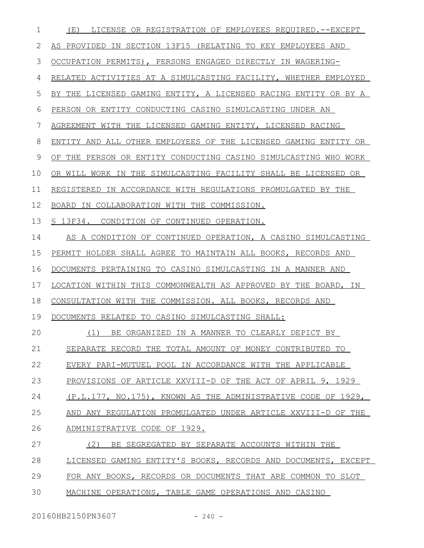| $\mathbf 1$ | LICENSE OR REGISTRATION OF EMPLOYEES REQUIRED.--EXCEPT<br>(E)   |
|-------------|-----------------------------------------------------------------|
| 2           | AS PROVIDED IN SECTION 13F15 (RELATING TO KEY EMPLOYEES AND     |
| 3           | OCCUPATION PERMITS), PERSONS ENGAGED DIRECTLY IN WAGERING-      |
| 4           | RELATED ACTIVITIES AT A SIMULCASTING FACILITY, WHETHER EMPLOYED |
| 5           | BY THE LICENSED GAMING ENTITY, A LICENSED RACING ENTITY OR BY A |
| 6           | PERSON OR ENTITY CONDUCTING CASINO SIMULCASTING UNDER AN        |
| 7           | AGREEMENT WITH THE LICENSED GAMING ENTITY, LICENSED RACING      |
| 8           | ENTITY AND ALL OTHER EMPLOYEES OF THE LICENSED GAMING ENTITY OR |
| 9           | OF THE PERSON OR ENTITY CONDUCTING CASINO SIMULCASTING WHO WORK |
| 10          | OR WILL WORK IN THE SIMULCASTING FACILITY SHALL BE LICENSED OR  |
| 11          | REGISTERED IN ACCORDANCE WITH REGULATIONS PROMULGATED BY THE    |
| 12          | BOARD IN COLLABORATION WITH THE COMMISSION.                     |
| 13          | § 13F34. CONDITION OF CONTINUED OPERATION.                      |
| 14          | AS A CONDITION OF CONTINUED OPERATION, A CASINO SIMULCASTING    |
| 15          | PERMIT HOLDER SHALL AGREE TO MAINTAIN ALL BOOKS, RECORDS AND    |
| 16          | DOCUMENTS PERTAINING TO CASINO SIMULCASTING IN A MANNER AND     |
| 17          | LOCATION WITHIN THIS COMMONWEALTH AS APPROVED BY THE BOARD, IN  |
| 18          | CONSULTATION WITH THE COMMISSION. ALL BOOKS, RECORDS AND        |
| 19          | DOCUMENTS RELATED TO CASINO SIMULCASTING SHALL:                 |
| 20          | (1) BE ORGANIZED IN A MANNER TO CLEARLY DEPICT BY               |
| 21          | SEPARATE RECORD THE TOTAL AMOUNT OF MONEY CONTRIBUTED TO        |
| 22          | EVERY PARI-MUTUEL POOL IN ACCORDANCE WITH THE APPLICABLE        |
| 23          | PROVISIONS OF ARTICLE XXVIII-D OF THE ACT OF APRIL 9, 1929      |
| 24          | (P.L.177, NO.175), KNOWN AS THE ADMINISTRATIVE CODE OF 1929,    |
| 25          | AND ANY REGULATION PROMULGATED UNDER ARTICLE XXVIII-D OF THE    |
| 26          | ADMINISTRATIVE CODE OF 1929.                                    |
| 27          | (2)<br>BE SEGREGATED BY SEPARATE ACCOUNTS WITHIN THE            |
| 28          | LICENSED GAMING ENTITY'S BOOKS, RECORDS AND DOCUMENTS, EXCEPT   |
| 29          | FOR ANY BOOKS, RECORDS OR DOCUMENTS THAT ARE COMMON TO SLOT     |
| 30          | MACHINE OPERATIONS, TABLE GAME OPERATIONS AND CASINO            |

20160HB2150PN3607 - 240 -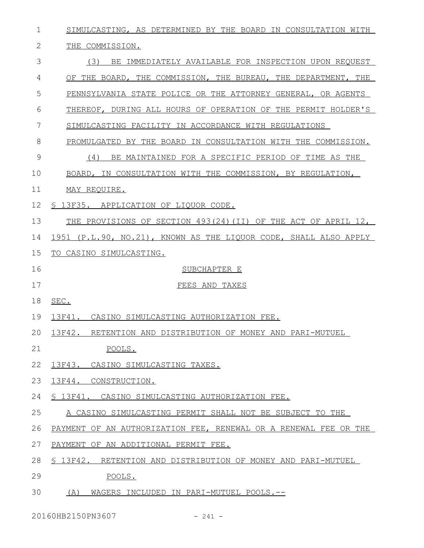| $\mathbf 1$  | SIMULCASTING, AS DETERMINED BY THE BOARD IN CONSULTATION WITH    |
|--------------|------------------------------------------------------------------|
| $\mathbf{2}$ | THE COMMISSION.                                                  |
| 3            | (3)<br>BE IMMEDIATELY AVAILABLE FOR INSPECTION UPON REQUEST      |
| 4            | OF THE BOARD, THE COMMISSION, THE BUREAU, THE DEPARTMENT, THE    |
| 5            | PENNSYLVANIA STATE POLICE OR THE ATTORNEY GENERAL, OR AGENTS     |
| 6            | THEREOF, DURING ALL HOURS OF OPERATION OF THE PERMIT HOLDER'S    |
| 7            | SIMULCASTING FACILITY IN ACCORDANCE WITH REGULATIONS             |
| 8            | PROMULGATED BY THE BOARD IN CONSULTATION WITH THE COMMISSION.    |
| 9            | (4)<br>BE MAINTAINED FOR A SPECIFIC PERIOD OF TIME AS THE        |
| 10           | BOARD, IN CONSULTATION WITH THE COMMISSION, BY REGULATION,       |
| 11           | MAY REQUIRE.                                                     |
| 12           | \$ 13F35. APPLICATION OF LIQUOR CODE.                            |
| 13           | THE PROVISIONS OF SECTION 493(24)(II) OF THE ACT OF APRIL 12,    |
| 14           | 1951 (P.L.90, NO.21), KNOWN AS THE LIQUOR CODE, SHALL ALSO APPLY |
| 15           | TO CASINO SIMULCASTING.                                          |
|              |                                                                  |
| 16           | SUBCHAPTER E                                                     |
| 17           | FEES AND TAXES                                                   |
| 18           | SEC.                                                             |
| 19           | 13F41 <b>.</b><br>CASINO SIMULCASTING AUTHORIZATION FEE.         |
|              | 20 13F42. RETENTION AND DISTRIBUTION OF MONEY AND PARI-MUTUEL    |
| 21           | POOLS.                                                           |
| 22           | 13F43. CASINO SIMULCASTING TAXES.                                |
| 23           | 13F44. CONSTRUCTION.                                             |
| 24           | § 13F41. CASINO SIMULCASTING AUTHORIZATION FEE.                  |
| 25           | A CASINO SIMULCASTING PERMIT SHALL NOT BE SUBJECT TO THE         |
| 26           | PAYMENT OF AN AUTHORIZATION FEE, RENEWAL OR A RENEWAL FEE OR THE |
| 27           | PAYMENT OF AN ADDITIONAL PERMIT FEE.                             |
| 28           | \$ 13F42. RETENTION AND DISTRIBUTION OF MONEY AND PARI-MUTUEL    |
| 29           | POOLS.                                                           |

20160HB2150PN3607 - 241 -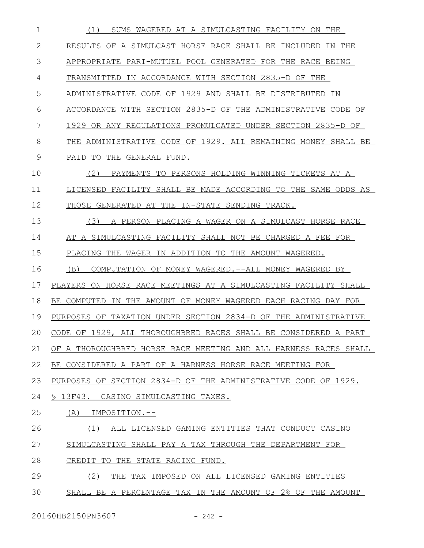| 1  | SUMS WAGERED AT A SIMULCASTING FACILITY ON THE<br>(1)             |
|----|-------------------------------------------------------------------|
| 2  | RESULTS OF A SIMULCAST HORSE RACE SHALL BE INCLUDED IN THE        |
| 3  | APPROPRIATE PARI-MUTUEL POOL GENERATED FOR THE RACE BEING         |
| 4  | TRANSMITTED IN ACCORDANCE WITH SECTION 2835-D OF THE              |
| 5  | ADMINISTRATIVE CODE OF 1929 AND SHALL BE DISTRIBUTED<br>IN        |
| 6  | ACCORDANCE WITH SECTION 2835-D OF THE ADMINISTRATIVE CODE OF      |
| 7  | 1929 OR ANY REGULATIONS PROMULGATED UNDER SECTION 2835-D OF       |
| 8  | THE ADMINISTRATIVE CODE OF 1929. ALL REMAINING MONEY SHALL BE     |
| 9  | PAID TO<br>THE GENERAL FUND.                                      |
| 10 | (2)<br>PAYMENTS TO PERSONS HOLDING WINNING TICKETS AT A           |
| 11 | LICENSED FACILITY SHALL BE MADE ACCORDING TO THE SAME ODDS AS     |
| 12 | THOSE GENERATED AT THE IN-STATE SENDING TRACK.                    |
| 13 | A PERSON PLACING A WAGER ON A SIMULCAST HORSE RACE<br>(3)         |
| 14 | AT A SIMULCASTING FACILITY SHALL NOT BE CHARGED A FEE FOR         |
| 15 | PLACING THE WAGER IN ADDITION TO THE AMOUNT WAGERED.              |
| 16 | COMPUTATION OF MONEY WAGERED.--ALL MONEY WAGERED BY<br>(B)        |
| 17 | PLAYERS ON HORSE RACE MEETINGS AT A SIMULCASTING FACILITY SHALL   |
| 18 | BE COMPUTED<br>IN THE AMOUNT OF MONEY WAGERED EACH RACING DAY FOR |
| 19 | PURPOSES OF TAXATION UNDER SECTION 2834-D OF THE ADMINISTRATIVE   |
| 20 | CODE OF 1929, ALL THOROUGHBRED RACES SHALL BE CONSIDERED A PART   |
| 21 | OF A THOROUGHBRED HORSE RACE MEETING AND ALL HARNESS RACES SHALL  |
| 22 | BE CONSIDERED A PART OF A HARNESS HORSE RACE MEETING FOR          |
| 23 | PURPOSES OF SECTION 2834-D OF THE ADMINISTRATIVE CODE OF 1929.    |
| 24 | S 13F43.<br>CASINO SIMULCASTING TAXES.                            |
| 25 | IMPOSITION.--<br>(A)                                              |
| 26 | ALL LICENSED GAMING ENTITIES THAT CONDUCT CASINO<br>(1)           |
| 27 | SIMULCASTING SHALL PAY A TAX THROUGH THE DEPARTMENT FOR           |
| 28 | CREDIT TO THE STATE RACING FUND.                                  |
| 29 | (2)<br>THE TAX IMPOSED ON ALL LICENSED GAMING ENTITIES            |
| 30 | SHALL BE A PERCENTAGE TAX IN THE AMOUNT OF 2% OF THE AMOUNT       |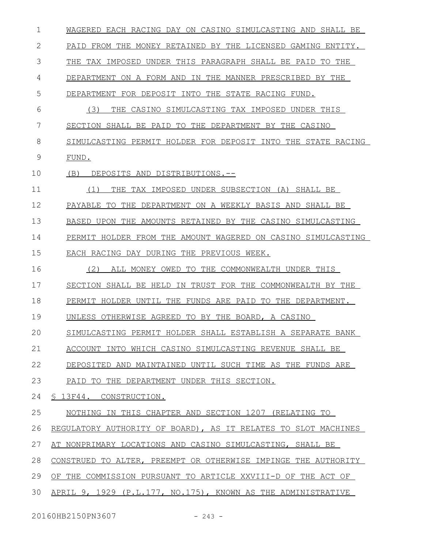| 1  | WAGERED EACH RACING DAY ON CASINO SIMULCASTING AND SHALL BE    |
|----|----------------------------------------------------------------|
| 2  | PAID FROM THE MONEY RETAINED BY THE LICENSED GAMING ENTITY.    |
| 3  | THE TAX IMPOSED UNDER THIS PARAGRAPH SHALL BE PAID TO THE      |
| 4  | DEPARTMENT ON A FORM AND IN THE MANNER PRESCRIBED BY THE       |
| 5  | DEPARTMENT FOR DEPOSIT INTO THE STATE RACING FUND.             |
| 6  | (3)<br>THE CASINO SIMULCASTING TAX IMPOSED UNDER THIS          |
| 7  | SECTION SHALL BE PAID TO THE DEPARTMENT BY THE CASINO          |
| 8  | SIMULCASTING PERMIT HOLDER FOR DEPOSIT INTO THE STATE RACING   |
| 9  | FUND.                                                          |
| 10 | DEPOSITS AND DISTRIBUTIONS.--<br>(B)                           |
| 11 | THE TAX IMPOSED UNDER SUBSECTION (A) SHALL BE<br>(1)           |
| 12 | PAYABLE TO THE DEPARTMENT ON A WEEKLY BASIS AND SHALL BE       |
| 13 | BASED UPON THE AMOUNTS RETAINED BY THE CASINO SIMULCASTING     |
| 14 | PERMIT HOLDER FROM THE AMOUNT WAGERED ON CASINO SIMULCASTING   |
| 15 | EACH RACING DAY DURING THE PREVIOUS WEEK.                      |
| 16 | (2)<br>TO THE COMMONWEALTH UNDER THIS<br>ALL MONEY OWED        |
| 17 | SECTION SHALL BE HELD IN TRUST FOR THE COMMONWEALTH BY THE     |
| 18 | PERMIT HOLDER UNTIL THE FUNDS ARE PAID TO THE DEPARTMENT.      |
| 19 | UNLESS OTHERWISE AGREED TO BY THE BOARD, A CASINO              |
| 20 | SIMULCASTING PERMIT HOLDER SHALL ESTABLISH A SEPARATE BANK     |
| 21 | ACCOUNT INTO WHICH CASINO SIMULCASTING REVENUE SHALL BE        |
| 22 | DEPOSITED AND MAINTAINED UNTIL SUCH TIME AS THE FUNDS ARE      |
| 23 | PAID TO THE DEPARTMENT UNDER THIS SECTION.                     |
| 24 | § 13F44. CONSTRUCTION.                                         |
| 25 | NOTHING IN THIS CHAPTER AND SECTION 1207 (RELATING TO          |
| 26 | REGULATORY AUTHORITY OF BOARD), AS IT RELATES TO SLOT MACHINES |
| 27 | AT NONPRIMARY LOCATIONS AND CASINO SIMULCASTING, SHALL BE      |
| 28 | CONSTRUED TO ALTER, PREEMPT OR OTHERWISE IMPINGE THE AUTHORITY |
| 29 | OF THE COMMISSION PURSUANT TO ARTICLE XXVIII-D OF THE ACT OF   |
| 30 | APRIL 9, 1929 (P.L.177, NO.175), KNOWN AS THE ADMINISTRATIVE   |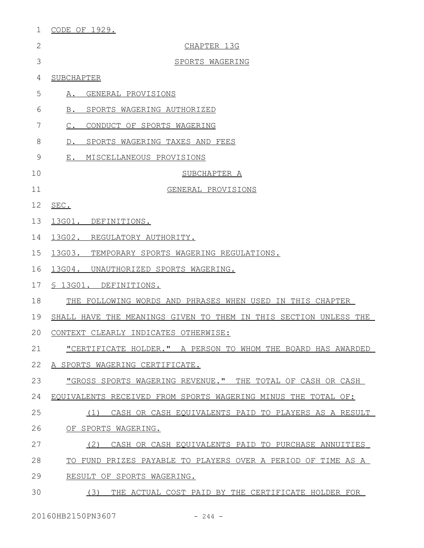| 1            | <u>CODE OF 1929.</u>                                             |
|--------------|------------------------------------------------------------------|
| $\mathbf{2}$ | CHAPTER 13G                                                      |
| 3            | SPORTS WAGERING                                                  |
| 4            | SUBCHAPTER                                                       |
| 5            | A. GENERAL PROVISIONS                                            |
| 6            | B. SPORTS WAGERING AUTHORIZED                                    |
| 7            | CONDUCT OF SPORTS WAGERING<br>$C$ .                              |
| 8            | D. SPORTS WAGERING TAXES AND FEES                                |
| 9            | E. MISCELLANEOUS PROVISIONS                                      |
| 10           | SUBCHAPTER A                                                     |
| 11           | GENERAL PROVISIONS                                               |
| 12           | SEC.                                                             |
| 13           | 13G01. DEFINITIONS.                                              |
| 14           | 13G02. REGULATORY AUTHORITY.                                     |
| 15           | 13G03. TEMPORARY SPORTS WAGERING REGULATIONS.                    |
| 16           | 13G04. UNAUTHORIZED SPORTS WAGERING.                             |
| 17           | § 13G01. DEFINITIONS.                                            |
| 18           | THE FOLLOWING WORDS AND PHRASES WHEN USED IN THIS CHAPTER        |
| 19           | SHALL HAVE THE MEANINGS GIVEN TO THEM IN THIS SECTION UNLESS THE |
| 20           | CONTEXT CLEARLY INDICATES OTHERWISE:                             |
| 21           | "CERTIFICATE HOLDER." A PERSON TO WHOM THE BOARD HAS AWARDED     |
| 22           | A SPORTS WAGERING CERTIFICATE.                                   |
| 23           | "GROSS SPORTS WAGERING REVENUE." THE TOTAL OF CASH OR CASH       |
| 24           | EQUIVALENTS RECEIVED FROM SPORTS WAGERING MINUS THE TOTAL OF:    |
| 25           | CASH OR CASH EQUIVALENTS PAID TO PLAYERS AS A RESULT<br>(1)      |
| 26           | OF SPORTS WAGERING.                                              |
| 27           | (2)<br>CASH OR CASH EQUIVALENTS PAID TO PURCHASE ANNUITIES       |
| 28           | TO FUND PRIZES PAYABLE TO PLAYERS OVER A PERIOD OF TIME AS A     |
| 29           | RESULT OF SPORTS WAGERING.                                       |
| 30           | (3)<br>THE ACTUAL COST PAID BY THE CERTIFICATE HOLDER FOR        |
|              |                                                                  |

20160HB2150PN3607 - 244 -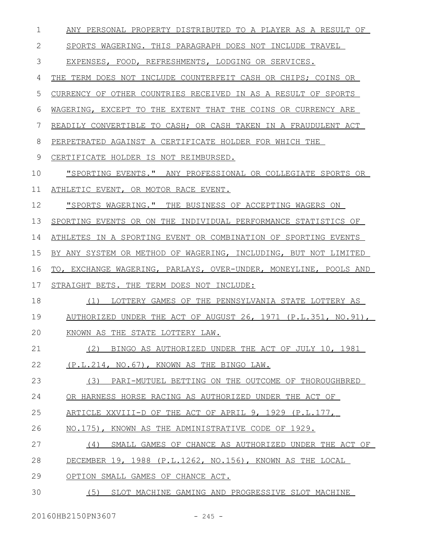| $\mathbf{1}$ | ANY PERSONAL PROPERTY DISTRIBUTED TO A PLAYER AS A RESULT OF        |
|--------------|---------------------------------------------------------------------|
| 2            | SPORTS WAGERING. THIS PARAGRAPH DOES NOT INCLUDE TRAVEL             |
| 3            | EXPENSES, FOOD, REFRESHMENTS, LODGING OR SERVICES.                  |
| 4            | THE TERM DOES NOT INCLUDE COUNTERFEIT CASH OR CHIPS; COINS OR       |
| 5            | CURRENCY OF OTHER COUNTRIES RECEIVED IN AS A RESULT OF SPORTS       |
| 6            | WAGERING, EXCEPT TO THE EXTENT THAT THE COINS OR CURRENCY ARE       |
| 7            | READILY CONVERTIBLE TO CASH; OR CASH TAKEN IN A FRAUDULENT ACT      |
| 8            | PERPETRATED AGAINST A CERTIFICATE HOLDER FOR WHICH THE              |
| 9            | CERTIFICATE HOLDER IS NOT REIMBURSED.                               |
| 10           | <u> "SPORTING EVENTS." ANY PROFESSIONAL OR COLLEGIATE SPORTS OR</u> |
| 11           | ATHLETIC EVENT, OR MOTOR RACE EVENT.                                |
| 12           | "SPORTS WAGERING." THE BUSINESS OF ACCEPTING WAGERS ON              |
| 13           | SPORTING EVENTS OR ON THE INDIVIDUAL PERFORMANCE STATISTICS OF      |
| 14           | ATHLETES IN A SPORTING EVENT OR COMBINATION OF SPORTING EVENTS      |
| 15           | BY ANY SYSTEM OR METHOD OF WAGERING, INCLUDING, BUT NOT LIMITED     |
|              |                                                                     |
| 16           | TO, EXCHANGE WAGERING, PARLAYS, OVER-UNDER, MONEYLINE, POOLS AND    |
| 17           | STRAIGHT BETS. THE TERM DOES NOT INCLUDE:                           |
| 18           | (1) LOTTERY GAMES OF THE PENNSYLVANIA STATE LOTTERY AS              |
| 19           | AUTHORIZED UNDER THE ACT OF AUGUST 26, 1971 (P.L.351, NO.91),       |
| 20           | KNOWN AS THE STATE LOTTERY LAW.                                     |
| 21           | (2) BINGO AS AUTHORIZED UNDER THE ACT OF JULY 10, 1981              |
| 22           | (P.L.214, NO.67), KNOWN AS THE BINGO LAW.                           |
| 23           | (3) PARI-MUTUEL BETTING ON THE OUTCOME OF THOROUGHBRED              |
| 24           | OR HARNESS HORSE RACING AS AUTHORIZED UNDER THE ACT OF              |
| 25           | ARTICLE XXVIII-D OF THE ACT OF APRIL 9, 1929 (P.L.177,              |
| 26           | NO.175), KNOWN AS THE ADMINISTRATIVE CODE OF 1929.                  |
| 27           | (4)<br>SMALL GAMES OF CHANCE AS AUTHORIZED UNDER THE ACT OF         |
| 28           | DECEMBER 19, 1988 (P.L.1262, NO.156), KNOWN AS THE LOCAL            |
| 29           | OPTION SMALL GAMES OF CHANCE ACT.                                   |

20160HB2150PN3607 - 245 -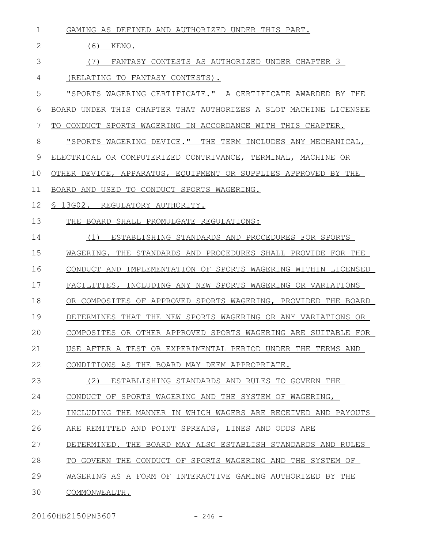| $\mathbf{1}$ | GAMING AS DEFINED AND AUTHORIZED UNDER THIS PART.                |
|--------------|------------------------------------------------------------------|
| 2            | (6)<br>KENO.                                                     |
| 3            | FANTASY CONTESTS AS AUTHORIZED UNDER CHAPTER 3<br>(7)            |
| 4            | (RELATING TO FANTASY CONTESTS).                                  |
| 5            | "SPORTS WAGERING CERTIFICATE." A CERTIFICATE AWARDED BY THE      |
| 6            | BOARD UNDER THIS CHAPTER THAT AUTHORIZES A SLOT MACHINE LICENSEE |
| 7            | CONDUCT SPORTS WAGERING IN ACCORDANCE WITH THIS CHAPTER.<br>TO.  |
| 8            | "SPORTS WAGERING DEVICE." THE TERM INCLUDES ANY MECHANICAL,      |
| 9            | ELECTRICAL OR COMPUTERIZED CONTRIVANCE, TERMINAL, MACHINE OR     |
| 10           | OTHER DEVICE, APPARATUS, EQUIPMENT OR SUPPLIES APPROVED BY THE   |
| 11           | BOARD AND USED TO CONDUCT SPORTS WAGERING.                       |
| 12           | S 13G02. REGULATORY AUTHORITY.                                   |
| 13           | THE BOARD SHALL PROMULGATE REGULATIONS:                          |
| 14           | ESTABLISHING STANDARDS AND PROCEDURES FOR SPORTS<br>(1)          |
| 15           | WAGERING. THE STANDARDS AND PROCEDURES SHALL PROVIDE FOR THE     |
| 16           | CONDUCT AND IMPLEMENTATION OF SPORTS WAGERING WITHIN LICENSED    |
| 17           | FACILITIES, INCLUDING ANY NEW SPORTS WAGERING OR VARIATIONS      |
| 18           | OR COMPOSITES OF APPROVED SPORTS WAGERING, PROVIDED THE BOARD    |
| 19           | DETERMINES THAT THE NEW SPORTS WAGERING OR ANY VARIATIONS OR     |
| 20           | COMPOSITES OR OTHER APPROVED SPORTS WAGERING ARE SUITABLE FOR    |
| 21           | USE AFTER A TEST OR EXPERIMENTAL PERIOD UNDER THE TERMS AND      |
| 22           | CONDITIONS AS THE BOARD MAY DEEM APPROPRIATE.                    |
| 23           | ESTABLISHING STANDARDS AND RULES TO GOVERN THE<br>(2)            |
| 24           | CONDUCT OF SPORTS WAGERING AND THE SYSTEM OF WAGERING,           |
| 25           | INCLUDING THE MANNER IN WHICH WAGERS ARE RECEIVED AND PAYOUTS    |
| 26           | ARE REMITTED AND POINT SPREADS, LINES AND ODDS ARE               |
| 27           | DETERMINED. THE BOARD MAY ALSO ESTABLISH STANDARDS AND RULES     |
| 28           | TO GOVERN THE CONDUCT OF SPORTS WAGERING AND THE SYSTEM OF       |
| 29           | WAGERING AS A FORM OF INTERACTIVE GAMING AUTHORIZED BY THE       |
| 30           | COMMONWEALTH.                                                    |

20160HB2150PN3607 - 246 -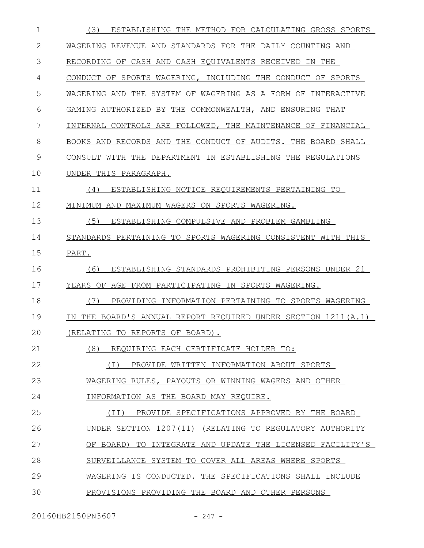| $\mathbf 1$ | ESTABLISHING THE METHOD FOR CALCULATING GROSS SPORTS<br>(3)       |
|-------------|-------------------------------------------------------------------|
| 2           | WAGERING REVENUE AND STANDARDS FOR THE DAILY COUNTING AND         |
| 3           | RECORDING OF CASH AND CASH EQUIVALENTS RECEIVED IN THE            |
| 4           | CONDUCT OF SPORTS WAGERING, INCLUDING THE CONDUCT OF SPORTS       |
| 5           | WAGERING AND THE SYSTEM OF WAGERING AS A FORM OF INTERACTIVE      |
| 6           | GAMING AUTHORIZED BY THE COMMONWEALTH, AND ENSURING THAT          |
| 7           | INTERNAL CONTROLS ARE FOLLOWED, THE MAINTENANCE OF FINANCIAL      |
| 8           | BOOKS AND RECORDS AND THE CONDUCT OF AUDITS. THE BOARD SHALL      |
| 9           | CONSULT WITH THE DEPARTMENT IN ESTABLISHING THE REGULATIONS       |
| 10          | UNDER THIS PARAGRAPH.                                             |
| 11          | ESTABLISHING NOTICE REQUIREMENTS PERTAINING TO<br>(4)             |
| 12          | MINIMUM AND MAXIMUM WAGERS ON SPORTS WAGERING.                    |
| 13          | (5)<br>ESTABLISHING COMPULSIVE AND PROBLEM GAMBLING               |
| 14          | STANDARDS PERTAINING TO SPORTS WAGERING CONSISTENT WITH THIS      |
| 15          | PART.                                                             |
| 16          | ESTABLISHING STANDARDS PROHIBITING PERSONS UNDER 21<br>(6)        |
| 17          | YEARS OF AGE FROM PARTICIPATING IN SPORTS WAGERING.               |
| 18          | (7)<br>PROVIDING INFORMATION PERTAINING TO SPORTS WAGERING        |
| 19          | THE BOARD'S ANNUAL REPORT REOUIRED UNDER SECTION 1211(A.1)<br>ΙN. |
| 20          | (RELATING TO REPORTS OF BOARD)                                    |
| 21          | (8)<br>REQUIRING EACH CERTIFICATE HOLDER TO:                      |
| 22          | (I) PROVIDE WRITTEN INFORMATION ABOUT SPORTS                      |
| 23          | WAGERING RULES, PAYOUTS OR WINNING WAGERS AND OTHER               |
| 24          | INFORMATION AS THE BOARD MAY REQUIRE.                             |
| 25          | (II) PROVIDE SPECIFICATIONS APPROVED BY THE BOARD                 |
| 26          | UNDER SECTION 1207(11) (RELATING TO REGULATORY AUTHORITY          |
| 27          | OF BOARD)<br>TO INTEGRATE AND UPDATE THE LICENSED FACILITY'S      |
| 28          | SURVEILLANCE SYSTEM TO COVER ALL AREAS WHERE SPORTS               |
| 29          | WAGERING IS CONDUCTED. THE SPECIFICATIONS SHALL INCLUDE           |
| 30          | PROVISIONS PROVIDING THE BOARD AND OTHER PERSONS                  |
|             |                                                                   |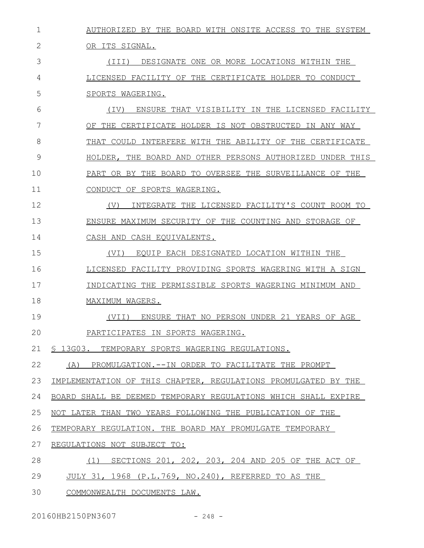| $\mathbf 1$  | AUTHORIZED BY THE BOARD WITH ONSITE ACCESS TO THE SYSTEM       |
|--------------|----------------------------------------------------------------|
| $\mathbf{2}$ | OR ITS SIGNAL.                                                 |
| 3            | (III)<br>DESIGNATE ONE OR MORE LOCATIONS WITHIN THE            |
| 4            | LICENSED FACILITY OF THE CERTIFICATE HOLDER TO CONDUCT         |
| 5            | SPORTS WAGERING.                                               |
| 6            | ENSURE THAT VISIBILITY IN THE LICENSED FACILITY<br>(TV)        |
| 7            | OF THE CERTIFICATE HOLDER IS NOT OBSTRUCTED IN ANY WAY         |
| 8            | THAT COULD INTERFERE WITH THE ABILITY OF THE CERTIFICATE       |
| 9            | HOLDER, THE BOARD AND OTHER PERSONS AUTHORIZED UNDER THIS      |
| 10           | PART OR BY THE BOARD TO OVERSEE THE SURVEILLANCE OF THE        |
| 11           | CONDUCT OF SPORTS WAGERING.                                    |
| 12           | (V)<br>INTEGRATE THE LICENSED FACILITY'S COUNT ROOM TO         |
| 13           | ENSURE MAXIMUM SECURITY OF THE COUNTING AND STORAGE OF         |
| 14           | CASH AND CASH EQUIVALENTS.                                     |
| 15           | (VI)<br>EOUIP EACH DESIGNATED LOCATION WITHIN THE              |
| 16           | LICENSED FACILITY PROVIDING SPORTS WAGERING WITH A SIGN        |
| 17           | INDICATING THE PERMISSIBLE SPORTS WAGERING MINIMUM AND         |
| 18           | MAXIMUM WAGERS.                                                |
| 19           | ENSURE THAT NO PERSON UNDER 21 YEARS OF AGE<br>(VII)           |
| 20           | PARTICIPATES IN SPORTS WAGERING.                               |
| 21           | § 13G03. TEMPORARY SPORTS WAGERING REGULATIONS.                |
| 22           | (A) PROMULGATION.--IN ORDER TO FACILITATE THE PROMPT           |
| 23           | IMPLEMENTATION OF THIS CHAPTER, REGULATIONS PROMULGATED BY THE |
| 24           | BOARD SHALL BE DEEMED TEMPORARY REGULATIONS WHICH SHALL EXPIRE |
| 25           | NOT LATER THAN TWO YEARS FOLLOWING THE PUBLICATION OF THE      |
| 26           | TEMPORARY REGULATION. THE BOARD MAY PROMULGATE TEMPORARY       |
| 27           | REGULATIONS NOT SUBJECT TO:                                    |
| 28           | SECTIONS 201, 202, 203, 204 AND 205 OF THE ACT OF<br>(1)       |
| 29           | JULY 31, 1968 (P.L.769, NO.240), REFERRED TO AS THE            |
| 30           | COMMONWEALTH DOCUMENTS LAW.                                    |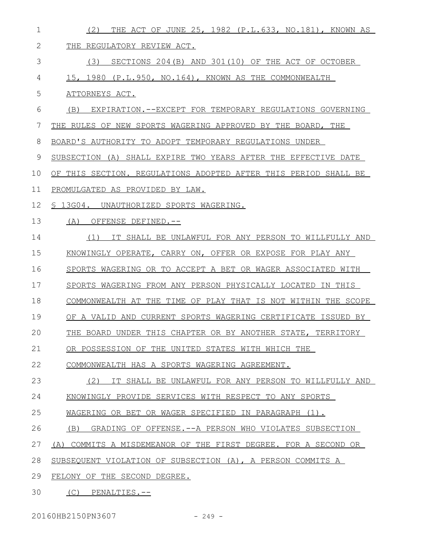| $\mathbf 1$  | THE ACT OF JUNE 25, 1982 (P.L.633, NO.181), KNOWN AS<br>(2)      |
|--------------|------------------------------------------------------------------|
| $\mathbf{2}$ | REGULATORY REVIEW ACT.<br>THE.                                   |
| 3            | SECTIONS 204(B) AND 301(10) OF THE ACT OF OCTOBER<br>(3)         |
| 4            | 15, 1980 (P.L.950, NO.164), KNOWN AS THE COMMONWEALTH            |
| 5            | ATTORNEYS ACT.                                                   |
| 6            | EXPIRATION. -- EXCEPT FOR TEMPORARY REGULATIONS GOVERNING<br>(B) |
| 7            | THE RULES OF NEW SPORTS WAGERING APPROVED BY THE BOARD, THE      |
| 8            | BOARD'S AUTHORITY TO ADOPT TEMPORARY REGULATIONS UNDER           |
| 9            | SUBSECTION (A) SHALL EXPIRE TWO YEARS AFTER THE EFFECTIVE DATE   |
| 10           | OF THIS SECTION. REGULATIONS ADOPTED AFTER THIS PERIOD SHALL BE  |
| 11           | PROMULGATED AS PROVIDED BY LAW.                                  |
| 12           | § 13G04. UNAUTHORIZED SPORTS WAGERING.                           |
| 13           | (A)<br>OFFENSE DEFINED.--                                        |
| 14           | (1)<br>IT SHALL BE UNLAWFUL FOR ANY PERSON TO WILLFULLY AND      |
| 15           | KNOWINGLY OPERATE, CARRY ON, OFFER OR EXPOSE FOR PLAY ANY        |
| 16           | SPORTS WAGERING OR TO ACCEPT A BET OR WAGER ASSOCIATED WITH      |
| 17           | SPORTS WAGERING FROM ANY PERSON PHYSICALLY LOCATED IN THIS       |
| 18           | COMMONWEALTH AT THE TIME OF PLAY THAT IS NOT WITHIN THE SCOPE    |
| 19           | OF A VALID AND CURRENT SPORTS WAGERING CERTIFICATE ISSUED BY     |
| 20           | THE BOARD UNDER THIS CHAPTER OR BY ANOTHER STATE, TERRITORY      |
| 21           | OR POSSESSION OF THE UNITED STATES WITH WHICH THE                |
| 22           | COMMONWEALTH HAS A SPORTS WAGERING AGREEMENT.                    |
| 23           | (2)<br>IT SHALL BE UNLAWFUL FOR ANY PERSON TO WILLFULLY AND      |
| 24           | KNOWINGLY PROVIDE SERVICES WITH RESPECT TO ANY SPORTS            |
| 25           | WAGERING OR BET OR WAGER SPECIFIED IN PARAGRAPH (1).             |
| 26           | (B)<br>GRADING OF OFFENSE.--A PERSON WHO VIOLATES SUBSECTION     |
| 27           | (A) COMMITS A MISDEMEANOR OF THE FIRST DEGREE. FOR A SECOND OR   |
| 28           | SUBSEQUENT VIOLATION OF SUBSECTION (A), A PERSON COMMITS A       |
| 29           | FELONY OF THE SECOND DEGREE.                                     |
| 30           | $(C)$ PENALTIES.--                                               |

20160HB2150PN3607 - 249 -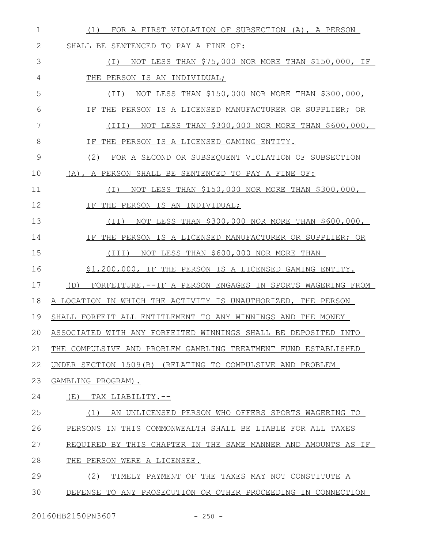| $\mathbf 1$ | FOR A FIRST VIOLATION OF SUBSECTION (A), A PERSON<br>(1)          |
|-------------|-------------------------------------------------------------------|
| 2           | SHALL BE SENTENCED TO PAY A FINE OF:                              |
| 3           | (I) NOT LESS THAN \$75,000 NOR MORE THAN \$150,000, IF            |
| 4           | THE PERSON IS AN INDIVIDUAL;                                      |
| 5           | $(II)$ NOT LESS THAN \$150,000 NOR MORE THAN \$300,000,           |
| 6           | IF THE PERSON IS A LICENSED MANUFACTURER OR SUPPLIER; OR          |
| 7           | NOT LESS THAN \$300,000 NOR MORE THAN \$600,000,<br>(III)         |
| 8           | IF THE PERSON IS A LICENSED GAMING ENTITY.                        |
| 9           | (2) FOR A SECOND OR SUBSEQUENT VIOLATION OF SUBSECTION            |
| 10          | (A), A PERSON SHALL BE SENTENCED TO PAY A FINE OF:                |
| 11          | NOT LESS THAN \$150,000 NOR MORE THAN \$300,000,<br>( I )         |
| 12          | IF THE PERSON IS AN INDIVIDUAL;                                   |
| 13          | NOT LESS THAN \$300,000 NOR MORE THAN \$600,000,<br>(TI)          |
| 14          | IF THE PERSON IS A LICENSED MANUFACTURER OR SUPPLIER; OR          |
| 15          | NOT LESS THAN \$600,000 NOR MORE THAN<br>(III)                    |
| 16          | \$1,200,000, IF THE PERSON IS A LICENSED GAMING ENTITY.           |
| 17          | (D)<br>FORFEITURE.--IF A PERSON ENGAGES IN SPORTS WAGERING FROM   |
| 18          | A LOCATION IN WHICH THE ACTIVITY IS UNAUTHORIZED, THE PERSON      |
| 19          | SHALL FORFEIT ALL ENTITLEMENT TO ANY WINNINGS AND THE MONEY       |
|             | 20 ASSOCIATED WITH ANY FORFEITED WINNINGS SHALL BE DEPOSITED INTO |
| 21          | THE COMPULSIVE AND PROBLEM GAMBLING TREATMENT FUND ESTABLISHED    |
| 22          | UNDER SECTION 1509(B) (RELATING TO COMPULSIVE AND PROBLEM         |
| 23          | GAMBLING PROGRAM).                                                |
| 24          | (E)<br>TAX LIABILITY.--                                           |
| 25          | AN UNLICENSED PERSON WHO OFFERS SPORTS WAGERING TO<br>(1)         |
| 26          | PERSONS IN THIS COMMONWEALTH SHALL BE LIABLE FOR ALL TAXES        |
| 27          | REOUIRED BY THIS CHAPTER IN THE SAME MANNER AND AMOUNTS AS IF     |
| 28          | THE PERSON WERE A LICENSEE.                                       |
| 29          | (2)<br>TIMELY PAYMENT OF THE TAXES MAY NOT CONSTITUTE A           |
| 30          | DEFENSE TO ANY PROSECUTION OR OTHER PROCEEDING IN CONNECTION      |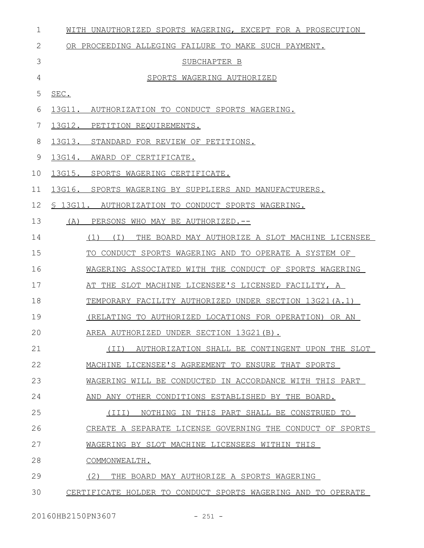| 1  | WITH UNAUTHORIZED SPORTS WAGERING, EXCEPT FOR A PROSECUTION    |
|----|----------------------------------------------------------------|
| 2  | OR PROCEEDING ALLEGING FAILURE TO MAKE SUCH PAYMENT.           |
| 3  | SUBCHAPTER B                                                   |
| 4  | SPORTS WAGERING AUTHORIZED                                     |
| 5  | SEC.                                                           |
| 6  | 13G11. AUTHORIZATION TO CONDUCT SPORTS WAGERING.               |
| 7  | 13G12.<br>PETITION REQUIREMENTS.                               |
| 8  | 13G13. STANDARD FOR REVIEW OF PETITIONS.                       |
| 9  | 13G14.<br>AWARD OF CERTIFICATE.                                |
| 10 | 13G15.<br>SPORTS WAGERING CERTIFICATE.                         |
| 11 | 13G16. SPORTS WAGERING BY SUPPLIERS AND MANUFACTURERS.         |
| 12 | § 13G11. AUTHORIZATION TO CONDUCT SPORTS WAGERING.             |
| 13 | (A)<br>PERSONS WHO MAY BE AUTHORIZED.--                        |
| 14 | THE BOARD MAY AUTHORIZE A SLOT MACHINE LICENSEE<br>$(1)$ $(1)$ |
| 15 | TO CONDUCT SPORTS WAGERING AND TO OPERATE A SYSTEM OF          |
| 16 | WAGERING ASSOCIATED WITH THE CONDUCT OF SPORTS WAGERING        |
| 17 | AT THE SLOT MACHINE LICENSEE'S LICENSED FACILITY, A            |
| 18 | TEMPORARY FACILITY AUTHORIZED UNDER SECTION 13G21(A.1)         |
| 19 | (RELATING TO AUTHORIZED LOCATIONS FOR OPERATION) OR AN         |
| 20 | AREA AUTHORIZED UNDER SECTION 13G21(B).                        |
| 21 | (II) AUTHORIZATION SHALL BE CONTINGENT UPON THE SLOT           |
| 22 | MACHINE LICENSEE'S AGREEMENT TO ENSURE THAT SPORTS             |
| 23 | WAGERING WILL BE CONDUCTED IN ACCORDANCE WITH THIS PART        |
| 24 | AND ANY OTHER CONDITIONS ESTABLISHED BY THE BOARD.             |
| 25 | NOTHING IN THIS PART SHALL BE CONSTRUED TO<br>(TII)            |
| 26 | CREATE A SEPARATE LICENSE GOVERNING THE CONDUCT OF SPORTS      |
| 27 | WAGERING BY SLOT MACHINE LICENSEES WITHIN THIS                 |
| 28 | COMMONWEALTH.                                                  |
| 29 | (2)<br>THE BOARD MAY AUTHORIZE A SPORTS WAGERING               |
| 30 | CERTIFICATE HOLDER TO CONDUCT SPORTS WAGERING AND TO OPERATE   |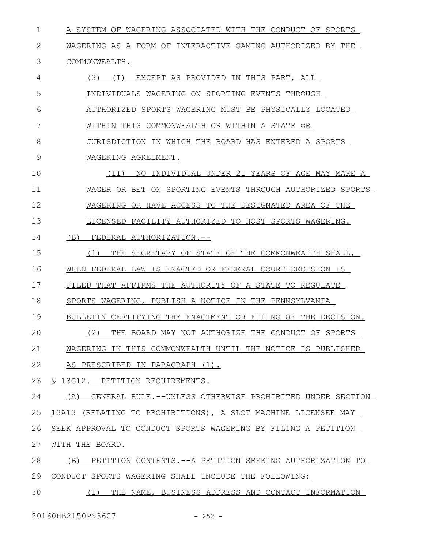| $\mathbf 1$ | A SYSTEM OF WAGERING ASSOCIATED WITH THE CONDUCT OF SPORTS       |
|-------------|------------------------------------------------------------------|
| 2           | WAGERING AS A FORM OF INTERACTIVE GAMING AUTHORIZED BY THE       |
| 3           | COMMONWEALTH.                                                    |
| 4           | (3) (I) EXCEPT AS PROVIDED IN THIS PART, ALL                     |
| 5           | INDIVIDUALS WAGERING ON SPORTING EVENTS THROUGH                  |
| 6           | AUTHORIZED SPORTS WAGERING MUST BE PHYSICALLY LOCATED            |
| 7           | WITHIN THIS COMMONWEALTH OR WITHIN A STATE OR                    |
| 8           | JURISDICTION IN WHICH THE BOARD HAS ENTERED A SPORTS             |
| 9           | WAGERING AGREEMENT.                                              |
| 10          | INDIVIDUAL UNDER 21 YEARS OF AGE MAY MAKE A<br>(II)<br>NO.       |
| 11          | WAGER OR BET ON SPORTING EVENTS THROUGH AUTHORIZED SPORTS        |
| 12          | WAGERING OR HAVE ACCESS TO THE DESIGNATED AREA OF THE            |
| 13          | LICENSED FACILITY AUTHORIZED TO HOST SPORTS WAGERING.            |
| 14          | (B)<br>FEDERAL AUTHORIZATION.--                                  |
| 15          | THE SECRETARY OF STATE OF THE COMMONWEALTH SHALL,<br>(1)         |
| 16          | WHEN FEDERAL LAW IS ENACTED OR FEDERAL COURT DECISION IS         |
| 17          | FILED THAT AFFIRMS THE AUTHORITY OF A STATE TO REGULATE          |
| 18          | SPORTS WAGERING, PUBLISH A NOTICE IN THE PENNSYLVANIA            |
| 19          | BULLETIN CERTIFYING THE ENACTMENT OR FILING OF THE DECISION.     |
| 20          | (2) THE BOARD MAY NOT AUTHORIZE THE CONDUCT OF SPORTS            |
| 21          | WAGERING IN THIS COMMONWEALTH UNTIL THE NOTICE IS PUBLISHED      |
| 22          | AS PRESCRIBED IN PARAGRAPH (1).                                  |
| 23          | § 13G12. PETITION REQUIREMENTS.                                  |
| 24          | (A)<br>GENERAL RULE. --UNLESS OTHERWISE PROHIBITED UNDER SECTION |
| 25          | 13A13 (RELATING TO PROHIBITIONS), A SLOT MACHINE LICENSEE MAY    |
| 26          | SEEK APPROVAL TO CONDUCT SPORTS WAGERING BY FILING A PETITION    |
| 27          | WITH THE BOARD.                                                  |
| 28          | (B)<br>PETITION CONTENTS. -- A PETITION SEEKING AUTHORIZATION TO |
| 29          | CONDUCT SPORTS WAGERING SHALL INCLUDE THE FOLLOWING:             |
| 30          | THE NAME, BUSINESS ADDRESS AND CONTACT INFORMATION<br>(1)        |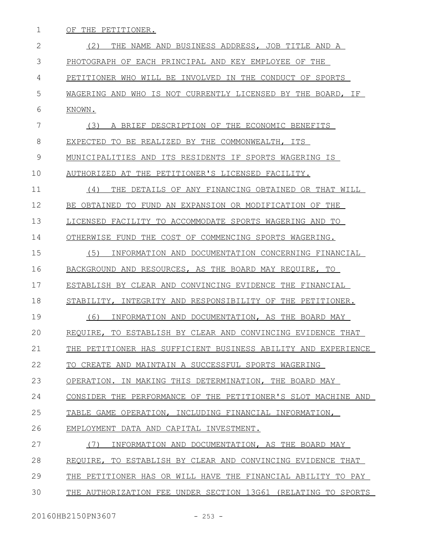OF THE PETITIONER. 1

 (2) THE NAME AND BUSINESS ADDRESS, JOB TITLE AND A PHOTOGRAPH OF EACH PRINCIPAL AND KEY EMPLOYEE OF THE PETITIONER WHO WILL BE INVOLVED IN THE CONDUCT OF SPORTS WAGERING AND WHO IS NOT CURRENTLY LICENSED BY THE BOARD, IF KNOWN. (3) A BRIEF DESCRIPTION OF THE ECONOMIC BENEFITS EXPECTED TO BE REALIZED BY THE COMMONWEALTH, ITS MUNICIPALITIES AND ITS RESIDENTS IF SPORTS WAGERING IS AUTHORIZED AT THE PETITIONER'S LICENSED FACILITY. (4) THE DETAILS OF ANY FINANCING OBTAINED OR THAT WILL BE OBTAINED TO FUND AN EXPANSION OR MODIFICATION OF THE LICENSED FACILITY TO ACCOMMODATE SPORTS WAGERING AND TO OTHERWISE FUND THE COST OF COMMENCING SPORTS WAGERING. (5) INFORMATION AND DOCUMENTATION CONCERNING FINANCIAL BACKGROUND AND RESOURCES, AS THE BOARD MAY REQUIRE, TO ESTABLISH BY CLEAR AND CONVINCING EVIDENCE THE FINANCIAL STABILITY, INTEGRITY AND RESPONSIBILITY OF THE PETITIONER. (6) INFORMATION AND DOCUMENTATION, AS THE BOARD MAY REQUIRE, TO ESTABLISH BY CLEAR AND CONVINCING EVIDENCE THAT THE PETITIONER HAS SUFFICIENT BUSINESS ABILITY AND EXPERIENCE TO CREATE AND MAINTAIN A SUCCESSFUL SPORTS WAGERING OPERATION. IN MAKING THIS DETERMINATION, THE BOARD MAY CONSIDER THE PERFORMANCE OF THE PETITIONER'S SLOT MACHINE AND TABLE GAME OPERATION, INCLUDING FINANCIAL INFORMATION, EMPLOYMENT DATA AND CAPITAL INVESTMENT. (7) INFORMATION AND DOCUMENTATION, AS THE BOARD MAY REQUIRE, TO ESTABLISH BY CLEAR AND CONVINCING EVIDENCE THAT THE PETITIONER HAS OR WILL HAVE THE FINANCIAL ABILITY TO PAY THE AUTHORIZATION FEE UNDER SECTION 13G61 (RELATING TO SPORTS 2 3 4 5 6 7 8 9 10 11 12 13 14 15 16 17 18 19  $20$ 21 22 23 24 25 26 27 28 29 30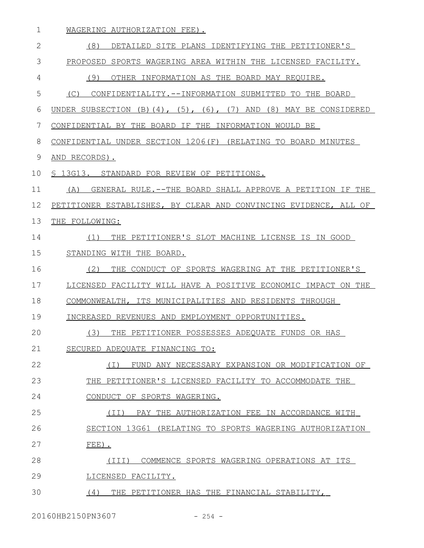| 1  | WAGERING AUTHORIZATION FEE).                                                     |  |  |  |  |  |
|----|----------------------------------------------------------------------------------|--|--|--|--|--|
| 2  | (8)<br>DETAILED SITE PLANS IDENTIFYING THE PETITIONER'S                          |  |  |  |  |  |
| 3  | PROPOSED SPORTS WAGERING AREA WITHIN THE LICENSED FACILITY.                      |  |  |  |  |  |
| 4  | (9)<br>OTHER INFORMATION AS THE BOARD MAY REQUIRE.                               |  |  |  |  |  |
| 5  | (C)<br>CONFIDENTIALITY.--INFORMATION SUBMITTED TO THE BOARD                      |  |  |  |  |  |
| 6  | UNDER SUBSECTION $(B)$ $(4)$ , $(5)$ , $(6)$ , $(7)$ AND $(8)$ MAY BE CONSIDERED |  |  |  |  |  |
| 7  | CONFIDENTIAL BY THE BOARD IF THE INFORMATION WOULD BE                            |  |  |  |  |  |
| 8  | CONFIDENTIAL UNDER SECTION 1206(F) (RELATING TO BOARD MINUTES                    |  |  |  |  |  |
| 9  | AND RECORDS).                                                                    |  |  |  |  |  |
| 10 | § 13G13. STANDARD FOR REVIEW OF PETITIONS.                                       |  |  |  |  |  |
| 11 | GENERAL RULE.--THE BOARD SHALL APPROVE A PETITION IF THE<br>(A)                  |  |  |  |  |  |
| 12 | PETITIONER ESTABLISHES, BY CLEAR AND CONVINCING EVIDENCE, ALL OF                 |  |  |  |  |  |
| 13 | THE FOLLOWING:                                                                   |  |  |  |  |  |
| 14 | THE PETITIONER'S SLOT MACHINE LICENSE IS IN GOOD<br>(1)                          |  |  |  |  |  |
| 15 | STANDING WITH THE BOARD.                                                         |  |  |  |  |  |
| 16 | (2)<br>THE CONDUCT OF SPORTS WAGERING AT THE PETITIONER'S                        |  |  |  |  |  |
| 17 | LICENSED FACILITY WILL HAVE A POSITIVE ECONOMIC IMPACT ON THE                    |  |  |  |  |  |
| 18 | COMMONWEALTH, ITS MUNICIPALITIES AND RESIDENTS THROUGH                           |  |  |  |  |  |
| 19 | INCREASED REVENUES AND EMPLOYMENT OPPORTUNITIES.                                 |  |  |  |  |  |
| 20 | (3)<br>THE PETITIONER POSSESSES ADEQUATE FUNDS OR HAS                            |  |  |  |  |  |
| 21 | SECURED ADEQUATE FINANCING TO:                                                   |  |  |  |  |  |
| 22 | FUND ANY NECESSARY EXPANSION OR MODIFICATION OF<br>( I )                         |  |  |  |  |  |
| 23 | THE PETITIONER'S LICENSED FACILITY TO ACCOMMODATE THE                            |  |  |  |  |  |
| 24 | CONDUCT OF SPORTS WAGERING.                                                      |  |  |  |  |  |
| 25 | (II) PAY THE AUTHORIZATION FEE IN ACCORDANCE WITH                                |  |  |  |  |  |
| 26 | SECTION 13G61 (RELATING TO SPORTS WAGERING AUTHORIZATION                         |  |  |  |  |  |
| 27 | $FEE$ ).                                                                         |  |  |  |  |  |
| 28 | COMMENCE SPORTS WAGERING OPERATIONS AT ITS<br>(TII)                              |  |  |  |  |  |
| 29 | LICENSED FACILITY.                                                               |  |  |  |  |  |
| 30 | (4)<br>THE PETITIONER HAS THE FINANCIAL STABILITY,                               |  |  |  |  |  |

20160HB2150PN3607 - 254 -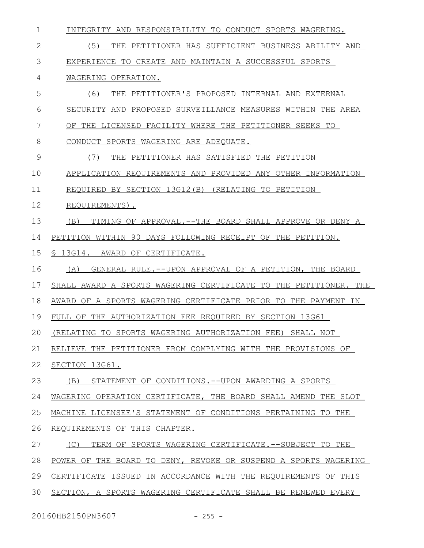| $\mathbf 1$  | INTEGRITY AND RESPONSIBILITY TO CONDUCT SPORTS WAGERING.         |  |  |  |  |  |
|--------------|------------------------------------------------------------------|--|--|--|--|--|
| $\mathbf{2}$ | (5)<br>THE PETITIONER HAS SUFFICIENT BUSINESS ABILITY AND        |  |  |  |  |  |
| 3            | EXPERIENCE TO CREATE AND MAINTAIN A SUCCESSFUL SPORTS            |  |  |  |  |  |
| 4            | WAGERING OPERATION.                                              |  |  |  |  |  |
| 5            | (6)<br>THE PETITIONER'S PROPOSED INTERNAL AND EXTERNAL           |  |  |  |  |  |
| 6            | SECURITY AND PROPOSED SURVEILLANCE MEASURES WITHIN THE AREA      |  |  |  |  |  |
| 7            | OF THE LICENSED FACILITY WHERE THE PETITIONER SEEKS TO           |  |  |  |  |  |
| 8            | CONDUCT SPORTS WAGERING ARE ADEQUATE.                            |  |  |  |  |  |
| 9            | (7)<br>THE PETITIONER HAS SATISFIED THE PETITION                 |  |  |  |  |  |
| 10           | APPLICATION REQUIREMENTS AND PROVIDED ANY OTHER INFORMATION      |  |  |  |  |  |
| 11           | REQUIRED BY SECTION 13G12(B) (RELATING TO PETITION               |  |  |  |  |  |
| 12           | REQUIREMENTS).                                                   |  |  |  |  |  |
| 13           | TIMING OF APPROVAL.--THE BOARD SHALL APPROVE OR DENY A<br>(B)    |  |  |  |  |  |
| 14           | PETITION WITHIN 90 DAYS FOLLOWING RECEIPT OF THE PETITION.       |  |  |  |  |  |
| 15           | S 13G14. AWARD OF CERTIFICATE.                                   |  |  |  |  |  |
| 16           | GENERAL RULE.--UPON APPROVAL OF A PETITION, THE BOARD<br>(A)     |  |  |  |  |  |
|              |                                                                  |  |  |  |  |  |
| 17           | SHALL AWARD A SPORTS WAGERING CERTIFICATE TO THE PETITIONER. THE |  |  |  |  |  |
| 18           | AWARD OF A SPORTS WAGERING CERTIFICATE PRIOR TO THE PAYMENT IN   |  |  |  |  |  |
| 19           | FULL OF THE AUTHORIZATION FEE REQUIRED BY SECTION 13G61          |  |  |  |  |  |
| 20           | (RELATING TO SPORTS WAGERING AUTHORIZATION FEE) SHALL NOT        |  |  |  |  |  |
| 21           | RELIEVE THE PETITIONER FROM COMPLYING WITH THE PROVISIONS OF     |  |  |  |  |  |
| 22           | SECTION 13G61.                                                   |  |  |  |  |  |
| 23           | (B)<br>STATEMENT OF CONDITIONS. -- UPON AWARDING A SPORTS        |  |  |  |  |  |
| 24           | WAGERING OPERATION CERTIFICATE, THE BOARD SHALL AMEND THE SLOT   |  |  |  |  |  |
| 25           | MACHINE LICENSEE'S STATEMENT OF CONDITIONS PERTAINING TO THE     |  |  |  |  |  |
| 26           | REQUIREMENTS OF THIS CHAPTER.                                    |  |  |  |  |  |
| 27           | TERM OF SPORTS WAGERING CERTIFICATE. -- SUBJECT TO THE<br>(C)    |  |  |  |  |  |
| 28           | POWER OF THE BOARD TO DENY, REVOKE OR SUSPEND A SPORTS WAGERING  |  |  |  |  |  |
| 29           | CERTIFICATE ISSUED IN ACCORDANCE WITH THE REQUIREMENTS OF THIS   |  |  |  |  |  |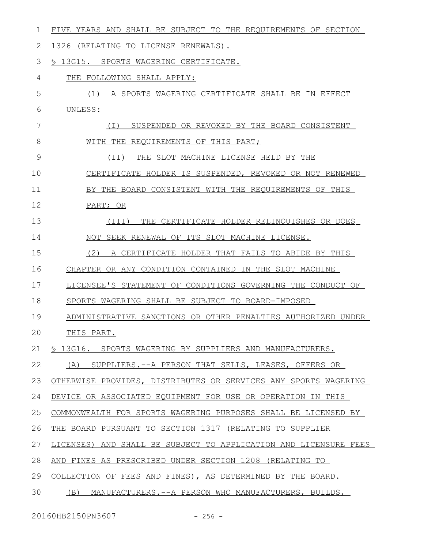| 1  | FIVE YEARS AND SHALL BE SUBJECT TO THE REQUIREMENTS OF SECTION   |  |  |  |  |  |
|----|------------------------------------------------------------------|--|--|--|--|--|
| 2  | 1326 (RELATING TO LICENSE RENEWALS).                             |  |  |  |  |  |
| 3  | \$ 13G15. SPORTS WAGERING CERTIFICATE.                           |  |  |  |  |  |
| 4  | THE FOLLOWING SHALL APPLY:                                       |  |  |  |  |  |
| 5  | (1) A SPORTS WAGERING CERTIFICATE SHALL BE IN EFFECT             |  |  |  |  |  |
| 6  | UNLESS:                                                          |  |  |  |  |  |
| 7  | SUSPENDED OR REVOKED BY THE BOARD CONSISTENT<br>$(\top)$         |  |  |  |  |  |
| 8  | WITH THE REQUIREMENTS OF THIS PART;                              |  |  |  |  |  |
| 9  | THE SLOT MACHINE LICENSE HELD BY THE<br>(TT)                     |  |  |  |  |  |
| 10 | CERTIFICATE HOLDER IS SUSPENDED, REVOKED OR NOT RENEWED          |  |  |  |  |  |
| 11 | BY THE BOARD CONSISTENT WITH THE REQUIREMENTS OF THIS            |  |  |  |  |  |
| 12 | PART; OR                                                         |  |  |  |  |  |
| 13 | (III)<br>THE CERTIFICATE HOLDER RELINQUISHES OR DOES             |  |  |  |  |  |
| 14 | NOT SEEK RENEWAL OF ITS SLOT MACHINE LICENSE.                    |  |  |  |  |  |
| 15 | (2)<br>A CERTIFICATE HOLDER THAT FAILS TO ABIDE BY THIS          |  |  |  |  |  |
| 16 | CHAPTER OR ANY CONDITION CONTAINED IN THE SLOT MACHINE           |  |  |  |  |  |
| 17 | LICENSEE'S STATEMENT OF CONDITIONS GOVERNING THE CONDUCT OF      |  |  |  |  |  |
| 18 | SPORTS WAGERING SHALL BE SUBJECT TO BOARD-IMPOSED                |  |  |  |  |  |
| 19 | ADMINISTRATIVE SANCTIONS OR OTHER PENALTIES AUTHORIZED UNDER     |  |  |  |  |  |
| 20 | THIS PART.                                                       |  |  |  |  |  |
| 21 | § 13G16. SPORTS WAGERING BY SUPPLIERS AND MANUFACTURERS.         |  |  |  |  |  |
| 22 | SUPPLIERS. -- A PERSON THAT SELLS, LEASES, OFFERS OR<br>(A)      |  |  |  |  |  |
| 23 | OTHERWISE PROVIDES, DISTRIBUTES OR SERVICES ANY SPORTS WAGERING  |  |  |  |  |  |
| 24 | DEVICE OR ASSOCIATED EQUIPMENT FOR USE OR OPERATION IN THIS      |  |  |  |  |  |
| 25 | COMMONWEALTH FOR SPORTS WAGERING PURPOSES SHALL BE LICENSED BY   |  |  |  |  |  |
| 26 | THE BOARD PURSUANT TO SECTION 1317 (RELATING TO SUPPLIER         |  |  |  |  |  |
| 27 | LICENSES) AND SHALL BE SUBJECT TO APPLICATION AND LICENSURE FEES |  |  |  |  |  |
| 28 | AND FINES AS PRESCRIBED UNDER SECTION 1208 (RELATING TO          |  |  |  |  |  |
| 29 | COLLECTION OF FEES AND FINES), AS DETERMINED BY THE BOARD.       |  |  |  |  |  |
| 30 | (B) MANUFACTURERS.--A PERSON WHO MANUFACTURERS, BUILDS,          |  |  |  |  |  |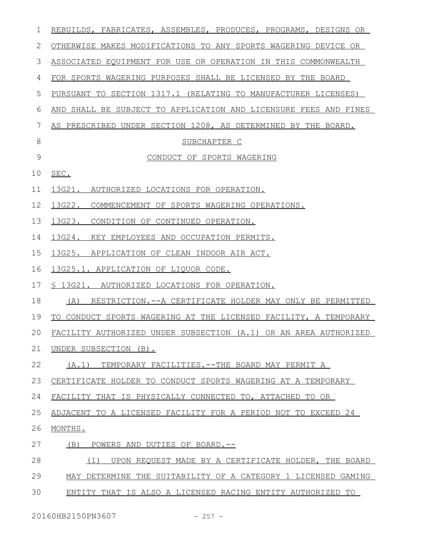| 1  | REBUILDS, FABRICATES, ASSEMBLES, PRODUCES, PROGRAMS, DESIGNS OR  |  |  |  |  |  |
|----|------------------------------------------------------------------|--|--|--|--|--|
| 2  | OTHERWISE MAKES MODIFICATIONS TO ANY SPORTS WAGERING DEVICE OR   |  |  |  |  |  |
| 3  | ASSOCIATED EQUIPMENT FOR USE OR OPERATION IN THIS COMMONWEALTH   |  |  |  |  |  |
| 4  | FOR SPORTS WAGERING PURPOSES SHALL BE LICENSED BY THE BOARD      |  |  |  |  |  |
| 5  | PURSUANT TO SECTION 1317.1 (RELATING TO MANUFACTURER LICENSES)   |  |  |  |  |  |
| 6  | AND SHALL BE SUBJECT TO APPLICATION AND LICENSURE FEES AND FINES |  |  |  |  |  |
| 7  | AS PRESCRIBED UNDER SECTION 1208, AS DETERMINED BY THE BOARD.    |  |  |  |  |  |
| 8  | SUBCHAPTER C                                                     |  |  |  |  |  |
| 9  | CONDUCT OF SPORTS WAGERING                                       |  |  |  |  |  |
| 10 | SEC.                                                             |  |  |  |  |  |
| 11 | 13G21. AUTHORIZED LOCATIONS FOR OPERATION.                       |  |  |  |  |  |
| 12 | 13G22. COMMENCEMENT OF SPORTS WAGERING OPERATIONS.               |  |  |  |  |  |
| 13 | 13G23. CONDITION OF CONTINUED OPERATION.                         |  |  |  |  |  |
| 14 | 13G24.<br>KEY EMPLOYEES AND OCCUPATION PERMITS.                  |  |  |  |  |  |
| 15 | 13G25. APPLICATION OF CLEAN INDOOR AIR ACT.                      |  |  |  |  |  |
| 16 | 13G25.1. APPLICATION OF LIQUOR CODE.                             |  |  |  |  |  |
| 17 | § 13G21. AUTHORIZED LOCATIONS FOR OPERATION.                     |  |  |  |  |  |
| 18 | RESTRICTION.--A CERTIFICATE HOLDER MAY ONLY BE PERMITTED<br>(A)  |  |  |  |  |  |
| 19 | TO CONDUCT SPORTS WAGERING AT THE LICENSED FACILITY, A TEMPORARY |  |  |  |  |  |
| 20 | FACILITY AUTHORIZED UNDER SUBSECTION (A.1) OR AN AREA AUTHORIZED |  |  |  |  |  |
| 21 | UNDER SUBSECTION (B).                                            |  |  |  |  |  |
| 22 | TEMPORARY FACILITIES.--THE BOARD MAY PERMIT A<br>(A, 1)          |  |  |  |  |  |
| 23 | CERTIFICATE HOLDER TO CONDUCT SPORTS WAGERING AT A TEMPORARY     |  |  |  |  |  |
| 24 | FACILITY THAT IS PHYSICALLY CONNECTED TO, ATTACHED TO OR         |  |  |  |  |  |
| 25 | ADJACENT TO A LICENSED FACILITY FOR A PERIOD NOT TO EXCEED 24    |  |  |  |  |  |
| 26 | MONTHS.                                                          |  |  |  |  |  |
| 27 | (B)<br>POWERS AND DUTIES OF BOARD.--                             |  |  |  |  |  |
| 28 | UPON REQUEST MADE BY A CERTIFICATE HOLDER, THE BOARD<br>(1)      |  |  |  |  |  |
| 29 | MAY DETERMINE THE SUITABILITY OF A CATEGORY 1 LICENSED GAMING    |  |  |  |  |  |
| 30 | ENTITY THAT IS ALSO A LICENSED RACING ENTITY AUTHORIZED TO       |  |  |  |  |  |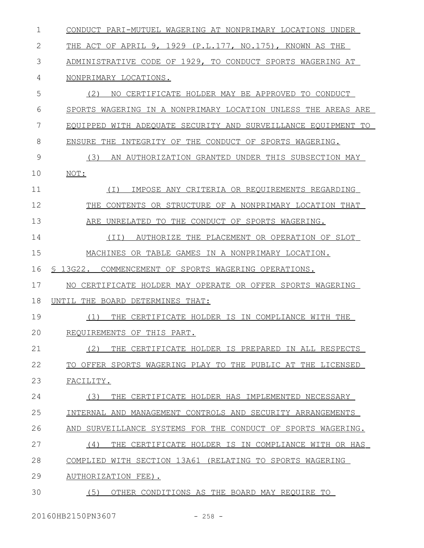| 1            | CONDUCT PARI-MUTUEL WAGERING AT NONPRIMARY LOCATIONS UNDER    |  |  |  |  |  |
|--------------|---------------------------------------------------------------|--|--|--|--|--|
| $\mathbf{2}$ | THE ACT OF APRIL 9, 1929 (P.L.177, NO.175), KNOWN AS THE      |  |  |  |  |  |
| 3            | ADMINISTRATIVE CODE OF 1929, TO CONDUCT SPORTS WAGERING AT    |  |  |  |  |  |
| 4            | NONPRIMARY LOCATIONS.                                         |  |  |  |  |  |
| 5            | (2)<br>NO CERTIFICATE HOLDER MAY BE APPROVED TO CONDUCT       |  |  |  |  |  |
| 6            | SPORTS WAGERING IN A NONPRIMARY LOCATION UNLESS THE AREAS ARE |  |  |  |  |  |
| 7            | EQUIPPED WITH ADEQUATE SECURITY AND SURVEILLANCE EQUIPMENT TO |  |  |  |  |  |
| 8            | ENSURE THE INTEGRITY OF THE CONDUCT OF SPORTS WAGERING.       |  |  |  |  |  |
| 9            | (3)<br>AN AUTHORIZATION GRANTED UNDER THIS SUBSECTION MAY     |  |  |  |  |  |
| 10           | NOT:                                                          |  |  |  |  |  |
| 11           | IMPOSE ANY CRITERIA OR REQUIREMENTS REGARDING<br>(T)          |  |  |  |  |  |
| 12           | CONTENTS OR STRUCTURE OF A NONPRIMARY LOCATION THAT<br>THE    |  |  |  |  |  |
| 13           | ARE UNRELATED TO THE CONDUCT OF SPORTS WAGERING.              |  |  |  |  |  |
| 14           | AUTHORIZE THE PLACEMENT OR OPERATION OF SLOT<br>(TI)          |  |  |  |  |  |
| 15           | MACHINES OR TABLE GAMES IN A NONPRIMARY LOCATION.             |  |  |  |  |  |
| 16           | § 13G22. COMMENCEMENT OF SPORTS WAGERING OPERATIONS.          |  |  |  |  |  |
| 17           | NO CERTIFICATE HOLDER MAY OPERATE OR OFFER SPORTS WAGERING    |  |  |  |  |  |
| 18           | UNTIL THE BOARD DETERMINES THAT:                              |  |  |  |  |  |
|              |                                                               |  |  |  |  |  |
| 19           | (1)<br>THE CERTIFICATE HOLDER IS IN COMPLIANCE WITH THE       |  |  |  |  |  |
| 20           | REQUIREMENTS OF THIS PART.                                    |  |  |  |  |  |
| 21           | (2)<br>THE CERTIFICATE HOLDER IS PREPARED IN ALL RESPECTS     |  |  |  |  |  |
| 22           | TO OFFER SPORTS WAGERING PLAY TO THE PUBLIC AT THE LICENSED   |  |  |  |  |  |
| 23           | FACILITY.                                                     |  |  |  |  |  |
| 24           | THE CERTIFICATE HOLDER HAS IMPLEMENTED NECESSARY<br>(3)       |  |  |  |  |  |
| 25           | INTERNAL AND MANAGEMENT CONTROLS AND SECURITY ARRANGEMENTS    |  |  |  |  |  |
| 26           | AND SURVEILLANCE SYSTEMS FOR THE CONDUCT OF SPORTS WAGERING.  |  |  |  |  |  |
| 27           | CERTIFICATE HOLDER IS IN COMPLIANCE WITH OR HAS<br>(4)<br>THE |  |  |  |  |  |
| 28           | COMPLIED WITH SECTION 13A61 (RELATING TO SPORTS WAGERING      |  |  |  |  |  |
| 29           | AUTHORIZATION FEE).                                           |  |  |  |  |  |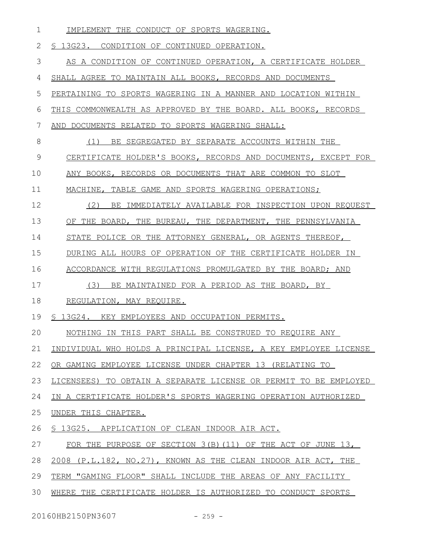| $\mathbf 1$ | IMPLEMENT THE CONDUCT OF SPORTS WAGERING.                        |  |  |  |  |  |
|-------------|------------------------------------------------------------------|--|--|--|--|--|
| 2           | § 13G23. CONDITION OF CONTINUED OPERATION.                       |  |  |  |  |  |
| 3           | AS A CONDITION OF CONTINUED OPERATION, A CERTIFICATE HOLDER      |  |  |  |  |  |
| 4           | SHALL AGREE TO MAINTAIN ALL BOOKS, RECORDS AND DOCUMENTS         |  |  |  |  |  |
| 5           | PERTAINING TO SPORTS WAGERING IN A MANNER AND LOCATION WITHIN    |  |  |  |  |  |
| 6           | THIS COMMONWEALTH AS APPROVED BY THE BOARD. ALL BOOKS, RECORDS   |  |  |  |  |  |
| 7           | AND DOCUMENTS RELATED TO SPORTS WAGERING SHALL:                  |  |  |  |  |  |
| 8           | (1) BE SEGREGATED BY SEPARATE ACCOUNTS WITHIN THE                |  |  |  |  |  |
| 9           | CERTIFICATE HOLDER'S BOOKS, RECORDS AND DOCUMENTS, EXCEPT FOR    |  |  |  |  |  |
| 10          | ANY BOOKS, RECORDS OR DOCUMENTS THAT ARE COMMON TO SLOT          |  |  |  |  |  |
| 11          | MACHINE, TABLE GAME AND SPORTS WAGERING OPERATIONS;              |  |  |  |  |  |
| 12          | (2)<br>BE IMMEDIATELY AVAILABLE FOR INSPECTION UPON REQUEST      |  |  |  |  |  |
| 13          | OF THE BOARD, THE BUREAU, THE DEPARTMENT, THE PENNSYLVANIA       |  |  |  |  |  |
| 14          | STATE POLICE OR THE ATTORNEY GENERAL, OR AGENTS THEREOF,         |  |  |  |  |  |
| 15          | DURING ALL HOURS OF OPERATION OF THE CERTIFICATE HOLDER IN       |  |  |  |  |  |
| 16          | ACCORDANCE WITH REGULATIONS PROMULGATED BY THE BOARD; AND        |  |  |  |  |  |
| 17          | (3)<br>BE MAINTAINED FOR A PERIOD AS THE BOARD, BY               |  |  |  |  |  |
| 18          | <u>REGULATION, MAY REQUIRE.</u>                                  |  |  |  |  |  |
| 19          | § 13G24. KEY EMPLOYEES AND OCCUPATION PERMITS.                   |  |  |  |  |  |
| 20          | NOTHING IN THIS PART SHALL BE CONSTRUED TO REQUIRE ANY           |  |  |  |  |  |
| 21          | INDIVIDUAL WHO HOLDS A PRINCIPAL LICENSE, A KEY EMPLOYEE LICENSE |  |  |  |  |  |
| 22          | OR GAMING EMPLOYEE LICENSE UNDER CHAPTER 13 (RELATING TO         |  |  |  |  |  |
| 23          | LICENSEES) TO OBTAIN A SEPARATE LICENSE OR PERMIT TO BE EMPLOYED |  |  |  |  |  |
| 24          | IN A CERTIFICATE HOLDER'S SPORTS WAGERING OPERATION AUTHORIZED   |  |  |  |  |  |
| 25          | UNDER THIS CHAPTER.                                              |  |  |  |  |  |
| 26          | § 13G25. APPLICATION OF CLEAN INDOOR AIR ACT.                    |  |  |  |  |  |
| 27          | FOR THE PURPOSE OF SECTION 3(B) (11) OF THE ACT OF JUNE 13,      |  |  |  |  |  |
| 28          | 2008 (P.L.182, NO.27), KNOWN AS THE CLEAN INDOOR AIR ACT, THE    |  |  |  |  |  |
| 29          | TERM "GAMING FLOOR" SHALL INCLUDE THE AREAS OF ANY FACILITY      |  |  |  |  |  |
| 30          | WHERE THE CERTIFICATE HOLDER IS AUTHORIZED TO CONDUCT SPORTS     |  |  |  |  |  |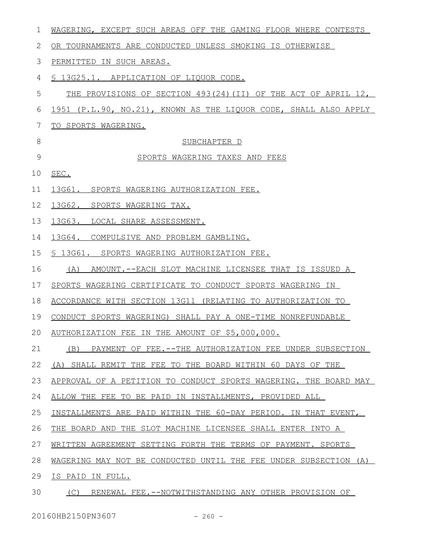| 1  | WAGERING, EXCEPT SUCH AREAS OFF THE GAMING FLOOR WHERE CONTESTS  |  |  |  |  |  |
|----|------------------------------------------------------------------|--|--|--|--|--|
| 2  | OR TOURNAMENTS ARE CONDUCTED UNLESS SMOKING IS OTHERWISE         |  |  |  |  |  |
| 3  | PERMITTED IN SUCH AREAS.                                         |  |  |  |  |  |
| 4  | \$ 13G25.1. APPLICATION OF LIQUOR CODE.                          |  |  |  |  |  |
| 5  | THE PROVISIONS OF SECTION 493(24) (II) OF THE ACT OF APRIL 12,   |  |  |  |  |  |
| 6  | 1951 (P.L.90, NO.21), KNOWN AS THE LIQUOR CODE, SHALL ALSO APPLY |  |  |  |  |  |
| 7  | <u>TO SPORTS WAGERING.</u>                                       |  |  |  |  |  |
| 8  | SUBCHAPTER D                                                     |  |  |  |  |  |
| 9  | SPORTS WAGERING TAXES AND FEES                                   |  |  |  |  |  |
| 10 | SEC.                                                             |  |  |  |  |  |
| 11 | 13G61. SPORTS WAGERING AUTHORIZATION FEE.                        |  |  |  |  |  |
| 12 | 13G62. SPORTS WAGERING TAX.                                      |  |  |  |  |  |
| 13 | 13G63.<br>LOCAL SHARE ASSESSMENT.                                |  |  |  |  |  |
| 14 | 13G64. COMPULSIVE AND PROBLEM GAMBLING.                          |  |  |  |  |  |
| 15 | § 13G61. SPORTS WAGERING AUTHORIZATION FEE.                      |  |  |  |  |  |
| 16 | AMOUNT.--EACH SLOT MACHINE LICENSEE THAT IS ISSUED A<br>(A)      |  |  |  |  |  |
| 17 | SPORTS WAGERING CERTIFICATE TO CONDUCT SPORTS WAGERING IN        |  |  |  |  |  |
| 18 | ACCORDANCE WITH SECTION 13G11 (RELATING TO AUTHORIZATION TO      |  |  |  |  |  |
| 19 | CONDUCT SPORTS WAGERING) SHALL PAY A ONE-TIME NONREFUNDABLE      |  |  |  |  |  |
|    | 20 AUTHORIZATION FEE IN THE AMOUNT OF \$5,000,000.               |  |  |  |  |  |
| 21 | (B) PAYMENT OF FEE.--THE AUTHORIZATION FEE UNDER SUBSECTION      |  |  |  |  |  |
| 22 | (A) SHALL REMIT THE FEE TO THE BOARD WITHIN 60 DAYS OF THE       |  |  |  |  |  |
| 23 | APPROVAL OF A PETITION TO CONDUCT SPORTS WAGERING. THE BOARD MAY |  |  |  |  |  |
| 24 | ALLOW THE FEE TO BE PAID IN INSTALLMENTS, PROVIDED ALL           |  |  |  |  |  |
| 25 | INSTALLMENTS ARE PAID WITHIN THE 60-DAY PERIOD. IN THAT EVENT,   |  |  |  |  |  |
| 26 | THE BOARD AND THE SLOT MACHINE LICENSEE SHALL ENTER INTO A       |  |  |  |  |  |
| 27 | WRITTEN AGREEMENT SETTING FORTH THE TERMS OF PAYMENT. SPORTS     |  |  |  |  |  |
| 28 | WAGERING MAY NOT BE CONDUCTED UNTIL THE FEE UNDER SUBSECTION (A) |  |  |  |  |  |
| 29 | IS PAID IN FULL.                                                 |  |  |  |  |  |
| 30 | RENEWAL FEE. -- NOTWITHSTANDING ANY OTHER PROVISION OF<br>(C)    |  |  |  |  |  |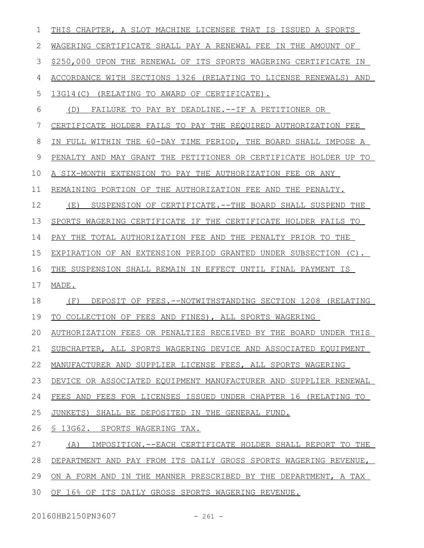| 1  | THIS CHAPTER, A SLOT MACHINE LICENSEE THAT IS ISSUED A SPORTS    |  |  |  |
|----|------------------------------------------------------------------|--|--|--|
| 2  | WAGERING CERTIFICATE SHALL PAY A RENEWAL FEE IN THE AMOUNT OF    |  |  |  |
| 3  | \$250,000 UPON THE RENEWAL OF ITS SPORTS WAGERING CERTIFICATE IN |  |  |  |
| 4  | ACCORDANCE WITH SECTIONS 1326 (RELATING TO LICENSE RENEWALS) AND |  |  |  |
| 5  | 13G14(C) (RELATING TO AWARD OF CERTIFICATE).                     |  |  |  |
| 6  | FAILURE TO PAY BY DEADLINE.--IF A PETITIONER OR<br>(D)           |  |  |  |
| 7  | CERTIFICATE HOLDER FAILS TO PAY THE REQUIRED AUTHORIZATION FEE   |  |  |  |
| 8  | IN FULL WITHIN THE 60-DAY TIME PERIOD, THE BOARD SHALL IMPOSE A  |  |  |  |
| 9  | PENALTY AND MAY GRANT THE PETITIONER OR CERTIFICATE HOLDER UP TO |  |  |  |
| 10 | A SIX-MONTH EXTENSION TO PAY THE AUTHORIZATION FEE OR ANY        |  |  |  |
| 11 | REMAINING PORTION OF THE AUTHORIZATION FEE AND THE PENALTY.      |  |  |  |
| 12 | SUSPENSION OF CERTIFICATE.--THE BOARD SHALL SUSPEND THE<br>(E)   |  |  |  |
| 13 | SPORTS WAGERING CERTIFICATE IF THE CERTIFICATE HOLDER FAILS TO   |  |  |  |
| 14 | PAY THE TOTAL AUTHORIZATION FEE AND THE PENALTY PRIOR TO THE     |  |  |  |
| 15 | EXPIRATION OF AN EXTENSION PERIOD GRANTED UNDER SUBSECTION (C).  |  |  |  |
| 16 | THE SUSPENSION SHALL REMAIN IN EFFECT UNTIL FINAL PAYMENT IS     |  |  |  |
| 17 | MADE.                                                            |  |  |  |
| 18 | DEPOSIT OF FEES. --NOTWITHSTANDING SECTION 1208 (RELATING<br>(F) |  |  |  |
| 19 | TO COLLECTION OF FEES AND FINES), ALL SPORTS WAGERING            |  |  |  |
| 20 | AUTHORIZATION FEES OR PENALTIES RECEIVED BY THE BOARD UNDER THIS |  |  |  |
| 21 | SUBCHAPTER, ALL SPORTS WAGERING DEVICE AND ASSOCIATED EQUIPMENT  |  |  |  |
| 22 | MANUFACTURER AND SUPPLIER LICENSE FEES, ALL SPORTS WAGERING      |  |  |  |
| 23 | DEVICE OR ASSOCIATED EQUIPMENT MANUFACTURER AND SUPPLIER RENEWAL |  |  |  |
| 24 | FEES AND FEES FOR LICENSES ISSUED UNDER CHAPTER 16 (RELATING TO  |  |  |  |
| 25 | JUNKETS)<br>SHALL BE DEPOSITED IN THE GENERAL FUND.              |  |  |  |
| 26 | \$13G62. SPORTS WAGERING TAX.                                    |  |  |  |
| 27 |                                                                  |  |  |  |
|    | IMPOSITION.--EACH CERTIFICATE HOLDER SHALL REPORT TO THE<br>(A)  |  |  |  |
| 28 | DEPARTMENT AND PAY FROM ITS DAILY GROSS SPORTS WAGERING REVENUE, |  |  |  |
| 29 | ON A FORM AND IN THE MANNER PRESCRIBED BY THE DEPARTMENT, A TAX  |  |  |  |

20160HB2150PN3607 - 261 -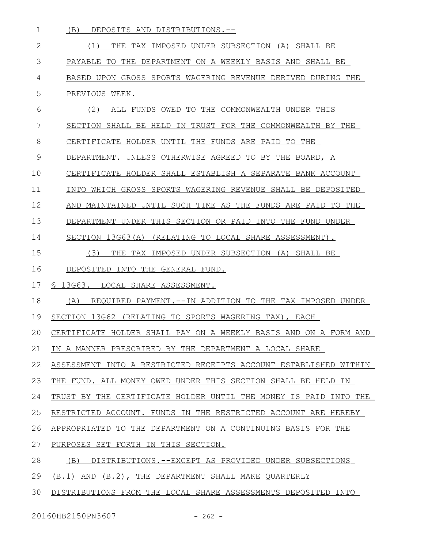| $\mathbf 1$ | (B)<br>DEPOSITS AND DISTRIBUTIONS.--                             |
|-------------|------------------------------------------------------------------|
| 2           | THE TAX IMPOSED UNDER SUBSECTION (A) SHALL BE<br>(1)             |
| 3           | PAYABLE TO THE DEPARTMENT ON A WEEKLY BASIS AND SHALL BE         |
| 4           | BASED UPON GROSS SPORTS WAGERING REVENUE DERIVED DURING THE      |
| 5           | PREVIOUS WEEK.                                                   |
| 6           | (2)<br>ALL FUNDS OWED TO THE COMMONWEALTH UNDER THIS             |
| 7           | SECTION SHALL BE HELD IN TRUST FOR THE COMMONWEALTH BY THE       |
| 8           | CERTIFICATE HOLDER UNTIL THE FUNDS ARE PAID TO THE               |
| 9           | DEPARTMENT. UNLESS OTHERWISE AGREED TO BY THE BOARD, A           |
| 10          | CERTIFICATE HOLDER SHALL ESTABLISH A SEPARATE BANK ACCOUNT       |
| 11          | INTO WHICH GROSS SPORTS WAGERING REVENUE SHALL BE DEPOSITED      |
| 12          | AND MAINTAINED UNTIL SUCH TIME AS THE FUNDS ARE PAID TO THE      |
| 13          | DEPARTMENT UNDER THIS SECTION OR PAID INTO THE FUND UNDER        |
| 14          | SECTION 13G63(A) (RELATING TO LOCAL SHARE ASSESSMENT).           |
| 15          | (3)<br>THE TAX IMPOSED UNDER SUBSECTION (A) SHALL BE             |
| 16          | DEPOSITED INTO THE GENERAL FUND.                                 |
| 17          | \$ 13G63. LOCAL SHARE ASSESSMENT.                                |
| 18          | REQUIRED PAYMENT. --IN ADDITION TO THE TAX IMPOSED UNDER<br>(A)  |
| 19          | SECTION 13G62 (RELATING TO SPORTS WAGERING TAX), EACH            |
| 20          | CERTIFICATE HOLDER SHALL PAY ON A WEEKLY BASIS AND ON A FORM AND |
| 21          | IN A MANNER PRESCRIBED BY THE DEPARTMENT A LOCAL SHARE           |
| 22          | ASSESSMENT INTO A RESTRICTED RECEIPTS ACCOUNT ESTABLISHED WITHIN |
| 23          | THE FUND. ALL MONEY OWED UNDER THIS SECTION SHALL BE HELD IN     |
| 24          | TRUST BY THE CERTIFICATE HOLDER UNTIL THE MONEY IS PAID INTO THE |
| 25          | RESTRICTED ACCOUNT. FUNDS IN THE RESTRICTED ACCOUNT ARE HEREBY   |
| 26          | APPROPRIATED TO THE DEPARTMENT ON A CONTINUING BASIS FOR THE     |
| 27          | PURPOSES SET FORTH IN THIS SECTION.                              |
| 28          | DISTRIBUTIONS.--EXCEPT AS PROVIDED UNDER SUBSECTIONS<br>(B)      |
| 29          | $(B.1)$ AND $(B.2)$ , THE DEPARTMENT SHALL MAKE QUARTERLY        |
| 30          | DISTRIBUTIONS FROM THE LOCAL SHARE ASSESSMENTS DEPOSITED INTO    |
|             |                                                                  |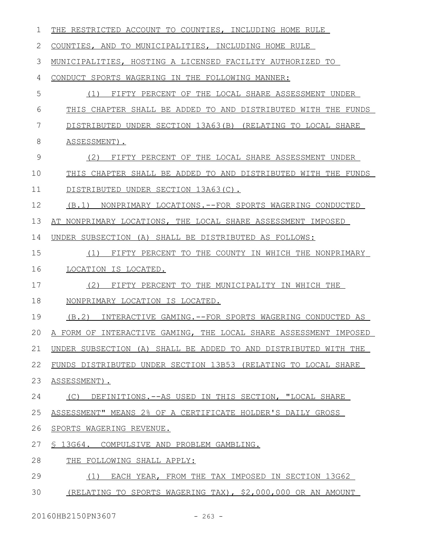| 1  | THE RESTRICTED ACCOUNT TO COUNTIES, INCLUDING HOME RULE          |  |  |  |  |  |
|----|------------------------------------------------------------------|--|--|--|--|--|
| 2  | COUNTIES, AND TO MUNICIPALITIES, INCLUDING HOME RULE             |  |  |  |  |  |
| 3  | MUNICIPALITIES, HOSTING A LICENSED FACILITY AUTHORIZED TO        |  |  |  |  |  |
| 4  | CONDUCT SPORTS WAGERING IN THE FOLLOWING MANNER:                 |  |  |  |  |  |
| 5  | FIFTY PERCENT OF THE LOCAL SHARE ASSESSMENT UNDER<br>(1)         |  |  |  |  |  |
| 6  | THIS CHAPTER SHALL BE ADDED TO AND DISTRIBUTED WITH THE FUNDS    |  |  |  |  |  |
| 7  | DISTRIBUTED UNDER SECTION 13A63(B) (RELATING TO LOCAL SHARE      |  |  |  |  |  |
| 8  | ASSESSMENT).                                                     |  |  |  |  |  |
| 9  | (2)<br>FIFTY PERCENT OF THE LOCAL SHARE ASSESSMENT UNDER         |  |  |  |  |  |
| 10 | THIS CHAPTER SHALL BE ADDED TO AND DISTRIBUTED WITH THE FUNDS    |  |  |  |  |  |
| 11 | DISTRIBUTED UNDER SECTION 13A63(C).                              |  |  |  |  |  |
| 12 | (B.1) NONPRIMARY LOCATIONS.--FOR SPORTS WAGERING CONDUCTED       |  |  |  |  |  |
| 13 | AT NONPRIMARY LOCATIONS, THE LOCAL SHARE ASSESSMENT IMPOSED      |  |  |  |  |  |
| 14 | UNDER SUBSECTION (A) SHALL BE DISTRIBUTED AS FOLLOWS:            |  |  |  |  |  |
| 15 | FIFTY PERCENT TO THE COUNTY IN WHICH THE NONPRIMARY<br>(1)       |  |  |  |  |  |
| 16 | LOCATION IS LOCATED.                                             |  |  |  |  |  |
| 17 | (2)<br>FIFTY PERCENT TO THE MUNICIPALITY IN WHICH THE            |  |  |  |  |  |
| 18 | NONPRIMARY LOCATION IS LOCATED.                                  |  |  |  |  |  |
| 19 | (B.2)<br>INTERACTIVE GAMING. -- FOR SPORTS WAGERING CONDUCTED AS |  |  |  |  |  |
| 20 | A FORM OF INTERACTIVE GAMING, THE LOCAL SHARE ASSESSMENT IMPOSED |  |  |  |  |  |
| 21 | UNDER SUBSECTION (A) SHALL BE ADDED TO AND DISTRIBUTED WITH THE  |  |  |  |  |  |
| 22 | FUNDS DISTRIBUTED UNDER SECTION 13B53 (RELATING TO LOCAL SHARE   |  |  |  |  |  |
| 23 | ASSESSMENT).                                                     |  |  |  |  |  |
| 24 | (C) DEFINITIONS.--AS USED IN THIS SECTION, "LOCAL SHARE          |  |  |  |  |  |
| 25 | ASSESSMENT" MEANS 2% OF A CERTIFICATE HOLDER'S DAILY GROSS       |  |  |  |  |  |
| 26 | SPORTS WAGERING REVENUE.                                         |  |  |  |  |  |
| 27 | § 13G64. COMPULSIVE AND PROBLEM GAMBLING.                        |  |  |  |  |  |
| 28 | THE FOLLOWING SHALL APPLY:                                       |  |  |  |  |  |
| 29 | EACH YEAR, FROM THE TAX IMPOSED IN SECTION 13G62<br>(1)          |  |  |  |  |  |
| 30 | (RELATING TO SPORTS WAGERING TAX), \$2,000,000 OR AN AMOUNT      |  |  |  |  |  |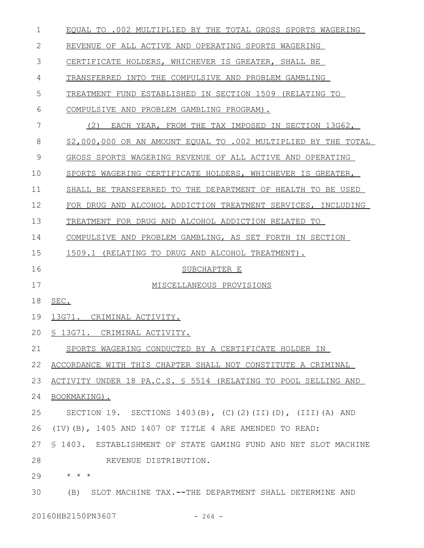| 1             | EQUAL TO .002 MULTIPLIED BY THE TOTAL GROSS SPORTS WAGERING      |  |  |  |  |  |
|---------------|------------------------------------------------------------------|--|--|--|--|--|
| 2             | REVENUE OF ALL ACTIVE AND OPERATING SPORTS WAGERING              |  |  |  |  |  |
| 3             | CERTIFICATE HOLDERS, WHICHEVER IS GREATER, SHALL BE              |  |  |  |  |  |
| 4             | TRANSFERRED INTO THE COMPULSIVE AND PROBLEM GAMBLING             |  |  |  |  |  |
| 5             | TREATMENT FUND ESTABLISHED IN SECTION 1509 (RELATING TO          |  |  |  |  |  |
| 6             | COMPULSIVE AND PROBLEM GAMBLING PROGRAM).                        |  |  |  |  |  |
| 7             | (2)<br>EACH YEAR, FROM THE TAX IMPOSED IN SECTION 13G62,         |  |  |  |  |  |
| 8             | \$2,000,000 OR AN AMOUNT EQUAL TO .002 MULTIPLIED BY THE TOTAL   |  |  |  |  |  |
| $\mathcal{G}$ | GROSS SPORTS WAGERING REVENUE OF ALL ACTIVE AND OPERATING        |  |  |  |  |  |
| 10            | SPORTS WAGERING CERTIFICATE HOLDERS, WHICHEVER IS GREATER,       |  |  |  |  |  |
| 11            | SHALL BE TRANSFERRED TO THE DEPARTMENT OF HEALTH TO BE USED      |  |  |  |  |  |
| 12            | FOR DRUG AND ALCOHOL ADDICTION TREATMENT SERVICES, INCLUDING     |  |  |  |  |  |
| 13            | TREATMENT FOR DRUG AND ALCOHOL ADDICTION RELATED TO              |  |  |  |  |  |
| 14            | COMPULSIVE AND PROBLEM GAMBLING, AS SET FORTH IN SECTION         |  |  |  |  |  |
| 15            | 1509.1<br>(RELATING TO DRUG AND ALCOHOL TREATMENT).              |  |  |  |  |  |
| 16            | SUBCHAPTER E                                                     |  |  |  |  |  |
| 17            | MISCELLANEOUS PROVISIONS                                         |  |  |  |  |  |
| 18            | SEC.                                                             |  |  |  |  |  |
| 19            | 13G71. CRIMINAL ACTIVITY.                                        |  |  |  |  |  |
| 20            | § 13G71. CRIMINAL ACTIVITY.                                      |  |  |  |  |  |
| 21            | SPORTS WAGERING CONDUCTED BY A CERTIFICATE HOLDER IN             |  |  |  |  |  |
| 22            | ACCORDANCE WITH THIS CHAPTER SHALL NOT CONSTITUTE A CRIMINAL     |  |  |  |  |  |
| 23            | ACTIVITY UNDER 18 PA.C.S. § 5514 (RELATING TO POOL SELLING AND   |  |  |  |  |  |
| 24            | BOOKMAKING).                                                     |  |  |  |  |  |
| 25            | SECTION 19. SECTIONS 1403(B), (C)(2)(II)(D), (III)(A) AND        |  |  |  |  |  |
| 26            | (IV)(B), 1405 AND 1407 OF TITLE 4 ARE AMENDED TO READ:           |  |  |  |  |  |
| 27            | \$ 1403. ESTABLISHMENT OF STATE GAMING FUND AND NET SLOT MACHINE |  |  |  |  |  |
| 28            | REVENUE DISTRIBUTION.                                            |  |  |  |  |  |
| 29            | $\star$ $\star$ $\star$                                          |  |  |  |  |  |
| 30            | (B) SLOT MACHINE TAX.--THE DEPARTMENT SHALL DETERMINE AND        |  |  |  |  |  |
|               |                                                                  |  |  |  |  |  |

20160HB2150PN3607 - 264 -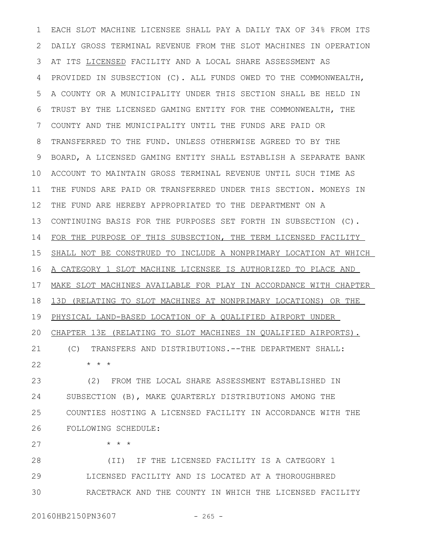EACH SLOT MACHINE LICENSEE SHALL PAY A DAILY TAX OF 34% FROM ITS DAILY GROSS TERMINAL REVENUE FROM THE SLOT MACHINES IN OPERATION AT ITS LICENSED FACILITY AND A LOCAL SHARE ASSESSMENT AS PROVIDED IN SUBSECTION (C). ALL FUNDS OWED TO THE COMMONWEALTH, A COUNTY OR A MUNICIPALITY UNDER THIS SECTION SHALL BE HELD IN TRUST BY THE LICENSED GAMING ENTITY FOR THE COMMONWEALTH, THE COUNTY AND THE MUNICIPALITY UNTIL THE FUNDS ARE PAID OR TRANSFERRED TO THE FUND. UNLESS OTHERWISE AGREED TO BY THE BOARD, A LICENSED GAMING ENTITY SHALL ESTABLISH A SEPARATE BANK ACCOUNT TO MAINTAIN GROSS TERMINAL REVENUE UNTIL SUCH TIME AS THE FUNDS ARE PAID OR TRANSFERRED UNDER THIS SECTION. MONEYS IN THE FUND ARE HEREBY APPROPRIATED TO THE DEPARTMENT ON A CONTINUING BASIS FOR THE PURPOSES SET FORTH IN SUBSECTION (C). FOR THE PURPOSE OF THIS SUBSECTION, THE TERM LICENSED FACILITY SHALL NOT BE CONSTRUED TO INCLUDE A NONPRIMARY LOCATION AT WHICH A CATEGORY 1 SLOT MACHINE LICENSEE IS AUTHORIZED TO PLACE AND MAKE SLOT MACHINES AVAILABLE FOR PLAY IN ACCORDANCE WITH CHAPTER 13D (RELATING TO SLOT MACHINES AT NONPRIMARY LOCATIONS) OR THE PHYSICAL LAND-BASED LOCATION OF A QUALIFIED AIRPORT UNDER CHAPTER 13E (RELATING TO SLOT MACHINES IN QUALIFIED AIRPORTS). (C) TRANSFERS AND DISTRIBUTIONS.--THE DEPARTMENT SHALL: \* \* \* (2) FROM THE LOCAL SHARE ASSESSMENT ESTABLISHED IN 1 2 3 4 5 6 7 8 9 10 11 12 13 14 15 16 17 18 19 20 21 22 23

SUBSECTION (B), MAKE QUARTERLY DISTRIBUTIONS AMONG THE COUNTIES HOSTING A LICENSED FACILITY IN ACCORDANCE WITH THE FOLLOWING SCHEDULE: 24 25 26

\* \* \* 27

(II) IF THE LICENSED FACILITY IS A CATEGORY 1 LICENSED FACILITY AND IS LOCATED AT A THOROUGHBRED RACETRACK AND THE COUNTY IN WHICH THE LICENSED FACILITY 28 29 30

20160HB2150PN3607 - 265 -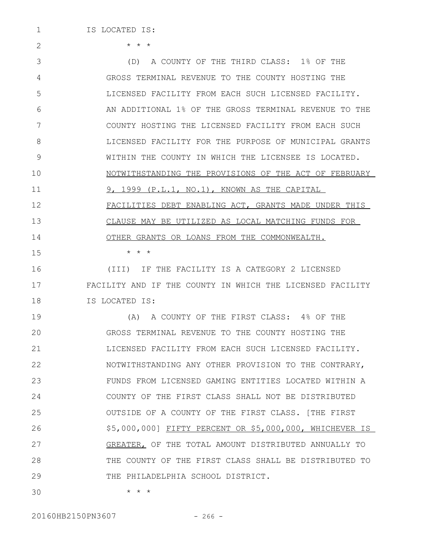1

2

15

\* \* \*

(D) A COUNTY OF THE THIRD CLASS: 1% OF THE GROSS TERMINAL REVENUE TO THE COUNTY HOSTING THE LICENSED FACILITY FROM EACH SUCH LICENSED FACILITY. AN ADDITIONAL 1% OF THE GROSS TERMINAL REVENUE TO THE COUNTY HOSTING THE LICENSED FACILITY FROM EACH SUCH LICENSED FACILITY FOR THE PURPOSE OF MUNICIPAL GRANTS WITHIN THE COUNTY IN WHICH THE LICENSEE IS LOCATED. NOTWITHSTANDING THE PROVISIONS OF THE ACT OF FEBRUARY 9, 1999 (P.L.1, NO.1), KNOWN AS THE CAPITAL FACILITIES DEBT ENABLING ACT, GRANTS MADE UNDER THIS CLAUSE MAY BE UTILIZED AS LOCAL MATCHING FUNDS FOR OTHER GRANTS OR LOANS FROM THE COMMONWEALTH. 3 4 5 6 7 8 9 10 11 12 13 14

 $\star$   $\hspace{0.1cm} \star$   $\hspace{0.1cm} \star$ 

(III) IF THE FACILITY IS A CATEGORY 2 LICENSED FACILITY AND IF THE COUNTY IN WHICH THE LICENSED FACILITY IS LOCATED IS: 16 17 18

(A) A COUNTY OF THE FIRST CLASS: 4% OF THE GROSS TERMINAL REVENUE TO THE COUNTY HOSTING THE LICENSED FACILITY FROM EACH SUCH LICENSED FACILITY. NOTWITHSTANDING ANY OTHER PROVISION TO THE CONTRARY, FUNDS FROM LICENSED GAMING ENTITIES LOCATED WITHIN A COUNTY OF THE FIRST CLASS SHALL NOT BE DISTRIBUTED OUTSIDE OF A COUNTY OF THE FIRST CLASS. [THE FIRST \$5,000,000] FIFTY PERCENT OR \$5,000,000, WHICHEVER IS GREATER, OF THE TOTAL AMOUNT DISTRIBUTED ANNUALLY TO THE COUNTY OF THE FIRST CLASS SHALL BE DISTRIBUTED TO THE PHILADELPHIA SCHOOL DISTRICT. 19  $20$ 21 22 23 24 25 26 27 28 29

\* \* \* 30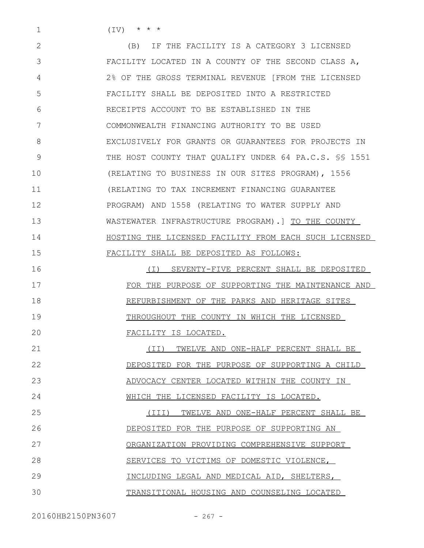$(TV)$  \* \* \*

1

(B) IF THE FACILITY IS A CATEGORY 3 LICENSED FACILITY LOCATED IN A COUNTY OF THE SECOND CLASS A, 2% OF THE GROSS TERMINAL REVENUE [FROM THE LICENSED FACILITY SHALL BE DEPOSITED INTO A RESTRICTED RECEIPTS ACCOUNT TO BE ESTABLISHED IN THE COMMONWEALTH FINANCING AUTHORITY TO BE USED EXCLUSIVELY FOR GRANTS OR GUARANTEES FOR PROJECTS IN THE HOST COUNTY THAT QUALIFY UNDER 64 PA.C.S. §§ 1551 (RELATING TO BUSINESS IN OUR SITES PROGRAM), 1556 (RELATING TO TAX INCREMENT FINANCING GUARANTEE PROGRAM) AND 1558 (RELATING TO WATER SUPPLY AND WASTEWATER INFRASTRUCTURE PROGRAM).] TO THE COUNTY HOSTING THE LICENSED FACILITY FROM EACH SUCH LICENSED FACILITY SHALL BE DEPOSITED AS FOLLOWS: 2 3 4 5 6 7 8 9 10 11 12 13 14 15

(I) SEVENTY-FIVE PERCENT SHALL BE DEPOSITED FOR THE PURPOSE OF SUPPORTING THE MAINTENANCE AND REFURBISHMENT OF THE PARKS AND HERITAGE SITES THROUGHOUT THE COUNTY IN WHICH THE LICENSED FACILITY IS LOCATED. 16 17 18 19  $20$ 

(II) TWELVE AND ONE-HALF PERCENT SHALL BE DEPOSITED FOR THE PURPOSE OF SUPPORTING A CHILD ADVOCACY CENTER LOCATED WITHIN THE COUNTY IN WHICH THE LICENSED FACILITY IS LOCATED. 21 22 23 24

(III) TWELVE AND ONE-HALF PERCENT SHALL BE DEPOSITED FOR THE PURPOSE OF SUPPORTING AN ORGANIZATION PROVIDING COMPREHENSIVE SUPPORT SERVICES TO VICTIMS OF DOMESTIC VIOLENCE, INCLUDING LEGAL AND MEDICAL AID, SHELTERS, TRANSITIONAL HOUSING AND COUNSELING LOCATED 25 26 27 28 29 30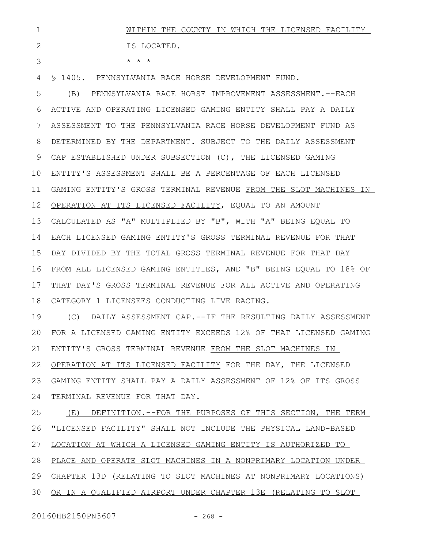|                         |  |  | WITHIN THE COUNTY IN WHICH THE LICENSED FACILITY |  |
|-------------------------|--|--|--------------------------------------------------|--|
| IS LOCATED.             |  |  |                                                  |  |
| $\star$ $\star$ $\star$ |  |  |                                                  |  |

§ 1405. PENNSYLVANIA RACE HORSE DEVELOPMENT FUND. 4

(B) PENNSYLVANIA RACE HORSE IMPROVEMENT ASSESSMENT.--EACH ACTIVE AND OPERATING LICENSED GAMING ENTITY SHALL PAY A DAILY ASSESSMENT TO THE PENNSYLVANIA RACE HORSE DEVELOPMENT FUND AS DETERMINED BY THE DEPARTMENT. SUBJECT TO THE DAILY ASSESSMENT 9 CAP ESTABLISHED UNDER SUBSECTION (C), THE LICENSED GAMING ENTITY'S ASSESSMENT SHALL BE A PERCENTAGE OF EACH LICENSED GAMING ENTITY'S GROSS TERMINAL REVENUE FROM THE SLOT MACHINES IN OPERATION AT ITS LICENSED FACILITY, EQUAL TO AN AMOUNT CALCULATED AS "A" MULTIPLIED BY "B", WITH "A" BEING EQUAL TO EACH LICENSED GAMING ENTITY'S GROSS TERMINAL REVENUE FOR THAT DAY DIVIDED BY THE TOTAL GROSS TERMINAL REVENUE FOR THAT DAY FROM ALL LICENSED GAMING ENTITIES, AND "B" BEING EQUAL TO 18% OF 16 THAT DAY'S GROSS TERMINAL REVENUE FOR ALL ACTIVE AND OPERATING CATEGORY 1 LICENSEES CONDUCTING LIVE RACING. 5 6 7 8 10 11 12 13 14 15 17 18

(C) DAILY ASSESSMENT CAP.--IF THE RESULTING DAILY ASSESSMENT FOR A LICENSED GAMING ENTITY EXCEEDS 12% OF THAT LICENSED GAMING ENTITY'S GROSS TERMINAL REVENUE FROM THE SLOT MACHINES IN OPERATION AT ITS LICENSED FACILITY FOR THE DAY, THE LICENSED GAMING ENTITY SHALL PAY A DAILY ASSESSMENT OF 12% OF ITS GROSS TERMINAL REVENUE FOR THAT DAY. 19  $20$ 21 22 23 24

(E) DEFINITION.--FOR THE PURPOSES OF THIS SECTION, THE TERM "LICENSED FACILITY" SHALL NOT INCLUDE THE PHYSICAL LAND-BASED LOCATION AT WHICH A LICENSED GAMING ENTITY IS AUTHORIZED TO PLACE AND OPERATE SLOT MACHINES IN A NONPRIMARY LOCATION UNDER CHAPTER 13D (RELATING TO SLOT MACHINES AT NONPRIMARY LOCATIONS) OR IN A QUALIFIED AIRPORT UNDER CHAPTER 13E (RELATING TO SLOT 25 26 27 28 29 30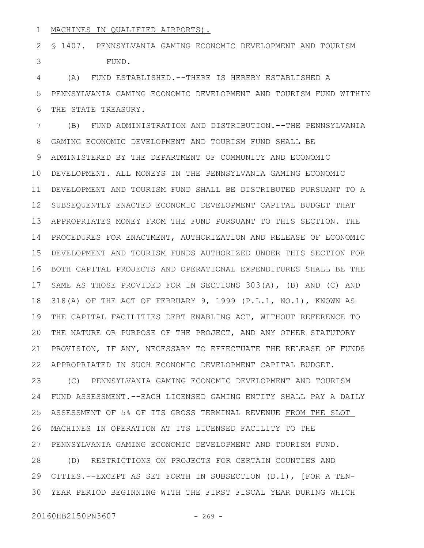## MACHINES IN QUALIFIED AIRPORTS). 1

§ 1407. PENNSYLVANIA GAMING ECONOMIC DEVELOPMENT AND TOURISM FUND. 2 3

(A) FUND ESTABLISHED.--THERE IS HEREBY ESTABLISHED A PENNSYLVANIA GAMING ECONOMIC DEVELOPMENT AND TOURISM FUND WITHIN THE STATE TREASURY. 4 5 6

(B) FUND ADMINISTRATION AND DISTRIBUTION.--THE PENNSYLVANIA GAMING ECONOMIC DEVELOPMENT AND TOURISM FUND SHALL BE ADMINISTERED BY THE DEPARTMENT OF COMMUNITY AND ECONOMIC DEVELOPMENT. ALL MONEYS IN THE PENNSYLVANIA GAMING ECONOMIC DEVELOPMENT AND TOURISM FUND SHALL BE DISTRIBUTED PURSUANT TO A 11 SUBSEQUENTLY ENACTED ECONOMIC DEVELOPMENT CAPITAL BUDGET THAT APPROPRIATES MONEY FROM THE FUND PURSUANT TO THIS SECTION. THE PROCEDURES FOR ENACTMENT, AUTHORIZATION AND RELEASE OF ECONOMIC DEVELOPMENT AND TOURISM FUNDS AUTHORIZED UNDER THIS SECTION FOR BOTH CAPITAL PROJECTS AND OPERATIONAL EXPENDITURES SHALL BE THE 16 SAME AS THOSE PROVIDED FOR IN SECTIONS 303(A), (B) AND (C) AND 318(A) OF THE ACT OF FEBRUARY 9, 1999 (P.L.1, NO.1), KNOWN AS THE CAPITAL FACILITIES DEBT ENABLING ACT, WITHOUT REFERENCE TO 19 THE NATURE OR PURPOSE OF THE PROJECT, AND ANY OTHER STATUTORY PROVISION, IF ANY, NECESSARY TO EFFECTUATE THE RELEASE OF FUNDS APPROPRIATED IN SUCH ECONOMIC DEVELOPMENT CAPITAL BUDGET. 7 8 9 10 12 13 14 15 17 18 20 21 22

(C) PENNSYLVANIA GAMING ECONOMIC DEVELOPMENT AND TOURISM FUND ASSESSMENT.--EACH LICENSED GAMING ENTITY SHALL PAY A DAILY ASSESSMENT OF 5% OF ITS GROSS TERMINAL REVENUE FROM THE SLOT MACHINES IN OPERATION AT ITS LICENSED FACILITY TO THE PENNSYLVANIA GAMING ECONOMIC DEVELOPMENT AND TOURISM FUND. (D) RESTRICTIONS ON PROJECTS FOR CERTAIN COUNTIES AND CITIES.--EXCEPT AS SET FORTH IN SUBSECTION (D.1), [FOR A TEN-29 YEAR PERIOD BEGINNING WITH THE FIRST FISCAL YEAR DURING WHICH 3023 24 25 26 27 28

20160HB2150PN3607 - 269 -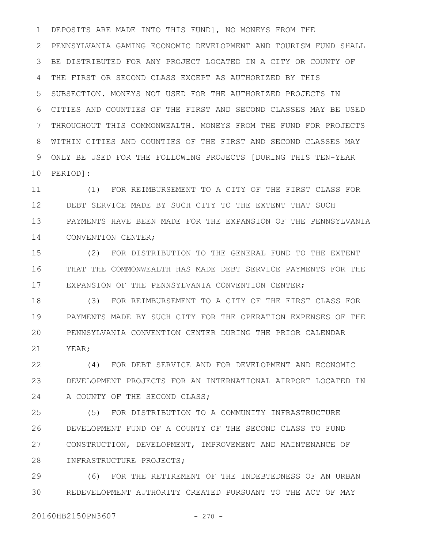DEPOSITS ARE MADE INTO THIS FUND], NO MONEYS FROM THE PENNSYLVANIA GAMING ECONOMIC DEVELOPMENT AND TOURISM FUND SHALL BE DISTRIBUTED FOR ANY PROJECT LOCATED IN A CITY OR COUNTY OF THE FIRST OR SECOND CLASS EXCEPT AS AUTHORIZED BY THIS SUBSECTION. MONEYS NOT USED FOR THE AUTHORIZED PROJECTS IN CITIES AND COUNTIES OF THE FIRST AND SECOND CLASSES MAY BE USED THROUGHOUT THIS COMMONWEALTH. MONEYS FROM THE FUND FOR PROJECTS WITHIN CITIES AND COUNTIES OF THE FIRST AND SECOND CLASSES MAY ONLY BE USED FOR THE FOLLOWING PROJECTS [DURING THIS TEN-YEAR PERIOD]: 1 2 3 4 5 6 7 8 9 10

(1) FOR REIMBURSEMENT TO A CITY OF THE FIRST CLASS FOR DEBT SERVICE MADE BY SUCH CITY TO THE EXTENT THAT SUCH PAYMENTS HAVE BEEN MADE FOR THE EXPANSION OF THE PENNSYLVANIA CONVENTION CENTER; 11 12 13 14

(2) FOR DISTRIBUTION TO THE GENERAL FUND TO THE EXTENT THAT THE COMMONWEALTH HAS MADE DEBT SERVICE PAYMENTS FOR THE EXPANSION OF THE PENNSYLVANIA CONVENTION CENTER; 15 16 17

(3) FOR REIMBURSEMENT TO A CITY OF THE FIRST CLASS FOR PAYMENTS MADE BY SUCH CITY FOR THE OPERATION EXPENSES OF THE PENNSYLVANIA CONVENTION CENTER DURING THE PRIOR CALENDAR YEAR; 18 19  $20$ 21

(4) FOR DEBT SERVICE AND FOR DEVELOPMENT AND ECONOMIC DEVELOPMENT PROJECTS FOR AN INTERNATIONAL AIRPORT LOCATED IN A COUNTY OF THE SECOND CLASS; 22 23 24

(5) FOR DISTRIBUTION TO A COMMUNITY INFRASTRUCTURE DEVELOPMENT FUND OF A COUNTY OF THE SECOND CLASS TO FUND CONSTRUCTION, DEVELOPMENT, IMPROVEMENT AND MAINTENANCE OF INFRASTRUCTURE PROJECTS; 25 26 27 28

(6) FOR THE RETIREMENT OF THE INDEBTEDNESS OF AN URBAN REDEVELOPMENT AUTHORITY CREATED PURSUANT TO THE ACT OF MAY 29 30

20160HB2150PN3607 - 270 -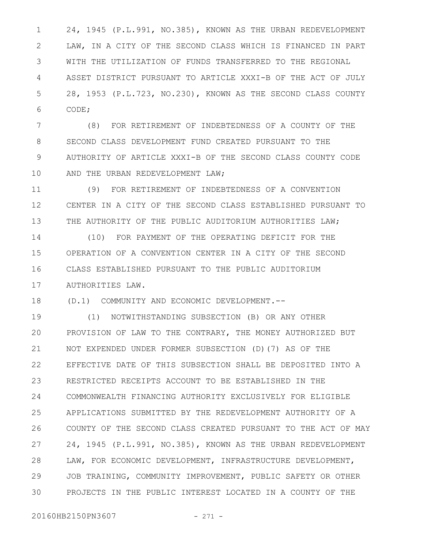24, 1945 (P.L.991, NO.385), KNOWN AS THE URBAN REDEVELOPMENT LAW, IN A CITY OF THE SECOND CLASS WHICH IS FINANCED IN PART WITH THE UTILIZATION OF FUNDS TRANSFERRED TO THE REGIONAL ASSET DISTRICT PURSUANT TO ARTICLE XXXI-B OF THE ACT OF JULY 28, 1953 (P.L.723, NO.230), KNOWN AS THE SECOND CLASS COUNTY CODE; 1 2 3 4 5 6

(8) FOR RETIREMENT OF INDEBTEDNESS OF A COUNTY OF THE SECOND CLASS DEVELOPMENT FUND CREATED PURSUANT TO THE AUTHORITY OF ARTICLE XXXI-B OF THE SECOND CLASS COUNTY CODE AND THE URBAN REDEVELOPMENT LAW; 7 8 9 10

(9) FOR RETIREMENT OF INDEBTEDNESS OF A CONVENTION CENTER IN A CITY OF THE SECOND CLASS ESTABLISHED PURSUANT TO THE AUTHORITY OF THE PUBLIC AUDITORIUM AUTHORITIES LAW; 11 12 13

(10) FOR PAYMENT OF THE OPERATING DEFICIT FOR THE OPERATION OF A CONVENTION CENTER IN A CITY OF THE SECOND CLASS ESTABLISHED PURSUANT TO THE PUBLIC AUDITORIUM AUTHORITIES LAW. 14 15 16 17

(D.1) COMMUNITY AND ECONOMIC DEVELOPMENT.-- 18

(1) NOTWITHSTANDING SUBSECTION (B) OR ANY OTHER PROVISION OF LAW TO THE CONTRARY, THE MONEY AUTHORIZED BUT NOT EXPENDED UNDER FORMER SUBSECTION (D)(7) AS OF THE EFFECTIVE DATE OF THIS SUBSECTION SHALL BE DEPOSITED INTO A RESTRICTED RECEIPTS ACCOUNT TO BE ESTABLISHED IN THE COMMONWEALTH FINANCING AUTHORITY EXCLUSIVELY FOR ELIGIBLE APPLICATIONS SUBMITTED BY THE REDEVELOPMENT AUTHORITY OF A COUNTY OF THE SECOND CLASS CREATED PURSUANT TO THE ACT OF MAY 24, 1945 (P.L.991, NO.385), KNOWN AS THE URBAN REDEVELOPMENT LAW, FOR ECONOMIC DEVELOPMENT, INFRASTRUCTURE DEVELOPMENT, JOB TRAINING, COMMUNITY IMPROVEMENT, PUBLIC SAFETY OR OTHER PROJECTS IN THE PUBLIC INTEREST LOCATED IN A COUNTY OF THE 19  $20$ 21 22 23 24 25 26 27 28 29 30

20160HB2150PN3607 - 271 -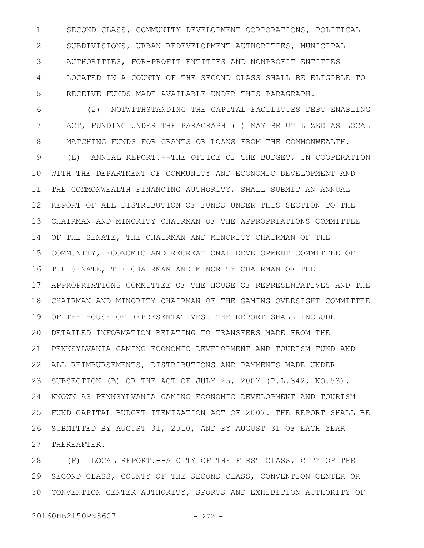SECOND CLASS. COMMUNITY DEVELOPMENT CORPORATIONS, POLITICAL SUBDIVISIONS, URBAN REDEVELOPMENT AUTHORITIES, MUNICIPAL AUTHORITIES, FOR-PROFIT ENTITIES AND NONPROFIT ENTITIES LOCATED IN A COUNTY OF THE SECOND CLASS SHALL BE ELIGIBLE TO RECEIVE FUNDS MADE AVAILABLE UNDER THIS PARAGRAPH. 1 2 3 4 5

(2) NOTWITHSTANDING THE CAPITAL FACILITIES DEBT ENABLING ACT, FUNDING UNDER THE PARAGRAPH (1) MAY BE UTILIZED AS LOCAL MATCHING FUNDS FOR GRANTS OR LOANS FROM THE COMMONWEALTH. (E) ANNUAL REPORT.--THE OFFICE OF THE BUDGET, IN COOPERATION WITH THE DEPARTMENT OF COMMUNITY AND ECONOMIC DEVELOPMENT AND THE COMMONWEALTH FINANCING AUTHORITY, SHALL SUBMIT AN ANNUAL REPORT OF ALL DISTRIBUTION OF FUNDS UNDER THIS SECTION TO THE CHAIRMAN AND MINORITY CHAIRMAN OF THE APPROPRIATIONS COMMITTEE OF THE SENATE, THE CHAIRMAN AND MINORITY CHAIRMAN OF THE COMMUNITY, ECONOMIC AND RECREATIONAL DEVELOPMENT COMMITTEE OF THE SENATE, THE CHAIRMAN AND MINORITY CHAIRMAN OF THE APPROPRIATIONS COMMITTEE OF THE HOUSE OF REPRESENTATIVES AND THE CHAIRMAN AND MINORITY CHAIRMAN OF THE GAMING OVERSIGHT COMMITTEE OF THE HOUSE OF REPRESENTATIVES. THE REPORT SHALL INCLUDE 19 DETAILED INFORMATION RELATING TO TRANSFERS MADE FROM THE 20 PENNSYLVANIA GAMING ECONOMIC DEVELOPMENT AND TOURISM FUND AND ALL REIMBURSEMENTS, DISTRIBUTIONS AND PAYMENTS MADE UNDER SUBSECTION (B) OR THE ACT OF JULY 25, 2007 (P.L.342, NO.53), KNOWN AS PENNSYLVANIA GAMING ECONOMIC DEVELOPMENT AND TOURISM FUND CAPITAL BUDGET ITEMIZATION ACT OF 2007. THE REPORT SHALL BE SUBMITTED BY AUGUST 31, 2010, AND BY AUGUST 31 OF EACH YEAR THEREAFTER. 6 7 8 9 10 11 12 13 14 15 16 17 18 21 22 23 24 25 26 27

(F) LOCAL REPORT.--A CITY OF THE FIRST CLASS, CITY OF THE SECOND CLASS, COUNTY OF THE SECOND CLASS, CONVENTION CENTER OR CONVENTION CENTER AUTHORITY, SPORTS AND EXHIBITION AUTHORITY OF 3028 29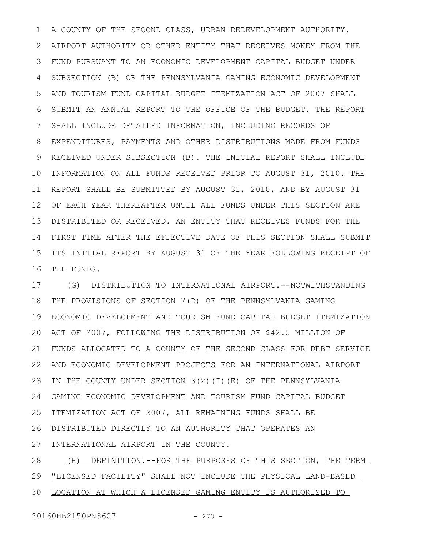A COUNTY OF THE SECOND CLASS, URBAN REDEVELOPMENT AUTHORITY, AIRPORT AUTHORITY OR OTHER ENTITY THAT RECEIVES MONEY FROM THE FUND PURSUANT TO AN ECONOMIC DEVELOPMENT CAPITAL BUDGET UNDER SUBSECTION (B) OR THE PENNSYLVANIA GAMING ECONOMIC DEVELOPMENT AND TOURISM FUND CAPITAL BUDGET ITEMIZATION ACT OF 2007 SHALL SUBMIT AN ANNUAL REPORT TO THE OFFICE OF THE BUDGET. THE REPORT SHALL INCLUDE DETAILED INFORMATION, INCLUDING RECORDS OF EXPENDITURES, PAYMENTS AND OTHER DISTRIBUTIONS MADE FROM FUNDS RECEIVED UNDER SUBSECTION (B). THE INITIAL REPORT SHALL INCLUDE INFORMATION ON ALL FUNDS RECEIVED PRIOR TO AUGUST 31, 2010. THE 11 REPORT SHALL BE SUBMITTED BY AUGUST 31, 2010, AND BY AUGUST 31 OF EACH YEAR THEREAFTER UNTIL ALL FUNDS UNDER THIS SECTION ARE DISTRIBUTED OR RECEIVED. AN ENTITY THAT RECEIVES FUNDS FOR THE FIRST TIME AFTER THE EFFECTIVE DATE OF THIS SECTION SHALL SUBMIT ITS INITIAL REPORT BY AUGUST 31 OF THE YEAR FOLLOWING RECEIPT OF THE FUNDS. 1 2 3 4 5 6 7 8 9 10 12 13 14 15 16

(G) DISTRIBUTION TO INTERNATIONAL AIRPORT.--NOTWITHSTANDING THE PROVISIONS OF SECTION 7(D) OF THE PENNSYLVANIA GAMING ECONOMIC DEVELOPMENT AND TOURISM FUND CAPITAL BUDGET ITEMIZATION 19 ACT OF 2007, FOLLOWING THE DISTRIBUTION OF \$42.5 MILLION OF FUNDS ALLOCATED TO A COUNTY OF THE SECOND CLASS FOR DEBT SERVICE AND ECONOMIC DEVELOPMENT PROJECTS FOR AN INTERNATIONAL AIRPORT 22 IN THE COUNTY UNDER SECTION 3(2)(I)(E) OF THE PENNSYLVANIA GAMING ECONOMIC DEVELOPMENT AND TOURISM FUND CAPITAL BUDGET 24 ITEMIZATION ACT OF 2007, ALL REMAINING FUNDS SHALL BE DISTRIBUTED DIRECTLY TO AN AUTHORITY THAT OPERATES AN INTERNATIONAL AIRPORT IN THE COUNTY. 17 18 20 21 23 25 26 27

(H) DEFINITION.--FOR THE PURPOSES OF THIS SECTION, THE TERM "LICENSED FACILITY" SHALL NOT INCLUDE THE PHYSICAL LAND-BASED LOCATION AT WHICH A LICENSED GAMING ENTITY IS AUTHORIZED TO 28 29 30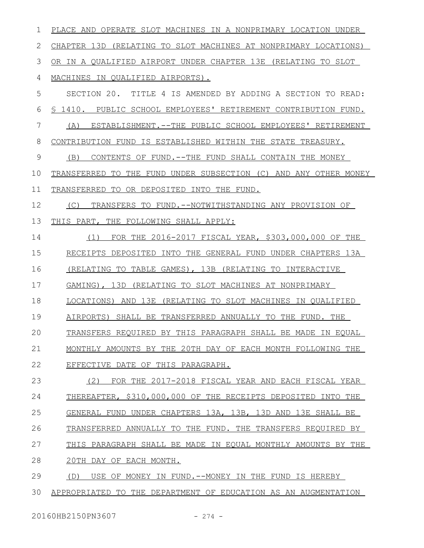PLACE AND OPERATE SLOT MACHINES IN A NONPRIMARY LOCATION UNDER CHAPTER 13D (RELATING TO SLOT MACHINES AT NONPRIMARY LOCATIONS) OR IN A QUALIFIED AIRPORT UNDER CHAPTER 13E (RELATING TO SLOT MACHINES IN QUALIFIED AIRPORTS). SECTION 20. TITLE 4 IS AMENDED BY ADDING A SECTION TO READ: § 1410. PUBLIC SCHOOL EMPLOYEES' RETIREMENT CONTRIBUTION FUND. (A) ESTABLISHMENT.--THE PUBLIC SCHOOL EMPLOYEES' RETIREMENT CONTRIBUTION FUND IS ESTABLISHED WITHIN THE STATE TREASURY. (B) CONTENTS OF FUND.--THE FUND SHALL CONTAIN THE MONEY TRANSFERRED TO THE FUND UNDER SUBSECTION (C) AND ANY OTHER MONEY TRANSFERRED TO OR DEPOSITED INTO THE FUND. (C) TRANSFERS TO FUND.--NOTWITHSTANDING ANY PROVISION OF THIS PART, THE FOLLOWING SHALL APPLY: (1) FOR THE 2016-2017 FISCAL YEAR, \$303,000,000 OF THE RECEIPTS DEPOSITED INTO THE GENERAL FUND UNDER CHAPTERS 13A (RELATING TO TABLE GAMES), 13B (RELATING TO INTERACTIVE GAMING ), 13D (RELATING TO SLOT MACHINES AT NONPRIMARY LOCATIONS ) AND 13E (RELATING TO SLOT MACHINES IN QUALIFIED AIRPORTS) SHALL BE TRANSFERRED ANNUALLY TO THE FUND. THE TRANSFERS REQUIRED BY THIS PARAGRAPH SHALL BE MADE IN EQUAL MONTHLY AMOUNTS BY THE 20TH DAY OF EACH MONTH FOLLOWING THE EFFECTIVE DATE OF THIS PARAGRAPH. (2) FOR THE 2017-2018 FISCAL YEAR AND EACH FISCAL YEAR THEREAFTER, \$310,000,000 OF THE RECEIPTS DEPOSITED INTO THE GENERAL FUND UNDER CHAPTERS 13A, 13B, 13D AND 13E SHALL BE TRANSFERRED ANNUALLY TO THE FUND. THE TRANSFERS REQUIRED BY THIS PARAGRAPH SHALL BE MADE IN EQUAL MONTHLY AMOUNTS BY THE 20TH DAY OF EACH MONTH. (D) USE OF MONEY IN FUND.--MONEY IN THE FUND IS HEREBY APPROPRIATED TO THE DEPARTMENT OF EDUCATION AS AN AUGMENTATION 1 2 3 4 5 6 7 8 9 10 11 12 13 14 15 16 17 18 19  $20$ 21 22 23 24 25 26 27 28 29 30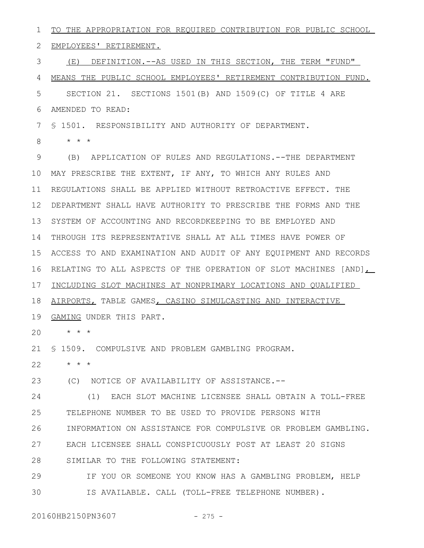TO THE APPROPRIATION FOR REQUIRED CONTRIBUTION FOR PUBLIC SCHOOL 2 EMPLOYEES' RETIREMENT. (E) DEFINITION.--AS USED IN THIS SECTION, THE TERM "FUND" MEANS THE PUBLIC SCHOOL EMPLOYEES' RETIREMENT CONTRIBUTION FUND. SECTION 21. SECTIONS 1501(B) AND 1509(C) OF TITLE 4 ARE AMENDED TO READ: § 1501. RESPONSIBILITY AND AUTHORITY OF DEPARTMENT. \* \* \* (B) APPLICATION OF RULES AND REGULATIONS.--THE DEPARTMENT MAY PRESCRIBE THE EXTENT, IF ANY, TO WHICH ANY RULES AND 10 11 REGULATIONS SHALL BE APPLIED WITHOUT RETROACTIVE EFFECT. THE DEPARTMENT SHALL HAVE AUTHORITY TO PRESCRIBE THE FORMS AND THE 12 13 SYSTEM OF ACCOUNTING AND RECORDKEEPING TO BE EMPLOYED AND 14 THROUGH ITS REPRESENTATIVE SHALL AT ALL TIMES HAVE POWER OF ACCESS TO AND EXAMINATION AND AUDIT OF ANY EQUIPMENT AND RECORDS 15 16 RELATING TO ALL ASPECTS OF THE OPERATION OF SLOT MACHINES [AND], INCLUDING SLOT MACHINES AT NONPRIMARY LOCATIONS AND QUALIFIED AIRPORTS, TABLE GAMES, CASINO SIMULCASTING AND INTERACTIVE 19 GAMING UNDER THIS PART. \* \* \* 20 § 1509. COMPULSIVE AND PROBLEM GAMBLING PROGRAM. 21 \* \* \* (C) NOTICE OF AVAILABILITY OF ASSISTANCE.-- (1) EACH SLOT MACHINE LICENSEE SHALL OBTAIN A TOLL-FREE TELEPHONE NUMBER TO BE USED TO PROVIDE PERSONS WITH INFORMATION ON ASSISTANCE FOR COMPULSIVE OR PROBLEM GAMBLING. EACH LICENSEE SHALL CONSPICUOUSLY POST AT LEAST 20 SIGNS SIMILAR TO THE FOLLOWING STATEMENT: IF YOU OR SOMEONE YOU KNOW HAS A GAMBLING PROBLEM, HELP IS AVAILABLE. CALL (TOLL-FREE TELEPHONE NUMBER). 20160HB2150PN3607 - 275 -1 3 4 5 6 7 8 9 17 18 22 23 24 25 26 27 28 29 30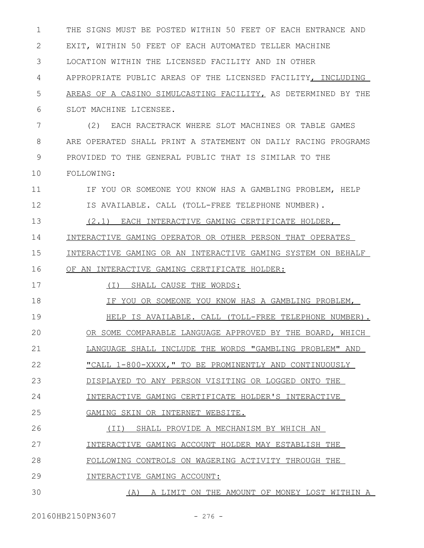THE SIGNS MUST BE POSTED WITHIN 50 FEET OF EACH ENTRANCE AND EXIT, WITHIN 50 FEET OF EACH AUTOMATED TELLER MACHINE LOCATION WITHIN THE LICENSED FACILITY AND IN OTHER APPROPRIATE PUBLIC AREAS OF THE LICENSED FACILITY, INCLUDING AREAS OF A CASINO SIMULCASTING FACILITY, AS DETERMINED BY THE SLOT MACHINE LICENSEE. (2) EACH RACETRACK WHERE SLOT MACHINES OR TABLE GAMES ARE OPERATED SHALL PRINT A STATEMENT ON DAILY RACING PROGRAMS PROVIDED TO THE GENERAL PUBLIC THAT IS SIMILAR TO THE FOLLOWING: IF YOU OR SOMEONE YOU KNOW HAS A GAMBLING PROBLEM, HELP IS AVAILABLE. CALL (TOLL-FREE TELEPHONE NUMBER). (2.1) EACH INTERACTIVE GAMING CERTIFICATE HOLDER, INTERACTIVE GAMING OPERATOR OR OTHER PERSON THAT OPERATES INTERACTIVE GAMING OR AN INTERACTIVE GAMING SYSTEM ON BEHALF OF AN INTERACTIVE GAMING CERTIFICATE HOLDER: (I) SHALL CAUSE THE WORDS: IF YOU OR SOMEONE YOU KNOW HAS A GAMBLING PROBLEM, HELP IS AVAILABLE. CALL (TOLL-FREE TELEPHONE NUMBER). OR SOME COMPARABLE LANGUAGE APPROVED BY THE BOARD, WHICH LANGUAGE SHALL INCLUDE THE WORDS "GAMBLING PROBLEM" AND "CALL 1-800-XXXX," TO BE PROMINENTLY AND CONTINUOUSLY DISPLAYED TO ANY PERSON VISITING OR LOGGED ONTO THE INTERACTIVE GAMING CERTIFICATE HOLDER'S INTERACTIVE GAMING SKIN OR INTERNET WEBSITE. (II) SHALL PROVIDE A MECHANISM BY WHICH AN INTERACTIVE GAMING ACCOUNT HOLDER MAY ESTABLISH THE FOLLOWING CONTROLS ON WAGERING ACTIVITY THROUGH THE INTERACTIVE GAMING ACCOUNT: (A) A LIMIT ON THE AMOUNT OF MONEY LOST WITHIN A 1 2 3 4 5 6 7 8 9 10 11 12 13 14 15 16 17 18 19  $20$ 21 22 23 24 25 26 27 28 29 30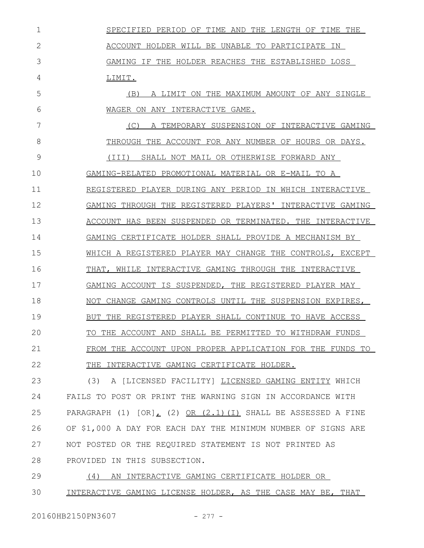SPECIFIED PERIOD OF TIME AND THE LENGTH OF TIME THE ACCOUNT HOLDER WILL BE UNABLE TO PARTICIPATE IN GAMING IF THE HOLDER REACHES THE ESTABLISHED LOSS LIMIT. (B) A LIMIT ON THE MAXIMUM AMOUNT OF ANY SINGLE WAGER ON ANY INTERACTIVE GAME. (C) A TEMPORARY SUSPENSION OF INTERACTIVE GAMING THROUGH THE ACCOUNT FOR ANY NUMBER OF HOURS OR DAYS. (III) SHALL NOT MAIL OR OTHERWISE FORWARD ANY GAMING-RELATED PROMOTIONAL MATERIAL OR E-MAIL TO A REGISTERED PLAYER DURING ANY PERIOD IN WHICH INTERACTIVE GAMING THROUGH THE REGISTERED PLAYERS' INTERACTIVE GAMING ACCOUNT HAS BEEN SUSPENDED OR TERMINATED. THE INTERACTIVE GAMING CERTIFICATE HOLDER SHALL PROVIDE A MECHANISM BY WHICH A REGISTERED PLAYER MAY CHANGE THE CONTROLS, EXCEPT THAT, WHILE INTERACTIVE GAMING THROUGH THE INTERACTIVE GAMING ACCOUNT IS SUSPENDED, THE REGISTERED PLAYER MAY NOT CHANGE GAMING CONTROLS UNTIL THE SUSPENSION EXPIRES, BUT THE REGISTERED PLAYER SHALL CONTINUE TO HAVE ACCESS TO THE ACCOUNT AND SHALL BE PERMITTED TO WITHDRAW FUNDS FROM THE ACCOUNT UPON PROPER APPLICATION FOR THE FUNDS TO THE INTERACTIVE GAMING CERTIFICATE HOLDER. 1 2 3 4 5 6 7 8 9 10 11 12 13 14 15 16 17 18 19  $20$ 21 22

(3) A [LICENSED FACILITY] LICENSED GAMING ENTITY WHICH FAILS TO POST OR PRINT THE WARNING SIGN IN ACCORDANCE WITH PARAGRAPH  $(1)$   $[OR]_L$   $(2)$   $OR$   $(2.1)(I)$  SHALL BE ASSESSED A FINE OF \$1,000 A DAY FOR EACH DAY THE MINIMUM NUMBER OF SIGNS ARE NOT POSTED OR THE REQUIRED STATEMENT IS NOT PRINTED AS PROVIDED IN THIS SUBSECTION. 23 24 25 26 27 28

(4) AN INTERACTIVE GAMING CERTIFICATE HOLDER OR INTERACTIVE GAMING LICENSE HOLDER, AS THE CASE MAY BE, THAT 29 30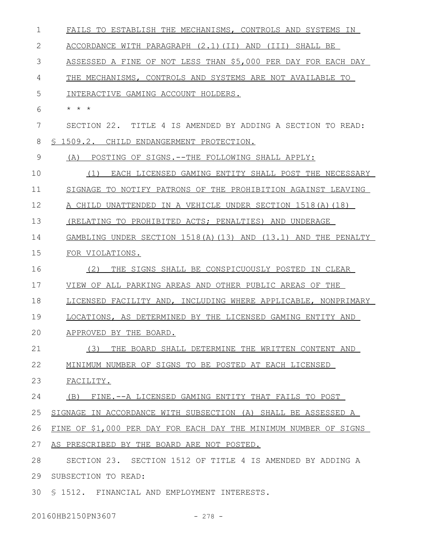| 1  | FAILS TO ESTABLISH THE MECHANISMS, CONTROLS AND SYSTEMS IN       |
|----|------------------------------------------------------------------|
| 2  | ACCORDANCE WITH PARAGRAPH (2.1)(II) AND (III) SHALL BE           |
| 3  | ASSESSED A FINE OF NOT LESS THAN \$5,000 PER DAY FOR EACH DAY    |
| 4  | THE MECHANISMS, CONTROLS AND SYSTEMS ARE NOT AVAILABLE TO        |
| 5  | INTERACTIVE GAMING ACCOUNT HOLDERS.                              |
| 6  | $\star$ $\star$ $\star$                                          |
| 7  | SECTION 22. TITLE 4 IS AMENDED BY ADDING A SECTION TO READ:      |
| 8  | § 1509.2. CHILD ENDANGERMENT PROTECTION.                         |
| 9  | POSTING OF SIGNS.--THE FOLLOWING SHALL APPLY:<br>(A)             |
| 10 | EACH LICENSED GAMING ENTITY SHALL POST THE NECESSARY<br>(1)      |
| 11 | SIGNAGE TO NOTIFY PATRONS OF THE PROHIBITION AGAINST LEAVING     |
| 12 | A CHILD UNATTENDED IN A VEHICLE UNDER SECTION 1518(A) (18)       |
| 13 | (RELATING TO PROHIBITED ACTS; PENALTIES) AND UNDERAGE            |
| 14 | GAMBLING UNDER SECTION 1518(A) (13) AND (13.1) AND THE PENALTY   |
| 15 | FOR VIOLATIONS.                                                  |
| 16 | (2)<br>THE SIGNS SHALL BE CONSPICUOUSLY POSTED IN CLEAR          |
| 17 | VIEW OF ALL PARKING AREAS AND OTHER PUBLIC AREAS OF THE          |
| 18 | LICENSED FACILITY AND, INCLUDING WHERE APPLICABLE, NONPRIMARY    |
| 19 | LOCATIONS, AS DETERMINED BY THE LICENSED GAMING ENTITY AND       |
| 20 | APPROVED BY THE BOARD.                                           |
| 21 | (3)<br>THE BOARD SHALL DETERMINE THE WRITTEN CONTENT AND         |
| 22 | MINIMUM NUMBER OF SIGNS TO BE POSTED AT EACH LICENSED            |
| 23 | FACILITY.                                                        |
| 24 | FINE.--A LICENSED GAMING ENTITY THAT FAILS TO POST<br>(B)        |
| 25 | SIGNAGE IN ACCORDANCE WITH SUBSECTION (A) SHALL BE ASSESSED A    |
| 26 | FINE OF \$1,000 PER DAY FOR EACH DAY THE MINIMUM NUMBER OF SIGNS |
| 27 | AS PRESCRIBED BY THE BOARD ARE NOT POSTED.                       |
| 28 | SECTION 23. SECTION 1512 OF TITLE 4 IS AMENDED BY ADDING A       |
| 29 | SUBSECTION TO READ:                                              |
| 30 | § 1512. FINANCIAL AND EMPLOYMENT INTERESTS.                      |

20160HB2150PN3607 - 278 -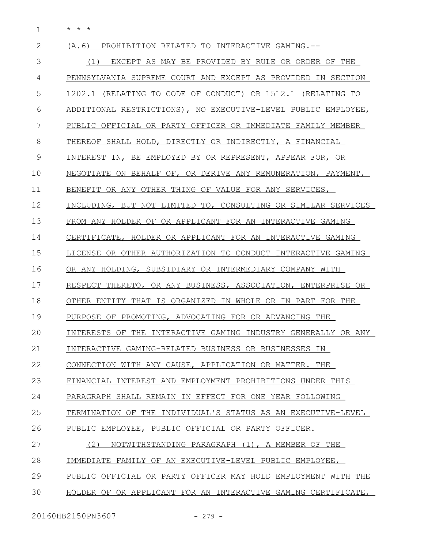\* \* \* 1

| $\mathbf{2}$ | (A, 6)<br>PROHIBITION RELATED TO INTERACTIVE GAMING.--        |
|--------------|---------------------------------------------------------------|
| 3            | (1) EXCEPT AS MAY BE PROVIDED BY RULE OR ORDER OF THE         |
| 4            | PENNSYLVANIA SUPREME COURT AND EXCEPT AS PROVIDED IN SECTION  |
| 5            | 1202.1 (RELATING TO CODE OF CONDUCT) OR 1512.1 (RELATING TO   |
| 6            | ADDITIONAL RESTRICTIONS), NO EXECUTIVE-LEVEL PUBLIC EMPLOYEE, |
| 7            | PUBLIC OFFICIAL OR PARTY OFFICER OR IMMEDIATE FAMILY MEMBER   |
| 8            | THEREOF SHALL HOLD, DIRECTLY OR INDIRECTLY, A FINANCIAL       |
| 9            | INTEREST IN, BE EMPLOYED BY OR REPRESENT, APPEAR FOR, OR      |
| 10           | NEGOTIATE ON BEHALF OF, OR DERIVE ANY REMUNERATION, PAYMENT,  |
| 11           | BENEFIT OR ANY OTHER THING OF VALUE FOR ANY SERVICES,         |
| 12           | INCLUDING, BUT NOT LIMITED TO, CONSULTING OR SIMILAR SERVICES |
| 13           | FROM ANY HOLDER OF OR APPLICANT FOR AN INTERACTIVE GAMING     |
| 14           | CERTIFICATE, HOLDER OR APPLICANT FOR AN INTERACTIVE GAMING    |
| 15           | LICENSE OR OTHER AUTHORIZATION TO CONDUCT INTERACTIVE GAMING  |
| 16           | OR ANY HOLDING, SUBSIDIARY OR INTERMEDIARY COMPANY WITH       |
| 17           | RESPECT THERETO, OR ANY BUSINESS, ASSOCIATION, ENTERPRISE OR  |
| 18           | OTHER ENTITY THAT IS ORGANIZED IN WHOLE OR IN PART FOR THE    |
| 19           | PURPOSE OF PROMOTING, ADVOCATING FOR OR ADVANCING THE         |
| 20           | INTERESTS OF THE INTERACTIVE GAMING INDUSTRY GENERALLY OR ANY |
| 21           | INTERACTIVE GAMING-RELATED BUSINESS OR BUSINESSES IN          |
| 22           | CONNECTION WITH ANY CAUSE, APPLICATION OR MATTER. THE         |
| 23           | FINANCIAL INTEREST AND EMPLOYMENT PROHIBITIONS UNDER THIS     |
| 24           | PARAGRAPH SHALL REMAIN IN EFFECT FOR ONE YEAR FOLLOWING       |
| 25           | TERMINATION OF THE INDIVIDUAL'S STATUS AS AN EXECUTIVE-LEVEL  |
| 26           | PUBLIC EMPLOYEE, PUBLIC OFFICIAL OR PARTY OFFICER.            |
| 27           | (2)<br>NOTWITHSTANDING PARAGRAPH (1), A MEMBER OF THE         |
| 28           | IMMEDIATE FAMILY OF AN EXECUTIVE-LEVEL PUBLIC EMPLOYEE,       |
| 29           | PUBLIC OFFICIAL OR PARTY OFFICER MAY HOLD EMPLOYMENT WITH THE |
| 30           | HOLDER OF OR APPLICANT FOR AN INTERACTIVE GAMING CERTIFICATE, |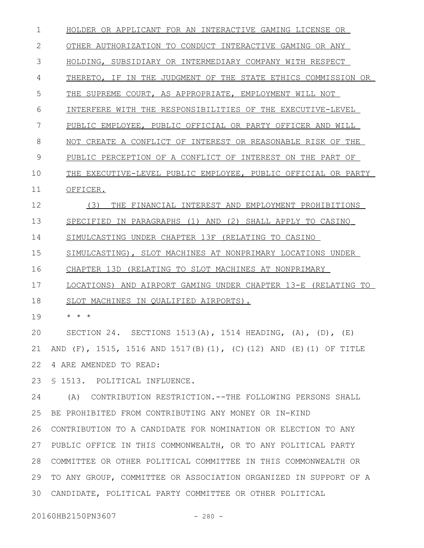HOLDER OR APPLICANT FOR AN INTERACTIVE GAMING LICENSE OR OTHER AUTHORIZATION TO CONDUCT INTERACTIVE GAMING OR ANY HOLDING, SUBSIDIARY OR INTERMEDIARY COMPANY WITH RESPECT THERETO, IF IN THE JUDGMENT OF THE STATE ETHICS COMMISSION OR THE SUPREME COURT, AS APPROPRIATE, EMPLOYMENT WILL NOT INTERFERE WITH THE RESPONSIBILITIES OF THE EXECUTIVE-LEVEL PUBLIC EMPLOYEE, PUBLIC OFFICIAL OR PARTY OFFICER AND WILL NOT CREATE A CONFLICT OF INTEREST OR REASONABLE RISK OF THE PUBLIC PERCEPTION OF A CONFLICT OF INTEREST ON THE PART OF THE EXECUTIVE-LEVEL PUBLIC EMPLOYEE, PUBLIC OFFICIAL OR PARTY OFFICER. (3) THE FINANCIAL INTEREST AND EMPLOYMENT PROHIBITIONS SPECIFIED IN PARAGRAPHS (1) AND (2) SHALL APPLY TO CASINO SIMULCASTING UNDER CHAPTER 13F (RELATING TO CASINO SIMULCASTING), SLOT MACHINES AT NONPRIMARY LOCATIONS UNDER CHAPTER 13D (RELATING TO SLOT MACHINES AT NONPRIMARY LOCATIONS) AND AIRPORT GAMING UNDER CHAPTER 13-E (RELATING TO SLOT MACHINES IN QUALIFIED AIRPORTS). \* \* \* SECTION 24. SECTIONS  $1513(A)$ ,  $1514$  HEADING,  $(A)$ ,  $(D)$ ,  $(E)$ AND (F), 1515, 1516 AND 1517(B)(1), (C)(12) AND (E)(1) OF TITLE 4 ARE AMENDED TO READ: § 1513. POLITICAL INFLUENCE. (A) CONTRIBUTION RESTRICTION.--THE FOLLOWING PERSONS SHALL BE PROHIBITED FROM CONTRIBUTING ANY MONEY OR IN-KIND CONTRIBUTION TO A CANDIDATE FOR NOMINATION OR ELECTION TO ANY PUBLIC OFFICE IN THIS COMMONWEALTH, OR TO ANY POLITICAL PARTY COMMITTEE OR OTHER POLITICAL COMMITTEE IN THIS COMMONWEALTH OR 29 TO ANY GROUP, COMMITTEE OR ASSOCIATION ORGANIZED IN SUPPORT OF A CANDIDATE, POLITICAL PARTY COMMITTEE OR OTHER POLITICAL 301 2 3 4 5 6 7 8 9 10 11 12 13 14 15 16 17 18 19 20 21 22 23 24 25 26 27 28

20160HB2150PN3607 - 280 -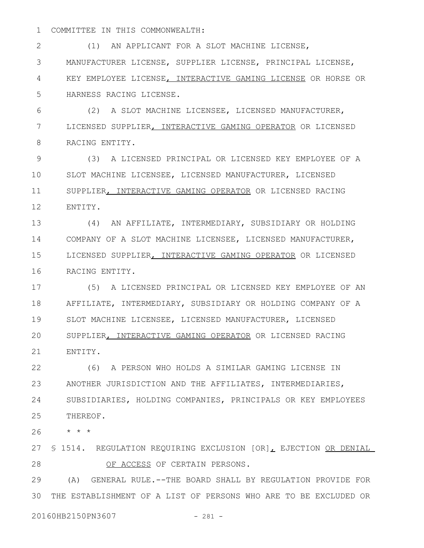COMMITTEE IN THIS COMMONWEALTH: 1

(1) AN APPLICANT FOR A SLOT MACHINE LICENSE, MANUFACTURER LICENSE, SUPPLIER LICENSE, PRINCIPAL LICENSE, KEY EMPLOYEE LICENSE, INTERACTIVE GAMING LICENSE OR HORSE OR HARNESS RACING LICENSE. 2 3 4 5

(2) A SLOT MACHINE LICENSEE, LICENSED MANUFACTURER, LICENSED SUPPLIER, INTERACTIVE GAMING OPERATOR OR LICENSED RACING ENTITY. 6 7 8

(3) A LICENSED PRINCIPAL OR LICENSED KEY EMPLOYEE OF A SLOT MACHINE LICENSEE, LICENSED MANUFACTURER, LICENSED SUPPLIER, INTERACTIVE GAMING OPERATOR OR LICENSED RACING ENTITY. 9 10 11 12

(4) AN AFFILIATE, INTERMEDIARY, SUBSIDIARY OR HOLDING COMPANY OF A SLOT MACHINE LICENSEE, LICENSED MANUFACTURER, LICENSED SUPPLIER, INTERACTIVE GAMING OPERATOR OR LICENSED RACING ENTITY. 13 14 15 16

(5) A LICENSED PRINCIPAL OR LICENSED KEY EMPLOYEE OF AN AFFILIATE, INTERMEDIARY, SUBSIDIARY OR HOLDING COMPANY OF A SLOT MACHINE LICENSEE, LICENSED MANUFACTURER, LICENSED SUPPLIER, INTERACTIVE GAMING OPERATOR OR LICENSED RACING ENTITY. 17 18 19 20 21

(6) A PERSON WHO HOLDS A SIMILAR GAMING LICENSE IN ANOTHER JURISDICTION AND THE AFFILIATES, INTERMEDIARIES, SUBSIDIARIES, HOLDING COMPANIES, PRINCIPALS OR KEY EMPLOYEES THEREOF. 22 23 24 25

\* \* \* 26

27 S 1514. REGULATION REQUIRING EXCLUSION [OR], EJECTION OR DENIAL OF ACCESS OF CERTAIN PERSONS. 28

(A) GENERAL RULE.--THE BOARD SHALL BY REGULATION PROVIDE FOR THE ESTABLISHMENT OF A LIST OF PERSONS WHO ARE TO BE EXCLUDED OR 3029

20160HB2150PN3607 - 281 -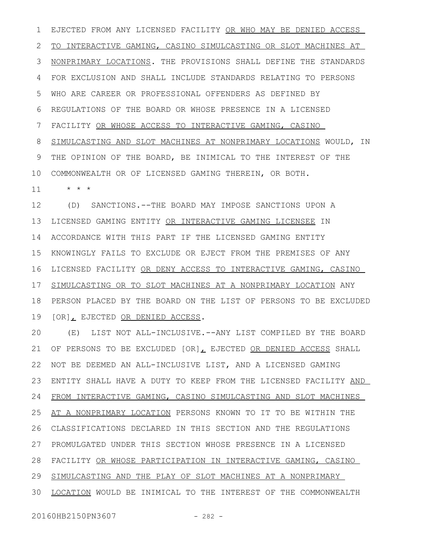EJECTED FROM ANY LICENSED FACILITY OR WHO MAY BE DENIED ACCESS TO INTERACTIVE GAMING, CASINO SIMULCASTING OR SLOT MACHINES AT NONPRIMARY LOCATIONS. THE PROVISIONS SHALL DEFINE THE STANDARDS FOR EXCLUSION AND SHALL INCLUDE STANDARDS RELATING TO PERSONS WHO ARE CAREER OR PROFESSIONAL OFFENDERS AS DEFINED BY REGULATIONS OF THE BOARD OR WHOSE PRESENCE IN A LICENSED FACILITY OR WHOSE ACCESS TO INTERACTIVE GAMING, CASINO SIMULCASTING AND SLOT MACHINES AT NONPRIMARY LOCATIONS WOULD, IN THE OPINION OF THE BOARD, BE INIMICAL TO THE INTEREST OF THE COMMONWEALTH OR OF LICENSED GAMING THEREIN, OR BOTH. \* \* \* 1 2 3 4 5 6 7 8 9 10 11

(D) SANCTIONS.--THE BOARD MAY IMPOSE SANCTIONS UPON A LICENSED GAMING ENTITY OR INTERACTIVE GAMING LICENSEE IN ACCORDANCE WITH THIS PART IF THE LICENSED GAMING ENTITY KNOWINGLY FAILS TO EXCLUDE OR EJECT FROM THE PREMISES OF ANY LICENSED FACILITY OR DENY ACCESS TO INTERACTIVE GAMING, CASINO SIMULCASTING OR TO SLOT MACHINES AT A NONPRIMARY LOCATION ANY PERSON PLACED BY THE BOARD ON THE LIST OF PERSONS TO BE EXCLUDED [OR], EJECTED OR DENIED ACCESS. 12 13 14 15 16 17 18 19

(E) LIST NOT ALL-INCLUSIVE.--ANY LIST COMPILED BY THE BOARD OF PERSONS TO BE EXCLUDED [OR], EJECTED OR DENIED ACCESS SHALL NOT BE DEEMED AN ALL-INCLUSIVE LIST, AND A LICENSED GAMING ENTITY SHALL HAVE A DUTY TO KEEP FROM THE LICENSED FACILITY AND FROM INTERACTIVE GAMING, CASINO SIMULCASTING AND SLOT MACHINES AT A NONPRIMARY LOCATION PERSONS KNOWN TO IT TO BE WITHIN THE CLASSIFICATIONS DECLARED IN THIS SECTION AND THE REGULATIONS PROMULGATED UNDER THIS SECTION WHOSE PRESENCE IN A LICENSED FACILITY OR WHOSE PARTICIPATION IN INTERACTIVE GAMING, CASINO SIMULCASTING AND THE PLAY OF SLOT MACHINES AT A NONPRIMARY LOCATION WOULD BE INIMICAL TO THE INTEREST OF THE COMMONWEALTH 20 21 22 23 24 25 26 27 28 29 30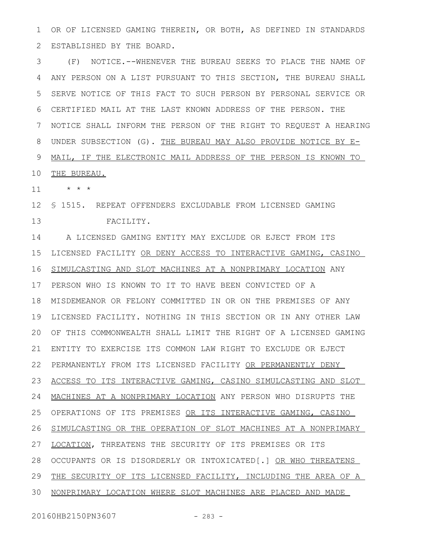OR OF LICENSED GAMING THEREIN, OR BOTH, AS DEFINED IN STANDARDS ESTABLISHED BY THE BOARD. 1 2

(F) NOTICE.--WHENEVER THE BUREAU SEEKS TO PLACE THE NAME OF ANY PERSON ON A LIST PURSUANT TO THIS SECTION, THE BUREAU SHALL SERVE NOTICE OF THIS FACT TO SUCH PERSON BY PERSONAL SERVICE OR CERTIFIED MAIL AT THE LAST KNOWN ADDRESS OF THE PERSON. THE NOTICE SHALL INFORM THE PERSON OF THE RIGHT TO REQUEST A HEARING UNDER SUBSECTION (G). THE BUREAU MAY ALSO PROVIDE NOTICE BY E-MAIL, IF THE ELECTRONIC MAIL ADDRESS OF THE PERSON IS KNOWN TO 3 4 5 6 7 8 9

THE BUREAU. 10

\* \* \* 11

§ 1515. REPEAT OFFENDERS EXCLUDABLE FROM LICENSED GAMING 12 FACILITY. 13

14 A LICENSED GAMING ENTITY MAY EXCLUDE OR EJECT FROM ITS LICENSED FACILITY OR DENY ACCESS TO INTERACTIVE GAMING, CASINO SIMULCASTING AND SLOT MACHINES AT A NONPRIMARY LOCATION ANY PERSON WHO IS KNOWN TO IT TO HAVE BEEN CONVICTED OF A MISDEMEANOR OR FELONY COMMITTED IN OR ON THE PREMISES OF ANY 19 LICENSED FACILITY. NOTHING IN THIS SECTION OR IN ANY OTHER LAW OF THIS COMMONWEALTH SHALL LIMIT THE RIGHT OF A LICENSED GAMING ENTITY TO EXERCISE ITS COMMON LAW RIGHT TO EXCLUDE OR EJECT PERMANENTLY FROM ITS LICENSED FACILITY OR PERMANENTLY DENY ACCESS TO ITS INTERACTIVE GAMING, CASINO SIMULCASTING AND SLOT MACHINES AT A NONPRIMARY LOCATION ANY PERSON WHO DISRUPTS THE OPERATIONS OF ITS PREMISES OR ITS INTERACTIVE GAMING, CASINO SIMULCASTING OR THE OPERATION OF SLOT MACHINES AT A NONPRIMARY LOCATION, THREATENS THE SECURITY OF ITS PREMISES OR ITS OCCUPANTS OR IS DISORDERLY OR INTOXICATED[.] OR WHO THREATENS THE SECURITY OF ITS LICENSED FACILITY, INCLUDING THE AREA OF A NONPRIMARY LOCATION WHERE SLOT MACHINES ARE PLACED AND MADE 15 16 17 18 20 21 22 23 24 25 26 27 28 29 30

20160HB2150PN3607 - 283 -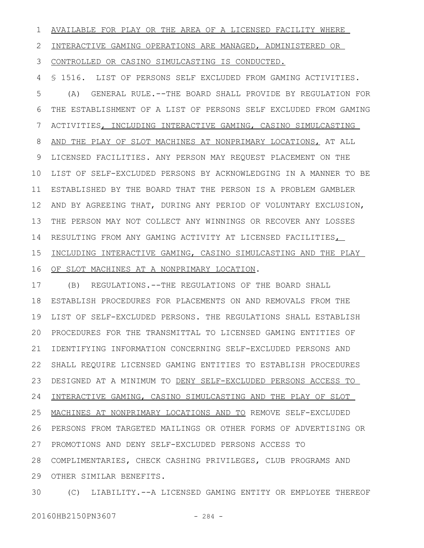AVAILABLE FOR PLAY OR THE AREA OF A LICENSED FACILITY WHERE 1

INTERACTIVE GAMING OPERATIONS ARE MANAGED, ADMINISTERED OR 2

CONTROLLED OR CASINO SIMULCASTING IS CONDUCTED. 3

§ 1516. LIST OF PERSONS SELF EXCLUDED FROM GAMING ACTIVITIES. 4

(A) GENERAL RULE.--THE BOARD SHALL PROVIDE BY REGULATION FOR THE ESTABLISHMENT OF A LIST OF PERSONS SELF EXCLUDED FROM GAMING ACTIVITIES, INCLUDING INTERACTIVE GAMING, CASINO SIMULCASTING AND THE PLAY OF SLOT MACHINES AT NONPRIMARY LOCATIONS, AT ALL LICENSED FACILITIES. ANY PERSON MAY REQUEST PLACEMENT ON THE 10 LIST OF SELF-EXCLUDED PERSONS BY ACKNOWLEDGING IN A MANNER TO BE ESTABLISHED BY THE BOARD THAT THE PERSON IS A PROBLEM GAMBLER 11 AND BY AGREEING THAT, DURING ANY PERIOD OF VOLUNTARY EXCLUSION, 12 THE PERSON MAY NOT COLLECT ANY WINNINGS OR RECOVER ANY LOSSES 13 14 RESULTING FROM ANY GAMING ACTIVITY AT LICENSED FACILITIES, INCLUDING INTERACTIVE GAMING, CASINO SIMULCASTING AND THE PLAY 16 OF SLOT MACHINES AT A NONPRIMARY LOCATION. 5 6 7 8 9 15

(B) REGULATIONS.--THE REGULATIONS OF THE BOARD SHALL ESTABLISH PROCEDURES FOR PLACEMENTS ON AND REMOVALS FROM THE 19 LIST OF SELF-EXCLUDED PERSONS. THE REGULATIONS SHALL ESTABLISH PROCEDURES FOR THE TRANSMITTAL TO LICENSED GAMING ENTITIES OF 20 IDENTIFYING INFORMATION CONCERNING SELF-EXCLUDED PERSONS AND SHALL REQUIRE LICENSED GAMING ENTITIES TO ESTABLISH PROCEDURES 22 23 DESIGNED AT A MINIMUM TO DENY SELF-EXCLUDED PERSONS ACCESS TO INTERACTIVE GAMING, CASINO SIMULCASTING AND THE PLAY OF SLOT MACHINES AT NONPRIMARY LOCATIONS AND TO REMOVE SELF-EXCLUDED PERSONS FROM TARGETED MAILINGS OR OTHER FORMS OF ADVERTISING OR PROMOTIONS AND DENY SELF-EXCLUDED PERSONS ACCESS TO COMPLIMENTARIES, CHECK CASHING PRIVILEGES, CLUB PROGRAMS AND 29 OTHER SIMILAR BENEFITS. 17 18 21 24 25 26 27 28

(C) LIABILITY.--A LICENSED GAMING ENTITY OR EMPLOYEE THEREOF 30

20160HB2150PN3607 - 284 -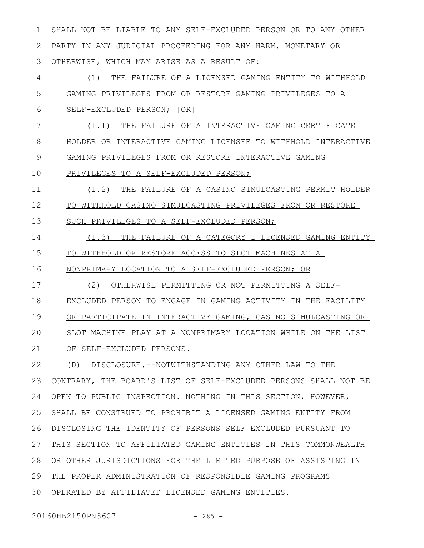SHALL NOT BE LIABLE TO ANY SELF-EXCLUDED PERSON OR TO ANY OTHER PARTY IN ANY JUDICIAL PROCEEDING FOR ANY HARM, MONETARY OR OTHERWISE, WHICH MAY ARISE AS A RESULT OF: (1) THE FAILURE OF A LICENSED GAMING ENTITY TO WITHHOLD GAMING PRIVILEGES FROM OR RESTORE GAMING PRIVILEGES TO A SELF-EXCLUDED PERSON; [OR] (1.1) THE FAILURE OF A INTERACTIVE GAMING CERTIFICATE HOLDER OR INTERACTIVE GAMING LICENSEE TO WITHHOLD INTERACTIVE GAMING PRIVILEGES FROM OR RESTORE INTERACTIVE GAMING PRIVILEGES TO A SELF-EXCLUDED PERSON; (1.2) THE FAILURE OF A CASINO SIMULCASTING PERMIT HOLDER TO WITHHOLD CASINO SIMULCASTING PRIVILEGES FROM OR RESTORE SUCH PRIVILEGES TO A SELF-EXCLUDED PERSON; (1.3) THE FAILURE OF A CATEGORY 1 LICENSED GAMING ENTITY TO WITHHOLD OR RESTORE ACCESS TO SLOT MACHINES AT A NONPRIMARY LOCATION TO A SELF-EXCLUDED PERSON; OR (2) OTHERWISE PERMITTING OR NOT PERMITTING A SELF-EXCLUDED PERSON TO ENGAGE IN GAMING ACTIVITY IN THE FACILITY OR PARTICIPATE IN INTERACTIVE GAMING, CASINO SIMULCASTING OR 1 2 3 4 5 6 7 8 9 10 11 12 13 14 15 16 17 18 19

SLOT MACHINE PLAY AT A NONPRIMARY LOCATION WHILE ON THE LIST OF SELF-EXCLUDED PERSONS.  $20$ 21

(D) DISCLOSURE.--NOTWITHSTANDING ANY OTHER LAW TO THE CONTRARY, THE BOARD'S LIST OF SELF-EXCLUDED PERSONS SHALL NOT BE OPEN TO PUBLIC INSPECTION. NOTHING IN THIS SECTION, HOWEVER, SHALL BE CONSTRUED TO PROHIBIT A LICENSED GAMING ENTITY FROM DISCLOSING THE IDENTITY OF PERSONS SELF EXCLUDED PURSUANT TO THIS SECTION TO AFFILIATED GAMING ENTITIES IN THIS COMMONWEALTH OR OTHER JURISDICTIONS FOR THE LIMITED PURPOSE OF ASSISTING IN THE PROPER ADMINISTRATION OF RESPONSIBLE GAMING PROGRAMS OPERATED BY AFFILIATED LICENSED GAMING ENTITIES. 3022 23 24 25 26 27 28 29

20160HB2150PN3607 - 285 -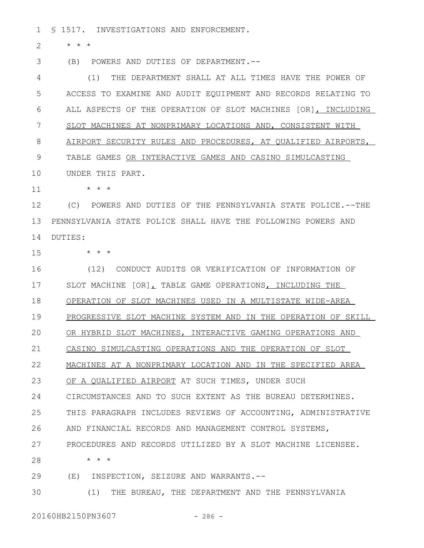§ 1517. INVESTIGATIONS AND ENFORCEMENT. 1

\* \* \* 2

(B) POWERS AND DUTIES OF DEPARTMENT.-- 3

(1) THE DEPARTMENT SHALL AT ALL TIMES HAVE THE POWER OF ACCESS TO EXAMINE AND AUDIT EQUIPMENT AND RECORDS RELATING TO ALL ASPECTS OF THE OPERATION OF SLOT MACHINES [OR], INCLUDING SLOT MACHINES AT NONPRIMARY LOCATIONS AND, CONSISTENT WITH AIRPORT SECURITY RULES AND PROCEDURES, AT QUALIFIED AIRPORTS, TABLE GAMES OR INTERACTIVE GAMES AND CASINO SIMULCASTING UNDER THIS PART. 4 5 6 7 8 9 10

\* \* \* 11

(C) POWERS AND DUTIES OF THE PENNSYLVANIA STATE POLICE.--THE PENNSYLVANIA STATE POLICE SHALL HAVE THE FOLLOWING POWERS AND DUTIES: 12 13 14

15

\* \* \*

(12) CONDUCT AUDITS OR VERIFICATION OF INFORMATION OF SLOT MACHINE [OR], TABLE GAME OPERATIONS, INCLUDING THE OPERATION OF SLOT MACHINES USED IN A MULTISTATE WIDE-AREA PROGRESSIVE SLOT MACHINE SYSTEM AND IN THE OPERATION OF SKILL OR HYBRID SLOT MACHINES, INTERACTIVE GAMING OPERATIONS AND CASINO SIMULCASTING OPERATIONS AND THE OPERATION OF SLOT MACHINES AT A NONPRIMARY LOCATION AND IN THE SPECIFIED AREA OF A QUALIFIED AIRPORT AT SUCH TIMES, UNDER SUCH CIRCUMSTANCES AND TO SUCH EXTENT AS THE BUREAU DETERMINES. THIS PARAGRAPH INCLUDES REVIEWS OF ACCOUNTING, ADMINISTRATIVE AND FINANCIAL RECORDS AND MANAGEMENT CONTROL SYSTEMS, PROCEDURES AND RECORDS UTILIZED BY A SLOT MACHINE LICENSEE. \* \* \* (E) INSPECTION, SEIZURE AND WARRANTS.-- (1) THE BUREAU, THE DEPARTMENT AND THE PENNSYLVANIA 16 17 18 19  $20$ 21 22 23 24 25 26 27 28 29 30

20160HB2150PN3607 - 286 -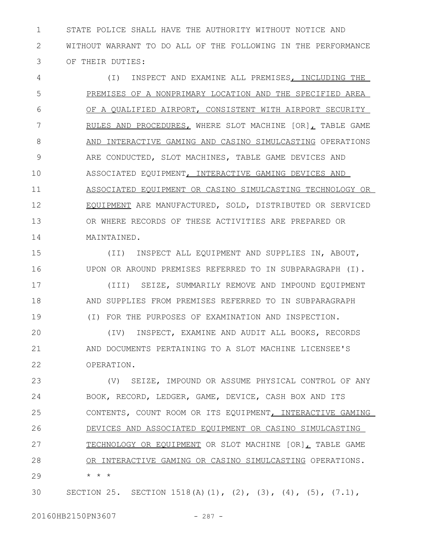STATE POLICE SHALL HAVE THE AUTHORITY WITHOUT NOTICE AND WITHOUT WARRANT TO DO ALL OF THE FOLLOWING IN THE PERFORMANCE OF THEIR DUTIES: 1 2 3

(I) INSPECT AND EXAMINE ALL PREMISES, INCLUDING THE PREMISES OF A NONPRIMARY LOCATION AND THE SPECIFIED AREA OF A QUALIFIED AIRPORT, CONSISTENT WITH AIRPORT SECURITY RULES AND PROCEDURES, WHERE SLOT MACHINE [OR], TABLE GAME AND INTERACTIVE GAMING AND CASINO SIMULCASTING OPERATIONS ARE CONDUCTED, SLOT MACHINES, TABLE GAME DEVICES AND ASSOCIATED EQUIPMENT, INTERACTIVE GAMING DEVICES AND ASSOCIATED EQUIPMENT OR CASINO SIMULCASTING TECHNOLOGY OR EQUIPMENT ARE MANUFACTURED, SOLD, DISTRIBUTED OR SERVICED OR WHERE RECORDS OF THESE ACTIVITIES ARE PREPARED OR MAINTAINED. 4 5 6 7 8 9 10 11 12 13 14

(II) INSPECT ALL EQUIPMENT AND SUPPLIES IN, ABOUT, UPON OR AROUND PREMISES REFERRED TO IN SUBPARAGRAPH (I). (III) SEIZE, SUMMARILY REMOVE AND IMPOUND EQUIPMENT AND SUPPLIES FROM PREMISES REFERRED TO IN SUBPARAGRAPH (I) FOR THE PURPOSES OF EXAMINATION AND INSPECTION. 15 16 17 18 19

(IV) INSPECT, EXAMINE AND AUDIT ALL BOOKS, RECORDS AND DOCUMENTS PERTAINING TO A SLOT MACHINE LICENSEE'S OPERATION. 20 21 22

(V) SEIZE, IMPOUND OR ASSUME PHYSICAL CONTROL OF ANY BOOK, RECORD, LEDGER, GAME, DEVICE, CASH BOX AND ITS CONTENTS, COUNT ROOM OR ITS EQUIPMENT, INTERACTIVE GAMING DEVICES AND ASSOCIATED EQUIPMENT OR CASINO SIMULCASTING TECHNOLOGY OR EQUIPMENT OR SLOT MACHINE [OR], TABLE GAME OR INTERACTIVE GAMING OR CASINO SIMULCASTING OPERATIONS. \* \* \* 23 24 25 26 27 28 29

SECTION 25. SECTION 1518(A)(1), (2), (3), (4), (5), (7.1), 30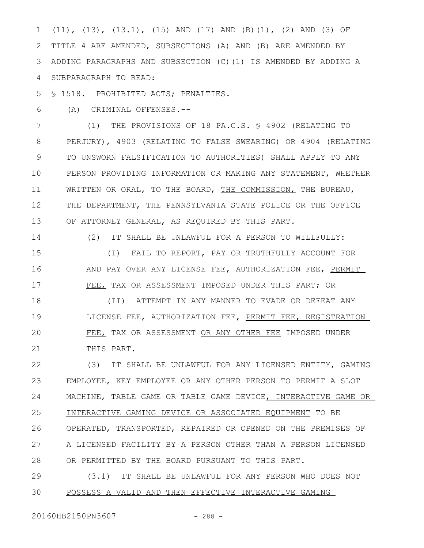(11), (13), (13.1), (15) AND (17) AND (B)(1), (2) AND (3) OF TITLE 4 ARE AMENDED, SUBSECTIONS (A) AND (B) ARE AMENDED BY ADDING PARAGRAPHS AND SUBSECTION (C)(1) IS AMENDED BY ADDING A SUBPARAGRAPH TO READ: 1 2 3 4

§ 1518. PROHIBITED ACTS; PENALTIES. 5

(A) CRIMINAL OFFENSES.-- 6

(1) THE PROVISIONS OF 18 PA.C.S. § 4902 (RELATING TO PERJURY), 4903 (RELATING TO FALSE SWEARING) OR 4904 (RELATING TO UNSWORN FALSIFICATION TO AUTHORITIES) SHALL APPLY TO ANY PERSON PROVIDING INFORMATION OR MAKING ANY STATEMENT, WHETHER WRITTEN OR ORAL, TO THE BOARD, THE COMMISSION, THE BUREAU, THE DEPARTMENT, THE PENNSYLVANIA STATE POLICE OR THE OFFICE OF ATTORNEY GENERAL, AS REQUIRED BY THIS PART. 7 8 9 10 11 12 13

14

(2) IT SHALL BE UNLAWFUL FOR A PERSON TO WILLFULLY:

(I) FAIL TO REPORT, PAY OR TRUTHFULLY ACCOUNT FOR AND PAY OVER ANY LICENSE FEE, AUTHORIZATION FEE, PERMIT FEE, TAX OR ASSESSMENT IMPOSED UNDER THIS PART; OR 15 16 17

(II) ATTEMPT IN ANY MANNER TO EVADE OR DEFEAT ANY LICENSE FEE, AUTHORIZATION FEE, PERMIT FEE, REGISTRATION FEE, TAX OR ASSESSMENT OR ANY OTHER FEE IMPOSED UNDER THIS PART. 18 19 20 21

(3) IT SHALL BE UNLAWFUL FOR ANY LICENSED ENTITY, GAMING EMPLOYEE, KEY EMPLOYEE OR ANY OTHER PERSON TO PERMIT A SLOT MACHINE, TABLE GAME OR TABLE GAME DEVICE, INTERACTIVE GAME OR INTERACTIVE GAMING DEVICE OR ASSOCIATED EQUIPMENT TO BE OPERATED, TRANSPORTED, REPAIRED OR OPENED ON THE PREMISES OF A LICENSED FACILITY BY A PERSON OTHER THAN A PERSON LICENSED OR PERMITTED BY THE BOARD PURSUANT TO THIS PART. 22 23 24 25 26 27 28

(3.1) IT SHALL BE UNLAWFUL FOR ANY PERSON WHO DOES NOT POSSESS A VALID AND THEN EFFECTIVE INTERACTIVE GAMING 29 30

20160HB2150PN3607 - 288 -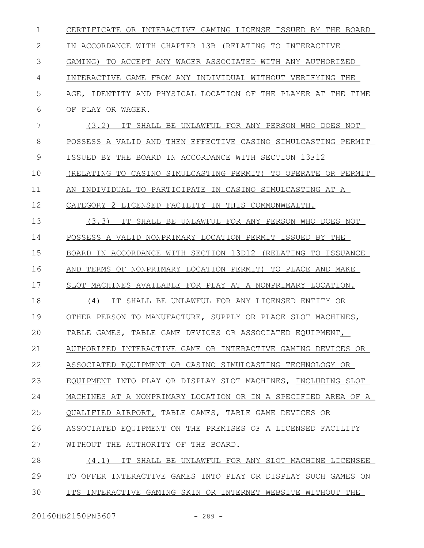| $\mathbf 1$ | CERTIFICATE OR INTERACTIVE GAMING LICENSE ISSUED BY THE BOARD        |
|-------------|----------------------------------------------------------------------|
| 2           | IN ACCORDANCE WITH CHAPTER 13B (RELATING TO INTERACTIVE              |
| 3           | GAMING) TO ACCEPT ANY WAGER ASSOCIATED WITH ANY AUTHORIZED           |
| 4           | INTERACTIVE GAME FROM ANY INDIVIDUAL WITHOUT VERIFYING THE           |
| 5           | AGE, IDENTITY AND PHYSICAL LOCATION OF THE PLAYER AT THE TIME        |
| 6           | OF PLAY OR WAGER.                                                    |
| 7           | (3, 2)<br>IT SHALL BE UNLAWFUL FOR ANY PERSON WHO DOES NOT           |
| 8           | POSSESS A VALID AND THEN EFFECTIVE CASINO SIMULCASTING PERMIT        |
| 9           | ISSUED BY THE BOARD IN ACCORDANCE WITH SECTION 13F12                 |
| 10          | (RELATING TO CASINO SIMULCASTING PERMIT) TO OPERATE OR PERMIT        |
| 11          | AN INDIVIDUAL TO PARTICIPATE IN CASINO SIMULCASTING AT A             |
| 12          | CATEGORY 2 LICENSED FACILITY IN THIS COMMONWEALTH.                   |
| 13          | IT SHALL BE UNLAWFUL FOR ANY PERSON WHO DOES NOT<br>(3.3)            |
| 14          | POSSESS A VALID NONPRIMARY LOCATION PERMIT ISSUED BY THE             |
| 15          | BOARD IN ACCORDANCE WITH SECTION 13D12 (RELATING TO ISSUANCE         |
| 16          | AND TERMS OF NONPRIMARY LOCATION PERMIT) TO PLACE AND MAKE           |
| 17          | SLOT MACHINES AVAILABLE FOR PLAY AT A NONPRIMARY LOCATION.           |
| 18          | IT SHALL BE UNLAWFUL FOR ANY LICENSED ENTITY OR<br>(4)               |
| 19          | OTHER PERSON TO MANUFACTURE, SUPPLY OR PLACE SLOT MACHINES,          |
| 20          | TABLE GAMES, TABLE GAME DEVICES OR ASSOCIATED EOUIPMENT,             |
| 21          | AUTHORIZED INTERACTIVE GAME OR INTERACTIVE GAMING DEVICES OR         |
| 22          | ASSOCIATED EQUIPMENT OR CASINO SIMULCASTING TECHNOLOGY OR            |
| 23          | EQUIPMENT INTO PLAY OR DISPLAY SLOT MACHINES, INCLUDING SLOT         |
| 24          | <u>MACHINES AT A NONPRIMARY LOCATION OR IN A SPECIFIED AREA OF A</u> |
| 25          | QUALIFIED AIRPORT, TABLE GAMES, TABLE GAME DEVICES OR                |
| 26          | ASSOCIATED EQUIPMENT ON THE PREMISES OF A LICENSED FACILITY          |
| 27          | WITHOUT THE AUTHORITY OF THE BOARD.                                  |
| 28          | IT SHALL BE UNLAWFUL FOR ANY SLOT MACHINE LICENSEE<br>(4.1)          |
| 29          | TO OFFER INTERACTIVE GAMES INTO PLAY OR DISPLAY SUCH GAMES ON        |
| 30          | ITS INTERACTIVE GAMING SKIN OR INTERNET WEBSITE WITHOUT THE          |
|             |                                                                      |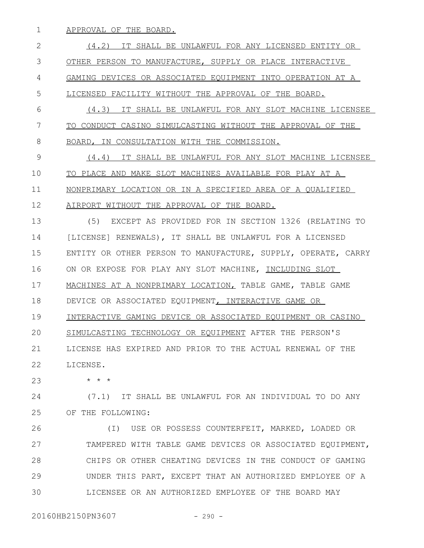APPROVAL OF THE BOARD. 1

(4.2) IT SHALL BE UNLAWFUL FOR ANY LICENSED ENTITY OR OTHER PERSON TO MANUFACTURE, SUPPLY OR PLACE INTERACTIVE GAMING DEVICES OR ASSOCIATED EQUIPMENT INTO OPERATION AT A LICENSED FACILITY WITHOUT THE APPROVAL OF THE BOARD. (4.3) IT SHALL BE UNLAWFUL FOR ANY SLOT MACHINE LICENSEE TO CONDUCT CASINO SIMULCASTING WITHOUT THE APPROVAL OF THE BOARD, IN CONSULTATION WITH THE COMMISSION. (4.4) IT SHALL BE UNLAWFUL FOR ANY SLOT MACHINE LICENSEE TO PLACE AND MAKE SLOT MACHINES AVAILABLE FOR PLAY AT A NONPRIMARY LOCATION OR IN A SPECIFIED AREA OF A QUALIFIED AIRPORT WITHOUT THE APPROVAL OF THE BOARD. (5) EXCEPT AS PROVIDED FOR IN SECTION 1326 (RELATING TO [LICENSE] RENEWALS), IT SHALL BE UNLAWFUL FOR A LICENSED ENTITY OR OTHER PERSON TO MANUFACTURE, SUPPLY, OPERATE, CARRY ON OR EXPOSE FOR PLAY ANY SLOT MACHINE, INCLUDING SLOT MACHINES AT A NONPRIMARY LOCATION, TABLE GAME, TABLE GAME DEVICE OR ASSOCIATED EQUIPMENT, INTERACTIVE GAME OR INTERACTIVE GAMING DEVICE OR ASSOCIATED EQUIPMENT OR CASINO SIMULCASTING TECHNOLOGY OR EQUIPMENT AFTER THE PERSON'S LICENSE HAS EXPIRED AND PRIOR TO THE ACTUAL RENEWAL OF THE LICENSE. \* \* \* (7.1) IT SHALL BE UNLAWFUL FOR AN INDIVIDUAL TO DO ANY 2 3 4 5 6 7 8 9 10 11 12 13 14 15 16 17 18 19  $20$ 21 22 23 24

OF THE FOLLOWING: 25

(I) USE OR POSSESS COUNTERFEIT, MARKED, LOADED OR TAMPERED WITH TABLE GAME DEVICES OR ASSOCIATED EQUIPMENT, CHIPS OR OTHER CHEATING DEVICES IN THE CONDUCT OF GAMING UNDER THIS PART, EXCEPT THAT AN AUTHORIZED EMPLOYEE OF A LICENSEE OR AN AUTHORIZED EMPLOYEE OF THE BOARD MAY 26 27 28 29 30

20160HB2150PN3607 - 290 -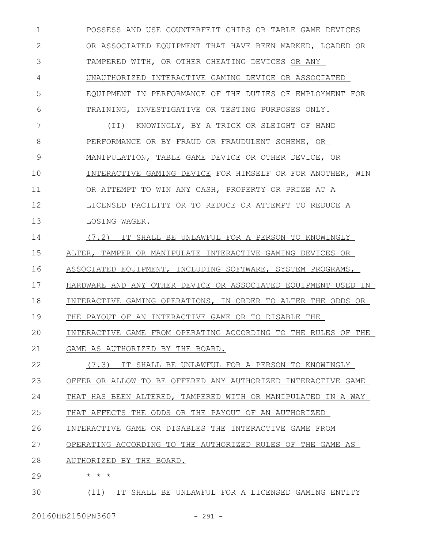POSSESS AND USE COUNTERFEIT CHIPS OR TABLE GAME DEVICES OR ASSOCIATED EQUIPMENT THAT HAVE BEEN MARKED, LOADED OR TAMPERED WITH, OR OTHER CHEATING DEVICES OR ANY UNAUTHORIZED INTERACTIVE GAMING DEVICE OR ASSOCIATED EQUIPMENT IN PERFORMANCE OF THE DUTIES OF EMPLOYMENT FOR TRAINING, INVESTIGATIVE OR TESTING PURPOSES ONLY. 1 2 3 4 5 6

(II) KNOWINGLY, BY A TRICK OR SLEIGHT OF HAND PERFORMANCE OR BY FRAUD OR FRAUDULENT SCHEME, OR MANIPULATION, TABLE GAME DEVICE OR OTHER DEVICE, OR INTERACTIVE GAMING DEVICE FOR HIMSELF OR FOR ANOTHER, WIN OR ATTEMPT TO WIN ANY CASH, PROPERTY OR PRIZE AT A LICENSED FACILITY OR TO REDUCE OR ATTEMPT TO REDUCE A LOSING WAGER. 7 8 9 10 11 12 13

(7.2) IT SHALL BE UNLAWFUL FOR A PERSON TO KNOWINGLY ALTER, TAMPER OR MANIPULATE INTERACTIVE GAMING DEVICES OR ASSOCIATED EQUIPMENT, INCLUDING SOFTWARE, SYSTEM PROGRAMS, HARDWARE AND ANY OTHER DEVICE OR ASSOCIATED EQUIPMENT USED IN INTERACTIVE GAMING OPERATIONS, IN ORDER TO ALTER THE ODDS OR THE PAYOUT OF AN INTERACTIVE GAME OR TO DISABLE THE 14 15 16 17 18 19

INTERACTIVE GAME FROM OPERATING ACCORDING TO THE RULES OF THE GAME AS AUTHORIZED BY THE BOARD.  $20$ 21

(7.3) IT SHALL BE UNLAWFUL FOR A PERSON TO KNOWINGLY OFFER OR ALLOW TO BE OFFERED ANY AUTHORIZED INTERACTIVE GAME 22 23

THAT HAS BEEN ALTERED, TAMPERED WITH OR MANIPULATED IN A WAY 24

THAT AFFECTS THE ODDS OR THE PAYOUT OF AN AUTHORIZED 25

INTERACTIVE GAME OR DISABLES THE INTERACTIVE GAME FROM 26

OPERATING ACCORDING TO THE AUTHORIZED RULES OF THE GAME AS 27

AUTHORIZED BY THE BOARD. 28

\* \* \*

29

(11) IT SHALL BE UNLAWFUL FOR A LICENSED GAMING ENTITY 30

20160HB2150PN3607 - 291 -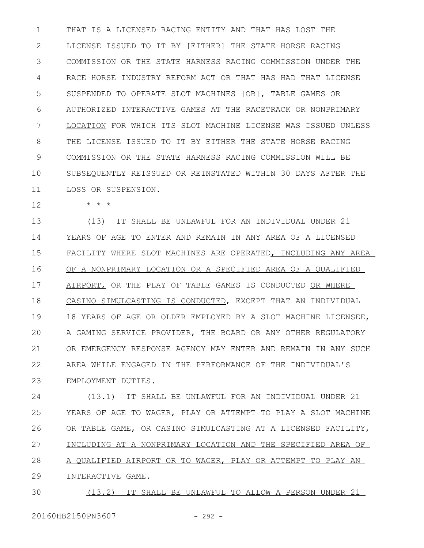THAT IS A LICENSED RACING ENTITY AND THAT HAS LOST THE LICENSE ISSUED TO IT BY [EITHER] THE STATE HORSE RACING COMMISSION OR THE STATE HARNESS RACING COMMISSION UNDER THE RACE HORSE INDUSTRY REFORM ACT OR THAT HAS HAD THAT LICENSE SUSPENDED TO OPERATE SLOT MACHINES [OR], TABLE GAMES OR AUTHORIZED INTERACTIVE GAMES AT THE RACETRACK OR NONPRIMARY LOCATION FOR WHICH ITS SLOT MACHINE LICENSE WAS ISSUED UNLESS THE LICENSE ISSUED TO IT BY EITHER THE STATE HORSE RACING COMMISSION OR THE STATE HARNESS RACING COMMISSION WILL BE SUBSEQUENTLY REISSUED OR REINSTATED WITHIN 30 DAYS AFTER THE LOSS OR SUSPENSION. 1 2 3 4 5 6 7 8 9 10 11

\* \* \* 12

(13) IT SHALL BE UNLAWFUL FOR AN INDIVIDUAL UNDER 21 YEARS OF AGE TO ENTER AND REMAIN IN ANY AREA OF A LICENSED FACILITY WHERE SLOT MACHINES ARE OPERATED, INCLUDING ANY AREA OF A NONPRIMARY LOCATION OR A SPECIFIED AREA OF A QUALIFIED AIRPORT, OR THE PLAY OF TABLE GAMES IS CONDUCTED OR WHERE CASINO SIMULCASTING IS CONDUCTED, EXCEPT THAT AN INDIVIDUAL 18 YEARS OF AGE OR OLDER EMPLOYED BY A SLOT MACHINE LICENSEE, A GAMING SERVICE PROVIDER, THE BOARD OR ANY OTHER REGULATORY OR EMERGENCY RESPONSE AGENCY MAY ENTER AND REMAIN IN ANY SUCH AREA WHILE ENGAGED IN THE PERFORMANCE OF THE INDIVIDUAL'S EMPLOYMENT DUTIES. 13 14 15 16 17 18 19  $20$ 21 22 23

(13.1) IT SHALL BE UNLAWFUL FOR AN INDIVIDUAL UNDER 21 YEARS OF AGE TO WAGER, PLAY OR ATTEMPT TO PLAY A SLOT MACHINE OR TABLE GAME, OR CASINO SIMULCASTING AT A LICENSED FACILITY, INCLUDING AT A NONPRIMARY LOCATION AND THE SPECIFIED AREA OF A QUALIFIED AIRPORT OR TO WAGER, PLAY OR ATTEMPT TO PLAY AN INTERACTIVE GAME. 24 25 26 27 28 29

(13.2) IT SHALL BE UNLAWFUL TO ALLOW A PERSON UNDER 21 30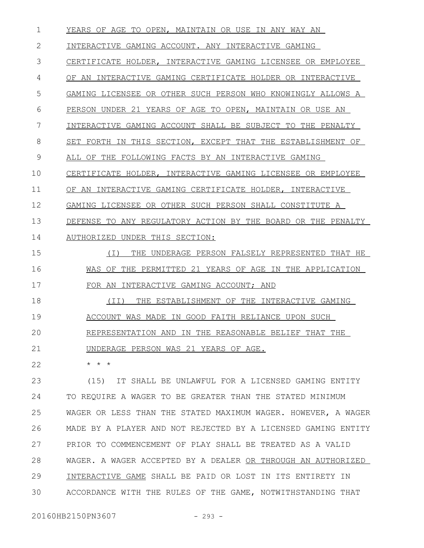YEARS OF AGE TO OPEN, MAINTAIN OR USE IN ANY WAY AN INTERACTIVE GAMING ACCOUNT. ANY INTERACTIVE GAMING CERTIFICATE HOLDER, INTERACTIVE GAMING LICENSEE OR EMPLOYEE OF AN INTERACTIVE GAMING CERTIFICATE HOLDER OR INTERACTIVE GAMING LICENSEE OR OTHER SUCH PERSON WHO KNOWINGLY ALLOWS A PERSON UNDER 21 YEARS OF AGE TO OPEN, MAINTAIN OR USE AN INTERACTIVE GAMING ACCOUNT SHALL BE SUBJECT TO THE PENALTY SET FORTH IN THIS SECTION, EXCEPT THAT THE ESTABLISHMENT OF ALL OF THE FOLLOWING FACTS BY AN INTERACTIVE GAMING CERTIFICATE HOLDER, INTERACTIVE GAMING LICENSEE OR EMPLOYEE OF AN INTERACTIVE GAMING CERTIFICATE HOLDER, INTERACTIVE GAMING LICENSEE OR OTHER SUCH PERSON SHALL CONSTITUTE A DEFENSE TO ANY REGULATORY ACTION BY THE BOARD OR THE PENALTY AUTHORIZED UNDER THIS SECTION: (I) THE UNDERAGE PERSON FALSELY REPRESENTED THAT HE WAS OF THE PERMITTED 21 YEARS OF AGE IN THE APPLICATION FOR AN INTERACTIVE GAMING ACCOUNT; AND (II) THE ESTABLISHMENT OF THE INTERACTIVE GAMING ACCOUNT WAS MADE IN GOOD FAITH RELIANCE UPON SUCH REPRESENTATION AND IN THE REASONABLE BELIEF THAT THE UNDERAGE PERSON WAS 21 YEARS OF AGE. 1 2 3 4 5 6 7 8 9 10 11 12 13 14 15 16 17 18 19  $20$ 21

\* \* \* 22

(15) IT SHALL BE UNLAWFUL FOR A LICENSED GAMING ENTITY TO REQUIRE A WAGER TO BE GREATER THAN THE STATED MINIMUM WAGER OR LESS THAN THE STATED MAXIMUM WAGER. HOWEVER, A WAGER MADE BY A PLAYER AND NOT REJECTED BY A LICENSED GAMING ENTITY PRIOR TO COMMENCEMENT OF PLAY SHALL BE TREATED AS A VALID WAGER. A WAGER ACCEPTED BY A DEALER OR THROUGH AN AUTHORIZED INTERACTIVE GAME SHALL BE PAID OR LOST IN ITS ENTIRETY IN ACCORDANCE WITH THE RULES OF THE GAME, NOTWITHSTANDING THAT 23 24 25 26 27 28 29 30

20160HB2150PN3607 - 293 -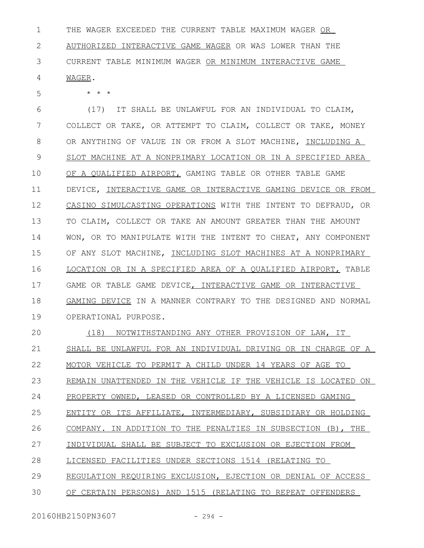THE WAGER EXCEEDED THE CURRENT TABLE MAXIMUM WAGER OR AUTHORIZED INTERACTIVE GAME WAGER OR WAS LOWER THAN THE CURRENT TABLE MINIMUM WAGER OR MINIMUM INTERACTIVE GAME WAGER. 1 2 3 4

\* \* \*

5

(17) IT SHALL BE UNLAWFUL FOR AN INDIVIDUAL TO CLAIM, COLLECT OR TAKE, OR ATTEMPT TO CLAIM, COLLECT OR TAKE, MONEY OR ANYTHING OF VALUE IN OR FROM A SLOT MACHINE, INCLUDING A SLOT MACHINE AT A NONPRIMARY LOCATION OR IN A SPECIFIED AREA OF A QUALIFIED AIRPORT, GAMING TABLE OR OTHER TABLE GAME DEVICE, INTERACTIVE GAME OR INTERACTIVE GAMING DEVICE OR FROM CASINO SIMULCASTING OPERATIONS WITH THE INTENT TO DEFRAUD, OR TO CLAIM, COLLECT OR TAKE AN AMOUNT GREATER THAN THE AMOUNT WON, OR TO MANIPULATE WITH THE INTENT TO CHEAT, ANY COMPONENT OF ANY SLOT MACHINE, INCLUDING SLOT MACHINES AT A NONPRIMARY LOCATION OR IN A SPECIFIED AREA OF A QUALIFIED AIRPORT, TABLE GAME OR TABLE GAME DEVICE, INTERACTIVE GAME OR INTERACTIVE GAMING DEVICE IN A MANNER CONTRARY TO THE DESIGNED AND NORMAL OPERATIONAL PURPOSE. 6 7 8 9 10 11 12 13 14 15 16 17 18 19

(18) NOTWITHSTANDING ANY OTHER PROVISION OF LAW, IT SHALL BE UNLAWFUL FOR AN INDIVIDUAL DRIVING OR IN CHARGE OF A MOTOR VEHICLE TO PERMIT A CHILD UNDER 14 YEARS OF AGE TO REMAIN UNATTENDED IN THE VEHICLE IF THE VEHICLE IS LOCATED ON PROPERTY OWNED, LEASED OR CONTROLLED BY A LICENSED GAMING ENTITY OR ITS AFFILIATE, INTERMEDIARY, SUBSIDIARY OR HOLDING COMPANY. IN ADDITION TO THE PENALTIES IN SUBSECTION (B), THE INDIVIDUAL SHALL BE SUBJECT TO EXCLUSION OR EJECTION FROM LICENSED FACILITIES UNDER SECTIONS 1514 (RELATING TO REGULATION REQUIRING EXCLUSION, EJECTION OR DENIAL OF ACCESS OF CERTAIN PERSONS) AND 1515 (RELATING TO REPEAT OFFENDERS  $20$ 21 22 23 24 25 26 27 28 29 30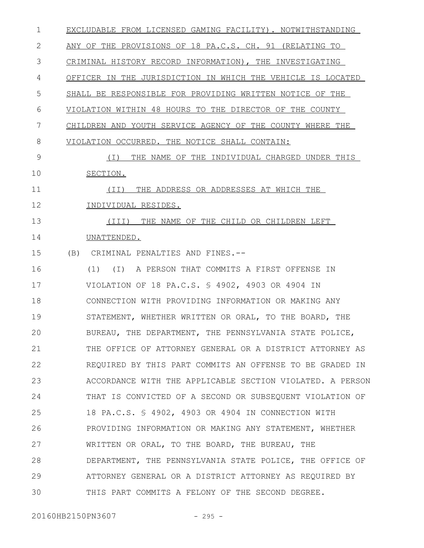| $\mathbf{1}$ | EXCLUDABLE FROM LICENSED GAMING FACILITY). NOTWITHSTANDING  |
|--------------|-------------------------------------------------------------|
| $\mathbf{2}$ | ANY OF THE PROVISIONS OF 18 PA.C.S. CH. 91 (RELATING TO     |
| 3            | CRIMINAL HISTORY RECORD INFORMATION), THE INVESTIGATING     |
| 4            | OFFICER IN THE JURISDICTION IN WHICH THE VEHICLE IS LOCATED |
| 5            | SHALL BE RESPONSIBLE FOR PROVIDING WRITTEN NOTICE OF THE    |
| 6            | VIOLATION WITHIN 48 HOURS TO THE DIRECTOR OF THE COUNTY     |
| 7            | CHILDREN AND YOUTH SERVICE AGENCY OF THE COUNTY WHERE THE   |
| 8            | VIOLATION OCCURRED. THE NOTICE SHALL CONTAIN:               |
| 9            | THE NAME OF THE INDIVIDUAL CHARGED UNDER THIS<br>( I )      |
| 10           | SECTION.                                                    |
| 11           | THE ADDRESS OR ADDRESSES AT WHICH THE<br>(II)               |
| 12           | INDIVIDUAL RESIDES.                                         |
| 13           | (III) THE NAME OF THE CHILD OR CHILDREN LEFT                |
| 14           | UNATTENDED.                                                 |
| 15           | (B) CRIMINAL PENALTIES AND FINES.--                         |
| 16           | (1) (I) A PERSON THAT COMMITS A FIRST OFFENSE IN            |
| 17           | VIOLATION OF 18 PA.C.S. \$ 4902, 4903 OR 4904 IN            |
| 18           | CONNECTION WITH PROVIDING INFORMATION OR MAKING ANY         |
| 19           | STATEMENT, WHETHER WRITTEN OR ORAL, TO THE BOARD, THE       |
| 20           | BUREAU, THE DEPARTMENT, THE PENNSYLVANIA STATE POLICE,      |
| 21           | THE OFFICE OF ATTORNEY GENERAL OR A DISTRICT ATTORNEY AS    |
| 22           | REQUIRED BY THIS PART COMMITS AN OFFENSE TO BE GRADED IN    |
| 23           | ACCORDANCE WITH THE APPLICABLE SECTION VIOLATED. A PERSON   |
| 24           | THAT IS CONVICTED OF A SECOND OR SUBSEQUENT VIOLATION OF    |
| 25           | 18 PA.C.S. § 4902, 4903 OR 4904 IN CONNECTION WITH          |
| 26           | PROVIDING INFORMATION OR MAKING ANY STATEMENT, WHETHER      |
| 27           | WRITTEN OR ORAL, TO THE BOARD, THE BUREAU, THE              |
| 28           | DEPARTMENT, THE PENNSYLVANIA STATE POLICE, THE OFFICE OF    |
| 29           | ATTORNEY GENERAL OR A DISTRICT ATTORNEY AS REQUIRED BY      |
| 30           | THIS PART COMMITS A FELONY OF THE SECOND DEGREE.            |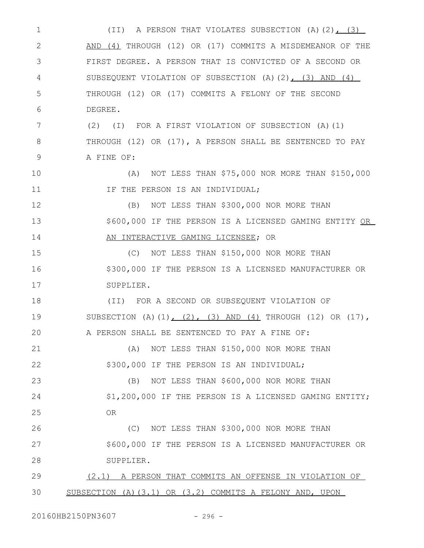(II) A PERSON THAT VIOLATES SUBSECTION (A)(2), (3) AND (4) THROUGH (12) OR (17) COMMITS A MISDEMEANOR OF THE FIRST DEGREE. A PERSON THAT IS CONVICTED OF A SECOND OR SUBSEQUENT VIOLATION OF SUBSECTION (A)(2), (3) AND (4) THROUGH (12) OR (17) COMMITS A FELONY OF THE SECOND DEGREE. (2) (I) FOR A FIRST VIOLATION OF SUBSECTION (A)(1) THROUGH (12) OR (17), A PERSON SHALL BE SENTENCED TO PAY A FINE OF: (A) NOT LESS THAN \$75,000 NOR MORE THAN \$150,000 IF THE PERSON IS AN INDIVIDUAL; (B) NOT LESS THAN \$300,000 NOR MORE THAN \$600,000 IF THE PERSON IS A LICENSED GAMING ENTITY OR AN INTERACTIVE GAMING LICENSEE; OR (C) NOT LESS THAN \$150,000 NOR MORE THAN \$300,000 IF THE PERSON IS A LICENSED MANUFACTURER OR SUPPLIER. (II) FOR A SECOND OR SUBSEQUENT VIOLATION OF SUBSECTION  $(A) (1)$ ,  $(2)$ ,  $(3)$  AND  $(4)$  THROUGH  $(12)$  OR  $(17)$ , A PERSON SHALL BE SENTENCED TO PAY A FINE OF: (A) NOT LESS THAN \$150,000 NOR MORE THAN \$300,000 IF THE PERSON IS AN INDIVIDUAL; (B) NOT LESS THAN \$600,000 NOR MORE THAN \$1,200,000 IF THE PERSON IS A LICENSED GAMING ENTITY; OR (C) NOT LESS THAN \$300,000 NOR MORE THAN \$600,000 IF THE PERSON IS A LICENSED MANUFACTURER OR SUPPLIER. (2.1) A PERSON THAT COMMITS AN OFFENSE IN VIOLATION OF SUBSECTION (A)(3.1) OR (3.2) COMMITS A FELONY AND, UPON 1 2 3 4 5 6 7 8 9 10 11 12 13 14 15 16 17 18 19  $20$ 21 22 23 24 25 26 27 28 29 30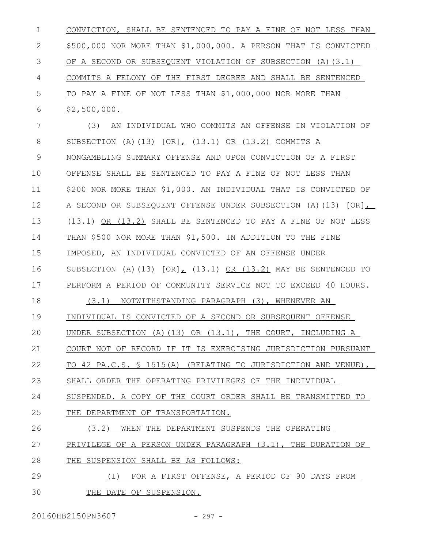CONVICTION, SHALL BE SENTENCED TO PAY A FINE OF NOT LESS THAN \$500,000 NOR MORE THAN \$1,000,000. A PERSON THAT IS CONVICTED OF A SECOND OR SUBSEQUENT VIOLATION OF SUBSECTION (A)(3.1) COMMITS A FELONY OF THE FIRST DEGREE AND SHALL BE SENTENCED TO PAY A FINE OF NOT LESS THAN \$1,000,000 NOR MORE THAN \$2,500,000. (3) AN INDIVIDUAL WHO COMMITS AN OFFENSE IN VIOLATION OF 1 2 3 4 5 6 7

SUBSECTION (A)(13) [OR], (13.1) OR (13.2) COMMITS A NONGAMBLING SUMMARY OFFENSE AND UPON CONVICTION OF A FIRST OFFENSE SHALL BE SENTENCED TO PAY A FINE OF NOT LESS THAN \$200 NOR MORE THAN \$1,000. AN INDIVIDUAL THAT IS CONVICTED OF A SECOND OR SUBSEQUENT OFFENSE UNDER SUBSECTION (A)(13) [OR], (13.1) OR (13.2) SHALL BE SENTENCED TO PAY A FINE OF NOT LESS THAN \$500 NOR MORE THAN \$1,500. IN ADDITION TO THE FINE IMPOSED, AN INDIVIDUAL CONVICTED OF AN OFFENSE UNDER SUBSECTION (A)(13)  $[OR]_t$  (13.1) OR (13.2) MAY BE SENTENCED TO PERFORM A PERIOD OF COMMUNITY SERVICE NOT TO EXCEED 40 HOURS. 8 9 10 11 12 13 14 15 16 17

(3.1) NOTWITHSTANDING PARAGRAPH (3), WHENEVER AN INDIVIDUAL IS CONVICTED OF A SECOND OR SUBSEQUENT OFFENSE UNDER SUBSECTION (A)(13) OR (13.1), THE COURT, INCLUDING A COURT NOT OF RECORD IF IT IS EXERCISING JURISDICTION PURSUANT 18 19  $20$ 21

TO 42 PA.C.S. § 1515(A) (RELATING TO JURISDICTION AND VENUE), 22

SHALL ORDER THE OPERATING PRIVILEGES OF THE INDIVIDUAL 23

SUSPENDED. A COPY OF THE COURT ORDER SHALL BE TRANSMITTED TO 24

THE DEPARTMENT OF TRANSPORTATION. 25

(3.2) WHEN THE DEPARTMENT SUSPENDS THE OPERATING 26

PRIVILEGE OF A PERSON UNDER PARAGRAPH (3.1), THE DURATION OF 27

THE SUSPENSION SHALL BE AS FOLLOWS: 28

(I) FOR A FIRST OFFENSE, A PERIOD OF 90 DAYS FROM THE DATE OF SUSPENSION. 29 30

20160HB2150PN3607 - 297 -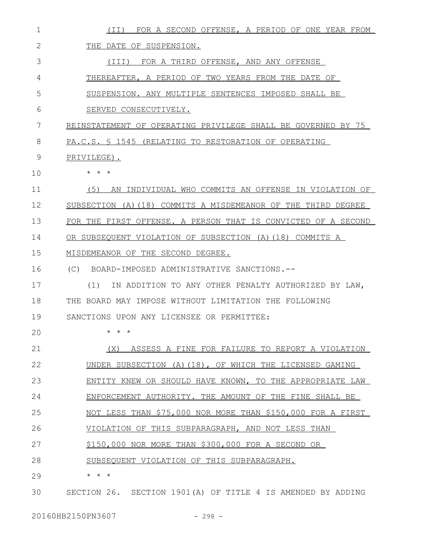| 1            | FOR A SECOND OFFENSE, A PERIOD OF ONE YEAR FROM<br>(II)       |
|--------------|---------------------------------------------------------------|
| $\mathbf{2}$ | THE DATE OF SUSPENSION.                                       |
| 3            | (III)<br>FOR A THIRD OFFENSE, AND ANY OFFENSE                 |
| 4            | THEREAFTER, A PERIOD OF TWO YEARS FROM THE DATE OF            |
| 5            | SUSPENSION. ANY MULTIPLE SENTENCES IMPOSED SHALL BE           |
| 6            | SERVED CONSECUTIVELY.                                         |
| 7            | REINSTATEMENT OF OPERATING PRIVILEGE SHALL BE GOVERNED BY 75  |
| 8            | PA.C.S. § 1545 (RELATING TO RESTORATION OF OPERATING          |
| 9            | PRIVILEGE).                                                   |
| 10           | $\star$ $\star$ $\star$                                       |
| 11           | (5)<br>AN INDIVIDUAL WHO COMMITS AN OFFENSE IN VIOLATION OF   |
| 12           | SUBSECTION (A)(18) COMMITS A MISDEMEANOR OF THE THIRD DEGREE  |
| 13           | FOR THE FIRST OFFENSE. A PERSON THAT IS CONVICTED OF A SECOND |
| 14           | OR SUBSEQUENT VIOLATION OF SUBSECTION (A) (18) COMMITS A      |
| 15           | MISDEMEANOR OF THE SECOND DEGREE.                             |
| 16           | BOARD-IMPOSED ADMINISTRATIVE SANCTIONS.--<br>(C)              |
| 17           | IN ADDITION TO ANY OTHER PENALTY AUTHORIZED BY LAW,<br>(1)    |
| 18           | BOARD MAY IMPOSE WITHOUT LIMITATION THE FOLLOWING<br>THE      |
| 19           | SANCTIONS UPON ANY LICENSEE OR PERMITTEE:                     |
| 20           | $\star$<br>$\star$ $\star$                                    |
| 21           | ASSESS A FINE FOR FAILURE TO REPORT A VIOLATION<br>(X)        |
| 22           | UNDER SUBSECTION (A) (18), OF WHICH THE LICENSED GAMING       |
| 23           | ENTITY KNEW OR SHOULD HAVE KNOWN, TO THE APPROPRIATE LAW      |
| 24           | ENFORCEMENT AUTHORITY. THE AMOUNT OF THE FINE SHALL BE        |
| 25           | NOT LESS THAN \$75,000 NOR MORE THAN \$150,000 FOR A FIRST    |
| 26           | VIOLATION OF THIS SUBPARAGRAPH, AND NOT LESS THAN             |
| 27           | \$150,000 NOR MORE THAN \$300,000 FOR A SECOND OR             |
| 28           | SUBSEQUENT VIOLATION OF THIS SUBPARAGRAPH.                    |
| 29           | * * *                                                         |
| 30           | SECTION 26. SECTION 1901 (A) OF TITLE 4 IS AMENDED BY ADDING  |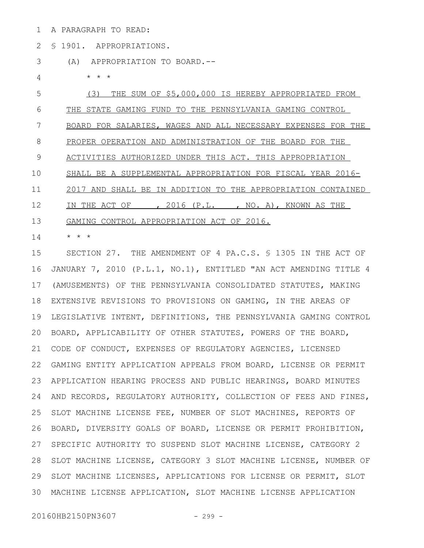A PARAGRAPH TO READ: 1

§ 1901. APPROPRIATIONS. 2

(A) APPROPRIATION TO BOARD.--  $\star$   $\hspace{0.1cm} \star$   $\hspace{0.1cm} \star$ (3) THE SUM OF \$5,000,000 IS HEREBY APPROPRIATED FROM THE STATE GAMING FUND TO THE PENNSYLVANIA GAMING CONTROL 3 4 5 6

BOARD FOR SALARIES, WAGES AND ALL NECESSARY EXPENSES FOR THE 7

PROPER OPERATION AND ADMINISTRATION OF THE BOARD FOR THE 8

ACTIVITIES AUTHORIZED UNDER THIS ACT. THIS APPROPRIATION 9

SHALL BE A SUPPLEMENTAL APPROPRIATION FOR FISCAL YEAR 2016- 10

2017 AND SHALL BE IN ADDITION TO THE APPROPRIATION CONTAINED 11

IN THE ACT OF , 2016 (P.L., , NO. A), KNOWN AS THE 12

GAMING CONTROL APPROPRIATION ACT OF 2016. 13

\* \* \* 14

SECTION 27. THE AMENDMENT OF 4 PA.C.S. § 1305 IN THE ACT OF JANUARY 7, 2010 (P.L.1, NO.1), ENTITLED "AN ACT AMENDING TITLE 4 (AMUSEMENTS) OF THE PENNSYLVANIA CONSOLIDATED STATUTES, MAKING EXTENSIVE REVISIONS TO PROVISIONS ON GAMING, IN THE AREAS OF LEGISLATIVE INTENT, DEFINITIONS, THE PENNSYLVANIA GAMING CONTROL BOARD, APPLICABILITY OF OTHER STATUTES, POWERS OF THE BOARD, CODE OF CONDUCT, EXPENSES OF REGULATORY AGENCIES, LICENSED GAMING ENTITY APPLICATION APPEALS FROM BOARD, LICENSE OR PERMIT APPLICATION HEARING PROCESS AND PUBLIC HEARINGS, BOARD MINUTES AND RECORDS, REGULATORY AUTHORITY, COLLECTION OF FEES AND FINES, SLOT MACHINE LICENSE FEE, NUMBER OF SLOT MACHINES, REPORTS OF BOARD, DIVERSITY GOALS OF BOARD, LICENSE OR PERMIT PROHIBITION, SPECIFIC AUTHORITY TO SUSPEND SLOT MACHINE LICENSE, CATEGORY 2 SLOT MACHINE LICENSE, CATEGORY 3 SLOT MACHINE LICENSE, NUMBER OF SLOT MACHINE LICENSES, APPLICATIONS FOR LICENSE OR PERMIT, SLOT MACHINE LICENSE APPLICATION, SLOT MACHINE LICENSE APPLICATION 3015 16 17 18 19 20 21 22 23 24 25 26 27 28 29

20160HB2150PN3607 - 299 -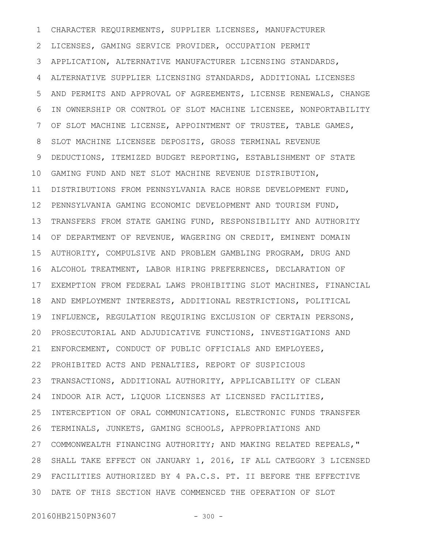CHARACTER REQUIREMENTS, SUPPLIER LICENSES, MANUFACTURER LICENSES, GAMING SERVICE PROVIDER, OCCUPATION PERMIT APPLICATION, ALTERNATIVE MANUFACTURER LICENSING STANDARDS, ALTERNATIVE SUPPLIER LICENSING STANDARDS, ADDITIONAL LICENSES AND PERMITS AND APPROVAL OF AGREEMENTS, LICENSE RENEWALS, CHANGE IN OWNERSHIP OR CONTROL OF SLOT MACHINE LICENSEE, NONPORTABILITY OF SLOT MACHINE LICENSE, APPOINTMENT OF TRUSTEE, TABLE GAMES, SLOT MACHINE LICENSEE DEPOSITS, GROSS TERMINAL REVENUE DEDUCTIONS, ITEMIZED BUDGET REPORTING, ESTABLISHMENT OF STATE GAMING FUND AND NET SLOT MACHINE REVENUE DISTRIBUTION, DISTRIBUTIONS FROM PENNSYLVANIA RACE HORSE DEVELOPMENT FUND, 11 PENNSYLVANIA GAMING ECONOMIC DEVELOPMENT AND TOURISM FUND, TRANSFERS FROM STATE GAMING FUND, RESPONSIBILITY AND AUTHORITY OF DEPARTMENT OF REVENUE, WAGERING ON CREDIT, EMINENT DOMAIN AUTHORITY, COMPULSIVE AND PROBLEM GAMBLING PROGRAM, DRUG AND ALCOHOL TREATMENT, LABOR HIRING PREFERENCES, DECLARATION OF EXEMPTION FROM FEDERAL LAWS PROHIBITING SLOT MACHINES, FINANCIAL AND EMPLOYMENT INTERESTS, ADDITIONAL RESTRICTIONS, POLITICAL INFLUENCE, REGULATION REQUIRING EXCLUSION OF CERTAIN PERSONS, PROSECUTORIAL AND ADJUDICATIVE FUNCTIONS, INVESTIGATIONS AND ENFORCEMENT, CONDUCT OF PUBLIC OFFICIALS AND EMPLOYEES, PROHIBITED ACTS AND PENALTIES, REPORT OF SUSPICIOUS TRANSACTIONS, ADDITIONAL AUTHORITY, APPLICABILITY OF CLEAN INDOOR AIR ACT, LIQUOR LICENSES AT LICENSED FACILITIES, INTERCEPTION OF ORAL COMMUNICATIONS, ELECTRONIC FUNDS TRANSFER TERMINALS, JUNKETS, GAMING SCHOOLS, APPROPRIATIONS AND COMMONWEALTH FINANCING AUTHORITY; AND MAKING RELATED REPEALS," SHALL TAKE EFFECT ON JANUARY 1, 2016, IF ALL CATEGORY 3 LICENSED FACILITIES AUTHORIZED BY 4 PA.C.S. PT. II BEFORE THE EFFECTIVE 29 DATE OF THIS SECTION HAVE COMMENCED THE OPERATION OF SLOT 301 2 3 4 5 6 7 8 9 10 12 13 14 15 16 17 18 19 20 21 22 23 24 25 26 27 28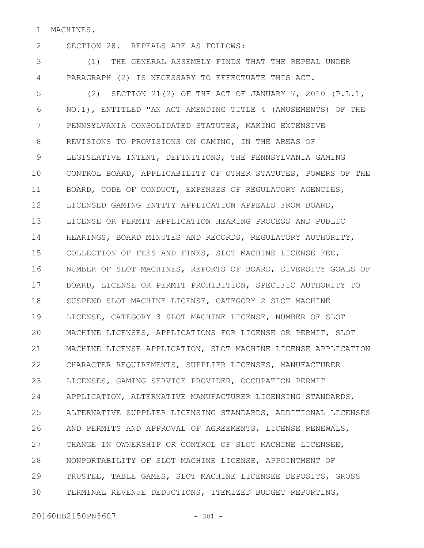MACHINES. 1

2

SECTION 28. REPEALS ARE AS FOLLOWS:

(1) THE GENERAL ASSEMBLY FINDS THAT THE REPEAL UNDER PARAGRAPH (2) IS NECESSARY TO EFFECTUATE THIS ACT. 3 4

(2) SECTION 21(2) OF THE ACT OF JANUARY 7, 2010 (P.L.1, NO.1), ENTITLED "AN ACT AMENDING TITLE 4 (AMUSEMENTS) OF THE PENNSYLVANIA CONSOLIDATED STATUTES, MAKING EXTENSIVE REVISIONS TO PROVISIONS ON GAMING, IN THE AREAS OF LEGISLATIVE INTENT, DEFINITIONS, THE PENNSYLVANIA GAMING CONTROL BOARD, APPLICABILITY OF OTHER STATUTES, POWERS OF THE BOARD, CODE OF CONDUCT, EXPENSES OF REGULATORY AGENCIES, LICENSED GAMING ENTITY APPLICATION APPEALS FROM BOARD, LICENSE OR PERMIT APPLICATION HEARING PROCESS AND PUBLIC HEARINGS, BOARD MINUTES AND RECORDS, REGULATORY AUTHORITY, COLLECTION OF FEES AND FINES, SLOT MACHINE LICENSE FEE, NUMBER OF SLOT MACHINES, REPORTS OF BOARD, DIVERSITY GOALS OF BOARD, LICENSE OR PERMIT PROHIBITION, SPECIFIC AUTHORITY TO SUSPEND SLOT MACHINE LICENSE, CATEGORY 2 SLOT MACHINE LICENSE, CATEGORY 3 SLOT MACHINE LICENSE, NUMBER OF SLOT MACHINE LICENSES, APPLICATIONS FOR LICENSE OR PERMIT, SLOT MACHINE LICENSE APPLICATION, SLOT MACHINE LICENSE APPLICATION CHARACTER REQUIREMENTS, SUPPLIER LICENSES, MANUFACTURER LICENSES, GAMING SERVICE PROVIDER, OCCUPATION PERMIT APPLICATION, ALTERNATIVE MANUFACTURER LICENSING STANDARDS, ALTERNATIVE SUPPLIER LICENSING STANDARDS, ADDITIONAL LICENSES AND PERMITS AND APPROVAL OF AGREEMENTS, LICENSE RENEWALS, CHANGE IN OWNERSHIP OR CONTROL OF SLOT MACHINE LICENSEE, NONPORTABILITY OF SLOT MACHINE LICENSE, APPOINTMENT OF TRUSTEE, TABLE GAMES, SLOT MACHINE LICENSEE DEPOSITS, GROSS TERMINAL REVENUE DEDUCTIONS, ITEMIZED BUDGET REPORTING, 5 6 7 8 9 10 11 12 13 14 15 16 17 18 19 20 21 22 23 24 25 26 27 28 29 30

20160HB2150PN3607 - 301 -